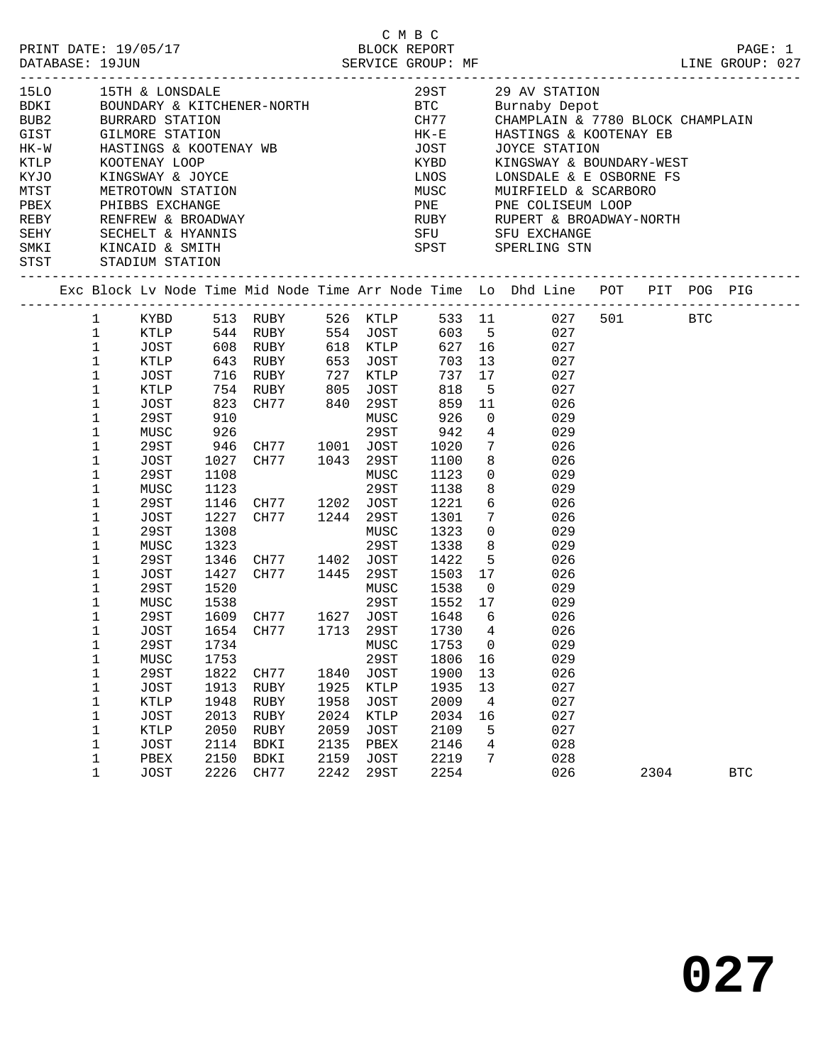| PRINT DATE: 19/05/17<br>PAINT DATE: 19/03/1/<br>DATABASE: 19JUN SERVICE GROUP: MF                                                             |                                                                                                                                                                                                                                         |                                                                                                                                          |                                                                                      |                                                                                                                                                                                                                                                                                                      |                                                      |                                                                                                                        | C M B C<br>BLOCK REPORT                                                                                 |                                                    |                                                                                                                                                                                | ------------------------------                                                                                                                                                                                                                                             |      | PAGE: 1<br>LINE GROUP: 027 |
|-----------------------------------------------------------------------------------------------------------------------------------------------|-----------------------------------------------------------------------------------------------------------------------------------------------------------------------------------------------------------------------------------------|------------------------------------------------------------------------------------------------------------------------------------------|--------------------------------------------------------------------------------------|------------------------------------------------------------------------------------------------------------------------------------------------------------------------------------------------------------------------------------------------------------------------------------------------------|------------------------------------------------------|------------------------------------------------------------------------------------------------------------------------|---------------------------------------------------------------------------------------------------------|----------------------------------------------------|--------------------------------------------------------------------------------------------------------------------------------------------------------------------------------|----------------------------------------------------------------------------------------------------------------------------------------------------------------------------------------------------------------------------------------------------------------------------|------|----------------------------|
| BUB2 BURRARD STATION<br>GIST<br>$HK-W$<br>KTLP<br>KYJO<br>MTST METROTOWN STATION                                                              |                                                                                                                                                                                                                                         | <b>GILMORE STATION</b><br>KINGSWAY & JOYCE                                                                                               |                                                                                      | HASTINGS & KOOTENAY WB<br>KOOTENAY LOOP<br>KINGSWAY & JOYCE                                                                                                                                                                                                                                          |                                                      |                                                                                                                        |                                                                                                         |                                                    |                                                                                                                                                                                | 29ST 29 AV STATION<br>BTC       Burnaby Depot<br>CH77      CHAMPLAIN & 7780 BLOCK CHAMPLAIN<br>HK-E HASTINGS & KOOTENAY EB<br>JOST JOYCE STATION<br>KYBD KINGSWAY & BOUNDARY-WEST<br>LNOS LONSDALE & E OSBORNE FS<br>KINGSWAY & BOUNDARY-WEST<br>MUSC MUIRFIELD & SCARBORO |      |                            |
| THE PHIBBS EXCHANGE<br>REBY RENFREW & BROADWAY<br>SEHY SECHELT & HYANNIS<br>SMKI KINCAID & SMITH<br>THE THE THE SMITH<br>STST STADIUM STATION |                                                                                                                                                                                                                                         |                                                                                                                                          |                                                                                      |                                                                                                                                                                                                                                                                                                      |                                                      |                                                                                                                        |                                                                                                         |                                                    | SPST SPERLING STN                                                                                                                                                              | PNE PNE COLISEUM LOOP<br>RUBY RUPERT & BROADWAY-NORTH<br>SFU SFU EXCHANGE                                                                                                                                                                                                  |      |                            |
| Exc Block Lv Node Time Mid Node Time Arr Node Time Lo Dhd Line POT PIT POG PIG                                                                |                                                                                                                                                                                                                                         |                                                                                                                                          |                                                                                      |                                                                                                                                                                                                                                                                                                      |                                                      |                                                                                                                        |                                                                                                         |                                                    |                                                                                                                                                                                |                                                                                                                                                                                                                                                                            |      |                            |
|                                                                                                                                               | 1 KYBD<br>$\mathbf{1}$<br>$\mathbf 1$<br>$\mathbf{1}$<br>$\mathbf{1}$<br>$\mathbf{1}$<br>$\mathbf 1$<br>$\mathbf{1}$<br>$\mathbf 1$<br>$\mathbf 1$<br>$\mathbf 1$<br>1<br>$\mathbf 1$<br>$\mathbf 1$<br>$\mathbf 1$<br>1<br>$\mathbf 1$ | JOST<br>KTLP<br>JOST<br>29ST<br>MUSC<br>29ST<br>JOST<br>29ST<br>MUSC<br>29ST<br>JOST<br>29ST<br>MUSC                                     | 910<br>926<br>1123<br>1146<br>1227<br>1308<br>1323                                   | 513 RUBY 526 KTLP 533 11 027 501 BTC<br>XTLP 544 RUBY 554 JOST 603 5 027<br>JOST 608 RUBY 618 KTLP 627 16 027<br>KTLP 643 RUBY 653 JOST<br>716 RUBY 727 KTLP<br>754 RUBY 805 JOST<br>823 CH77 840 29ST<br>946 CH77 1001 JOST<br>1027 CH77 1043 29ST<br>1108 MUSC<br>CH77 1202 JOST<br>CH77 1244 29ST |                                                      | MUSC<br>29ST<br>29ST<br>MUSC<br>29ST                                                                                   | 737<br>818<br>859<br>926<br>942<br>1020<br>1100<br>1100<br>1123<br>1138<br>1221<br>1301<br>1323<br>1338 | 17<br>$\overline{0}$<br>$\overline{4}$             | 703 13<br>$\begin{array}{ccc} 5 & 027 \\ 11 & 026 \end{array}$<br>029<br>$7\overline{ }$<br>026<br>8<br>$\overline{0}$<br>8<br>6 026<br>$7\overline{ }$<br>$\overline{0}$<br>8 | 027<br>027<br>029<br>026<br>029<br>029<br>026<br>029<br>029                                                                                                                                                                                                                |      |                            |
|                                                                                                                                               | $\mathbf 1$<br>$\mathbf{1}$<br>$\mathbf{1}$<br>$\mathbf{1}$<br>1<br>1<br>1<br>$\mathbf 1$<br>1<br>1<br>$\mathbf 1$<br>1<br>1<br>1<br>$\mathbf 1$                                                                                        | 29ST<br>JOST<br>29ST<br>MUSC<br>29ST<br>29ST<br>MUSC<br><b>29ST</b><br><b>JOST</b><br>KTLP<br><b>JOST</b><br>KTLP<br><b>JOST</b><br>PBEX | 1520<br>1538<br>1734<br>1753<br>1822<br>1913<br>1948<br>2013<br>2050<br>2114<br>2150 | 1346 CH77 1402 JOST<br>1427 CH77 1445 29ST<br>29ST 1552 17<br>1609 CH77 1627 JOST<br>JOST 1654 CH77 1713 29ST 1730 4<br>CH77<br>RUBY<br>RUBY<br>RUBY<br>RUBY<br>BDKI<br>BDKI                                                                                                                         | 1840<br>1925<br>1958<br>2024<br>2059<br>2135<br>2159 | MUSC<br>MUSC<br>29ST<br><b>JOST</b><br><b>KTLP</b><br><b>JOST</b><br><b>KTLP</b><br><b>JOST</b><br>PBEX<br><b>JOST</b> | 1422 5<br>1503 17<br>1648<br>1753<br>1806<br>1900<br>1935<br>2009<br>2034<br>2109<br>2146<br>2219       | 6<br>0<br>16<br>13<br>13<br>4<br>16<br>5<br>4<br>7 | $5 \t 026$<br>$1538$ 0 029<br>029                                                                                                                                              | 026<br>026<br>026<br>029<br>029<br>026<br>027<br>027<br>027<br>027<br>028<br>028                                                                                                                                                                                           |      |                            |
|                                                                                                                                               | $\mathbf{1}$                                                                                                                                                                                                                            | <b>JOST</b>                                                                                                                              | 2226                                                                                 | CH77                                                                                                                                                                                                                                                                                                 | 2242                                                 | 29ST                                                                                                                   | 2254                                                                                                    |                                                    |                                                                                                                                                                                | 026                                                                                                                                                                                                                                                                        | 2304 | <b>BTC</b>                 |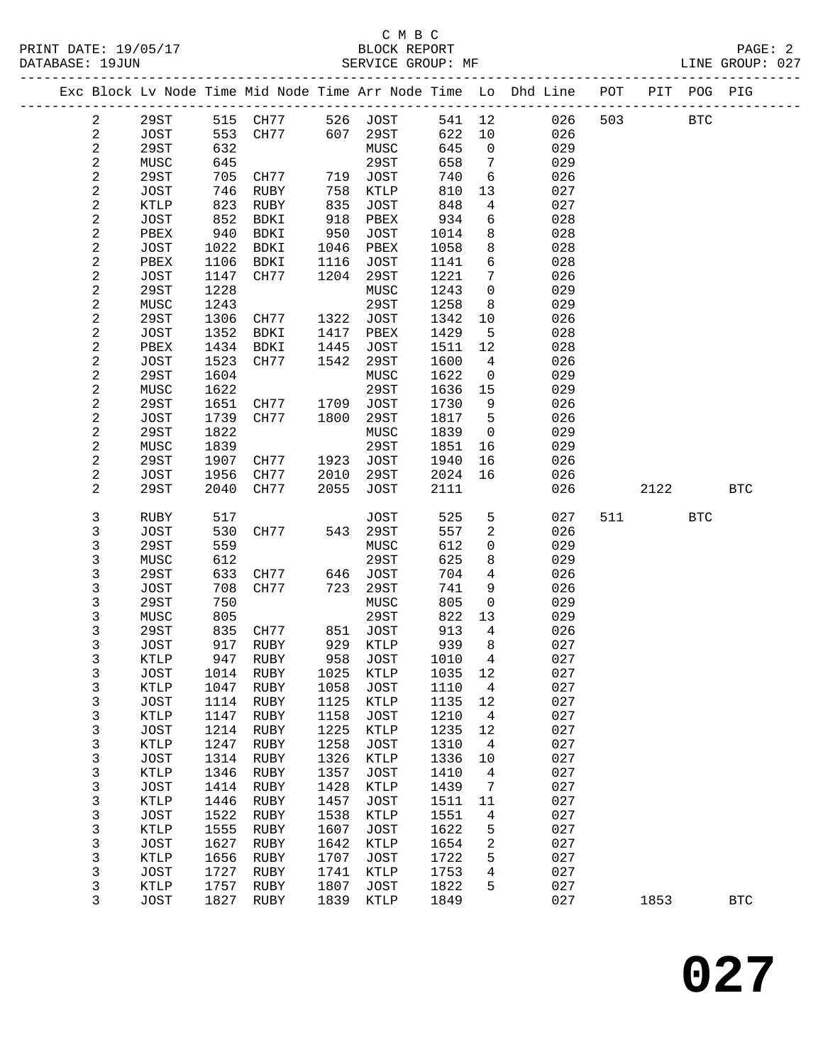| Exc Block Lv Node Time Mid Node Time Arr Node Time Lo Dhd Line<br>POT<br>PIT POG PIG<br>$\overline{a}$<br>29ST<br>515 CH77 526 JOST<br>541 12<br>026<br>503<br><b>BTC</b><br>607<br>2<br>553<br>29ST<br>622<br>026<br>JOST<br>CH77<br>10<br>$\overline{\mathbf{c}}$<br>29ST<br>632<br>645<br>029<br>MUSC<br>$\overline{0}$<br>2<br>645<br>29ST<br>658<br>$7\overline{ }$<br>029<br>MUSC<br>$\overline{\mathbf{c}}$<br>29ST<br>705<br>JOST<br>740<br>6<br>026<br>CH77<br>719<br>$\sqrt{2}$<br>746<br>810<br>027<br>JOST<br>RUBY<br>758<br>KTLP<br>13<br>$\mathbf{2}$<br>823<br>RUBY<br>835<br>848<br>027<br>KTLP<br>JOST<br>4<br>2<br>852<br>934<br>6<br>028<br>JOST<br>BDKI<br>918<br>PBEX<br>$\overline{c}$<br>940<br>950<br>8<br>028<br>PBEX<br>BDKI<br>JOST<br>1014<br>$\mathbf{2}$<br>1022<br>8<br>028<br>JOST<br>BDKI<br>1046<br>PBEX<br>1058<br>$\mathbf{2}$<br>1106<br>6<br>028<br>BDKI<br>1116<br>JOST<br>1141<br>PBEX<br>$\overline{\mathbf{c}}$<br>7<br>JOST<br>1147<br>CH77<br>1204<br>29ST<br>1221<br>026<br>$\overline{c}$<br>1228<br>1243<br>$\mathbf 0$<br>029<br>29ST<br>MUSC<br>$\mathbf{2}$<br>1243<br>29ST<br>1258<br>029<br>MUSC<br>8<br>2<br>29ST<br>1306<br>1322<br>JOST<br>1342<br>026<br>CH77<br>10<br>$\boldsymbol{2}$<br>1352<br>1429<br>JOST<br>BDKI<br>1417<br>PBEX<br>5<br>028<br>2<br>1434<br>PBEX<br>BDKI<br>1445<br>JOST<br>1511<br>12<br>028<br>$\mathbf{2}$<br>1523<br>1542<br>1600<br>$\overline{4}$<br>JOST<br>CH77<br>29ST<br>026<br>$\sqrt{2}$<br>1604<br>1622<br>029<br>29ST<br>MUSC<br>$\mathsf{O}$<br>$\mathbf{2}$<br>29ST<br>MUSC<br>1622<br>1636<br>15<br>029<br>$\sqrt{2}$<br>29ST<br>1651<br>JOST<br>1730<br>9<br>026<br>CH77<br>1709<br>$\mathbf{2}$<br>5<br>026<br>JOST<br>1739<br>29ST<br>1817<br>CH77<br>1800<br>$\sqrt{2}$<br>29ST<br>1822<br>MUSC<br>1839<br>029<br>$\overline{0}$<br>$\boldsymbol{2}$<br>1839<br>29ST<br>1851<br>029<br>MUSC<br>16<br>2<br>29ST<br>1907<br>JOST<br>1940<br>026<br>CH77<br>1923<br>16<br>$\mathbf{2}$<br>1956<br>2024<br>16<br>026<br>JOST<br>CH77<br>2010<br>29ST<br>2<br>29ST<br>2040<br>CH77<br>2055<br>2111<br>2122<br>JOST<br>026<br><b>BTC</b><br>3<br>525<br>5<br>027<br>517<br>JOST<br>511<br><b>BTC</b><br>RUBY<br>3<br>557<br>JOST<br>530<br>543 29ST<br>2<br>026<br>CH77<br>3<br>559<br>612<br>29ST<br>MUSC<br>029<br>$\mathbf 0$<br>3<br>625<br>612<br>29ST<br>8<br>029<br>MUSC<br>3<br>29ST<br>633<br>JOST<br>704<br>$\overline{4}$<br>026<br>CH77<br>646<br>3<br>708<br>723<br>29ST<br>741<br>9<br>026<br>JOST<br>CH77<br>3<br>29ST<br>750<br>805<br>029<br>MUSC<br>$\mathsf{O}$<br>3<br>805<br>29ST<br>822<br>MUSC<br>13<br>029<br>3<br>835<br>JOST<br>913<br>29ST<br>CH77<br>851<br>4<br>026<br>3<br>939<br>917<br>929<br>8<br>027<br>JOST<br>RUBY<br>KTLP<br>3<br><b>KTLP</b><br>947<br>$\overline{4}$<br>027<br>RUBY<br>958<br>JOST<br>1010<br>3<br>1014 RUBY 1025 KTLP<br>1035 12<br>027<br>JOST<br>3<br>1058<br>027<br>KTLP<br>1047<br>RUBY<br>JOST<br>1110<br>4<br>3<br>027<br>JOST<br>1114<br>RUBY<br>1125<br>KTLP<br>1135<br>12<br>3<br>1158<br>1210<br>027<br>KTLP<br>1147<br>RUBY<br><b>JOST</b><br>$\overline{4}$<br>3<br>027<br>1225<br>1235<br><b>JOST</b><br>1214<br>RUBY<br>KTLP<br>12<br>3<br>027<br>KTLP<br>1247<br>RUBY<br>1258<br>JOST<br>1310<br>4<br>3<br>JOST<br>1314<br>1326<br>1336<br>027<br>RUBY<br>KTLP<br>10<br>3<br>KTLP<br>1346<br>1357<br>027<br>RUBY<br><b>JOST</b><br>1410<br>4<br>3<br>1414<br>1428<br>027<br><b>JOST</b><br>RUBY<br>KTLP<br>1439<br>7<br>3<br>027<br>KTLP<br>1446<br>RUBY<br>1457<br><b>JOST</b><br>1511<br>11<br>3<br>1522<br>1538<br>1551<br>027<br><b>JOST</b><br>RUBY<br>KTLP<br>4<br>3<br>027<br>1555<br>1607<br>1622<br>5<br>KTLP<br>RUBY<br><b>JOST</b><br>3<br>027<br>1627<br>1642<br>KTLP<br>1654<br>2<br><b>JOST</b><br>RUBY<br>3<br>027<br>1656<br>1707<br>KTLP<br>RUBY<br><b>JOST</b><br>1722<br>5<br>3<br>1727<br>1741<br>4<br>027<br><b>JOST</b><br>RUBY<br>KTLP<br>1753<br>3<br>1757<br>1807<br>1822<br>5<br>027<br><b>KTLP</b><br><b>JOST</b><br>RUBY<br>3<br>027<br>1827<br>1839<br>1849<br>1853<br>JOST<br>RUBY<br>KTLP<br><b>BTC</b> |  |  |  |  |  |  |  |
|--------------------------------------------------------------------------------------------------------------------------------------------------------------------------------------------------------------------------------------------------------------------------------------------------------------------------------------------------------------------------------------------------------------------------------------------------------------------------------------------------------------------------------------------------------------------------------------------------------------------------------------------------------------------------------------------------------------------------------------------------------------------------------------------------------------------------------------------------------------------------------------------------------------------------------------------------------------------------------------------------------------------------------------------------------------------------------------------------------------------------------------------------------------------------------------------------------------------------------------------------------------------------------------------------------------------------------------------------------------------------------------------------------------------------------------------------------------------------------------------------------------------------------------------------------------------------------------------------------------------------------------------------------------------------------------------------------------------------------------------------------------------------------------------------------------------------------------------------------------------------------------------------------------------------------------------------------------------------------------------------------------------------------------------------------------------------------------------------------------------------------------------------------------------------------------------------------------------------------------------------------------------------------------------------------------------------------------------------------------------------------------------------------------------------------------------------------------------------------------------------------------------------------------------------------------------------------------------------------------------------------------------------------------------------------------------------------------------------------------------------------------------------------------------------------------------------------------------------------------------------------------------------------------------------------------------------------------------------------------------------------------------------------------------------------------------------------------------------------------------------------------------------------------------------------------------------------------------------------------------------------------------------------------------------------------------------------------------------------------------------------------------------------------------------------------------------------------------------------------------------------------------------------------------------------------------------------------------------------------------------------------------------------------------------------------------------------------------------------------------------------------------------------------------------------------------------------------------------------------------------------------------------------------------------------------------------------------------------------------------------------------------------------------------------------------------------------------------------------------|--|--|--|--|--|--|--|
|                                                                                                                                                                                                                                                                                                                                                                                                                                                                                                                                                                                                                                                                                                                                                                                                                                                                                                                                                                                                                                                                                                                                                                                                                                                                                                                                                                                                                                                                                                                                                                                                                                                                                                                                                                                                                                                                                                                                                                                                                                                                                                                                                                                                                                                                                                                                                                                                                                                                                                                                                                                                                                                                                                                                                                                                                                                                                                                                                                                                                                                                                                                                                                                                                                                                                                                                                                                                                                                                                                                                                                                                                                                                                                                                                                                                                                                                                                                                                                                                                                                                                                              |  |  |  |  |  |  |  |
|                                                                                                                                                                                                                                                                                                                                                                                                                                                                                                                                                                                                                                                                                                                                                                                                                                                                                                                                                                                                                                                                                                                                                                                                                                                                                                                                                                                                                                                                                                                                                                                                                                                                                                                                                                                                                                                                                                                                                                                                                                                                                                                                                                                                                                                                                                                                                                                                                                                                                                                                                                                                                                                                                                                                                                                                                                                                                                                                                                                                                                                                                                                                                                                                                                                                                                                                                                                                                                                                                                                                                                                                                                                                                                                                                                                                                                                                                                                                                                                                                                                                                                              |  |  |  |  |  |  |  |
|                                                                                                                                                                                                                                                                                                                                                                                                                                                                                                                                                                                                                                                                                                                                                                                                                                                                                                                                                                                                                                                                                                                                                                                                                                                                                                                                                                                                                                                                                                                                                                                                                                                                                                                                                                                                                                                                                                                                                                                                                                                                                                                                                                                                                                                                                                                                                                                                                                                                                                                                                                                                                                                                                                                                                                                                                                                                                                                                                                                                                                                                                                                                                                                                                                                                                                                                                                                                                                                                                                                                                                                                                                                                                                                                                                                                                                                                                                                                                                                                                                                                                                              |  |  |  |  |  |  |  |
|                                                                                                                                                                                                                                                                                                                                                                                                                                                                                                                                                                                                                                                                                                                                                                                                                                                                                                                                                                                                                                                                                                                                                                                                                                                                                                                                                                                                                                                                                                                                                                                                                                                                                                                                                                                                                                                                                                                                                                                                                                                                                                                                                                                                                                                                                                                                                                                                                                                                                                                                                                                                                                                                                                                                                                                                                                                                                                                                                                                                                                                                                                                                                                                                                                                                                                                                                                                                                                                                                                                                                                                                                                                                                                                                                                                                                                                                                                                                                                                                                                                                                                              |  |  |  |  |  |  |  |
|                                                                                                                                                                                                                                                                                                                                                                                                                                                                                                                                                                                                                                                                                                                                                                                                                                                                                                                                                                                                                                                                                                                                                                                                                                                                                                                                                                                                                                                                                                                                                                                                                                                                                                                                                                                                                                                                                                                                                                                                                                                                                                                                                                                                                                                                                                                                                                                                                                                                                                                                                                                                                                                                                                                                                                                                                                                                                                                                                                                                                                                                                                                                                                                                                                                                                                                                                                                                                                                                                                                                                                                                                                                                                                                                                                                                                                                                                                                                                                                                                                                                                                              |  |  |  |  |  |  |  |
|                                                                                                                                                                                                                                                                                                                                                                                                                                                                                                                                                                                                                                                                                                                                                                                                                                                                                                                                                                                                                                                                                                                                                                                                                                                                                                                                                                                                                                                                                                                                                                                                                                                                                                                                                                                                                                                                                                                                                                                                                                                                                                                                                                                                                                                                                                                                                                                                                                                                                                                                                                                                                                                                                                                                                                                                                                                                                                                                                                                                                                                                                                                                                                                                                                                                                                                                                                                                                                                                                                                                                                                                                                                                                                                                                                                                                                                                                                                                                                                                                                                                                                              |  |  |  |  |  |  |  |
|                                                                                                                                                                                                                                                                                                                                                                                                                                                                                                                                                                                                                                                                                                                                                                                                                                                                                                                                                                                                                                                                                                                                                                                                                                                                                                                                                                                                                                                                                                                                                                                                                                                                                                                                                                                                                                                                                                                                                                                                                                                                                                                                                                                                                                                                                                                                                                                                                                                                                                                                                                                                                                                                                                                                                                                                                                                                                                                                                                                                                                                                                                                                                                                                                                                                                                                                                                                                                                                                                                                                                                                                                                                                                                                                                                                                                                                                                                                                                                                                                                                                                                              |  |  |  |  |  |  |  |
|                                                                                                                                                                                                                                                                                                                                                                                                                                                                                                                                                                                                                                                                                                                                                                                                                                                                                                                                                                                                                                                                                                                                                                                                                                                                                                                                                                                                                                                                                                                                                                                                                                                                                                                                                                                                                                                                                                                                                                                                                                                                                                                                                                                                                                                                                                                                                                                                                                                                                                                                                                                                                                                                                                                                                                                                                                                                                                                                                                                                                                                                                                                                                                                                                                                                                                                                                                                                                                                                                                                                                                                                                                                                                                                                                                                                                                                                                                                                                                                                                                                                                                              |  |  |  |  |  |  |  |
|                                                                                                                                                                                                                                                                                                                                                                                                                                                                                                                                                                                                                                                                                                                                                                                                                                                                                                                                                                                                                                                                                                                                                                                                                                                                                                                                                                                                                                                                                                                                                                                                                                                                                                                                                                                                                                                                                                                                                                                                                                                                                                                                                                                                                                                                                                                                                                                                                                                                                                                                                                                                                                                                                                                                                                                                                                                                                                                                                                                                                                                                                                                                                                                                                                                                                                                                                                                                                                                                                                                                                                                                                                                                                                                                                                                                                                                                                                                                                                                                                                                                                                              |  |  |  |  |  |  |  |
|                                                                                                                                                                                                                                                                                                                                                                                                                                                                                                                                                                                                                                                                                                                                                                                                                                                                                                                                                                                                                                                                                                                                                                                                                                                                                                                                                                                                                                                                                                                                                                                                                                                                                                                                                                                                                                                                                                                                                                                                                                                                                                                                                                                                                                                                                                                                                                                                                                                                                                                                                                                                                                                                                                                                                                                                                                                                                                                                                                                                                                                                                                                                                                                                                                                                                                                                                                                                                                                                                                                                                                                                                                                                                                                                                                                                                                                                                                                                                                                                                                                                                                              |  |  |  |  |  |  |  |
|                                                                                                                                                                                                                                                                                                                                                                                                                                                                                                                                                                                                                                                                                                                                                                                                                                                                                                                                                                                                                                                                                                                                                                                                                                                                                                                                                                                                                                                                                                                                                                                                                                                                                                                                                                                                                                                                                                                                                                                                                                                                                                                                                                                                                                                                                                                                                                                                                                                                                                                                                                                                                                                                                                                                                                                                                                                                                                                                                                                                                                                                                                                                                                                                                                                                                                                                                                                                                                                                                                                                                                                                                                                                                                                                                                                                                                                                                                                                                                                                                                                                                                              |  |  |  |  |  |  |  |
|                                                                                                                                                                                                                                                                                                                                                                                                                                                                                                                                                                                                                                                                                                                                                                                                                                                                                                                                                                                                                                                                                                                                                                                                                                                                                                                                                                                                                                                                                                                                                                                                                                                                                                                                                                                                                                                                                                                                                                                                                                                                                                                                                                                                                                                                                                                                                                                                                                                                                                                                                                                                                                                                                                                                                                                                                                                                                                                                                                                                                                                                                                                                                                                                                                                                                                                                                                                                                                                                                                                                                                                                                                                                                                                                                                                                                                                                                                                                                                                                                                                                                                              |  |  |  |  |  |  |  |
|                                                                                                                                                                                                                                                                                                                                                                                                                                                                                                                                                                                                                                                                                                                                                                                                                                                                                                                                                                                                                                                                                                                                                                                                                                                                                                                                                                                                                                                                                                                                                                                                                                                                                                                                                                                                                                                                                                                                                                                                                                                                                                                                                                                                                                                                                                                                                                                                                                                                                                                                                                                                                                                                                                                                                                                                                                                                                                                                                                                                                                                                                                                                                                                                                                                                                                                                                                                                                                                                                                                                                                                                                                                                                                                                                                                                                                                                                                                                                                                                                                                                                                              |  |  |  |  |  |  |  |
|                                                                                                                                                                                                                                                                                                                                                                                                                                                                                                                                                                                                                                                                                                                                                                                                                                                                                                                                                                                                                                                                                                                                                                                                                                                                                                                                                                                                                                                                                                                                                                                                                                                                                                                                                                                                                                                                                                                                                                                                                                                                                                                                                                                                                                                                                                                                                                                                                                                                                                                                                                                                                                                                                                                                                                                                                                                                                                                                                                                                                                                                                                                                                                                                                                                                                                                                                                                                                                                                                                                                                                                                                                                                                                                                                                                                                                                                                                                                                                                                                                                                                                              |  |  |  |  |  |  |  |
|                                                                                                                                                                                                                                                                                                                                                                                                                                                                                                                                                                                                                                                                                                                                                                                                                                                                                                                                                                                                                                                                                                                                                                                                                                                                                                                                                                                                                                                                                                                                                                                                                                                                                                                                                                                                                                                                                                                                                                                                                                                                                                                                                                                                                                                                                                                                                                                                                                                                                                                                                                                                                                                                                                                                                                                                                                                                                                                                                                                                                                                                                                                                                                                                                                                                                                                                                                                                                                                                                                                                                                                                                                                                                                                                                                                                                                                                                                                                                                                                                                                                                                              |  |  |  |  |  |  |  |
|                                                                                                                                                                                                                                                                                                                                                                                                                                                                                                                                                                                                                                                                                                                                                                                                                                                                                                                                                                                                                                                                                                                                                                                                                                                                                                                                                                                                                                                                                                                                                                                                                                                                                                                                                                                                                                                                                                                                                                                                                                                                                                                                                                                                                                                                                                                                                                                                                                                                                                                                                                                                                                                                                                                                                                                                                                                                                                                                                                                                                                                                                                                                                                                                                                                                                                                                                                                                                                                                                                                                                                                                                                                                                                                                                                                                                                                                                                                                                                                                                                                                                                              |  |  |  |  |  |  |  |
|                                                                                                                                                                                                                                                                                                                                                                                                                                                                                                                                                                                                                                                                                                                                                                                                                                                                                                                                                                                                                                                                                                                                                                                                                                                                                                                                                                                                                                                                                                                                                                                                                                                                                                                                                                                                                                                                                                                                                                                                                                                                                                                                                                                                                                                                                                                                                                                                                                                                                                                                                                                                                                                                                                                                                                                                                                                                                                                                                                                                                                                                                                                                                                                                                                                                                                                                                                                                                                                                                                                                                                                                                                                                                                                                                                                                                                                                                                                                                                                                                                                                                                              |  |  |  |  |  |  |  |
|                                                                                                                                                                                                                                                                                                                                                                                                                                                                                                                                                                                                                                                                                                                                                                                                                                                                                                                                                                                                                                                                                                                                                                                                                                                                                                                                                                                                                                                                                                                                                                                                                                                                                                                                                                                                                                                                                                                                                                                                                                                                                                                                                                                                                                                                                                                                                                                                                                                                                                                                                                                                                                                                                                                                                                                                                                                                                                                                                                                                                                                                                                                                                                                                                                                                                                                                                                                                                                                                                                                                                                                                                                                                                                                                                                                                                                                                                                                                                                                                                                                                                                              |  |  |  |  |  |  |  |
|                                                                                                                                                                                                                                                                                                                                                                                                                                                                                                                                                                                                                                                                                                                                                                                                                                                                                                                                                                                                                                                                                                                                                                                                                                                                                                                                                                                                                                                                                                                                                                                                                                                                                                                                                                                                                                                                                                                                                                                                                                                                                                                                                                                                                                                                                                                                                                                                                                                                                                                                                                                                                                                                                                                                                                                                                                                                                                                                                                                                                                                                                                                                                                                                                                                                                                                                                                                                                                                                                                                                                                                                                                                                                                                                                                                                                                                                                                                                                                                                                                                                                                              |  |  |  |  |  |  |  |
|                                                                                                                                                                                                                                                                                                                                                                                                                                                                                                                                                                                                                                                                                                                                                                                                                                                                                                                                                                                                                                                                                                                                                                                                                                                                                                                                                                                                                                                                                                                                                                                                                                                                                                                                                                                                                                                                                                                                                                                                                                                                                                                                                                                                                                                                                                                                                                                                                                                                                                                                                                                                                                                                                                                                                                                                                                                                                                                                                                                                                                                                                                                                                                                                                                                                                                                                                                                                                                                                                                                                                                                                                                                                                                                                                                                                                                                                                                                                                                                                                                                                                                              |  |  |  |  |  |  |  |
|                                                                                                                                                                                                                                                                                                                                                                                                                                                                                                                                                                                                                                                                                                                                                                                                                                                                                                                                                                                                                                                                                                                                                                                                                                                                                                                                                                                                                                                                                                                                                                                                                                                                                                                                                                                                                                                                                                                                                                                                                                                                                                                                                                                                                                                                                                                                                                                                                                                                                                                                                                                                                                                                                                                                                                                                                                                                                                                                                                                                                                                                                                                                                                                                                                                                                                                                                                                                                                                                                                                                                                                                                                                                                                                                                                                                                                                                                                                                                                                                                                                                                                              |  |  |  |  |  |  |  |
|                                                                                                                                                                                                                                                                                                                                                                                                                                                                                                                                                                                                                                                                                                                                                                                                                                                                                                                                                                                                                                                                                                                                                                                                                                                                                                                                                                                                                                                                                                                                                                                                                                                                                                                                                                                                                                                                                                                                                                                                                                                                                                                                                                                                                                                                                                                                                                                                                                                                                                                                                                                                                                                                                                                                                                                                                                                                                                                                                                                                                                                                                                                                                                                                                                                                                                                                                                                                                                                                                                                                                                                                                                                                                                                                                                                                                                                                                                                                                                                                                                                                                                              |  |  |  |  |  |  |  |
|                                                                                                                                                                                                                                                                                                                                                                                                                                                                                                                                                                                                                                                                                                                                                                                                                                                                                                                                                                                                                                                                                                                                                                                                                                                                                                                                                                                                                                                                                                                                                                                                                                                                                                                                                                                                                                                                                                                                                                                                                                                                                                                                                                                                                                                                                                                                                                                                                                                                                                                                                                                                                                                                                                                                                                                                                                                                                                                                                                                                                                                                                                                                                                                                                                                                                                                                                                                                                                                                                                                                                                                                                                                                                                                                                                                                                                                                                                                                                                                                                                                                                                              |  |  |  |  |  |  |  |
|                                                                                                                                                                                                                                                                                                                                                                                                                                                                                                                                                                                                                                                                                                                                                                                                                                                                                                                                                                                                                                                                                                                                                                                                                                                                                                                                                                                                                                                                                                                                                                                                                                                                                                                                                                                                                                                                                                                                                                                                                                                                                                                                                                                                                                                                                                                                                                                                                                                                                                                                                                                                                                                                                                                                                                                                                                                                                                                                                                                                                                                                                                                                                                                                                                                                                                                                                                                                                                                                                                                                                                                                                                                                                                                                                                                                                                                                                                                                                                                                                                                                                                              |  |  |  |  |  |  |  |
|                                                                                                                                                                                                                                                                                                                                                                                                                                                                                                                                                                                                                                                                                                                                                                                                                                                                                                                                                                                                                                                                                                                                                                                                                                                                                                                                                                                                                                                                                                                                                                                                                                                                                                                                                                                                                                                                                                                                                                                                                                                                                                                                                                                                                                                                                                                                                                                                                                                                                                                                                                                                                                                                                                                                                                                                                                                                                                                                                                                                                                                                                                                                                                                                                                                                                                                                                                                                                                                                                                                                                                                                                                                                                                                                                                                                                                                                                                                                                                                                                                                                                                              |  |  |  |  |  |  |  |
|                                                                                                                                                                                                                                                                                                                                                                                                                                                                                                                                                                                                                                                                                                                                                                                                                                                                                                                                                                                                                                                                                                                                                                                                                                                                                                                                                                                                                                                                                                                                                                                                                                                                                                                                                                                                                                                                                                                                                                                                                                                                                                                                                                                                                                                                                                                                                                                                                                                                                                                                                                                                                                                                                                                                                                                                                                                                                                                                                                                                                                                                                                                                                                                                                                                                                                                                                                                                                                                                                                                                                                                                                                                                                                                                                                                                                                                                                                                                                                                                                                                                                                              |  |  |  |  |  |  |  |
|                                                                                                                                                                                                                                                                                                                                                                                                                                                                                                                                                                                                                                                                                                                                                                                                                                                                                                                                                                                                                                                                                                                                                                                                                                                                                                                                                                                                                                                                                                                                                                                                                                                                                                                                                                                                                                                                                                                                                                                                                                                                                                                                                                                                                                                                                                                                                                                                                                                                                                                                                                                                                                                                                                                                                                                                                                                                                                                                                                                                                                                                                                                                                                                                                                                                                                                                                                                                                                                                                                                                                                                                                                                                                                                                                                                                                                                                                                                                                                                                                                                                                                              |  |  |  |  |  |  |  |
|                                                                                                                                                                                                                                                                                                                                                                                                                                                                                                                                                                                                                                                                                                                                                                                                                                                                                                                                                                                                                                                                                                                                                                                                                                                                                                                                                                                                                                                                                                                                                                                                                                                                                                                                                                                                                                                                                                                                                                                                                                                                                                                                                                                                                                                                                                                                                                                                                                                                                                                                                                                                                                                                                                                                                                                                                                                                                                                                                                                                                                                                                                                                                                                                                                                                                                                                                                                                                                                                                                                                                                                                                                                                                                                                                                                                                                                                                                                                                                                                                                                                                                              |  |  |  |  |  |  |  |
|                                                                                                                                                                                                                                                                                                                                                                                                                                                                                                                                                                                                                                                                                                                                                                                                                                                                                                                                                                                                                                                                                                                                                                                                                                                                                                                                                                                                                                                                                                                                                                                                                                                                                                                                                                                                                                                                                                                                                                                                                                                                                                                                                                                                                                                                                                                                                                                                                                                                                                                                                                                                                                                                                                                                                                                                                                                                                                                                                                                                                                                                                                                                                                                                                                                                                                                                                                                                                                                                                                                                                                                                                                                                                                                                                                                                                                                                                                                                                                                                                                                                                                              |  |  |  |  |  |  |  |
|                                                                                                                                                                                                                                                                                                                                                                                                                                                                                                                                                                                                                                                                                                                                                                                                                                                                                                                                                                                                                                                                                                                                                                                                                                                                                                                                                                                                                                                                                                                                                                                                                                                                                                                                                                                                                                                                                                                                                                                                                                                                                                                                                                                                                                                                                                                                                                                                                                                                                                                                                                                                                                                                                                                                                                                                                                                                                                                                                                                                                                                                                                                                                                                                                                                                                                                                                                                                                                                                                                                                                                                                                                                                                                                                                                                                                                                                                                                                                                                                                                                                                                              |  |  |  |  |  |  |  |
|                                                                                                                                                                                                                                                                                                                                                                                                                                                                                                                                                                                                                                                                                                                                                                                                                                                                                                                                                                                                                                                                                                                                                                                                                                                                                                                                                                                                                                                                                                                                                                                                                                                                                                                                                                                                                                                                                                                                                                                                                                                                                                                                                                                                                                                                                                                                                                                                                                                                                                                                                                                                                                                                                                                                                                                                                                                                                                                                                                                                                                                                                                                                                                                                                                                                                                                                                                                                                                                                                                                                                                                                                                                                                                                                                                                                                                                                                                                                                                                                                                                                                                              |  |  |  |  |  |  |  |
|                                                                                                                                                                                                                                                                                                                                                                                                                                                                                                                                                                                                                                                                                                                                                                                                                                                                                                                                                                                                                                                                                                                                                                                                                                                                                                                                                                                                                                                                                                                                                                                                                                                                                                                                                                                                                                                                                                                                                                                                                                                                                                                                                                                                                                                                                                                                                                                                                                                                                                                                                                                                                                                                                                                                                                                                                                                                                                                                                                                                                                                                                                                                                                                                                                                                                                                                                                                                                                                                                                                                                                                                                                                                                                                                                                                                                                                                                                                                                                                                                                                                                                              |  |  |  |  |  |  |  |
|                                                                                                                                                                                                                                                                                                                                                                                                                                                                                                                                                                                                                                                                                                                                                                                                                                                                                                                                                                                                                                                                                                                                                                                                                                                                                                                                                                                                                                                                                                                                                                                                                                                                                                                                                                                                                                                                                                                                                                                                                                                                                                                                                                                                                                                                                                                                                                                                                                                                                                                                                                                                                                                                                                                                                                                                                                                                                                                                                                                                                                                                                                                                                                                                                                                                                                                                                                                                                                                                                                                                                                                                                                                                                                                                                                                                                                                                                                                                                                                                                                                                                                              |  |  |  |  |  |  |  |
|                                                                                                                                                                                                                                                                                                                                                                                                                                                                                                                                                                                                                                                                                                                                                                                                                                                                                                                                                                                                                                                                                                                                                                                                                                                                                                                                                                                                                                                                                                                                                                                                                                                                                                                                                                                                                                                                                                                                                                                                                                                                                                                                                                                                                                                                                                                                                                                                                                                                                                                                                                                                                                                                                                                                                                                                                                                                                                                                                                                                                                                                                                                                                                                                                                                                                                                                                                                                                                                                                                                                                                                                                                                                                                                                                                                                                                                                                                                                                                                                                                                                                                              |  |  |  |  |  |  |  |
|                                                                                                                                                                                                                                                                                                                                                                                                                                                                                                                                                                                                                                                                                                                                                                                                                                                                                                                                                                                                                                                                                                                                                                                                                                                                                                                                                                                                                                                                                                                                                                                                                                                                                                                                                                                                                                                                                                                                                                                                                                                                                                                                                                                                                                                                                                                                                                                                                                                                                                                                                                                                                                                                                                                                                                                                                                                                                                                                                                                                                                                                                                                                                                                                                                                                                                                                                                                                                                                                                                                                                                                                                                                                                                                                                                                                                                                                                                                                                                                                                                                                                                              |  |  |  |  |  |  |  |
|                                                                                                                                                                                                                                                                                                                                                                                                                                                                                                                                                                                                                                                                                                                                                                                                                                                                                                                                                                                                                                                                                                                                                                                                                                                                                                                                                                                                                                                                                                                                                                                                                                                                                                                                                                                                                                                                                                                                                                                                                                                                                                                                                                                                                                                                                                                                                                                                                                                                                                                                                                                                                                                                                                                                                                                                                                                                                                                                                                                                                                                                                                                                                                                                                                                                                                                                                                                                                                                                                                                                                                                                                                                                                                                                                                                                                                                                                                                                                                                                                                                                                                              |  |  |  |  |  |  |  |
|                                                                                                                                                                                                                                                                                                                                                                                                                                                                                                                                                                                                                                                                                                                                                                                                                                                                                                                                                                                                                                                                                                                                                                                                                                                                                                                                                                                                                                                                                                                                                                                                                                                                                                                                                                                                                                                                                                                                                                                                                                                                                                                                                                                                                                                                                                                                                                                                                                                                                                                                                                                                                                                                                                                                                                                                                                                                                                                                                                                                                                                                                                                                                                                                                                                                                                                                                                                                                                                                                                                                                                                                                                                                                                                                                                                                                                                                                                                                                                                                                                                                                                              |  |  |  |  |  |  |  |
|                                                                                                                                                                                                                                                                                                                                                                                                                                                                                                                                                                                                                                                                                                                                                                                                                                                                                                                                                                                                                                                                                                                                                                                                                                                                                                                                                                                                                                                                                                                                                                                                                                                                                                                                                                                                                                                                                                                                                                                                                                                                                                                                                                                                                                                                                                                                                                                                                                                                                                                                                                                                                                                                                                                                                                                                                                                                                                                                                                                                                                                                                                                                                                                                                                                                                                                                                                                                                                                                                                                                                                                                                                                                                                                                                                                                                                                                                                                                                                                                                                                                                                              |  |  |  |  |  |  |  |
|                                                                                                                                                                                                                                                                                                                                                                                                                                                                                                                                                                                                                                                                                                                                                                                                                                                                                                                                                                                                                                                                                                                                                                                                                                                                                                                                                                                                                                                                                                                                                                                                                                                                                                                                                                                                                                                                                                                                                                                                                                                                                                                                                                                                                                                                                                                                                                                                                                                                                                                                                                                                                                                                                                                                                                                                                                                                                                                                                                                                                                                                                                                                                                                                                                                                                                                                                                                                                                                                                                                                                                                                                                                                                                                                                                                                                                                                                                                                                                                                                                                                                                              |  |  |  |  |  |  |  |
|                                                                                                                                                                                                                                                                                                                                                                                                                                                                                                                                                                                                                                                                                                                                                                                                                                                                                                                                                                                                                                                                                                                                                                                                                                                                                                                                                                                                                                                                                                                                                                                                                                                                                                                                                                                                                                                                                                                                                                                                                                                                                                                                                                                                                                                                                                                                                                                                                                                                                                                                                                                                                                                                                                                                                                                                                                                                                                                                                                                                                                                                                                                                                                                                                                                                                                                                                                                                                                                                                                                                                                                                                                                                                                                                                                                                                                                                                                                                                                                                                                                                                                              |  |  |  |  |  |  |  |
|                                                                                                                                                                                                                                                                                                                                                                                                                                                                                                                                                                                                                                                                                                                                                                                                                                                                                                                                                                                                                                                                                                                                                                                                                                                                                                                                                                                                                                                                                                                                                                                                                                                                                                                                                                                                                                                                                                                                                                                                                                                                                                                                                                                                                                                                                                                                                                                                                                                                                                                                                                                                                                                                                                                                                                                                                                                                                                                                                                                                                                                                                                                                                                                                                                                                                                                                                                                                                                                                                                                                                                                                                                                                                                                                                                                                                                                                                                                                                                                                                                                                                                              |  |  |  |  |  |  |  |
|                                                                                                                                                                                                                                                                                                                                                                                                                                                                                                                                                                                                                                                                                                                                                                                                                                                                                                                                                                                                                                                                                                                                                                                                                                                                                                                                                                                                                                                                                                                                                                                                                                                                                                                                                                                                                                                                                                                                                                                                                                                                                                                                                                                                                                                                                                                                                                                                                                                                                                                                                                                                                                                                                                                                                                                                                                                                                                                                                                                                                                                                                                                                                                                                                                                                                                                                                                                                                                                                                                                                                                                                                                                                                                                                                                                                                                                                                                                                                                                                                                                                                                              |  |  |  |  |  |  |  |
|                                                                                                                                                                                                                                                                                                                                                                                                                                                                                                                                                                                                                                                                                                                                                                                                                                                                                                                                                                                                                                                                                                                                                                                                                                                                                                                                                                                                                                                                                                                                                                                                                                                                                                                                                                                                                                                                                                                                                                                                                                                                                                                                                                                                                                                                                                                                                                                                                                                                                                                                                                                                                                                                                                                                                                                                                                                                                                                                                                                                                                                                                                                                                                                                                                                                                                                                                                                                                                                                                                                                                                                                                                                                                                                                                                                                                                                                                                                                                                                                                                                                                                              |  |  |  |  |  |  |  |
|                                                                                                                                                                                                                                                                                                                                                                                                                                                                                                                                                                                                                                                                                                                                                                                                                                                                                                                                                                                                                                                                                                                                                                                                                                                                                                                                                                                                                                                                                                                                                                                                                                                                                                                                                                                                                                                                                                                                                                                                                                                                                                                                                                                                                                                                                                                                                                                                                                                                                                                                                                                                                                                                                                                                                                                                                                                                                                                                                                                                                                                                                                                                                                                                                                                                                                                                                                                                                                                                                                                                                                                                                                                                                                                                                                                                                                                                                                                                                                                                                                                                                                              |  |  |  |  |  |  |  |
|                                                                                                                                                                                                                                                                                                                                                                                                                                                                                                                                                                                                                                                                                                                                                                                                                                                                                                                                                                                                                                                                                                                                                                                                                                                                                                                                                                                                                                                                                                                                                                                                                                                                                                                                                                                                                                                                                                                                                                                                                                                                                                                                                                                                                                                                                                                                                                                                                                                                                                                                                                                                                                                                                                                                                                                                                                                                                                                                                                                                                                                                                                                                                                                                                                                                                                                                                                                                                                                                                                                                                                                                                                                                                                                                                                                                                                                                                                                                                                                                                                                                                                              |  |  |  |  |  |  |  |
|                                                                                                                                                                                                                                                                                                                                                                                                                                                                                                                                                                                                                                                                                                                                                                                                                                                                                                                                                                                                                                                                                                                                                                                                                                                                                                                                                                                                                                                                                                                                                                                                                                                                                                                                                                                                                                                                                                                                                                                                                                                                                                                                                                                                                                                                                                                                                                                                                                                                                                                                                                                                                                                                                                                                                                                                                                                                                                                                                                                                                                                                                                                                                                                                                                                                                                                                                                                                                                                                                                                                                                                                                                                                                                                                                                                                                                                                                                                                                                                                                                                                                                              |  |  |  |  |  |  |  |
|                                                                                                                                                                                                                                                                                                                                                                                                                                                                                                                                                                                                                                                                                                                                                                                                                                                                                                                                                                                                                                                                                                                                                                                                                                                                                                                                                                                                                                                                                                                                                                                                                                                                                                                                                                                                                                                                                                                                                                                                                                                                                                                                                                                                                                                                                                                                                                                                                                                                                                                                                                                                                                                                                                                                                                                                                                                                                                                                                                                                                                                                                                                                                                                                                                                                                                                                                                                                                                                                                                                                                                                                                                                                                                                                                                                                                                                                                                                                                                                                                                                                                                              |  |  |  |  |  |  |  |
|                                                                                                                                                                                                                                                                                                                                                                                                                                                                                                                                                                                                                                                                                                                                                                                                                                                                                                                                                                                                                                                                                                                                                                                                                                                                                                                                                                                                                                                                                                                                                                                                                                                                                                                                                                                                                                                                                                                                                                                                                                                                                                                                                                                                                                                                                                                                                                                                                                                                                                                                                                                                                                                                                                                                                                                                                                                                                                                                                                                                                                                                                                                                                                                                                                                                                                                                                                                                                                                                                                                                                                                                                                                                                                                                                                                                                                                                                                                                                                                                                                                                                                              |  |  |  |  |  |  |  |
|                                                                                                                                                                                                                                                                                                                                                                                                                                                                                                                                                                                                                                                                                                                                                                                                                                                                                                                                                                                                                                                                                                                                                                                                                                                                                                                                                                                                                                                                                                                                                                                                                                                                                                                                                                                                                                                                                                                                                                                                                                                                                                                                                                                                                                                                                                                                                                                                                                                                                                                                                                                                                                                                                                                                                                                                                                                                                                                                                                                                                                                                                                                                                                                                                                                                                                                                                                                                                                                                                                                                                                                                                                                                                                                                                                                                                                                                                                                                                                                                                                                                                                              |  |  |  |  |  |  |  |
|                                                                                                                                                                                                                                                                                                                                                                                                                                                                                                                                                                                                                                                                                                                                                                                                                                                                                                                                                                                                                                                                                                                                                                                                                                                                                                                                                                                                                                                                                                                                                                                                                                                                                                                                                                                                                                                                                                                                                                                                                                                                                                                                                                                                                                                                                                                                                                                                                                                                                                                                                                                                                                                                                                                                                                                                                                                                                                                                                                                                                                                                                                                                                                                                                                                                                                                                                                                                                                                                                                                                                                                                                                                                                                                                                                                                                                                                                                                                                                                                                                                                                                              |  |  |  |  |  |  |  |
|                                                                                                                                                                                                                                                                                                                                                                                                                                                                                                                                                                                                                                                                                                                                                                                                                                                                                                                                                                                                                                                                                                                                                                                                                                                                                                                                                                                                                                                                                                                                                                                                                                                                                                                                                                                                                                                                                                                                                                                                                                                                                                                                                                                                                                                                                                                                                                                                                                                                                                                                                                                                                                                                                                                                                                                                                                                                                                                                                                                                                                                                                                                                                                                                                                                                                                                                                                                                                                                                                                                                                                                                                                                                                                                                                                                                                                                                                                                                                                                                                                                                                                              |  |  |  |  |  |  |  |
|                                                                                                                                                                                                                                                                                                                                                                                                                                                                                                                                                                                                                                                                                                                                                                                                                                                                                                                                                                                                                                                                                                                                                                                                                                                                                                                                                                                                                                                                                                                                                                                                                                                                                                                                                                                                                                                                                                                                                                                                                                                                                                                                                                                                                                                                                                                                                                                                                                                                                                                                                                                                                                                                                                                                                                                                                                                                                                                                                                                                                                                                                                                                                                                                                                                                                                                                                                                                                                                                                                                                                                                                                                                                                                                                                                                                                                                                                                                                                                                                                                                                                                              |  |  |  |  |  |  |  |
|                                                                                                                                                                                                                                                                                                                                                                                                                                                                                                                                                                                                                                                                                                                                                                                                                                                                                                                                                                                                                                                                                                                                                                                                                                                                                                                                                                                                                                                                                                                                                                                                                                                                                                                                                                                                                                                                                                                                                                                                                                                                                                                                                                                                                                                                                                                                                                                                                                                                                                                                                                                                                                                                                                                                                                                                                                                                                                                                                                                                                                                                                                                                                                                                                                                                                                                                                                                                                                                                                                                                                                                                                                                                                                                                                                                                                                                                                                                                                                                                                                                                                                              |  |  |  |  |  |  |  |
|                                                                                                                                                                                                                                                                                                                                                                                                                                                                                                                                                                                                                                                                                                                                                                                                                                                                                                                                                                                                                                                                                                                                                                                                                                                                                                                                                                                                                                                                                                                                                                                                                                                                                                                                                                                                                                                                                                                                                                                                                                                                                                                                                                                                                                                                                                                                                                                                                                                                                                                                                                                                                                                                                                                                                                                                                                                                                                                                                                                                                                                                                                                                                                                                                                                                                                                                                                                                                                                                                                                                                                                                                                                                                                                                                                                                                                                                                                                                                                                                                                                                                                              |  |  |  |  |  |  |  |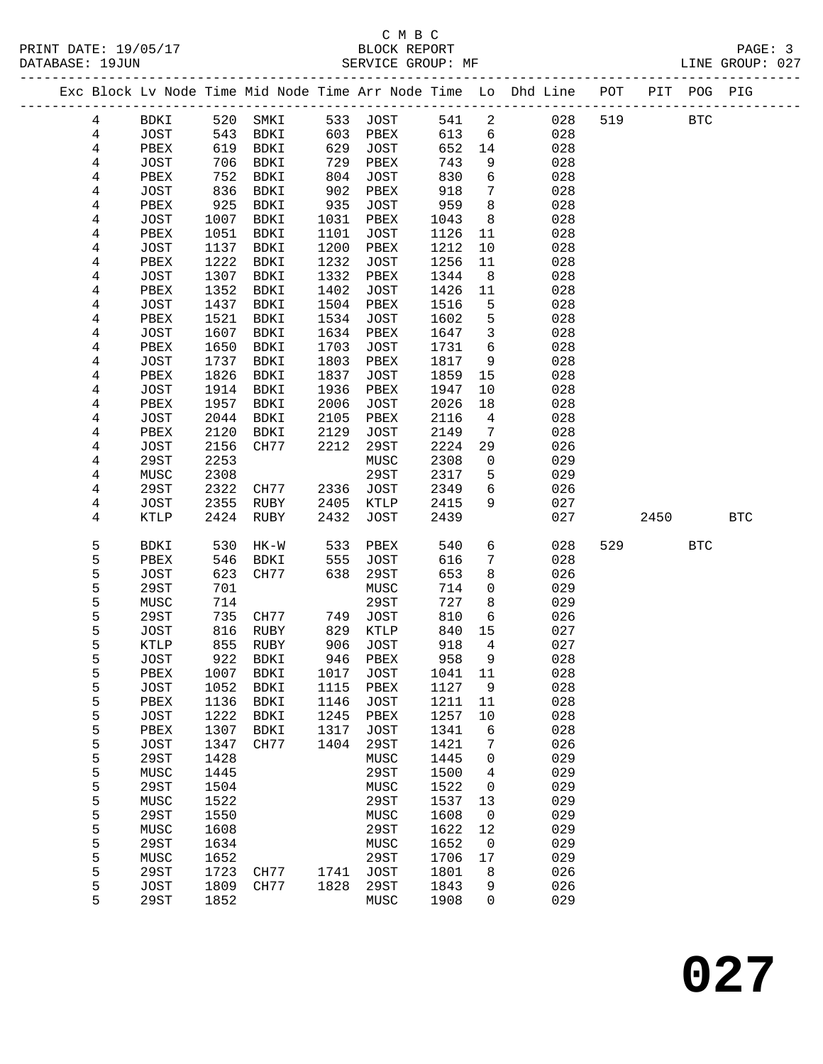## C M B C<br>BLOCK REPORT

LINE GROUP: 027

|                |                            |              |              |              |              |              |                   | Exc Block Lv Node Time Mid Node Time Arr Node Time Lo Dhd Line POT<br>-------------------------- |     |      | PIT POG PIG  |            |
|----------------|----------------------------|--------------|--------------|--------------|--------------|--------------|-------------------|--------------------------------------------------------------------------------------------------|-----|------|--------------|------------|
| 4              | <b>BDKI</b>                | 520          | SMKI         | 533          | JOST         | 541          | 2                 | 028                                                                                              | 519 |      | $_{\rm BTC}$ |            |
| 4              | <b>JOST</b>                | 543          | BDKI         | 603          | PBEX         | 613          | 6                 | 028                                                                                              |     |      |              |            |
| $\overline{4}$ | PBEX                       | 619          | BDKI         | 629          | JOST         | 652          | 14                | 028                                                                                              |     |      |              |            |
| 4              | <b>JOST</b>                | 706          | BDKI         | 729          | PBEX         | 743          | 9                 | 028                                                                                              |     |      |              |            |
| 4              | PBEX                       | 752          | BDKI         | 804          | JOST         | 830          | 6                 | 028                                                                                              |     |      |              |            |
| 4              | <b>JOST</b>                | 836          | BDKI         | 902          | PBEX         | 918          | $7\phantom{.0}$   | 028                                                                                              |     |      |              |            |
| 4              | PBEX                       | 925          | BDKI         | 935          | JOST         | 959          | 8                 | 028                                                                                              |     |      |              |            |
| 4              | <b>JOST</b>                | 1007         | BDKI         | 1031         | PBEX         | 1043         | 8                 | 028                                                                                              |     |      |              |            |
| 4              | PBEX                       | 1051         | BDKI         | 1101         | JOST         | 1126         | 11                | 028                                                                                              |     |      |              |            |
| 4              | <b>JOST</b>                | 1137         | BDKI         | 1200         | PBEX         | 1212         | 10                | 028                                                                                              |     |      |              |            |
| 4              | PBEX                       | 1222         | BDKI         | 1232<br>1332 | JOST         | 1256         | 11<br>8           | 028<br>028                                                                                       |     |      |              |            |
| 4<br>4         | <b>JOST</b><br>PBEX        | 1307<br>1352 | BDKI<br>BDKI | 1402         | PBEX<br>JOST | 1344<br>1426 | 11                | 028                                                                                              |     |      |              |            |
| 4              | <b>JOST</b>                | 1437         | BDKI         | 1504         | PBEX         | 1516         | 5                 | 028                                                                                              |     |      |              |            |
| 4              | PBEX                       | 1521         | BDKI         | 1534         | <b>JOST</b>  | 1602         | 5                 | 028                                                                                              |     |      |              |            |
| 4              | <b>JOST</b>                | 1607         | BDKI         | 1634         | PBEX         | 1647         | $\mathbf{3}$      | 028                                                                                              |     |      |              |            |
| 4              | PBEX                       | 1650         | BDKI         | 1703         | JOST         | 1731         | 6                 | 028                                                                                              |     |      |              |            |
| 4              | <b>JOST</b>                | 1737         | BDKI         | 1803         | PBEX         | 1817         | 9                 | 028                                                                                              |     |      |              |            |
| 4              | PBEX                       | 1826         | BDKI         | 1837         | JOST         | 1859         | 15                | 028                                                                                              |     |      |              |            |
| 4              | <b>JOST</b>                | 1914         | <b>BDKI</b>  | 1936         | PBEX         | 1947         | 10                | 028                                                                                              |     |      |              |            |
| 4              | PBEX                       | 1957         | BDKI         | 2006         | <b>JOST</b>  | 2026         | 18                | 028                                                                                              |     |      |              |            |
| 4              | <b>JOST</b>                | 2044         | <b>BDKI</b>  | 2105         | PBEX         | 2116         | $\overline{4}$    | 028                                                                                              |     |      |              |            |
| 4              | PBEX                       | 2120         | <b>BDKI</b>  | 2129         | JOST         | 2149         | 7                 | 028                                                                                              |     |      |              |            |
| 4              | <b>JOST</b>                | 2156         | CH77         | 2212         | 29ST         | 2224         | 29                | 026                                                                                              |     |      |              |            |
| 4              | 29ST                       | 2253         |              |              | MUSC         | 2308         | $\mathbf 0$       | 029                                                                                              |     |      |              |            |
| 4              | MUSC                       | 2308         |              |              | 29ST         | 2317         | 5                 | 029                                                                                              |     |      |              |            |
| 4              | 29ST                       | 2322         | CH77         | 2336         | <b>JOST</b>  | 2349         | 6                 | 026                                                                                              |     |      |              |            |
| 4<br>4         | <b>JOST</b><br><b>KTLP</b> | 2355<br>2424 | RUBY<br>RUBY | 2405<br>2432 | KTLP<br>JOST | 2415<br>2439 | 9                 | 027<br>027                                                                                       |     | 2450 |              | <b>BTC</b> |
|                |                            |              |              |              |              |              |                   |                                                                                                  |     |      |              |            |
| 5              | BDKI                       | 530          | $HK-W$       | 533          | PBEX         | 540          | 6                 | 028                                                                                              | 529 |      | <b>BTC</b>   |            |
| 5              | PBEX                       | 546          | BDKI         | 555          | JOST         | 616          | 7                 | 028                                                                                              |     |      |              |            |
| 5              | <b>JOST</b>                | 623          | CH77         | 638          | 29ST         | 653          | 8                 | 026                                                                                              |     |      |              |            |
| 5              | <b>29ST</b>                | 701          |              |              | MUSC         | 714          | 0                 | 029                                                                                              |     |      |              |            |
| 5              | MUSC                       | 714          |              |              | 29ST         | 727          | 8                 | 029                                                                                              |     |      |              |            |
| 5<br>5         | 29ST                       | 735          | CH77         | 749          | JOST         | 810          | 6<br>15           | 026                                                                                              |     |      |              |            |
| 5              | <b>JOST</b><br>KTLP        | 816<br>855   | RUBY<br>RUBY | 829<br>906   | KTLP<br>JOST | 840<br>918   | 4                 | 027<br>027                                                                                       |     |      |              |            |
| 5              | <b>JOST</b>                | 922          | BDKI         | 946          | PBEX         | 958          | 9                 | 028                                                                                              |     |      |              |            |
| 5              | PBEX                       | 1007         | BDKI         | 1017         | JOST         | 1041         | 11                | 028                                                                                              |     |      |              |            |
| 5              | <b>JOST</b>                | 1052         | BDKI         | 1115         | PBEX         | 1127         | 9                 | 028                                                                                              |     |      |              |            |
| 5              | PBEX                       | 1136         | <b>BDKI</b>  | 1146         | <b>JOST</b>  | 1211         | 11                | 028                                                                                              |     |      |              |            |
| 5              | <b>JOST</b>                | 1222         | BDKI         | 1245         | PBEX         | 1257         | 10                | 028                                                                                              |     |      |              |            |
| 5              | PBEX                       | 1307         | BDKI         | 1317         | <b>JOST</b>  | 1341         | 6                 | 028                                                                                              |     |      |              |            |
| 5              | <b>JOST</b>                | 1347         | CH77         | 1404         | 29ST         | 1421         | 7                 | 026                                                                                              |     |      |              |            |
| 5              | <b>29ST</b>                | 1428         |              |              | MUSC         | 1445         | 0                 | 029                                                                                              |     |      |              |            |
| 5              | MUSC                       | 1445         |              |              | 29ST         | 1500         | 4                 | 029                                                                                              |     |      |              |            |
| 5              | <b>29ST</b>                | 1504         |              |              | MUSC         | 1522         | 0                 | 029                                                                                              |     |      |              |            |
| 5              | MUSC                       | 1522         |              |              | 29ST         | 1537         | 13                | 029                                                                                              |     |      |              |            |
| 5<br>5         | <b>29ST</b><br>MUSC        | 1550<br>1608 |              |              | MUSC<br>29ST | 1608<br>1622 | $\mathbf 0$<br>12 | 029<br>029                                                                                       |     |      |              |            |
| 5              | 29ST                       | 1634         |              |              | MUSC         | 1652         | 0                 | 029                                                                                              |     |      |              |            |
| 5              | MUSC                       | 1652         |              |              | <b>29ST</b>  | 1706         | 17                | 029                                                                                              |     |      |              |            |
| 5              | <b>29ST</b>                | 1723         | CH77         | 1741         | <b>JOST</b>  | 1801         | 8                 | 026                                                                                              |     |      |              |            |
| 5              | <b>JOST</b>                | 1809         | CH77         | 1828         | <b>29ST</b>  | 1843         | 9                 | 026                                                                                              |     |      |              |            |
| 5              | 29ST                       | 1852         |              |              | MUSC         | 1908         | 0                 | 029                                                                                              |     |      |              |            |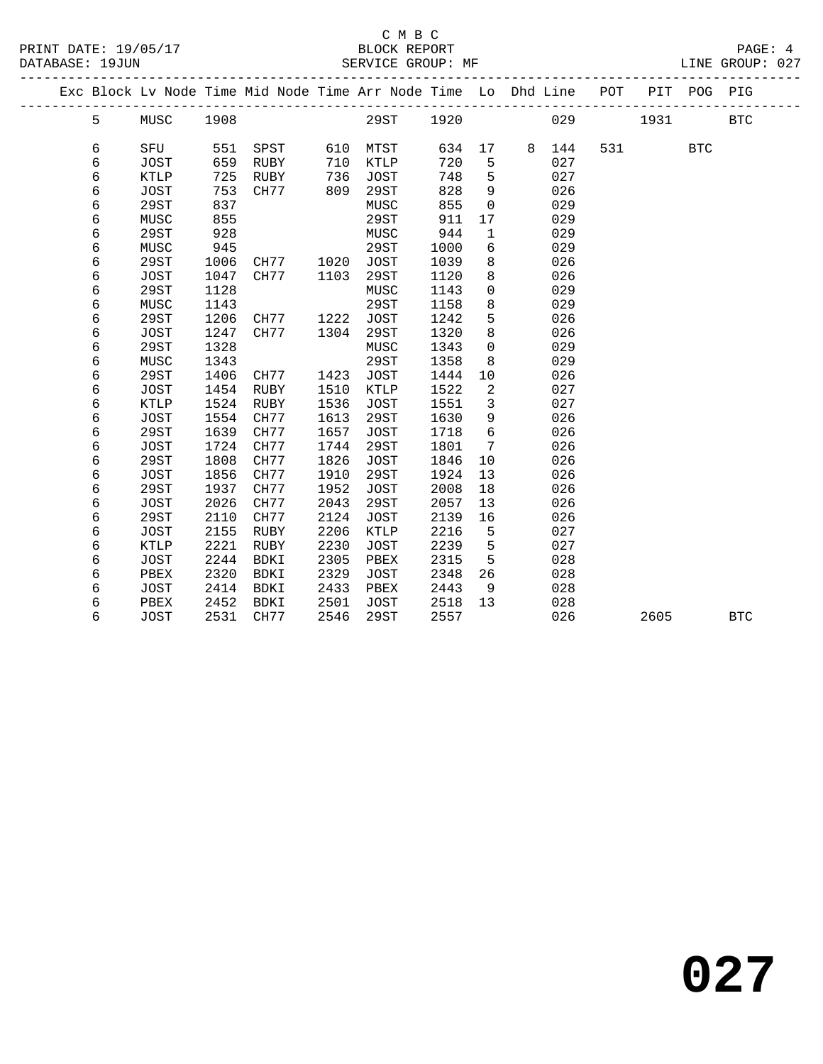|  |   |             |      | Exc Block Lv Node Time Mid Node Time Arr Node Time Lo Dhd Line POT |      |             |      |             |   |     |     |      | PIT POG PIG |            |
|--|---|-------------|------|--------------------------------------------------------------------|------|-------------|------|-------------|---|-----|-----|------|-------------|------------|
|  | 5 | MUSC        | 1908 |                                                                    |      | 29ST        | 1920 |             |   | 029 |     | 1931 |             | <b>BTC</b> |
|  | 6 | SFU         | 551  | SPST                                                               | 610  | MTST        | 634  | 17          | 8 | 144 | 531 |      | <b>BTC</b>  |            |
|  | 6 | <b>JOST</b> | 659  | <b>RUBY</b>                                                        | 710  | KTLP        | 720  | 5           |   | 027 |     |      |             |            |
|  | 6 | <b>KTLP</b> | 725  | RUBY                                                               | 736  | <b>JOST</b> | 748  | 5           |   | 027 |     |      |             |            |
|  | 6 | <b>JOST</b> | 753  | CH77                                                               | 809  | 29ST        | 828  | 9           |   | 026 |     |      |             |            |
|  | 6 | 29ST        | 837  |                                                                    |      | MUSC        | 855  | 0           |   | 029 |     |      |             |            |
|  | 6 | MUSC        | 855  |                                                                    |      | 29ST        | 911  | 17          |   | 029 |     |      |             |            |
|  | 6 | <b>29ST</b> | 928  |                                                                    |      | MUSC        | 944  | 1           |   | 029 |     |      |             |            |
|  | 6 | MUSC        | 945  |                                                                    |      | 29ST        | 1000 | 6           |   | 029 |     |      |             |            |
|  | 6 | 29ST        | 1006 | CH77                                                               | 1020 | <b>JOST</b> | 1039 | 8           |   | 026 |     |      |             |            |
|  | 6 | <b>JOST</b> | 1047 | CH77                                                               | 1103 | 29ST        | 1120 | 8           |   | 026 |     |      |             |            |
|  | 6 | 29ST        | 1128 |                                                                    |      | MUSC        | 1143 | $\Omega$    |   | 029 |     |      |             |            |
|  | 6 | MUSC        | 1143 |                                                                    |      | 29ST        | 1158 | 8           |   | 029 |     |      |             |            |
|  | 6 | 29ST        | 1206 | CH77                                                               | 1222 | <b>JOST</b> | 1242 | 5           |   | 026 |     |      |             |            |
|  | 6 | <b>JOST</b> | 1247 | CH77                                                               | 1304 | 29ST        | 1320 | 8           |   | 026 |     |      |             |            |
|  | 6 | 29ST        | 1328 |                                                                    |      | MUSC        | 1343 | $\mathbf 0$ |   | 029 |     |      |             |            |
|  | 6 | MUSC        | 1343 |                                                                    |      | 29ST        | 1358 | 8           |   | 029 |     |      |             |            |
|  | 6 | 29ST        | 1406 | CH77                                                               | 1423 | <b>JOST</b> | 1444 | 10          |   | 026 |     |      |             |            |
|  | 6 | <b>JOST</b> | 1454 | RUBY                                                               | 1510 | KTLP        | 1522 | 2           |   | 027 |     |      |             |            |
|  | 6 | <b>KTLP</b> | 1524 | RUBY                                                               | 1536 | <b>JOST</b> | 1551 | 3           |   | 027 |     |      |             |            |
|  | 6 | <b>JOST</b> | 1554 | CH77                                                               | 1613 | 29ST        | 1630 | 9           |   | 026 |     |      |             |            |
|  | 6 | 29ST        | 1639 | CH77                                                               | 1657 | <b>JOST</b> | 1718 | 6           |   | 026 |     |      |             |            |
|  | 6 | <b>JOST</b> | 1724 | CH77                                                               | 1744 | 29ST        | 1801 | 7           |   | 026 |     |      |             |            |
|  | 6 | 29ST        | 1808 | CH77                                                               | 1826 | <b>JOST</b> | 1846 | 10          |   | 026 |     |      |             |            |
|  | 6 | JOST        | 1856 | CH77                                                               | 1910 | 29ST        | 1924 | 13          |   | 026 |     |      |             |            |
|  | 6 | 29ST        | 1937 | CH77                                                               | 1952 | <b>JOST</b> | 2008 | 18          |   | 026 |     |      |             |            |
|  | 6 | <b>JOST</b> | 2026 | CH77                                                               | 2043 | 29ST        | 2057 | 13          |   | 026 |     |      |             |            |
|  | 6 | 29ST        | 2110 | CH77                                                               | 2124 | <b>JOST</b> | 2139 | 16          |   | 026 |     |      |             |            |
|  | 6 | <b>JOST</b> | 2155 | <b>RUBY</b>                                                        | 2206 | KTLP        | 2216 | 5           |   | 027 |     |      |             |            |
|  | 6 | <b>KTLP</b> | 2221 | RUBY                                                               | 2230 | <b>JOST</b> | 2239 | 5           |   | 027 |     |      |             |            |
|  | 6 | <b>JOST</b> | 2244 | <b>BDKI</b>                                                        | 2305 | PBEX        | 2315 | 5           |   | 028 |     |      |             |            |
|  | 6 | PBEX        | 2320 | <b>BDKI</b>                                                        | 2329 | <b>JOST</b> | 2348 | 26          |   | 028 |     |      |             |            |
|  | 6 | <b>JOST</b> | 2414 | BDKI                                                               | 2433 | PBEX        | 2443 | 9           |   | 028 |     |      |             |            |
|  | 6 | PBEX        | 2452 | <b>BDKI</b>                                                        | 2501 | JOST        | 2518 | 13          |   | 028 |     |      |             |            |
|  | 6 | <b>JOST</b> | 2531 | CH77                                                               | 2546 | 29ST        | 2557 |             |   | 026 |     | 2605 |             | <b>BTC</b> |
|  |   |             |      |                                                                    |      |             |      |             |   |     |     |      |             |            |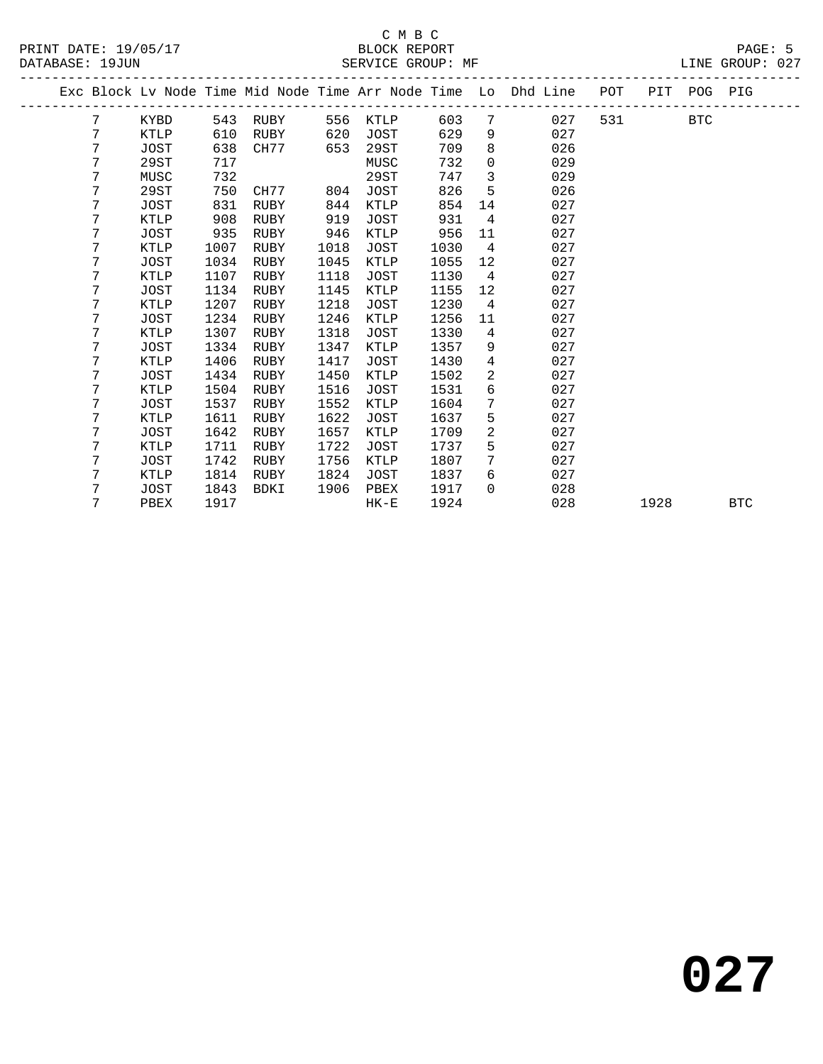|  |   |             |      |             |      |        |      |                   | Exc Block Lv Node Time Mid Node Time Arr Node Time Lo Dhd Line | POT   |      | PIT POG PIG |            |
|--|---|-------------|------|-------------|------|--------|------|-------------------|----------------------------------------------------------------|-------|------|-------------|------------|
|  | 7 | KYBD        |      | 543 RUBY    | 556  | KTLP   | 603  | 7                 | 027                                                            | 531 7 |      | BTC         |            |
|  | 7 | KTLP        | 610  | RUBY        | 620  | JOST   | 629  | 9                 | 027                                                            |       |      |             |            |
|  | 7 | <b>JOST</b> | 638  | CH77        | 653  | 29ST   | 709  | 8                 | 026                                                            |       |      |             |            |
|  | 7 | 29ST        | 717  |             |      | MUSC   | 732  | $\mathbf 0$       | 029                                                            |       |      |             |            |
|  | 7 | MUSC        | 732  |             |      | 29ST   | 747  | $\mathbf{3}$      | 029                                                            |       |      |             |            |
|  | 7 | 29ST        | 750  | CH77        | 804  | JOST   | 826  | 5                 | 026                                                            |       |      |             |            |
|  | 7 | JOST        | 831  | RUBY        | 844  | KTLP   | 854  | 14                | 027                                                            |       |      |             |            |
|  | 7 | KTLP        | 908  | RUBY        | 919  | JOST   | 931  | $4\overline{ }$   | 027                                                            |       |      |             |            |
|  | 7 | <b>JOST</b> | 935  | RUBY        | 946  | KTLP   | 956  | 11                | 027                                                            |       |      |             |            |
|  | 7 | KTLP        | 1007 | RUBY        | 1018 | JOST   | 1030 | $\overline{4}$    | 027                                                            |       |      |             |            |
|  | 7 | <b>JOST</b> | 1034 | RUBY        | 1045 | KTLP   | 1055 | 12                | 027                                                            |       |      |             |            |
|  | 7 | KTLP        | 1107 | RUBY        | 1118 | JOST   | 1130 | 4                 | 027                                                            |       |      |             |            |
|  | 7 | JOST        | 1134 | RUBY        | 1145 | KTLP   | 1155 | $12 \overline{ }$ | 027                                                            |       |      |             |            |
|  | 7 | KTLP        | 1207 | RUBY        | 1218 | JOST   | 1230 | $\overline{4}$    | 027                                                            |       |      |             |            |
|  | 7 | JOST        | 1234 | <b>RUBY</b> | 1246 | KTLP   | 1256 | 11                | 027                                                            |       |      |             |            |
|  | 7 | <b>KTLP</b> | 1307 | RUBY        | 1318 | JOST   | 1330 | $4\overline{ }$   | 027                                                            |       |      |             |            |
|  | 7 | JOST        | 1334 | RUBY        | 1347 | KTLP   | 1357 | 9                 | 027                                                            |       |      |             |            |
|  | 7 | KTLP        | 1406 | RUBY        | 1417 | JOST   | 1430 | $\overline{4}$    | 027                                                            |       |      |             |            |
|  | 7 | JOST        | 1434 | RUBY        | 1450 | KTLP   | 1502 | 2                 | 027                                                            |       |      |             |            |
|  | 7 | KTLP        | 1504 | RUBY        | 1516 | JOST   | 1531 | 6                 | 027                                                            |       |      |             |            |
|  | 7 | JOST        | 1537 | RUBY        | 1552 | KTLP   | 1604 | $\overline{7}$    | 027                                                            |       |      |             |            |
|  | 7 | <b>KTLP</b> | 1611 | RUBY        | 1622 | JOST   | 1637 | 5                 | 027                                                            |       |      |             |            |
|  | 7 | <b>JOST</b> | 1642 | RUBY        | 1657 | KTLP   | 1709 | 2                 | 027                                                            |       |      |             |            |
|  | 7 | KTLP        | 1711 | RUBY        | 1722 | JOST   | 1737 | 5                 | 027                                                            |       |      |             |            |
|  | 7 | JOST        | 1742 | <b>RUBY</b> | 1756 | KTLP   | 1807 | 7                 | 027                                                            |       |      |             |            |
|  | 7 | KTLP        | 1814 | RUBY        | 1824 | JOST   | 1837 | 6                 | 027                                                            |       |      |             |            |
|  | 7 | JOST        | 1843 | BDKI        | 1906 | PBEX   | 1917 | $\Omega$          | 028                                                            |       |      |             |            |
|  | 7 | PBEX        | 1917 |             |      | $HK-E$ | 1924 |                   | 028                                                            |       | 1928 |             | <b>BTC</b> |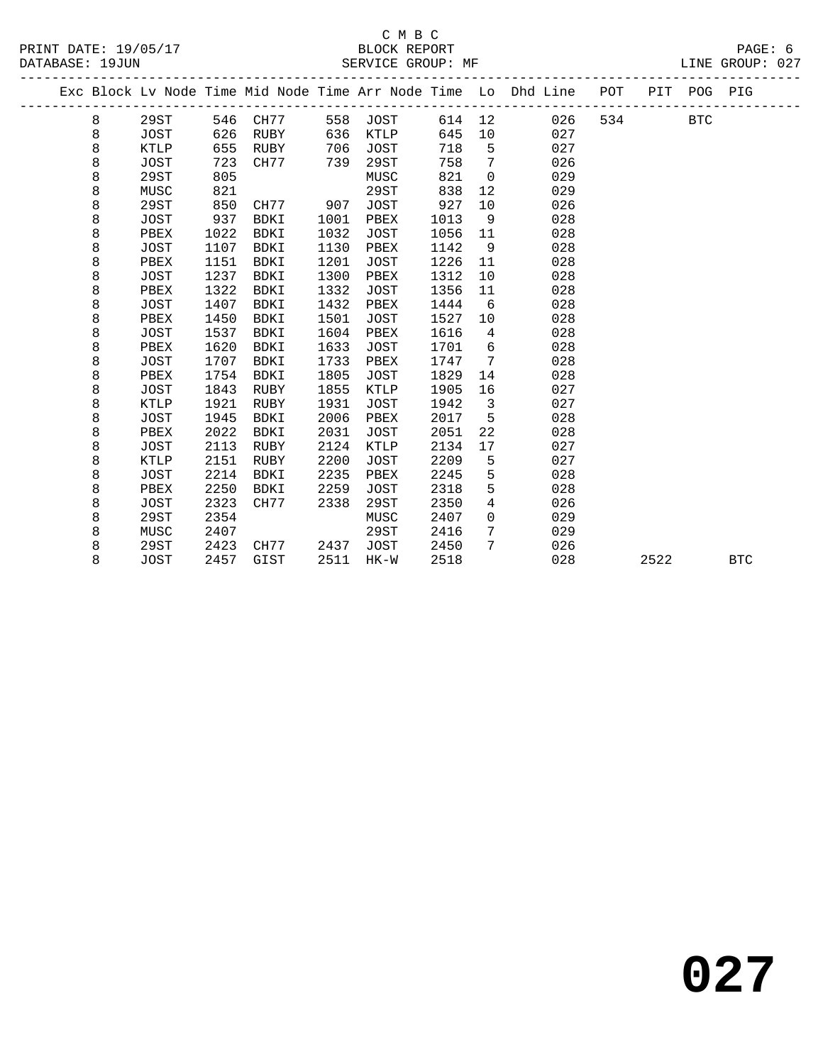|   |             |      |             |      |             |      |                | Exc Block Lv Node Time Mid Node Time Arr Node Time Lo Dhd Line | POT |      | PIT POG PIG |            |
|---|-------------|------|-------------|------|-------------|------|----------------|----------------------------------------------------------------|-----|------|-------------|------------|
| 8 | 29ST        | 546  | CH77        | 558  | <b>JOST</b> | 614  | 12             | 026                                                            | 534 |      | <b>BTC</b>  |            |
| 8 | <b>JOST</b> | 626  | RUBY        | 636  | KTLP        | 645  | 10             | 027                                                            |     |      |             |            |
| 8 | <b>KTLP</b> | 655  | RUBY        | 706  | <b>JOST</b> | 718  | 5              | 027                                                            |     |      |             |            |
| 8 | <b>JOST</b> | 723  | CH77        | 739  | 29ST        | 758  | 7              | 026                                                            |     |      |             |            |
| 8 | 29ST        | 805  |             |      | MUSC        | 821  | $\overline{0}$ | 029                                                            |     |      |             |            |
| 8 | MUSC        | 821  |             |      | 29ST        | 838  | 12             | 029                                                            |     |      |             |            |
| 8 | 29ST        | 850  | CH77        | 907  | <b>JOST</b> | 927  | 10             | 026                                                            |     |      |             |            |
| 8 | <b>JOST</b> | 937  | <b>BDKI</b> | 1001 | PBEX        | 1013 | 9              | 028                                                            |     |      |             |            |
| 8 | PBEX        | 1022 | <b>BDKI</b> | 1032 | JOST        | 1056 | 11             | 028                                                            |     |      |             |            |
| 8 | <b>JOST</b> | 1107 | <b>BDKI</b> | 1130 | PBEX        | 1142 | 9              | 028                                                            |     |      |             |            |
| 8 | PBEX        | 1151 | <b>BDKI</b> | 1201 | <b>JOST</b> | 1226 | 11             | 028                                                            |     |      |             |            |
| 8 | <b>JOST</b> | 1237 | <b>BDKI</b> | 1300 | PBEX        | 1312 | 10             | 028                                                            |     |      |             |            |
| 8 | PBEX        | 1322 | <b>BDKI</b> | 1332 | <b>JOST</b> | 1356 | 11             | 028                                                            |     |      |             |            |
| 8 | <b>JOST</b> | 1407 | <b>BDKI</b> | 1432 | PBEX        | 1444 | 6              | 028                                                            |     |      |             |            |
| 8 | PBEX        | 1450 | <b>BDKI</b> | 1501 | <b>JOST</b> | 1527 | 10             | 028                                                            |     |      |             |            |
| 8 | <b>JOST</b> | 1537 | <b>BDKI</b> | 1604 | PBEX        | 1616 | 4              | 028                                                            |     |      |             |            |
| 8 | PBEX        | 1620 | BDKI        | 1633 | JOST        | 1701 | 6              | 028                                                            |     |      |             |            |
| 8 | JOST        | 1707 | <b>BDKI</b> | 1733 | PBEX        | 1747 | 7              | 028                                                            |     |      |             |            |
| 8 | PBEX        | 1754 | BDKI        | 1805 | JOST        | 1829 | 14             | 028                                                            |     |      |             |            |
| 8 | <b>JOST</b> | 1843 | RUBY        | 1855 | KTLP        | 1905 | 16             | 027                                                            |     |      |             |            |
| 8 | <b>KTLP</b> | 1921 | <b>RUBY</b> | 1931 | <b>JOST</b> | 1942 | 3              | 027                                                            |     |      |             |            |
| 8 | <b>JOST</b> | 1945 | <b>BDKI</b> | 2006 | PBEX        | 2017 | 5              | 028                                                            |     |      |             |            |
| 8 | PBEX        | 2022 | <b>BDKI</b> | 2031 | JOST        | 2051 | 22             | 028                                                            |     |      |             |            |
| 8 | <b>JOST</b> | 2113 | <b>RUBY</b> | 2124 | <b>KTLP</b> | 2134 | 17             | 027                                                            |     |      |             |            |
| 8 | <b>KTLP</b> | 2151 | RUBY        | 2200 | JOST        | 2209 | 5              | 027                                                            |     |      |             |            |
| 8 | <b>JOST</b> | 2214 | BDKI        | 2235 | PBEX        | 2245 | 5              | 028                                                            |     |      |             |            |
| 8 | PBEX        | 2250 | <b>BDKI</b> | 2259 | <b>JOST</b> | 2318 | 5              | 028                                                            |     |      |             |            |
| 8 | <b>JOST</b> | 2323 | CH77        | 2338 | 29ST        | 2350 | 4              | 026                                                            |     |      |             |            |
| 8 | 29ST        | 2354 |             |      | MUSC        | 2407 | $\mathbf 0$    | 029                                                            |     |      |             |            |
| 8 | MUSC        | 2407 |             |      | 29ST        | 2416 | 7              | 029                                                            |     |      |             |            |
| 8 | 29ST        | 2423 | CH77        | 2437 | JOST        | 2450 | 7              | 026                                                            |     |      |             |            |
| 8 | <b>JOST</b> | 2457 | GIST        | 2511 | $HK-W$      | 2518 |                | 028                                                            |     | 2522 |             | <b>BTC</b> |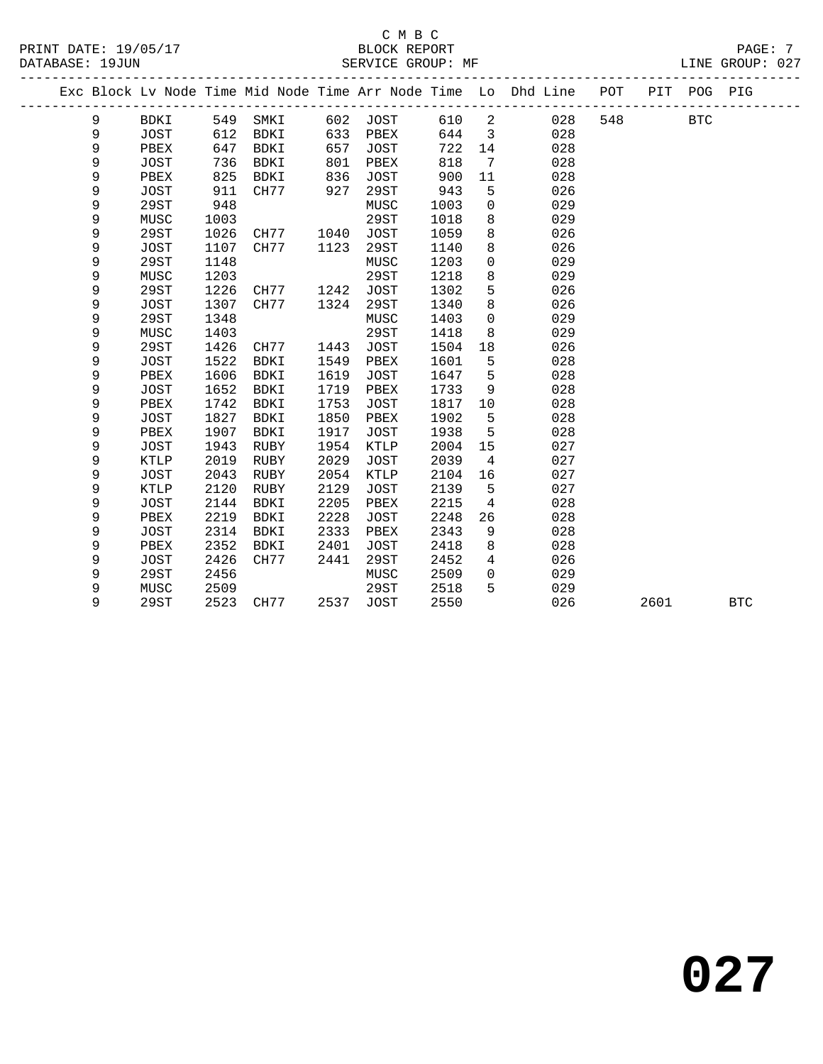#### C M B C<br>BLOCK REPORT PRINT DATE: 19/05/17 BLOCK REPORT PAGE: 7 SERVICE GROUP: MF

|  |   |             |      |             |      |             |      |                | Exc Block Lv Node Time Mid Node Time Arr Node Time Lo Dhd Line | POT | PIT  | POG PIG    |            |
|--|---|-------------|------|-------------|------|-------------|------|----------------|----------------------------------------------------------------|-----|------|------------|------------|
|  | 9 | BDKI        | 549  | SMKI        | 602  | JOST        | 610  | $\overline{a}$ | 028                                                            | 548 |      | <b>BTC</b> |            |
|  | 9 | <b>JOST</b> | 612  | BDKI        | 633  | PBEX        | 644  | $\overline{3}$ | 028                                                            |     |      |            |            |
|  | 9 | PBEX        | 647  | <b>BDKI</b> | 657  | <b>JOST</b> | 722  | 14             | 028                                                            |     |      |            |            |
|  | 9 | <b>JOST</b> | 736  | BDKI        | 801  | PBEX        | 818  | 7              | 028                                                            |     |      |            |            |
|  | 9 | PBEX        | 825  | BDKI        | 836  | <b>JOST</b> | 900  | 11             | 028                                                            |     |      |            |            |
|  | 9 | <b>JOST</b> | 911  | CH77        | 927  | 29ST        | 943  | 5              | 026                                                            |     |      |            |            |
|  | 9 | <b>29ST</b> | 948  |             |      | MUSC        | 1003 | 0              | 029                                                            |     |      |            |            |
|  | 9 | MUSC        | 1003 |             |      | 29ST        | 1018 | 8              | 029                                                            |     |      |            |            |
|  | 9 | 29ST        | 1026 | CH77        | 1040 | <b>JOST</b> | 1059 | 8              | 026                                                            |     |      |            |            |
|  | 9 | <b>JOST</b> | 1107 | CH77        | 1123 | 29ST        | 1140 | 8              | 026                                                            |     |      |            |            |
|  | 9 | 29ST        | 1148 |             |      | MUSC        | 1203 | 0              | 029                                                            |     |      |            |            |
|  | 9 | MUSC        | 1203 |             |      | 29ST        | 1218 | 8              | 029                                                            |     |      |            |            |
|  | 9 | 29ST        | 1226 | CH77        | 1242 | <b>JOST</b> | 1302 | 5              | 026                                                            |     |      |            |            |
|  | 9 | <b>JOST</b> | 1307 | CH77        | 1324 | 29ST        | 1340 | 8              | 026                                                            |     |      |            |            |
|  | 9 | 29ST        | 1348 |             |      | MUSC        | 1403 | $\mathbf 0$    | 029                                                            |     |      |            |            |
|  | 9 | MUSC        | 1403 |             |      | 29ST        | 1418 | 8              | 029                                                            |     |      |            |            |
|  | 9 | 29ST        | 1426 | CH77        | 1443 | <b>JOST</b> | 1504 | 18             | 026                                                            |     |      |            |            |
|  | 9 | <b>JOST</b> | 1522 | <b>BDKI</b> | 1549 | PBEX        | 1601 | 5              | 028                                                            |     |      |            |            |
|  | 9 | PBEX        | 1606 | <b>BDKI</b> | 1619 | <b>JOST</b> | 1647 | 5              | 028                                                            |     |      |            |            |
|  | 9 | JOST        | 1652 | <b>BDKI</b> | 1719 | PBEX        | 1733 | 9              | 028                                                            |     |      |            |            |
|  | 9 | PBEX        | 1742 | <b>BDKI</b> | 1753 | <b>JOST</b> | 1817 | 10             | 028                                                            |     |      |            |            |
|  | 9 | <b>JOST</b> | 1827 | <b>BDKI</b> | 1850 | PBEX        | 1902 | 5              | 028                                                            |     |      |            |            |
|  | 9 | PBEX        | 1907 | <b>BDKI</b> | 1917 | <b>JOST</b> | 1938 | 5              | 028                                                            |     |      |            |            |
|  | 9 | <b>JOST</b> | 1943 | RUBY        | 1954 | KTLP        | 2004 | 15             | 027                                                            |     |      |            |            |
|  | 9 | KTLP        | 2019 | RUBY        | 2029 | <b>JOST</b> | 2039 | 4              | 027                                                            |     |      |            |            |
|  | 9 | JOST        | 2043 | RUBY        | 2054 | KTLP        | 2104 | 16             | 027                                                            |     |      |            |            |
|  | 9 | <b>KTLP</b> | 2120 | RUBY        | 2129 | <b>JOST</b> | 2139 | 5              | 027                                                            |     |      |            |            |
|  | 9 | <b>JOST</b> | 2144 | BDKI        | 2205 | PBEX        | 2215 | $\overline{4}$ | 028                                                            |     |      |            |            |
|  | 9 | PBEX        | 2219 | <b>BDKI</b> | 2228 | <b>JOST</b> | 2248 | 26             | 028                                                            |     |      |            |            |
|  | 9 | <b>JOST</b> | 2314 | <b>BDKI</b> | 2333 | PBEX        | 2343 | 9              | 028                                                            |     |      |            |            |
|  | 9 | PBEX        | 2352 | BDKI        | 2401 | <b>JOST</b> | 2418 | 8              | 028                                                            |     |      |            |            |
|  | 9 | JOST        | 2426 | CH77        | 2441 | 29ST        | 2452 | 4              | 026                                                            |     |      |            |            |
|  | 9 | 29ST        | 2456 |             |      | MUSC        | 2509 | $\mathbf 0$    | 029                                                            |     |      |            |            |
|  | 9 | MUSC        | 2509 |             |      | 29ST        | 2518 | 5              | 029                                                            |     |      |            |            |
|  | 9 | 29ST        | 2523 | CH77        | 2537 | <b>JOST</b> | 2550 |                | 026                                                            |     | 2601 |            | <b>BTC</b> |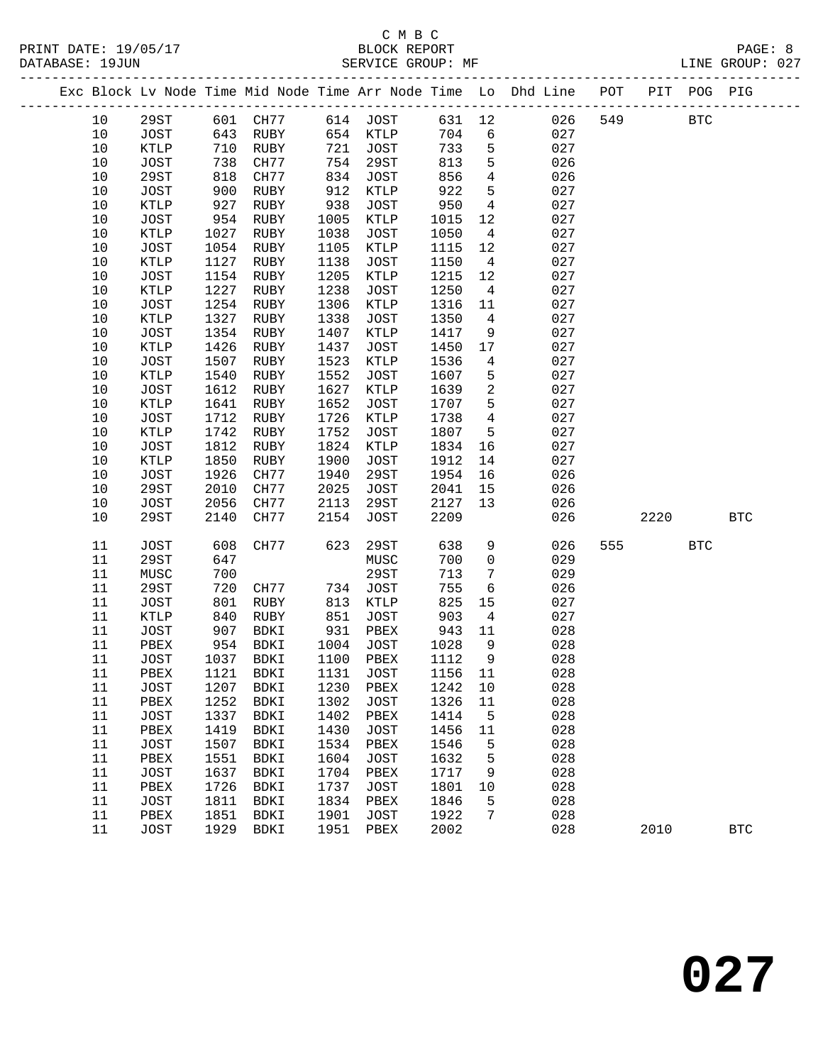## C M B C

| DATABASE: 19JUN |              |              | SERVICE GROUP: MF        |              |              |              |                 |                                                                                |     |            |            | LINE GROUP: 027 |  |
|-----------------|--------------|--------------|--------------------------|--------------|--------------|--------------|-----------------|--------------------------------------------------------------------------------|-----|------------|------------|-----------------|--|
|                 |              |              |                          |              |              |              |                 | Exc Block Lv Node Time Mid Node Time Arr Node Time Lo Dhd Line POT PIT POG PIG |     |            |            |                 |  |
| 10              | 29ST         |              | 601 CH77 614 JOST 631 12 |              |              |              |                 | 026                                                                            | 549 | <b>BTC</b> |            |                 |  |
| 10              | JOST         | 643          | RUBY                     |              | 654 KTLP     | 704          | 6               | 027                                                                            |     |            |            |                 |  |
| 10              | KTLP         | 710          | RUBY                     |              | 721 JOST     | 733          | 5               | 027                                                                            |     |            |            |                 |  |
| 10              | JOST         | 738          | CH77                     |              | 754 29ST     | 813          | 5               | 026                                                                            |     |            |            |                 |  |
| 10              | 29ST         | 818          | CH77                     | 834          | JOST         | 856          | $\overline{4}$  | 026                                                                            |     |            |            |                 |  |
| $10$            | JOST         | 900          | RUBY                     | 912          | KTLP         | 922          | 5               | 027                                                                            |     |            |            |                 |  |
| 10              | KTLP         | 927          | RUBY                     | 938          | JOST         | 950          | $\overline{4}$  | 027                                                                            |     |            |            |                 |  |
| 10              | JOST         | 954          | RUBY                     | 1005         | KTLP         | 1015         | 12              | 027                                                                            |     |            |            |                 |  |
| 10              | KTLP         | 1027         | RUBY                     | 1038         | JOST         | 1050         | $\overline{4}$  | 027                                                                            |     |            |            |                 |  |
| 10              | JOST         | 1054         | RUBY                     | 1105         | KTLP         | 1115         | 12              | 027                                                                            |     |            |            |                 |  |
| 10              | KTLP         | 1127         | RUBY                     | 1138         | JOST         | 1150         | $\overline{4}$  | 027                                                                            |     |            |            |                 |  |
| 10              | JOST         | 1154         | RUBY                     | 1205         | KTLP         | 1215         | 12              | 027                                                                            |     |            |            |                 |  |
| 10              | KTLP         | 1227         | RUBY                     | 1238         | JOST         | 1250         | $\overline{4}$  | 027                                                                            |     |            |            |                 |  |
| $10$            | JOST         | 1254         | RUBY                     | 1306         | KTLP         | 1316         | 11              | 027                                                                            |     |            |            |                 |  |
| 10              | KTLP         | 1327         | RUBY                     | 1338         | JOST         | 1350         | $\overline{4}$  | 027                                                                            |     |            |            |                 |  |
| 10              | JOST         | 1354         | RUBY                     | 1407         | KTLP         | 1417         | 9               | 027                                                                            |     |            |            |                 |  |
| $10$            | KTLP         | 1426         | RUBY                     | 1437         | JOST         | 1450         | 17              | 027                                                                            |     |            |            |                 |  |
| $10$            | JOST         | 1507         | RUBY                     | 1523         | KTLP         | 1536         | $\overline{4}$  | 027                                                                            |     |            |            |                 |  |
| 10              | KTLP         | 1540         | RUBY                     | 1552         | JOST         | 1607         | 5               | 027                                                                            |     |            |            |                 |  |
| 10              | JOST         | 1612         | RUBY                     | 1627         | KTLP         | 1639         | $\overline{a}$  | 027                                                                            |     |            |            |                 |  |
| $10$            | <b>KTLP</b>  | 1641         | RUBY                     | 1652         | JOST         | 1707         | 5               | 027                                                                            |     |            |            |                 |  |
| 10              | JOST         | 1712         | RUBY                     | 1726         | KTLP         | 1738         | $\overline{4}$  | 027                                                                            |     |            |            |                 |  |
| 10              | KTLP         | 1742         | RUBY                     | 1752         | JOST         | 1807         | 5               | 027                                                                            |     |            |            |                 |  |
| 10              | JOST         | 1812         | RUBY                     | 1824         | KTLP         | 1834         | 16              | 027                                                                            |     |            |            |                 |  |
| 10              | KTLP         | 1850         | RUBY                     | 1900         | JOST         | 1912         | 14              | 027                                                                            |     |            |            |                 |  |
| 10              | JOST         | 1926         | CH77                     | 1940         | 29ST         | 1954         | 16              | 026                                                                            |     |            |            |                 |  |
| 10              | 29ST         | 2010         | CH77                     | 2025         | JOST         | 2041         | 15              | 026                                                                            |     |            |            |                 |  |
| 10<br>10        | JOST<br>29ST | 2056<br>2140 | CH77<br>CH77             | 2113<br>2154 | 29ST<br>JOST | 2127<br>2209 | 13              | 026<br>026                                                                     |     | 2220       |            | <b>BTC</b>      |  |
|                 |              |              |                          |              |              |              |                 |                                                                                |     |            |            |                 |  |
| 11              | JOST         | 608          | CH77                     | 623          | 29ST         | 638          | 9               | 026                                                                            |     | 555 75     | <b>BTC</b> |                 |  |
| 11              | 29ST         | 647          |                          |              | MUSC         | 700          | $\mathbf 0$     | 029                                                                            |     |            |            |                 |  |
| 11              | MUSC         | 700          |                          |              | 29ST         | 713          | $7\phantom{.0}$ | 029                                                                            |     |            |            |                 |  |
| 11              | 29ST         | 720          | CH77                     |              | 734 JOST     | 755          | $6\overline{6}$ | 026                                                                            |     |            |            |                 |  |
| 11              | JOST         | 801          | RUBY                     | 813          | KTLP         | 825          | 15              | 027                                                                            |     |            |            |                 |  |
| 11              | KTLP         | 840          | RUBY                     | 851          | JOST         | 903          | $\overline{4}$  | 027                                                                            |     |            |            |                 |  |
| 11              | JOST         | 907          | BDKI                     | 931          | PBEX         | 943          | 11              | 028                                                                            |     |            |            |                 |  |
| 11              | PBEX         | 954          | BDKI                     |              | 1004 JOST    | 1028         | $\overline{9}$  | 028                                                                            |     |            |            |                 |  |
| 11              | JOST         |              | 1037 BDKI 1100 PBEX 1112 |              |              |              | 9               | 028                                                                            |     |            |            |                 |  |
| 11              | PBEX         | 1121         | BDKI                     | 1131         | JOST         | 1156         | 11              | 028                                                                            |     |            |            |                 |  |
| 11              | JOST         | 1207         | BDKI                     | 1230         | PBEX         | 1242         | 10              | 028                                                                            |     |            |            |                 |  |
| 11              | PBEX         | 1252         | BDKI                     | 1302         | <b>JOST</b>  | 1326         | 11              | 028                                                                            |     |            |            |                 |  |
| 11              | JOST         | 1337         | <b>BDKI</b>              | 1402         | PBEX         | 1414         | 5               | 028                                                                            |     |            |            |                 |  |
| 11              | PBEX         | 1419         | BDKI                     | 1430         | <b>JOST</b>  | 1456         | 11              | 028                                                                            |     |            |            |                 |  |
| 11              | <b>JOST</b>  | 1507         | <b>BDKI</b>              | 1534         | ${\tt PBEX}$ | 1546         | 5               | 028                                                                            |     |            |            |                 |  |
| 11              | PBEX         | 1551         | BDKI                     | 1604         | <b>JOST</b>  | 1632         | 5               | 028                                                                            |     |            |            |                 |  |
| 11              | JOST         | 1637         | <b>BDKI</b>              | 1704         | PBEX         | 1717         | 9               | 028                                                                            |     |            |            |                 |  |
| 11              | PBEX         | 1726         | BDKI                     | 1737         | JOST         | 1801         | 10              | 028                                                                            |     |            |            |                 |  |
| 11              | <b>JOST</b>  | 1811         | BDKI                     | 1834         | PBEX         | 1846         | 5               | 028                                                                            |     |            |            |                 |  |
| 11              | PBEX         | 1851         | BDKI                     | 1901<br>1951 | JOST         | 1922         | 7               | 028                                                                            |     |            |            |                 |  |
| 11              | JOST         | 1929         | BDKI                     |              | PBEX         | 2002         |                 | 028                                                                            |     | 2010       |            | <b>BTC</b>      |  |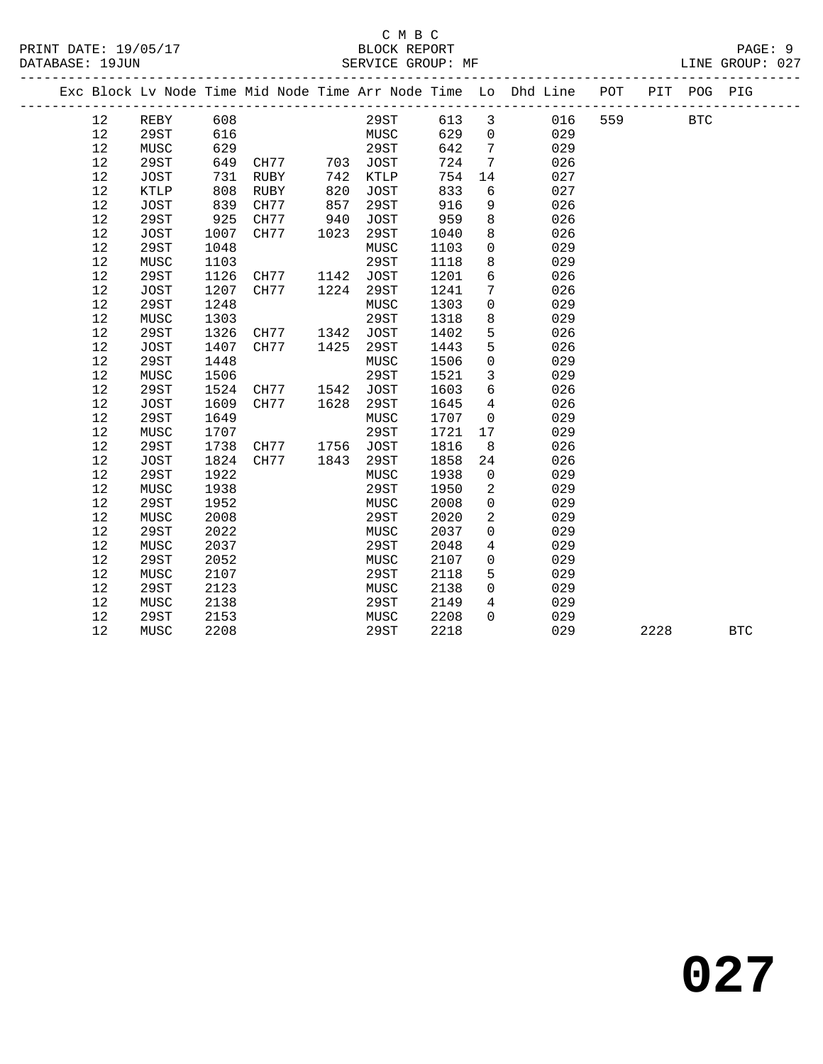|                   |             |      |           |      |             |      |                 | Exc Block Lv Node Time Mid Node Time Arr Node Time Lo Dhd Line | POT |      | PIT POG PIG |            |
|-------------------|-------------|------|-----------|------|-------------|------|-----------------|----------------------------------------------------------------|-----|------|-------------|------------|
| 12                | REBY        | 608  |           |      | 29ST        | 613  | $\mathbf{3}$    | 016                                                            | 559 |      | <b>BTC</b>  |            |
| 12                | 29ST        | 616  |           |      | MUSC        | 629  | $\mathbf 0$     | 029                                                            |     |      |             |            |
| 12                | MUSC        | 629  |           |      | 29ST        | 642  | 7               | 029                                                            |     |      |             |            |
| 12                | 29ST        | 649  | CH77      | 703  | JOST        | 724  | 7               | 026                                                            |     |      |             |            |
| 12                | JOST        | 731  | RUBY      | 742  | KTLP        | 754  | 14              | 027                                                            |     |      |             |            |
| 12                | KTLP        | 808  | RUBY      | 820  | JOST        | 833  | 6               | 027                                                            |     |      |             |            |
| 12                | JOST        | 839  | CH77      | 857  | 29ST        | 916  | 9               | 026                                                            |     |      |             |            |
| 12                | 29ST        | 925  | CH77      | 940  | JOST        | 959  | 8               | 026                                                            |     |      |             |            |
| 12                | JOST        | 1007 | CH77      | 1023 | 29ST        | 1040 | 8               | 026                                                            |     |      |             |            |
| 12                | 29ST        | 1048 |           |      | MUSC        | 1103 | $\mathbf 0$     | 029                                                            |     |      |             |            |
| 12                | MUSC        | 1103 |           |      | 29ST        | 1118 | 8               | 029                                                            |     |      |             |            |
| 12                | <b>29ST</b> | 1126 | CH77      | 1142 | JOST        | 1201 | $6\overline{6}$ | 026                                                            |     |      |             |            |
| 12                | JOST        | 1207 | CH77      | 1224 | 29ST        | 1241 | 7               | 026                                                            |     |      |             |            |
| 12                | 29ST        | 1248 |           |      | MUSC        | 1303 | $\mathbf 0$     | 029                                                            |     |      |             |            |
| 12                | MUSC        | 1303 |           |      | 29ST        | 1318 | 8               | 029                                                            |     |      |             |            |
| 12                | <b>29ST</b> | 1326 | CH77      | 1342 | <b>JOST</b> | 1402 | 5               | 026                                                            |     |      |             |            |
| 12                | JOST        | 1407 | CH77      | 1425 | 29ST        | 1443 | 5               | 026                                                            |     |      |             |            |
| 12                | 29ST        | 1448 |           |      | MUSC        | 1506 | $\mathbf 0$     | 029                                                            |     |      |             |            |
| 12                | MUSC        | 1506 |           |      | 29ST        | 1521 | $\mathbf{3}$    | 029                                                            |     |      |             |            |
| 12                | 29ST        | 1524 | CH77 1542 |      | JOST        | 1603 | 6               | 026                                                            |     |      |             |            |
| 12                | JOST        | 1609 | CH77      | 1628 | 29ST        | 1645 | $\overline{4}$  | 026                                                            |     |      |             |            |
| 12                | 29ST        | 1649 |           |      | MUSC        | 1707 | $\mathbf 0$     | 029                                                            |     |      |             |            |
| 12                | MUSC        | 1707 |           |      | 29ST        | 1721 | 17              | 029                                                            |     |      |             |            |
| 12                | <b>29ST</b> | 1738 | CH77 1756 |      | JOST        | 1816 | 8               | 026                                                            |     |      |             |            |
| 12                | JOST        | 1824 | CH77      | 1843 | 29ST        | 1858 | 24              | 026                                                            |     |      |             |            |
| 12                | <b>29ST</b> | 1922 |           |      | MUSC        | 1938 | $\overline{0}$  | 029                                                            |     |      |             |            |
| 12                | MUSC        | 1938 |           |      | 29ST        | 1950 | 2               | 029                                                            |     |      |             |            |
| 12                | 29ST        | 1952 |           |      | MUSC        | 2008 | $\mathbf 0$     | 029                                                            |     |      |             |            |
| 12                | MUSC        | 2008 |           |      | 29ST        | 2020 | 2               | 029                                                            |     |      |             |            |
| 12                | <b>29ST</b> | 2022 |           |      | MUSC        | 2037 | $\mathbf 0$     | 029                                                            |     |      |             |            |
| 12                | MUSC        | 2037 |           |      | 29ST        | 2048 | $\overline{4}$  | 029                                                            |     |      |             |            |
| 12                | 29ST        | 2052 |           |      | MUSC        | 2107 | $\mathbf 0$     | 029                                                            |     |      |             |            |
| 12                | MUSC        | 2107 |           |      | 29ST        | 2118 | 5               | 029                                                            |     |      |             |            |
| 12                | 29ST        | 2123 |           |      | MUSC        | 2138 | $\Omega$        | 029                                                            |     |      |             |            |
| 12                | MUSC        | 2138 |           |      | 29ST        | 2149 | 4               | 029                                                            |     |      |             |            |
| 12                | 29ST        | 2153 |           |      | MUSC        | 2208 | $\Omega$        | 029                                                            |     |      |             |            |
| $12 \overline{ }$ | MUSC        | 2208 |           |      | 29ST        | 2218 |                 | 029                                                            |     | 2228 |             | <b>BTC</b> |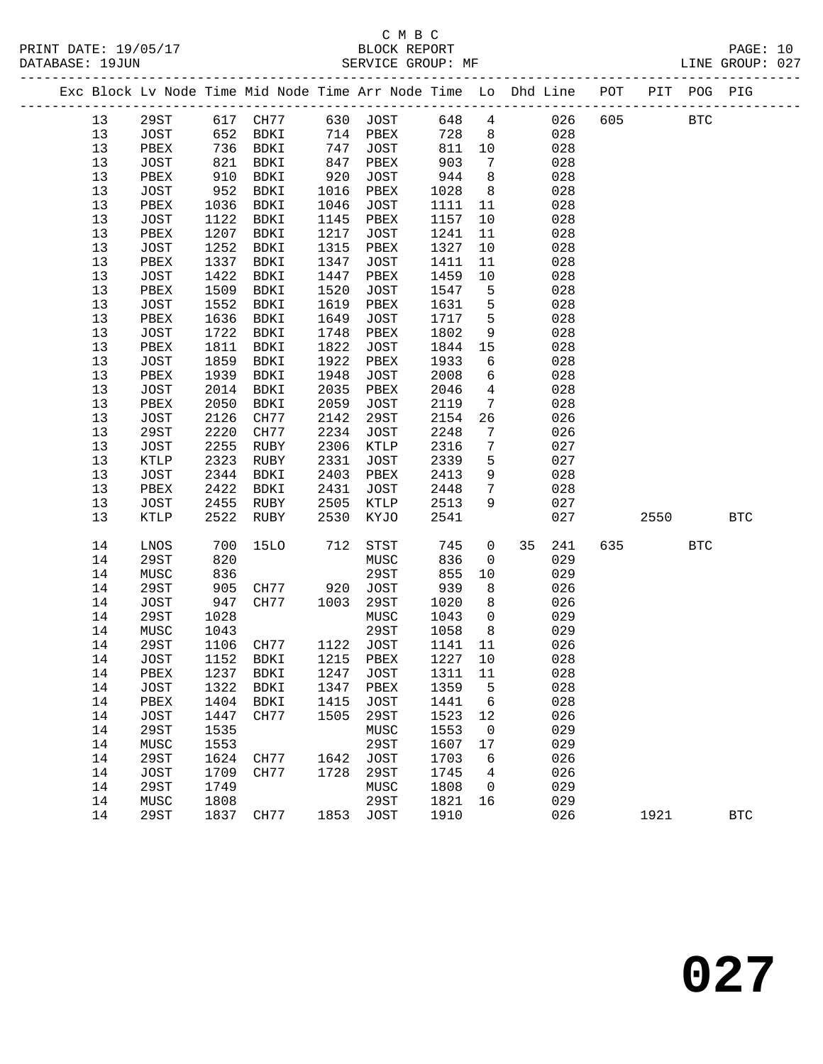# C M B C<br>BLOCK REPORT

PAGE: 10<br>LINE GROUP: 027

|  |          |                            |              | Exc Block Lv Node Time Mid Node Time Arr Node Time Lo Dhd Line POT |              |                     |              |                      |     | _____________________________________ |      | PIT POG PIG |            |
|--|----------|----------------------------|--------------|--------------------------------------------------------------------|--------------|---------------------|--------------|----------------------|-----|---------------------------------------|------|-------------|------------|
|  | 13       | 29ST                       |              | 617 CH77                                                           |              | 630 JOST            | 648          | $\overline{4}$       |     | 026<br>605                            |      | <b>BTC</b>  |            |
|  | 13       | JOST                       | 652          | BDKI                                                               |              | 714 PBEX            | 728          | 8 <sup>8</sup>       |     | 028                                   |      |             |            |
|  | 13       | PBEX                       | 736          | BDKI                                                               | 747          | JOST                | 811          | 10                   | 028 |                                       |      |             |            |
|  | 13       | JOST                       | 821          | BDKI                                                               | 847          | PBEX                | 903          | $7\phantom{.0}$      | 028 |                                       |      |             |            |
|  | 13       | PBEX                       | 910          | BDKI                                                               | 920          | JOST                | 944          | 8                    |     | 028                                   |      |             |            |
|  | 13       | JOST                       | 952          | BDKI                                                               | 1016         | PBEX                | 1028         | 8                    |     | 028                                   |      |             |            |
|  | 13       | PBEX                       | 1036         | BDKI                                                               | 1046         | JOST                | 1111         | 11                   | 028 |                                       |      |             |            |
|  | 13       | JOST                       | 1122         | BDKI                                                               | 1145         | PBEX                | 1157         | 10                   | 028 |                                       |      |             |            |
|  | 13       | PBEX                       | 1207         | BDKI                                                               | 1217         | JOST                | 1241         | 11                   | 028 |                                       |      |             |            |
|  | 13       | JOST                       | 1252         | BDKI                                                               | 1315         | PBEX                | 1327         | 10                   | 028 |                                       |      |             |            |
|  | 13       | PBEX                       | 1337         | BDKI                                                               | 1347         | JOST                | 1411         | 11                   | 028 |                                       |      |             |            |
|  | 13       | JOST                       | 1422         | BDKI                                                               | 1447         | PBEX                | 1459         | 10                   | 028 |                                       |      |             |            |
|  | 13       | PBEX                       | 1509         | BDKI                                                               | 1520         | JOST                | 1547         | 5                    | 028 |                                       |      |             |            |
|  | 13       | JOST                       | 1552         | BDKI                                                               | 1619         | PBEX                | 1631         | 5                    | 028 |                                       |      |             |            |
|  | 13       | PBEX                       | 1636         | BDKI                                                               | 1649         | JOST                | 1717         | 5                    | 028 |                                       |      |             |            |
|  | 13       | <b>JOST</b>                | 1722         | BDKI                                                               | 1748         | PBEX                | 1802         | 9                    | 028 |                                       |      |             |            |
|  | 13       | PBEX                       | 1811         | BDKI                                                               | 1822         | <b>JOST</b>         | 1844         | 15                   | 028 |                                       |      |             |            |
|  | 13       | JOST                       | 1859         | BDKI                                                               | 1922         | PBEX                | 1933         | 6                    | 028 |                                       |      |             |            |
|  | 13       | PBEX                       | 1939         | BDKI                                                               | 1948         | <b>JOST</b>         | 2008         | 6                    | 028 |                                       |      |             |            |
|  | 13       | <b>JOST</b>                | 2014         | BDKI                                                               | 2035         | PBEX                | 2046         | $\overline{4}$       | 028 |                                       |      |             |            |
|  | 13       | PBEX                       | 2050         | BDKI                                                               | 2059         | <b>JOST</b>         | 2119         | $7\phantom{.0}$      | 028 |                                       |      |             |            |
|  | 13       | JOST                       | 2126         | CH77                                                               | 2142         | 29ST                | 2154         | 26                   |     | 026                                   |      |             |            |
|  | 13       | 29ST                       | 2220         | CH77                                                               | 2234         | <b>JOST</b>         | 2248         | 7                    |     | 026                                   |      |             |            |
|  | 13       | <b>JOST</b>                | 2255         | RUBY                                                               | 2306         | KTLP                | 2316         | 7                    |     | 027                                   |      |             |            |
|  | 13<br>13 | KTLP                       | 2323<br>2344 | RUBY                                                               | 2331<br>2403 | JOST                | 2339         | 5                    | 028 | 027                                   |      |             |            |
|  | 13       | JOST                       | 2422         | BDKI                                                               | 2431         | PBEX                | 2413<br>2448 | 9<br>$7\phantom{.0}$ | 028 |                                       |      |             |            |
|  | 13       | PBEX<br>JOST               | 2455         | BDKI<br>RUBY                                                       | 2505         | JOST<br>KTLP        | 2513         | 9                    |     | 027                                   |      |             |            |
|  | 13       | <b>KTLP</b>                | 2522         | RUBY                                                               | 2530         | KYJO                | 2541         |                      |     | 027                                   | 2550 |             | <b>BTC</b> |
|  |          |                            |              |                                                                    |              |                     |              |                      |     |                                       |      |             |            |
|  | 14       | LNOS                       | 700          | <b>15LO</b>                                                        | 712          | STST                | 745          | $\mathbf 0$          | 35  | 241<br>635                            |      | <b>BTC</b>  |            |
|  | 14       | 29ST                       | 820          |                                                                    |              | MUSC                | 836          | 0                    |     | 029                                   |      |             |            |
|  | 14       | MUSC                       | 836          |                                                                    |              | 29ST                | 855          | 10                   |     | 029                                   |      |             |            |
|  | 14       | 29ST                       | 905          | CH77                                                               | 920          | JOST                | 939          | 8                    |     | 026                                   |      |             |            |
|  | 14       | <b>JOST</b>                | 947          | CH77                                                               | 1003         | 29ST                | 1020         | 8                    |     | 026                                   |      |             |            |
|  | 14       | <b>29ST</b>                | 1028         |                                                                    |              | MUSC                | 1043         | $\mathsf{O}$         | 029 |                                       |      |             |            |
|  | 14       | MUSC                       | 1043         |                                                                    |              | 29ST                | 1058         | - 8                  |     | 029                                   |      |             |            |
|  | 14       | 29ST                       | 1106         | CH77                                                               |              | 1122 JOST           | 1141         | 11                   |     | 026                                   |      |             |            |
|  | 14       | JOST                       | 1152         | BDKI                                                               |              | 1215 PBEX           | 1227         | 10                   | 028 |                                       |      |             |            |
|  | 14       | PBEX                       | 1237         | BDKI                                                               | 1247         | JOST                | 1311         | 11                   | 028 |                                       |      |             |            |
|  | 14       | JOST                       | 1322         | BDKI                                                               | 1347<br>1415 | PBEX                | 1359         | 5                    |     | 028                                   |      |             |            |
|  | 14       | PBEX                       | 1404         | BDKI                                                               |              | <b>JOST</b>         | 1441         | 6                    |     | 028                                   |      |             |            |
|  | 14       | <b>JOST</b><br><b>29ST</b> | 1447<br>1535 | CH77                                                               | 1505         | 29ST                | 1523<br>1553 | 12                   |     | 026<br>029                            |      |             |            |
|  | 14<br>14 | MUSC                       | 1553         |                                                                    |              | MUSC<br><b>29ST</b> | 1607         | 0<br>17              |     | 029                                   |      |             |            |
|  | 14       | <b>29ST</b>                | 1624         | CH77                                                               | 1642         | <b>JOST</b>         | 1703         | 6                    |     | 026                                   |      |             |            |
|  | 14       | <b>JOST</b>                | 1709         | CH77                                                               | 1728         | 29ST                | 1745         | 4                    |     | 026                                   |      |             |            |
|  | 14       | <b>29ST</b>                | 1749         |                                                                    |              | MUSC                | 1808         | 0                    | 029 |                                       |      |             |            |
|  | 14       | MUSC                       | 1808         |                                                                    |              | 29ST                | 1821         | 16                   | 029 |                                       |      |             |            |
|  | 14       | <b>29ST</b>                | 1837         | CH77                                                               | 1853         | <b>JOST</b>         | 1910         |                      |     | 026                                   | 1921 |             | <b>BTC</b> |
|  |          |                            |              |                                                                    |              |                     |              |                      |     |                                       |      |             |            |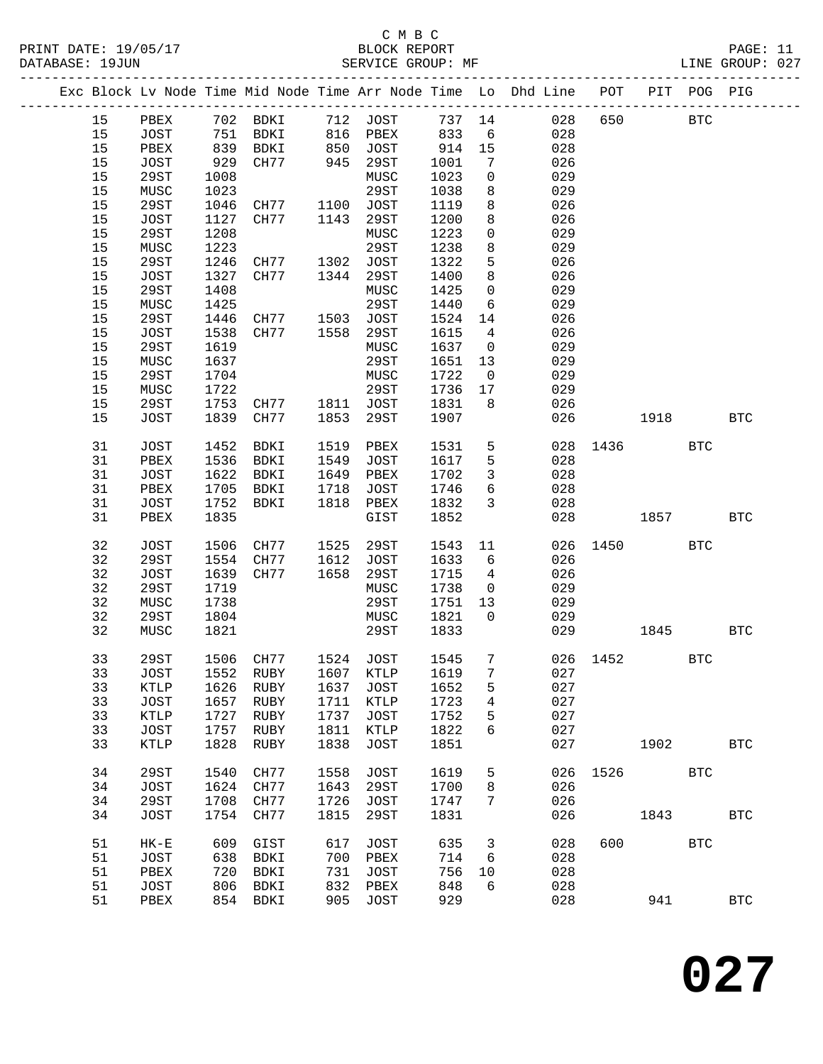|  |    |             |                 |                                    |      |                                  |      |                         | Exc Block Lv Node Time Mid Node Time Arr Node Time Lo Dhd Line POT PIT POG PIG |          |      |            |              |
|--|----|-------------|-----------------|------------------------------------|------|----------------------------------|------|-------------------------|--------------------------------------------------------------------------------|----------|------|------------|--------------|
|  | 15 | PBEX        |                 | 702 BDKI 712 JOST                  |      |                                  |      |                         | 737 14<br>028                                                                  | 650      |      | <b>BTC</b> |              |
|  | 15 | JOST        |                 | BDKI                               |      |                                  | 833  | 6                       | 028                                                                            |          |      |            |              |
|  | 15 | PBEX        | $\frac{1}{839}$ | BDKI                               |      | 816 PBEX<br>850 JOST<br>945 29ST | 914  | 15                      | 028                                                                            |          |      |            |              |
|  | 15 | JOST        | 929             | CH77                               |      |                                  | 1001 | 7                       | 026                                                                            |          |      |            |              |
|  | 15 | 29ST        | 1008            |                                    |      | MUSC                             | 1023 | $\mathbf 0$             | 029                                                                            |          |      |            |              |
|  | 15 | MUSC        | 1023            |                                    |      | 29ST                             | 1038 | 8                       | 029                                                                            |          |      |            |              |
|  | 15 | 29ST        | 1046            | CH77                               |      | 1100 JOST                        | 1119 | 8                       | 026                                                                            |          |      |            |              |
|  | 15 | <b>JOST</b> | 1127            | CH77                               | 1143 | 29ST                             | 1200 | 8                       | 026                                                                            |          |      |            |              |
|  | 15 | 29ST        | 1208            |                                    |      | MUSC                             | 1223 | $\mathbf 0$             | 029                                                                            |          |      |            |              |
|  | 15 | MUSC        | 1223            |                                    |      | 29ST                             | 1238 | 8                       | 029                                                                            |          |      |            |              |
|  | 15 | 29ST        | 1246            | CH77 1302 JOST<br>CH77 1344 29ST   |      |                                  | 1322 | 5                       | 026                                                                            |          |      |            |              |
|  | 15 | JOST        | 1327            |                                    |      | 29ST                             | 1400 | 8                       | 026                                                                            |          |      |            |              |
|  | 15 | 29ST        | 1408            |                                    |      | MUSC                             | 1425 | $\mathsf{O}$            | 029                                                                            |          |      |            |              |
|  | 15 | MUSC        | 1425            |                                    |      | 29ST                             | 1440 | 6                       | 029                                                                            |          |      |            |              |
|  | 15 | 29ST        | 1446            | CH77 1503 JOST                     |      |                                  | 1524 | 14                      | 026                                                                            |          |      |            |              |
|  | 15 | JOST        | 1538            | CH77                               | 1558 | 29ST                             | 1615 | $\overline{4}$          | 026                                                                            |          |      |            |              |
|  | 15 | 29ST        | 1619            |                                    |      | MUSC                             | 1637 | $\overline{\mathbf{0}}$ | 029                                                                            |          |      |            |              |
|  | 15 | MUSC        | 1637            |                                    |      | 29ST                             | 1651 | 13                      | 029                                                                            |          |      |            |              |
|  | 15 | 29ST        | 1704            |                                    |      | MUSC                             | 1722 | $\overline{\mathbf{0}}$ | 029                                                                            |          |      |            |              |
|  | 15 | MUSC        | 1722            |                                    |      | 29ST                             | 1736 | 17                      | 029                                                                            |          |      |            |              |
|  | 15 | 29ST        | 1753            | CH77 1811 JOST                     |      |                                  | 1831 | 8 <sup>8</sup>          | 026                                                                            |          |      |            |              |
|  | 15 | JOST        | 1839            | CH77                               | 1853 | 29ST                             | 1907 |                         | 026                                                                            |          | 1918 |            | <b>BTC</b>   |
|  | 31 | JOST        | 1452            | BDKI                               | 1519 | PBEX                             | 1531 | 5 <sup>5</sup>          |                                                                                | 028 1436 |      | <b>BTC</b> |              |
|  | 31 | PBEX        | 1536            | BDKI                               | 1549 | JOST                             | 1617 | 5                       | 028                                                                            |          |      |            |              |
|  | 31 | JOST        | 1622            | BDKI                               | 1649 | PBEX                             | 1702 | $\mathbf{3}$            | 028                                                                            |          |      |            |              |
|  | 31 | PBEX        | 1705            | BDKI                               | 1718 | JOST                             | 1746 | 6                       | 028                                                                            |          |      |            |              |
|  | 31 | JOST        | 1752            | BDKI                               | 1818 | PBEX                             | 1832 | $\mathbf{3}$            | 028                                                                            |          |      |            |              |
|  | 31 | PBEX        | 1835            |                                    |      | GIST                             | 1852 |                         | 028                                                                            |          | 1857 |            | <b>BTC</b>   |
|  | 32 | <b>JOST</b> | 1506            | CH77                               | 1525 | 29ST                             | 1543 | 11                      | 026                                                                            | 1450 30  |      | <b>BTC</b> |              |
|  | 32 | <b>29ST</b> | 1554            | CH77                               | 1612 | JOST                             | 1633 | 6                       | 026                                                                            |          |      |            |              |
|  | 32 | JOST        | 1639            | CH77                               | 1658 | 29ST                             | 1715 | $\overline{4}$          | 026                                                                            |          |      |            |              |
|  | 32 | 29ST        | 1719            |                                    |      | MUSC                             | 1738 | $\overline{0}$          | 029                                                                            |          |      |            |              |
|  | 32 | MUSC        | 1738            |                                    |      | 29ST                             | 1751 | 13                      | 029                                                                            |          |      |            |              |
|  | 32 | 29ST        | 1804            |                                    |      | MUSC                             | 1821 | $\overline{0}$          | 029                                                                            |          |      |            |              |
|  | 32 | MUSC        | 1821            |                                    |      | 29ST                             | 1833 |                         | 029                                                                            |          | 1845 |            | <b>BTC</b>   |
|  | 33 | 29ST        |                 | 1506 CH77 1524 JOST                |      |                                  | 1545 | $7\phantom{0}$          |                                                                                | 026 1452 |      | <b>BTC</b> |              |
|  |    |             |                 | 33 JOST 1552 RUBY 1607 KTLP 1619 7 |      |                                  |      |                         | 027                                                                            |          |      |            |              |
|  | 33 | KTLP        | 1626            | RUBY                               | 1637 | <b>JOST</b>                      | 1652 | 5                       | 027                                                                            |          |      |            |              |
|  | 33 | JOST        | 1657            | RUBY                               | 1711 | KTLP                             | 1723 | 4                       | 027                                                                            |          |      |            |              |
|  | 33 | KTLP        | 1727            | RUBY                               | 1737 | <b>JOST</b>                      | 1752 | 5                       | 027                                                                            |          |      |            |              |
|  | 33 | JOST        | 1757            | RUBY                               | 1811 | <b>KTLP</b>                      | 1822 | 6                       | 027                                                                            |          |      |            |              |
|  | 33 | KTLP        | 1828            | RUBY                               | 1838 | <b>JOST</b>                      | 1851 |                         | 027                                                                            |          | 1902 |            | $_{\rm BTC}$ |
|  | 34 | 29ST        | 1540            | CH77                               | 1558 | <b>JOST</b>                      | 1619 | 5                       | 026                                                                            | 1526     |      | <b>BTC</b> |              |
|  | 34 | JOST        | 1624            | CH77                               | 1643 | 29ST                             | 1700 | 8                       | 026                                                                            |          |      |            |              |
|  | 34 | 29ST        | 1708            | CH77                               | 1726 | <b>JOST</b>                      | 1747 | 7                       | 026                                                                            |          |      |            |              |
|  | 34 | JOST        | 1754            | CH77                               | 1815 | 29ST                             | 1831 |                         | 026                                                                            |          | 1843 |            | <b>BTC</b>   |
|  | 51 | $HK-E$      | 609             | GIST                               | 617  | <b>JOST</b>                      | 635  | 3                       | 028                                                                            | 600      |      | <b>BTC</b> |              |
|  | 51 | JOST        | 638             | BDKI                               | 700  | PBEX                             | 714  | 6                       | 028                                                                            |          |      |            |              |
|  | 51 | PBEX        | 720             | BDKI                               | 731  | <b>JOST</b>                      | 756  | 10                      | 028                                                                            |          |      |            |              |
|  | 51 | JOST        | 806             | BDKI                               | 832  | PBEX                             | 848  | 6                       | 028                                                                            |          |      |            |              |
|  | 51 | PBEX        | 854             | BDKI                               | 905  | <b>JOST</b>                      | 929  |                         | 028                                                                            |          | 941  |            | $_{\rm BTC}$ |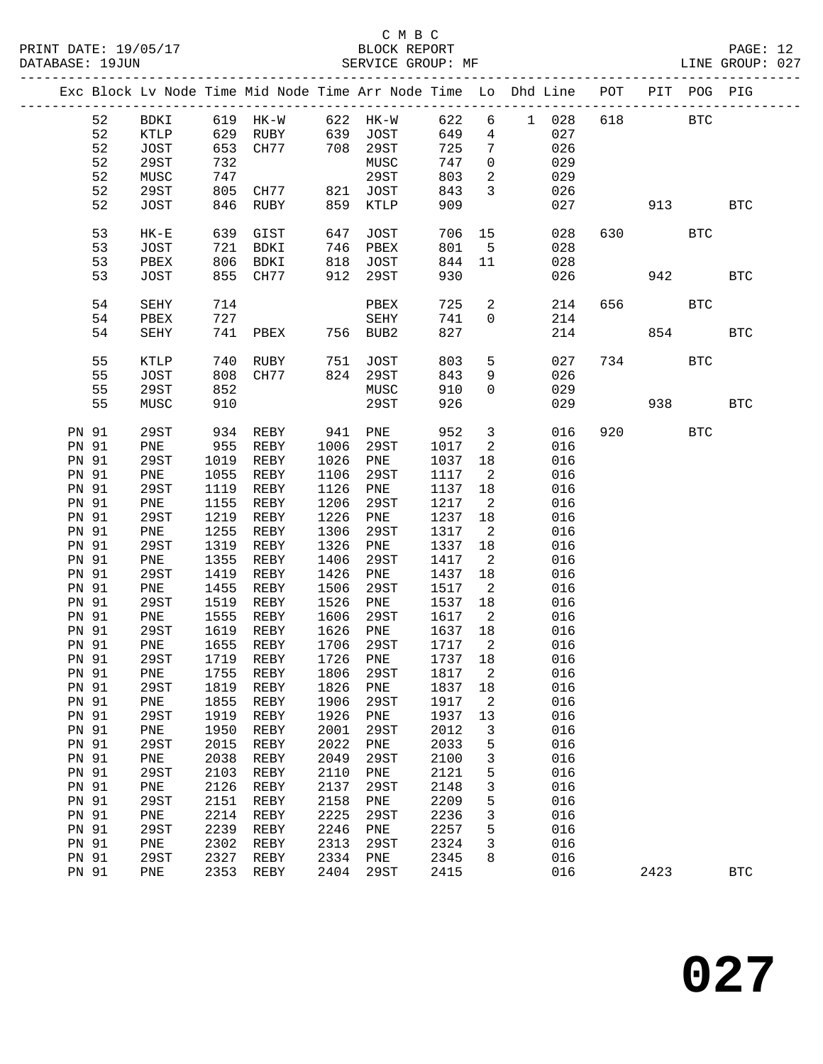### C M B C<br>BLOCK REPORT

PAGE: 12<br>LINE GROUP: 027

|  |                |             |      |                   |              | Exc Block Lv Node Time Mid Node Time Arr Node Time Lo Dhd Line POT |              |                                  |            |     |           | PIT POG PIG |            |
|--|----------------|-------------|------|-------------------|--------------|--------------------------------------------------------------------|--------------|----------------------------------|------------|-----|-----------|-------------|------------|
|  | 52             | BDKI        |      | 619 HK-W 622 HK-W |              |                                                                    | 622          | 6                                | 1 028      | 618 |           | <b>BTC</b>  |            |
|  | 52             | KTLP        |      | 629 RUBY          |              |                                                                    | 649          | $\overline{4}$                   | 027        |     |           |             |            |
|  | 52             | JOST        |      | 653 CH77          |              | 639 JOST<br>708 29ST                                               | 725          | $7\phantom{.0}$                  | 026        |     |           |             |            |
|  | 52             | 29ST        | 732  |                   |              | MUSC                                                               | 747          | $\overline{0}$                   | 029        |     |           |             |            |
|  | 52             | MUSC        | 747  |                   |              | 29ST                                                               | 803          | $\overline{a}$                   | 029        |     |           |             |            |
|  | 52             | 29ST        | 805  | CH77              |              | 821 JOST                                                           | 843          | $\mathbf{3}$                     | 026        |     |           |             |            |
|  | 52             | JOST        | 846  | RUBY              | 859          | KTLP                                                               | 909          |                                  | 027        |     | 913       |             | <b>BTC</b> |
|  |                |             |      |                   |              |                                                                    |              |                                  |            |     |           |             |            |
|  | 53             | $HK-E$      | 639  | GIST              | 647          | JOST                                                               | 706          | 15                               | 028        |     | 630       | <b>BTC</b>  |            |
|  | 53             | JOST        | 721  | BDKI              | 746          | PBEX                                                               | 801          | $-5$                             | 028        |     |           |             |            |
|  | 53             | PBEX        | 806  | BDKI              | 818          | JOST                                                               | 844          | 11                               | 028        |     |           |             |            |
|  | 53             | JOST        |      | 855 CH77          | 912          | 29ST                                                               | 930          |                                  | 026        |     | 942       |             | <b>BTC</b> |
|  |                |             |      |                   |              |                                                                    |              |                                  |            |     |           |             |            |
|  | 54             | SEHY        | 714  |                   |              | PBEX                                                               | 725          | $\overline{a}$                   | 214        | 656 |           | <b>BTC</b>  |            |
|  | 54             | PBEX        | 727  |                   |              | SEHY                                                               | 741          | $\overline{0}$                   | 214        |     |           |             |            |
|  | 54             | SEHY        | 741  | PBEX              |              | 756 BUB2                                                           | 827          |                                  | 214        |     | 854       |             | <b>BTC</b> |
|  |                |             |      |                   |              |                                                                    |              |                                  |            |     |           |             |            |
|  | 55             | KTLP        | 740  | RUBY              | 751          | JOST                                                               | 803          | 5                                | 027        | 734 |           | <b>BTC</b>  |            |
|  | 55             | JOST        | 808  | CH77              |              | 824 29ST                                                           | 843          | 9                                | 026        |     |           |             |            |
|  | 55             | 29ST        | 852  |                   |              | MUSC                                                               | 910          | $\mathbf 0$                      | 029        |     |           |             |            |
|  | 55             | MUSC        | 910  |                   |              | 29ST                                                               | 926          |                                  | 029        |     | 938       |             | <b>BTC</b> |
|  |                |             |      |                   |              |                                                                    |              |                                  |            |     |           |             |            |
|  | <b>PN 91</b>   | 29ST        | 934  | REBY              | 941          | PNE                                                                | 952          | $\overline{3}$                   | 016        |     | 920 — 100 | <b>BTC</b>  |            |
|  | PN 91          | PNE         | 955  | REBY              | 1006         | 29ST                                                               | 1017         | 2                                | 016        |     |           |             |            |
|  | PN 91          | 29ST        | 1019 | REBY              | 1026         | PNE                                                                | 1037         | 18                               | 016        |     |           |             |            |
|  | PN 91          | PNE         | 1055 | REBY              | 1106         | 29ST                                                               | 1117         | $\overline{\phantom{0}}^2$       | 016        |     |           |             |            |
|  | PN 91          | 29ST        | 1119 | REBY              | 1126         | PNE                                                                | 1137         | 18                               | 016        |     |           |             |            |
|  | PN 91          | PNE         | 1155 | REBY              | 1206         | 29ST                                                               | 1217         | $\overline{\phantom{a}}^2$       | 016        |     |           |             |            |
|  | PN 91          | 29ST        | 1219 | REBY              | 1226         | PNE                                                                | 1237         | 18                               | 016        |     |           |             |            |
|  | PN 91          | PNE         | 1255 | REBY              | 1306         | 29ST                                                               | 1317         | $\overline{\phantom{a}}$         | 016        |     |           |             |            |
|  | PN 91          | 29ST        | 1319 | REBY              | 1326         | PNE                                                                | 1337         | 18                               | 016        |     |           |             |            |
|  | PN 91          | PNE         | 1355 | REBY              | 1406         | 29ST                                                               | 1417         | $\overline{\phantom{a}}^2$       | 016        |     |           |             |            |
|  | PN 91          | 29ST        | 1419 | REBY              | 1426         | PNE                                                                | 1437         | 18                               | 016        |     |           |             |            |
|  | PN 91          | PNE         | 1455 | REBY              | 1506         | 29ST                                                               | 1517         | $\overline{\phantom{a}}$         | 016        |     |           |             |            |
|  | PN 91          | 29ST        | 1519 | REBY              | 1526         | PNE                                                                | 1537         | 18                               | 016        |     |           |             |            |
|  | PN 91          | PNE<br>29ST | 1555 | REBY<br>1619 REBY | 1606<br>1626 | 29ST                                                               | 1617<br>1637 | $\overline{\phantom{a}}^2$       | 016        |     |           |             |            |
|  | PN 91          |             | 1655 | REBY              | 1706         | ${\tt PNE}$                                                        | 1717         | 18<br>$\overline{\phantom{a}}^2$ | 016        |     |           |             |            |
|  | PN 91<br>PN 91 | PNE<br>29ST |      | 1719 REBY         | 1726         | 29ST<br>${\tt PNE}$                                                | 1737 18      |                                  | 016<br>016 |     |           |             |            |
|  |                | PN 91 PNE   |      |                   |              | 1755 REBY 1806 29ST 1817 2                                         |              |                                  | 016        |     |           |             |            |
|  | PN 91          | 29ST        | 1819 | REBY              | 1826         | PNE                                                                | 1837         | 18                               | 016        |     |           |             |            |
|  | PN 91          | PNE         | 1855 | REBY              | 1906         | 29ST                                                               | 1917         | 2                                | 016        |     |           |             |            |
|  | PN 91          | 29ST        | 1919 | REBY              | 1926         | PNE                                                                | 1937         | 13                               | 016        |     |           |             |            |
|  | PN 91          | PNE         | 1950 | REBY              | 2001         | 29ST                                                               | 2012         | 3                                | 016        |     |           |             |            |
|  | PN 91          | 29ST        | 2015 | REBY              | 2022         | PNE                                                                | 2033         | 5                                | 016        |     |           |             |            |
|  | PN 91          | PNE         | 2038 | REBY              | 2049         | 29ST                                                               | 2100         | 3                                | 016        |     |           |             |            |
|  | PN 91          | 29ST        | 2103 | REBY              | 2110         | PNE                                                                | 2121         | 5                                | 016        |     |           |             |            |
|  | <b>PN 91</b>   | PNE         | 2126 | REBY              | 2137         | 29ST                                                               | 2148         | 3                                | 016        |     |           |             |            |
|  | PN 91          | 29ST        | 2151 | REBY              | 2158         | PNE                                                                | 2209         | 5                                | 016        |     |           |             |            |
|  | PN 91          | PNE         | 2214 | REBY              | 2225         | 29ST                                                               | 2236         | 3                                | 016        |     |           |             |            |
|  | PN 91          | 29ST        | 2239 | REBY              | 2246         | PNE                                                                | 2257         | 5                                | 016        |     |           |             |            |
|  | PN 91          | PNE         | 2302 | REBY              | 2313         | 29ST                                                               | 2324         | 3                                | 016        |     |           |             |            |
|  | PN 91          | 29ST        | 2327 | REBY              | 2334         | PNE                                                                | 2345         | 8                                | 016        |     |           |             |            |
|  | PN 91          | PNE         | 2353 | REBY              | 2404         | 29ST                                                               | 2415         |                                  | 016        |     | 2423      |             | <b>BTC</b> |
|  |                |             |      |                   |              |                                                                    |              |                                  |            |     |           |             |            |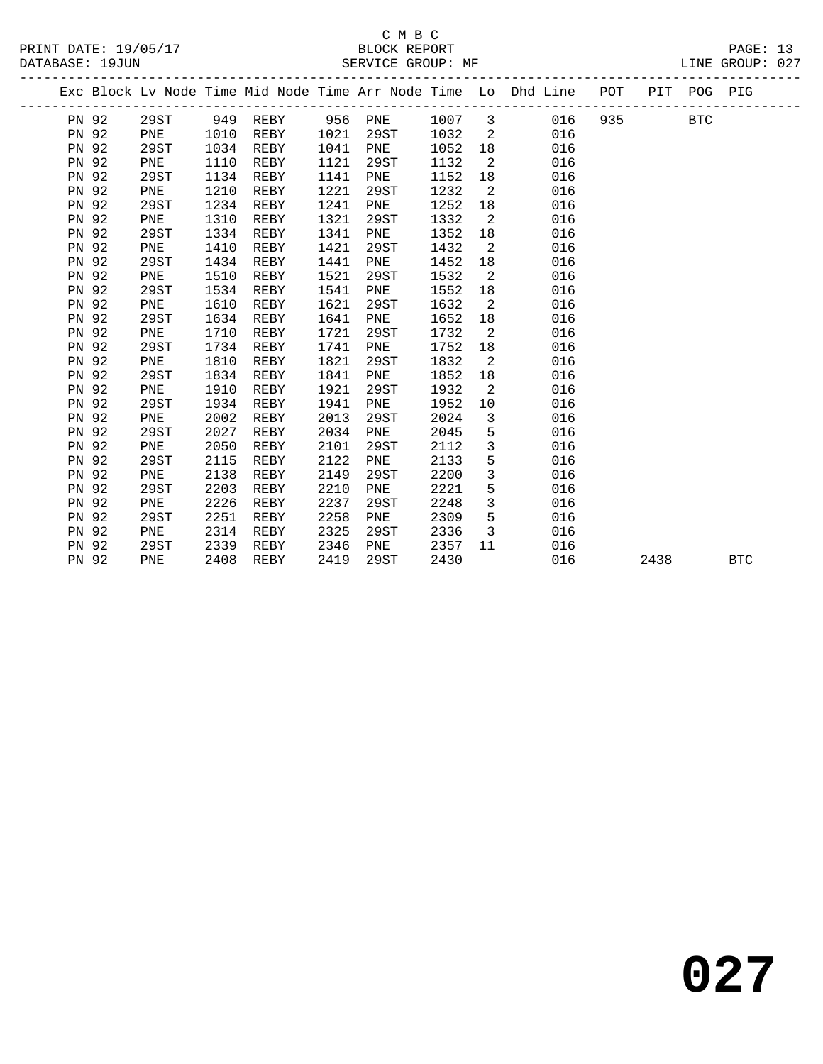## C M B C<br>BLOCK REPORT

PAGE: 13<br>LINE GROUP: 027

|              |      |      |      |      |         |      |                            | Exc Block Lv Node Time Mid Node Time Arr Node Time Lo Dhd Line POT |     |      | PIT POG PIG |            |
|--------------|------|------|------|------|---------|------|----------------------------|--------------------------------------------------------------------|-----|------|-------------|------------|
| PN 92        | 29ST | 949  | REBY |      | 956 PNE | 1007 | $\overline{\mathbf{3}}$    | 016                                                                | 935 |      | BTC         |            |
| PN 92        | PNE  | 1010 | REBY | 1021 | 29ST    | 1032 | $\overline{\phantom{0}}^2$ | 016                                                                |     |      |             |            |
| PN 92        | 29ST | 1034 | REBY | 1041 | PNE     | 1052 | 18                         | 016                                                                |     |      |             |            |
| PN 92        | PNE  | 1110 | REBY | 1121 | 29ST    | 1132 | $\overline{2}$             | 016                                                                |     |      |             |            |
| PN 92        | 29ST | 1134 | REBY | 1141 | PNE     | 1152 | 18                         | 016                                                                |     |      |             |            |
| PN 92        | PNE  | 1210 | REBY | 1221 | 29ST    | 1232 | $\overline{\phantom{0}}^2$ | 016                                                                |     |      |             |            |
| PN 92        | 29ST | 1234 | REBY | 1241 | PNE     | 1252 | 18                         | 016                                                                |     |      |             |            |
| PN 92        | PNE  | 1310 | REBY | 1321 | 29ST    | 1332 | 2                          | 016                                                                |     |      |             |            |
| PN 92        | 29ST | 1334 | REBY | 1341 | PNE     | 1352 | 18                         | 016                                                                |     |      |             |            |
| PN 92        | PNE  | 1410 | REBY | 1421 | 29ST    | 1432 | $\overline{\phantom{a}}^2$ | 016                                                                |     |      |             |            |
| PN 92        | 29ST | 1434 | REBY | 1441 | PNE     | 1452 | 18                         | 016                                                                |     |      |             |            |
| PN 92        | PNE  | 1510 | REBY | 1521 | 29ST    | 1532 | $\overline{2}$             | 016                                                                |     |      |             |            |
| PN 92        | 29ST | 1534 | REBY | 1541 | PNE     | 1552 | 18                         | 016                                                                |     |      |             |            |
| PN 92        | PNE  | 1610 | REBY | 1621 | 29ST    | 1632 | $\overline{\phantom{0}}^2$ | 016                                                                |     |      |             |            |
| PN 92        | 29ST | 1634 | REBY | 1641 | PNE     | 1652 | 18                         | 016                                                                |     |      |             |            |
| PN 92        | PNE  | 1710 | REBY | 1721 | 29ST    | 1732 | $\overline{\phantom{0}}^2$ | 016                                                                |     |      |             |            |
| PN 92        | 29ST | 1734 | REBY | 1741 | PNE     | 1752 | 18                         | 016                                                                |     |      |             |            |
| PN 92        | PNE  | 1810 | REBY | 1821 | 29ST    | 1832 | $\overline{\phantom{0}}^2$ | 016                                                                |     |      |             |            |
| PN 92        | 29ST | 1834 | REBY | 1841 | PNE     | 1852 | 18                         | 016                                                                |     |      |             |            |
| PN 92        | PNE  | 1910 | REBY | 1921 | 29ST    | 1932 | $\overline{\phantom{0}}^2$ | 016                                                                |     |      |             |            |
| PN 92        | 29ST | 1934 | REBY | 1941 | PNE     | 1952 | 10                         | 016                                                                |     |      |             |            |
| PN 92        | PNE  | 2002 | REBY | 2013 | 29ST    | 2024 | 3                          | 016                                                                |     |      |             |            |
| PN 92        | 29ST | 2027 | REBY | 2034 | PNE     | 2045 | 5                          | 016                                                                |     |      |             |            |
| PN 92        | PNE  | 2050 | REBY | 2101 | 29ST    | 2112 | $\mathbf{3}$               | 016                                                                |     |      |             |            |
| PN 92        | 29ST | 2115 | REBY | 2122 | PNE     | 2133 | 5                          | 016                                                                |     |      |             |            |
| PN 92        | PNE  | 2138 | REBY | 2149 | 29ST    | 2200 | 3                          | 016                                                                |     |      |             |            |
| <b>PN 92</b> | 29ST | 2203 | REBY | 2210 | PNE     | 2221 | 5                          | 016                                                                |     |      |             |            |
| PN 92        | PNE  | 2226 | REBY | 2237 | 29ST    | 2248 | 3                          | 016                                                                |     |      |             |            |
| PN 92        | 29ST | 2251 | REBY | 2258 | PNE     | 2309 | 5                          | 016                                                                |     |      |             |            |
| PN 92        | PNE  | 2314 | REBY | 2325 | 29ST    | 2336 | 3                          | 016                                                                |     |      |             |            |
| PN 92        | 29ST | 2339 | REBY | 2346 | PNE     | 2357 | 11                         | 016                                                                |     |      |             |            |
| PN 92        | PNE  | 2408 | REBY | 2419 | 29ST    | 2430 |                            | 016                                                                |     | 2438 |             | <b>BTC</b> |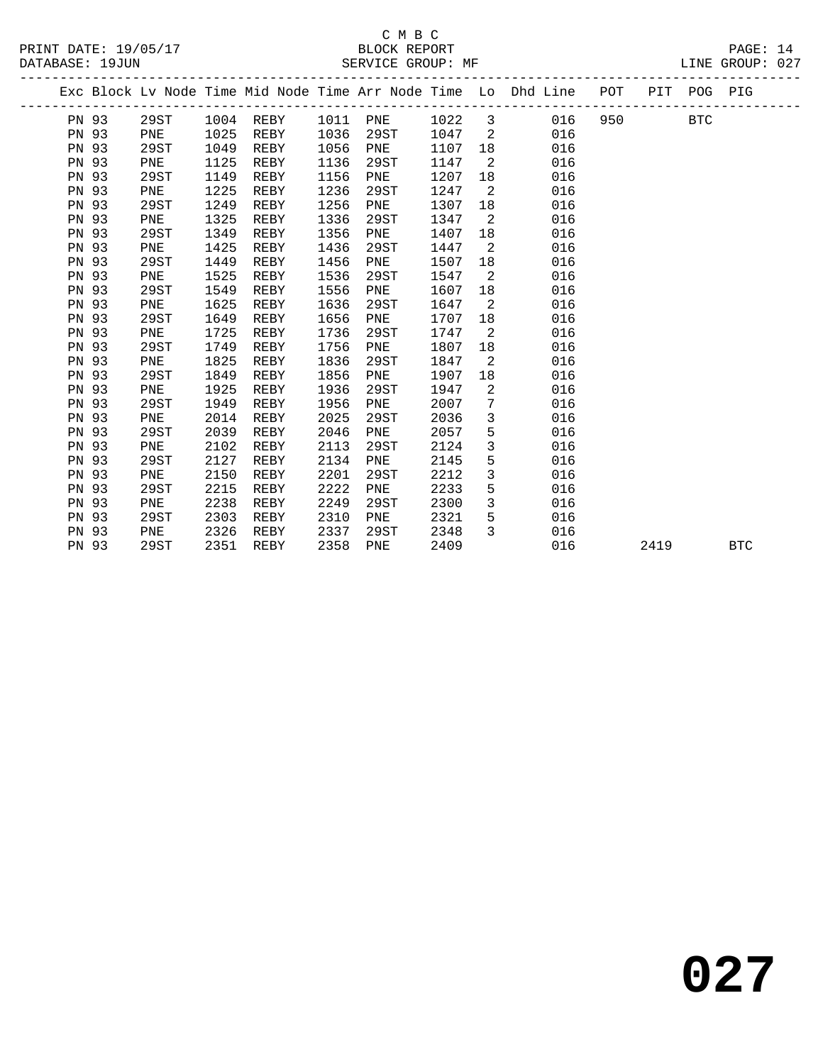|              |      |      |             |      |      |      |                         | Exc Block Lv Node Time Mid Node Time Arr Node Time Lo Dhd Line POT |     |      | PIT POG PIG |            |
|--------------|------|------|-------------|------|------|------|-------------------------|--------------------------------------------------------------------|-----|------|-------------|------------|
| PN 93        | 29ST |      | $1004$ REBY | 1011 | PNE  | 1022 | $\overline{\mathbf{3}}$ | 016                                                                | 950 |      | <b>BTC</b>  |            |
| PN 93        | PNE  | 1025 | REBY        | 1036 | 29ST | 1047 | $\overline{2}$          | 016                                                                |     |      |             |            |
| PN 93        | 29ST | 1049 | REBY        | 1056 | PNE  | 1107 | 18                      | 016                                                                |     |      |             |            |
| PN 93        | PNE  | 1125 | REBY        | 1136 | 29ST | 1147 | $\overline{2}$          | 016                                                                |     |      |             |            |
| PN 93        | 29ST | 1149 | REBY        | 1156 | PNE  | 1207 | 18                      | 016                                                                |     |      |             |            |
| PN 93        | PNE  | 1225 | REBY        | 1236 | 29ST | 1247 | 2                       | 016                                                                |     |      |             |            |
| PN 93        | 29ST | 1249 | REBY        | 1256 | PNE  | 1307 | 18                      | 016                                                                |     |      |             |            |
| PN 93        | PNE  | 1325 | REBY        | 1336 | 29ST | 1347 | 2                       | 016                                                                |     |      |             |            |
| PN 93        | 29ST | 1349 | REBY        | 1356 | PNE  | 1407 | 18                      | 016                                                                |     |      |             |            |
| PN 93        | PNE  | 1425 | REBY        | 1436 | 29ST | 1447 | 2                       | 016                                                                |     |      |             |            |
| PN 93        | 29ST | 1449 | REBY        | 1456 | PNE  | 1507 | 18                      | 016                                                                |     |      |             |            |
| PN 93        | PNE  | 1525 | REBY        | 1536 | 29ST | 1547 | $\overline{2}$          | 016                                                                |     |      |             |            |
| PN 93        | 29ST | 1549 | REBY        | 1556 | PNE  | 1607 | 18                      | 016                                                                |     |      |             |            |
| <b>PN 93</b> | PNE  | 1625 | REBY        | 1636 | 29ST | 1647 | 2                       | 016                                                                |     |      |             |            |
| PN 93        | 29ST | 1649 | REBY        | 1656 | PNE  | 1707 | 18                      | 016                                                                |     |      |             |            |
| PN 93        | PNE  | 1725 | REBY        | 1736 | 29ST | 1747 | 2                       | 016                                                                |     |      |             |            |
| PN 93        | 29ST | 1749 | REBY        | 1756 | PNE  | 1807 | 18                      | 016                                                                |     |      |             |            |
| <b>PN 93</b> | PNE  | 1825 | REBY        | 1836 | 29ST | 1847 | 2                       | 016                                                                |     |      |             |            |
| PN 93        | 29ST | 1849 | REBY        | 1856 | PNE  | 1907 | 18                      | 016                                                                |     |      |             |            |
| PN 93        | PNE  | 1925 | REBY        | 1936 | 29ST | 1947 | 2                       | 016                                                                |     |      |             |            |
| PN 93        | 29ST | 1949 | REBY        | 1956 | PNE  | 2007 | 7                       | 016                                                                |     |      |             |            |
| PN 93        | PNE  | 2014 | REBY        | 2025 | 29ST | 2036 | $\overline{3}$          | 016                                                                |     |      |             |            |
| PN 93        | 29ST | 2039 | REBY        | 2046 | PNE  | 2057 | 5                       | 016                                                                |     |      |             |            |
| PN 93        | PNE  | 2102 | REBY        | 2113 | 29ST | 2124 | $\mathbf{3}$            | 016                                                                |     |      |             |            |
| PN 93        | 29ST | 2127 | REBY        | 2134 | PNE  | 2145 | 5                       | 016                                                                |     |      |             |            |
| PN 93        | PNE  | 2150 | REBY        | 2201 | 29ST | 2212 | $\mathbf{3}$            | 016                                                                |     |      |             |            |
| PN 93        | 29ST | 2215 | REBY        | 2222 | PNE  | 2233 | 5                       | 016                                                                |     |      |             |            |
| PN 93        | PNE  | 2238 | REBY        | 2249 | 29ST | 2300 | $\mathbf{3}$            | 016                                                                |     |      |             |            |
| PN 93        | 29ST | 2303 | REBY        | 2310 | PNE  | 2321 | 5                       | 016                                                                |     |      |             |            |
| PN 93        | PNE  | 2326 | REBY        | 2337 | 29ST | 2348 | 3                       | 016                                                                |     |      |             |            |
| PN 93        | 29ST | 2351 | REBY        | 2358 | PNE  | 2409 |                         | 016                                                                |     | 2419 |             | <b>BTC</b> |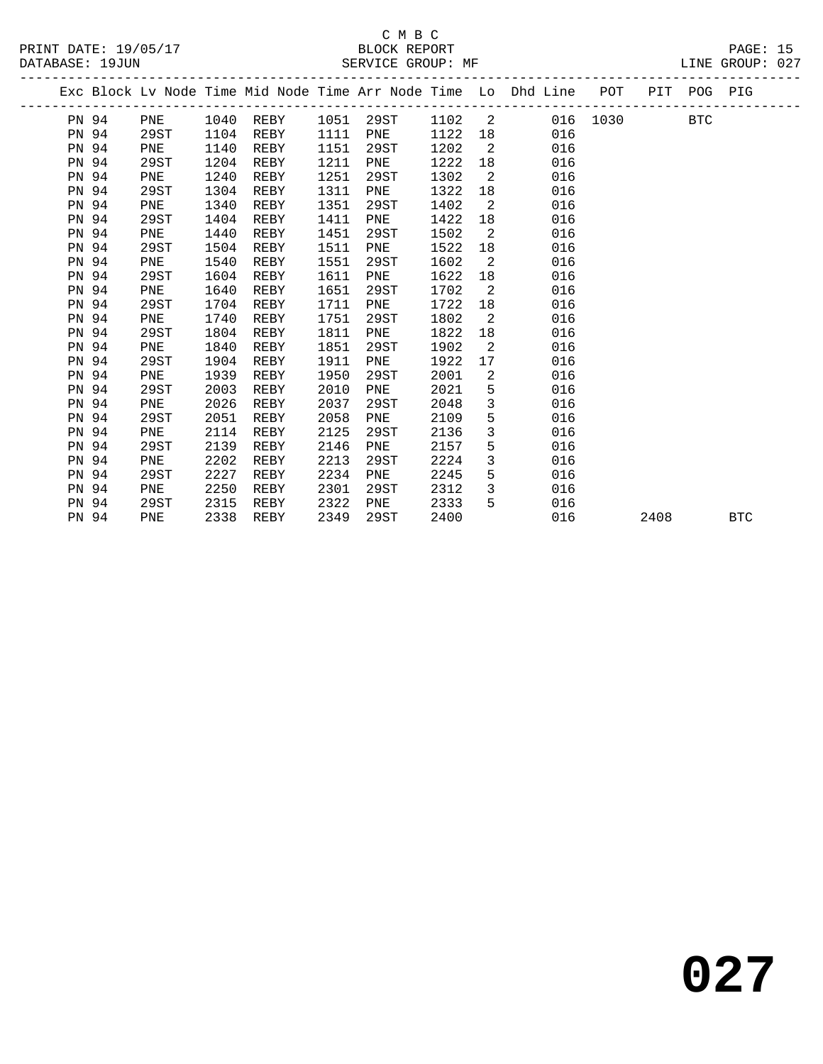|       |       |      |      |           |      |      |      |                            | Exc Block Lv Node Time Mid Node Time Arr Node Time Lo Dhd Line POT PIT POG PIG |      |            |
|-------|-------|------|------|-----------|------|------|------|----------------------------|--------------------------------------------------------------------------------|------|------------|
|       | PN 94 | PNE  |      | 1040 REBY |      |      |      |                            | 1051 29ST 1102 2 016 1030 BTC                                                  |      |            |
| PN 94 |       | 29ST | 1104 | REBY      | 1111 | PNE  | 1122 |                            | 016                                                                            |      |            |
| PN 94 |       | PNE  | 1140 | REBY      | 1151 | 29ST | 1202 | $\overline{\phantom{0}}^2$ | 016                                                                            |      |            |
| PN 94 |       | 29ST | 1204 | REBY      | 1211 | PNE  | 1222 | 18                         | 016                                                                            |      |            |
| PN 94 |       | PNE  | 1240 | REBY      | 1251 | 29ST | 1302 | $\overline{\phantom{a}}^2$ | 016                                                                            |      |            |
| PN 94 |       | 29ST | 1304 | REBY      | 1311 | PNE  | 1322 |                            | 016                                                                            |      |            |
| PN 94 |       | PNE  | 1340 | REBY      | 1351 | 29ST | 1402 | $\overline{\phantom{a}}$   | 016                                                                            |      |            |
| PN 94 |       | 29ST | 1404 | REBY      | 1411 | PNE  | 1422 | 18                         | 016                                                                            |      |            |
| PN 94 |       | PNE  | 1440 | REBY      | 1451 | 29ST | 1502 | $\overline{2}$             | 016                                                                            |      |            |
| PN 94 |       | 29ST | 1504 | REBY      | 1511 | PNE  | 1522 | 18                         | 016                                                                            |      |            |
| PN 94 |       | PNE  | 1540 | REBY      | 1551 | 29ST | 1602 | $\overline{2}$             | 016                                                                            |      |            |
| PN 94 |       | 29ST | 1604 | REBY      | 1611 | PNE  | 1622 | 18                         | 016                                                                            |      |            |
| PN 94 |       | PNE  | 1640 | REBY      | 1651 | 29ST | 1702 | $\overline{\phantom{a}}^2$ | 016                                                                            |      |            |
| PN 94 |       | 29ST | 1704 | REBY      | 1711 | PNE  | 1722 | 18                         | 016                                                                            |      |            |
| PN 94 |       | PNE  | 1740 | REBY      | 1751 | 29ST | 1802 | $\overline{2}$             | 016                                                                            |      |            |
| PN 94 |       | 29ST | 1804 | REBY      | 1811 | PNE  | 1822 | 18                         | 016                                                                            |      |            |
| PN 94 |       | PNE  | 1840 | REBY      | 1851 | 29ST | 1902 | 2                          | 016                                                                            |      |            |
| PN 94 |       | 29ST | 1904 | REBY      | 1911 | PNE  | 1922 | 17                         | 016                                                                            |      |            |
| PN 94 |       | PNE  | 1939 | REBY      | 1950 | 29ST | 2001 | 2                          | 016                                                                            |      |            |
| PN 94 |       | 29ST | 2003 | REBY      | 2010 | PNE  | 2021 | 5                          | 016                                                                            |      |            |
| PN 94 |       | PNE  | 2026 | REBY      | 2037 | 29ST | 2048 | $\mathbf{3}$               | 016                                                                            |      |            |
| PN 94 |       | 29ST | 2051 | REBY      | 2058 | PNE  | 2109 | 5                          | 016                                                                            |      |            |
| PN 94 |       | PNE  | 2114 | REBY      | 2125 | 29ST | 2136 | $\mathbf{3}$               | 016                                                                            |      |            |
| PN 94 |       | 29ST | 2139 | REBY      | 2146 | PNE  | 2157 | 5                          | 016                                                                            |      |            |
| PN 94 |       | PNE  | 2202 | REBY      | 2213 | 29ST | 2224 | $\mathbf{3}$               | 016                                                                            |      |            |
| PN 94 |       | 29ST | 2227 | REBY      | 2234 | PNE  | 2245 | 5                          | 016                                                                            |      |            |
| PN 94 |       | PNE  | 2250 | REBY      | 2301 | 29ST | 2312 | $\mathbf{3}$               | 016                                                                            |      |            |
| PN 94 |       | 29ST | 2315 | REBY      | 2322 | PNE  | 2333 | 5                          | 016                                                                            |      |            |
| PN 94 |       | PNE  | 2338 | REBY      | 2349 | 29ST | 2400 |                            | 016                                                                            | 2408 | <b>BTC</b> |
|       |       |      |      |           |      |      |      |                            |                                                                                |      |            |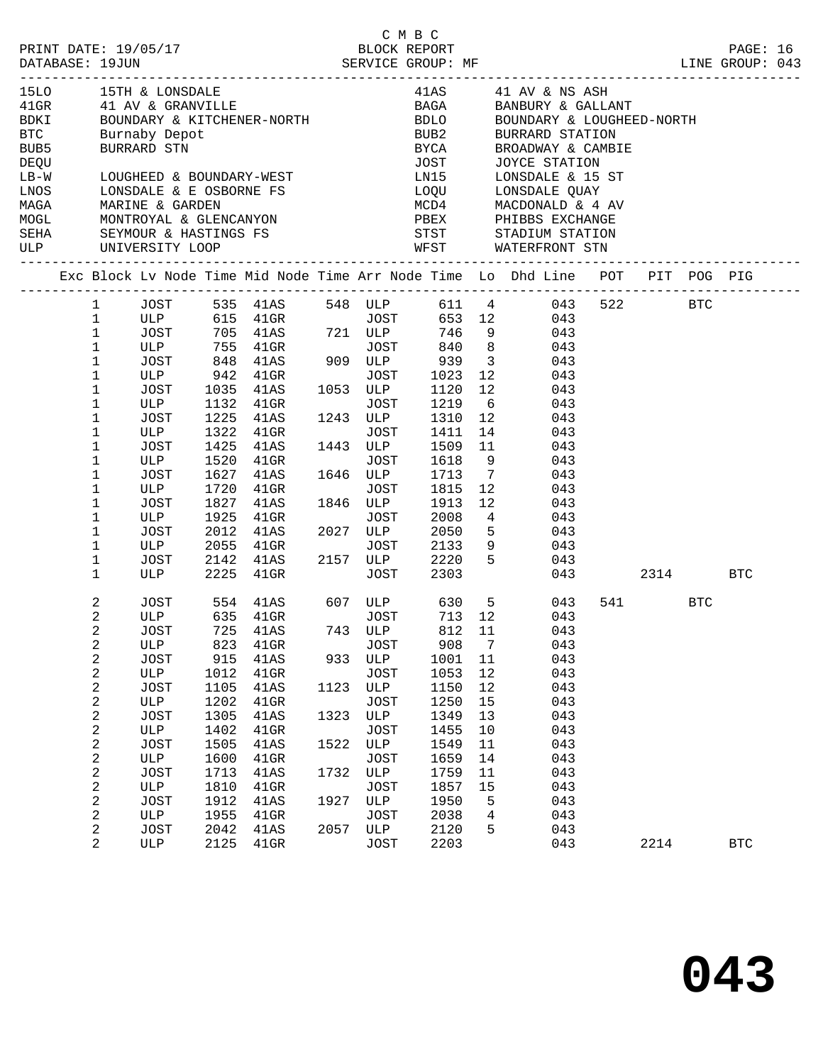|                                              |                                             |                                                                                                                                                                                                         |                      |                                 |              |                                             | C M B C                             |                       |                                                                                                                                                                                                            |     |       |      |            |  |
|----------------------------------------------|---------------------------------------------|---------------------------------------------------------------------------------------------------------------------------------------------------------------------------------------------------------|----------------------|---------------------------------|--------------|---------------------------------------------|-------------------------------------|-----------------------|------------------------------------------------------------------------------------------------------------------------------------------------------------------------------------------------------------|-----|-------|------|------------|--|
| <b>BTC</b><br>BUB5<br>DEQU<br>$LB-W$<br>LNOS |                                             | 15LO 15TH & LONSDALE<br>41GR            41   AV  &  GRANVILLE<br>BDKI               BOUNDARY  &  KITCHENER-NORTH<br>Burnaby Depot<br>BURRARD STN<br>LOUGHEED & BOUNDARY-WEST<br>LONSDALE & E OSBORNE FS |                      |                                 |              |                                             | BUB2<br><b>BYCA</b><br>JOST<br>LN15 |                       | 41AS $41$ AV & NS ASH<br>BAGA BANBURY & GALLANT<br>BDLO BOUNDARY & LOUGHEI<br>BOUNDARY & LOUGHEED-NORTH<br>BURRARD STATION<br>BROADWAY & CAMBIE<br>JOYCE STATION<br>LONSDALE & 15 ST<br>LOQU LONSDALE QUAY |     |       |      |            |  |
|                                              |                                             |                                                                                                                                                                                                         |                      |                                 |              |                                             |                                     |                       | MCD4 MACDONALD & 4 AV                                                                                                                                                                                      |     |       |      |            |  |
|                                              |                                             |                                                                                                                                                                                                         |                      |                                 |              |                                             |                                     |                       |                                                                                                                                                                                                            |     |       |      |            |  |
|                                              |                                             |                                                                                                                                                                                                         |                      |                                 |              |                                             |                                     |                       | Exc Block Lv Node Time Mid Node Time Arr Node Time Lo Dhd Line POT PIT POG PIG                                                                                                                             |     |       |      |            |  |
|                                              |                                             |                                                                                                                                                                                                         |                      |                                 |              |                                             |                                     |                       | 1 JOST 535 41AS 548 ULP 611 4 043 522 BTC                                                                                                                                                                  |     |       |      |            |  |
|                                              | $\mathbf{1}$<br>$\mathbf 1$<br>$\mathbf{1}$ |                                                                                                                                                                                                         |                      |                                 |              |                                             |                                     |                       | ULP 615 41GR<br>JOST 705 41AS 721 ULP 746 9 043<br>ULP 755 41GR JOST 840 8 043<br>JOST 848 41AS 909 ULP 939 3 043                                                                                          |     |       |      |            |  |
|                                              | $\mathbf{1}$<br>$\mathbf 1$                 | ULP                                                                                                                                                                                                     |                      | 942 41GR                        |              |                                             | JOST 1023                           | 12                    | 043                                                                                                                                                                                                        |     |       |      |            |  |
|                                              | 1<br>1                                      | JOST<br>ULP                                                                                                                                                                                             | 1035                 | 41AS<br>1132 41GR               |              | 1053 ULP<br>JOST                            | 1120<br>1219                        | 12<br>6               | 043<br>043                                                                                                                                                                                                 |     |       |      |            |  |
|                                              | 1<br>1                                      | JOST<br>ULP                                                                                                                                                                                             | 1225                 | 41AS<br>1322 41GR               |              | 1243 ULP<br>JOST                            | 1310<br>1411                        | 12                    | 043<br>14 and $\overline{a}$<br>043                                                                                                                                                                        |     |       |      |            |  |
|                                              | 1<br>1                                      | JOST<br>ULP                                                                                                                                                                                             | 1425<br>1520         | 41AS<br>$41\mathrm{GR}$         |              | 1443 ULP<br>JOST                            | 1509<br>1618                        | 11<br>9               | 043<br>043                                                                                                                                                                                                 |     |       |      |            |  |
|                                              | 1<br>1                                      | JOST<br>ULP                                                                                                                                                                                             | 1720                 | 1627 41AS<br>$41$ GR            |              | 1646 ULP<br>JOST                            | 1713<br>1815                        | $\overline{7}$<br>12  | 043<br>043                                                                                                                                                                                                 |     |       |      |            |  |
|                                              | 1<br>1<br>1                                 | JOST<br>ULP<br>JOST                                                                                                                                                                                     | 1827<br>1925<br>2012 | 41AS<br>$41$ GR<br>41AS         |              | 1846 ULP<br>JOST<br>2027 ULP                | 1913<br>2008<br>2050                | 12<br>$4\overline{ }$ | 043<br>043<br>$5 -$<br>043                                                                                                                                                                                 |     |       |      |            |  |
|                                              | 1<br>1                                      | ULP<br>JOST                                                                                                                                                                                             | 2055<br>2142         | $41$ GR<br>41AS                 |              | JOST<br>2157 ULP                            | 2133<br>2220                        |                       | 9<br>043<br>5 <sub>1</sub><br>043                                                                                                                                                                          |     |       |      |            |  |
|                                              | 1                                           | ULP                                                                                                                                                                                                     | 2225                 | $41$ GR                         |              | JOST                                        | 2303                                |                       |                                                                                                                                                                                                            | 043 |       | 2314 | BTC        |  |
|                                              | 2<br>2<br>$\overline{a}$                    | ULP<br>JOST                                                                                                                                                                                             |                      | 635 41GR<br>725 41AS 743 ULP    |              | JOST                                        | 713 12<br>812 11                    |                       | JOST 554 41AS 607 ULP 630 5 043<br>043<br>043                                                                                                                                                              |     | 541 7 | BTC  |            |  |
|                                              | 2<br>$\sqrt{2}$<br>2                        | ULP<br><b>JOST</b><br>ULP                                                                                                                                                                               | 823<br>915<br>1012   | 41GR<br>41AS<br>41GR            | 933          | <b>JOST</b><br>ULP<br><b>JOST</b>           | 908<br>1001<br>1053                 | 7<br>11<br>12         | 043<br>043<br>043                                                                                                                                                                                          |     |       |      |            |  |
|                                              | $\sqrt{2}$<br>$\sqrt{2}$<br>$\sqrt{2}$      | <b>JOST</b><br>$_{\rm ULP}$<br><b>JOST</b>                                                                                                                                                              | 1105<br>1202<br>1305 | 41AS<br>$41$ GR<br>41AS         | 1123<br>1323 | $_{\rm ULP}$<br><b>JOST</b><br>$_{\rm ULP}$ | 1150<br>1250<br>1349                | 12<br>15<br>13        | 043<br>043<br>043                                                                                                                                                                                          |     |       |      |            |  |
|                                              | $\sqrt{2}$<br>$\sqrt{2}$<br>$\sqrt{2}$      | ULP<br><b>JOST</b><br>ULP                                                                                                                                                                               | 1402<br>1505<br>1600 | 41GR<br>41AS<br>41GR            | 1522         | <b>JOST</b><br>ULP<br><b>JOST</b>           | 1455<br>1549<br>1659                | 10<br>11<br>14        | 043<br>043<br>043                                                                                                                                                                                          |     |       |      |            |  |
|                                              | $\sqrt{2}$<br>$\sqrt{2}$                    | <b>JOST</b><br>ULP                                                                                                                                                                                      | 1713<br>1810         | 41AS<br>41GR                    | 1732         | ULP<br><b>JOST</b>                          | 1759<br>1857                        | 11<br>15              | 043<br>043                                                                                                                                                                                                 |     |       |      |            |  |
|                                              | $\sqrt{2}$<br>$\sqrt{2}$<br>2               | <b>JOST</b><br>ULP<br><b>JOST</b>                                                                                                                                                                       | 1912<br>1955<br>2042 | 41AS<br>41GR<br>$41\mathrm{AS}$ | 1927<br>2057 | ULP<br><b>JOST</b><br>$_{\rm ULP}$          | 1950<br>2038<br>2120                | 5<br>4<br>5           | 043<br>043<br>043                                                                                                                                                                                          |     |       |      |            |  |
|                                              | $\overline{2}$                              | ULP                                                                                                                                                                                                     | 2125                 | 41GR                            |              | <b>JOST</b>                                 | 2203                                |                       | 043                                                                                                                                                                                                        |     | 2214  |      | <b>BTC</b> |  |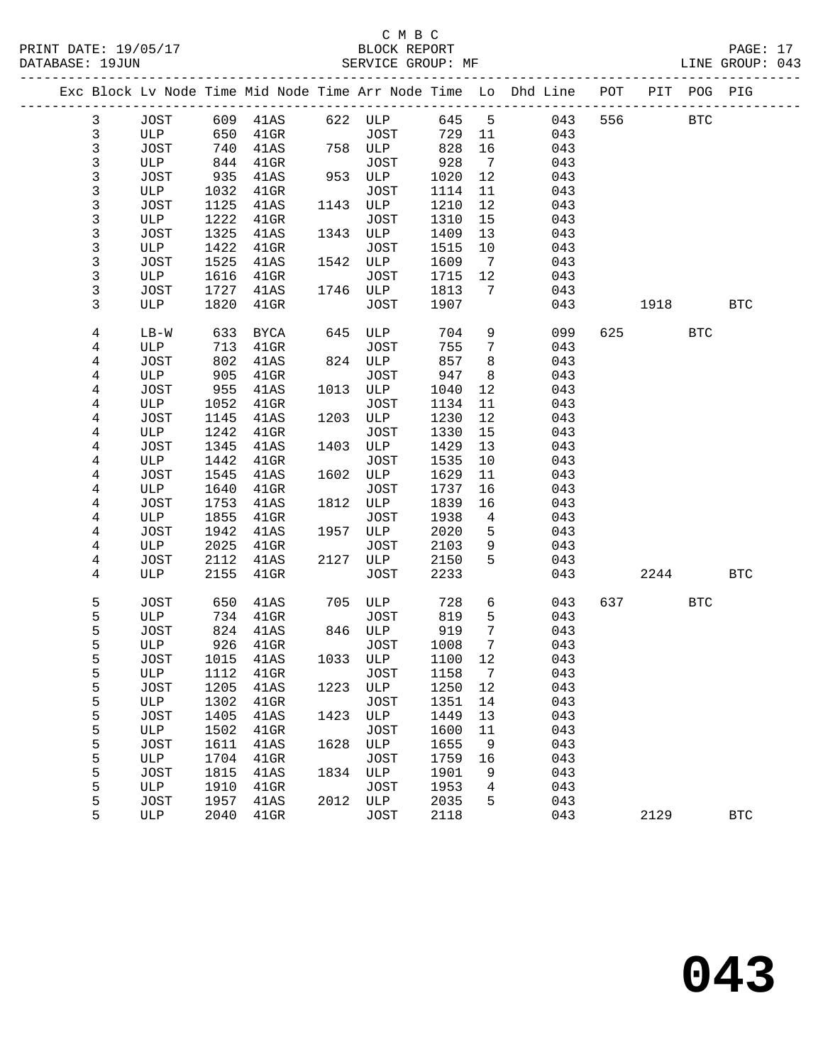#### C M B C<br>BLOCK REPORT PRINT DATE: 19/05/17 BLOCK REPORT PAGE: 17 SERVICE GROUP: MF

|  |              |        |      |                       |      |             |         |                              | Exc Block Lv Node Time Mid Node Time Arr Node Time Lo Dhd Line POT PIT POG PIG |           |            |            |
|--|--------------|--------|------|-----------------------|------|-------------|---------|------------------------------|--------------------------------------------------------------------------------|-----------|------------|------------|
|  | $\mathbf{3}$ |        |      | JOST 609 41AS 622 ULP |      |             | 645 5   |                              | 043                                                                            | 556 BTC   |            |            |
|  | $\mathbf{3}$ | ULP    | 650  | $41$ GR               |      | JOST        | 729 11  |                              | 043                                                                            |           |            |            |
|  | 3            | JOST   | 740  | 41AS                  |      | 758 ULP     | 828     | 16                           | 043                                                                            |           |            |            |
|  | 3            | ULP    | 844  | $41$ GR               |      | <b>JOST</b> | 928     | $\overline{7}$               | 043                                                                            |           |            |            |
|  | 3            | JOST   | 935  | 41AS                  |      | 953 ULP     | 1020    | 12                           | 043                                                                            |           |            |            |
|  | 3            | ULP    | 1032 | $41$ GR               |      | JOST        | 1114    | 11                           | 043                                                                            |           |            |            |
|  | 3            | JOST   | 1125 | 41AS                  |      | 1143 ULP    | 1210    | 12                           | 043                                                                            |           |            |            |
|  | 3            | ULP    | 1222 | $41$ GR               |      | JOST        | 1310    | 15                           | 043                                                                            |           |            |            |
|  | $\mathsf{3}$ | JOST   | 1325 | 41AS                  |      | 1343 ULP    | 1409    | 13                           | 043                                                                            |           |            |            |
|  | 3            | ULP    | 1422 | $41$ GR               |      | JOST        | 1515    | 10                           | 043                                                                            |           |            |            |
|  | 3            | JOST   | 1525 | 41AS                  |      | 1542 ULP    | 1609    | $\overline{7}$               | 043                                                                            |           |            |            |
|  | 3            | ULP    | 1616 | 41GR                  |      | JOST        | 1715    | 12                           | 043                                                                            |           |            |            |
|  | 3            | JOST   | 1727 | 41AS                  |      | 1746 ULP    | 1813    | 7                            | 043                                                                            |           |            |            |
|  | 3            | ULP    | 1820 | $41$ GR               |      | JOST        | 1907    |                              | 043                                                                            | 1918      |            | BTC        |
|  |              |        |      |                       |      |             |         |                              |                                                                                |           |            |            |
|  | 4            | $LB-W$ | 633  | BYCA                  |      | 645 ULP     | 704     | 9                            | 099                                                                            | 625 — 100 | <b>BTC</b> |            |
|  | 4            | ULP    | 713  | 41GR                  |      | <b>JOST</b> | 755     | 7                            | 043                                                                            |           |            |            |
|  | 4            | JOST   | 802  | 41AS                  |      | 824 ULP     | 857     | 8                            | 043                                                                            |           |            |            |
|  | 4            | ULP    | 905  | $41$ GR               |      | JOST        | 947     | 8                            | 043                                                                            |           |            |            |
|  | 4            | JOST   | 955  | 41AS                  |      | 1013 ULP    | 1040    | 12                           | 043                                                                            |           |            |            |
|  | 4            | ULP    | 1052 | $41$ GR               |      | JOST        | 1134    | 11                           | 043                                                                            |           |            |            |
|  | 4            | JOST   | 1145 | 41AS                  |      | 1203 ULP    | 1230    | 12                           | 043                                                                            |           |            |            |
|  | 4            | ULP    | 1242 | $41$ GR               |      | <b>JOST</b> | 1330    | 15                           | 043                                                                            |           |            |            |
|  | 4            | JOST   | 1345 | 41AS                  |      | 1403 ULP    | 1429    | 13                           | 043                                                                            |           |            |            |
|  | 4            | ULP    | 1442 | $41$ GR               |      | <b>JOST</b> | 1535    | 10                           | 043                                                                            |           |            |            |
|  | 4            | JOST   | 1545 | 41AS                  |      | 1602 ULP    | 1629    | 11                           | 043                                                                            |           |            |            |
|  | 4            | ULP    | 1640 | $41$ GR               |      | <b>JOST</b> | 1737    | 16                           | 043                                                                            |           |            |            |
|  | 4            | JOST   | 1753 | 41AS                  |      | 1812 ULP    | 1839    | 16                           | 043                                                                            |           |            |            |
|  | 4            | ULP    | 1855 | $41$ GR               |      | JOST        | 1938    | $\overline{4}$               | 043                                                                            |           |            |            |
|  | 4            | JOST   | 1942 | 41AS                  |      | 1957 ULP    | 2020    | 5                            | 043                                                                            |           |            |            |
|  | 4            | ULP    | 2025 | 41GR                  |      | JOST        | 2103    | 9                            | 043                                                                            |           |            |            |
|  | 4            | JOST   | 2112 | 41AS                  |      | 2127 ULP    | 2150    | 5                            | 043                                                                            |           |            |            |
|  | 4            | ULP    | 2155 | $41$ GR               |      | JOST        | 2233    |                              | 043                                                                            | 2244      |            | <b>BTC</b> |
|  |              |        |      |                       |      |             |         |                              |                                                                                |           |            |            |
|  | 5            | JOST   | 650  | 41AS                  |      | 705 ULP     | 728     | 6                            | 043                                                                            | 637 — 100 | BTC        |            |
|  | 5            | ULP    | 734  | $41$ GR               |      | JOST        | 819     | 5                            | 043                                                                            |           |            |            |
|  | 5            | JOST   | 824  | 41AS                  |      | 846 ULP     | 919     | $7\phantom{.0}$              | 043                                                                            |           |            |            |
|  | 5            | ULP    | 926  | 41GR                  |      | JOST        | 1008    | $7\phantom{.0}\phantom{.0}7$ | 043                                                                            |           |            |            |
|  | 5            | JOST   | 1015 | 41AS                  |      | 1033 ULP    | 1100    | 12                           | 043                                                                            |           |            |            |
|  | 5            |        |      | ULP 1112 41GR JOST    |      |             | 1158 7  |                              | 043                                                                            |           |            |            |
|  | 5            | JOST   | 1205 | 41AS                  | 1223 | ULP         | 1250 12 |                              | 043                                                                            |           |            |            |
|  | 5            | ULP    | 1302 | $41$ GR               |      | JOST        | 1351    | 14                           | 043                                                                            |           |            |            |
|  | 5            | JOST   | 1405 | 41AS                  | 1423 | ULP         | 1449    | 13                           | 043                                                                            |           |            |            |
|  | 5            | ULP    | 1502 | $41$ GR               |      | <b>JOST</b> | 1600    | 11                           | 043                                                                            |           |            |            |
|  | 5            | JOST   | 1611 | 41AS                  | 1628 | ULP         | 1655    | 9                            | 043                                                                            |           |            |            |
|  | 5            | ULP    | 1704 | $41$ GR               |      | <b>JOST</b> | 1759    | 16                           | 043                                                                            |           |            |            |
|  | 5            | JOST   | 1815 | 41AS                  |      | 1834 ULP    | 1901    | 9                            | 043                                                                            |           |            |            |
|  | 5            | ULP    | 1910 | $41$ GR               |      | <b>JOST</b> | 1953    | 4                            | 043                                                                            |           |            |            |
|  | 5            | JOST   | 1957 | 41AS                  | 2012 | ULP         | 2035    | 5                            | 043                                                                            |           |            |            |
|  | 5            | ULP    | 2040 | 41GR                  |      | JOST        | 2118    |                              | 043                                                                            | 2129      |            | <b>BTC</b> |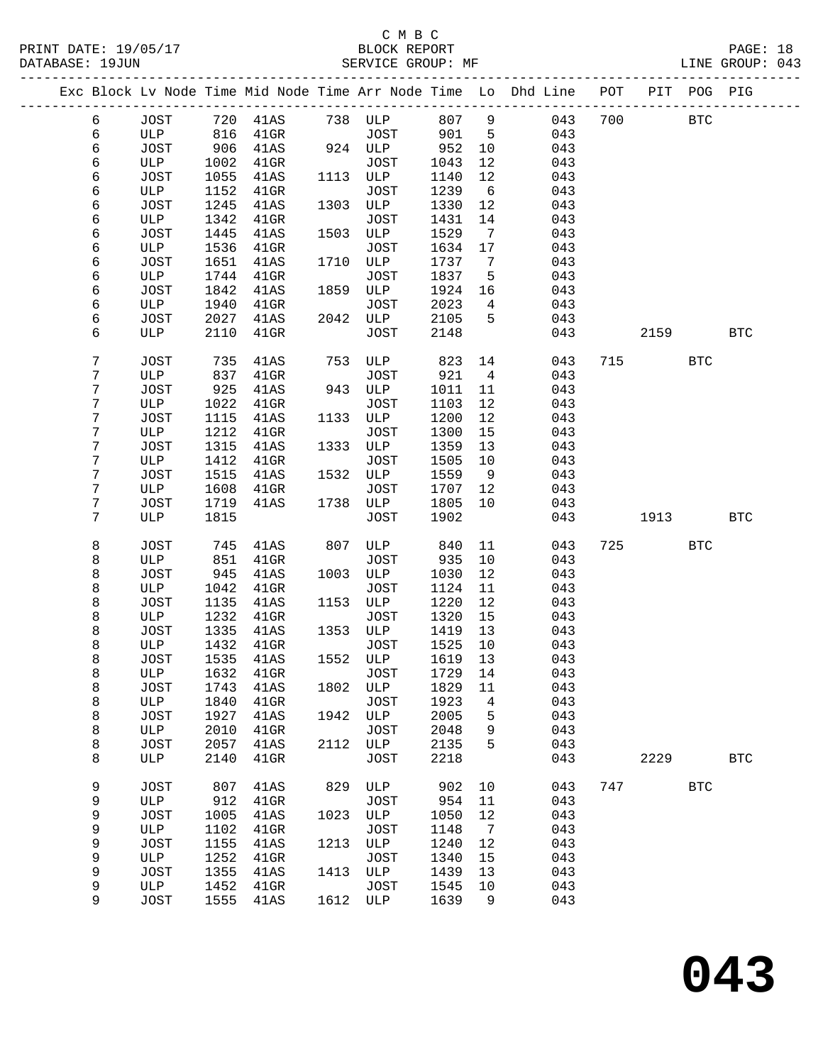PRINT DATE: 19/05/17 BLOCK REPORT<br>DATABASE: 19JUN BATABASE: 19JUN

### C M B C<br>BLOCK REPORT

PAGE: 18<br>LINE GROUP: 043

|                |              |              |                 |      |              |              |                 | Exc Block Lv Node Time Mid Node Time Arr Node Time Lo Dhd Line POT |     |      | PIT POG PIG |              |
|----------------|--------------|--------------|-----------------|------|--------------|--------------|-----------------|--------------------------------------------------------------------|-----|------|-------------|--------------|
| 6              | JOST         | 720          | 41AS            |      | 738 ULP      | 807          | $\overline{9}$  | 043                                                                | 700 |      | <b>BTC</b>  |              |
| 6              | ULP          | 816          | $41$ GR         |      | <b>JOST</b>  | 901          | $5^{\circ}$     | 043                                                                |     |      |             |              |
| 6              | JOST         | 906          | 41AS            |      | 924 ULP      | 952          | 10              | 043                                                                |     |      |             |              |
| 6              | ULP          | 1002         | $41$ GR         |      | JOST         | 1043         | 12              | 043                                                                |     |      |             |              |
| 6              | JOST         | 1055         | 41AS            | 1113 | ULP          | 1140         | 12              | 043                                                                |     |      |             |              |
| 6              | ULP          | 1152         | $41$ GR         |      | JOST         | 1239         | 6               | 043                                                                |     |      |             |              |
| 6              | JOST         | 1245         | 41AS            | 1303 | ULP          | 1330         | 12              | 043                                                                |     |      |             |              |
| 6              | ULP          | 1342         | $41$ GR         |      | JOST         | 1431         | 14              | 043                                                                |     |      |             |              |
| 6              | JOST         | 1445         | 41AS            | 1503 | ULP          | 1529         | $7\phantom{.0}$ | 043                                                                |     |      |             |              |
| 6              | ULP          | 1536         | $41$ GR         |      | JOST         | 1634         | 17              | 043                                                                |     |      |             |              |
| 6              | JOST         | 1651         | 41AS            | 1710 | ULP          | 1737         | 7               | 043                                                                |     |      |             |              |
| 6              | ULP          | 1744         | $41$ GR         | 1859 | JOST<br>ULP  | 1837         | 5               | 043                                                                |     |      |             |              |
| 6<br>6         | JOST<br>ULP  | 1842<br>1940 | 41AS<br>$41$ GR |      | JOST         | 1924<br>2023 | 16<br>4         | 043<br>043                                                         |     |      |             |              |
| 6              | JOST         | 2027         | 41AS            | 2042 | ULP          | 2105         | 5               | 043                                                                |     |      |             |              |
| 6              | ULP          | 2110         | 41GR            |      | <b>JOST</b>  | 2148         |                 | 043                                                                |     | 2159 |             | <b>BTC</b>   |
|                |              |              |                 |      |              |              |                 |                                                                    |     |      |             |              |
| 7              | JOST         | 735          | 41AS            | 753  | ULP          | 823          | 14              | 043                                                                | 715 |      | <b>BTC</b>  |              |
| 7              | ULP          | 837          | $41$ GR         |      | JOST         | 921          | $\overline{4}$  | 043                                                                |     |      |             |              |
| 7              | JOST         | 925          | 41AS            | 943  | ULP          | 1011         | 11              | 043                                                                |     |      |             |              |
| 7              | ULP          | 1022         | $41$ GR         |      | <b>JOST</b>  | 1103         | 12              | 043                                                                |     |      |             |              |
| 7              | JOST         | 1115         | 41AS            | 1133 | ULP          | 1200         | 12              | 043                                                                |     |      |             |              |
| 7              | ULP          | 1212         | $41$ GR         |      | JOST         | 1300         | 15              | 043                                                                |     |      |             |              |
| 7              | JOST         | 1315         | 41AS            | 1333 | ULP          | 1359         | 13              | 043                                                                |     |      |             |              |
| 7              | ULP          | 1412         | $41$ GR         |      | JOST         | 1505         | 10              | 043                                                                |     |      |             |              |
| 7              | JOST         | 1515         | 41AS            | 1532 | ULP          | 1559         | 9               | 043                                                                |     |      |             |              |
| 7<br>7         | ULP<br>JOST  | 1608         | $41$ GR         | 1738 | JOST<br>ULP  | 1707         | 12<br>10        | 043                                                                |     |      |             |              |
| $7\phantom{.}$ | ULP          | 1719<br>1815 | 41AS            |      | JOST         | 1805<br>1902 |                 | 043<br>043                                                         |     | 1913 |             | <b>BTC</b>   |
|                |              |              |                 |      |              |              |                 |                                                                    |     |      |             |              |
| 8              | <b>JOST</b>  | 745          | 41AS            | 807  | ULP          | 840          | 11              | 043                                                                | 725 |      | <b>BTC</b>  |              |
| 8              | ULP          | 851          | $41$ GR         |      | JOST         | 935          | 10              | 043                                                                |     |      |             |              |
| 8              | JOST         | 945          | 41AS            | 1003 | ULP          | 1030         | 12              | 043                                                                |     |      |             |              |
| 8              | ULP          | 1042         | $41$ GR         |      | JOST         | 1124         | 11              | 043                                                                |     |      |             |              |
| 8              | JOST         | 1135         | 41AS            | 1153 | ULP          | 1220         | 12              | 043                                                                |     |      |             |              |
| 8<br>8         | ULP<br>JOST  | 1232<br>1335 | $41$ GR<br>41AS | 1353 | JOST<br>ULP  | 1320<br>1419 | 15<br>13        | 043<br>043                                                         |     |      |             |              |
| 8              | ULP          | 1432         | $41$ GR         |      | JOST         | 1525         | 10              | 043                                                                |     |      |             |              |
| 8              | JOST         | 1535         | 41AS            |      | 1552 ULP     | 1619 13      |                 | 043                                                                |     |      |             |              |
| 8              | ULP          | 1632         | 41GR            |      | JOST         | 1729         | 14              | 043                                                                |     |      |             |              |
| 8              | <b>JOST</b>  | 1743         | 41AS            | 1802 | ULP          | 1829         | 11              | 043                                                                |     |      |             |              |
| 8              | $_{\rm ULP}$ | 1840         | $41$ GR         |      | <b>JOST</b>  | 1923         | 4               | 043                                                                |     |      |             |              |
| 8              | JOST         | 1927         | 41AS            | 1942 | ULP          | 2005         | 5               | 043                                                                |     |      |             |              |
| 8              | ULP          | 2010         | $41$ GR         |      | JOST         | 2048         | 9               | 043                                                                |     |      |             |              |
| 8              | JOST         | 2057         | 41AS            | 2112 | ULP          | 2135         | 5               | 043                                                                |     |      |             |              |
| 8              | ULP          | 2140         | $41$ GR         |      | <b>JOST</b>  | 2218         |                 | 043                                                                |     | 2229 |             | $_{\rm BTC}$ |
| 9              | <b>JOST</b>  | 807          | 41AS            | 829  | ULP          | 902          | 10              | 043                                                                | 747 |      | <b>BTC</b>  |              |
| 9              | ULP          | 912          | $41$ GR         |      | <b>JOST</b>  | 954          | 11              | 043                                                                |     |      |             |              |
| 9              | JOST         | 1005         | 41AS            | 1023 | ULP          | 1050         | 12              | 043                                                                |     |      |             |              |
| 9              | ULP          | 1102         | $41$ GR         |      | JOST         | 1148         | 7               | 043                                                                |     |      |             |              |
| 9              | JOST         | 1155         | 41AS            | 1213 | ULP          | 1240         | 12              | 043                                                                |     |      |             |              |
| 9              | ULP          | 1252         | $41$ GR         |      | <b>JOST</b>  | 1340         | 15              | 043                                                                |     |      |             |              |
| 9              | JOST         | 1355         | 41AS            | 1413 | $_{\rm ULP}$ | 1439         | 13              | 043                                                                |     |      |             |              |
| 9              | ULP          | 1452         | $41$ GR         |      | <b>JOST</b>  | 1545         | 10              | 043                                                                |     |      |             |              |
| 9              | JOST         | 1555         | 41AS            | 1612 | ULP          | 1639         | 9               | 043                                                                |     |      |             |              |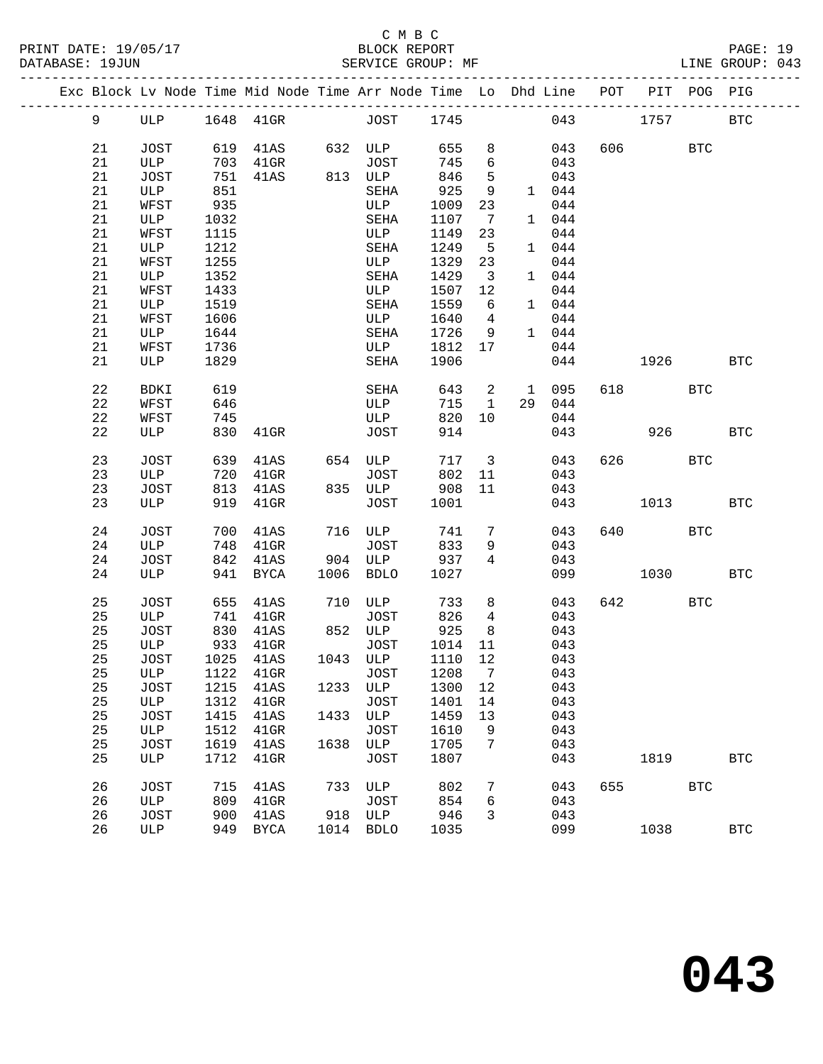|  |    |      |      | Exc Block Lv Node Time Mid Node Time Arr Node Time Lo Dhd Line POT |      |             |         |                         |    |         |     | PIT     | POG PIG    |            |
|--|----|------|------|--------------------------------------------------------------------|------|-------------|---------|-------------------------|----|---------|-----|---------|------------|------------|
|  | 9  | ULP  |      |                                                                    |      |             |         |                         |    | 043     |     | 1757    |            | <b>BTC</b> |
|  | 21 | JOST |      | 619 41AS                                                           |      | 632 ULP     | 655     | 8                       |    | 043     |     | 606 700 | <b>BTC</b> |            |
|  | 21 | ULP  | 703  | $41$ GR                                                            |      | JOST        | 745     | 6                       |    | 043     |     |         |            |            |
|  | 21 | JOST | 751  | 41AS                                                               |      | 813 ULP     | 846     | 5                       |    | 043     |     |         |            |            |
|  | 21 | ULP  | 851  |                                                                    |      | SEHA        | 925     | 9                       |    | 1 044   |     |         |            |            |
|  | 21 | WFST | 935  |                                                                    |      | ULP         | 1009    | 23                      |    | 044     |     |         |            |            |
|  | 21 | ULP  | 1032 |                                                                    |      | SEHA        | 1107    | $\overline{7}$          |    | 1 044   |     |         |            |            |
|  | 21 | WFST | 1115 |                                                                    |      | ULP         | 1149    | 23                      |    | 044     |     |         |            |            |
|  | 21 | ULP  | 1212 |                                                                    |      | SEHA        | 1249    | $5^{\circ}$             |    | 1 044   |     |         |            |            |
|  | 21 | WFST | 1255 |                                                                    |      | ULP         | 1329    | 23                      |    | 044     |     |         |            |            |
|  | 21 | ULP  | 1352 |                                                                    |      | SEHA        | 1429    | $\overline{\mathbf{3}}$ |    | 1 044   |     |         |            |            |
|  | 21 | WFST | 1433 |                                                                    |      | ULP         | 1507    | 12                      |    | 044     |     |         |            |            |
|  | 21 | ULP  | 1519 |                                                                    |      | SEHA        | 1559    | 6                       |    | 1 044   |     |         |            |            |
|  | 21 | WFST | 1606 |                                                                    |      | ULP         | 1640    | $\overline{4}$          |    | 044     |     |         |            |            |
|  | 21 | ULP  | 1644 |                                                                    |      | SEHA        | 1726    | - 9                     |    | 1 044   |     |         |            |            |
|  | 21 | WFST | 1736 |                                                                    |      | ULP         | 1812    | 17                      |    | 044     |     |         |            |            |
|  | 21 | ULP  | 1829 |                                                                    |      | SEHA        | 1906    |                         |    | 044     |     | 1926    |            | BTC        |
|  |    |      |      |                                                                    |      |             |         |                         |    |         |     |         |            |            |
|  | 22 | BDKI | 619  |                                                                    |      | SEHA        | 643     |                         |    | 2 1 095 | 618 |         | <b>BTC</b> |            |
|  | 22 | WFST | 646  |                                                                    |      | ULP         | 715     | $\mathbf{1}$            | 29 | 044     |     |         |            |            |
|  | 22 | WFST | 745  |                                                                    |      | ULP         | 820     | 10                      |    | 044     |     |         |            |            |
|  | 22 | ULP  | 830  | 41GR                                                               |      | JOST        | 914     |                         |    | 043     |     | 926     |            | <b>BTC</b> |
|  |    |      |      |                                                                    |      |             |         |                         |    |         |     |         |            |            |
|  | 23 | JOST | 639  | 41AS                                                               |      | 654 ULP     | 717     | $\overline{\mathbf{3}}$ |    | 043     |     | 626 70  | <b>BTC</b> |            |
|  | 23 | ULP  | 720  | $41$ GR                                                            |      | JOST        | 802     | 11                      |    | 043     |     |         |            |            |
|  | 23 | JOST | 813  | 41AS                                                               |      | 835 ULP     | 908     | 11                      |    | 043     |     |         |            |            |
|  | 23 | ULP  | 919  | $41$ GR                                                            |      | JOST        | 1001    |                         |    | 043     |     | 1013    |            | <b>BTC</b> |
|  |    |      |      |                                                                    |      |             |         |                         |    |         |     |         |            |            |
|  | 24 | JOST | 700  | 41AS                                                               |      | 716 ULP     | 741     | 7                       |    | 043     | 640 |         | <b>BTC</b> |            |
|  | 24 | ULP  | 748  | $41$ GR                                                            |      | JOST        | 833     | 9                       |    | 043     |     |         |            |            |
|  | 24 | JOST | 842  | 41AS                                                               |      | 904 ULP     | 937     | 4                       |    | 043     |     |         |            |            |
|  | 24 | ULP  |      | 941 BYCA                                                           |      | 1006 BDLO   | 1027    |                         |    | 099     |     | 1030    |            | <b>BTC</b> |
|  | 25 | JOST | 655  | 41AS                                                               |      | 710 ULP     | 733     | 8                       |    | 043     |     | 642     | <b>BTC</b> |            |
|  | 25 | ULP  | 741  | $41$ GR                                                            |      | JOST        | 826     | $4\overline{ }$         |    | 043     |     |         |            |            |
|  | 25 | JOST | 830  | 41AS                                                               |      | 852 ULP     | 925     | 8 <sup>8</sup>          |    | 043     |     |         |            |            |
|  | 25 | ULP  | 933  | $41$ GR                                                            |      | JOST        | 1014    | 11                      |    | 043     |     |         |            |            |
|  | 25 | JOST | 1025 | 41AS                                                               |      | 1043 ULP    | 1110    | 12                      |    | 043     |     |         |            |            |
|  |    |      |      | 25 ULP 1122 41GR JOST 1208 7                                       |      |             |         |                         |    | 043     |     |         |            |            |
|  | 25 | JOST | 1215 | 41AS                                                               |      | 1233 ULP    | 1300 12 |                         |    | 043     |     |         |            |            |
|  | 25 | ULP  | 1312 | $41$ GR                                                            |      | JOST        | 1401    | 14                      |    | 043     |     |         |            |            |
|  | 25 | JOST | 1415 | 41AS                                                               | 1433 | ULP         | 1459    | 13                      |    | 043     |     |         |            |            |
|  | 25 | ULP  | 1512 | 41GR                                                               |      | <b>JOST</b> | 1610    | 9                       |    | 043     |     |         |            |            |
|  | 25 | JOST | 1619 | 41AS                                                               | 1638 | ULP         | 1705    | 7                       |    | 043     |     |         |            |            |
|  | 25 | ULP  | 1712 | $41$ GR                                                            |      | <b>JOST</b> | 1807    |                         |    | 043     |     | 1819    |            | <b>BTC</b> |
|  |    |      |      |                                                                    |      |             |         |                         |    |         |     |         |            |            |
|  | 26 | JOST | 715  | 41AS                                                               | 733  | ULP         | 802     | 7                       |    | 043     | 655 |         | <b>BTC</b> |            |
|  | 26 | ULP  | 809  | $41$ GR                                                            |      | <b>JOST</b> | 854     | 6                       |    | 043     |     |         |            |            |
|  | 26 | JOST | 900  | 41AS                                                               | 918  | ULP         | 946     | 3                       |    | 043     |     |         |            |            |
|  | 26 | ULP  | 949  | BYCA                                                               |      | 1014 BDLO   | 1035    |                         |    | 099     |     | 1038    |            | <b>BTC</b> |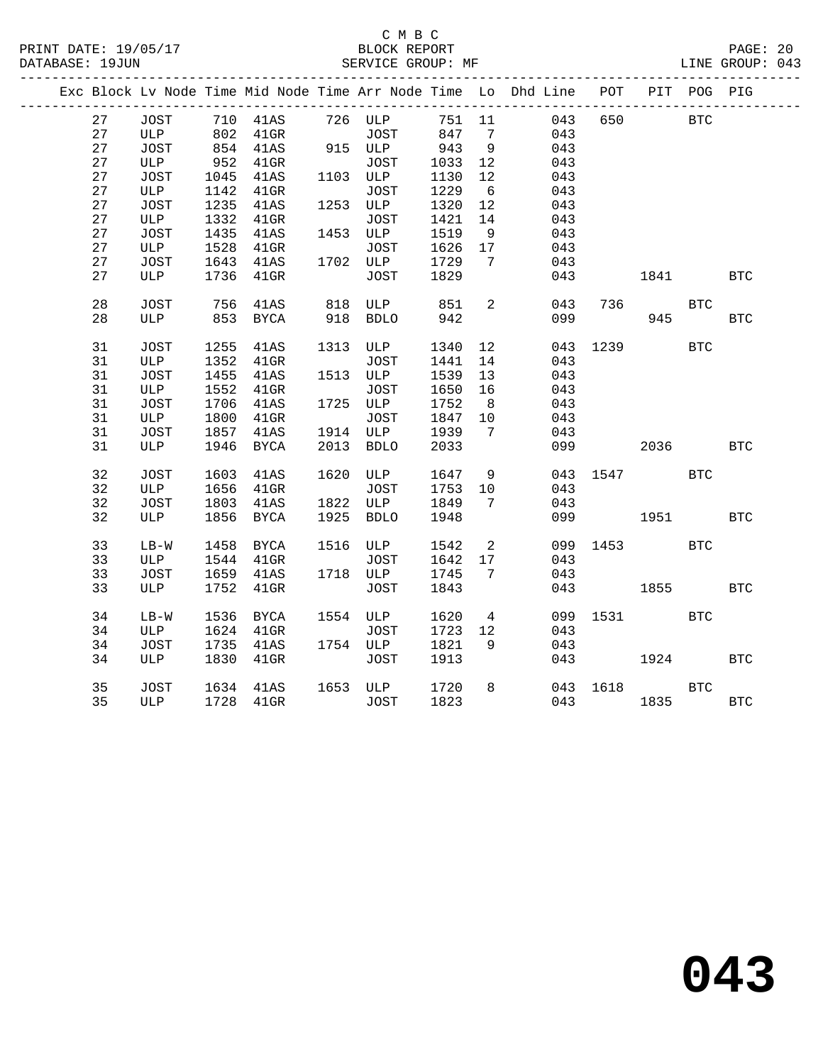|    |        |      |                                   |                                       |        |                 | Exc Block Lv Node Time Mid Node Time Arr Node Time Lo Dhd Line POT PIT POG PIG |          |            |            |            |
|----|--------|------|-----------------------------------|---------------------------------------|--------|-----------------|--------------------------------------------------------------------------------|----------|------------|------------|------------|
| 27 | JOST   |      | 710 41AS 726 ULP                  |                                       | 751 11 |                 | 043                                                                            | 650      | <b>BTC</b> |            |            |
| 27 | ULP    |      |                                   | JOST                                  | 847    | 7               | 043                                                                            |          |            |            |            |
| 27 | JOST   |      | 802 41GR JOST<br>854 41AS 915 ULP |                                       | 943    | 9               | 043                                                                            |          |            |            |            |
| 27 | ULP    |      | 952 41GR                          | <b>JOST</b>                           | 1033   | 12              | 043                                                                            |          |            |            |            |
| 27 | JOST   | 1045 | 41AS                              | 1103 ULP                              | 1130   | 12              | 043                                                                            |          |            |            |            |
| 27 | ULP    | 1142 | $41$ GR                           | JOST                                  | 1229   | $6\overline{6}$ | 043                                                                            |          |            |            |            |
| 27 | JOST   | 1235 | 41AS                              | 1253 ULP                              | 1320   | 12              | 043                                                                            |          |            |            |            |
| 27 | ULP    | 1332 | $41$ GR                           | JOST                                  | 1421   | 14              | 043                                                                            |          |            |            |            |
| 27 | JOST   | 1435 | 41AS                              | 1453 ULP                              | 1519   | 9               | 043                                                                            |          |            |            |            |
| 27 | ULP    | 1528 | $41$ GR                           | JOST                                  | 1626   | 17              | 043                                                                            |          |            |            |            |
| 27 | JOST   | 1643 | 41AS                              |                                       |        | 7               | 043                                                                            |          |            |            |            |
| 27 | ULP    |      | 1736 41GR                         | 1702 ULP $\frac{1}{122}$<br>TOST 1829 |        |                 | 043                                                                            |          | 1841       |            | BTC        |
| 28 | JOST   | 756  | 41AS                              | 818 ULP                               | 851    | 2               | 043                                                                            | 736      |            | <b>BTC</b> |            |
| 28 | ULP    |      | 853 BYCA                          | 918 BDLO                              | 942    |                 |                                                                                | 099      | 945        |            | <b>BTC</b> |
| 31 | JOST   | 1255 | 41AS                              | 1313 ULP                              | 1340   | 12              |                                                                                | 043 1239 |            | <b>BTC</b> |            |
| 31 | ULP    | 1352 | $41$ GR                           | JOST                                  | 1441   | 14              | 043                                                                            |          |            |            |            |
| 31 | JOST   | 1455 | 41AS                              | 1513 ULP                              | 1539   | 13              | 043                                                                            |          |            |            |            |
| 31 | ULP    | 1552 | $41$ GR                           | JOST                                  | 1650   | 16              | 043                                                                            |          |            |            |            |
| 31 | JOST   | 1706 | 41AS                              | 1725 ULP                              | 1752   | 8 <sup>8</sup>  | 043                                                                            |          |            |            |            |
| 31 | ULP    | 1800 | $41$ GR                           | JOST                                  | 1847   | 10              | 043                                                                            |          |            |            |            |
| 31 | JOST   |      | 1857 41AS                         | 1914 ULP                              | 1939   | $\overline{7}$  | 043                                                                            |          |            |            |            |
| 31 | ULP    |      | 1946 BYCA                         | 2013 BDLO                             | 2033   |                 | 099                                                                            |          | 2036       |            | <b>BTC</b> |
| 32 | JOST   | 1603 | 41AS                              | 1620 ULP                              | 1647   | 9               |                                                                                | 043 1547 |            | <b>BTC</b> |            |
| 32 | ULP    | 1656 | $41$ GR                           | JOST                                  | 1753   | 10              | 043                                                                            |          |            |            |            |
| 32 | JOST   | 1803 | 41AS                              | 1822 ULP                              | 1849   | $7\overline{ }$ | 043                                                                            |          |            |            |            |
| 32 | ULP    |      | 1856 BYCA                         | 1925 BDLO                             | 1948   |                 |                                                                                | 099 1951 |            |            | BTC        |
| 33 | $LB-W$ | 1458 | BYCA                              | 1516 ULP                              | 1542   | $\overline{2}$  |                                                                                | 099 1453 |            | <b>BTC</b> |            |
| 33 | ULP    | 1544 | $41$ GR                           | JOST                                  | 1642   | 17              | 043                                                                            |          |            |            |            |
| 33 | JOST   | 1659 | 41AS                              | 1718 ULP                              | 1745   | $7\phantom{.0}$ | 043                                                                            |          |            |            |            |
| 33 | ULP    | 1752 | $41$ GR                           | JOST                                  | 1843   |                 | 043                                                                            |          | 1855       |            | <b>BTC</b> |
| 34 | $LB-W$ | 1536 | BYCA                              | 1554 ULP                              | 1620   | $\overline{4}$  |                                                                                | 099 1531 |            | <b>BTC</b> |            |
| 34 | ULP    | 1624 | $41$ GR                           | JOST                                  | 1723   | 12              | 043                                                                            |          |            |            |            |
| 34 | JOST   | 1735 | 41AS                              | 1754 ULP                              | 1821   | 9               | 043                                                                            |          |            |            |            |
| 34 | ULP    | 1830 | $41$ GR                           | JOST                                  | 1913   |                 |                                                                                | 043      | 1924       |            | <b>BTC</b> |
| 35 | JOST   |      | 1634 41AS                         | 1653 ULP                              | 1720   | 8               |                                                                                | 043 1618 |            | <b>BTC</b> |            |
| 35 | ULP    |      | 1728 41GR                         | JOST                                  | 1823   |                 |                                                                                | 043 1835 |            |            | <b>BTC</b> |
|    |        |      |                                   |                                       |        |                 |                                                                                |          |            |            |            |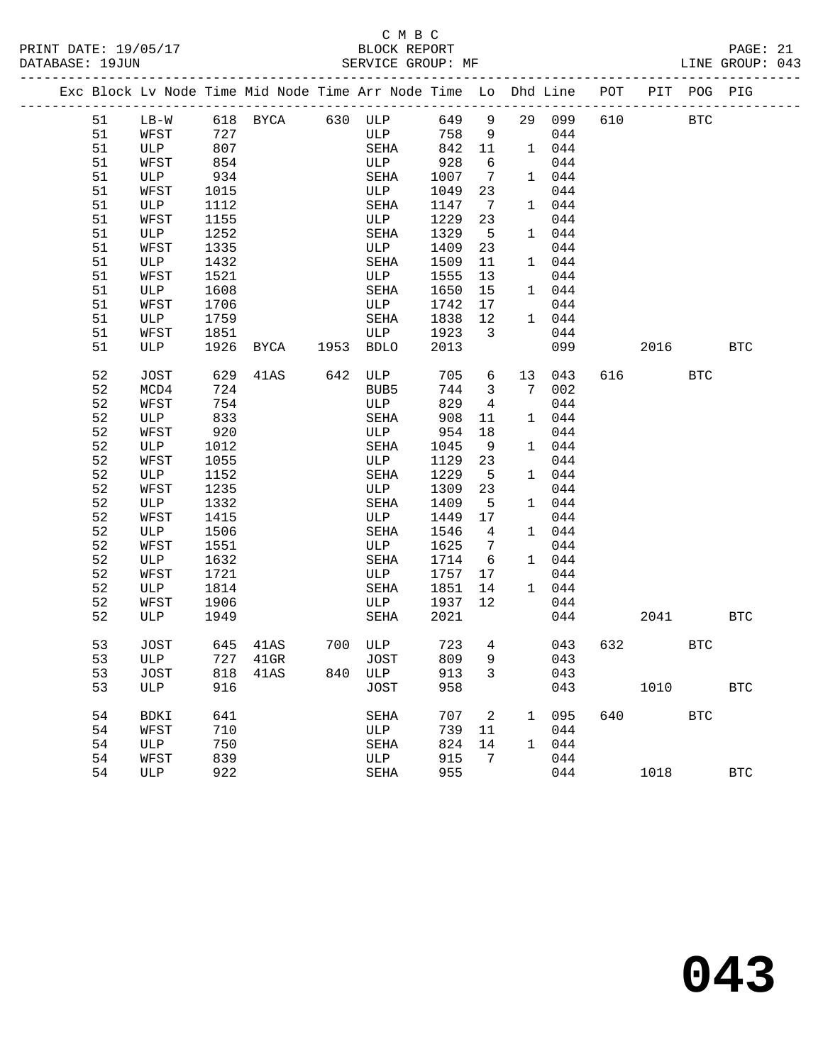#### C M B C<br>BLOCK REPORT PRINT DATE: 19/05/17 BLOCK REPORT PAGE: 21 SERVICE GROUP: MF

|  |    |      |      | Exc Block Lv Node Time Mid Node Time Arr Node Time Lo Dhd Line POT PIT POG PIG |         |        |                         |              |        |     |                |            |              |
|--|----|------|------|--------------------------------------------------------------------------------|---------|--------|-------------------------|--------------|--------|-----|----------------|------------|--------------|
|  | 51 |      |      | LB-W 618 BYCA 630 ULP                                                          |         | 649 9  |                         |              | 29 099 | 610 | <b>BTC</b>     |            |              |
|  | 51 | WFST | 727  |                                                                                | ULP     | 758    | 9                       |              | 044    |     |                |            |              |
|  | 51 | ULP  | 807  |                                                                                | SEHA    | 842 11 |                         |              | 1 044  |     |                |            |              |
|  | 51 | WFST | 854  |                                                                                | ULP     | 928    | 6                       |              | 044    |     |                |            |              |
|  | 51 | ULP  | 934  |                                                                                | SEHA    | 1007   | $\overline{7}$          |              | 1 044  |     |                |            |              |
|  | 51 | WFST | 1015 |                                                                                | ULP     | 1049   | 23                      |              | 044    |     |                |            |              |
|  | 51 | ULP  | 1112 |                                                                                | SEHA    | 1147   | $\overline{7}$          |              | 1 044  |     |                |            |              |
|  | 51 | WFST | 1155 |                                                                                | ULP     | 1229   | 23                      |              | 044    |     |                |            |              |
|  | 51 | ULP  | 1252 |                                                                                | SEHA    | 1329   | $5^{\circ}$             |              | 1 044  |     |                |            |              |
|  | 51 | WFST | 1335 |                                                                                | ULP     | 1409   | 23                      |              | 044    |     |                |            |              |
|  | 51 | ULP  | 1432 |                                                                                | SEHA    | 1509   | 11                      |              | 1 044  |     |                |            |              |
|  | 51 | WFST | 1521 |                                                                                | ULP     | 1555   | 13                      |              | 044    |     |                |            |              |
|  | 51 | ULP  | 1608 |                                                                                | SEHA    | 1650   | 15                      |              | 1 044  |     |                |            |              |
|  | 51 | WFST | 1706 |                                                                                | ULP     | 1742   | 17                      |              | 044    |     |                |            |              |
|  | 51 | ULP  | 1759 |                                                                                | SEHA    | 1838   | 12                      |              | 1 044  |     |                |            |              |
|  | 51 | WFST | 1851 |                                                                                | ULP     | 1923   | $\overline{\mathbf{3}}$ |              | 044    |     |                |            |              |
|  | 51 | ULP  | 1926 | BYCA 1953 BDLO                                                                 |         | 2013   |                         |              | 099    |     | 2016           |            | $_{\rm BTC}$ |
|  | 52 | JOST | 629  | 41AS                                                                           | 642 ULP | 705    | 6                       | 13           | 043    |     | 616 70         | <b>BTC</b> |              |
|  | 52 | MCD4 | 724  |                                                                                | BUB5    | 744    | $\overline{\mathbf{3}}$ | 7            | 002    |     |                |            |              |
|  | 52 | WFST | 754  |                                                                                | ULP     | 829    | $\overline{4}$          |              | 044    |     |                |            |              |
|  | 52 | ULP  | 833  |                                                                                | SEHA    | 908    | 11                      |              | 1 044  |     |                |            |              |
|  | 52 | WFST | 920  |                                                                                | ULP     | 954    | 18                      |              | 044    |     |                |            |              |
|  | 52 | ULP  | 1012 |                                                                                | SEHA    | 1045   | - 9                     |              | 1 044  |     |                |            |              |
|  | 52 | WFST | 1055 |                                                                                | ULP     | 1129   | 23                      |              | 044    |     |                |            |              |
|  | 52 | ULP  | 1152 |                                                                                | SEHA    | 1229   | $5^{\circ}$             |              | 1 044  |     |                |            |              |
|  | 52 | WFST | 1235 |                                                                                | ULP     | 1309   | 23                      |              | 044    |     |                |            |              |
|  | 52 | ULP  | 1332 |                                                                                | SEHA    | 1409   | $-5$                    |              | 1 044  |     |                |            |              |
|  | 52 | WFST | 1415 |                                                                                | ULP     | 1449   | 17                      |              | 044    |     |                |            |              |
|  | 52 | ULP  | 1506 |                                                                                | SEHA    | 1546   | $\overline{4}$          |              | 1 044  |     |                |            |              |
|  | 52 | WFST | 1551 |                                                                                | ULP     | 1625   | 7                       |              | 044    |     |                |            |              |
|  | 52 | ULP  | 1632 |                                                                                | SEHA    | 1714   | 6                       |              | 1 044  |     |                |            |              |
|  | 52 | WFST | 1721 |                                                                                | ULP     | 1757   | 17                      |              | 044    |     |                |            |              |
|  | 52 | ULP  | 1814 |                                                                                | SEHA    | 1851   | 14                      |              | 1 044  |     |                |            |              |
|  | 52 | WFST | 1906 |                                                                                | ULP     | 1937   | 12                      |              | 044    |     |                |            |              |
|  | 52 | ULP  | 1949 |                                                                                | SEHA    | 2021   |                         |              | 044    |     | 2041           |            | <b>BTC</b>   |
|  | 53 | JOST |      | 645 41AS                                                                       | 700 ULP | 723    | $\overline{4}$          |              | 043    |     | 632 and $\sim$ | <b>BTC</b> |              |
|  | 53 | ULP  |      | 727 41GR                                                                       | JOST    | 809    | 9                       |              | 043    |     |                |            |              |
|  | 53 | JOST |      | 818 41AS                                                                       | 840 ULP | 913 3  |                         |              | 043    |     |                |            |              |
|  | 53 | ULP  | 916  |                                                                                | JOST    | 958    |                         |              | 043    |     | 1010           |            | <b>BTC</b>   |
|  | 54 | BDKI | 641  |                                                                                | SEHA    | 707    | 2                       | $\mathbf{1}$ | 095    | 640 |                | <b>BTC</b> |              |
|  | 54 | WFST | 710  |                                                                                | ULP     | 739    | 11                      |              | 044    |     |                |            |              |
|  | 54 | ULP  | 750  |                                                                                | SEHA    | 824    | 14                      | 1            | 044    |     |                |            |              |
|  | 54 | WFST | 839  |                                                                                | ULP     | 915    | 7                       |              | 044    |     |                |            |              |
|  | 54 | ULP  | 922  |                                                                                | SEHA    | 955    |                         |              | 044    |     | 1018           |            | $_{\rm BTC}$ |
|  |    |      |      |                                                                                |         |        |                         |              |        |     |                |            |              |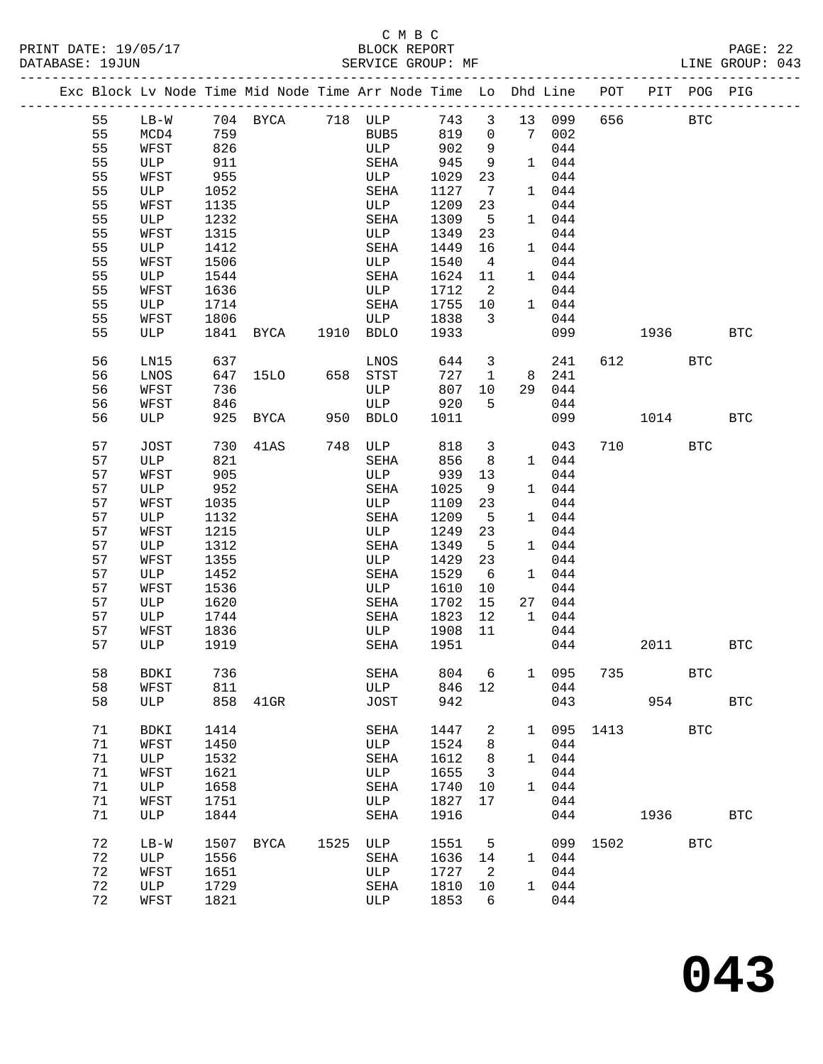#### C M B C<br>BLOCK REPORT PRINT DATE: 19/05/17 BLOCK REPORT PAGE: 22 SERVICE GROUP: MF

|  |          |                     |              | Exc Block Lv Node Time Mid Node Time Arr Node Time Lo Dhd Line POT |                  |              |                              |              |              |     |          | PIT POG PIG  |            |
|--|----------|---------------------|--------------|--------------------------------------------------------------------|------------------|--------------|------------------------------|--------------|--------------|-----|----------|--------------|------------|
|  | 55       | $LB-W$              |              | 704 BYCA 718 ULP                                                   |                  | 743 3        |                              |              | 13 099       | 656 |          | BTC          |            |
|  | 55       | MCD4                | 759          |                                                                    | BUB5             | 819          | $\overline{0}$               | 7 002        |              |     |          |              |            |
|  | 55       | WFST                | 826          |                                                                    | ULP              | 902          | 9                            |              | 044          |     |          |              |            |
|  | 55       | ULP                 | 911          |                                                                    | SEHA             | 945          | 9                            |              | 1 044        |     |          |              |            |
|  | 55       | WFST                | 955          |                                                                    | ULP              | 1029         | 23                           |              | 044          |     |          |              |            |
|  | 55       | ULP                 | 1052         |                                                                    | SEHA             | 1127         | $7\phantom{.0}\phantom{.0}7$ |              | 1 044        |     |          |              |            |
|  | 55       | WFST                | 1135         |                                                                    | ULP              | 1209         | 23                           |              | 044          |     |          |              |            |
|  | 55       | ULP                 | 1232         |                                                                    | SEHA             | 1309         | $-5$                         |              | 1 044        |     |          |              |            |
|  | 55       | WFST                | 1315         |                                                                    | ULP              | 1349         | 23                           |              | 044          |     |          |              |            |
|  | 55       | ULP                 | 1412         |                                                                    | SEHA             | 1449         | 16                           |              | 1 044        |     |          |              |            |
|  | 55       | WFST                | 1506         |                                                                    | ULP              | 1540         | $\overline{4}$               |              | 044          |     |          |              |            |
|  | 55       | ULP                 | 1544         |                                                                    | SEHA             | 1624         | 11                           |              | 1 044        |     |          |              |            |
|  | 55       | WFST                | 1636         |                                                                    | ULP              | 1712         | $\overline{\phantom{0}}^2$   |              | 044          |     |          |              |            |
|  | 55       | ULP                 | 1714         |                                                                    | SEHA             | 1755         | 10                           |              | 1 044        |     |          |              |            |
|  | 55       | WFST                | 1806         |                                                                    | ULP              | 1838         | $\overline{3}$               |              | 044          |     |          |              |            |
|  | 55       | ULP                 | 1841         | BYCA 1910 BDLO                                                     |                  | 1933         |                              |              | 099          |     | 1936     |              | <b>BTC</b> |
|  |          |                     |              |                                                                    |                  |              |                              |              |              |     |          |              |            |
|  | 56       | LN15                | 637          |                                                                    | LNOS             | 644          | $\overline{\mathbf{3}}$      |              | 241          | 612 |          | <b>BTC</b>   |            |
|  | 56       | LNOS                | 647          | 15LO 658 STST                                                      |                  | 727          | $\mathbf{1}$                 |              | 8 241        |     |          |              |            |
|  | 56       | WFST                | 736          |                                                                    | ULP              | 807          | 10                           | 29           | 044          |     |          |              |            |
|  | 56       | WFST                | 846          |                                                                    | ULP              | 920          | 5                            |              | 044          |     |          |              |            |
|  | 56       | ULP                 | 925          | BYCA 950 BDLO                                                      |                  | 1011         |                              |              | 099          |     | 1014     |              | BTC        |
|  |          |                     |              |                                                                    |                  |              |                              |              |              |     |          |              |            |
|  | 57       | JOST                | 730          | 41AS                                                               | 748 ULP          | 818          | $\overline{\mathbf{3}}$      |              | 043          |     | 710 — 10 | <b>BTC</b>   |            |
|  | 57       | ULP                 | 821          |                                                                    | SEHA             | 856          | - 8                          |              | 1 044        |     |          |              |            |
|  | 57       | WFST                | 905          |                                                                    | ULP              | 939          | 13                           |              | 044          |     |          |              |            |
|  | 57       | ULP                 | 952          |                                                                    | SEHA             | 1025         | 9                            |              | 1 044        |     |          |              |            |
|  | 57       | WFST                | 1035         |                                                                    | ULP              | 1109         | 23                           |              | 044          |     |          |              |            |
|  | 57       | ULP                 | 1132         |                                                                    | SEHA             | 1209         | $-5$                         |              | 1 044        |     |          |              |            |
|  | 57       | WFST                | 1215         |                                                                    | ULP              | 1249         | 23                           |              | 044          |     |          |              |            |
|  | 57       | ULP                 | 1312         |                                                                    | SEHA             | 1349         | $5^{\circ}$                  |              | 1 044        |     |          |              |            |
|  | 57       | WFST                | 1355         |                                                                    | ULP              | 1429         | 23                           |              | 044          |     |          |              |            |
|  | 57       | ULP                 | 1452         |                                                                    | SEHA             | 1529         | - 6                          |              | 1 044        |     |          |              |            |
|  | 57       | WFST                | 1536         |                                                                    | ULP              | 1610         | 10                           |              | 044          |     |          |              |            |
|  | 57       | ULP                 | 1620         |                                                                    | SEHA             | 1702         | 15                           | 27           | 044          |     |          |              |            |
|  | 57       | ULP                 | 1744         |                                                                    | SEHA             | 1823         | 12                           |              | 1 044        |     |          |              |            |
|  | 57       | WFST                | 1836         |                                                                    | ULP              | 1908         | 11                           |              | 044          |     |          |              |            |
|  | 57       | ULP                 | 1919         |                                                                    | SEHA             | 1951         |                              |              | 044          |     | 2011     |              | <b>BTC</b> |
|  |          |                     |              |                                                                    |                  |              |                              |              |              |     |          |              |            |
|  | 58       | BDKI                | 736          |                                                                    | SEHA 804 6 1 095 |              |                              |              |              |     | 735      | $_{\rm BTC}$ |            |
|  | 58       | WFST                | 811          |                                                                    | ULP              | 846          | 12                           |              | 044          |     |          |              |            |
|  | 58       | ULP                 | 858          | $41$ GR                                                            | JOST             | 942          |                              |              | 043          |     | 954      |              | <b>BTC</b> |
|  |          |                     |              |                                                                    |                  |              |                              |              |              |     |          |              |            |
|  | 71<br>71 | <b>BDKI</b><br>WFST | 1414<br>1450 |                                                                    | SEHA<br>ULP      | 1447<br>1524 | 2                            | $\mathbf{1}$ | 095<br>044   |     | 1413     | <b>BTC</b>   |            |
|  |          |                     |              |                                                                    |                  | 1612         | 8                            |              |              |     |          |              |            |
|  | 71<br>71 | ULP<br>WFST         | 1532<br>1621 |                                                                    | SEHA<br>ULP      | 1655         | 8                            | $\mathbf{1}$ | 044<br>044   |     |          |              |            |
|  | 71       |                     | 1658         |                                                                    |                  |              | 3                            |              |              |     |          |              |            |
|  | 71       | ULP<br>WFST         | 1751         |                                                                    | SEHA<br>ULP      | 1740<br>1827 | 10<br>17                     |              | 1 044<br>044 |     |          |              |            |
|  | 71       | ULP                 | 1844         |                                                                    | SEHA             | 1916         |                              |              | 044          |     | 1936     |              | <b>BTC</b> |
|  |          |                     |              |                                                                    |                  |              |                              |              |              |     |          |              |            |
|  | 72       | $LB-W$              | 1507         | BYCA                                                               | 1525 ULP         | 1551         | $5^{\circ}$                  |              |              |     | 099 1502 | <b>BTC</b>   |            |
|  | 72       | ULP                 | 1556         |                                                                    | SEHA             | 1636         | 14                           |              | 1 044        |     |          |              |            |
|  | 72       | WFST                | 1651         |                                                                    | ULP              | 1727         | 2                            |              | 044          |     |          |              |            |
|  | 72       | ULP                 | 1729         |                                                                    | SEHA             | 1810         | 10                           |              | 1 044        |     |          |              |            |
|  | 72       | WFST                | 1821         |                                                                    | ULP              | 1853         | 6                            |              | 044          |     |          |              |            |
|  |          |                     |              |                                                                    |                  |              |                              |              |              |     |          |              |            |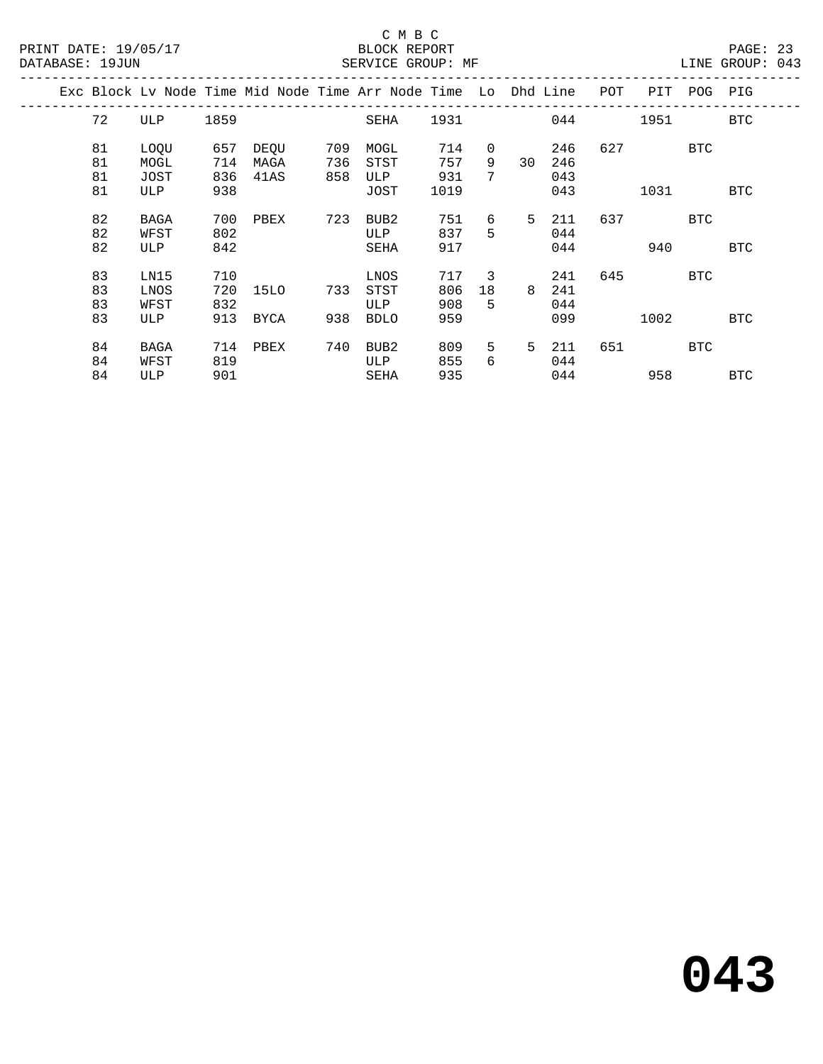|  |                      |                             |                          | Exc Block Lv Node Time Mid Node Time Arr Node Time Lo Dhd Line |            |                                    |                          |              |    |                          | POT | PIT  | POG | PIG        |
|--|----------------------|-----------------------------|--------------------------|----------------------------------------------------------------|------------|------------------------------------|--------------------------|--------------|----|--------------------------|-----|------|-----|------------|
|  | 72                   | ULP                         | 1859                     |                                                                |            | SEHA                               | 1931                     |              |    | 044                      |     | 1951 |     | <b>BTC</b> |
|  | 81<br>81             | LOQU<br>MOGL                | 657<br>714               | DEQU<br>MAGA                                                   | 709<br>736 | MOGL<br>STST                       | 714<br>757               | 0<br>9       | 30 | 246<br>246               | 627 |      | BTC |            |
|  | 81<br>81             | JOST<br>ULP                 | 836<br>938               | 41AS                                                           | 858        | ULP<br>JOST                        | 931<br>1019              | 7            |    | 043<br>043               |     | 1031 |     | <b>BTC</b> |
|  | 82<br>82<br>82       | BAGA<br>WFST<br>ULP         | 700<br>802<br>842        | PBEX                                                           | 723        | BUB2<br>ULP<br>SEHA                | 751<br>837<br>917        | 6<br>5       | 5  | 211<br>044<br>044        | 637 | 940  | BTC | <b>BTC</b> |
|  | 83<br>83<br>83<br>83 | LN15<br>LNOS<br>WFST<br>ULP | 710<br>720<br>832<br>913 | 15LO<br><b>BYCA</b>                                            | 733<br>938 | LNOS<br>STST<br>ULP<br><b>BDLO</b> | 717<br>806<br>908<br>959 | 3<br>18<br>5 | 8  | 241<br>241<br>044<br>099 | 645 | 1002 | BTC | <b>BTC</b> |
|  | 84<br>84<br>84       | BAGA<br>WFST<br>ULP         | 714<br>819<br>901        | PBEX                                                           | 740        | BUB2<br>ULP<br>SEHA                | 809<br>855<br>935        | 5<br>6       | 5  | 211<br>044<br>044        | 651 | 958  | BTC | <b>BTC</b> |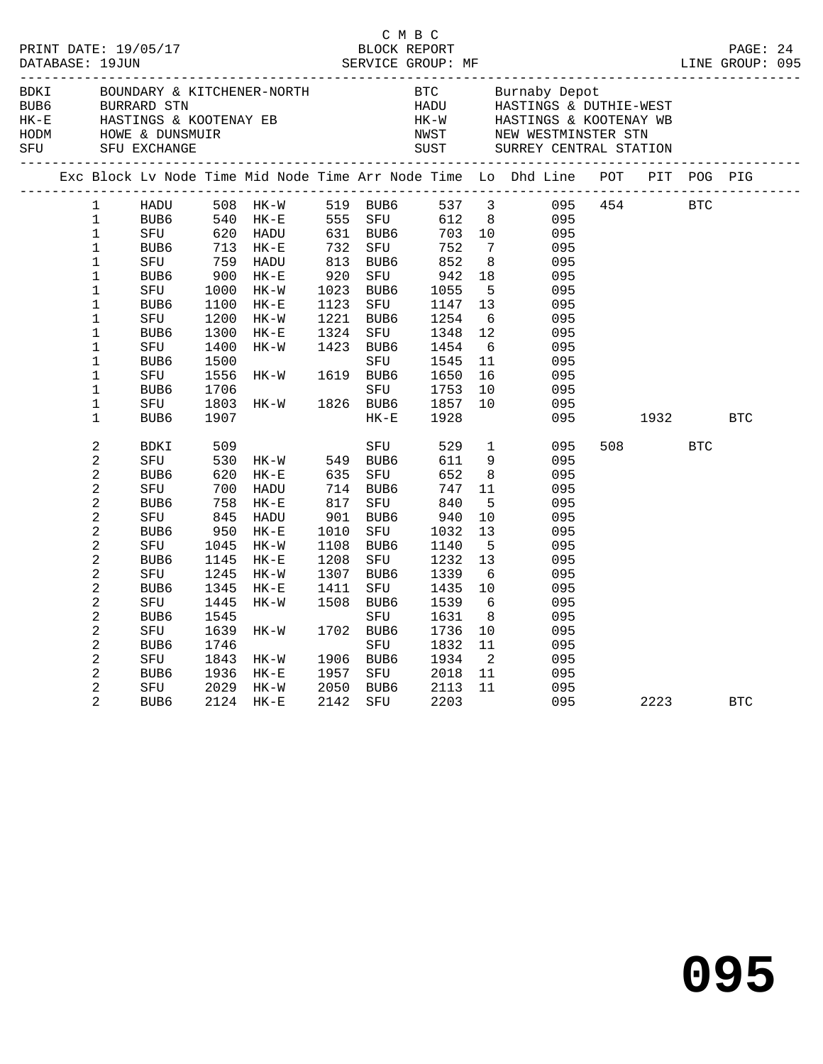| DATABASE: 19JUN |                                                                                                                                                                                                                                                                                          | PRINT DATE: 19/05/17                                                                                                                                                                                                                                        |                                                                                                                                               |                                                                                                                                                                 |                              | C M B C<br>BLOCK REPORT                                                                                                                                                            |                                                                                                                                |                                                                                                                                                               |                                                                                                                                   |             |                |            | PAGE: 24   |  |
|-----------------|------------------------------------------------------------------------------------------------------------------------------------------------------------------------------------------------------------------------------------------------------------------------------------------|-------------------------------------------------------------------------------------------------------------------------------------------------------------------------------------------------------------------------------------------------------------|-----------------------------------------------------------------------------------------------------------------------------------------------|-----------------------------------------------------------------------------------------------------------------------------------------------------------------|------------------------------|------------------------------------------------------------------------------------------------------------------------------------------------------------------------------------|--------------------------------------------------------------------------------------------------------------------------------|---------------------------------------------------------------------------------------------------------------------------------------------------------------|-----------------------------------------------------------------------------------------------------------------------------------|-------------|----------------|------------|------------|--|
| BDKI<br>SFU     |                                                                                                                                                                                                                                                                                          | SFU EXCHANGE                                                                                                                                                                                                                                                |                                                                                                                                               |                                                                                                                                                                 |                              |                                                                                                                                                                                    |                                                                                                                                |                                                                                                                                                               | HE-WARD HASTINGS & BOTHIN WEST<br>HK-WARD HASTINGS & KOOTENAY WB<br>NWST NEW WESTMINSTER STN<br>SUST SURREY CENTRAL STATION       |             |                |            |            |  |
|                 |                                                                                                                                                                                                                                                                                          |                                                                                                                                                                                                                                                             |                                                                                                                                               |                                                                                                                                                                 |                              |                                                                                                                                                                                    |                                                                                                                                |                                                                                                                                                               | Exc Block Lv Node Time Mid Node Time Arr Node Time Lo Dhd Line POT PIT POG PIG                                                    |             |                |            |            |  |
|                 | $\mathbf 1$<br>$\mathbf{1}$<br>$\mathbf{1}$<br>$\mathbf{1}$<br>$\mathbf 1$<br>$\mathbf 1$<br>$\mathbf{1}$<br>$\mathbf 1$<br>$\mathbf{1}$<br>$\mathbf{1}$<br>$\mathbf{1}$<br>$\mathbf 1$<br>$\mathbf 1$<br>$\mathbf 1$<br>$\mathbf{1}$                                                    | HADU<br>HK-<br>620 HADU<br>620 HADU<br>53 HK-E<br>53 HADU<br>80 HK-T<br>759 HADU<br>80 HK-T<br>759 HADU<br>80 HK-T<br>80 HK-T<br>80 HADU<br>80 HK-T<br>80 HADU<br>80 HK-T<br>80 HK-T<br>80 HK-T<br>BUB6<br>SFU<br>BUB6<br>SFU<br>BUB6<br>SFU<br>BUB6<br>SFU | 1100<br>1200<br>1300<br>1400<br>1500<br>1556<br>1706<br>1803                                                                                  | HADU 508 HK-W 519 BUB6 537 3<br>BUB6 540 HK-E 555 SFU 612 8<br>SFU 620 HADU 631 BUB6 703 10<br>HK-E<br>$HK-W$<br>$HK-E$<br>HK-W<br>$HK-W$ 161<br>HK-W 1826 BUB6 | 920                          | 732 SFU 752<br>813 BUB6 852<br>SFU<br>1023 BUB6<br>1123 SFU 1147<br>1221 BUB6 1254<br>1221 ---<br>1324 SFU 1348<br>1423 RUB6 1454<br>SFU<br>1619 BUB6                              | 942<br>942<br>1055<br>1348<br>1545<br>1650<br>SFU 1753<br>1857                                                                 | $7\phantom{0}$<br>8 <sup>8</sup><br>18<br>$5^{\circ}$<br>13<br>6<br>12<br>6<br>11<br>16<br>10<br>10                                                           | 095<br>095<br>095<br>095<br>095<br>095<br>095<br>095<br>095<br>095<br>095<br>095<br>095<br>095                                    | 095 454 BTC |                |            |            |  |
|                 | $\mathbf{1}$<br>$\overline{c}$<br>2<br>$\overline{c}$<br>$\overline{2}$<br>$\overline{a}$<br>$\overline{a}$<br>$\sqrt{2}$<br>2<br>$\overline{c}$<br>2<br>$\overline{c}$<br>2<br>$\overline{c}$<br>$\overline{c}$<br>$\overline{a}$<br>$\overline{a}$<br>$\overline{2}$<br>$\overline{c}$ | BUB6<br>BDKI<br>SFU<br>BUB6<br>SFU<br>BUB6<br>SFU<br>BUB6<br>SFU<br>BUB6<br>SFU<br>BUB6<br>SFU<br>BUB6<br>SFU<br>BUB6<br>SFU<br>BUB6<br>SFU                                                                                                                 | 1907<br>509<br>530<br>620<br>700<br>758<br>845<br>950<br>1045<br>1145<br>1245<br>1345<br>1445<br>1545<br>1639<br>1746<br>1843<br>1936<br>2029 | HK-W 549 BUB6<br>HK-E 635 SFU<br>HADU<br>$HK-E$<br>HADU<br>$HK-E$<br>HK-W<br>$HK-E$<br>HK-W<br>$HK-E$<br>HK-W<br>$HK-W$<br>$HK-W$<br>$HK-E$<br>HK-W             | 1010<br>1208<br>1307<br>1411 | $HK-E$<br>SFU<br>714 BUB6<br>817 SFU<br>901 BUB6<br>SFU<br>1108 BUB6<br>SFU<br>BUB6<br>SFU<br>1508 BUB6<br>SFU<br>1702 BUB6<br>SFU<br>1906 BUB6<br>1957 SFU 2018<br>2050 BUB6 2113 | 1928<br>529<br>611<br>652<br>747<br>840<br>940<br>1032<br>1140<br>1232<br>1339<br>1435<br>1539<br>1631<br>1736<br>1832<br>1934 | $\overline{1}$<br>9<br>8 <sup>8</sup><br>11<br>5<br>10<br>13<br>5<br>13<br>6<br>10<br>6<br>8 <sup>8</sup><br>10<br>11<br>$\overline{\phantom{a}}$<br>11<br>11 | 095<br>095<br>095<br>095<br>095<br>095<br>095<br>095<br>095<br>095<br>095<br>095<br>095<br>095<br>095<br>095<br>095<br>095<br>095 |             | 1932<br>508 30 | <b>BTC</b> | <b>BTC</b> |  |
|                 | $\overline{2}$                                                                                                                                                                                                                                                                           | BUB6                                                                                                                                                                                                                                                        |                                                                                                                                               | 2124 HK-E                                                                                                                                                       | 2142                         | SFU 2203                                                                                                                                                                           |                                                                                                                                |                                                                                                                                                               |                                                                                                                                   |             |                | 2223       | <b>BTC</b> |  |

**095**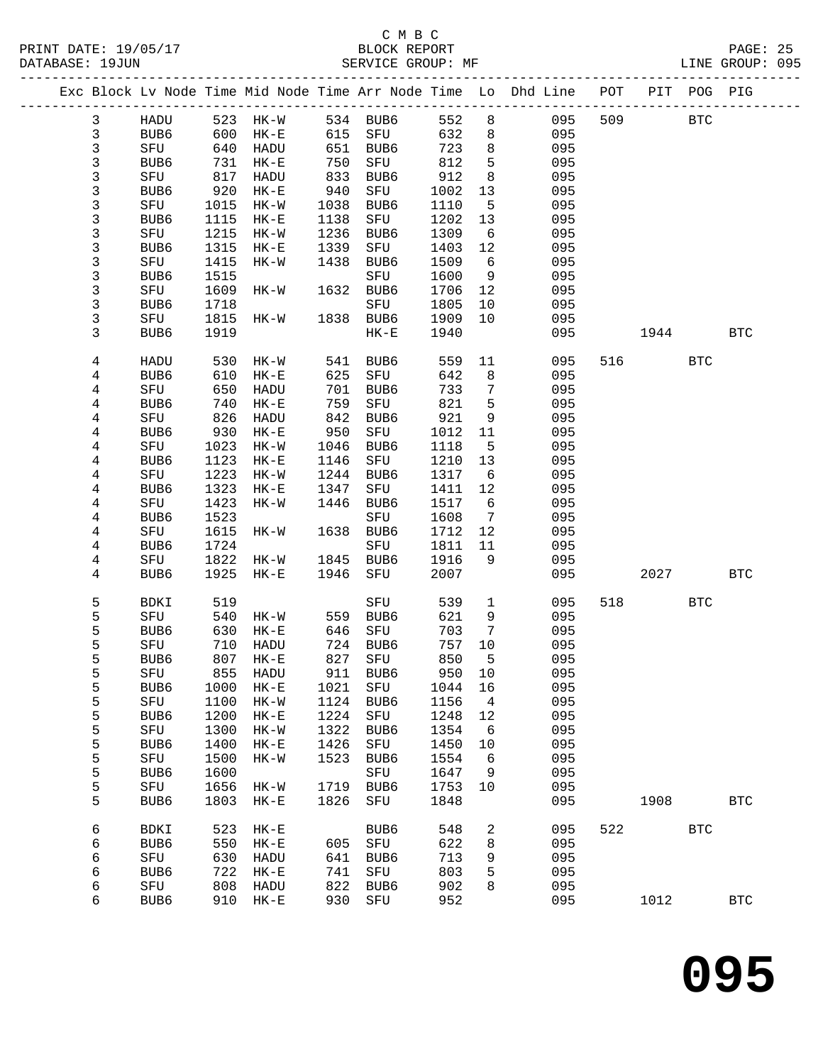## C M B C

| DATABASE: 19JUN |              |                  |      | SERVICE GROUP: MF            |            |                     |        |                 | LINE GROUP: 095                                                                |         |             |              |  |
|-----------------|--------------|------------------|------|------------------------------|------------|---------------------|--------|-----------------|--------------------------------------------------------------------------------|---------|-------------|--------------|--|
|                 |              |                  |      |                              |            |                     |        |                 | Exc Block Lv Node Time Mid Node Time Arr Node Time Lo Dhd Line POT PIT POG PIG |         |             |              |  |
|                 | $\mathbf{3}$ |                  |      | HADU 523 HK-W 534 BUB6 552 8 |            |                     |        |                 | 095                                                                            | 509 BTC |             |              |  |
|                 | 3            | BUB6             | 600  |                              |            | HK-E 615 SFU        | 632    | 8 <sup>1</sup>  | 095                                                                            |         |             |              |  |
|                 | 3            | SFU              | 640  | HADU                         |            | 651 BUB6            | 723    | 8 <sup>8</sup>  | 095                                                                            |         |             |              |  |
|                 | 3            | BUB6             | 731  | $HK-E$                       |            | SFU                 | 812    | $5^{\circ}$     | 095                                                                            |         |             |              |  |
|                 | 3            | SFU              | 817  | HADU                         | 750<br>833 | BUB6                | 912    | 8               | 095                                                                            |         |             |              |  |
|                 | 3            | BUB6             | 920  | $HK-E$                       | 940        | SFU                 | 1002   | 13              | 095                                                                            |         |             |              |  |
|                 | 3            | SFU              | 1015 | HK-W                         | 1038       | BUB6                | 1110   | 5               | 095                                                                            |         |             |              |  |
|                 | 3            | BUB6             | 1115 | $HK-E$                       | 1138       | SFU                 | 1202   | 13              | 095                                                                            |         |             |              |  |
|                 | 3            | SFU              | 1215 | $HK-W$                       | 1236       | BUB6                | 1309   | $6\overline{6}$ | 095                                                                            |         |             |              |  |
|                 | 3            | BUB6             | 1315 | $HK-E$                       | 1339       | SFU                 | 1403   | 12              | 095                                                                            |         |             |              |  |
|                 | 3            | SFU              | 1415 | $HK-W$                       | 1438       | BUB6                | 1509   | 6               | 095                                                                            |         |             |              |  |
|                 | 3            | BUB6             | 1515 |                              |            | SFU                 | 1600   | 9               | 095                                                                            |         |             |              |  |
|                 | 3            |                  | 1609 |                              |            |                     |        |                 | 095                                                                            |         |             |              |  |
|                 |              | SFU              |      | $HK-W$                       |            | 1632 BUB6           | 1706   | 12              |                                                                                |         |             |              |  |
|                 | 3            | BUB6             | 1718 |                              |            | SFU                 | 1805   | 10              | 095                                                                            |         |             |              |  |
|                 | 3            | SFU              | 1815 | $HK-W$                       |            | 1838 BUB6           | 1909   | 10              | 095                                                                            |         |             |              |  |
|                 | 3            | BUB <sub>6</sub> | 1919 |                              |            | $HK-E$              | 1940   |                 | 095                                                                            |         | 1944        | <b>BTC</b>   |  |
|                 | 4            | HADU             | 530  | $HK-W$                       |            | 541 BUB6            | 559    | 11              | 095                                                                            | 516 70  | <b>BTC</b>  |              |  |
|                 | 4            | BUB6             | 610  | $HK-E$                       |            | 625 SFU             | 642    | 8 <sup>8</sup>  | 095                                                                            |         |             |              |  |
|                 | 4            | SFU              | 650  | HADU                         | 701        | BUB6                | 733    | $\overline{7}$  | 095                                                                            |         |             |              |  |
|                 | 4            | BUB6             | 740  | $HK-E$                       | 759        | SFU                 | 821    | $5^{\circ}$     | 095                                                                            |         |             |              |  |
|                 | 4            | SFU              | 826  | HADU                         | 842        | BUB6                | 921    | 9               | 095                                                                            |         |             |              |  |
|                 | 4            | BUB6             | 930  | $HK-E$                       | 950        | SFU                 | 1012   | 11              | 095                                                                            |         |             |              |  |
|                 | 4            | SFU              | 1023 | HK-W                         | 1046       | BUB6                | 1118   | $5^{\circ}$     | 095                                                                            |         |             |              |  |
|                 | 4            | BUB <sub>6</sub> | 1123 | HK-E                         | 1146       | SFU                 | 1210   | 13              | 095                                                                            |         |             |              |  |
|                 | 4            | SFU              | 1223 | $HK - W$                     | 1244       | BUB6                | 1317   | 6               | 095                                                                            |         |             |              |  |
|                 | 4            | BUB6             | 1323 | $HK-E$                       | 1347       | SFU                 | 1411   | 12              | 095                                                                            |         |             |              |  |
|                 | 4            | SFU              | 1423 | HK-W                         | 1446       | BUB6                | 1517   | 6               | 095                                                                            |         |             |              |  |
|                 | 4            | BUB6             | 1523 |                              |            | SFU                 | 1608   | $\overline{7}$  | 095                                                                            |         |             |              |  |
|                 | 4            | SFU              | 1615 | $HK-W$                       |            | 1638 BUB6           | 1712   | 12              | 095                                                                            |         |             |              |  |
|                 | 4            | BUB6             | 1724 |                              |            | SFU                 | 1811   | 11              | 095                                                                            |         |             |              |  |
|                 | 4            | SFU              | 1822 | HK-W                         |            | 1845 BUB6           | 1916   | - 9             | 095                                                                            |         |             |              |  |
|                 | 4            | BUB6             | 1925 | $HK-E$                       |            | 1946 SFU            | 2007   |                 | 095                                                                            |         | 2027 — 2020 | BTC          |  |
|                 | 5            | BDKI             | 519  |                              |            | SFU                 | 539    | $\mathbf{1}$    | 095                                                                            | 518     | <b>BTC</b>  |              |  |
|                 | 5            | SFU              | 540  | HK-W 559 BUB6                |            |                     | 621    | 9               | 095                                                                            |         |             |              |  |
|                 | 5            | BUB6             | 630  | $HK-E$                       |            |                     | 703    | $\overline{7}$  | 095                                                                            |         |             |              |  |
|                 | 5            | SFU              | 710  | HADU                         |            | 646 SFU<br>724 BUB6 | 757 10 |                 | 095                                                                            |         |             |              |  |
|                 | 5            |                  |      | BUB6 807 HK-E 827 SFU        |            |                     |        |                 | 850 5 095                                                                      |         |             |              |  |
|                 | 5            | SFU              | 855  | HADU                         | 911        | BUB6                | 950    | 10              | 095                                                                            |         |             |              |  |
|                 | 5            | BUB6             | 1000 | $HK-E$                       | 1021       | SFU                 | 1044   | 16              | 095                                                                            |         |             |              |  |
|                 | 5            | SFU              | 1100 | $HK-W$                       | 1124       | BUB6                | 1156   | $\overline{4}$  | 095                                                                            |         |             |              |  |
|                 | 5            | BUB6             | 1200 | $HK-E$                       | 1224       | SFU                 | 1248   | 12              | 095                                                                            |         |             |              |  |
|                 | 5            | SFU              | 1300 | $HK-W$                       | 1322       | BUB6                | 1354   | $6\overline{6}$ | 095                                                                            |         |             |              |  |
|                 | 5            | BUB6             | 1400 | $HK-E$                       | 1426       | SFU                 | 1450   | 10              | 095                                                                            |         |             |              |  |
|                 | 5            | SFU              | 1500 | HK-W                         | 1523       | BUB6                | 1554   | $6\overline{6}$ | 095                                                                            |         |             |              |  |
|                 | 5            | BUB6             | 1600 |                              |            | SFU                 | 1647   | 9               | 095                                                                            |         |             |              |  |
|                 | 5            | SFU              | 1656 | HK-W                         | 1719       | BUB6                | 1753   | 10              | 095                                                                            |         |             |              |  |
|                 | 5            | BUB6             | 1803 | $HK-E$                       | 1826       | SFU                 | 1848   |                 | 095                                                                            | 1908    |             | <b>BTC</b>   |  |
|                 |              |                  |      |                              |            |                     |        |                 |                                                                                |         |             |              |  |
|                 | 6            | <b>BDKI</b>      | 523  | $HK-E$                       |            | BUB6                | 548    | $\overline{a}$  | 095                                                                            | 522     | <b>BTC</b>  |              |  |
|                 | 6            | BUB6             | 550  | $HK-E$                       | 605        | SFU                 | 622    | 8               | 095                                                                            |         |             |              |  |
|                 | 6            | SFU              | 630  | HADU                         | 641        | BUB6                | 713    | 9               | 095                                                                            |         |             |              |  |
|                 | 6            | BUB6             | 722  | $HK-E$                       | 741        | SFU                 | 803    | 5               | 095                                                                            |         |             |              |  |
|                 | 6            | SFU              | 808  | HADU                         | 822        | BUB6                | 902    | 8               | 095                                                                            |         |             |              |  |
|                 | 6            | BUB6             |      | 910 HK-E                     | 930        | SFU                 | 952    |                 | 095                                                                            | 1012    |             | $_{\rm BTC}$ |  |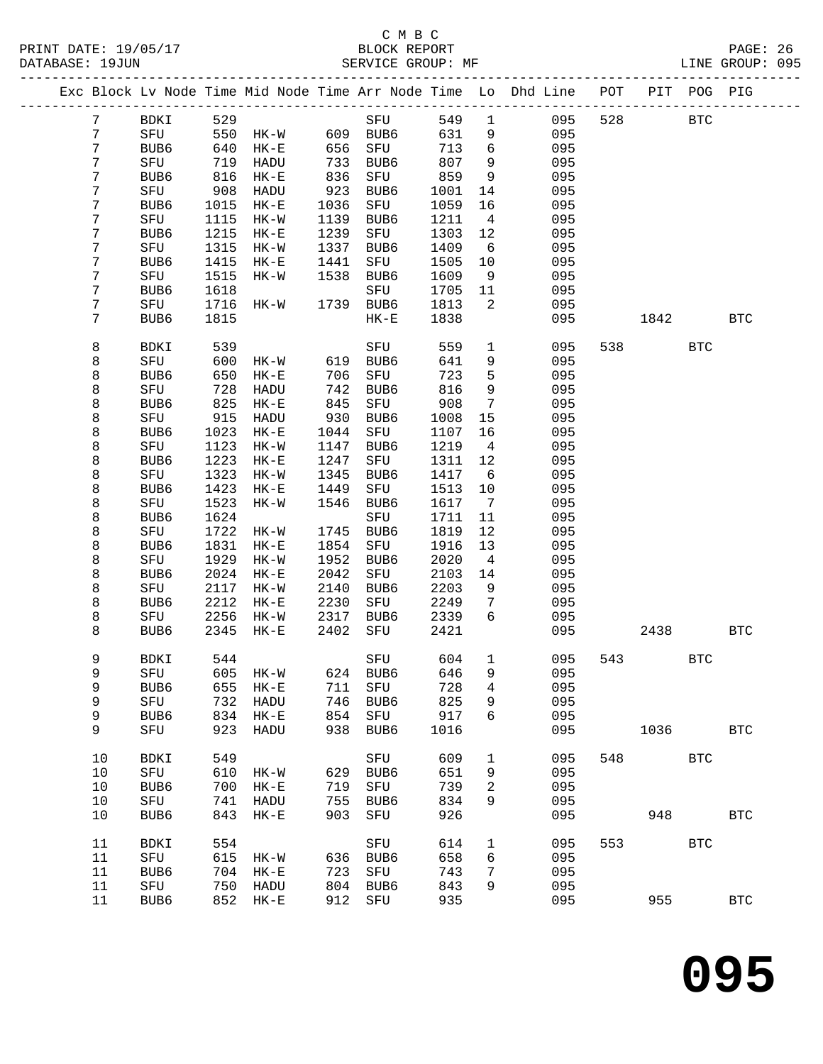|                |                  |      |               |      |           |       |                 | Exc Block Lv Node Time Mid Node Time Arr Node Time Lo Dhd Line | POT | PIT  | POG PIG    |              |
|----------------|------------------|------|---------------|------|-----------|-------|-----------------|----------------------------------------------------------------|-----|------|------------|--------------|
| $7\phantom{.}$ | BDKI             | 529  |               |      | SFU       | 549   | $\mathbf{1}$    | 095                                                            | 528 |      | <b>BTC</b> |              |
| 7              | SFU              | 550  | HK-W 609 BUB6 |      |           | 631   | 9               | 095                                                            |     |      |            |              |
| 7              | BUB6             | 640  | $HK-E$        | 656  | SFU       | 713   | 6               | 095                                                            |     |      |            |              |
| 7              | SFU              | 719  | HADU          | 733  | BUB6      | 807   | 9               | 095                                                            |     |      |            |              |
| 7              | BUB6             | 816  | $HK-E$        | 836  | SFU       | 859   | 9               | 095                                                            |     |      |            |              |
| 7              | SFU              | 908  | HADU          | 923  | BUB6      | 1001  | 14              | 095                                                            |     |      |            |              |
| 7              | BUB6             | 1015 | $HK-E$        | 1036 | SFU       | 1059  | 16              | 095                                                            |     |      |            |              |
| 7              | SFU              | 1115 | $HK-W$        | 1139 | BUB6      | 1211  | $\overline{4}$  | 095                                                            |     |      |            |              |
| 7              | BUB6             | 1215 | $HK-E$        | 1239 | SFU       | 1303  | 12              | 095                                                            |     |      |            |              |
| 7              | SFU              | 1315 | $HK-W$        | 1337 | BUB6      | 1409  | 6               | 095                                                            |     |      |            |              |
| 7              | BUB6             | 1415 | $HK-E$        | 1441 | SFU       | 1505  | 10              | 095                                                            |     |      |            |              |
| 7              | SFU              | 1515 | HK-W          | 1538 | BUB6      | 1609  | 9               | 095                                                            |     |      |            |              |
| 7              | BUB6             | 1618 |               |      | SFU       | 1705  | 11              | 095                                                            |     |      |            |              |
| 7              | SFU              | 1716 | HK-W          |      | 1739 BUB6 | 1813  | 2               | 095                                                            |     |      |            |              |
| 7              | BUB6             | 1815 |               |      | $HK-E$    | 1838  |                 | 095                                                            |     | 1842 |            | <b>BTC</b>   |
|                |                  |      |               |      |           |       |                 |                                                                |     |      |            |              |
| 8              | BDKI             | 539  |               |      | SFU       | 559   | $\mathbf 1$     | 095                                                            | 538 |      | <b>BTC</b> |              |
| 8              | SFU              | 600  | HK-W          | 619  | BUB6      | 641   | 9               | 095                                                            |     |      |            |              |
| 8              | BUB6             | 650  | $HK-E$        | 706  | SFU       | 723   | $5\phantom{.0}$ | 095                                                            |     |      |            |              |
| 8              | SFU              | 728  | HADU          | 742  | BUB6      | 816   | 9               | 095                                                            |     |      |            |              |
| 8              | BUB6             | 825  | $HK-E$        | 845  | SFU       | 908   | $7\phantom{.0}$ | 095                                                            |     |      |            |              |
| 8              | SFU              | 915  | HADU          | 930  | BUB6      | 1008  | 15              | 095                                                            |     |      |            |              |
| 8              | BUB6             | 1023 | $HK-E$        | 1044 | SFU       | 1107  | 16              | 095                                                            |     |      |            |              |
| 8              | SFU              | 1123 | $HK-W$        | 1147 | BUB6      | 1219  | $\overline{4}$  | 095                                                            |     |      |            |              |
| 8              | BUB6             | 1223 | $HK-E$        | 1247 | SFU       | 1311  | 12              | 095                                                            |     |      |            |              |
| 8              | SFU              | 1323 | $HK-W$        | 1345 | BUB6      | 1417  | 6               | 095                                                            |     |      |            |              |
| 8              | BUB6             | 1423 | $HK-E$        | 1449 | SFU       | 1513  | 10              | 095                                                            |     |      |            |              |
| 8              | SFU              | 1523 | HK-W          | 1546 | BUB6      | 1617  | $\overline{7}$  | 095                                                            |     |      |            |              |
| 8              | BUB6             | 1624 |               |      | SFU       | 1711  | 11              | 095                                                            |     |      |            |              |
| 8              | SFU              | 1722 | HK-W          | 1745 | BUB6      | 1819  | 12              | 095                                                            |     |      |            |              |
| 8              | BUB6             | 1831 | $HK-E$        | 1854 | SFU       | 1916  | 13              | 095                                                            |     |      |            |              |
| 8              | SFU              | 1929 | $HK-W$        | 1952 | BUB6      | 2020  | $\overline{4}$  | 095                                                            |     |      |            |              |
| 8              | BUB6             | 2024 | $HK-E$        | 2042 | SFU       | 2103  | 14              | 095                                                            |     |      |            |              |
| 8              | SFU              | 2117 | $HK-W$        | 2140 | BUB6      | 2203  | 9               | 095                                                            |     |      |            |              |
| 8              | BUB6             | 2212 | $HK-E$        | 2230 | SFU       | 2249  | 7               | 095                                                            |     |      |            |              |
| 8              | SFU              | 2256 | $HK-W$        | 2317 | BUB6      | 2339  | 6               | 095                                                            |     |      |            |              |
| 8              | BUB6             | 2345 | $HK-E$        | 2402 | SFU       | 2421  |                 | 095                                                            |     | 2438 |            | <b>BTC</b>   |
| 9              | BDKI             | 544  |               |      | SFU       | 604   | $\mathbf{1}$    | 095                                                            | 543 |      | <b>BTC</b> |              |
| 9              | SFU 605 HK-W     |      |               |      | 624 BUB6  | 646 9 |                 | 095                                                            |     |      |            |              |
| 9              | BUB6             | 655  | $HK-E$        | 711  | SFU       | 728   | 4               | 095                                                            |     |      |            |              |
| 9              | SFU              | 732  | HADU          | 746  | BUB6      | 825   | 9               | 095                                                            |     |      |            |              |
| 9              | BUB <sub>6</sub> | 834  | $HK-E$        | 854  | SFU       | 917   | 6               | 095                                                            |     |      |            |              |
| 9              | SFU              | 923  | HADU          | 938  | BUB6      | 1016  |                 | 095                                                            |     | 1036 |            | <b>BTC</b>   |
| 10             | BDKI             | 549  |               |      | SFU       | 609   | 1               | 095                                                            | 548 |      | <b>BTC</b> |              |
| 10             | SFU              | 610  | $HK-W$        | 629  | BUB6      | 651   | 9               | 095                                                            |     |      |            |              |
| 10             | BUB <sub>6</sub> | 700  | $HK-E$        | 719  | SFU       | 739   | 2               | 095                                                            |     |      |            |              |
| 10             | SFU              | 741  | HADU          | 755  | BUB6      | 834   | 9               | 095                                                            |     |      |            |              |
| 10             | BUB <sub>6</sub> | 843  | $HK-E$        | 903  | SFU       | 926   |                 | 095                                                            |     | 948  |            | <b>BTC</b>   |
| 11             | BDKI             | 554  |               |      | SFU       | 614   | $\mathbf{1}$    | 095                                                            | 553 |      | <b>BTC</b> |              |
| 11             | SFU              | 615  | $HK-W$        | 636  | BUB6      | 658   | 6               | 095                                                            |     |      |            |              |
| 11             | BUB6             | 704  | $HK-E$        | 723  | SFU       | 743   | 7               | 095                                                            |     |      |            |              |
| 11             | SFU              | 750  | HADU          | 804  | BUB6      | 843   | 9               | 095                                                            |     |      |            |              |
| 11             | BUB6             |      | 852 HK-E      |      | 912 SFU   | 935   |                 | 095                                                            |     | 955  |            | $_{\rm BTC}$ |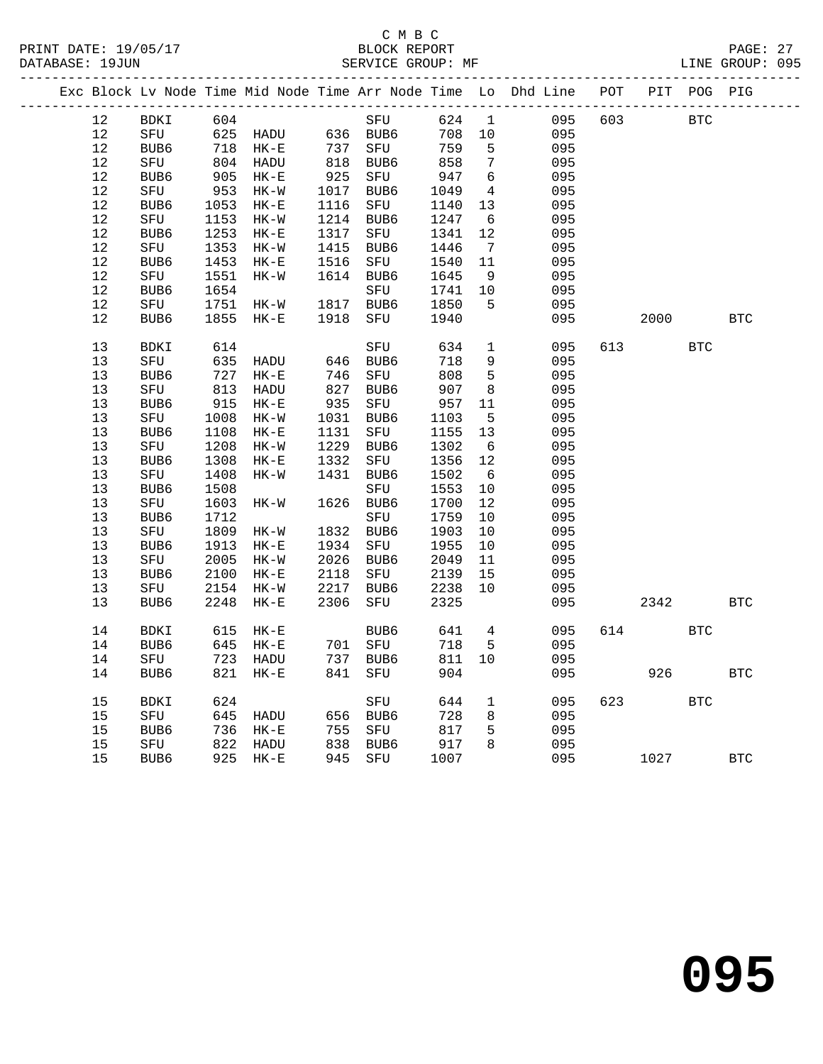|      |         |            |                       |      |                           |        |                 | Exc Block Lv Node Time Mid Node Time Arr Node Time Lo Dhd Line POT PIT POG PIG |     |          |            |              |
|------|---------|------------|-----------------------|------|---------------------------|--------|-----------------|--------------------------------------------------------------------------------|-----|----------|------------|--------------|
| 12   | BDKI    | 604        |                       |      | SFU                       | 624 1  |                 | 095                                                                            | 603 |          | <b>BTC</b> |              |
| 12   |         |            | SFU 625 HADU 636 BUB6 |      |                           | 708 10 |                 | 095                                                                            |     |          |            |              |
| 12   | BUB6    | 718        | $HK-E$                | 737  | SFU                       | 759    | $5^{\circ}$     | 095                                                                            |     |          |            |              |
| 12   | SFU     | 804        | HADU                  | 818  | BUB6                      | 858    | $\overline{7}$  | 095                                                                            |     |          |            |              |
| 12   | BUB6    | 905        | $HK-E$                | 925  | SFU                       | 947    | $6\overline{6}$ | 095                                                                            |     |          |            |              |
| 12   | SFU     | 953        | $HK-W$                | 1017 | BUB6                      | 1049   | $\overline{4}$  | 095                                                                            |     |          |            |              |
| 12   | BUB6    | 1053       | $HK-E$                | 1116 | SFU                       | 1140   | 13              | 095                                                                            |     |          |            |              |
| $12$ | SFU     | 1153       | $HK-W$                | 1214 | BUB6                      | 1247   | 6               | 095                                                                            |     |          |            |              |
| 12   | BUB6    | 1253       | $HK-E$                | 1317 | SFU                       | 1341   | 12              | 095                                                                            |     |          |            |              |
| 12   | SFU     | 1353       | $HK-W$                | 1415 | BUB6                      | 1446   | $7\overline{ }$ | 095                                                                            |     |          |            |              |
| 12   | BUB6    | 1453       | $HK-E$                | 1516 | SFU                       | 1540   | 11              | 095                                                                            |     |          |            |              |
| 12   | SFU     | 1551       | $HK-W$                | 1614 | BUB6                      | 1645   | 9               | 095                                                                            |     |          |            |              |
| 12   | BUB6    | 1654       |                       |      | SFU                       | 1741   | 10              | 095                                                                            |     |          |            |              |
| 12   | SFU     | 1751       | HK-W                  |      | 1817 BUB6                 | 1850   | $5^{\circ}$     | 095                                                                            |     |          |            |              |
| 12   | BUB6    | 1855       | $HK-E$                | 1918 | SFU                       | 1940   |                 | 095                                                                            |     | 2000     |            | $_{\rm BTC}$ |
|      |         |            |                       |      |                           |        |                 |                                                                                |     |          |            |              |
| 13   | BDKI    | 614<br>635 |                       |      | SFU                       | 634    | $\mathbf{1}$    | 095                                                                            |     | 613 — 10 | <b>BTC</b> |              |
| 13   | SFU     |            | HADU                  |      | 646 BUB6                  | 718    | 9               | 095                                                                            |     |          |            |              |
| 13   | BUB6    | 727        | $HK-E$                | 746  | SFU                       | 808    | $5^{\circ}$     | 095                                                                            |     |          |            |              |
| 13   | SFU     | 813        | HADU                  | 827  | BUB6                      | 907    | 8               | 095                                                                            |     |          |            |              |
| 13   | BUB6    | 915        | $HK-E$                | 935  | SFU                       | 957    | 11              | 095                                                                            |     |          |            |              |
| 13   | SFU     | 1008       | $HK-W$                | 1031 | BUB6                      | 1103   | $5^{\circ}$     | 095                                                                            |     |          |            |              |
| 13   | BUB6    | 1108       | $HK-E$                | 1131 | SFU                       | 1155   | 13              | 095                                                                            |     |          |            |              |
| 13   | SFU     | 1208       | HK-W                  | 1229 | BUB6                      | 1302   | $6\overline{6}$ | 095                                                                            |     |          |            |              |
| 13   | BUB6    | 1308       | $HK-E$                | 1332 | SFU                       | 1356   | 12              | 095                                                                            |     |          |            |              |
| 13   | SFU     | 1408       | $HK-W$                | 1431 | BUB6                      | 1502   | 6               | 095                                                                            |     |          |            |              |
| 13   | BUB6    | 1508       |                       |      | SFU                       | 1553   | 10              | 095                                                                            |     |          |            |              |
| 13   | SFU     | 1603       | HK-W                  |      | 1626 BUB6                 | 1700   | 12              | 095                                                                            |     |          |            |              |
| 13   | BUB6    | 1712       |                       |      | SFU                       | 1759   | 10              | 095                                                                            |     |          |            |              |
| 13   | SFU     | 1809       | HK-W                  |      | 1832 BUB6                 | 1903   | 10              | 095                                                                            |     |          |            |              |
| 13   | BUB6    | 1913       | $HK-E$                | 1934 | SFU                       | 1955   | 10              | 095                                                                            |     |          |            |              |
| 13   | SFU     | 2005       | HK-W                  | 2026 | BUB6                      | 2049   | 11              | 095                                                                            |     |          |            |              |
| 13   | BUB6    | 2100       | $HK-E$                | 2118 | SFU                       | 2139   | 15              | 095                                                                            |     |          |            |              |
| 13   | SFU     | 2154       | HK-W                  | 2217 | BUB6                      | 2238   | 10              | 095                                                                            |     |          |            |              |
| 13   | BUB6    | 2248       | $HK-E$                | 2306 | SFU                       | 2325   |                 | 095                                                                            |     | 2342     |            | <b>BTC</b>   |
|      |         |            |                       |      | BUB6<br>701 SFU<br>737 PY |        |                 |                                                                                |     |          |            |              |
| 14   | BDKI    | 615        | $HK-E$                |      |                           | 641 4  |                 | 095                                                                            | 614 |          | <b>BTC</b> |              |
| 14   | BUB6    | 645        | $HK-E$                |      |                           | 718    | $5^{\circ}$     | 095                                                                            |     |          |            |              |
| 14   | SFU     |            | 723 HADU              |      |                           | 811 10 |                 | 095                                                                            |     |          |            |              |
|      | 14 BUB6 |            | 821 HK-E 841 SFU      |      |                           | 904    |                 | 095                                                                            |     | 926      |            | <b>BTC</b>   |
| 15   | BDKI    | 624        |                       |      | SFU                       | 644    | $\mathbf{1}$    | 095                                                                            | 623 |          | <b>BTC</b> |              |
| 15   | SFU     | 645        | HADU                  |      | 656 BUB6                  | 728    | 8               | 095                                                                            |     |          |            |              |
| 15   | BUB6    | 736        | $HK-E$                | 755  | SFU                       | 817    | 5               | 095                                                                            |     |          |            |              |
| 15   | SFU     | 822        | HADU                  | 838  | BUB6                      | 917    | 8               | 095                                                                            |     |          |            |              |
| 15   | BUB6    |            | 925 HK-E              |      | 945 SFU                   | 1007   |                 | 095                                                                            |     | 1027     |            | $_{\rm BTC}$ |
|      |         |            |                       |      |                           |        |                 |                                                                                |     |          |            |              |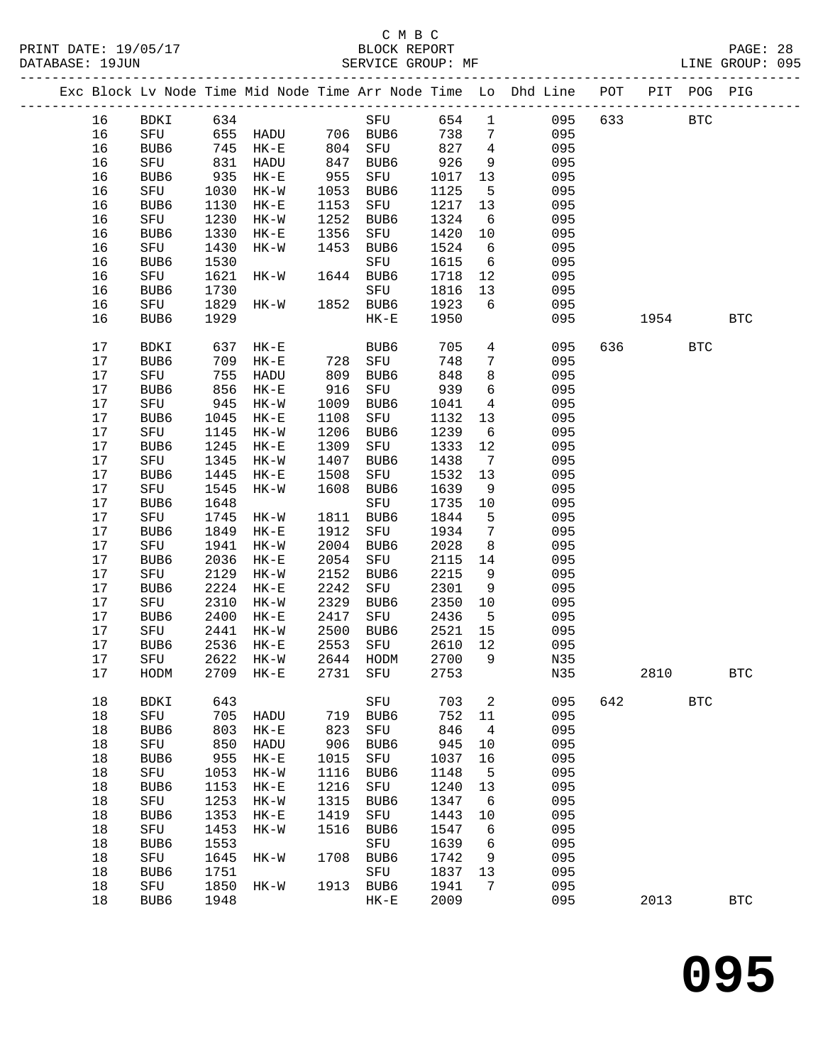### C M B C<br>BLOCK REPORT

PAGE: 28<br>LINE GROUP: 095

|  |      |                  |      |                         |      |             |       |                 | Exc Block Lv Node Time Mid Node Time Arr Node Time Lo Dhd Line POT |     |        | PIT POG PIG |            |
|--|------|------------------|------|-------------------------|------|-------------|-------|-----------------|--------------------------------------------------------------------|-----|--------|-------------|------------|
|  | 16   | BDKI             | 634  |                         |      | SFU         | 654 1 |                 | 095                                                                | 633 |        | <b>BTC</b>  |            |
|  | 16   |                  |      | $SFU$ 655 HADU 706 BUB6 |      |             | 738   | $\overline{7}$  | 095                                                                |     |        |             |            |
|  | 16   | BUB6             |      | 745 HK-E                |      | 804 SFU     | 827   | $\overline{4}$  | 095                                                                |     |        |             |            |
|  | 16   | SFU              | 831  | HADU                    | 847  | BUB6        | 926   | 9               | 095                                                                |     |        |             |            |
|  | 16   | BUB6             | 935  | $HK-E$                  | 955  | SFU         | 1017  | 13              | 095                                                                |     |        |             |            |
|  |      |                  |      |                         |      |             |       |                 |                                                                    |     |        |             |            |
|  | 16   | SFU              | 1030 | $HK-W$                  | 1053 | BUB6        | 1125  | $5\overline{)}$ | 095                                                                |     |        |             |            |
|  | 16   | BUB6             | 1130 | $HK-E$                  | 1153 | SFU         | 1217  | 13              | 095                                                                |     |        |             |            |
|  | 16   | SFU              | 1230 | $HK-W$                  | 1252 | BUB6        | 1324  | 6               | 095                                                                |     |        |             |            |
|  | 16   | BUB6             | 1330 | $HK-E$                  | 1356 | SFU         | 1420  | 10              | 095                                                                |     |        |             |            |
|  | 16   | SFU              | 1430 | $HK-W$                  | 1453 | BUB6        | 1524  | $6\overline{6}$ | 095                                                                |     |        |             |            |
|  | 16   | BUB6             | 1530 |                         |      | SFU         | 1615  | $6\overline{6}$ | 095                                                                |     |        |             |            |
|  | 16   | SFU              | 1621 | $HK-W$                  |      | 1644 BUB6   | 1718  | 12              | 095                                                                |     |        |             |            |
|  | 16   | BUB6             | 1730 |                         |      | SFU         | 1816  | 13              | 095                                                                |     |        |             |            |
|  | 16   | SFU              | 1829 | HK-W                    |      | 1852 BUB6   | 1923  | 6               | 095                                                                |     |        |             |            |
|  |      |                  |      |                         |      |             |       |                 |                                                                    |     |        |             |            |
|  | 16   | BUB6             | 1929 |                         |      | $HK-E$      | 1950  |                 | 095                                                                |     | 1954   |             | <b>BTC</b> |
|  | $17$ | BDKI             | 637  | $HK-E$                  |      | BUB6        | 705   | $\overline{4}$  | 095                                                                |     | 636 70 | <b>BTC</b>  |            |
|  | 17   | BUB <sub>6</sub> | 709  | $HK-E$                  |      | 728 SFU     | 748   | $7\phantom{.0}$ | 095                                                                |     |        |             |            |
|  | 17   | SFU              | 755  | HADU                    | 809  | BUB6        | 848   | 8               | 095                                                                |     |        |             |            |
|  | 17   | BUB6             | 856  | $HK-E$                  | 916  | SFU         | 939   | 6               | 095                                                                |     |        |             |            |
|  | 17   | SFU              | 945  | $HK-W$                  | 1009 | BUB6        | 1041  | $\overline{4}$  | 095                                                                |     |        |             |            |
|  | 17   | BUB6             | 1045 | $HK-E$                  | 1108 | SFU         | 1132  | 13              | 095                                                                |     |        |             |            |
|  | 17   | SFU              | 1145 | $HK-W$                  | 1206 | BUB6        | 1239  | 6               | 095                                                                |     |        |             |            |
|  | 17   | BUB6             | 1245 | $HK-E$                  | 1309 | SFU         | 1333  | 12              | 095                                                                |     |        |             |            |
|  | 17   | SFU              | 1345 | $HK-W$                  | 1407 | BUB6        | 1438  | $\overline{7}$  | 095                                                                |     |        |             |            |
|  |      |                  |      |                         |      |             |       |                 |                                                                    |     |        |             |            |
|  | 17   | BUB6             | 1445 | $HK-E$                  | 1508 | SFU         | 1532  | 13              | 095                                                                |     |        |             |            |
|  | 17   | SFU              | 1545 | $HK-W$                  | 1608 | BUB6        | 1639  | 9               | 095                                                                |     |        |             |            |
|  | 17   | BUB6             | 1648 |                         |      | SFU         | 1735  | 10              | 095                                                                |     |        |             |            |
|  | 17   | SFU              | 1745 | HK-W                    | 1811 | BUB6        | 1844  | 5               | 095                                                                |     |        |             |            |
|  | 17   | BUB6             | 1849 | $HK-E$                  | 1912 | SFU         | 1934  | $\overline{7}$  | 095                                                                |     |        |             |            |
|  | 17   | SFU              | 1941 | $HK-W$                  | 2004 | BUB6        | 2028  | 8               | 095                                                                |     |        |             |            |
|  | 17   | BUB6             | 2036 | $HK-E$                  | 2054 | SFU         | 2115  | 14              | 095                                                                |     |        |             |            |
|  | 17   | SFU              | 2129 | $HK-W$                  | 2152 | BUB6        | 2215  | 9               | 095                                                                |     |        |             |            |
|  | 17   | BUB6             | 2224 | $HK-E$                  | 2242 | SFU         | 2301  | 9               | 095                                                                |     |        |             |            |
|  | 17   | SFU              | 2310 | $HK-W$                  | 2329 | BUB6        | 2350  | 10              | 095                                                                |     |        |             |            |
|  | 17   |                  | 2400 |                         | 2417 |             |       |                 |                                                                    |     |        |             |            |
|  |      | BUB6             |      | $HK-E$                  |      | SFU         | 2436  | $5^{\circ}$     | 095                                                                |     |        |             |            |
|  | 17   | SFU              | 2441 | $HK-W$                  | 2500 | BUB6        | 2521  | 15              | 095                                                                |     |        |             |            |
|  | 17   | BUB6             | 2536 | $HK-E$                  | 2553 | SFU         | 2610  | 12              | 095                                                                |     |        |             |            |
|  | 17   | SFU              | 2622 | HK-W                    |      | 2644 HODM   | 2700  | 9               | N35                                                                |     |        |             |            |
|  | 17   | HODM             |      | 2709 HK-E 2731 SFU 2753 |      |             |       |                 | N35                                                                |     | 2810   |             | <b>BTC</b> |
|  | 18   | BDKI             | 643  |                         |      | SFU         | 703   | $\overline{a}$  | 095                                                                | 642 |        | <b>BTC</b>  |            |
|  | 18   | SFU              | 705  | HADU                    | 719  | BUB6        | 752   | 11              | 095                                                                |     |        |             |            |
|  | 18   | BUB6             | 803  | $HK-E$                  | 823  | SFU         | 846   | 4               | 095                                                                |     |        |             |            |
|  | 18   | SFU              | 850  | HADU                    | 906  | BUB6        | 945   | 10              | 095                                                                |     |        |             |            |
|  | 18   | BUB6             | 955  | $HK-E$                  | 1015 | SFU         | 1037  | 16              | 095                                                                |     |        |             |            |
|  | 18   | SFU              | 1053 | $HK-W$                  | 1116 | BUB6        | 1148  | 5               | 095                                                                |     |        |             |            |
|  | 18   | BUB6             | 1153 | $HK-E$                  | 1216 | SFU         | 1240  | 13              | 095                                                                |     |        |             |            |
|  |      |                  |      |                         |      |             |       |                 |                                                                    |     |        |             |            |
|  | 18   | SFU              | 1253 | $HK-W$                  | 1315 | BUB6        | 1347  | 6               | 095                                                                |     |        |             |            |
|  | 18   | BUB6             | 1353 | $HK-E$                  | 1419 | SFU         | 1443  | 10              | 095                                                                |     |        |             |            |
|  | 18   | ${\tt SFU}$      | 1453 | $HK-W$                  | 1516 | BUB6        | 1547  | 6               | 095                                                                |     |        |             |            |
|  | 18   | BUB6             | 1553 |                         |      | ${\rm SFU}$ | 1639  | $6\phantom{1}6$ | 095                                                                |     |        |             |            |
|  | 18   | SFU              | 1645 | HK-W                    | 1708 | BUB6        | 1742  | 9               | 095                                                                |     |        |             |            |
|  | 18   | BUB6             | 1751 |                         |      | SFU         | 1837  | 13              | 095                                                                |     |        |             |            |
|  | 18   | SFU              | 1850 | HK-W                    |      | 1913 BUB6   | 1941  | 7               | 095                                                                |     |        |             |            |
|  | 18   | BUB6             | 1948 |                         |      | $HK-E$      | 2009  |                 | 095                                                                |     | 2013   |             | <b>BTC</b> |
|  |      |                  |      |                         |      |             |       |                 |                                                                    |     |        |             |            |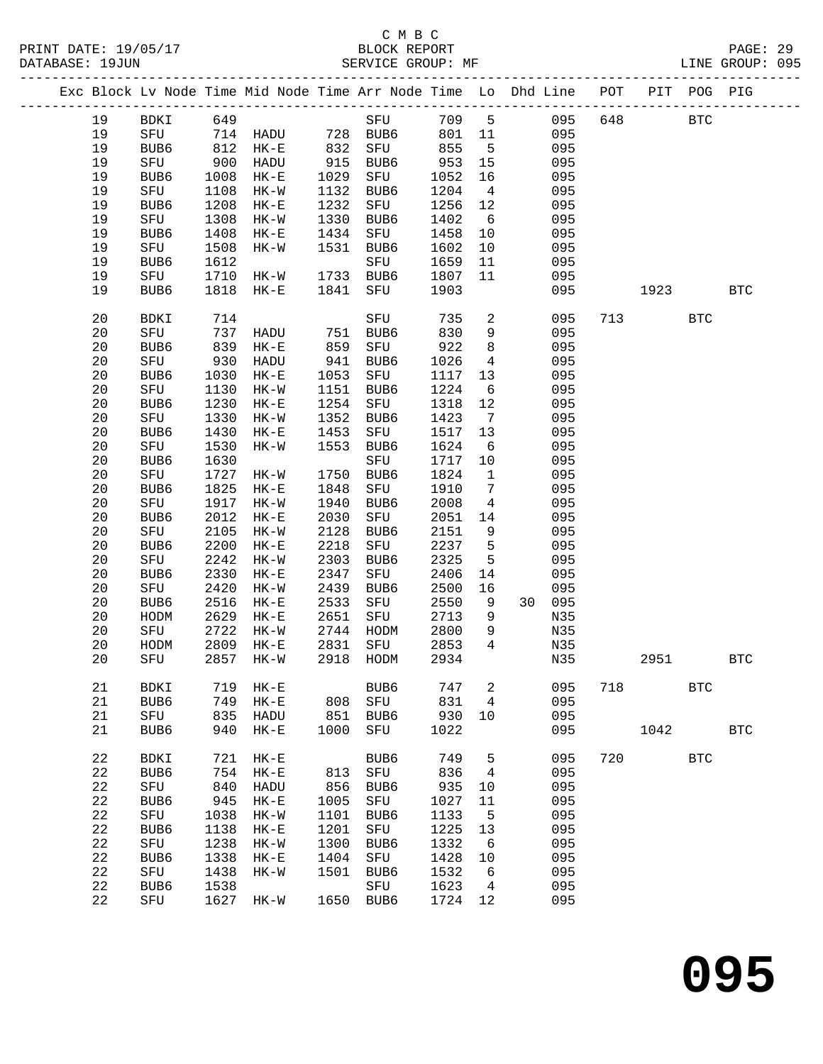## C M B C<br>BLOCK REPORT

PAGE: 29<br>LINE GROUP: 095

|  |          |             |              | Exc Block Lv Node Time Mid Node Time Arr Node Time Lo Dhd Line POT |              |             |              |                       |            |     |      | PIT POG PIG |              |
|--|----------|-------------|--------------|--------------------------------------------------------------------|--------------|-------------|--------------|-----------------------|------------|-----|------|-------------|--------------|
|  | 19       | BDKI 649    |              |                                                                    |              | SFU         | 709 5        |                       | 095        | 648 |      | <b>BTC</b>  |              |
|  | 19       |             |              | SFU 714 HADU 728 BUB6                                              |              |             | 801 11       |                       | 095        |     |      |             |              |
|  | 19       | BUB6        |              | 812 HK-E                                                           |              | 832 SFU     | 855          | $5^{\circ}$           | 095        |     |      |             |              |
|  | 19       | SFU         | 900          | HADU                                                               | 915          | BUB6        | 953          | 15                    | 095        |     |      |             |              |
|  | 19       | BUB6        | 1008         | HK-E                                                               | 1029         | SFU         | 1052         | 16                    | 095        |     |      |             |              |
|  | 19       | SFU         | 1108         | $HK-W$                                                             | 1132         | BUB6        | 1204         | $\overline{4}$        | 095        |     |      |             |              |
|  | 19       | BUB6        | 1208         | $HK-E$                                                             | 1232         | SFU         | 1256         | 12                    | 095        |     |      |             |              |
|  | 19       | SFU         | 1308         | $HK-W$                                                             | 1330         | BUB6        | 1402         | 6                     | 095        |     |      |             |              |
|  | 19       | BUB6        | 1408         | $HK-E$                                                             | 1434         | SFU         | 1458         | 10                    | 095        |     |      |             |              |
|  | 19       | SFU         | 1508         | $HK-W$                                                             | 1531         | BUB6        | 1602         | 10                    | 095        |     |      |             |              |
|  | 19<br>19 | BUB6<br>SFU | 1612<br>1710 | HK-W 1733 BUB6                                                     |              | SFU         | 1659<br>1807 | 11<br>11              | 095<br>095 |     |      |             |              |
|  | 19       | BUB6        | 1818         | $HK-E$                                                             | 1841         | SFU         | 1903         |                       | 095        |     | 1923 |             | <b>BTC</b>   |
|  |          |             |              |                                                                    |              |             |              |                       |            |     |      |             |              |
|  | 20       | BDKI        | 714          |                                                                    |              | SFU         | 735          | $\overline{a}$        | 095        |     | 713  | <b>BTC</b>  |              |
|  | 20       | SFU         | 737          | HADU                                                               | 751          | BUB6        | 830          | 9                     | 095        |     |      |             |              |
|  | 20       | BUB6        | 839          | $HK-E$                                                             | 859<br>941   | SFU         | 922          | 8                     | 095        |     |      |             |              |
|  | 20       | SFU         | 930          | HADU                                                               |              | BUB6        | 1026         | $\overline{4}$        | 095        |     |      |             |              |
|  | 20       | BUB6        | 1030         | $HK-E$                                                             | 1053         | SFU         | 1117         | 13                    | 095        |     |      |             |              |
|  | 20       | SFU         | 1130         | $HK-W$                                                             | 1151         | BUB6        | 1224         | $6\overline{6}$       | 095        |     |      |             |              |
|  | 20<br>20 | BUB6<br>SFU | 1230<br>1330 | $HK-E$<br>$HK-W$                                                   | 1254<br>1352 | SFU<br>BUB6 | 1318<br>1423 | 12<br>$7\overline{ }$ | 095<br>095 |     |      |             |              |
|  | 20       | BUB6        | 1430         | $HK-E$                                                             | 1453         | SFU         | 1517         | 13                    | 095        |     |      |             |              |
|  | 20       | SFU         | 1530         | HK-W                                                               | 1553         | BUB6        | 1624         | $6\overline{6}$       | 095        |     |      |             |              |
|  | 20       | BUB6        | 1630         |                                                                    |              | SFU         | 1717         | 10                    | 095        |     |      |             |              |
|  | 20       | SFU         | 1727         | HK-W                                                               | 1750         | BUB6        | 1824         | $\overline{1}$        | 095        |     |      |             |              |
|  | 20       | BUB6        | 1825         | $HK-E$                                                             | 1848         | SFU         | 1910         | $\overline{7}$        | 095        |     |      |             |              |
|  | 20       | SFU         | 1917         | $HK-W$                                                             | 1940         | BUB6        | 2008         | $\overline{4}$        | 095        |     |      |             |              |
|  | 20       | BUB6        | 2012         | $HK-E$                                                             | 2030         | SFU         | 2051         | 14                    | 095        |     |      |             |              |
|  | 20       | SFU         | 2105         | $HK-W$                                                             | 2128         | BUB6        | 2151         | 9                     | 095        |     |      |             |              |
|  | 20       | BUB6        | 2200         | $HK-E$                                                             | 2218         | SFU         | 2237         | 5                     | 095        |     |      |             |              |
|  | 20       | SFU         | 2242         | $HK-W$                                                             | 2303         | BUB6        | 2325         | 5                     | 095        |     |      |             |              |
|  | 20       | BUB6        | 2330         | $HK-E$                                                             | 2347         | SFU         | 2406         | 14                    | 095        |     |      |             |              |
|  | 20       | SFU         | 2420         | $HK-W$                                                             | 2439         | BUB6        | 2500         | 16                    | 095        |     |      |             |              |
|  | 20       | BUB6        | 2516         | $HK-E$                                                             | 2533         | SFU         | 2550         | 9                     | 30 095     |     |      |             |              |
|  | 20<br>20 | HODM<br>SFU | 2629<br>2722 | $HK-E$<br>$HK-W$                                                   | 2651<br>2744 | SFU<br>HODM | 2713<br>2800 | - 9<br>9              | N35<br>N35 |     |      |             |              |
|  | 20       | HODM        | 2809         | $HK-E$                                                             | 2831         | SFU         | 2853         | $\overline{4}$        | N35        |     |      |             |              |
|  | 20       | SFU         |              | 2857 HK-W                                                          | 2918         | HODM        | 2934         |                       | N35        |     | 2951 |             | <b>BTC</b>   |
|  | 21       | <b>BDKI</b> | 719          | $HK-E$                                                             |              | BUB6        | 747          | 2                     | 095        | 718 |      | <b>BTC</b>  |              |
|  | 21       | BUB6        | 749          | $HK-E$                                                             | 808          | ${\tt SFU}$ | 831          | 4                     | 095        |     |      |             |              |
|  | 21       | SFU         | 835          | HADU                                                               | 851          | BUB6        | 930          | 10                    | 095        |     |      |             |              |
|  | 21       | BUB6        | 940          | $HK-E$                                                             | 1000         | SFU         | 1022         |                       | 095        |     | 1042 |             | $_{\rm BTC}$ |
|  | 22       | BDKI        | 721          | $HK-E$                                                             |              | BUB6        | 749          | 5                     | 095        | 720 |      | <b>BTC</b>  |              |
|  | 22       | BUB6        | 754          | $HK-E$                                                             | 813          | SFU         | 836          | 4                     | 095        |     |      |             |              |
|  | 22       | SFU         | 840          | HADU                                                               | 856          | BUB6        | 935          | 10                    | 095        |     |      |             |              |
|  | 22       | BUB6        | 945          | $HK-E$                                                             | 1005         | SFU         | 1027         | 11                    | 095        |     |      |             |              |
|  | 22       | SFU         | 1038         | $HK-W$                                                             | 1101         | BUB6        | 1133         | 5                     | 095        |     |      |             |              |
|  | 22       | BUB6        | 1138         | $HK-E$                                                             | 1201         | ${\rm SFU}$ | 1225         | 13                    | 095        |     |      |             |              |
|  | 22       | SFU         | 1238         | $HK-W$                                                             | 1300         | BUB6        | 1332         | 6                     | 095        |     |      |             |              |
|  | 22       | BUB6        | 1338         | $HK-E$                                                             | 1404         | SFU         | 1428         | 10                    | 095        |     |      |             |              |
|  | 22       | SFU         | 1438         | HK-W                                                               | 1501         | BUB6        | 1532         | 6                     | 095        |     |      |             |              |
|  | 22       | BUB6        | 1538         |                                                                    |              | SFU         | 1623         | 4                     | 095        |     |      |             |              |
|  | 22       | SFU         | 1627         | HK-W                                                               | 1650         | BUB6        | 1724         | 12                    | 095        |     |      |             |              |

**095**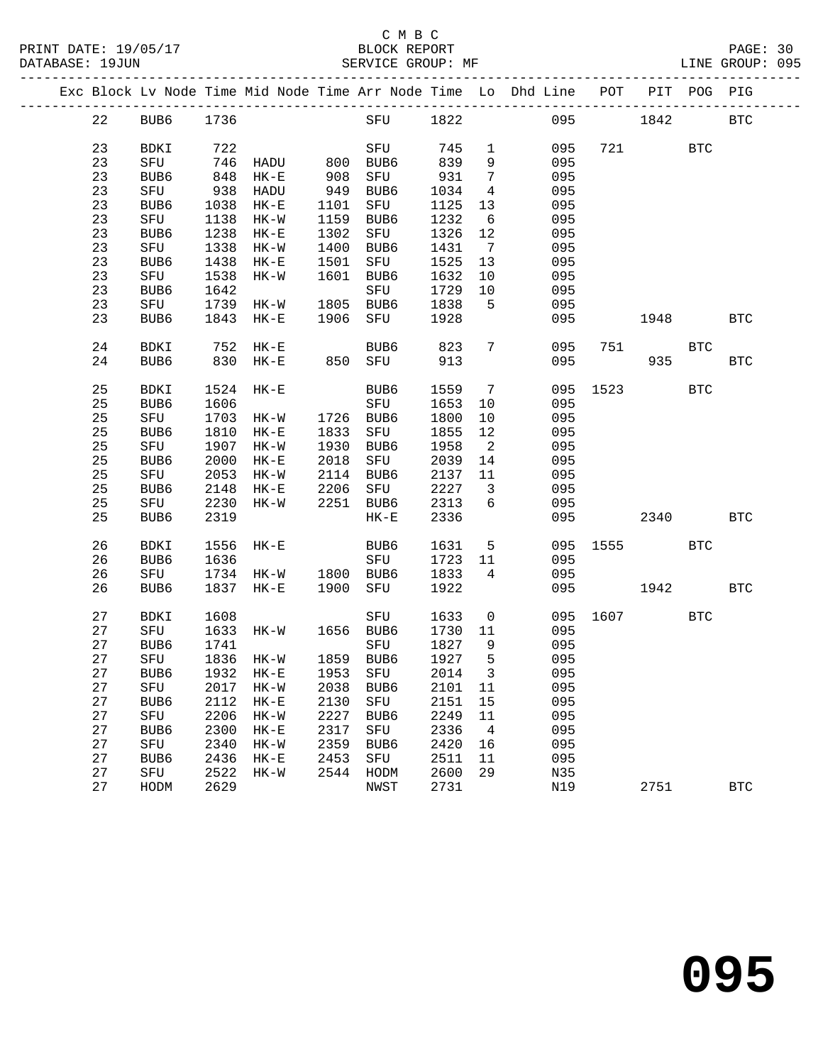#### C M B C<br>BLOCK REPORT SERVICE GROUP: MF

|    |    |                  |      |                      |      |                     |      |                            | Exc Block Lv Node Time Mid Node Time Arr Node Time Lo Dhd Line POT |      |      | PIT POG PIG |            |
|----|----|------------------|------|----------------------|------|---------------------|------|----------------------------|--------------------------------------------------------------------|------|------|-------------|------------|
|    | 22 | BUB6             | 1736 |                      |      | SFU                 | 1822 |                            | 095                                                                |      | 1842 |             | <b>BTC</b> |
| 23 |    | BDKI             | 722  |                      |      | SFU                 | 745  | $\mathbf 1$                | 095                                                                | 721  |      | <b>BTC</b>  |            |
| 23 |    | SFU              |      | 746 HADU             |      | 800 BUB6            | 839  | 9                          | 095                                                                |      |      |             |            |
| 23 |    | BUB6             | 848  | $HK-E$               |      |                     | 931  | $7\phantom{.0}$            | 095                                                                |      |      |             |            |
| 23 |    | SFU              |      | 938 HADU             |      | 908 SFU<br>949 BUB6 | 1034 | $\overline{4}$             | 095                                                                |      |      |             |            |
| 23 |    | BUB6             | 1038 | $HK-E$               |      | 1101 SFU            | 1125 | 13                         | 095                                                                |      |      |             |            |
| 23 |    | SFU              | 1138 | $HK-W$               |      | 1159 BUB6           | 1232 | 6                          | 095                                                                |      |      |             |            |
| 23 |    | BUB6             | 1238 | $HK-E$               |      | 1302 SFU            | 1326 | 12                         | 095                                                                |      |      |             |            |
| 23 |    | SFU              | 1338 | HK-W                 | 1400 | BUB6                | 1431 | $\overline{7}$             | 095                                                                |      |      |             |            |
| 23 |    | BUB6             | 1438 | $HK-E$               |      | 1501 SFU            | 1525 | 13                         | 095                                                                |      |      |             |            |
| 23 |    | SFU              | 1538 | HK-W                 | 1601 | BUB6                | 1632 | 10                         | 095                                                                |      |      |             |            |
| 23 |    | BUB6             | 1642 |                      |      | SFU                 | 1729 | 10                         | 095                                                                |      |      |             |            |
| 23 |    | SFU              | 1739 | HK-W                 | 1805 | BUB6                | 1838 | 5                          | 095                                                                |      |      |             |            |
| 23 |    | BUB6             | 1843 | $HK-E$               | 1906 | SFU                 | 1928 |                            | 095                                                                |      | 1948 |             | <b>BTC</b> |
| 24 |    | <b>BDKI</b>      | 752  | $HK-E$               |      | BUB6                | 823  | 7                          | 095                                                                | 751  |      | <b>BTC</b>  |            |
|    | 24 | BUB6             | 830  | $HK-E$               | 850  | SFU                 | 913  |                            | 095                                                                |      | 935  |             | <b>BTC</b> |
| 25 |    | <b>BDKI</b>      | 1524 | $HK-E$               |      | BUB6                | 1559 | $\overline{7}$             | 095                                                                | 1523 |      | <b>BTC</b>  |            |
| 25 |    | BUB6             | 1606 |                      |      | SFU                 | 1653 | $10 \,$                    | 095                                                                |      |      |             |            |
| 25 |    | SFU              | 1703 | HK-W                 |      | 1726 BUB6           | 1800 | 10                         | 095                                                                |      |      |             |            |
| 25 |    | BUB6             | 1810 | $HK-E$               |      | 1833 SFU            | 1855 | 12                         | 095                                                                |      |      |             |            |
| 25 |    | SFU              | 1907 | HK-W                 |      | 1930 BUB6           | 1958 | $\overline{\phantom{a}}^2$ | 095                                                                |      |      |             |            |
| 25 |    | BUB6             | 2000 | $HK-E$               |      | 2018 SFU            | 2039 | 14                         | 095                                                                |      |      |             |            |
| 25 |    | SFU              | 2053 | HK-W                 |      | 2114 BUB6           | 2137 | 11                         | 095                                                                |      |      |             |            |
| 25 |    | BUB6             | 2148 | $HK-E$               | 2206 | SFU                 | 2227 | $\overline{\mathbf{3}}$    | 095                                                                |      |      |             |            |
| 25 |    | SFU              | 2230 | HK-W                 | 2251 | BUB6                | 2313 | 6                          | 095                                                                |      |      |             |            |
| 25 |    | BUB6             | 2319 |                      |      | $HK-E$              | 2336 |                            | 095                                                                |      | 2340 |             | <b>BTC</b> |
| 26 |    | <b>BDKI</b>      | 1556 | $HK-E$               |      | BUB6                | 1631 | $5^{\circ}$                | 095                                                                | 1555 |      | <b>BTC</b>  |            |
| 26 |    | BUB6             | 1636 |                      |      | SFU                 | 1723 | 11                         | 095                                                                |      |      |             |            |
| 26 |    | SFU              | 1734 | HK-W                 |      | 1800 BUB6           | 1833 | $\overline{4}$             | 095                                                                |      |      |             |            |
| 26 |    | BUB <sub>6</sub> | 1837 | $HK-E$               | 1900 | SFU                 | 1922 |                            | 095                                                                |      | 1942 |             | <b>BTC</b> |
|    | 27 | BDKI             | 1608 |                      |      | SFU                 | 1633 | $\mathbf 0$                | 095                                                                | 1607 |      | <b>BTC</b>  |            |
| 27 |    | SFU              | 1633 | HK-W                 | 1656 | BUB6                | 1730 | 11                         | 095                                                                |      |      |             |            |
| 27 |    | BUB6             | 1741 |                      |      | SFU                 | 1827 | 9                          | 095                                                                |      |      |             |            |
| 27 |    | SFU              | 1836 | $HK-W$               | 1859 | BUB6                | 1927 | 5                          | 095                                                                |      |      |             |            |
| 27 |    | BUB6             | 1932 | $HK-E$               | 1953 | SFU                 | 2014 | $\overline{\mathbf{3}}$    | 095                                                                |      |      |             |            |
| 27 |    | SFU              | 2017 | HK-W                 | 2038 | BUB6                | 2101 | 11                         | 095                                                                |      |      |             |            |
| 27 |    | BUB6             | 2112 | HK-E                 | 2130 | SFU                 | 2151 | 15                         | 095                                                                |      |      |             |            |
| 27 |    | SFU              | 2206 | HK-W                 | 2227 | BUB6                | 2249 | 11                         | 095                                                                |      |      |             |            |
|    | 27 | BUB6             | 2300 | $HK-E$               | 2317 | SFU                 | 2336 | $\overline{4}$             | 095                                                                |      |      |             |            |
|    | 27 | SFU              | 2340 | HK-W                 | 2359 | BUB6                | 2420 | 16                         | 095                                                                |      |      |             |            |
| 27 |    | BUB6             | 2436 | $\rm{HK}\!-\!\rm{E}$ | 2453 | SFU                 | 2511 | 11                         | 095                                                                |      |      |             |            |

27 SFU 2522 HK-W 2544 HODM 2600 29 N35

27 HODM 2629 NWST 2731 N19 2751 BTC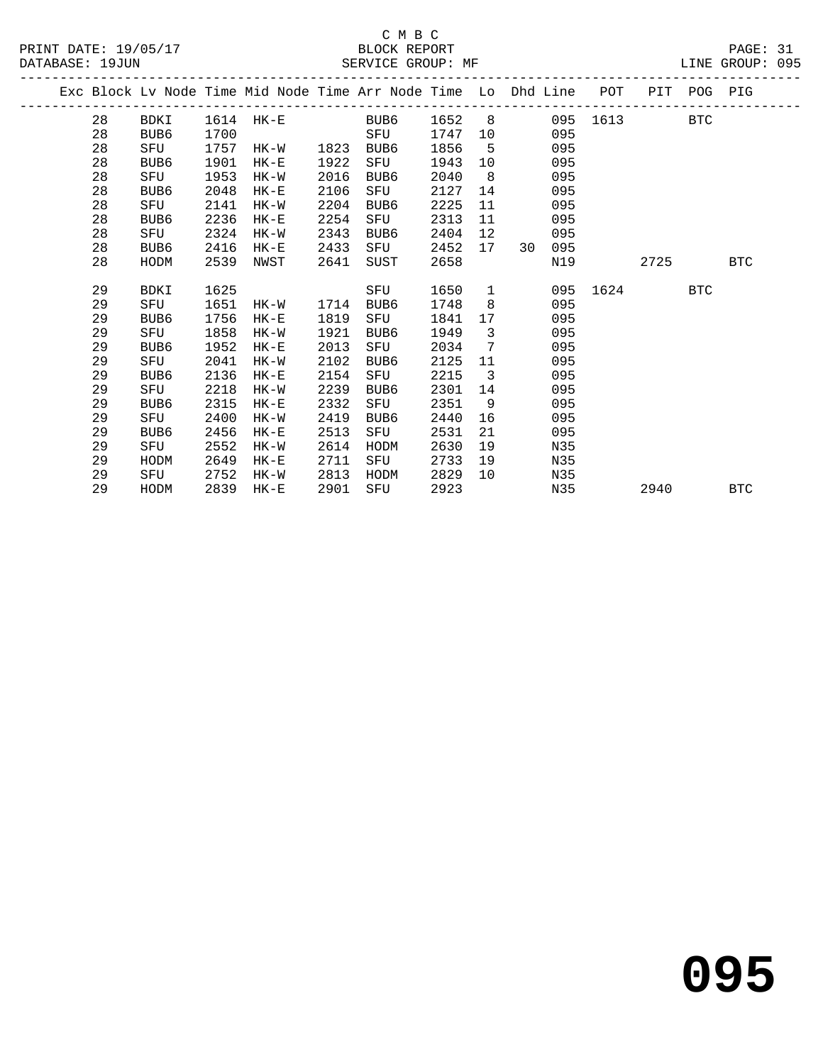|  |    |             |      |        |      | Exc Block Lv Node Time Mid Node Time Arr Node Time Lo Dhd Line POT |      |                   |    |     |          | PIT POG PIG |            |            |
|--|----|-------------|------|--------|------|--------------------------------------------------------------------|------|-------------------|----|-----|----------|-------------|------------|------------|
|  | 28 | BDKI        | 1614 | HK-E   |      | BUB6                                                               | 1652 | 8                 |    |     | 095 1613 |             | <b>BTC</b> |            |
|  | 28 | BUB6        | 1700 |        |      | SFU                                                                | 1747 | 10                |    | 095 |          |             |            |            |
|  | 28 | SFU         | 1757 | HK-W   | 1823 | BUB6                                                               | 1856 | 5                 |    | 095 |          |             |            |            |
|  | 28 | BUB6        | 1901 | HK-E   | 1922 | SFU                                                                | 1943 | 10 <sup>°</sup>   |    | 095 |          |             |            |            |
|  | 28 | SFU         | 1953 | $HK-W$ | 2016 | BUB6                                                               | 2040 | - 8               |    | 095 |          |             |            |            |
|  | 28 | BUB6        | 2048 | $HK-E$ | 2106 | SFU                                                                | 2127 | 14                |    | 095 |          |             |            |            |
|  | 28 | SFU         | 2141 | HK-W   | 2204 | BUB6                                                               | 2225 | 11                |    | 095 |          |             |            |            |
|  | 28 | BUB6        | 2236 | $HK-E$ | 2254 | SFU                                                                | 2313 | 11                |    | 095 |          |             |            |            |
|  | 28 | SFU         | 2324 | $HK-W$ | 2343 | BUB6                                                               | 2404 | $12 \overline{ }$ |    | 095 |          |             |            |            |
|  | 28 | BUB6        | 2416 | $HK-E$ | 2433 | SFU                                                                | 2452 | 17                | 30 | 095 |          |             |            |            |
|  | 28 | HODM        | 2539 | NWST   | 2641 | SUST                                                               | 2658 |                   |    | N19 |          | 2725        |            | <b>BTC</b> |
|  |    |             |      |        |      |                                                                    |      |                   |    |     |          |             |            |            |
|  | 29 | <b>BDKI</b> | 1625 |        |      | SFU                                                                | 1650 | $\mathbf{1}$      |    | 095 | 1624     |             | <b>BTC</b> |            |
|  | 29 | SFU         | 1651 | HK-W   | 1714 | BUB6                                                               | 1748 | 8                 |    | 095 |          |             |            |            |
|  | 29 | BUB6        | 1756 | HK-E   | 1819 | SFU                                                                | 1841 | 17                |    | 095 |          |             |            |            |
|  | 29 | SFU         | 1858 | HK-W   | 1921 | BUB6                                                               | 1949 | 3                 |    | 095 |          |             |            |            |
|  | 29 | BUB6        | 1952 | $HK-E$ | 2013 | SFU                                                                | 2034 | 7                 |    | 095 |          |             |            |            |
|  | 29 | SFU         | 2041 | HK-W   | 2102 | BUB6                                                               | 2125 | 11                |    | 095 |          |             |            |            |
|  | 29 | BUB6        | 2136 | $HK-E$ | 2154 | SFU                                                                | 2215 | $\overline{3}$    |    | 095 |          |             |            |            |
|  | 29 | SFU         | 2218 | HK-W   | 2239 | BUB6                                                               | 2301 | 14                |    | 095 |          |             |            |            |
|  | 29 | BUB6        | 2315 | $HK-E$ | 2332 | SFU                                                                | 2351 | 9                 |    | 095 |          |             |            |            |
|  | 29 | SFU         | 2400 | HK-W   | 2419 | BUB6                                                               | 2440 | 16                |    | 095 |          |             |            |            |
|  | 29 | BUB6        | 2456 | $HK-E$ | 2513 | SFU                                                                | 2531 | 21                |    | 095 |          |             |            |            |
|  | 29 | SFU         | 2552 | HK-W   | 2614 | HODM                                                               | 2630 | 19                |    | N35 |          |             |            |            |
|  | 29 | HODM        | 2649 | $HK-E$ | 2711 | SFU                                                                | 2733 | 19                |    | N35 |          |             |            |            |
|  | 29 | SFU         | 2752 | HK-W   | 2813 | HODM                                                               | 2829 | 10                |    | N35 |          |             |            |            |
|  | 29 | HODM        | 2839 | $HK-E$ | 2901 | SFU                                                                | 2923 |                   |    | N35 |          | 2940        |            | <b>BTC</b> |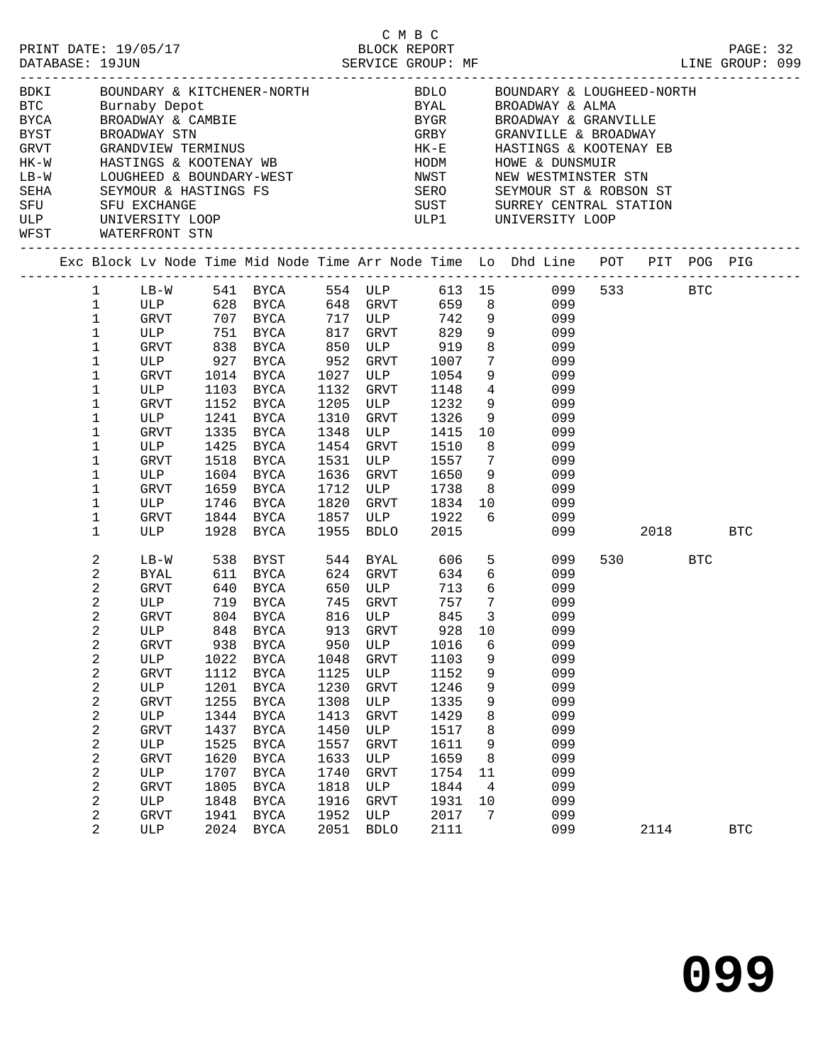|             |             |                     |                                          |      |                                                                                                                |      |                                              |             |                               |                                                                                                                       |         |            | LINE GROUP: 099 |  |
|-------------|-------------|---------------------|------------------------------------------|------|----------------------------------------------------------------------------------------------------------------|------|----------------------------------------------|-------------|-------------------------------|-----------------------------------------------------------------------------------------------------------------------|---------|------------|-----------------|--|
|             | <b>BYCA</b> |                     | BDKI BOUNDARY & KIT<br>BTC Burnaby Depot |      | Burnaby Depot<br>BROADWAY & CAMBIE<br>BROADWAY STN<br>GRANDVIEW TERMINUS<br>HASTINGS & KOOTENAY WB             |      |                                              | <b>BYGR</b> |                               | BOUNDARY & KITCHENER-NORTH                  BDLO      BOUNDARY & LOUGHEED-NORTH Burnaby Depot<br>BROADWAY & GRANVILLE |         |            |                 |  |
| BYST        |             |                     |                                          |      |                                                                                                                |      |                                              | GRBY        |                               | GRANVILLE & BROADWAY                                                                                                  |         |            |                 |  |
| GRVT        |             |                     |                                          |      |                                                                                                                |      |                                              | $HK-E$      |                               | HASTINGS & KOOTENAY EB                                                                                                |         |            |                 |  |
| $HK-W$      |             |                     |                                          |      |                                                                                                                |      |                                              | HODM        |                               | HOWE & DUNSMUIR                                                                                                       |         |            |                 |  |
| $LB-W$      |             |                     |                                          |      |                                                                                                                |      |                                              | NWST        |                               | NEW WESTMINSTER STN                                                                                                   |         |            |                 |  |
| SEHA<br>SFU |             |                     |                                          |      | HASIINGS & ROUIENAI WB<br>LOUGHEED & BOUNDARY-WEST<br>SEYMOUR & HASTINGS FS<br>SFU EXCHANGE<br>UNIVERSITY LOOP |      |                                              | SERO        |                               | SEYMOUR ST & ROBSON ST                                                                                                |         |            |                 |  |
| ULP         |             |                     |                                          |      |                                                                                                                |      |                                              |             |                               | SUST SURREY CENTRAL STATION<br>ULP1       UNIVERSITY LOOP                                                             |         |            |                 |  |
|             |             |                     | WFST WATERFRONT STN                      |      |                                                                                                                |      |                                              |             |                               |                                                                                                                       |         |            |                 |  |
|             |             |                     |                                          |      |                                                                                                                |      |                                              |             |                               | Exc Block Lv Node Time Mid Node Time Arr Node Time Lo Dhd Line POT PIT POG PIG                                        |         |            |                 |  |
|             |             |                     |                                          |      |                                                                                                                |      |                                              |             |                               | 1 LB-W 541 BYCA 554 ULP 613 15 099 533 BTC                                                                            |         |            |                 |  |
|             |             | $\mathbf 1$         |                                          |      | ULP 628 BYCA 648 GRVT                                                                                          |      |                                              | 659         |                               | 8<br>099                                                                                                              |         |            |                 |  |
|             |             | $\mathbf{1}$        | GRVT                                     |      | 707 BYCA                                                                                                       |      | 717 ULP<br>817 GRVT                          | 742         | 9                             | 099                                                                                                                   |         |            |                 |  |
|             |             | $\mathbf{1}$        | ULP                                      |      | 751 BYCA<br>838 BYCA                                                                                           |      | 817 GRVT<br>850 ULP                          | 829         | 9<br>8 <sup>8</sup>           | 099                                                                                                                   |         |            |                 |  |
|             |             | $\mathbf{1}$<br>1   | GRVT<br>ULP                              |      | 927 BYCA                                                                                                       | 952  | GRVT                                         | 919<br>1007 | $7\overline{ }$               | 099<br>099                                                                                                            |         |            |                 |  |
|             |             | 1                   | GRVT                                     | 1014 | BYCA                                                                                                           | 1027 | ULP                                          | 1054        | 9                             | 099                                                                                                                   |         |            |                 |  |
|             |             | 1                   | ULP                                      | 1103 | BYCA                                                                                                           | 1132 | GRVT                                         | 1148        | $4\overline{4}$               | 099                                                                                                                   |         |            |                 |  |
|             |             | 1                   | GRVT                                     | 1152 | BYCA                                                                                                           | 1205 | ULP                                          | 1232        | 9                             | 099                                                                                                                   |         |            |                 |  |
|             |             | 1                   | ULP                                      | 1241 | BYCA                                                                                                           | 1310 | GRVT                                         | 1326        | 9                             | 099                                                                                                                   |         |            |                 |  |
|             |             | 1                   | GRVT                                     | 1335 | BYCA                                                                                                           | 1348 | ULP                                          | 1415        | 10                            | 099                                                                                                                   |         |            |                 |  |
|             |             | 1                   | ULP                                      | 1425 | <b>BYCA</b>                                                                                                    | 1454 | GRVT                                         | 1510        | 8                             | 099                                                                                                                   |         |            |                 |  |
|             |             | 1                   | GRVT                                     | 1518 | BYCA                                                                                                           | 1531 | ULP                                          | 1557        | $\overline{7}$                | 099                                                                                                                   |         |            |                 |  |
|             |             | 1                   | ULP                                      |      | 1604 BYCA                                                                                                      | 1636 | GRVT                                         | 1650        | 9                             | 099                                                                                                                   |         |            |                 |  |
|             |             | 1                   | GRVT                                     | 1659 | BYCA                                                                                                           | 1712 | ULP                                          | 1738        | 8 <sup>8</sup>                | 099                                                                                                                   |         |            |                 |  |
|             |             | 1                   | ULP                                      | 1746 | BYCA                                                                                                           | 1820 | GRVT                                         | 1834        | 10                            | 099                                                                                                                   |         |            |                 |  |
|             |             | 1                   | GRVT                                     |      | 1844 BYCA                                                                                                      | 1857 | ULP                                          | 1922        | 6                             | 099                                                                                                                   |         |            |                 |  |
|             |             | 1                   | ULP                                      |      | 1928 BYCA                                                                                                      | 1955 | BDLO                                         | 2015        |                               | 099                                                                                                                   | 2018    |            | <b>BTC</b>      |  |
|             |             | 2                   | $LB-W$                                   | 538  | BYST                                                                                                           |      | 544 BYAL                                     | 606         | 5                             | 099                                                                                                                   | 530 720 | <b>BTC</b> |                 |  |
|             |             | 2                   | BYAL                                     |      | 611 BYCA                                                                                                       |      | 624 GRVT                                     | 634         | 6                             | 099                                                                                                                   |         |            |                 |  |
|             |             | 2                   | GRVT                                     | 640  | BYCA                                                                                                           | 650  | ULP                                          | 713         | 6                             | 099                                                                                                                   |         |            |                 |  |
|             |             | 2                   | ULP                                      | 719  | BYCA                                                                                                           |      | 745 GRVT                                     | 757         | $7\overline{ }$               | 099                                                                                                                   |         |            |                 |  |
|             |             | 2<br>2              | GRVT<br>ULP                              |      | 804 BYCA<br>848 BYCA                                                                                           |      | $816$ ULP<br>913 $C_{\text{D5}}$<br>913 GRVT | 845<br>928  | $\overline{\mathbf{3}}$<br>10 | 099<br>099                                                                                                            |         |            |                 |  |
|             |             | 2                   | GRVT                                     |      | 938 BYCA                                                                                                       |      |                                              |             |                               | 950 ULP 1016 6 099                                                                                                    |         |            |                 |  |
|             |             | 2                   | ULP                                      | 1022 | BYCA                                                                                                           | 1048 | GRVT                                         | 1103        | 9                             | 099                                                                                                                   |         |            |                 |  |
|             |             | 2                   | <b>GRVT</b>                              | 1112 | BYCA                                                                                                           | 1125 | ULP                                          | 1152        | 9                             | 099                                                                                                                   |         |            |                 |  |
|             |             | 2                   | ULP                                      | 1201 | BYCA                                                                                                           | 1230 | <b>GRVT</b>                                  | 1246        | 9                             | 099                                                                                                                   |         |            |                 |  |
|             |             | 2                   | <b>GRVT</b>                              | 1255 | BYCA                                                                                                           | 1308 | ULP                                          | 1335        | 9                             | 099                                                                                                                   |         |            |                 |  |
|             |             | 2                   | ULP                                      | 1344 | <b>BYCA</b>                                                                                                    | 1413 | <b>GRVT</b>                                  | 1429        | 8                             | 099                                                                                                                   |         |            |                 |  |
|             |             | 2                   | <b>GRVT</b>                              | 1437 | <b>BYCA</b>                                                                                                    | 1450 | ULP                                          | 1517        | 8                             | 099                                                                                                                   |         |            |                 |  |
|             |             | $\sqrt{2}$          | ULP                                      | 1525 | <b>BYCA</b>                                                                                                    | 1557 | GRVT                                         | 1611        | 9                             | 099                                                                                                                   |         |            |                 |  |
|             |             | 2                   | <b>GRVT</b>                              | 1620 | <b>BYCA</b>                                                                                                    | 1633 | ULP                                          | 1659        | 8                             | 099                                                                                                                   |         |            |                 |  |
|             |             | 2                   | ULP                                      | 1707 | BYCA                                                                                                           | 1740 | <b>GRVT</b>                                  | 1754        | 11                            | 099                                                                                                                   |         |            |                 |  |
|             |             | 2                   | <b>GRVT</b>                              | 1805 | BYCA                                                                                                           | 1818 | ULP                                          | 1844        | 4                             | 099                                                                                                                   |         |            |                 |  |
|             |             | 2                   | ULP                                      | 1848 | BYCA                                                                                                           | 1916 | GRVT                                         | 1931        | 10                            | 099                                                                                                                   |         |            |                 |  |
|             |             | 2<br>$\overline{2}$ | GRVT                                     | 1941 | BYCA                                                                                                           | 1952 | ULP                                          | 2017        | $7\overline{ }$               | 099<br>099                                                                                                            |         |            |                 |  |
|             |             |                     | ULP                                      | 2024 | BYCA                                                                                                           | 2051 | <b>BDLO</b>                                  | 2111        |                               |                                                                                                                       | 2114    |            | <b>BTC</b>      |  |

C M B C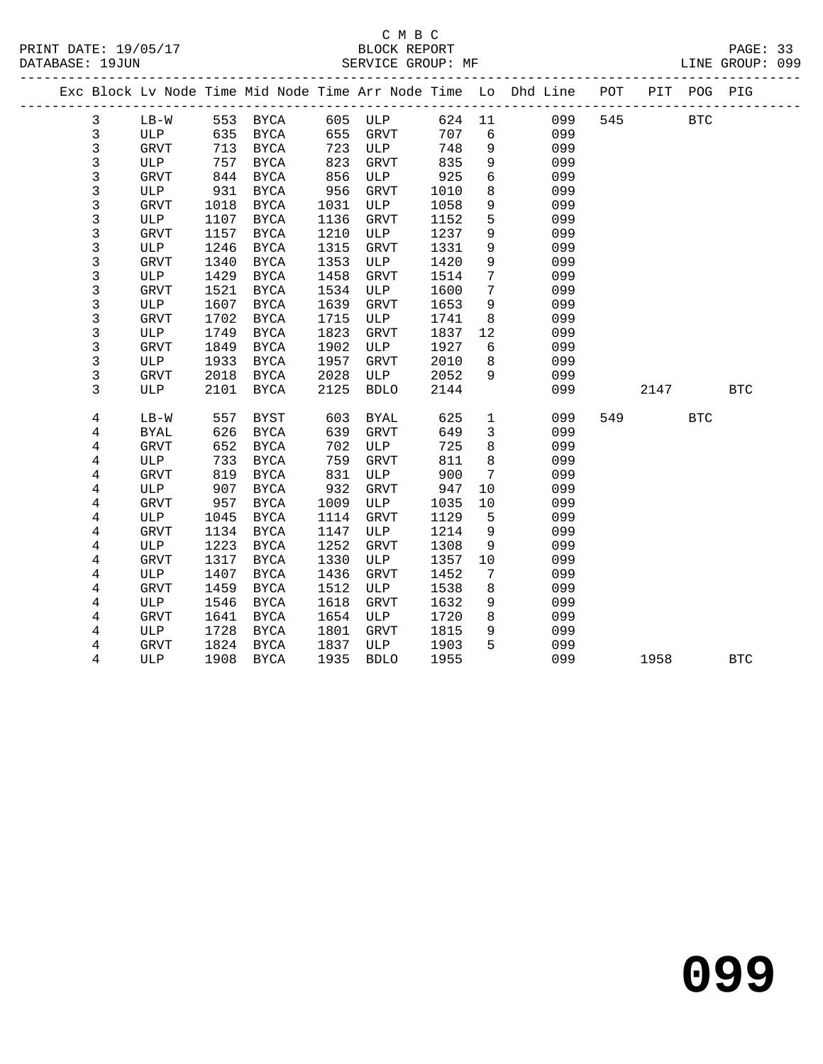|                |             |      |             |      |             |        |                 | Exc Block Lv Node Time Mid Node Time Arr Node Time Lo Dhd Line POT PIT POG PIG |     |      |            |            |
|----------------|-------------|------|-------------|------|-------------|--------|-----------------|--------------------------------------------------------------------------------|-----|------|------------|------------|
| 3              | $LB-W$      |      | 553 BYCA    |      | 605 ULP     | 624 11 |                 | 099                                                                            | 545 |      | <b>BTC</b> |            |
| $\mathfrak{Z}$ | ULP         |      | 635 BYCA    | 655  | GRVT        | 707    | 6               | 099                                                                            |     |      |            |            |
| $\mathsf{3}$   | GRVT        |      | 713 BYCA    | 723  | ULP         | 748    | 9               | 099                                                                            |     |      |            |            |
| 3              | ULP         | 757  | <b>BYCA</b> | 823  | GRVT        | 835    | 9               | 099                                                                            |     |      |            |            |
| $\mathfrak{Z}$ | GRVT        | 844  | <b>BYCA</b> | 856  | ULP         | 925    | 6               | 099                                                                            |     |      |            |            |
| $\mathsf{3}$   | ULP         | 931  | BYCA        | 956  | GRVT        | 1010   | 8               | 099                                                                            |     |      |            |            |
| 3              | GRVT        | 1018 | <b>BYCA</b> | 1031 | ULP         | 1058   | 9               | 099                                                                            |     |      |            |            |
| $\mathsf 3$    | ULP         | 1107 | BYCA        | 1136 | GRVT        | 1152   | 5               | 099                                                                            |     |      |            |            |
| $\mathfrak{Z}$ | <b>GRVT</b> | 1157 | <b>BYCA</b> | 1210 | ULP         | 1237   | 9               | 099                                                                            |     |      |            |            |
| $\mathsf 3$    | ULP         | 1246 | <b>BYCA</b> | 1315 | GRVT        | 1331   | 9               | 099                                                                            |     |      |            |            |
| 3              | GRVT        | 1340 | BYCA        | 1353 | ULP         | 1420   | 9               | 099                                                                            |     |      |            |            |
| 3              | ULP         | 1429 | <b>BYCA</b> | 1458 | <b>GRVT</b> | 1514   | 7               | 099                                                                            |     |      |            |            |
| 3              | <b>GRVT</b> | 1521 | <b>BYCA</b> | 1534 | ULP         | 1600   | $7\phantom{.}$  | 099                                                                            |     |      |            |            |
| $\mathsf 3$    | ULP         | 1607 | <b>BYCA</b> | 1639 | GRVT        | 1653   | 9               | 099                                                                            |     |      |            |            |
| $\mathsf 3$    | GRVT        | 1702 | <b>BYCA</b> | 1715 | ULP         | 1741   | 8               | 099                                                                            |     |      |            |            |
| 3              | ULP         | 1749 | <b>BYCA</b> | 1823 | GRVT        | 1837   | 12              | 099                                                                            |     |      |            |            |
| 3              | GRVT        | 1849 | BYCA        | 1902 | ULP         | 1927   | 6               | 099                                                                            |     |      |            |            |
| 3              | ULP         | 1933 | <b>BYCA</b> | 1957 | GRVT        | 2010   | 8               | 099                                                                            |     |      |            |            |
| 3              | GRVT        | 2018 | BYCA        | 2028 | ULP         | 2052   | 9               | 099                                                                            |     |      |            |            |
| 3              | ULP         | 2101 | BYCA        | 2125 | <b>BDLO</b> | 2144   |                 | 099                                                                            |     | 2147 |            | <b>BTC</b> |
| 4              | $LB-W$      | 557  | BYST        | 603  | <b>BYAL</b> | 625    | $\mathbf{1}$    | 099                                                                            |     | 549  | <b>BTC</b> |            |
| 4              | BYAL        | 626  | BYCA        | 639  | <b>GRVT</b> | 649    | $\mathbf{3}$    | 099                                                                            |     |      |            |            |
| $\overline{4}$ | GRVT        | 652  | <b>BYCA</b> | 702  | ULP         | 725    | 8               | 099                                                                            |     |      |            |            |
| 4              | ULP         | 733  | BYCA        | 759  | GRVT        | 811    | 8               | 099                                                                            |     |      |            |            |
| 4              | <b>GRVT</b> | 819  | BYCA        | 831  | ULP         | 900    | $7\phantom{.0}$ | 099                                                                            |     |      |            |            |
| 4              | ULP         | 907  | <b>BYCA</b> | 932  | GRVT        | 947    | 10              | 099                                                                            |     |      |            |            |
| 4              | GRVT        | 957  | <b>BYCA</b> | 1009 | ULP         | 1035   | 10              | 099                                                                            |     |      |            |            |
| $\overline{4}$ | ULP         | 1045 | <b>BYCA</b> | 1114 | GRVT        | 1129   | 5               | 099                                                                            |     |      |            |            |
| 4              | GRVT        | 1134 | <b>BYCA</b> | 1147 | ULP         | 1214   | 9               | 099                                                                            |     |      |            |            |
| 4              | ULP         | 1223 | <b>BYCA</b> | 1252 | <b>GRVT</b> | 1308   | 9               | 099                                                                            |     |      |            |            |
| 4              | GRVT        | 1317 | <b>BYCA</b> | 1330 | ULP         | 1357   | 10              | 099                                                                            |     |      |            |            |
| $\overline{4}$ | ULP         | 1407 | BYCA        | 1436 | GRVT        | 1452   | $7\phantom{.0}$ | 099                                                                            |     |      |            |            |
| 4              | <b>GRVT</b> | 1459 | <b>BYCA</b> | 1512 | ULP         | 1538   | 8               | 099                                                                            |     |      |            |            |
| 4              | ULP         | 1546 | <b>BYCA</b> | 1618 | <b>GRVT</b> | 1632   | 9               | 099                                                                            |     |      |            |            |
| 4              | <b>GRVT</b> | 1641 | <b>BYCA</b> | 1654 | ULP         | 1720   | 8               | 099                                                                            |     |      |            |            |
| 4              | ULP         | 1728 | BYCA        | 1801 | GRVT        | 1815   | 9               | 099                                                                            |     |      |            |            |
| $\overline{4}$ | GRVT        | 1824 | BYCA        | 1837 | ULP         | 1903   | 5               | 099                                                                            |     |      |            |            |
| 4              | ULP         | 1908 | BYCA        | 1935 | <b>BDLO</b> | 1955   |                 | 099                                                                            |     | 1958 |            | <b>BTC</b> |
|                |             |      |             |      |             |        |                 |                                                                                |     |      |            |            |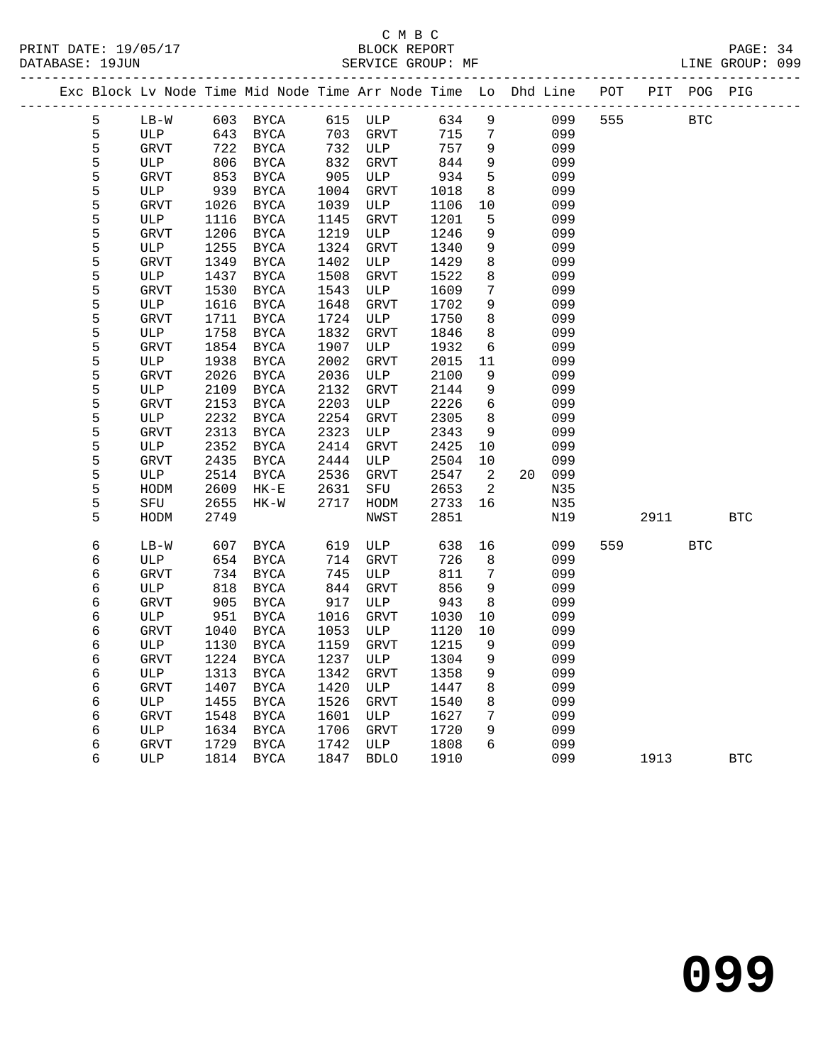| Exc Block Lv Node Time Mid Node Time Arr Node Time Lo Dhd Line POT |             |      |               |      |             |      |                  |    |     |     |      | PIT POG PIG | ----------- |
|--------------------------------------------------------------------|-------------|------|---------------|------|-------------|------|------------------|----|-----|-----|------|-------------|-------------|
| 5                                                                  | $LB-W$      |      | 603 BYCA      |      | 615 ULP     | 634  | 9                |    | 099 | 555 |      | <b>BTC</b>  |             |
| 5                                                                  | ULP         | 643  | BYCA          | 703  | GRVT        | 715  | 7                |    | 099 |     |      |             |             |
| 5                                                                  | GRVT        | 722  | BYCA          | 732  | ULP         | 757  | 9                |    | 099 |     |      |             |             |
| 5                                                                  | ULP         | 806  | BYCA          | 832  | GRVT        | 844  | 9                |    | 099 |     |      |             |             |
| 5                                                                  | <b>GRVT</b> | 853  | BYCA          | 905  | ULP         | 934  | 5                |    | 099 |     |      |             |             |
| 5                                                                  | ULP         | 939  | BYCA          | 1004 | <b>GRVT</b> | 1018 | 8                |    | 099 |     |      |             |             |
| 5                                                                  | <b>GRVT</b> | 1026 | BYCA          | 1039 | ULP         | 1106 | 10               |    | 099 |     |      |             |             |
| 5                                                                  | ULP         | 1116 | BYCA          | 1145 | GRVT        | 1201 | 5                |    | 099 |     |      |             |             |
| 5                                                                  | <b>GRVT</b> | 1206 | BYCA          | 1219 | ULP         | 1246 | 9                |    | 099 |     |      |             |             |
| 5                                                                  | ULP         | 1255 | BYCA          | 1324 | GRVT        | 1340 | 9                |    | 099 |     |      |             |             |
| 5                                                                  | GRVT        | 1349 | BYCA          | 1402 | ULP         | 1429 | 8                |    | 099 |     |      |             |             |
| 5                                                                  | ULP         | 1437 | BYCA          | 1508 | GRVT        | 1522 | 8                |    | 099 |     |      |             |             |
| 5                                                                  | <b>GRVT</b> | 1530 | BYCA          | 1543 | ULP         | 1609 | 7                |    | 099 |     |      |             |             |
| 5                                                                  | ULP         | 1616 | BYCA          | 1648 | GRVT        | 1702 | 9                |    | 099 |     |      |             |             |
| 5                                                                  | <b>GRVT</b> | 1711 | BYCA          | 1724 | ULP         | 1750 | 8                |    | 099 |     |      |             |             |
| 5                                                                  | ULP         | 1758 | BYCA          | 1832 | <b>GRVT</b> | 1846 | 8                |    | 099 |     |      |             |             |
| 5                                                                  | <b>GRVT</b> | 1854 | BYCA          | 1907 | ULP         | 1932 | 6                |    | 099 |     |      |             |             |
| 5                                                                  | ULP         | 1938 | BYCA          | 2002 | GRVT        | 2015 | 11               |    | 099 |     |      |             |             |
| 5                                                                  | <b>GRVT</b> | 2026 | BYCA          | 2036 | ULP         | 2100 | 9                |    | 099 |     |      |             |             |
| 5                                                                  | ULP         | 2109 | BYCA          | 2132 | GRVT        | 2144 | 9                |    | 099 |     |      |             |             |
| 5                                                                  | <b>GRVT</b> | 2153 | BYCA          | 2203 | ULP         | 2226 | $\epsilon$       |    | 099 |     |      |             |             |
| 5                                                                  | ULP         | 2232 | BYCA          | 2254 | <b>GRVT</b> | 2305 | 8                |    | 099 |     |      |             |             |
| 5                                                                  | <b>GRVT</b> | 2313 | BYCA          | 2323 | ULP         | 2343 | 9                |    | 099 |     |      |             |             |
| 5                                                                  | ULP         | 2352 | <b>BYCA</b>   | 2414 | GRVT        | 2425 | 10               |    | 099 |     |      |             |             |
| 5                                                                  | <b>GRVT</b> | 2435 | BYCA          | 2444 | ULP         | 2504 | 10               |    | 099 |     |      |             |             |
| 5                                                                  | ULP         | 2514 | BYCA          | 2536 | GRVT        | 2547 | 2                | 20 | 099 |     |      |             |             |
| 5                                                                  | HODM        | 2609 | $HK-E$        | 2631 | SFU         | 2653 | 2                |    | N35 |     |      |             |             |
| 5                                                                  | SFU         | 2655 | HK-W          | 2717 | HODM        | 2733 | 16               |    | N35 |     |      |             |             |
| 5                                                                  | HODM        | 2749 |               |      | NWST        | 2851 |                  |    | N19 |     | 2911 |             | <b>BTC</b>  |
| 6                                                                  | $LB-W$      | 607  | BYCA          | 619  | ULP         | 638  | 16               |    | 099 | 559 |      | <b>BTC</b>  |             |
| 6                                                                  | ULP         | 654  | BYCA          | 714  | <b>GRVT</b> | 726  | 8                |    | 099 |     |      |             |             |
| 6                                                                  | <b>GRVT</b> | 734  | BYCA          | 745  | ULP         | 811  | 7                |    | 099 |     |      |             |             |
| 6                                                                  | ULP         | 818  | BYCA          | 844  | <b>GRVT</b> | 856  | 9                |    | 099 |     |      |             |             |
| 6                                                                  | GRVT        | 905  | BYCA          | 917  | ULP         | 943  | 8                |    | 099 |     |      |             |             |
| 6                                                                  | ULP         | 951  | BYCA          | 1016 | GRVT        | 1030 | 10               |    | 099 |     |      |             |             |
| 6                                                                  | GRVT        | 1040 | BYCA          | 1053 | ULP         | 1120 | 10               |    | 099 |     |      |             |             |
| 6                                                                  | ULP         | 1130 | BYCA          | 1159 | GRVT        | 1215 | 9                |    | 099 |     |      |             |             |
| 6                                                                  | <b>GRVT</b> | 1224 | BYCA          | 1237 | ULP         | 1304 | 9                |    | 099 |     |      |             |             |
| 6                                                                  | ULP         | 1313 | BYCA          | 1342 | GRVT        | 1358 | 9                |    | 099 |     |      |             |             |
| 6                                                                  | <b>GRVT</b> | 1407 | BYCA          | 1420 | ULP         | 1447 | 8                |    | 099 |     |      |             |             |
| 6                                                                  | ULP         | 1455 | BYCA          | 1526 | GRVT        | 1540 | 8                |    | 099 |     |      |             |             |
| 6                                                                  | <b>GRVT</b> | 1548 | $_{\rm BYCA}$ | 1601 | ULP         | 1627 | 7                |    | 099 |     |      |             |             |
| 6                                                                  | ULP         | 1634 | BYCA          | 1706 | GRVT        | 1720 | 9                |    | 099 |     |      |             |             |
| 6                                                                  | <b>GRVT</b> | 1729 | BYCA          | 1742 | ULP         | 1808 | $6 \overline{6}$ |    | 099 |     |      |             |             |
| 6                                                                  | <b>ULP</b>  | 1814 | BYCA          | 1847 | <b>BDLO</b> | 1910 |                  |    | 099 |     | 1913 |             | <b>BTC</b>  |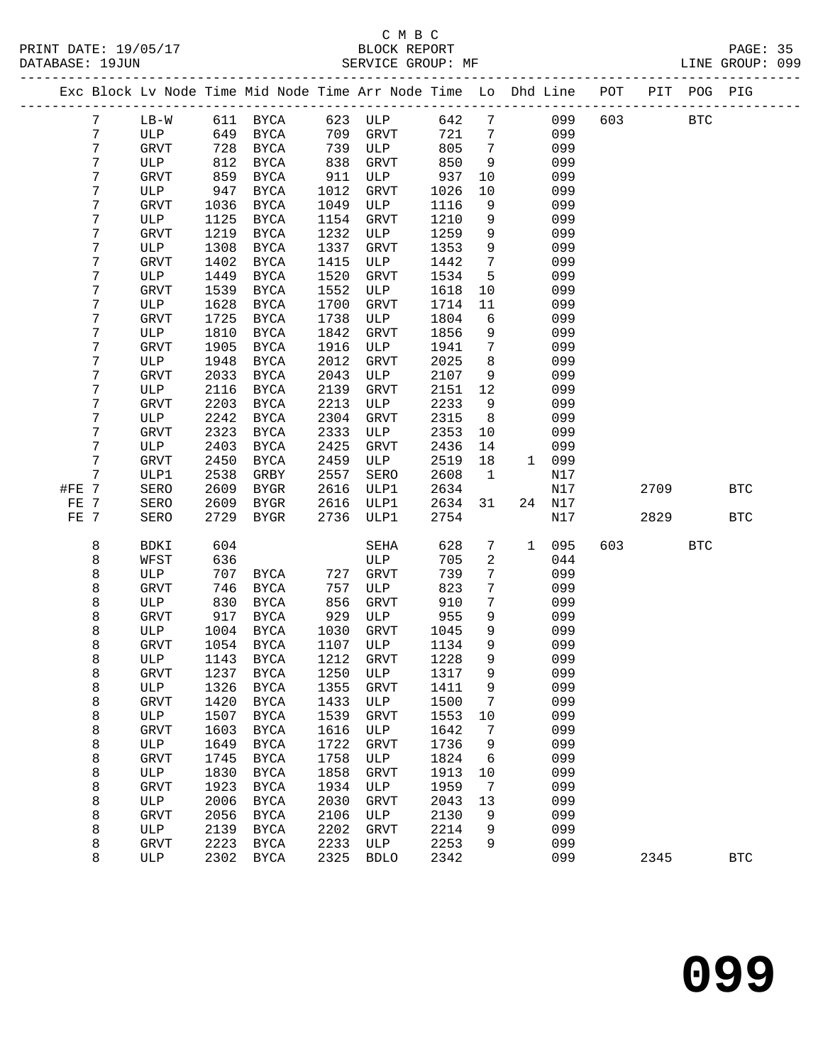|       |        |             |              | Exc Block Lv Node Time Mid Node Time Arr Node Time Lo Dhd Line POT |              |             |              |                 |              |            |     |      | PIT POG PIG |              |
|-------|--------|-------------|--------------|--------------------------------------------------------------------|--------------|-------------|--------------|-----------------|--------------|------------|-----|------|-------------|--------------|
|       | 7      | $LB-W$      |              | 611 BYCA                                                           |              | 623 ULP     | 642          | $7\phantom{.0}$ |              | 099        | 603 |      | <b>BTC</b>  |              |
|       | 7      | ULP         | 649          | BYCA                                                               | 709          | GRVT        | 721          | 7               |              | 099        |     |      |             |              |
|       | 7      | GRVT        | 728          | BYCA                                                               | 739          | ULP         | 805          | 7               |              | 099        |     |      |             |              |
|       | 7      | ULP         | 812          | BYCA                                                               | 838          | <b>GRVT</b> | 850          | 9               |              | 099        |     |      |             |              |
|       | 7      | GRVT        | 859          | BYCA                                                               | 911          | ULP         | 937          | 10              |              | 099        |     |      |             |              |
|       | 7      | ULP         | 947          | BYCA                                                               | 1012         | <b>GRVT</b> | 1026         | 10              |              | 099        |     |      |             |              |
|       | 7      | GRVT        | 1036         | BYCA                                                               | 1049         | ULP         | 1116         | 9               |              | 099        |     |      |             |              |
|       | 7      | ULP         | 1125         | BYCA                                                               | 1154         | GRVT        | 1210         | 9               |              | 099        |     |      |             |              |
|       | 7      | GRVT        | 1219         | BYCA                                                               | 1232         | ULP         | 1259         | 9               |              | 099        |     |      |             |              |
|       | 7      | ULP         | 1308         | BYCA                                                               | 1337         | <b>GRVT</b> | 1353         | 9               |              | 099        |     |      |             |              |
|       | 7      | GRVT        | 1402         | BYCA                                                               | 1415         | ULP         | 1442         | $7\phantom{.0}$ |              | 099        |     |      |             |              |
|       | 7      | ULP         | 1449         | BYCA                                                               | 1520         | GRVT        | 1534         | 5               |              | 099        |     |      |             |              |
|       | 7      | GRVT        | 1539         | BYCA                                                               | 1552         | ULP         | 1618         | 10              |              | 099        |     |      |             |              |
|       | 7      | ULP         | 1628         | BYCA                                                               | 1700         | GRVT        | 1714         | 11              |              | 099        |     |      |             |              |
|       | 7      | GRVT        | 1725         | BYCA                                                               | 1738         | ULP         | 1804         | $6\overline{6}$ |              | 099        |     |      |             |              |
|       | 7      | ULP         | 1810         | BYCA                                                               | 1842         | <b>GRVT</b> | 1856         | 9               |              | 099        |     |      |             |              |
|       | 7<br>7 | GRVT<br>ULP | 1905         | BYCA                                                               | 1916         | ULP         | 1941         | 7<br>8          |              | 099        |     |      |             |              |
|       | 7      | GRVT        | 1948<br>2033 | BYCA<br><b>BYCA</b>                                                | 2012<br>2043 | GRVT<br>ULP | 2025<br>2107 | 9               |              | 099<br>099 |     |      |             |              |
|       | 7      | ULP         | 2116         | <b>BYCA</b>                                                        | 2139         | GRVT        | 2151         | 12              |              | 099        |     |      |             |              |
|       | 7      | <b>GRVT</b> | 2203         | BYCA                                                               | 2213         | ULP         | 2233         | 9               |              | 099        |     |      |             |              |
|       | 7      | ULP         | 2242         | BYCA                                                               | 2304         | GRVT        | 2315         | 8               |              | 099        |     |      |             |              |
|       | 7      | GRVT        | 2323         | <b>BYCA</b>                                                        | 2333         | ULP         | 2353         | 10              |              | 099        |     |      |             |              |
|       | 7      | ULP         | 2403         | BYCA                                                               | 2425         | GRVT        | 2436         | 14              |              | 099        |     |      |             |              |
|       | 7      | GRVT        | 2450         | BYCA                                                               | 2459         | ULP         | 2519         | 18              | $\mathbf{1}$ | 099        |     |      |             |              |
|       | 7      | ULP1        | 2538         | GRBY                                                               | 2557         | SERO        | 2608         | $\mathbf{1}$    |              | N17        |     |      |             |              |
| #FE 7 |        | SERO        | 2609         | BYGR                                                               | 2616         | ULP1        | 2634         |                 |              | N17        |     | 2709 |             | <b>BTC</b>   |
| FE 7  |        | SERO        | 2609         | <b>BYGR</b>                                                        | 2616         | ULP1        | 2634         | 31              | 24           | N17        |     |      |             |              |
| FE 7  |        | SERO        | 2729         | BYGR                                                               | 2736         | ULP1        | 2754         |                 |              | N17        |     | 2829 |             | <b>BTC</b>   |
|       | 8      | BDKI        | 604          |                                                                    |              | SEHA        | 628          | 7               | $\mathbf{1}$ | 095        | 603 |      | <b>BTC</b>  |              |
|       | 8      | WFST        | 636          |                                                                    |              | ULP         | 705          | 2               |              | 044        |     |      |             |              |
|       | 8      | ULP         | 707          | BYCA                                                               | 727          | <b>GRVT</b> | 739          | 7               |              | 099        |     |      |             |              |
|       | 8      | GRVT        | 746          | BYCA                                                               | 757          | ULP         | 823          | 7               |              | 099        |     |      |             |              |
|       | 8      | ULP         | 830          | BYCA                                                               | 856          | <b>GRVT</b> | 910          | 7               |              | 099        |     |      |             |              |
|       | 8      | GRVT        | 917          | BYCA                                                               | 929          | ULP         | 955          | 9               |              | 099        |     |      |             |              |
|       | 8      | ULP         | 1004         | BYCA                                                               | 1030         | <b>GRVT</b> | 1045         | 9               |              | 099        |     |      |             |              |
|       | 8      | GRVT        | 1054         | BYCA                                                               | 1107         | ULP         | 1134         | 9               |              | 099        |     |      |             |              |
|       | 8      | ULP         | 1143         | BYCA                                                               | 1212         | GRVT        | 1228         | 9               |              | 099        |     |      |             |              |
|       | 8      | GRVT        |              | 1237 BYCA                                                          |              | 1250 ULP    | 1317         | 9               |              | 099        |     |      |             |              |
|       | 8      | ULP         | 1326         | BYCA                                                               | 1355         | GRVT        | 1411         | 9               |              | 099        |     |      |             |              |
|       | 8      | GRVT        | 1420         | BYCA                                                               | 1433<br>1539 | ULP         | 1500         | 7               |              | 099<br>099 |     |      |             |              |
|       | 8<br>8 | ULP<br>GRVT | 1507<br>1603 | BYCA<br>BYCA                                                       | 1616         | GRVT<br>ULP | 1553<br>1642 | 10<br>7         |              | 099        |     |      |             |              |
|       | 8      | ULP         | 1649         | BYCA                                                               | 1722         | GRVT        | 1736         | 9               |              | 099        |     |      |             |              |
|       | 8      | <b>GRVT</b> | 1745         | <b>BYCA</b>                                                        | 1758         | ULP         | 1824         | 6               |              | 099        |     |      |             |              |
|       | 8      | ULP         | 1830         | <b>BYCA</b>                                                        | 1858         | GRVT        | 1913         | 10              |              | 099        |     |      |             |              |
|       | 8      | GRVT        | 1923         | BYCA                                                               | 1934         | ULP         | 1959         | 7               |              | 099        |     |      |             |              |
|       | 8      | ULP         | 2006         | BYCA                                                               | 2030         | GRVT        | 2043         | 13              |              | 099        |     |      |             |              |
|       | 8      | <b>GRVT</b> | 2056         | BYCA                                                               | 2106         | ULP         | 2130         | 9               |              | 099        |     |      |             |              |
|       | 8      | ULP         | 2139         | BYCA                                                               | 2202         | GRVT        | 2214         | 9               |              | 099        |     |      |             |              |
|       | 8      | <b>GRVT</b> | 2223         | BYCA                                                               | 2233         | ULP         | 2253         | 9               |              | 099        |     |      |             |              |
|       | 8      | ULP         | 2302         | <b>BYCA</b>                                                        | 2325         | <b>BDLO</b> | 2342         |                 |              | 099        |     | 2345 |             | $_{\rm BTC}$ |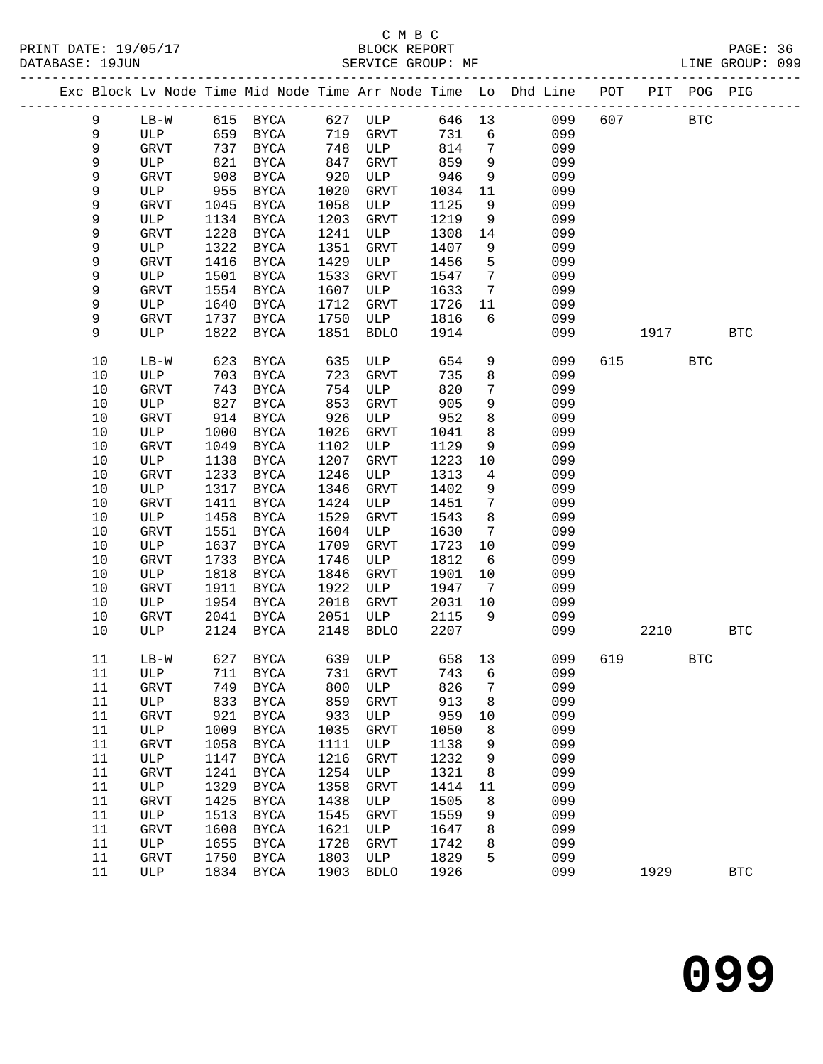PRINT DATE: 19/05/17 BLOCK REPORT<br>DATABASE: 19JUN BATABASE: 19JUN

## C M B C<br>BLOCK REPORT

PAGE: 36<br>LINE GROUP: 099

|        |              |      |               |      |              |        |                 | Exc Block Lv Node Time Mid Node Time Arr Node Time Lo Dhd Line POT PIT POG PIG |     |      |            |              |
|--------|--------------|------|---------------|------|--------------|--------|-----------------|--------------------------------------------------------------------------------|-----|------|------------|--------------|
| 9      | $LB-W$       |      | 615 BYCA      | 627  | ULP          | 646 13 |                 | 099                                                                            | 607 |      | <b>BTC</b> |              |
| 9      | ULP          | 659  | BYCA          | 719  | GRVT         | 731    | 6               | 099                                                                            |     |      |            |              |
| 9      | <b>GRVT</b>  | 737  | BYCA          | 748  | ULP          | 814    | 7               | 099                                                                            |     |      |            |              |
| 9      | ULP          | 821  | BYCA          | 847  | GRVT         | 859    | 9               | 099                                                                            |     |      |            |              |
| 9      | GRVT         | 908  | BYCA          | 920  | ULP          | 946    | 9               | 099                                                                            |     |      |            |              |
| 9      | ULP          | 955  | BYCA          | 1020 | GRVT         | 1034   | 11              | 099                                                                            |     |      |            |              |
| 9      | GRVT         | 1045 | $_{\rm BYCA}$ | 1058 | ULP          | 1125   | 9               | 099                                                                            |     |      |            |              |
| 9      | ULP          | 1134 | BYCA          | 1203 | GRVT         | 1219   | 9               | 099                                                                            |     |      |            |              |
| 9      | <b>GRVT</b>  | 1228 | BYCA          | 1241 | ULP          | 1308   | 14              | 099                                                                            |     |      |            |              |
| 9      | ULP          | 1322 | <b>BYCA</b>   | 1351 | GRVT         | 1407   | 9               | 099                                                                            |     |      |            |              |
| 9      | <b>GRVT</b>  | 1416 | BYCA          | 1429 | ULP          | 1456   | 5               | 099                                                                            |     |      |            |              |
| 9      | ULP          | 1501 | BYCA          | 1533 | GRVT         | 1547   | $7\phantom{.0}$ | 099                                                                            |     |      |            |              |
| 9      | GRVT         | 1554 | BYCA          | 1607 | ULP          | 1633   | $7\phantom{.0}$ | 099                                                                            |     |      |            |              |
| 9      | ULP          | 1640 | BYCA          | 1712 | GRVT         | 1726   | 11              | 099                                                                            |     |      |            |              |
| 9      | <b>GRVT</b>  | 1737 | BYCA          | 1750 | ULP          | 1816   | 6               | 099                                                                            |     |      |            |              |
| 9      | ULP          | 1822 | BYCA          | 1851 | <b>BDLO</b>  | 1914   |                 | 099                                                                            |     | 1917 |            | <b>BTC</b>   |
|        |              |      |               |      |              |        |                 |                                                                                |     |      |            |              |
| 10     | $LB-W$       | 623  | BYCA          | 635  | ULP          | 654    | 9               | 099                                                                            | 615 |      | <b>BTC</b> |              |
| 10     | ULP          | 703  | BYCA          | 723  | <b>GRVT</b>  | 735    | 8               | 099                                                                            |     |      |            |              |
| 10     | GRVT         | 743  | BYCA          | 754  | ULP          | 820    | 7               | 099                                                                            |     |      |            |              |
| 10     | ULP          | 827  | BYCA          | 853  | <b>GRVT</b>  | 905    | 9               | 099                                                                            |     |      |            |              |
| 10     | <b>GRVT</b>  | 914  | BYCA          | 926  | ULP          | 952    | 8               | 099                                                                            |     |      |            |              |
| 10     | ULP          | 1000 | BYCA          | 1026 | GRVT         | 1041   | 8               | 099                                                                            |     |      |            |              |
| 10     | GRVT         | 1049 | <b>BYCA</b>   | 1102 | ULP          | 1129   | 9               | 099                                                                            |     |      |            |              |
| 10     | ULP          | 1138 | BYCA          | 1207 | GRVT         | 1223   | 10              | 099                                                                            |     |      |            |              |
| 10     | GRVT         | 1233 | <b>BYCA</b>   | 1246 | ULP          | 1313   | 4               | 099                                                                            |     |      |            |              |
| 10     | ULP          | 1317 | BYCA          | 1346 | GRVT         | 1402   | 9               | 099                                                                            |     |      |            |              |
| 10     | GRVT         | 1411 | <b>BYCA</b>   | 1424 | ULP          | 1451   | 7               | 099                                                                            |     |      |            |              |
| 10     | ULP          | 1458 | BYCA          | 1529 | GRVT         | 1543   | 8               | 099                                                                            |     |      |            |              |
| 10     | GRVT         | 1551 | BYCA          | 1604 | ULP          | 1630   | 7               | 099                                                                            |     |      |            |              |
| 10     | ULP          | 1637 | BYCA          | 1709 | GRVT         | 1723   | 10              | 099                                                                            |     |      |            |              |
| 10     | GRVT         | 1733 | <b>BYCA</b>   | 1746 | ULP          | 1812   | 6               | 099                                                                            |     |      |            |              |
| 10     | ULP          | 1818 | BYCA          | 1846 | GRVT         | 1901   | 10              | 099                                                                            |     |      |            |              |
| 10     | GRVT         | 1911 | BYCA          | 1922 | ULP          | 1947   | $7\phantom{.0}$ | 099                                                                            |     |      |            |              |
| 10     | ULP          | 1954 | <b>BYCA</b>   | 2018 | GRVT         | 2031   | 10              | 099                                                                            |     |      |            |              |
| 10     | <b>GRVT</b>  | 2041 | <b>BYCA</b>   | 2051 | ULP          | 2115   | 9               | 099                                                                            |     |      |            |              |
| 10     | ULP          | 2124 | <b>BYCA</b>   | 2148 | <b>BDLO</b>  | 2207   |                 | 099                                                                            |     | 2210 |            | <b>BTC</b>   |
|        |              |      |               |      |              |        |                 |                                                                                |     |      |            |              |
| 11     | $LB-W$       |      | 627 BYCA      |      | 639 ULP      | 658 13 |                 | 099                                                                            | 619 |      | <b>BTC</b> |              |
| 11     | ULP          | 711  | BYCA          | 731  | GRVT         | 743    | 6               | 099                                                                            |     |      |            |              |
| 11     | GRVT         | 749  | <b>BYCA</b>   | 800  | ULP          | 826    | 7               | 099                                                                            |     |      |            |              |
| 11     | ULP          | 833  | <b>BYCA</b>   | 859  | GRVT         | 913    | 8               | 099                                                                            |     |      |            |              |
| 11     | GRVT         | 921  | <b>BYCA</b>   | 933  | ULP          | 959    | 10              | 099                                                                            |     |      |            |              |
| 11     | ULP          | 1009 | <b>BYCA</b>   | 1035 | GRVT         | 1050   | 8               | 099                                                                            |     |      |            |              |
| $11\,$ | GRVT         | 1058 | <b>BYCA</b>   | 1111 | ULP          | 1138   | 9               | 099                                                                            |     |      |            |              |
| 11     | $_{\rm ULP}$ | 1147 | <b>BYCA</b>   | 1216 | GRVT         | 1232   | 9               | 099                                                                            |     |      |            |              |
| $11\,$ | GRVT         | 1241 | <b>BYCA</b>   | 1254 | ULP          | 1321   | 8               | 099                                                                            |     |      |            |              |
| 11     | ULP          | 1329 | <b>BYCA</b>   | 1358 | GRVT         | 1414   | 11              | 099                                                                            |     |      |            |              |
| $11\,$ | GRVT         | 1425 | ${\tt BYCA}$  | 1438 | ULP          | 1505   | 8               | 099                                                                            |     |      |            |              |
| 11     | ULP          | 1513 | ${\tt BYCA}$  | 1545 | GRVT         | 1559   | 9               | 099                                                                            |     |      |            |              |
| 11     | GRVT         | 1608 | <b>BYCA</b>   | 1621 | ULP          | 1647   | 8               | 099                                                                            |     |      |            |              |
| 11     | ULP          | 1655 | <b>BYCA</b>   | 1728 | GRVT         | 1742   | 8               | 099                                                                            |     |      |            |              |
| 11     | GRVT         | 1750 | <b>BYCA</b>   | 1803 | $_{\rm ULP}$ | 1829   | 5               | 099                                                                            |     |      |            |              |
| $11\,$ | ULP          | 1834 | <b>BYCA</b>   | 1903 | <b>BDLO</b>  | 1926   |                 | 099                                                                            |     | 1929 |            | $_{\rm BTC}$ |
|        |              |      |               |      |              |        |                 |                                                                                |     |      |            |              |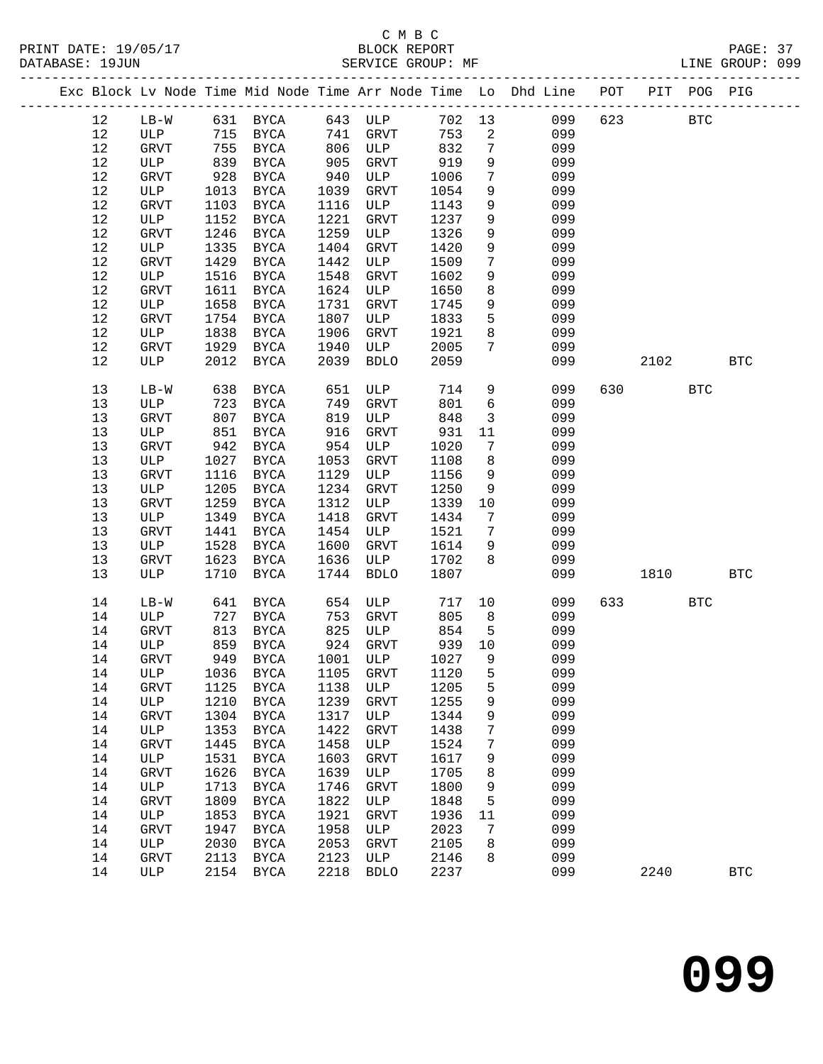|      |              |      |                            |      |                       |      |                         | Exc Block Lv Node Time Mid Node Time Arr Node Time Lo Dhd Line POT PIT POG PIG |     |            |            |              |
|------|--------------|------|----------------------------|------|-----------------------|------|-------------------------|--------------------------------------------------------------------------------|-----|------------|------------|--------------|
| 12   |              |      |                            |      | LB-W 631 BYCA 643 ULP |      |                         | 702 13 099                                                                     | 623 | <b>BTC</b> |            |              |
| 12   |              |      | ULP 715 BYCA 741 GRVT      |      |                       | 753  | $\overline{\mathbf{c}}$ | 099                                                                            |     |            |            |              |
| 12   | GRVT         |      |                            |      | 755 BYCA 806 ULP      | 832  | $7\phantom{.0}$         | 099                                                                            |     |            |            |              |
| 12   | ULP          | 839  | BYCA                       | 905  | GRVT                  | 919  | 9                       | 099                                                                            |     |            |            |              |
| $12$ | GRVT         | 928  | BYCA                       | 940  | <b>ULP</b>            | 1006 | $7\phantom{.0}$         | 099                                                                            |     |            |            |              |
| $12$ | ULP          | 1013 | BYCA                       | 1039 | GRVT                  | 1054 | 9                       | 099                                                                            |     |            |            |              |
| $12$ | GRVT         | 1103 | BYCA                       | 1116 | ULP                   | 1143 | 9                       | 099                                                                            |     |            |            |              |
| 12   | ULP          | 1152 | BYCA                       | 1221 | GRVT                  | 1237 | 9                       | 099                                                                            |     |            |            |              |
| $12$ | <b>GRVT</b>  | 1246 | BYCA                       | 1259 | ULP                   | 1326 | 9                       | 099                                                                            |     |            |            |              |
| 12   | ULP          | 1335 | BYCA                       | 1404 | GRVT                  | 1420 | 9                       | 099                                                                            |     |            |            |              |
| 12   | <b>GRVT</b>  | 1429 | BYCA                       | 1442 | ULP                   | 1509 | $7\overline{ }$         | 099                                                                            |     |            |            |              |
| 12   | ULP          | 1516 | BYCA                       | 1548 | GRVT                  | 1602 | 9                       | 099                                                                            |     |            |            |              |
| $12$ | GRVT         | 1611 | BYCA                       | 1624 | ULP                   | 1650 | 8                       | 099                                                                            |     |            |            |              |
| $12$ | ULP          | 1658 | BYCA                       | 1731 | GRVT                  | 1745 | 9                       | 099                                                                            |     |            |            |              |
| $12$ | GRVT         |      | 1754 BYCA                  | 1807 | <b>ULP</b>            | 1833 | 5                       | 099                                                                            |     |            |            |              |
| 12   | ULP          | 1838 | BYCA                       | 1906 | GRVT                  | 1921 | 8                       | 099                                                                            |     |            |            |              |
| 12   | GRVT         |      | 1929 BYCA                  | 1940 |                       | 2005 | $7\phantom{.0}$         | 099                                                                            |     |            |            |              |
| 12   | ULP          |      | 2012 BYCA                  | 2039 | ULP<br>BDLO           | 2059 |                         | 099                                                                            |     | 2102       |            | <b>BTC</b>   |
|      |              |      |                            |      |                       |      |                         |                                                                                |     |            |            |              |
| 13   | $LB-W$       | 638  | BYCA                       | 651  | ULP                   | 714  | 9                       | 099                                                                            | 630 |            | <b>BTC</b> |              |
| 13   | ULP          |      |                            | 749  | GRVT                  | 801  | $6\overline{6}$         | 099                                                                            |     |            |            |              |
| 13   | <b>GRVT</b>  |      | 723 BYCA<br>807 BYCA       | 819  | ULP                   | 848  | $\overline{\mathbf{3}}$ | 099                                                                            |     |            |            |              |
| 13   | ULP          |      | 851 BYCA                   | 916  | GRVT                  | 931  | 11                      | 099                                                                            |     |            |            |              |
| 13   | GRVT         |      | 942 BYCA                   | 954  | ULP                   | 1020 | $7\phantom{.0}$         | 099                                                                            |     |            |            |              |
| 13   | ULP          | 1027 | BYCA                       | 1053 | GRVT                  | 1108 | 8                       | 099                                                                            |     |            |            |              |
| 13   | GRVT         | 1116 | BYCA                       | 1129 | ULP                   | 1156 | 9                       | 099                                                                            |     |            |            |              |
| 13   | ULP          | 1205 | BYCA                       | 1234 | GRVT                  | 1250 | 9                       | 099                                                                            |     |            |            |              |
| 13   | GRVT         | 1259 | BYCA                       | 1312 | ULP                   | 1339 | 10                      | 099                                                                            |     |            |            |              |
| 13   | ULP          | 1349 | BYCA                       | 1418 | GRVT                  | 1434 | $\overline{7}$          | 099                                                                            |     |            |            |              |
| 13   | GRVT         | 1441 | BYCA                       | 1454 | ULP                   | 1521 | $\overline{7}$          | 099                                                                            |     |            |            |              |
| 13   | ULP          | 1528 | BYCA                       | 1600 | GRVT                  | 1614 | 9                       | 099                                                                            |     |            |            |              |
| 13   | GRVT         | 1623 | BYCA                       | 1636 | ULP                   | 1702 | 8                       | 099                                                                            |     |            |            |              |
| 13   | ULP          | 1710 | BYCA                       | 1744 | <b>BDLO</b>           | 1807 |                         | 099                                                                            |     | 1810       |            | $_{\rm BTC}$ |
|      |              |      |                            |      |                       |      |                         |                                                                                |     |            |            |              |
| 14   | $LB-W$       |      | 641 BYCA 654               |      | <b>ULP</b>            | 717  |                         | 10<br>099                                                                      |     |            | BTC        |              |
| 14   | ULP          |      | 727 BYCA 753               |      | GRVT                  | 805  | 8 <sup>8</sup>          | 099                                                                            |     |            |            |              |
| 14   | GRVT         |      | 813 BYCA                   | 825  | ULP                   | 854  | $-5$                    | 099                                                                            |     |            |            |              |
| 14   | ULP          | 859  | BYCA                       |      | 924 GRVT              | 939  | 10                      | 099                                                                            |     |            |            |              |
| 14   | <b>GRVT</b>  |      | 949 BYCA                   | 1001 | ULP                   | 1027 | 9                       | 099                                                                            |     |            |            |              |
|      |              |      | 14 ULP 1036 BYCA 1105 GRVT |      |                       | 1120 | 5                       | 099                                                                            |     |            |            |              |
| 14   | GRVT         | 1125 | <b>BYCA</b>                | 1138 | ULP                   | 1205 | 5                       | 099                                                                            |     |            |            |              |
| 14   | ULP          | 1210 | BYCA                       | 1239 | GRVT                  | 1255 | 9                       | 099                                                                            |     |            |            |              |
| 14   | GRVT         | 1304 | BYCA                       | 1317 | ULP                   | 1344 | 9                       | 099                                                                            |     |            |            |              |
| 14   | ULP          | 1353 | BYCA                       | 1422 | GRVT                  | 1438 | 7                       | 099                                                                            |     |            |            |              |
| 14   | GRVT         | 1445 | <b>BYCA</b>                | 1458 | ULP                   | 1524 | 7                       | 099                                                                            |     |            |            |              |
| 14   | ULP          | 1531 | <b>BYCA</b>                | 1603 | GRVT                  | 1617 | 9                       | 099                                                                            |     |            |            |              |
| 14   | GRVT         | 1626 | <b>BYCA</b>                | 1639 | ULP                   | 1705 | 8                       | 099                                                                            |     |            |            |              |
| 14   | ULP          | 1713 | <b>BYCA</b>                | 1746 | GRVT                  | 1800 | 9                       | 099                                                                            |     |            |            |              |
| 14   | GRVT         | 1809 | <b>BYCA</b>                | 1822 | ULP                   | 1848 | 5                       | 099                                                                            |     |            |            |              |
| 14   | $_{\rm ULP}$ | 1853 | <b>BYCA</b>                | 1921 | GRVT                  | 1936 | 11                      | 099                                                                            |     |            |            |              |
| 14   | GRVT         | 1947 | <b>BYCA</b>                | 1958 | ULP                   | 2023 | 7                       | 099                                                                            |     |            |            |              |
| 14   | ULP          | 2030 | BYCA                       | 2053 | GRVT                  | 2105 | 8                       | 099                                                                            |     |            |            |              |
| 14   | <b>GRVT</b>  | 2113 | BYCA                       | 2123 | ULP                   | 2146 | 8                       | 099                                                                            |     |            |            |              |
| 14   | ULP          | 2154 | BYCA                       | 2218 | <b>BDLO</b>           | 2237 |                         | 099                                                                            |     | 2240       |            | <b>BTC</b>   |
|      |              |      |                            |      |                       |      |                         |                                                                                |     |            |            |              |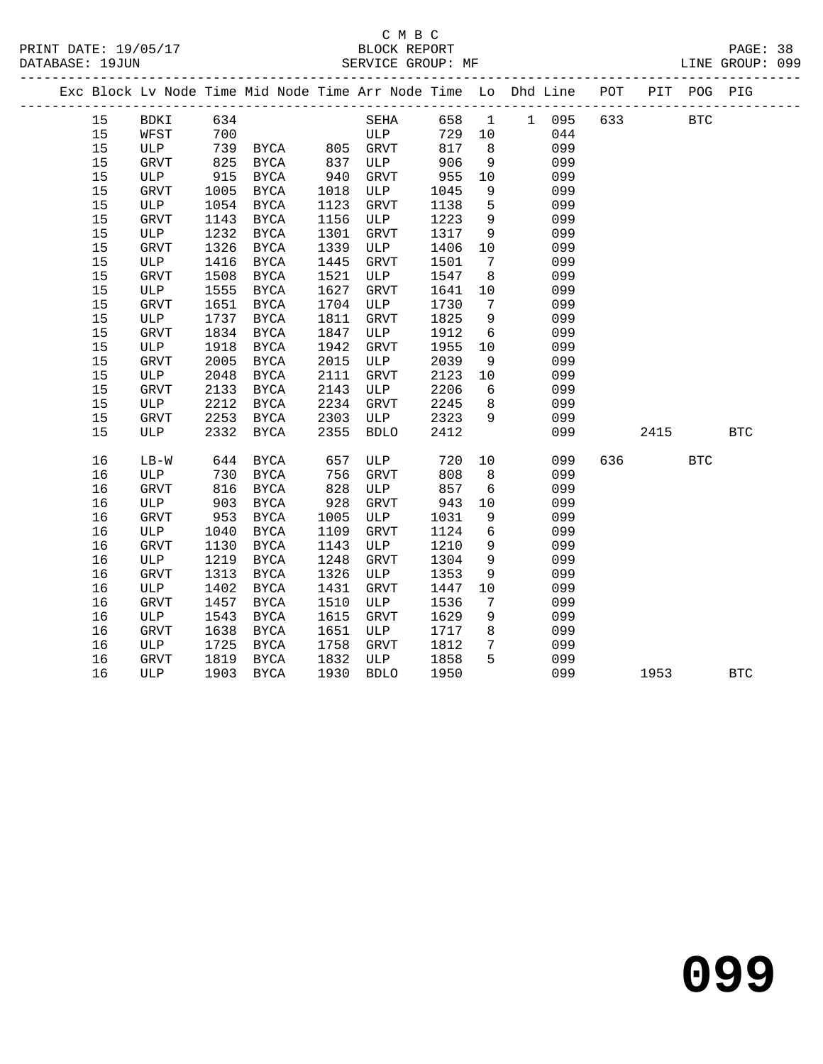|    | Exc Block Lv Node Time Mid Node Time Arr Node Time Lo Dhd Line POT PIT POG PIG |      |                       |      |             |      |                 |         |     |      |            |              |  |
|----|--------------------------------------------------------------------------------|------|-----------------------|------|-------------|------|-----------------|---------|-----|------|------------|--------------|--|
| 15 | BDKI                                                                           | 634  |                       |      | SEHA        | 658  |                 | 1 1 095 | 633 |      | <b>BTC</b> |              |  |
| 15 | WFST                                                                           | 700  |                       |      | ULP         | 729  | 10              | 044     |     |      |            |              |  |
| 15 | ULP                                                                            |      | $739$ BYCA $805$ GRVT |      |             | 817  | 8               | 099     |     |      |            |              |  |
| 15 | GRVT                                                                           | 825  | BYCA                  | 837  | ULP         | 906  | 9               | 099     |     |      |            |              |  |
| 15 | ULP                                                                            | 915  | <b>BYCA</b>           | 940  | <b>GRVT</b> | 955  | 10              | 099     |     |      |            |              |  |
| 15 | GRVT                                                                           | 1005 | BYCA                  | 1018 | ULP         | 1045 | 9               | 099     |     |      |            |              |  |
| 15 | ULP                                                                            | 1054 | BYCA                  | 1123 | <b>GRVT</b> | 1138 | 5               | 099     |     |      |            |              |  |
| 15 | <b>GRVT</b>                                                                    | 1143 | <b>BYCA</b>           | 1156 | ULP         | 1223 | 9               | 099     |     |      |            |              |  |
| 15 | ULP                                                                            | 1232 | <b>BYCA</b>           | 1301 | <b>GRVT</b> | 1317 | 9               | 099     |     |      |            |              |  |
| 15 | <b>GRVT</b>                                                                    | 1326 | <b>BYCA</b>           | 1339 | ULP         | 1406 | 10              | 099     |     |      |            |              |  |
| 15 | ULP                                                                            | 1416 | <b>BYCA</b>           | 1445 | <b>GRVT</b> | 1501 | 7               | 099     |     |      |            |              |  |
| 15 | GRVT                                                                           | 1508 | <b>BYCA</b>           | 1521 | ULP         | 1547 | 8               | 099     |     |      |            |              |  |
| 15 | ULP                                                                            | 1555 | BYCA                  | 1627 | <b>GRVT</b> | 1641 | 10              | 099     |     |      |            |              |  |
| 15 | <b>GRVT</b>                                                                    | 1651 | BYCA                  | 1704 | ULP         | 1730 | $7\phantom{.0}$ | 099     |     |      |            |              |  |
| 15 | ULP                                                                            | 1737 | BYCA                  | 1811 | <b>GRVT</b> | 1825 | 9               | 099     |     |      |            |              |  |
| 15 | <b>GRVT</b>                                                                    | 1834 | BYCA                  | 1847 | ULP         | 1912 | 6               | 099     |     |      |            |              |  |
| 15 | ULP                                                                            | 1918 | <b>BYCA</b>           | 1942 | <b>GRVT</b> | 1955 | 10              | 099     |     |      |            |              |  |
| 15 | GRVT                                                                           | 2005 | BYCA                  | 2015 | ULP         | 2039 | 9               | 099     |     |      |            |              |  |
| 15 | ULP                                                                            | 2048 | BYCA                  | 2111 | <b>GRVT</b> | 2123 | 10              | 099     |     |      |            |              |  |
| 15 | <b>GRVT</b>                                                                    | 2133 | <b>BYCA</b>           | 2143 | ULP         | 2206 | 6               | 099     |     |      |            |              |  |
| 15 | ULP                                                                            | 2212 | BYCA                  | 2234 | <b>GRVT</b> | 2245 | 8               | 099     |     |      |            |              |  |
| 15 | <b>GRVT</b>                                                                    | 2253 | BYCA                  | 2303 | ULP         | 2323 | 9               | 099     |     |      |            |              |  |
| 15 | ULP                                                                            | 2332 | <b>BYCA</b>           | 2355 | <b>BDLO</b> | 2412 |                 | 099     |     | 2415 |            | $_{\rm BTC}$ |  |
| 16 | $LB-W$                                                                         | 644  | BYCA                  | 657  | ULP         | 720  | 10              | 099     | 636 |      | <b>BTC</b> |              |  |
| 16 | ULP                                                                            | 730  | <b>BYCA</b>           | 756  | <b>GRVT</b> | 808  | 8               | 099     |     |      |            |              |  |
| 16 | <b>GRVT</b>                                                                    | 816  | BYCA                  | 828  | ULP         | 857  | 6               | 099     |     |      |            |              |  |
| 16 | ULP                                                                            | 903  | <b>BYCA</b>           | 928  | <b>GRVT</b> | 943  | 10              | 099     |     |      |            |              |  |
| 16 | GRVT                                                                           | 953  | <b>BYCA</b>           | 1005 | ULP         | 1031 | 9               | 099     |     |      |            |              |  |
| 16 | ULP                                                                            | 1040 | BYCA                  | 1109 | <b>GRVT</b> | 1124 | 6               | 099     |     |      |            |              |  |
| 16 | <b>GRVT</b>                                                                    | 1130 | <b>BYCA</b>           | 1143 | ULP         | 1210 | 9               | 099     |     |      |            |              |  |
| 16 | ULP                                                                            | 1219 | <b>BYCA</b>           | 1248 | GRVT        | 1304 | 9               | 099     |     |      |            |              |  |
| 16 | GRVT                                                                           | 1313 | BYCA                  | 1326 | ULP         | 1353 | 9               | 099     |     |      |            |              |  |
| 16 | ULP                                                                            | 1402 | <b>BYCA</b>           | 1431 | <b>GRVT</b> | 1447 | 10              | 099     |     |      |            |              |  |
| 16 | GRVT                                                                           | 1457 | <b>BYCA</b>           | 1510 | ULP         | 1536 | 7               | 099     |     |      |            |              |  |
| 16 | ULP                                                                            | 1543 | BYCA                  | 1615 | <b>GRVT</b> | 1629 | 9               | 099     |     |      |            |              |  |
| 16 | <b>GRVT</b>                                                                    | 1638 | BYCA                  | 1651 | ULP         | 1717 | 8               | 099     |     |      |            |              |  |
| 16 | ULP                                                                            | 1725 | BYCA                  | 1758 | GRVT        | 1812 | $7\overline{ }$ | 099     |     |      |            |              |  |
| 16 | <b>GRVT</b>                                                                    | 1819 | BYCA                  | 1832 | ULP         | 1858 | 5               | 099     |     |      |            |              |  |
| 16 | ULP                                                                            | 1903 | <b>BYCA</b>           | 1930 | <b>BDLO</b> | 1950 |                 | 099     |     | 1953 |            | <b>BTC</b>   |  |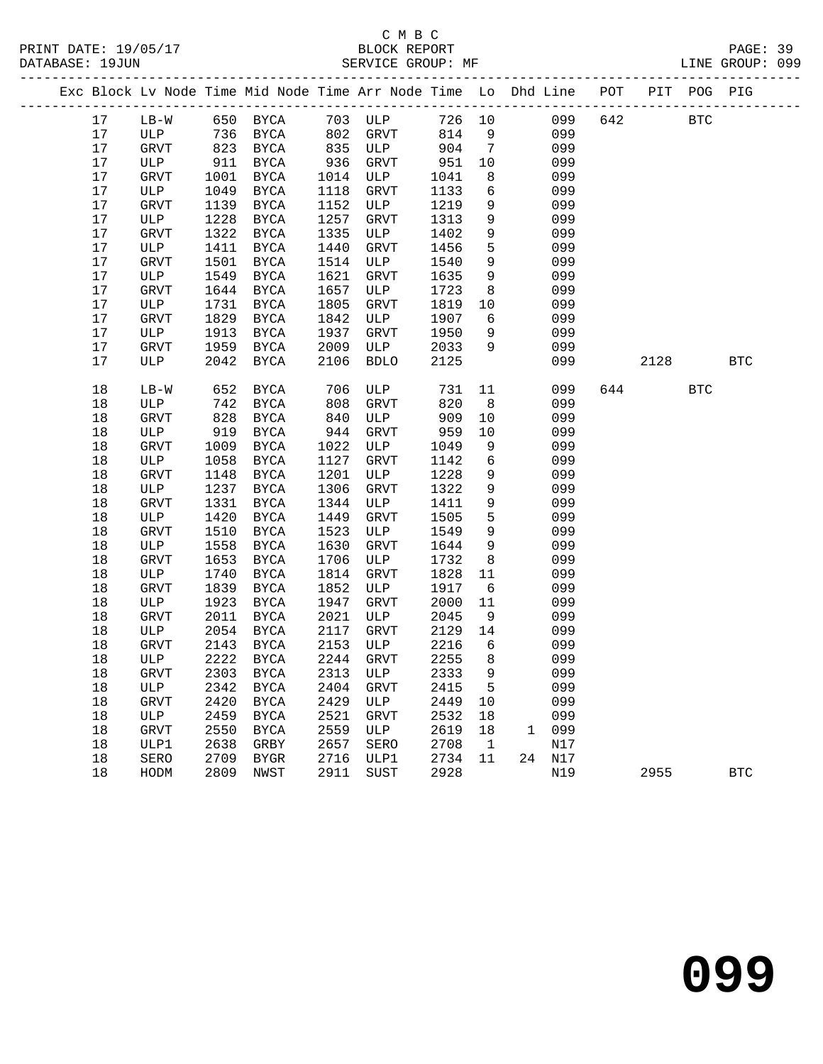|  |              |             |              | Exc Block Lv Node Time Mid Node Time Arr Node Time Lo Dhd Line POT |              |             |              |                 |   |            |     |      | PIT POG PIG  |              |
|--|--------------|-------------|--------------|--------------------------------------------------------------------|--------------|-------------|--------------|-----------------|---|------------|-----|------|--------------|--------------|
|  | 17           | $LB-W$      |              | 650 BYCA                                                           |              | 703 ULP     | 726 10       |                 |   | 099        | 642 |      | $_{\rm BTC}$ |              |
|  | 17           | ULP         | 736          | BYCA                                                               | 802          | GRVT        | 814          | 9               |   | 099        |     |      |              |              |
|  | 17           | GRVT        | 823          | BYCA                                                               | 835          | ULP         | 904          | $\overline{7}$  |   | 099        |     |      |              |              |
|  | 17           | ULP         | 911          | BYCA                                                               | 936          | GRVT        | 951          | 10              |   | 099        |     |      |              |              |
|  | 17           | GRVT        | 1001         | BYCA                                                               | 1014         | ULP         | 1041         | 8               |   | 099        |     |      |              |              |
|  | 17           | ULP         | 1049         | BYCA                                                               | 1118         | GRVT        | 1133         | 6               |   | 099        |     |      |              |              |
|  | 17           | GRVT        | 1139         | BYCA                                                               | 1152         | ULP         | 1219         | 9               |   | 099        |     |      |              |              |
|  | 17           | ULP         | 1228         | BYCA                                                               | 1257         | GRVT        | 1313         | 9               |   | 099        |     |      |              |              |
|  | 17           | GRVT        | 1322         | BYCA                                                               | 1335         | ULP         | 1402         | 9               |   | 099        |     |      |              |              |
|  | 17           | ULP         | 1411         | BYCA                                                               | 1440         | GRVT        | 1456         | 5               |   | 099        |     |      |              |              |
|  | 17           | GRVT        | 1501         | <b>BYCA</b>                                                        | 1514         | ULP         | 1540         | 9               |   | 099        |     |      |              |              |
|  | 17<br>17     | ULP         | 1549<br>1644 | BYCA                                                               | 1621<br>1657 | GRVT        | 1635         | 9<br>8          |   | 099<br>099 |     |      |              |              |
|  | 17           | GRVT<br>ULP | 1731         | <b>BYCA</b><br>BYCA                                                | 1805         | ULP<br>GRVT | 1723<br>1819 | 10              |   | 099        |     |      |              |              |
|  | 17           | GRVT        | 1829         | BYCA                                                               | 1842         | ULP         | 1907         | 6               |   | 099        |     |      |              |              |
|  | 17           | ULP         | 1913         | BYCA                                                               | 1937         | GRVT        | 1950         | 9               |   | 099        |     |      |              |              |
|  | 17           | GRVT        | 1959         | BYCA                                                               | 2009         | ULP         | 2033         | 9               |   | 099        |     |      |              |              |
|  | 17           | ULP         | 2042         | BYCA                                                               | 2106         | <b>BDLO</b> | 2125         |                 |   | 099        |     | 2128 |              | <b>BTC</b>   |
|  |              |             |              |                                                                    |              |             |              |                 |   |            |     |      |              |              |
|  | 18           | $LB-W$      | 652          | BYCA                                                               | 706          | ULP         | 731          | 11              |   | 099        | 644 |      | <b>BTC</b>   |              |
|  | 18           | ULP         | 742          | BYCA                                                               | 808          | GRVT        | 820          | 8               |   | 099        |     |      |              |              |
|  | $18$         | GRVT        | 828          | BYCA                                                               | 840          | ULP         | 909          | 10              |   | 099        |     |      |              |              |
|  | $18$         | ULP         | 919          | BYCA                                                               | 944          | GRVT        | 959          | 10              |   | 099        |     |      |              |              |
|  | $18$         | GRVT        | 1009         | <b>BYCA</b>                                                        | 1022         | ULP         | 1049         | 9               |   | 099        |     |      |              |              |
|  | 18           | ULP         | 1058         | BYCA                                                               | 1127         | GRVT        | 1142         | 6               |   | 099        |     |      |              |              |
|  | $18$         | GRVT        | 1148         | <b>BYCA</b>                                                        | 1201         | ULP         | 1228         | 9               |   | 099        |     |      |              |              |
|  | $18$         | ULP         | 1237         | BYCA                                                               | 1306         | GRVT        | 1322         | 9               |   | 099        |     |      |              |              |
|  | $18$         | GRVT        | 1331         | BYCA                                                               | 1344         | ULP         | 1411         | 9               |   | 099        |     |      |              |              |
|  | 18           | ULP         | 1420         | BYCA                                                               | 1449         | GRVT        | 1505         | $5\phantom{.0}$ |   | 099        |     |      |              |              |
|  | $18$         | GRVT        | 1510         | <b>BYCA</b>                                                        | 1523         | ULP         | 1549         | 9               |   | 099        |     |      |              |              |
|  | $18$<br>$18$ | ULP         | 1558         | BYCA                                                               | 1630<br>1706 | GRVT        | 1644         | 9               |   | 099<br>099 |     |      |              |              |
|  | 18           | GRVT<br>ULP | 1653<br>1740 | <b>BYCA</b><br>BYCA                                                | 1814         | ULP<br>GRVT | 1732<br>1828 | 8<br>11         |   | 099        |     |      |              |              |
|  | $18$         | <b>GRVT</b> | 1839         | BYCA                                                               | 1852         | ULP         | 1917         | 6               |   | 099        |     |      |              |              |
|  | 18           | ULP         | 1923         | BYCA                                                               | 1947         | GRVT        | 2000         | 11              |   | 099        |     |      |              |              |
|  | $18$         | GRVT        | 2011         | BYCA                                                               | 2021         | ULP         | 2045         | 9               |   | 099        |     |      |              |              |
|  | 18           | ULP         | 2054         | BYCA                                                               | 2117         | GRVT        | 2129         | 14              |   | 099        |     |      |              |              |
|  | 18           | GRVT        | 2143         | BYCA                                                               | 2153         | ULP         | 2216         | 6               |   | 099        |     |      |              |              |
|  | 18           | ULP         | 2222         | <b>BYCA</b>                                                        | 2244         | GRVT        | 2255         | 8               |   | 099        |     |      |              |              |
|  | $18\,$       | GRVT        |              | 2303 BYCA 2313 ULP                                                 |              |             | 2333 9       |                 |   | 099        |     |      |              |              |
|  | 18           | ULP         | 2342         | BYCA                                                               | 2404         | GRVT        | 2415         | 5               |   | 099        |     |      |              |              |
|  | 18           | <b>GRVT</b> | 2420         | BYCA                                                               | 2429         | ULP         | 2449         | 10              |   | 099        |     |      |              |              |
|  | 18           | ULP         | 2459         | BYCA                                                               | 2521         | <b>GRVT</b> | 2532         | 18              |   | 099        |     |      |              |              |
|  | 18           | GRVT        | 2550         | BYCA                                                               | 2559         | ULP         | 2619         | 18              | 1 | 099        |     |      |              |              |
|  | 18           | ULP1        | 2638         | GRBY                                                               | 2657         | SERO        | 2708         | $\mathbf{1}$    |   | N17        |     |      |              |              |
|  | 18           | SERO        | 2709         | BYGR                                                               | 2716         | ULP1        | 2734         | 11              |   | 24 N17     |     |      |              |              |
|  | 18           | HODM        | 2809         | NWST                                                               | 2911         | SUST        | 2928         |                 |   | N19        |     | 2955 |              | $_{\rm BTC}$ |
|  |              |             |              |                                                                    |              |             |              |                 |   |            |     |      |              |              |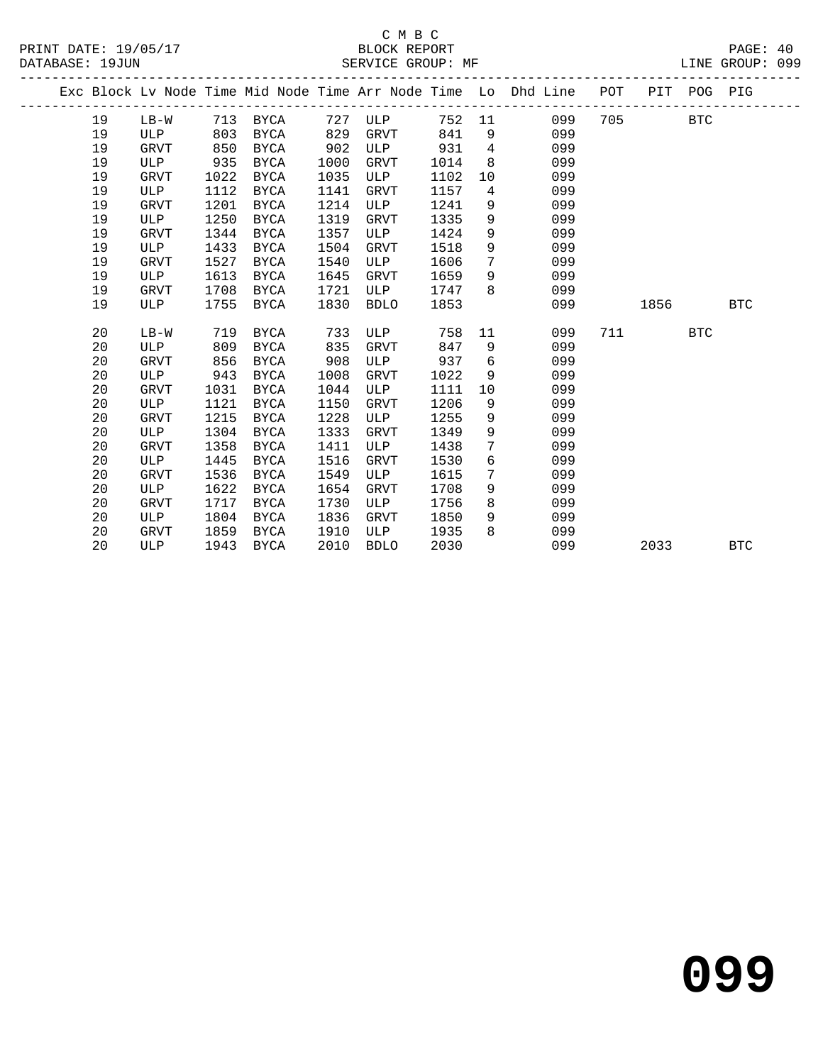|    |             |      |             |      |             |        |                 | Exc Block Lv Node Time Mid Node Time Arr Node Time Lo Dhd Line | POT |      | PIT POG PIG |            |
|----|-------------|------|-------------|------|-------------|--------|-----------------|----------------------------------------------------------------|-----|------|-------------|------------|
| 19 | $LB-W$      | 713  | BYCA        | 727  | ULP         | 752 11 |                 | 099                                                            | 705 |      | <b>BTC</b>  |            |
| 19 | ULP         | 803  | BYCA        | 829  | GRVT        | 841    | 9               | 099                                                            |     |      |             |            |
| 19 | <b>GRVT</b> | 850  | BYCA        | 902  | ULP         | 931    | 4               | 099                                                            |     |      |             |            |
| 19 | ULP         | 935  | BYCA        | 1000 | GRVT        | 1014   | 8               | 099                                                            |     |      |             |            |
| 19 | <b>GRVT</b> | 1022 | <b>BYCA</b> | 1035 | ULP         | 1102   | 10              | 099                                                            |     |      |             |            |
| 19 | ULP         | 1112 | <b>BYCA</b> | 1141 | GRVT        | 1157   | 4               | 099                                                            |     |      |             |            |
| 19 | <b>GRVT</b> | 1201 | <b>BYCA</b> | 1214 | ULP         | 1241   | 9               | 099                                                            |     |      |             |            |
| 19 | ULP         | 1250 | <b>BYCA</b> | 1319 | GRVT        | 1335   | 9               | 099                                                            |     |      |             |            |
| 19 | <b>GRVT</b> | 1344 | <b>BYCA</b> | 1357 | ULP         | 1424   | 9               | 099                                                            |     |      |             |            |
| 19 | ULP         | 1433 | <b>BYCA</b> | 1504 | GRVT        | 1518   | 9               | 099                                                            |     |      |             |            |
| 19 | GRVT        | 1527 | BYCA        | 1540 | ULP         | 1606   | $7\phantom{.0}$ | 099                                                            |     |      |             |            |
| 19 | ULP         | 1613 | BYCA        | 1645 | GRVT        | 1659   | 9               | 099                                                            |     |      |             |            |
| 19 | GRVT        | 1708 | BYCA        | 1721 | ULP         | 1747   | 8               | 099                                                            |     |      |             |            |
| 19 | <b>ULP</b>  | 1755 | <b>BYCA</b> | 1830 | <b>BDLO</b> | 1853   |                 | 099                                                            |     | 1856 |             | <b>BTC</b> |
|    |             |      |             |      |             |        |                 |                                                                |     |      |             |            |
| 20 | $LB-W$      | 719  | <b>BYCA</b> | 733  | ULP         | 758    | 11              | 099                                                            | 711 |      | <b>BTC</b>  |            |
| 20 | ULP         | 809  | BYCA        | 835  | <b>GRVT</b> | 847    | 9               | 099                                                            |     |      |             |            |
| 20 | GRVT        | 856  | <b>BYCA</b> | 908  | ULP         | 937    | 6               | 099                                                            |     |      |             |            |
| 20 | ULP         | 943  | <b>BYCA</b> | 1008 | <b>GRVT</b> | 1022   | 9               | 099                                                            |     |      |             |            |
| 20 | <b>GRVT</b> | 1031 | <b>BYCA</b> | 1044 | ULP         | 1111   | 10              | 099                                                            |     |      |             |            |
| 20 | ULP         | 1121 | <b>BYCA</b> | 1150 | GRVT        | 1206   | 9               | 099                                                            |     |      |             |            |
| 20 | <b>GRVT</b> | 1215 | <b>BYCA</b> | 1228 | ULP         | 1255   | 9               | 099                                                            |     |      |             |            |
| 20 | ULP         | 1304 | <b>BYCA</b> | 1333 | GRVT        | 1349   | 9               | 099                                                            |     |      |             |            |
| 20 | GRVT        | 1358 | <b>BYCA</b> | 1411 | ULP         | 1438   | 7               | 099                                                            |     |      |             |            |
| 20 | ULP         | 1445 | <b>BYCA</b> | 1516 | GRVT        | 1530   | 6               | 099                                                            |     |      |             |            |
| 20 | GRVT        | 1536 | BYCA        | 1549 | ULP         | 1615   | 7               | 099                                                            |     |      |             |            |
| 20 | <b>ULP</b>  | 1622 | <b>BYCA</b> | 1654 | <b>GRVT</b> | 1708   | 9               | 099                                                            |     |      |             |            |
| 20 | <b>GRVT</b> | 1717 | <b>BYCA</b> | 1730 | ULP         | 1756   | 8               | 099                                                            |     |      |             |            |
| 20 | ULP         | 1804 | <b>BYCA</b> | 1836 | <b>GRVT</b> | 1850   | 9               | 099                                                            |     |      |             |            |
| 20 | GRVT        | 1859 | <b>BYCA</b> | 1910 | ULP         | 1935   | 8               | 099                                                            |     |      |             |            |
| 20 | ULP         | 1943 | <b>BYCA</b> | 2010 | <b>BDLO</b> | 2030   |                 | 099                                                            |     | 2033 |             | <b>BTC</b> |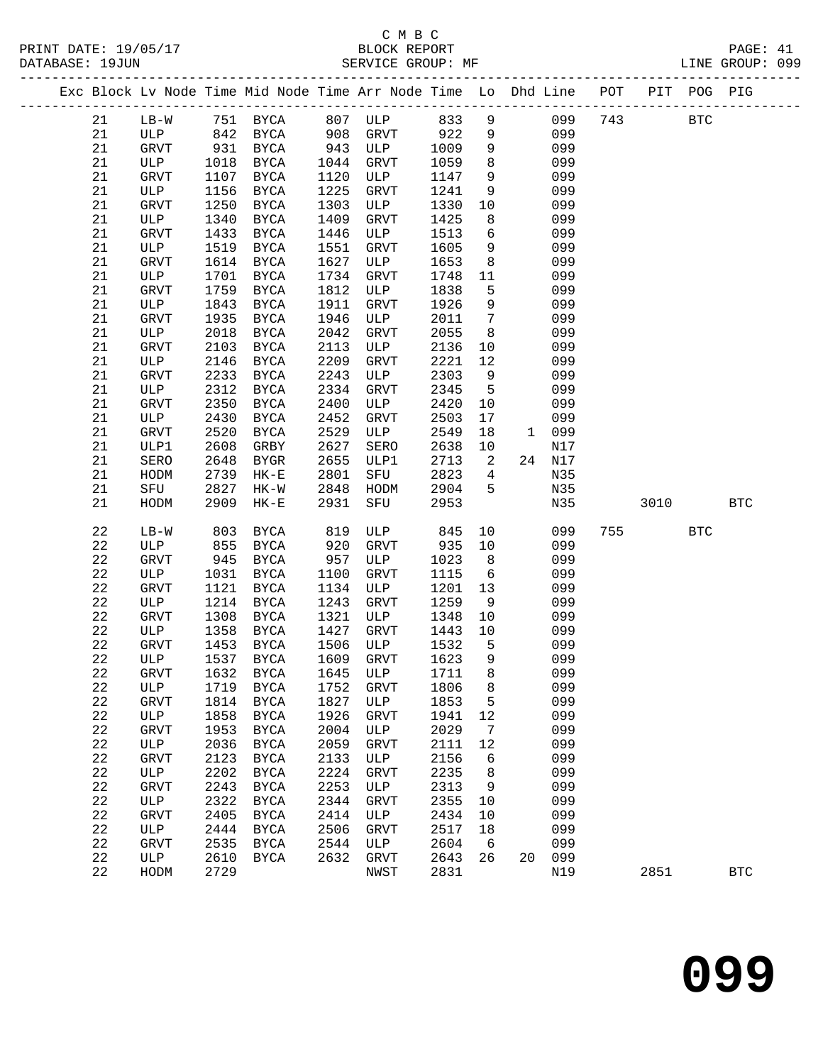|  |             |             |      |                   |      | Exc Block Lv Node Time Mid Node Time Arr Node Time Lo Dhd Line POT PIT POG PIG |      |                 |                 |        |     |            |            |              |
|--|-------------|-------------|------|-------------------|------|--------------------------------------------------------------------------------|------|-----------------|-----------------|--------|-----|------------|------------|--------------|
|  | 21          | $LB-W$      |      |                   |      | 751 BYCA 807 ULP 833                                                           |      | 9               |                 | 099    | 743 | <b>BTC</b> |            |              |
|  | 21          | ULP         |      | 842 BYCA 908 GRVT |      |                                                                                | 922  | 9               |                 | 099    |     |            |            |              |
|  | 21          | GRVT        |      | 931 BYCA          |      | 943 ULP                                                                        | 1009 | $\overline{9}$  |                 | 099    |     |            |            |              |
|  | 21          | ULP         | 1018 | BYCA              | 1044 | GRVT                                                                           | 1059 | 8               |                 | 099    |     |            |            |              |
|  | 21          | GRVT        | 1107 | BYCA              | 1120 | ULP                                                                            | 1147 | 9               |                 | 099    |     |            |            |              |
|  | 21          | ULP         | 1156 | BYCA              | 1225 | GRVT                                                                           | 1241 | 9               |                 | 099    |     |            |            |              |
|  | 21          | <b>GRVT</b> | 1250 | BYCA              | 1303 | ULP                                                                            | 1330 | 10              |                 | 099    |     |            |            |              |
|  | $2\sqrt{1}$ | ULP         | 1340 | BYCA              | 1409 | GRVT                                                                           | 1425 | 8               |                 | 099    |     |            |            |              |
|  | 21          | <b>GRVT</b> | 1433 | BYCA              | 1446 | ULP                                                                            | 1513 | $6\overline{6}$ |                 | 099    |     |            |            |              |
|  | 21          | ULP         | 1519 | BYCA              | 1551 | GRVT                                                                           | 1605 | 9               |                 | 099    |     |            |            |              |
|  | 21          | <b>GRVT</b> | 1614 | BYCA              | 1627 | ULP                                                                            | 1653 | 8 <sup>8</sup>  |                 | 099    |     |            |            |              |
|  | 21          | ULP         | 1701 | BYCA              | 1734 | GRVT                                                                           | 1748 | 11              |                 | 099    |     |            |            |              |
|  | 21          | GRVT        | 1759 | BYCA              | 1812 | ULP                                                                            | 1838 | 5               |                 | 099    |     |            |            |              |
|  | 21          | ULP         | 1843 | BYCA              | 1911 | GRVT                                                                           | 1926 | 9               |                 | 099    |     |            |            |              |
|  | 21          | GRVT        | 1935 | BYCA              | 1946 | ULP                                                                            | 2011 | $\overline{7}$  |                 | 099    |     |            |            |              |
|  | 21          | ULP         | 2018 | BYCA              | 2042 | GRVT                                                                           | 2055 | 8 <sup>8</sup>  |                 | 099    |     |            |            |              |
|  | 21          | GRVT        | 2103 | BYCA              | 2113 | ULP                                                                            | 2136 | 10              |                 | 099    |     |            |            |              |
|  | 21          | ULP         | 2146 | BYCA              | 2209 | GRVT                                                                           | 2221 | 12              |                 | 099    |     |            |            |              |
|  | 21          | GRVT        | 2233 | BYCA              | 2243 | ULP                                                                            | 2303 | 9               |                 | 099    |     |            |            |              |
|  | 21          | ULP         | 2312 | BYCA              | 2334 | GRVT                                                                           | 2345 | $5^{\circ}$     |                 | 099    |     |            |            |              |
|  | 21          | GRVT        | 2350 | <b>BYCA</b>       | 2400 | ULP                                                                            | 2420 | 10              |                 | 099    |     |            |            |              |
|  | 21          | ULP         | 2430 | BYCA              | 2452 | GRVT                                                                           | 2503 | 17              |                 | 099    |     |            |            |              |
|  | 21          | GRVT        | 2520 | BYCA              | 2529 | ULP                                                                            | 2549 | 18              | 1 099           |        |     |            |            |              |
|  | 21          | ULP1        | 2608 | GRBY              | 2627 | SERO                                                                           | 2638 | 10              |                 | N17    |     |            |            |              |
|  | $2\sqrt{1}$ | SERO        | 2648 | BYGR              | 2655 | ULP1                                                                           | 2713 | $\overline{a}$  |                 | 24 N17 |     |            |            |              |
|  | 21          | HODM        | 2739 | $HK-E$            | 2801 | SFU                                                                            | 2823 | $\overline{4}$  |                 | N35    |     |            |            |              |
|  | 21          | SFU         | 2827 | $HK-W$            | 2848 | HODM                                                                           | 2904 | 5               |                 | N35    |     |            |            |              |
|  | 21          | HODM        | 2909 | $HK-E$            | 2931 | SFU                                                                            | 2953 |                 |                 | N35    |     | 3010       |            | $_{\rm BTC}$ |
|  | 22          | $LB-W$      | 803  | BYCA              | 819  | ULP                                                                            | 845  | 10              |                 | 099    | 755 |            | <b>BTC</b> |              |
|  | 22          | ULP         | 855  | BYCA              | 920  | GRVT                                                                           | 935  | 10              |                 | 099    |     |            |            |              |
|  | $2\sqrt{2}$ | <b>GRVT</b> | 945  | BYCA              | 957  | ULP                                                                            | 1023 | 8 <sup>8</sup>  |                 | 099    |     |            |            |              |
|  | $2\sqrt{2}$ | ULP         | 1031 | BYCA              | 1100 | GRVT                                                                           | 1115 | $6\overline{6}$ |                 | 099    |     |            |            |              |
|  | 22          | <b>GRVT</b> | 1121 | BYCA              | 1134 | ULP                                                                            | 1201 | 13              |                 | 099    |     |            |            |              |
|  | 22          | ULP         |      | 1214 BYCA         | 1243 | GRVT                                                                           | 1259 | 9               |                 | 099    |     |            |            |              |
|  | 22          | GRVT        | 1308 | BYCA              | 1321 | ULP                                                                            | 1348 | 10              |                 | 099    |     |            |            |              |
|  | 22          | ULP         | 1358 | BYCA              | 1427 | GRVT                                                                           | 1443 | 10              |                 | 099    |     |            |            |              |
|  | 22          | GRVT        | 1453 | BYCA              | 1506 | ULP                                                                            | 1532 | $5^{\circ}$     |                 | 099    |     |            |            |              |
|  | 22          | ULP         |      | 1537 BYCA         |      | 1609 GRVT                                                                      | 1623 | 9               |                 | 099    |     |            |            |              |
|  | 22          | GRVT        |      |                   |      | 1632 BYCA 1645 ULP 1711 8                                                      |      |                 |                 | 099    |     |            |            |              |
|  | 22          | ULP         | 1719 | <b>BYCA</b>       | 1752 | GRVT                                                                           | 1806 | 8               |                 | 099    |     |            |            |              |
|  | $2\sqrt{2}$ | GRVT        | 1814 | BYCA              | 1827 | ULP                                                                            | 1853 | 5               |                 | 099    |     |            |            |              |
|  | 22          | ULP         | 1858 | BYCA              | 1926 | GRVT                                                                           | 1941 | 12              |                 | 099    |     |            |            |              |
|  | 22          | GRVT        | 1953 | <b>BYCA</b>       | 2004 | ULP                                                                            | 2029 | $\overline{7}$  |                 | 099    |     |            |            |              |
|  | 22          | ULP         | 2036 | BYCA              | 2059 | GRVT                                                                           | 2111 | 12              |                 | 099    |     |            |            |              |
|  | $2\sqrt{2}$ | GRVT        | 2123 | BYCA              | 2133 | ULP                                                                            | 2156 | 6               |                 | 099    |     |            |            |              |
|  | 22          | ULP         | 2202 | BYCA              | 2224 | GRVT                                                                           | 2235 | 8               |                 | 099    |     |            |            |              |
|  | 22          | GRVT        | 2243 | <b>BYCA</b>       | 2253 | ULP                                                                            | 2313 | $\overline{9}$  |                 | 099    |     |            |            |              |
|  | 22          | ULP         | 2322 | BYCA              | 2344 | GRVT                                                                           | 2355 | 10              |                 | 099    |     |            |            |              |
|  | $2\sqrt{2}$ | GRVT        | 2405 | <b>BYCA</b>       | 2414 | ULP                                                                            | 2434 | 10              |                 | 099    |     |            |            |              |
|  | 22          | ULP         | 2444 | BYCA              | 2506 | GRVT                                                                           | 2517 | 18              |                 | 099    |     |            |            |              |
|  | 22          | GRVT        | 2535 | BYCA              | 2544 | ULP                                                                            | 2604 | $6\overline{6}$ |                 | 099    |     |            |            |              |
|  | 22          | ULP         | 2610 | BYCA              | 2632 | GRVT                                                                           | 2643 | 26              | 20 <sub>o</sub> | 099    |     |            |            |              |
|  | 22          | HODM        | 2729 |                   |      | NWST                                                                           | 2831 |                 |                 | N19    |     | 2851       |            | $_{\rm BTC}$ |
|  |             |             |      |                   |      |                                                                                |      |                 |                 |        |     |            |            |              |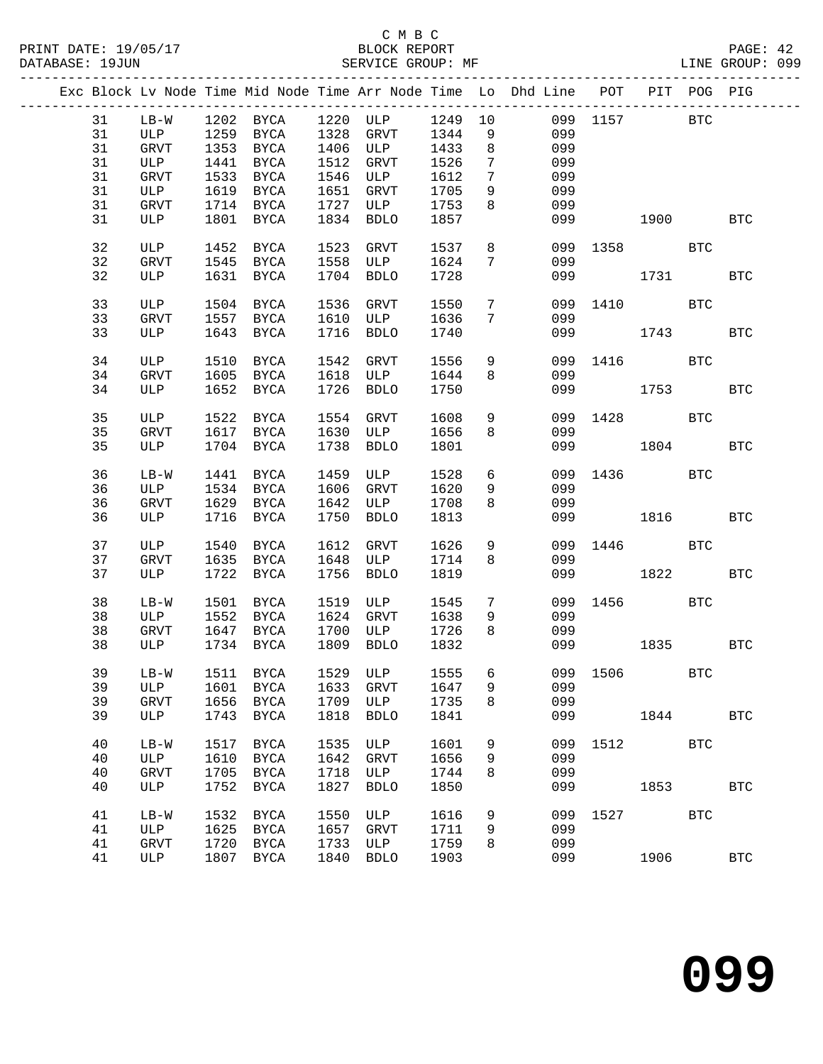|  |    |             |      | Exc Block Lv Node Time Mid Node Time Arr Node Time Lo Dhd Line POT PIT POG PIG |      |             |         |                 |     |          |      |              |            |
|--|----|-------------|------|--------------------------------------------------------------------------------|------|-------------|---------|-----------------|-----|----------|------|--------------|------------|
|  | 31 | $LB-W$      |      | 1202 BYCA                                                                      |      | 1220 ULP    | 1249 10 |                 |     | 099 1157 |      | <b>BTC</b>   |            |
|  | 31 | ULP         |      | 1259 BYCA                                                                      | 1328 | GRVT        | 1344    | 9               | 099 |          |      |              |            |
|  | 31 | GRVT        |      | 1353 BYCA                                                                      | 1406 | ULP         | 1433    | 8               | 099 |          |      |              |            |
|  | 31 | ULP         | 1441 | BYCA                                                                           | 1512 | GRVT        | 1526    | 7               | 099 |          |      |              |            |
|  | 31 | GRVT        | 1533 | BYCA                                                                           | 1546 | ULP         | 1612    | 7               | 099 |          |      |              |            |
|  | 31 | ULP         | 1619 | BYCA                                                                           | 1651 | GRVT        | 1705    | 9               | 099 |          |      |              |            |
|  | 31 | GRVT        |      | 1714 BYCA                                                                      | 1727 | ULP         | 1753    | 8               | 099 |          |      |              |            |
|  | 31 | ULP         |      | 1801 BYCA                                                                      | 1834 | <b>BDLO</b> | 1857    |                 | 099 | 1900     |      |              | <b>BTC</b> |
|  |    |             |      |                                                                                |      |             |         |                 |     |          |      |              |            |
|  | 32 | ULP         | 1452 | BYCA                                                                           | 1523 | GRVT        | 1537    | 8               |     | 099 1358 |      | BTC          |            |
|  | 32 | GRVT        |      | 1545 BYCA                                                                      | 1558 | ULP         | 1624    | $7\phantom{.0}$ | 099 |          |      |              |            |
|  | 32 | ULP         |      | 1631 BYCA                                                                      | 1704 | <b>BDLO</b> | 1728    |                 | 099 |          | 1731 |              | <b>BTC</b> |
|  |    |             |      |                                                                                |      |             |         |                 |     |          |      |              |            |
|  | 33 | ULP         | 1504 | BYCA                                                                           | 1536 | GRVT        | 1550    | $7\overline{ }$ | 099 | 1410     |      | <b>BTC</b>   |            |
|  | 33 | GRVT        |      | 1557 BYCA                                                                      | 1610 | ULP         | 1636    | 7               | 099 |          |      |              |            |
|  | 33 | ULP         | 1643 | BYCA                                                                           | 1716 | <b>BDLO</b> | 1740    |                 | 099 |          | 1743 |              | <b>BTC</b> |
|  |    |             |      |                                                                                |      |             |         |                 |     |          |      |              |            |
|  | 34 | ULP         | 1510 | BYCA                                                                           | 1542 | GRVT        | 1556    | 9               | 099 | 1416     |      | BTC          |            |
|  | 34 | GRVT        |      | 1605 BYCA                                                                      | 1618 | ULP         | 1644    | 8               | 099 |          |      |              |            |
|  | 34 | ULP         |      | 1652 BYCA                                                                      | 1726 | <b>BDLO</b> | 1750    |                 | 099 |          | 1753 |              | <b>BTC</b> |
|  |    |             |      |                                                                                |      |             |         |                 |     |          |      |              |            |
|  | 35 | ULP         | 1522 | BYCA                                                                           | 1554 | GRVT        | 1608    | 9               | 099 | 1428     |      | $_{\rm BTC}$ |            |
|  | 35 | GRVT        |      | 1617 BYCA                                                                      | 1630 | ULP         | 1656    | 8               | 099 |          |      |              |            |
|  | 35 | ULP         |      | 1704 BYCA                                                                      | 1738 | <b>BDLO</b> | 1801    |                 | 099 |          | 1804 |              | <b>BTC</b> |
|  |    |             |      |                                                                                |      |             |         |                 |     |          |      |              |            |
|  | 36 | $LB-W$      | 1441 | BYCA                                                                           | 1459 | ULP         | 1528    | 6               | 099 | 1436     |      | BTC          |            |
|  | 36 | ULP         | 1534 | BYCA                                                                           | 1606 | GRVT        | 1620    | 9               | 099 |          |      |              |            |
|  | 36 | GRVT        | 1629 | BYCA                                                                           | 1642 | ULP         | 1708    | 8               | 099 |          |      |              |            |
|  | 36 | ULP         |      | 1716 BYCA                                                                      | 1750 | <b>BDLO</b> | 1813    |                 | 099 | 1816     |      |              | <b>BTC</b> |
|  |    |             |      |                                                                                |      |             |         |                 |     |          |      |              |            |
|  | 37 | ULP         | 1540 | BYCA                                                                           | 1612 | GRVT        | 1626    | 9               | 099 | 1446     |      | <b>BTC</b>   |            |
|  | 37 | GRVT        |      | 1635 BYCA                                                                      | 1648 | ULP         | 1714    | 8               | 099 |          |      |              |            |
|  | 37 | ULP         |      | 1722 BYCA                                                                      | 1756 | <b>BDLO</b> | 1819    |                 | 099 |          | 1822 |              | <b>BTC</b> |
|  |    |             |      |                                                                                |      |             |         |                 |     |          |      |              |            |
|  | 38 | $LB-W$      |      | 1501 BYCA                                                                      | 1519 | ULP         | 1545    | $7\phantom{.0}$ | 099 | 1456 148 |      | BTC          |            |
|  | 38 | ULP         |      | 1552 BYCA                                                                      | 1624 | GRVT        | 1638    | 9               | 099 |          |      |              |            |
|  | 38 | GRVT        | 1647 | BYCA                                                                           | 1700 | ULP         | 1726    | 8               | 099 |          |      |              |            |
|  | 38 | ULP         |      | 1734 BYCA                                                                      | 1809 | BDLO        | 1832    |                 |     | 099 1835 |      |              | <b>BTC</b> |
|  |    |             |      |                                                                                |      |             |         |                 |     |          |      |              |            |
|  | 39 |             |      | LB-W 1511 BYCA 1529 ULP 1555 6 099 1506 BTC                                    |      |             |         |                 |     |          |      |              |            |
|  | 39 | ULP         | 1601 | BYCA                                                                           | 1633 | GRVT        | 1647    | 9               | 099 |          |      |              |            |
|  | 39 | GRVT        | 1656 | BYCA                                                                           | 1709 | ULP         | 1735    | 8               | 099 |          |      |              |            |
|  | 39 | ULP         | 1743 | BYCA                                                                           | 1818 | <b>BDLO</b> | 1841    |                 | 099 |          | 1844 |              | <b>BTC</b> |
|  |    |             |      |                                                                                |      |             |         |                 |     |          |      |              |            |
|  | 40 | $LB-W$      | 1517 | BYCA                                                                           | 1535 | ULP         | 1601    | 9               | 099 | 1512     |      | <b>BTC</b>   |            |
|  | 40 | ULP         | 1610 | BYCA                                                                           | 1642 | GRVT        | 1656    | 9               | 099 |          |      |              |            |
|  | 40 | <b>GRVT</b> | 1705 | BYCA                                                                           | 1718 | ULP         | 1744    | 8               | 099 |          |      |              |            |
|  | 40 | ULP         | 1752 | BYCA                                                                           | 1827 | <b>BDLO</b> | 1850    |                 | 099 |          | 1853 |              | <b>BTC</b> |
|  |    |             |      |                                                                                |      |             |         |                 |     |          |      |              |            |
|  | 41 | LB-W        | 1532 | BYCA                                                                           | 1550 | ULP         | 1616    | 9               | 099 | 1527     |      | <b>BTC</b>   |            |
|  | 41 | ULP         | 1625 | BYCA                                                                           | 1657 | <b>GRVT</b> | 1711    | 9               | 099 |          |      |              |            |
|  | 41 | <b>GRVT</b> | 1720 | BYCA                                                                           | 1733 | ULP         | 1759    | 8               | 099 |          |      |              |            |
|  | 41 | ULP         | 1807 | BYCA                                                                           | 1840 | <b>BDLO</b> | 1903    |                 | 099 |          | 1906 |              | <b>BTC</b> |
|  |    |             |      |                                                                                |      |             |         |                 |     |          |      |              |            |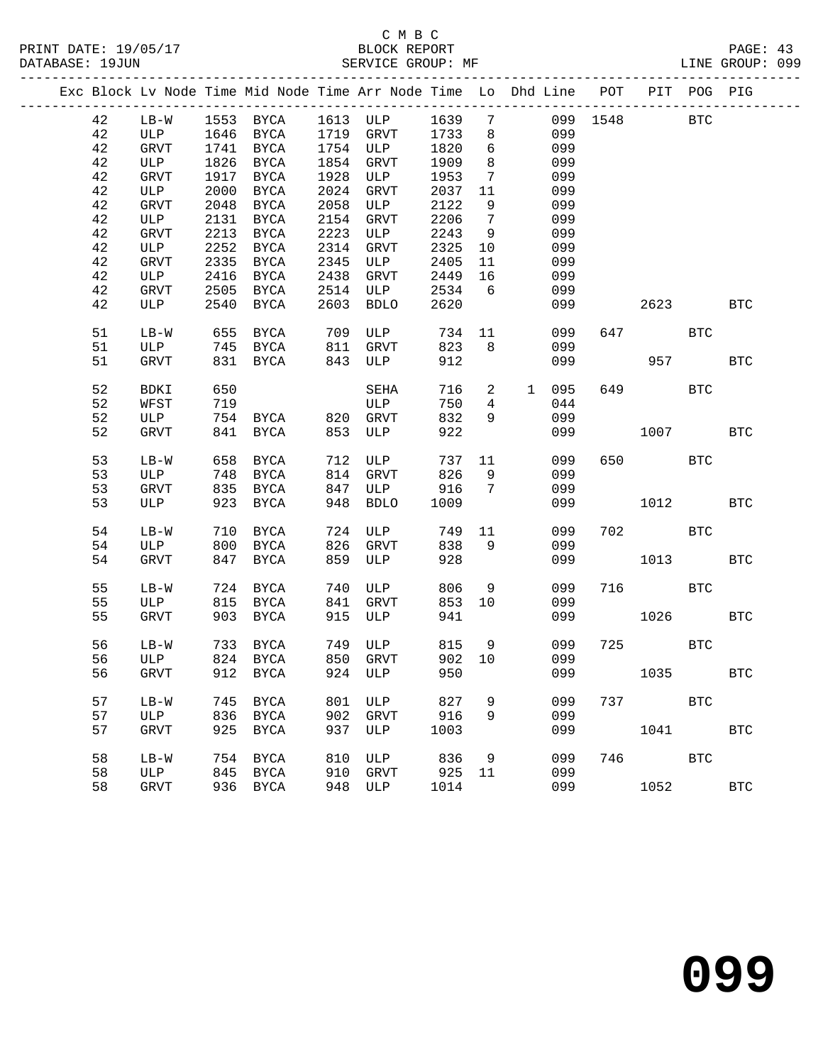|  |    |             |      |                       |      | Exc Block Lv Node Time Mid Node Time Arr Node Time Lo Dhd Line POT PIT POG PIG |      |                 |               |              |            |            |            |
|--|----|-------------|------|-----------------------|------|--------------------------------------------------------------------------------|------|-----------------|---------------|--------------|------------|------------|------------|
|  | 42 | $LB-W$      |      | 1553 BYCA             |      | 1613 ULP                                                                       | 1639 | $7\phantom{.0}$ |               | 099 1548     |            | <b>BTC</b> |            |
|  | 42 | ULP         |      | 1646 BYCA             |      | 1719 GRVT                                                                      | 1733 | 8               | 099           |              |            |            |            |
|  | 42 | GRVT        |      | 1741 BYCA             |      | 1754 ULP                                                                       | 1820 | 6               | 099           |              |            |            |            |
|  | 42 | ULP         | 1826 | BYCA                  | 1854 | GRVT                                                                           | 1909 | 8               | 099           |              |            |            |            |
|  | 42 | GRVT        | 1917 | BYCA                  | 1928 | ULP                                                                            | 1953 | $7\phantom{.0}$ | 099           |              |            |            |            |
|  | 42 | ULP         | 2000 | BYCA                  | 2024 | GRVT                                                                           | 2037 | 11              | 099           |              |            |            |            |
|  | 42 | GRVT        | 2048 | BYCA                  | 2058 | ULP                                                                            | 2122 | 9               | 099           |              |            |            |            |
|  | 42 | ULP         |      | 2131 BYCA             | 2154 | GRVT                                                                           | 2206 | $7\overline{ }$ | 099           |              |            |            |            |
|  | 42 | GRVT        | 2213 | BYCA                  | 2223 | ULP                                                                            | 2243 | 9               | 099           |              |            |            |            |
|  | 42 | ULP         | 2252 | BYCA                  | 2314 | GRVT                                                                           | 2325 | 10              | 099           |              |            |            |            |
|  | 42 | GRVT        | 2335 | <b>BYCA</b>           | 2345 | ULP                                                                            | 2405 | 11              | 099           |              |            |            |            |
|  | 42 | ULP         |      | 2416 BYCA             | 2438 | GRVT                                                                           | 2449 | 16              | 099           |              |            |            |            |
|  | 42 | GRVT        | 2505 | BYCA                  | 2514 | ULP                                                                            | 2534 | 6               | 099           |              |            |            |            |
|  | 42 | ULP         | 2540 | BYCA                  | 2603 | <b>BDLO</b>                                                                    | 2620 |                 | 099           |              | 2623       |            | <b>BTC</b> |
|  | 51 | $LB-W$      | 655  | BYCA                  | 709  | ULP                                                                            | 734  |                 | 11<br>099     |              | 647        | <b>BTC</b> |            |
|  | 51 | ULP         | 745  | BYCA                  | 811  | GRVT                                                                           | 823  | 8               | 099           |              |            |            |            |
|  | 51 | <b>GRVT</b> | 831  | BYCA                  | 843  | ULP                                                                            | 912  |                 | 099           |              | 957        |            | <b>BTC</b> |
|  | 52 | BDKI        | 650  |                       |      | SEHA                                                                           | 716  | $\overline{a}$  | 1 095         |              | 649        | <b>BTC</b> |            |
|  | 52 | WFST        | 719  |                       |      | ULP                                                                            | 750  | $4\overline{ }$ | 044           |              |            |            |            |
|  | 52 | ULP         |      | 754 BYCA 820 GRVT     |      |                                                                                | 832  | 9               | 099           |              |            |            |            |
|  | 52 | GRVT        |      | 841 BYCA              | 853  | ULP                                                                            | 922  |                 | 099           |              | 1007       |            | <b>BTC</b> |
|  |    |             |      |                       |      |                                                                                |      |                 |               |              |            |            |            |
|  | 53 | $LB-W$      | 658  | BYCA                  | 712  | ULP                                                                            | 737  | 11              | 099           |              | 650 700    | BTC        |            |
|  | 53 | ULP         | 748  | BYCA                  | 814  | GRVT                                                                           | 826  | 9               | 099           |              |            |            |            |
|  | 53 | <b>GRVT</b> |      | 835 BYCA              | 847  | ULP                                                                            | 916  | 7               | 099           |              |            |            |            |
|  | 53 | ULP         |      | 923 BYCA              | 948  | <b>BDLO</b>                                                                    | 1009 |                 | 099           |              | 1012       |            | <b>BTC</b> |
|  | 54 | $LB-W$      | 710  | BYCA                  | 724  | ULP                                                                            | 749  | 11              | 099           |              | 702 BTC    |            |            |
|  | 54 | ULP         | 800  | BYCA                  | 826  | GRVT                                                                           | 838  | 9               | 099           |              |            |            |            |
|  | 54 | GRVT        |      | 847 BYCA              | 859  | ULP                                                                            | 928  |                 | 099           |              | 1013       |            | <b>BTC</b> |
|  | 55 | $LB-W$      |      | 724 BYCA              | 740  | ULP                                                                            | 806  | 9               | 099           |              | 716 BTC    |            |            |
|  | 55 | ULP         |      | 815 BYCA              | 841  | GRVT                                                                           | 853  | 10              | 099           |              |            |            |            |
|  | 55 | <b>GRVT</b> |      | 903 BYCA              | 915  | ULP                                                                            | 941  |                 | 099           |              | 1026       |            | <b>BTC</b> |
|  |    |             |      |                       |      |                                                                                |      |                 |               |              |            |            |            |
|  | 56 | $LB-W$      |      | 733 BYCA              |      | 749 ULP 815                                                                    |      | 9               | 099           | 725          | <b>BTC</b> |            |            |
|  | 56 | ULP         |      | 824 BYCA              |      | 850 GRVT                                                                       |      |                 | 902 10<br>099 |              |            |            |            |
|  | 56 |             |      | GRVT 912 BYCA 924 ULP |      |                                                                                | 950  |                 |               | 099 1035 BTC |            |            |            |
|  | 57 | $LB-W$      |      | 745 BYCA              | 801  | ULP                                                                            | 827  | 9               | 099           |              | 737 — 137  | <b>BTC</b> |            |
|  | 57 | ULP         | 836  | BYCA                  | 902  | GRVT                                                                           | 916  | 9               | 099           |              |            |            |            |
|  | 57 | <b>GRVT</b> | 925  | BYCA                  | 937  | ULP                                                                            | 1003 |                 | 099           |              | 1041       |            | <b>BTC</b> |
|  | 58 | $LB-W$      | 754  | <b>BYCA</b>           | 810  | ULP                                                                            | 836  | 9               | 099           |              | 746        | BTC        |            |
|  | 58 | ULP         | 845  | BYCA                  | 910  | GRVT                                                                           | 925  | 11              | 099           |              |            |            |            |
|  | 58 | GRVT        |      | 936 BYCA              | 948  | ULP                                                                            | 1014 |                 | 099           |              | 1052       |            | <b>BTC</b> |
|  |    |             |      |                       |      |                                                                                |      |                 |               |              |            |            |            |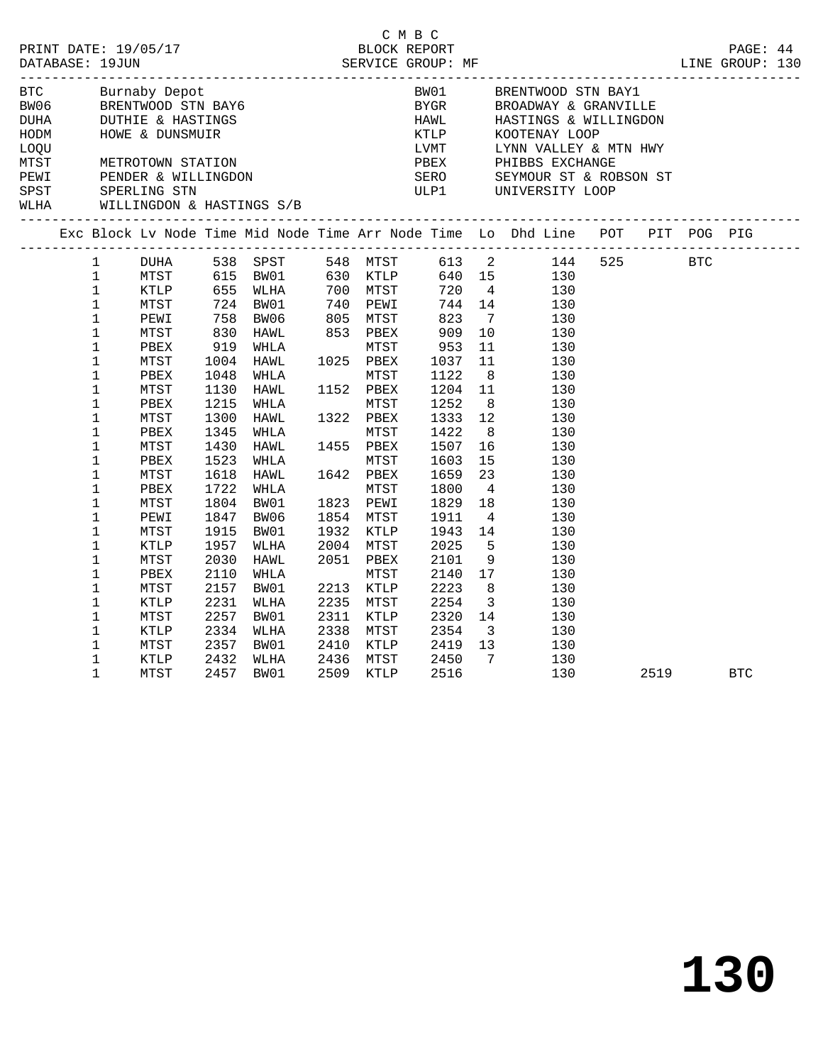|                                                                     |                                                                                                                                                                                                                                    |                                                                                                                      |                                                                                                              |                                                                                                                                                                      |              |                                                                                                                                                                                   | C M B C                                                                                                      |                                                                                                                                                   |                                                                                                                                                                                                                                                             |      |            |  |
|---------------------------------------------------------------------|------------------------------------------------------------------------------------------------------------------------------------------------------------------------------------------------------------------------------------|----------------------------------------------------------------------------------------------------------------------|--------------------------------------------------------------------------------------------------------------|----------------------------------------------------------------------------------------------------------------------------------------------------------------------|--------------|-----------------------------------------------------------------------------------------------------------------------------------------------------------------------------------|--------------------------------------------------------------------------------------------------------------|---------------------------------------------------------------------------------------------------------------------------------------------------|-------------------------------------------------------------------------------------------------------------------------------------------------------------------------------------------------------------------------------------------------------------|------|------------|--|
|                                                                     |                                                                                                                                                                                                                                    |                                                                                                                      |                                                                                                              |                                                                                                                                                                      |              |                                                                                                                                                                                   |                                                                                                              |                                                                                                                                                   | PRINT DATE: 19/05/17<br>BLOCK REPORT BLOCK PERICE GROUP: MF ELOCK PRESSE: 19JUN SERVICE GROUP: MF ELOCE PRESSE: 19JUN                                                                                                                                       |      |            |  |
| BTC<br>BW06<br>DUHA<br>HODM<br>LOQU<br>MTST<br>PEWI<br>SPST<br>WLHA |                                                                                                                                                                                                                                    | WILLINGDON & HASTINGS S/B                                                                                            |                                                                                                              | BRENTWOOD STN BAY6<br>BRENTWOOD STN BAY6<br>DUTHIE & HASTINGS<br>HOWE & DUNSMUIR<br>METROTOWN STATION<br>PENDER & WILLINGDON<br>SPERLING STN<br>WILLINGDON & WASTIER |              |                                                                                                                                                                                   | BW01<br>BYGR<br>HAWL                                                                                         |                                                                                                                                                   | BRENTWOOD STN BAY1<br>BROADWAY & GRANVILLE<br>HASTINGS & WILLINGDON<br>EXAMPLE MARKED AND MARKED MARKED AND MARKED SERO SEYMOUR ST & ROBSON ST<br>UNIT LYNN VALLEY & MTN HWY<br>PBEX PHIBBS EXCHANGE<br>SERO SEYMOUR ST & ROBSON ST<br>ULP1 UNIVERSITY LOOP |      |            |  |
|                                                                     |                                                                                                                                                                                                                                    |                                                                                                                      |                                                                                                              |                                                                                                                                                                      |              |                                                                                                                                                                                   |                                                                                                              |                                                                                                                                                   | Exc Block Lv Node Time Mid Node Time Arr Node Time Lo Dhd Line POT PIT POG PIG                                                                                                                                                                              |      |            |  |
|                                                                     | $\mathbf{1}$<br>$\mathbf{1}$<br>$\mathbf{1}$<br>$\mathbf{1}$<br>$\mathbf{1}$<br>$\mathbf{1}$<br>$\mathbf 1$<br>$\mathbf{1}$<br>$\mathbf{1}$<br>$\mathbf 1$<br>$\mathbf{1}$<br>$\mathbf 1$<br>$\mathbf 1$<br>1<br>$\mathbf{1}$<br>1 | DUHA<br>KTLP<br>MTST<br>PEWI<br>MTST<br>PBEX<br>MTST<br>PBEX<br>MTST<br>PBEX<br>MTST<br>PBEX<br>MTST<br>PBEX         | 1004<br>1048<br>1130<br>1215<br>1300<br>1345<br>1430<br>1523<br>1618                                         | 538 SPST<br>MTST 615 BW01 630 KTLP<br>655 WLHA<br>724 BW01<br>758 BW06<br>830 HAWL<br>919 WHLA<br>HAWL<br>WHLA<br>HAWL<br>WHLA<br>HAWL<br>WHLA<br>HAWL<br>WHLA       |              | 700 MTST<br>740 PEWI<br>$740$ PEWI<br>$740$ PEWI<br>805 MTST<br>853 PBEX<br>MTST<br>1025 PBEX<br>MTST<br>1152 PBEX<br>MTST<br>1322 PBEX<br>MTST<br>1455 PBEX<br>MTST<br>1642 PBEX | 823<br>909<br>953<br>1037<br>1122<br>1204<br>1252<br>1333<br>1422<br>1507<br>1603<br>1659                    | 640 15<br>720 4<br>744 14<br>$\overline{7}$<br>10<br>11<br>11<br>8 <sup>8</sup><br>11<br>8 <sup>8</sup><br>12<br>8 <sup>8</sup><br>16<br>15<br>23 | 548 MTST 613 2 144 525 BTC<br>130<br>130<br>130<br>130<br>130<br>130<br>130<br>130<br>130<br>130<br>130<br>130<br>130<br>130                                                                                                                                |      |            |  |
|                                                                     | $\mathbf 1$<br>$\mathbf 1$<br>$\mathbf 1$<br>1<br>$\mathbf{1}$<br>1<br>$\mathbf 1$<br>1<br>$\mathbf{1}$<br>$\mathbf 1$<br>$\mathbf 1$<br>$\mathbf{1}$<br>1<br>$\mathbf{1}$                                                         | MTST<br>PBEX<br>MTST<br>PEWI<br>MTST<br>KTLP<br>MTST<br>PBEX<br>MTST<br>KTLP<br>MTST<br>KTLP<br>MTST<br>KTLP<br>MTST | 1722<br>1804<br>1847<br>1915<br>1957<br>2030<br>2110<br>2157<br>2231<br>2257<br>2334<br>2357<br>2432<br>2457 | HAWL<br>WHLA<br>BW01<br>BW06<br>BW01<br>WLHA<br>HAWL<br>WHLA<br>BW01<br>WLHA<br>BW01<br>WLHA<br>BW01<br>WLHA<br>BW01                                                 | 2338<br>2436 | MTST<br>1823 PEWI<br>1854 MTST<br>1932 KTLP<br>2004 MTST<br>2051 PBEX<br>MTST<br>2213 KTLP<br>2235 MTST<br>2311 KTLP<br>MTST<br>2410 KTLP<br>MTST<br>2509 KTLP                    | 1800<br>1829<br>1911<br>1943<br>2025<br>2101<br>2140<br>2223<br>2254<br>2320<br>2354<br>2419<br>2450<br>2516 | $\overline{4}$<br>18<br>$\overline{4}$<br>14<br>17<br>8<br>$\overline{\mathbf{3}}$<br>14<br>$\overline{\mathbf{3}}$<br>13<br>$\overline{7}$       | 130<br>130<br>130<br>130<br>130<br>5<br>130<br>9<br>130<br>130<br>130<br>130<br>130<br>130<br>130<br>130<br>130                                                                                                                                             | 2519 | <b>BTC</b> |  |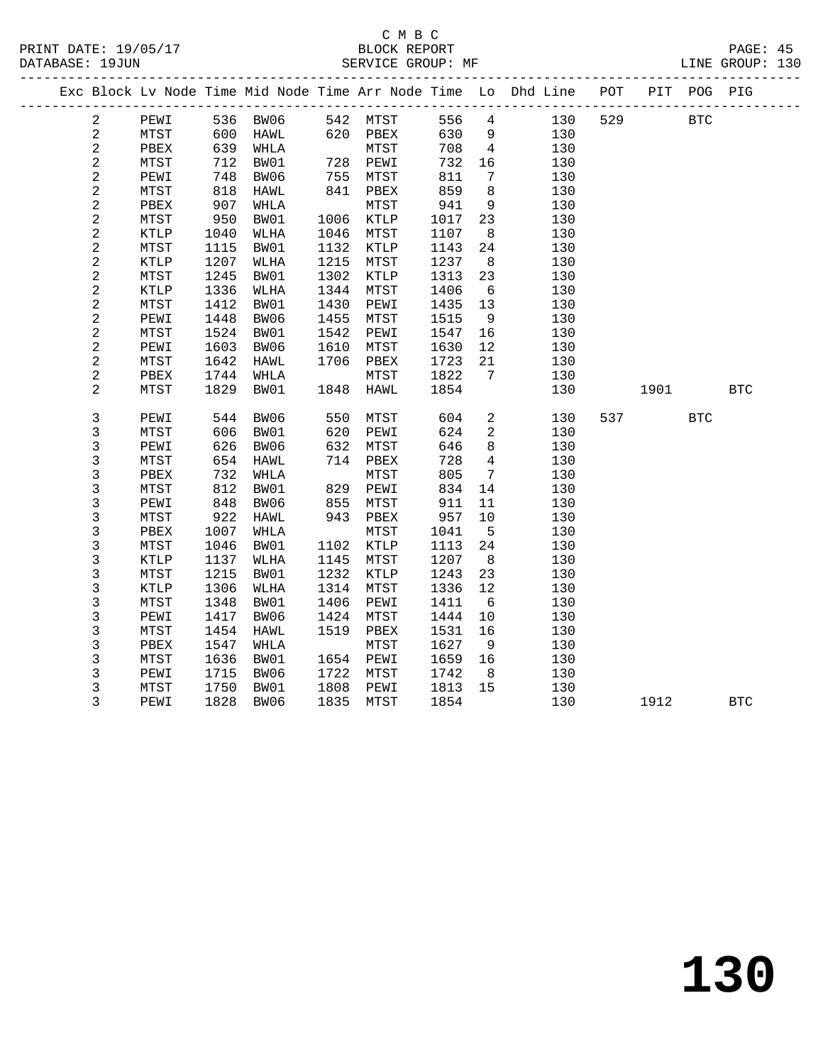#### C M B C DATABASE: 19JUN SERVICE GROUP: MF LINE GROUP: 130

|                |      |      |             |      |      |      |                | Exc Block Lv Node Time Mid Node Time Arr Node Time Lo Dhd Line | POT |      | PIT POG PIG |            |
|----------------|------|------|-------------|------|------|------|----------------|----------------------------------------------------------------|-----|------|-------------|------------|
| 2              | PEWI | 536  | BW06        | 542  | MTST | 556  | 4              | 130                                                            | 529 |      | <b>BTC</b>  |            |
| 2              | MTST | 600  | HAWL        | 620  | PBEX | 630  | 9              | 130                                                            |     |      |             |            |
| 2              | PBEX | 639  | WHLA        |      | MTST | 708  | $\overline{4}$ | 130                                                            |     |      |             |            |
| 2              | MTST | 712  | BW01        | 728  | PEWI | 732  | 16             | 130                                                            |     |      |             |            |
| 2              | PEWI | 748  | BW06        | 755  | MTST | 811  | 7              | 130                                                            |     |      |             |            |
| 2              | MTST | 818  | <b>HAWL</b> | 841  | PBEX | 859  | $\,8\,$        | 130                                                            |     |      |             |            |
| 2              | PBEX | 907  | WHLA        |      | MTST | 941  | 9              | 130                                                            |     |      |             |            |
| $\overline{2}$ | MTST | 950  | BW01        | 1006 | KTLP | 1017 | 23             | 130                                                            |     |      |             |            |
| $\overline{a}$ | KTLP | 1040 | WLHA        | 1046 | MTST | 1107 | 8              | 130                                                            |     |      |             |            |
| 2              | MTST | 1115 | BW01        | 1132 | KTLP | 1143 | 24             | 130                                                            |     |      |             |            |
| 2              | KTLP | 1207 | WLHA        | 1215 | MTST | 1237 | 8              | 130                                                            |     |      |             |            |
| 2              | MTST | 1245 | BW01        | 1302 | KTLP | 1313 | 23             | 130                                                            |     |      |             |            |
| 2              | KTLP | 1336 | <b>WLHA</b> | 1344 | MTST | 1406 | 6              | 130                                                            |     |      |             |            |
| 2              | MTST | 1412 | BW01        | 1430 | PEWI | 1435 | 13             | 130                                                            |     |      |             |            |
| 2              | PEWI | 1448 | BW06        | 1455 | MTST | 1515 | 9              | 130                                                            |     |      |             |            |
| $\overline{a}$ | MTST | 1524 | BW01        | 1542 | PEWI | 1547 | 16             | 130                                                            |     |      |             |            |
| $\overline{a}$ | PEWI | 1603 | BW06        | 1610 | MTST | 1630 | 12             | 130                                                            |     |      |             |            |
| $\overline{a}$ | MTST | 1642 | HAWL        | 1706 | PBEX | 1723 | 21             | 130                                                            |     |      |             |            |
| 2              | PBEX | 1744 | WHLA        |      | MTST | 1822 | 7              | 130                                                            |     |      |             |            |
| $\overline{a}$ | MTST | 1829 | BW01        | 1848 | HAWL | 1854 |                | 130                                                            |     | 1901 |             | <b>BTC</b> |
| 3              | PEWI | 544  | BW06        | 550  | MTST | 604  | 2              | 130                                                            | 537 |      | <b>BTC</b>  |            |
| 3              | MTST | 606  | BW01        | 620  | PEWI | 624  | $\overline{a}$ | 130                                                            |     |      |             |            |
| 3              | PEWI | 626  | BW06        | 632  | MTST | 646  | 8              | 130                                                            |     |      |             |            |
| 3              | MTST | 654  | HAWL        | 714  | PBEX | 728  | $\overline{4}$ | 130                                                            |     |      |             |            |
| 3              | PBEX | 732  | WHLA        |      | MTST | 805  | 7              | 130                                                            |     |      |             |            |
| 3              | MTST | 812  | BW01        | 829  | PEWI | 834  | 14             | 130                                                            |     |      |             |            |
| 3              | PEWI | 848  | BW06        | 855  | MTST | 911  | 11             | 130                                                            |     |      |             |            |
| 3              | MTST | 922  | HAWL        | 943  | PBEX | 957  | 10             | 130                                                            |     |      |             |            |
| 3              | PBEX | 1007 | WHLA        |      | MTST | 1041 | - 5            | 130                                                            |     |      |             |            |
| 3              | MTST | 1046 | BW01        | 1102 | KTLP | 1113 | 24             | 130                                                            |     |      |             |            |
|                |      |      |             |      |      |      |                |                                                                |     |      |             |            |

 3 KTLP 1137 WLHA 1145 MTST 1207 8 130 3 MTST 1215 BW01 1232 KTLP 1243 23 130 3 KTLP 1306 WLHA 1314 MTST 1336 12 130 3 MTST 1348 BW01 1406 PEWI 1411 6 130

3 PBEX 1547 WHLA MTST 1627 9 130

 3 PEWI 1715 BW06 1722 MTST 1742 8 130 3 MTST 1750 BW01 1808 PEWI 1813 15 130

 3 PEWI 1417 BW06 1424 MTST 1444 10 130 3 MTST 1454 HAWL 1519 PBEX 1531 16 130

3 MTST 1636 BW01 1654 PEWI 1659 16 130<br>3 PEWI 1715 BW06 1722 MTST 1742 8 130<br>3 MTST 1750 BW01 1808 PEWI 1813 15 130

3 PEWI 1828 BW06 1835 MTST 1854 130 1912 BTC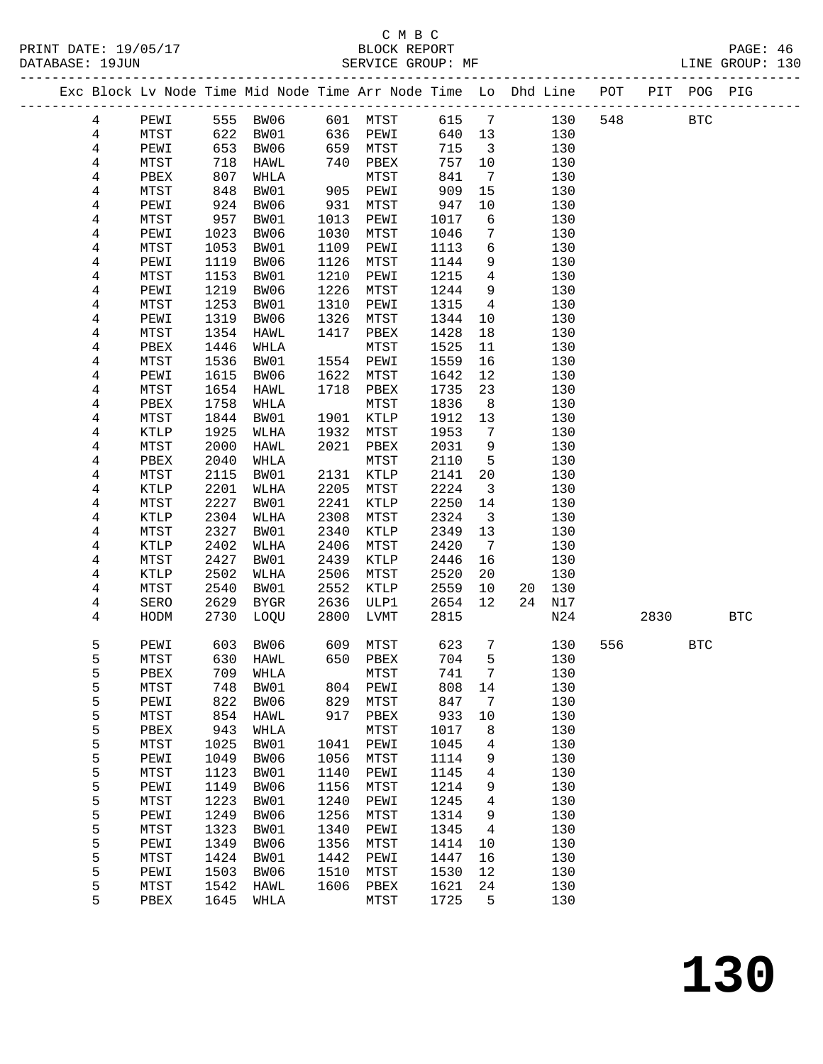------------------------------------------------------------------------------------------------- Exc Block Lv Node Time Mid Node Time Arr Node Time Lo Dhd Line POT PIT POG PIG -------------------------------------------------------------------------------------------------

4 PEWI 555 BW06 601 MTST 615 7 130 548 BTC

 4 MTST 622 BW01 636 PEWI 640 13 130 4 PEWI 653 BW06 659 MTST 715 3 130

|                      | C M B C           |                 |
|----------------------|-------------------|-----------------|
| PRINT DATE: 19/05/17 | BLOCK REPORT      | PAGE: 46        |
| DATABASE: 19JUN      | SERVICE GROUP: MF | LINE GROUP: 130 |

| 4              | MTST | 718  | HAWL        | 740       | PBEX            | 757  | 10             |    | 130 |     |      |            |            |
|----------------|------|------|-------------|-----------|-----------------|------|----------------|----|-----|-----|------|------------|------------|
| 4              | PBEX | 807  | WHLA        |           | MTST            | 841  | $\overline{7}$ |    | 130 |     |      |            |            |
| 4              | MTST | 848  | BW01        | 905       | PEWI            | 909  | 15             |    | 130 |     |      |            |            |
| $\overline{4}$ | PEWI | 924  | BW06        | 931       | MTST            | 947  | 10             |    | 130 |     |      |            |            |
| 4              | MTST | 957  | BW01        | 1013      | PEWI            | 1017 | 6              |    | 130 |     |      |            |            |
| 4              | PEWI | 1023 | BW06        | 1030      | ${\tt MTST}$    | 1046 | 7              |    | 130 |     |      |            |            |
| 4              | MTST | 1053 | BW01        | 1109      | PEWI            | 1113 | 6              |    | 130 |     |      |            |            |
| $\overline{4}$ | PEWI | 1119 | BW06        | 1126      | MTST            | 1144 | 9              |    | 130 |     |      |            |            |
| 4              | MTST | 1153 | BW01        | 1210      | PEWI            | 1215 | 4              |    | 130 |     |      |            |            |
| 4              | PEWI | 1219 | BW06        | 1226      | MTST            | 1244 | 9              |    | 130 |     |      |            |            |
| 4              | MTST | 1253 | BW01        | 1310      | PEWI            | 1315 | 4              |    | 130 |     |      |            |            |
| $\overline{4}$ | PEWI | 1319 | BW06        | 1326      | MTST            | 1344 | 10             |    | 130 |     |      |            |            |
| 4              | MTST | 1354 | HAWL        | 1417      | PBEX            | 1428 | 18             |    | 130 |     |      |            |            |
| 4              | PBEX | 1446 | WHLA        |           | MTST            | 1525 | 11             |    | 130 |     |      |            |            |
|                |      |      |             |           |                 |      |                |    |     |     |      |            |            |
| 4              | MTST | 1536 | BW01        | 1554      | PEWI            | 1559 | 16             |    | 130 |     |      |            |            |
| 4              | PEWI | 1615 | BW06        | 1622      | MTST            | 1642 | 12             |    | 130 |     |      |            |            |
| 4              | MTST | 1654 | HAWL        | 1718      | PBEX            | 1735 | 23             |    | 130 |     |      |            |            |
| 4              | PBEX | 1758 | WHLA        |           | MTST            | 1836 | 8              |    | 130 |     |      |            |            |
| 4              | MTST | 1844 | BW01        | 1901      | $\texttt{KTLP}$ | 1912 | 13             |    | 130 |     |      |            |            |
| 4              | KTLP | 1925 | WLHA        | 1932      | MTST            | 1953 | 7              |    | 130 |     |      |            |            |
| $\overline{4}$ | MTST | 2000 | HAWL        | 2021      | PBEX            | 2031 | 9              |    | 130 |     |      |            |            |
| 4              | PBEX | 2040 | WHLA        |           | MTST            | 2110 | 5              |    | 130 |     |      |            |            |
| 4              | MTST | 2115 | BW01        | 2131      | KTLP            | 2141 | 20             |    | 130 |     |      |            |            |
| 4              | KTLP | 2201 | WLHA        | 2205      | MTST            | 2224 | 3              |    | 130 |     |      |            |            |
| $\overline{4}$ | MTST | 2227 | BW01        | 2241      | KTLP            | 2250 | 14             |    | 130 |     |      |            |            |
| 4              | KTLP | 2304 | WLHA        | 2308      | MTST            | 2324 | 3              |    | 130 |     |      |            |            |
| 4              | MTST | 2327 | BW01        | 2340      | KTLP            | 2349 | 13             |    | 130 |     |      |            |            |
| 4              | KTLP | 2402 | WLHA        | 2406      | MTST            | 2420 | 7              |    | 130 |     |      |            |            |
| 4              | MTST | 2427 | BW01        | 2439      | KTLP            | 2446 | 16             |    | 130 |     |      |            |            |
| 4              | KTLP | 2502 | WLHA        | 2506      | MTST            | 2520 | 20             |    | 130 |     |      |            |            |
| 4              | MTST | 2540 | BW01        | 2552      | KTLP            | 2559 | 10             | 20 | 130 |     |      |            |            |
| 4              | SERO | 2629 | <b>BYGR</b> | 2636      | ULP1            | 2654 | 12             | 24 | N17 |     |      |            |            |
| 4              | HODM | 2730 | LOQU        | 2800      | LVMT            | 2815 |                |    | N24 |     | 2830 |            | <b>BTC</b> |
|                |      |      |             |           |                 |      |                |    |     |     |      |            |            |
| 5              | PEWI | 603  | BW06        | 609       | MTST            | 623  | 7              |    | 130 | 556 |      | <b>BTC</b> |            |
| 5              | MTST | 630  | HAWL        | 650       | PBEX            | 704  | 5              |    | 130 |     |      |            |            |
| 5              | PBEX | 709  | WHLA        |           | MTST            | 741  | 7              |    | 130 |     |      |            |            |
| 5              | MTST | 748  | BW01        | 804       | PEWI            | 808  | 14             |    | 130 |     |      |            |            |
| 5              | PEWI | 822  | BW06        | 829       | MTST            | 847  | 7              |    | 130 |     |      |            |            |
| 5              | MTST | 854  | HAWL        | 917       | PBEX            | 933  | 10             |    | 130 |     |      |            |            |
| 5              | PBEX | 943  | WHLA        |           | MTST            | 1017 | 8              |    | 130 |     |      |            |            |
| 5              | MTST | 1025 | BW01        | 1041      | PEWI            | 1045 | 4              |    | 130 |     |      |            |            |
| 5              | PEWI | 1049 | BW06        | 1056 MTST |                 | 1114 | 9              |    | 130 |     |      |            |            |
| 5              | MTST | 1123 | BW01        | 1140      | PEWI            | 1145 | 4              |    | 130 |     |      |            |            |
| 5              | PEWI | 1149 | BW06        | 1156      | MTST            | 1214 | 9              |    | 130 |     |      |            |            |
| 5              | MTST | 1223 | BW01        | 1240      | PEWI            | 1245 | $\overline{4}$ |    | 130 |     |      |            |            |
| 5              | PEWI | 1249 | BW06        | 1256      | MTST            | 1314 | 9              |    | 130 |     |      |            |            |
| 5              | MTST | 1323 | BW01        | 1340      | PEWI            | 1345 | 4              |    | 130 |     |      |            |            |
| 5              | PEWI | 1349 | BW06        | 1356      | MTST            | 1414 | 10             |    | 130 |     |      |            |            |
| 5              | MTST | 1424 | BW01        | 1442      | PEWI            | 1447 | 16             |    | 130 |     |      |            |            |
| 5              | PEWI | 1503 | BW06        | 1510      | MTST            | 1530 | 12             |    | 130 |     |      |            |            |
| 5              | MTST | 1542 | HAWL        | 1606      | PBEX            | 1621 | 24             |    | 130 |     |      |            |            |
| 5              | PBEX | 1645 |             |           |                 | 1725 | 5              |    | 130 |     |      |            |            |
|                |      |      | WHLA        |           | MTST            |      |                |    |     |     |      |            |            |

# **130**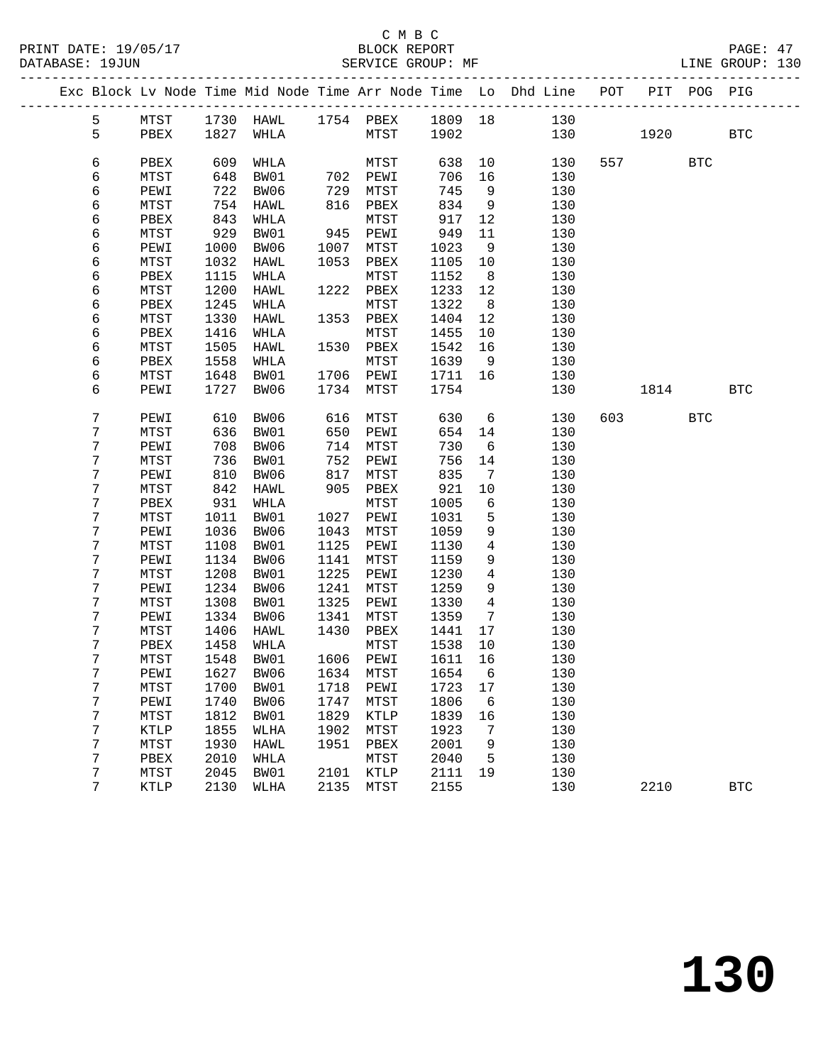|  |        |              |      |                                 |      |                      |                 |                 | Exc Block Lv Node Time Mid Node Time Arr Node Time Lo Dhd Line POT   |     |           | PIT POG PIG |            |
|--|--------|--------------|------|---------------------------------|------|----------------------|-----------------|-----------------|----------------------------------------------------------------------|-----|-----------|-------------|------------|
|  | 5      |              |      |                                 |      |                      |                 |                 |                                                                      |     |           |             |            |
|  | 5      | PBEX         |      | 1827 WHLA                       |      | MTST 1902            |                 |                 | MTST 1730 HAWL 1754 PBEX 1809 18 130<br>PBEX 1827 WHLA MTST 1902 130 | 130 | 1920      |             | <b>BTC</b> |
|  |        |              |      |                                 |      |                      |                 |                 |                                                                      |     |           |             |            |
|  | 6      | PBEX         | 609  | WHLA                            |      | MTST                 | 638             | 10              | 130                                                                  |     | 557 35    | <b>BTC</b>  |            |
|  | 6      | MTST         | 648  | BW01                            |      | 702 PEWI<br>729 MTST | 706             | 16              | 130                                                                  |     |           |             |            |
|  | 6      | PEWI         | 722  | BW06                            |      | 729 MTST             | 745             | 9               | 130                                                                  |     |           |             |            |
|  | 6      | MTST         | 754  | HAWL                            |      | 816 PBEX             | 834             | $\overline{9}$  | 130                                                                  |     |           |             |            |
|  | 6      | PBEX         | 843  | WHLA                            |      | MTST                 | 917             | 12              | 130                                                                  |     |           |             |            |
|  | 6      | MTST         | 929  | BW01                            |      | 945 PEWI             | 949             | 11              | 130                                                                  |     |           |             |            |
|  | 6      | PEWI         | 1000 | BW06                            |      | 1007 MTST            | 1023            | 9               | 130                                                                  |     |           |             |            |
|  | 6      | MTST         | 1032 | HAWL                            | 1053 | PBEX                 | 1105            | 10              | 130                                                                  |     |           |             |            |
|  | 6      | PBEX         | 1115 | WHLA                            |      | MTST                 | 1152            | 8 <sup>8</sup>  | 130                                                                  |     |           |             |            |
|  | 6      | MTST         | 1200 | HAWL                            |      | 1222 PBEX            | 1233            | 12              | 130                                                                  |     |           |             |            |
|  | 6      | PBEX         | 1245 | WHLA                            |      | MTST                 | 1322            | 8 <sup>8</sup>  | 130                                                                  |     |           |             |            |
|  | 6      | MTST         | 1330 | HAWL                            |      | 1353 PBEX            | 1404            | 12              | 130                                                                  |     |           |             |            |
|  | 6      | PBEX         | 1416 | WHLA                            |      | MTST                 | 1455            | 10              | 130                                                                  |     |           |             |            |
|  | 6      | MTST         | 1505 | HAWL                            |      | 1530 PBEX            | 1542            | 16              | 130                                                                  |     |           |             |            |
|  | 6      | PBEX         | 1558 | WHLA                            |      | MTST                 | 1639            | 9               | 130                                                                  |     |           |             |            |
|  | 6      | MTST         | 1648 | BW01                            |      | 1706 PEWI            | 1711 16         |                 | 130                                                                  |     |           |             |            |
|  | 6      | PEWI         | 1727 | BW06                            |      | 1734 MTST            | 1754            |                 | 130                                                                  |     | 1814      |             | <b>BTC</b> |
|  | 7      | PEWI         | 610  | BW06                            |      | 616 MTST             | 630             | $6\overline{6}$ | 130                                                                  |     | 603 — 100 | <b>BTC</b>  |            |
|  | 7      | MTST         | 636  | BW01                            |      | 650 PEWI             | 654             | 14              | 130                                                                  |     |           |             |            |
|  | 7      | PEWI         | 708  | BW06                            |      | 714 MTST             | 730             | 6               | 130                                                                  |     |           |             |            |
|  | 7      | MTST         | 736  | BW01                            | 752  | PEWI                 | 756             | 14              | 130                                                                  |     |           |             |            |
|  | 7      | PEWI         | 810  | BW06                            | 817  | MTST                 | 835             | $\overline{7}$  | 130                                                                  |     |           |             |            |
|  | 7      | MTST         | 842  | HAWL                            |      | 905 PBEX             | 921             | 10              | 130                                                                  |     |           |             |            |
|  | 7      | PBEX         | 931  | WHLA                            |      | MTST                 | 1005            | 6               | 130                                                                  |     |           |             |            |
|  | 7      | MTST         | 1011 | BW01                            |      | 1027 PEWI            | 1031            | 5               | 130                                                                  |     |           |             |            |
|  | 7      | PEWI         | 1036 | BW06                            | 1043 | MTST                 | 1059            | 9               | 130                                                                  |     |           |             |            |
|  | 7      | MTST         | 1108 | BW01                            | 1125 | PEWI                 | 1130            | $4\overline{ }$ | 130                                                                  |     |           |             |            |
|  | 7      | PEWI         | 1134 | BW06                            | 1141 | MTST                 | 1159            | 9               | 130                                                                  |     |           |             |            |
|  | 7      | MTST         | 1208 | BW01                            | 1225 | PEWI                 | 1230            | $4\overline{ }$ | 130                                                                  |     |           |             |            |
|  | 7      | PEWI         | 1234 | BW06                            | 1241 | MTST                 | 1259            | 9               | 130                                                                  |     |           |             |            |
|  | 7      | MTST         | 1308 | BW01                            | 1325 | PEWI                 | 1330            | $\overline{4}$  | 130                                                                  |     |           |             |            |
|  | 7      | PEWI         | 1334 | BW06                            | 1341 | MTST                 | 1359            | $\overline{7}$  | 130                                                                  |     |           |             |            |
|  | 7<br>7 | MTST         | 1406 | HAWL                            | 1430 | PBEX                 | 1441            | 17<br>10        | 130                                                                  |     |           |             |            |
|  | 7      | PBEX<br>MTST | 1458 | WHLA<br>1548 BW01               |      | MTST<br>1606 PEWI    | 1538<br>1611 16 |                 | 130<br>130                                                           |     |           |             |            |
|  | 7      |              |      | PEWI 1627 BW06 1634 MTST 1654 6 |      |                      |                 |                 | 130                                                                  |     |           |             |            |
|  | 7      | MTST         | 1700 | BW01                            | 1718 | PEWI                 | 1723 17         |                 | 130                                                                  |     |           |             |            |
|  | 7      | PEWI         | 1740 | BW06                            | 1747 | MTST                 | 1806            | - 6             | 130                                                                  |     |           |             |            |
|  | 7      | MTST         | 1812 | BW01                            | 1829 | KTLP                 | 1839            | 16              | 130                                                                  |     |           |             |            |
|  | 7      | KTLP         | 1855 | WLHA                            | 1902 | MTST                 | 1923            | 7               | 130                                                                  |     |           |             |            |
|  | 7      | MTST         | 1930 | HAWL                            | 1951 | PBEX                 | 2001            | 9               | 130                                                                  |     |           |             |            |
|  | 7      | PBEX         | 2010 | WHLA                            |      | MTST                 | 2040            | 5               | 130                                                                  |     |           |             |            |
|  | 7      | MTST         | 2045 | BW01                            | 2101 | KTLP                 | 2111            | 19              | 130                                                                  |     |           |             |            |
|  | 7      | KTLP         | 2130 | WLHA                            | 2135 | MTST                 | 2155            |                 | 130                                                                  |     | 2210      |             | <b>BTC</b> |
|  |        |              |      |                                 |      |                      |                 |                 |                                                                      |     |           |             |            |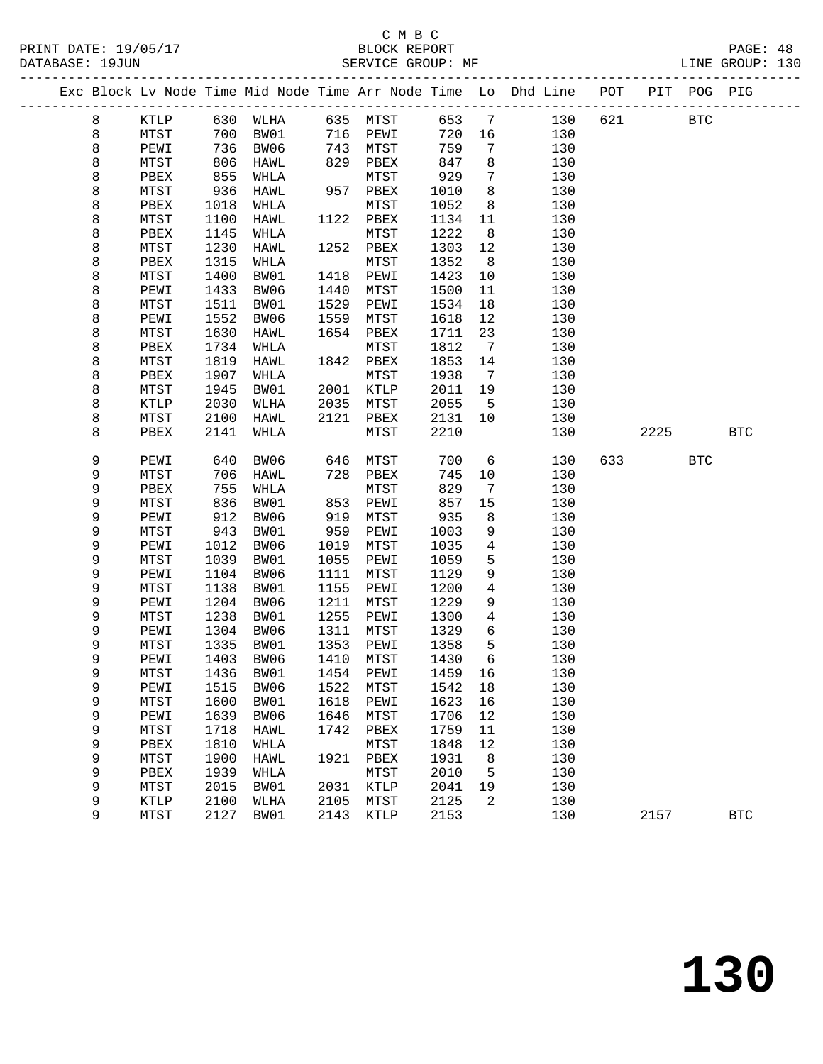### C M B C

|  | DATABASE: 19JUN |              |              | SERVICE GROUP: MF            |      |              |              |                              |                                                                                |             |      | LINE GROUP: 130 |
|--|-----------------|--------------|--------------|------------------------------|------|--------------|--------------|------------------------------|--------------------------------------------------------------------------------|-------------|------|-----------------|
|  |                 |              |              |                              |      |              |              |                              | Exc Block Lv Node Time Mid Node Time Arr Node Time Lo Dhd Line POT PIT POG PIG |             |      |                 |
|  | 8               |              |              | KTLP 630 WLHA 635 MTST 653 7 |      |              |              |                              |                                                                                | 130 621 BTC |      |                 |
|  | 8               | MTST         | 700          | BW01                         |      | 716 PEWI     |              | 720 16                       | 130                                                                            |             |      |                 |
|  | 8               | PEWI         | 736          | BW06                         |      | 743 MTST     | 759          | $7\phantom{.0}$              | 130                                                                            |             |      |                 |
|  | 8               | MTST         | 855          | HAWL                         |      | 829 PBEX     | 847          | 8                            | 130                                                                            |             |      |                 |
|  | 8               | PBEX         |              | WHLA                         |      | MTST         | 929          | $7\phantom{.0}$              | 130                                                                            |             |      |                 |
|  | 8               | MTST         | 936          | HAWL                         |      | 957 PBEX     | 1010         | 8                            | 130                                                                            |             |      |                 |
|  | 8               | PBEX         | 1018         | WHLA                         |      | MTST         | 1052         | 8                            | 130                                                                            |             |      |                 |
|  | 8               | MTST         | 1100         | HAWL                         |      | 1122 PBEX    | 1134         | 11                           | 130                                                                            |             |      |                 |
|  | 8               | PBEX         | 1145         | WHLA                         |      | MTST         | 1222         | 8 <sup>8</sup>               | 130                                                                            |             |      |                 |
|  | 8               | MTST         | 1230         | HAWL                         |      | 1252 PBEX    | 1303         | 12                           | 130                                                                            |             |      |                 |
|  | 8               | PBEX         | 1315         | WHLA                         |      | MTST         | 1352         | 8 <sup>8</sup>               | 130                                                                            |             |      |                 |
|  | 8               | MTST         | 1400         | BW01                         |      | 1418 PEWI    | 1423         | 10                           | 130                                                                            |             |      |                 |
|  | 8               | PEWI         | 1433         | BW06                         | 1440 | MTST         | 1500         | 11                           | 130                                                                            |             |      |                 |
|  | 8               | MTST         | 1511         | BW01                         | 1529 | PEWI         | 1534         | 18                           | 130                                                                            |             |      |                 |
|  | 8               | PEWI         | 1552         | BW06                         | 1559 | MTST         | 1618         | 12                           | 130                                                                            |             |      |                 |
|  | 8               | MTST         | 1630         | HAWL                         | 1654 | PBEX         | 1711         | 23                           | 130                                                                            |             |      |                 |
|  | 8               | PBEX         | 1734         | WHLA                         |      | MTST         | 1812         | $7\overline{ }$              | 130                                                                            |             |      |                 |
|  | 8               | MTST         | 1819         | HAWL                         |      | 1842 PBEX    | 1853         | 14                           | 130                                                                            |             |      |                 |
|  | 8               | PBEX         | 1907         | WHLA                         |      | MTST         | 1938         | $7\overline{ }$              | 130                                                                            |             |      |                 |
|  | 8               | MTST         | 1945         | BW01                         | 2001 | KTLP         | 2011         | 19                           | 130                                                                            |             |      |                 |
|  | 8               | KTLP         | 2030         | WLHA                         | 2035 | MTST         | 2055         | $5^{\circ}$                  | 130                                                                            |             |      |                 |
|  | 8<br>8          | MTST<br>PBEX | 2100<br>2141 | HAWL<br>WHLA                 | 2121 | PBEX<br>MTST | 2131<br>2210 | 10                           | 130<br>130                                                                     |             | 2225 | <b>BTC</b>      |
|  |                 |              |              |                              |      |              |              |                              |                                                                                |             |      |                 |
|  | 9               | PEWI         | 640          | BW06                         |      | 646 MTST     | 700          | 6                            | 130                                                                            | 633 — 100   | BTC  |                 |
|  | 9               | MTST         | 706          | HAWL                         |      | 728 PBEX     | 745          | 10                           | 130                                                                            |             |      |                 |
|  | 9               | PBEX         | 755          | WHLA                         |      | MTST         | 829          | $7\phantom{.0}\phantom{.0}7$ | 130                                                                            |             |      |                 |
|  | 9               | MTST         | 836          | BW01                         | 853  | PEWI         | 857          | 15                           | 130                                                                            |             |      |                 |
|  | 9               | PEWI         | 912          | BW06                         | 919  | MTST         | 935          | 8                            | 130                                                                            |             |      |                 |
|  | 9               | MTST         | 943          | BW01                         | 959  | PEWI         | 1003         | 9                            | 130                                                                            |             |      |                 |
|  | 9               | PEWI         | 1012         | BW06                         | 1019 | MTST         | 1035         | $4\overline{ }$              | 130                                                                            |             |      |                 |
|  | 9               | MTST         | 1039         | BW01                         | 1055 | PEWI         | 1059         | 5                            | 130                                                                            |             |      |                 |
|  | 9               | PEWI         | 1104         | BW06                         | 1111 | MTST         | 1129         | 9                            | 130                                                                            |             |      |                 |
|  | 9               | MTST         | 1138         | BW01                         | 1155 | PEWI         | 1200         | 4                            | 130                                                                            |             |      |                 |
|  | 9               | PEWI         | 1204         | BW06                         | 1211 | MTST         | 1229         | 9                            | 130                                                                            |             |      |                 |
|  | 9               | MTST         | 1238         | BW01                         | 1255 | PEWI         | 1300         | 4                            | 130                                                                            |             |      |                 |
|  | 9               | PEWI         | 1304         | BW06                         | 1311 | MTST         | 1329         | 6                            | 130                                                                            |             |      |                 |
|  | 9               | MTST         | 1335         | BW01                         |      | 1353 PEWI    | 1358         | 5                            | 130                                                                            |             |      |                 |
|  | 9               | PEWI         |              | 1403 BW06 1410 MTST 1430 6   |      |              |              |                              | 130                                                                            |             |      |                 |
|  | 9               | MTST         | 1436         | BW01                         | 1454 | PEWI         | 1459         | 16                           | 130                                                                            |             |      |                 |
|  | 9               | PEWI         | 1515         | BW06                         | 1522 | MTST         | 1542         | 18                           | 130                                                                            |             |      |                 |
|  | 9               | MTST         | 1600         | BW01                         | 1618 | PEWI         | 1623         | 16                           | 130                                                                            |             |      |                 |
|  | 9               | PEWI         | 1639         | BW06                         | 1646 | MTST         | 1706         | 12                           | 130                                                                            |             |      |                 |
|  | 9               | MTST         | 1718         | HAWL                         | 1742 | PBEX         | 1759         | 11                           | 130                                                                            |             |      |                 |
|  | 9               | PBEX         | 1810         | WHLA                         |      | MTST         | 1848         | 12                           | 130                                                                            |             |      |                 |
|  | 9<br>9          | MTST         | 1900         | HAWL                         |      | 1921 PBEX    | 1931         | 8                            | 130                                                                            |             |      |                 |
|  |                 | PBEX         |              | 1939 WHLA                    |      | MTST         | 2010         | 5                            | 130                                                                            |             |      |                 |

 9 MTST 2015 BW01 2031 KTLP 2041 19 130 9 KTLP 2100 WLHA 2105 MTST 2125 2 130

9 MTST 2127 BW01 2143 KTLP 2153 130 2157 BTC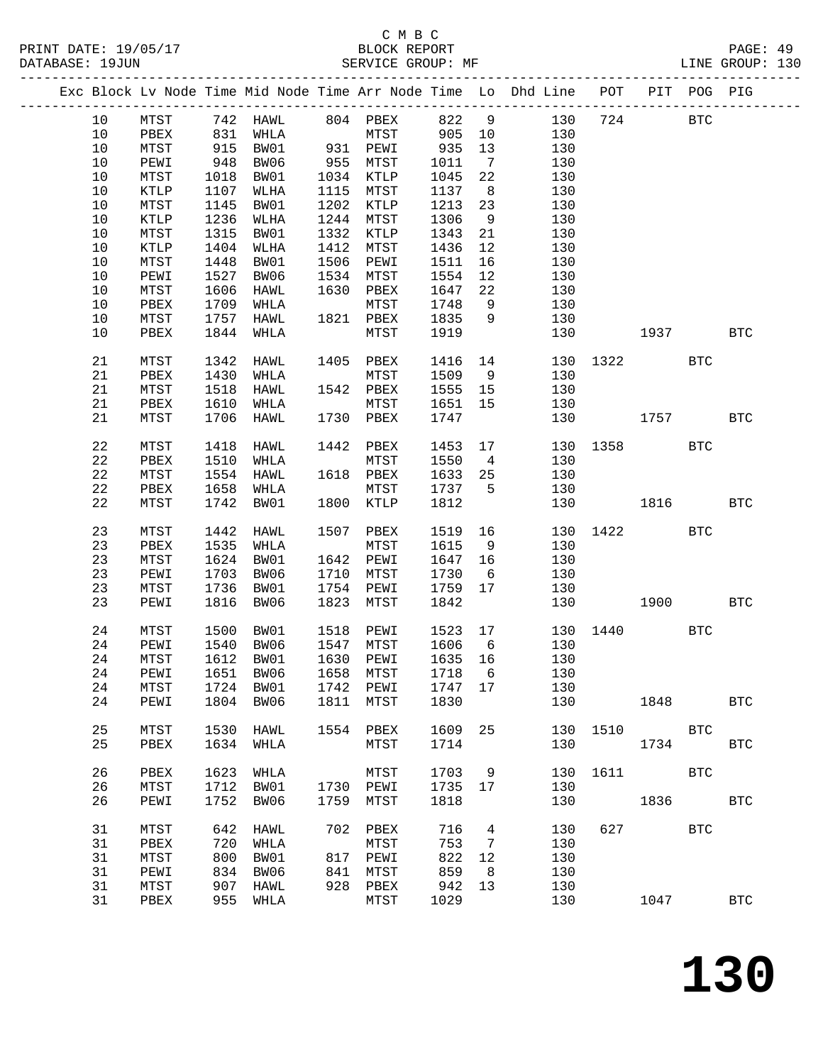|  |         |                 |            |                            |      |           |         |                | Exc Block Lv Node Time Mid Node Time Arr Node Time Lo Dhd Line POT |          |             | PIT POG PIG |              |
|--|---------|-----------------|------------|----------------------------|------|-----------|---------|----------------|--------------------------------------------------------------------|----------|-------------|-------------|--------------|
|  | 10      | MTST            |            | 742 HAWL                   |      | 804 PBEX  | 822     | $\overline{9}$ | 130                                                                | 724      |             | <b>BTC</b>  |              |
|  | 10      | PBEX            |            | WHLA                       |      | MTST      | 905     | 10             | 130                                                                |          |             |             |              |
|  | 10      | MTST            | 831<br>915 | BW01                       |      | 931 PEWI  | 935     | 13             | 130                                                                |          |             |             |              |
|  | 10      | PEWI            | 948        | BW06                       |      | 955 MTST  | 1011    | $\overline{7}$ | 130                                                                |          |             |             |              |
|  | 10      | MTST            | 1018       | BW01                       |      | 1034 KTLP | 1045    | 22             | 130                                                                |          |             |             |              |
|  | 10      | KTLP            | 1107       | WLHA                       | 1115 | MTST      | 1137    | 8 <sup>8</sup> | 130                                                                |          |             |             |              |
|  | 10      | MTST            | 1145       | BW01                       |      | 1202 KTLP | 1213    | 23             | 130                                                                |          |             |             |              |
|  | 10      | $\texttt{KTLP}$ | 1236       | WLHA                       | 1244 | MTST      | 1306    | 9              | 130                                                                |          |             |             |              |
|  | 10      | MTST            | 1315       | BW01                       | 1332 | KTLP      | 1343    | 21             | 130                                                                |          |             |             |              |
|  | 10      | KTLP            | 1404       | WLHA                       | 1412 | MTST      | 1436    | 12             | 130                                                                |          |             |             |              |
|  | 10      | MTST            | 1448       | BW01                       | 1506 | PEWI      | 1511    | 16             | 130                                                                |          |             |             |              |
|  | $10$    |                 |            | BW06                       | 1534 |           |         |                |                                                                    |          |             |             |              |
|  |         | PEWI            | 1527       |                            |      | MTST      | 1554    | 12             | 130                                                                |          |             |             |              |
|  | 10      | MTST            | 1606       | HAWL                       | 1630 | PBEX      | 1647    | 22             | 130                                                                |          |             |             |              |
|  | 10      | PBEX            | 1709       | WHLA                       |      | MTST      | 1748    | 9              | 130                                                                |          |             |             |              |
|  | 10      | MTST            | 1757       | HAWL                       |      | 1821 PBEX | 1835    | 9              | 130                                                                |          |             |             |              |
|  | 10      | PBEX            | 1844       | WHLA                       |      | MTST      | 1919    |                | 130                                                                |          | 1937 — 1937 |             | <b>BTC</b>   |
|  | 21      | MTST            | 1342       | HAWL                       | 1405 | PBEX      | 1416    | 14             | 130                                                                |          | 1322 2      | <b>BTC</b>  |              |
|  | 21      | PBEX            | 1430       | WHLA                       |      | MTST      | 1509    | 9              | 130                                                                |          |             |             |              |
|  | 21      | MTST            | 1518       | HAWL                       |      | 1542 PBEX | 1555    | 15             | 130                                                                |          |             |             |              |
|  | 21      | PBEX            | 1610       | WHLA                       |      | MTST      | 1651    | 15             | 130                                                                |          |             |             |              |
|  | 21      | MTST            | 1706       | HAWL                       |      | 1730 PBEX | 1747    |                | 130                                                                |          | 1757        |             | <b>BTC</b>   |
|  |         |                 |            |                            |      |           |         |                |                                                                    |          |             |             |              |
|  | 22      | MTST            | 1418       | HAWL                       |      | 1442 PBEX | 1453    | 17             | 130                                                                | 1358     |             | <b>BTC</b>  |              |
|  | 22      | PBEX            | 1510       | WHLA                       |      | MTST      | 1550    | $\overline{4}$ | 130                                                                |          |             |             |              |
|  | 22      | MTST            | 1554       | HAWL                       |      | 1618 PBEX | 1633    | 25             | 130                                                                |          |             |             |              |
|  | 22      | PBEX            | 1658       | WHLA                       |      | MTST      | 1737    | $5^{\circ}$    | 130                                                                |          |             |             |              |
|  | 22      | MTST            | 1742       | BW01                       |      | 1800 KTLP | 1812    |                | 130                                                                |          | 1816        |             | <b>BTC</b>   |
|  | 23      | MTST            | 1442       | HAWL                       | 1507 | PBEX      | 1519    | 16             | 130                                                                |          | 1422        | <b>BTC</b>  |              |
|  | 23      | PBEX            | 1535       | WHLA                       |      | MTST      | 1615    | 9              | 130                                                                |          |             |             |              |
|  | 23      | MTST            | 1624       | BW01                       |      | 1642 PEWI | 1647    | 16             | 130                                                                |          |             |             |              |
|  | 23      | PEWI            | 1703       | BW06                       | 1710 | MTST      | 1730    | 6              | 130                                                                |          |             |             |              |
|  | 23      | MTST            | 1736       | BW01                       | 1754 | PEWI      | 1759    | 17             | 130                                                                |          |             |             |              |
|  | 23      | PEWI            | 1816       | BW06                       | 1823 | MTST      | 1842    |                | 130                                                                |          | 1900        |             | <b>BTC</b>   |
|  | 24      | ${\tt MTST}$    | 1500       | BW01                       | 1518 | PEWI      | 1523 17 |                |                                                                    | 130 1440 |             | <b>BTC</b>  |              |
|  | 24      | PEWI            | 1540       | BW06                       |      | 1547 MTST | 1606    | 6              | 130                                                                |          |             |             |              |
|  | 24      | MTST            | 1612       | BW01                       |      | 1630 PEWI | 1635 16 |                | 130                                                                |          |             |             |              |
|  | 24 PEWI |                 |            | 1651 BW06 1658 MTST 1718 6 |      |           |         |                | 130                                                                |          |             |             |              |
|  | 24      | MTST            | 1724       | BW01                       | 1742 | PEWI      | 1747    | 17             | 130                                                                |          |             |             |              |
|  | 24      | PEWI            | 1804       | BW06                       | 1811 | MTST      | 1830    |                | 130                                                                |          | 1848        |             | <b>BTC</b>   |
|  | 25      | MTST            | 1530       | HAWL                       |      | 1554 PBEX | 1609    | 25             | 130                                                                | 1510     |             | <b>BTC</b>  |              |
|  | 25      | PBEX            | 1634       | WHLA                       |      | MTST      | 1714    |                | 130                                                                |          | 1734        |             | <b>BTC</b>   |
|  |         |                 |            |                            |      |           |         |                |                                                                    |          |             |             |              |
|  | 26      | PBEX            | 1623       | WHLA                       |      | MTST      | 1703    | 9              | 130                                                                | 1611     |             | <b>BTC</b>  |              |
|  | 26      | MTST            | 1712       | BW01                       |      | 1730 PEWI | 1735    | 17             | 130                                                                |          |             |             |              |
|  | 26      | PEWI            | 1752       | BW06                       | 1759 | MTST      | 1818    |                | 130                                                                |          | 1836        |             | <b>BTC</b>   |
|  | 31      | MTST            | 642        | HAWL                       | 702  | PBEX      | 716     | 4              | 130                                                                | 627      |             | <b>BTC</b>  |              |
|  | 31      | PBEX            | 720        | WHLA                       |      | MTST      | 753     | 7              | 130                                                                |          |             |             |              |
|  | 31      | MTST            | 800        | BW01                       | 817  | PEWI      | 822     | 12             | 130                                                                |          |             |             |              |
|  | 31      | PEWI            | 834        | BW06                       | 841  | MTST      | 859     | 8              | 130                                                                |          |             |             |              |
|  | 31      | MTST            | 907        | HAWL                       | 928  | PBEX      | 942     | 13             | 130                                                                |          |             |             |              |
|  | 31      | PBEX            | 955        | WHLA                       |      | MTST      | 1029    |                | 130                                                                |          | 1047        |             | $_{\rm BTC}$ |
|  |         |                 |            |                            |      |           |         |                |                                                                    |          |             |             |              |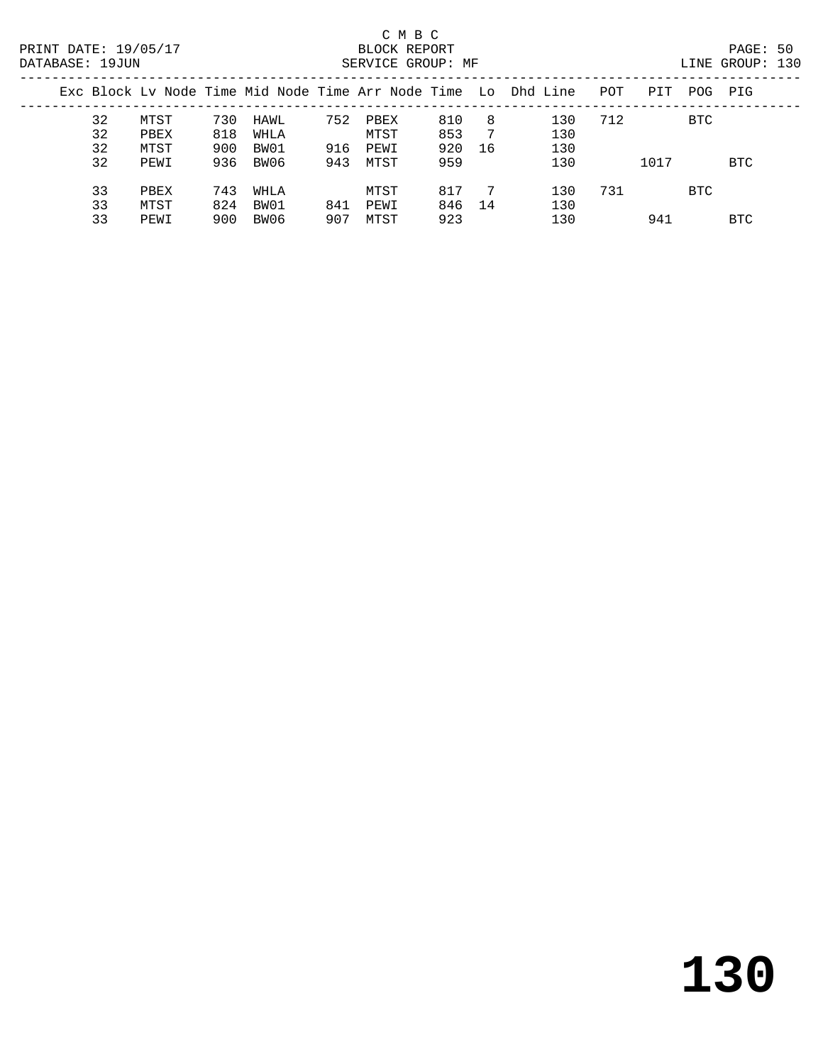|    |      |     |      |     |      |     |    | Exc Block Ly Node Time Mid Node Time Arr Node Time Lo Dhd Line | POT | PIT  | POG        | PIG        |
|----|------|-----|------|-----|------|-----|----|----------------------------------------------------------------|-----|------|------------|------------|
| 32 | MTST | 730 | HAWL | 752 | PBEX | 810 | 8  | 130                                                            | 712 |      | <b>BTC</b> |            |
| 32 | PBEX | 818 | WHLA |     | MTST | 853 | 7  | 130                                                            |     |      |            |            |
| 32 | MTST | 900 | BW01 | 916 | PEWI | 920 | 16 | 130                                                            |     |      |            |            |
| 32 | PEWI | 936 | BW06 | 943 | MTST | 959 |    | 130                                                            |     | 1017 |            | <b>BTC</b> |
| 33 | PBEX | 743 | WHLA |     | MTST | 817 |    | 130                                                            | 731 |      | <b>BTC</b> |            |
| 33 | MTST | 824 | BW01 | 841 | PEWI | 846 | 14 | 130                                                            |     |      |            |            |
| 33 | PEWI | 900 | BW06 | 907 | MTST | 923 |    | 130                                                            |     | 941  |            | BTC        |
|    |      |     |      |     |      |     |    |                                                                |     |      |            |            |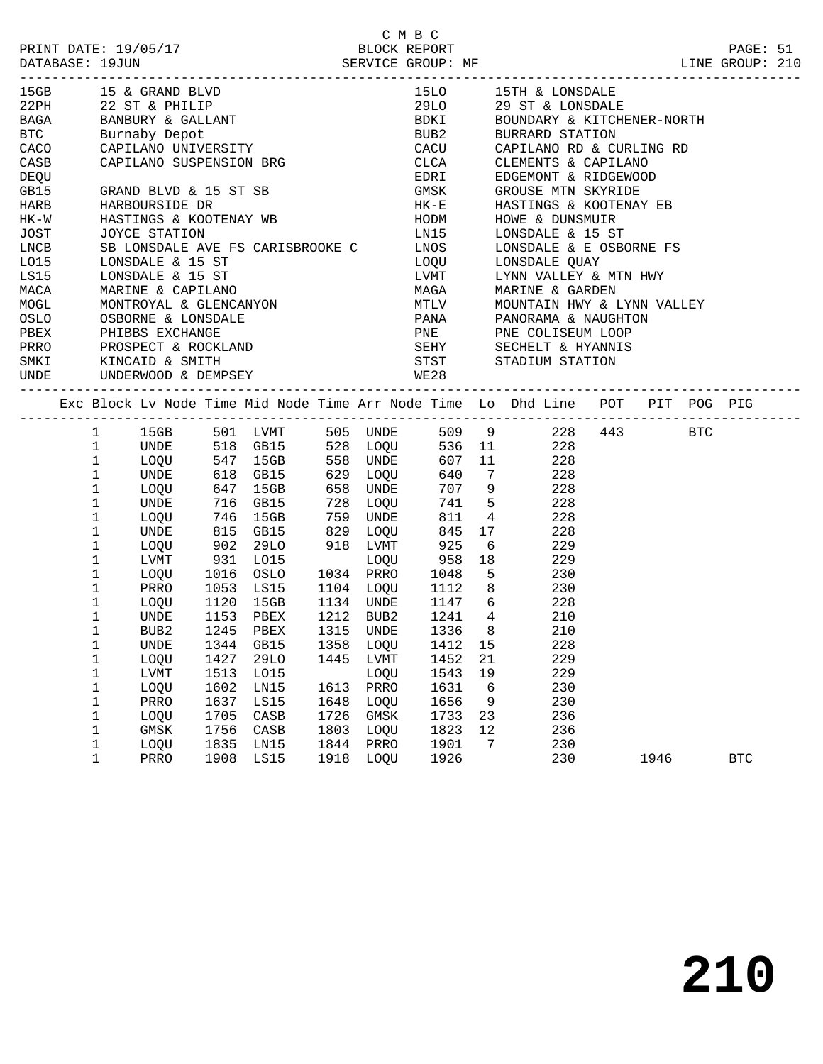| PRINT DATE: 19/05/17<br>DATABASE: 19JUN |              |                                        |      |                                  |           |           | C M B C<br>BLOCK REPORT |                |                                                                                             | LINE GROUP: 210                                                                | PAGE: 51   |  |
|-----------------------------------------|--------------|----------------------------------------|------|----------------------------------|-----------|-----------|-------------------------|----------------|---------------------------------------------------------------------------------------------|--------------------------------------------------------------------------------|------------|--|
|                                         |              |                                        |      |                                  |           |           |                         |                | 15LO 15TH & LONSDALE                                                                        |                                                                                |            |  |
|                                         |              |                                        |      |                                  |           |           | 29LO                    |                | 29 ST & LONSDALE                                                                            |                                                                                |            |  |
|                                         |              |                                        |      | BANBURY & GALLANT                |           |           |                         |                | BDKI BOUNDARY & KITCHENER-NORTH                                                             |                                                                                |            |  |
| <b>BTC</b>                              |              | Burnaby Depot                          |      |                                  |           |           |                         |                | BUB2 BURRARD STATION                                                                        |                                                                                |            |  |
| CACO CAPILANO UNIVERSITY                |              |                                        |      |                                  |           |           |                         |                |                                                                                             |                                                                                |            |  |
| CASB                                    |              |                                        |      | CAPILANO SUSPENSION BRG          |           |           | CLCA                    |                | CACU CAPILANO RD & CURLING RD<br>CLCA CLEMENTS & CAPILANO<br>CLEMENTS & CAPILANO            |                                                                                |            |  |
| DEQU                                    |              |                                        |      |                                  |           |           | EDRI                    |                | EDGEMONT & RIDGEWOOD                                                                        |                                                                                |            |  |
| GB15                                    |              | GRAND BLVD & 15 ST SB                  |      |                                  |           |           | GMSK                    |                | GROUSE MTN SKYRIDE                                                                          |                                                                                |            |  |
| HARB                                    |              | HARBOURSIDE DR                         |      |                                  |           |           | $HK - E$                |                | HASTINGS & KOOTENAY EB                                                                      |                                                                                |            |  |
| HK-W                                    |              |                                        |      | HASTINGS & KOOTENAY WB           |           |           |                         |                |                                                                                             |                                                                                |            |  |
| JOST                                    |              | JOYCE STATION                          |      |                                  |           |           |                         |                | HODM HOWE & DUNSMUIR<br>LN15 LONSDALE & 15 ST                                               |                                                                                |            |  |
| LNCB                                    |              |                                        |      | SB LONSDALE AVE FS CARISBROOKE C |           |           |                         |                | LNOS LONSDALE & E OSBORNE FS                                                                |                                                                                |            |  |
| LO15                                    |              | LONSDALE & 15 ST                       |      |                                  |           |           |                         |                | LOQU LONSDALE QUAY<br>LVMT LYNN VALLEY & MTN HWY<br>MAGA MARINE & GARDEN                    |                                                                                |            |  |
| LS15                                    |              | LONSDALE & 15 ST                       |      |                                  |           |           |                         |                |                                                                                             |                                                                                |            |  |
| MACA                                    |              | MARINE & CAPILANO                      |      |                                  |           |           |                         |                |                                                                                             |                                                                                |            |  |
| MOGL                                    |              | MONTROYAL & GLENCANYON                 |      |                                  |           |           |                         |                | MTLV MOUNTAIN HWY & LYNN VALLEY                                                             |                                                                                |            |  |
| OSLO                                    |              | OSBORNE & LONSDALE                     |      |                                  |           |           |                         |                | PANA PANORAMA & NAUGHTON                                                                    |                                                                                |            |  |
| PBEX                                    |              |                                        |      |                                  |           |           |                         |                |                                                                                             |                                                                                |            |  |
| PRRO                                    |              | PHIBBS EXCHANGE<br>PROSPECT & ROCKLAND |      |                                  |           |           |                         |                | PNE PNE COLISEUM LOOP<br>SEHY SECHELT & HYANNIS                                             |                                                                                |            |  |
| SMKI                                    |              | KINCAID & SMITH                        |      |                                  |           |           | <b>STST</b>             |                | STADIUM STATION                                                                             |                                                                                |            |  |
| UNDE                                    |              |                                        |      | UNDERWOOD & DEMPSEY VALUE VALUE  |           |           |                         |                |                                                                                             |                                                                                |            |  |
|                                         |              |                                        |      |                                  |           |           |                         |                |                                                                                             |                                                                                |            |  |
|                                         |              |                                        |      |                                  |           |           |                         |                |                                                                                             | Exc Block Lv Node Time Mid Node Time Arr Node Time Lo Dhd Line POT PIT POG PIG |            |  |
|                                         | $\mathbf{1}$ |                                        |      |                                  |           |           |                         |                | 15GB 501 LVMT 505 UNDE 509 9 228 443                                                        | BTC                                                                            |            |  |
|                                         | $\mathbf{1}$ | UNDE                                   |      |                                  |           |           |                         |                | 518 GB15 528 LOQU 536 11 228<br>547 15GB 558 UNDE 607 11 228<br>618 GB15 629 LOQU 640 7 228 |                                                                                |            |  |
|                                         | $\mathbf{1}$ | LOQU                                   |      |                                  |           |           |                         |                |                                                                                             |                                                                                |            |  |
|                                         | $\mathbf{1}$ | UNDE                                   |      |                                  |           |           |                         |                |                                                                                             |                                                                                |            |  |
|                                         | $\mathbf 1$  | LOQU                                   | 647  | 15GB                             | 658 UNDE  |           |                         |                | 707 9 228                                                                                   |                                                                                |            |  |
|                                         | $\mathbf 1$  | UNDE                                   |      |                                  |           | 728 LOQU  | 741                     |                | 5 228                                                                                       |                                                                                |            |  |
|                                         | 1            | LOQU                                   |      |                                  |           | 759 UNDE  | 811                     |                | $4\overline{4}$<br>228                                                                      |                                                                                |            |  |
|                                         | 1            | UNDE                                   |      | 716 GB15<br>746 15GB<br>815 GB15 | 829 LOQU  |           | 845                     |                | 17 228                                                                                      |                                                                                |            |  |
|                                         | $\mathbf 1$  | LOQU                                   | 902  | 29LO                             |           | 918 LVMT  | 925                     |                | 6 229                                                                                       |                                                                                |            |  |
|                                         | $\mathbf 1$  | LVMT                                   | 931  | LO15                             |           | LOQU      | 958                     |                | 18<br>229                                                                                   |                                                                                |            |  |
|                                         | $\mathbf 1$  | LOQU                                   | 1016 |                                  | 1034 PRRO |           |                         |                |                                                                                             |                                                                                |            |  |
|                                         | $\mathbf 1$  | PRRO                                   | 1053 |                                  |           |           |                         |                | 0SLO 1034 PRRO 1048 5 230<br>LS15 1104 LOQU 1112 8 230                                      |                                                                                |            |  |
|                                         | 1            | LOQU                                   |      | 1120 15GB                        |           |           | 1134 UNDE 1147 6        |                | 228                                                                                         |                                                                                |            |  |
|                                         | 1            | UNDE                                   |      | 1153 PBEX                        |           | 1212 BUB2 | 1241                    | $\overline{4}$ | 210                                                                                         |                                                                                |            |  |
|                                         | 1            | BUB2                                   |      | 1245 PBEX 1315 UNDE 1336 8       |           |           |                         |                | 210                                                                                         |                                                                                |            |  |
|                                         | 1            | UNDE                                   | 1344 | GB15                             | 1358      | LOQU      | 1412                    | 15             | 228                                                                                         |                                                                                |            |  |
|                                         | 1            | LOQU                                   | 1427 | <b>29LO</b>                      | 1445      | LVMT      | 1452                    | 21             | 229                                                                                         |                                                                                |            |  |
|                                         | 1            | <b>LVMT</b>                            | 1513 | L015                             |           | LOQU      | 1543                    | 19             | 229                                                                                         |                                                                                |            |  |
|                                         | 1            | LOQU                                   | 1602 | LN15                             | 1613      | PRRO      | 1631                    | 6              | 230                                                                                         |                                                                                |            |  |
|                                         | 1            | PRRO                                   | 1637 | LS15                             | 1648      | LOQU      | 1656                    | 9              | 230                                                                                         |                                                                                |            |  |
|                                         | 1            | LOQU                                   | 1705 | CASB                             | 1726      | GMSK      | 1733                    | 23             | 236                                                                                         |                                                                                |            |  |
|                                         | 1            | GMSK                                   | 1756 | CASB                             | 1803      | LOQU      | 1823                    | 12             | 236                                                                                         |                                                                                |            |  |
|                                         | 1            | LOQU                                   | 1835 | LN15                             | 1844      | PRRO      | 1901                    | 7              | 230                                                                                         |                                                                                |            |  |
|                                         | $\mathbf 1$  | PRRO                                   | 1908 | LS15                             | 1918      | LOQU      | 1926                    |                | 230                                                                                         | 1946                                                                           | <b>BTC</b> |  |
|                                         |              |                                        |      |                                  |           |           |                         |                |                                                                                             |                                                                                |            |  |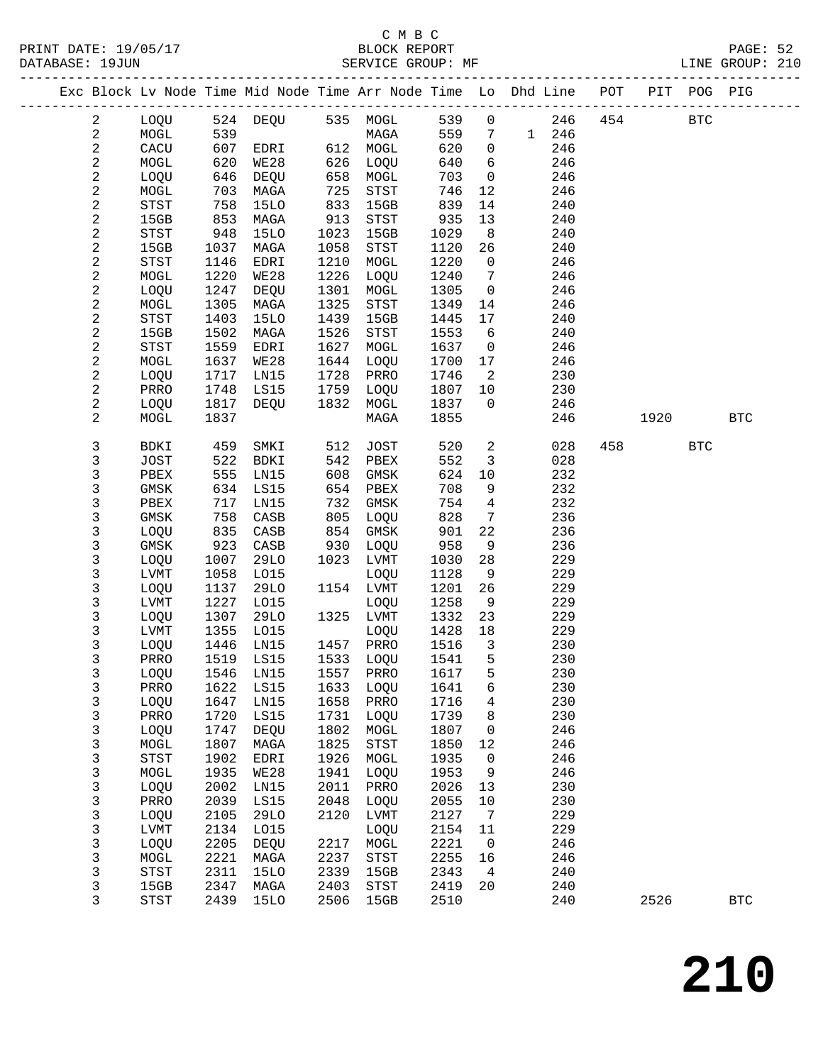### C M B C<br>BLOCK REPORT SERVICE GROUP: MF

|  |                |              |              | Exc Block Lv Node Time Mid Node Time Arr Node Time Lo Dhd Line POT |      |                            |              |                      |       |            |     |      | PIT POG PIG |              |
|--|----------------|--------------|--------------|--------------------------------------------------------------------|------|----------------------------|--------------|----------------------|-------|------------|-----|------|-------------|--------------|
|  | $\overline{a}$ | LOQU         |              | 524 DEQU                                                           | 535  | MOGL                       | 539          | $\mathsf{O}\xspace$  |       | 246        | 454 |      | <b>BTC</b>  |              |
|  | 2              | MOGL         | 539          |                                                                    |      | MAGA                       | 559          | 7                    | 1 246 |            |     |      |             |              |
|  | $\overline{c}$ | CACU         | 607          | EDRI                                                               |      | 612 MOGL                   | 620          | $\mathsf{O}$         |       | 246        |     |      |             |              |
|  | $\sqrt{2}$     | MOGL         | 620          | WE28                                                               | 626  | LOQU                       | 640          | 6                    |       | 246        |     |      |             |              |
|  | $\mathbf{2}$   | LOQU         | 646          | DEQU                                                               | 658  | MOGL                       | 703          | $\mathbf 0$          |       | 246        |     |      |             |              |
|  | 2              | MOGL         | 703          | MAGA                                                               | 725  | ${\tt STST}$               | 746          | 12                   |       | 246        |     |      |             |              |
|  | $\sqrt{2}$     | <b>STST</b>  | 758          | 15LO                                                               | 833  | 15GB                       | 839          | 14                   |       | 240        |     |      |             |              |
|  | $\sqrt{2}$     | 15GB         | 853          | MAGA                                                               | 913  | ${\tt STST}$               | 935          | 13                   |       | 240        |     |      |             |              |
|  | $\sqrt{2}$     | STST         | 948          | <b>15LO</b>                                                        | 1023 | 15GB                       | 1029         | 8                    |       | 240        |     |      |             |              |
|  | $\sqrt{2}$     | 15GB         | 1037         | MAGA                                                               | 1058 | STST                       | 1120         | 26                   |       | 240        |     |      |             |              |
|  | $\sqrt{2}$     | <b>STST</b>  | 1146         | EDRI                                                               | 1210 | MOGL                       | 1220         | $\mathsf{O}$         |       | 246        |     |      |             |              |
|  | $\sqrt{2}$     | MOGL         | 1220         | <b>WE28</b>                                                        | 1226 | LOQU                       | 1240         | $7\phantom{.0}$      |       | 246        |     |      |             |              |
|  | $\sqrt{2}$     | LOQU         | 1247         | DEQU                                                               | 1301 | MOGL                       | 1305         | $\mathsf{O}$         |       | 246        |     |      |             |              |
|  | 2              | MOGL         | 1305         | MAGA                                                               | 1325 | $_{\footnotesize\rm STST}$ | 1349         | 14                   |       | 246        |     |      |             |              |
|  | $\sqrt{2}$     | <b>STST</b>  | 1403         | <b>15LO</b>                                                        | 1439 | 15GB                       | 1445         | 17                   |       | 240        |     |      |             |              |
|  | $\sqrt{2}$     | 15GB         | 1502         | MAGA                                                               | 1526 | STST                       | 1553         | 6                    |       | 240        |     |      |             |              |
|  | $\sqrt{2}$     | <b>STST</b>  | 1559         | EDRI                                                               | 1627 | MOGL                       | 1637         | 0                    |       | 246        |     |      |             |              |
|  | 2              | MOGL         | 1637         | WE28                                                               | 1644 | LOQU                       | 1700         | 17                   |       | 246        |     |      |             |              |
|  | 2              | LOQU         | 1717         | LN15                                                               | 1728 | PRRO                       | 1746         | 2                    |       | 230        |     |      |             |              |
|  | $\sqrt{2}$     | PRRO         | 1748         | LS15                                                               | 1759 | LOQU                       | 1807         | 10                   |       | 230        |     |      |             |              |
|  | $\sqrt{2}$     | LOQU         | 1817         | DEQU                                                               | 1832 | MOGL                       | 1837         | $\mathbf 0$          |       | 246        |     |      |             | <b>BTC</b>   |
|  | 2              | MOGL         | 1837         |                                                                    |      | MAGA                       | 1855         |                      |       | 246        |     | 1920 |             |              |
|  | 3              | BDKI         | 459          | SMKI                                                               | 512  | <b>JOST</b>                | 520          | $\overline{a}$       |       | 028        | 458 |      | <b>BTC</b>  |              |
|  | 3              | <b>JOST</b>  | 522          | BDKI                                                               | 542  | PBEX                       | 552          | $\mathbf{3}$         |       | 028        |     |      |             |              |
|  | 3              | PBEX         | 555          | LN15                                                               | 608  | GMSK                       | 624          | 10                   |       | 232        |     |      |             |              |
|  | 3              | GMSK         | 634          | LS15                                                               | 654  | PBEX                       | 708          | 9                    |       | 232        |     |      |             |              |
|  | 3              | PBEX         | 717          | LN15                                                               | 732  | GMSK                       | 754          | $\overline{4}$       |       | 232        |     |      |             |              |
|  | 3              | GMSK         | 758          | CASB                                                               | 805  | LOQU                       | 828          | 7                    |       | 236        |     |      |             |              |
|  | 3              | LOQU         | 835          | CASB                                                               | 854  | GMSK                       | 901          | 22                   |       | 236        |     |      |             |              |
|  | 3              | GMSK         | 923          | CASB                                                               | 930  | LOQU                       | 958          | 9                    |       | 236        |     |      |             |              |
|  | 3              | LOQU         | 1007         | 29LO                                                               | 1023 | LVMT                       | 1030         | 28                   |       | 229        |     |      |             |              |
|  | 3              | LVMT         | 1058         | L015                                                               |      | LOQU                       | 1128         | 9                    |       | 229        |     |      |             |              |
|  | 3              | LOQU         | 1137         | 29LO                                                               |      | 1154 LVMT                  | 1201         | 26                   |       | 229        |     |      |             |              |
|  | 3              | LVMT         | 1227         | L015                                                               |      | LOQU                       | 1258         | 9                    |       | 229        |     |      |             |              |
|  | 3              | LOQU         | 1307         | <b>29LO</b>                                                        | 1325 | LVMT                       | 1332         | 23                   |       | 229        |     |      |             |              |
|  | 3<br>3         | LVMT<br>LOQU | 1355<br>1446 | L015<br>LN15                                                       | 1457 | LOQU<br>PRRO               | 1428<br>1516 | 18<br>$\overline{3}$ |       | 229<br>230 |     |      |             |              |
|  | 3              | PRRO         | 1519         | LS15                                                               |      | 1533 LOQU                  | 1541         | 5                    |       | 230        |     |      |             |              |
|  | 3              | LOQU         |              | 1546 LN15                                                          |      | 1557 PRRO                  | 1617 5       |                      |       | 230        |     |      |             |              |
|  | 3              | PRRO         | 1622         | LS15                                                               | 1633 | LOQU                       | 1641         | 6                    |       | 230        |     |      |             |              |
|  | 3              | LOQU         | 1647         | LN15                                                               | 1658 | PRRO                       | 1716         | 4                    |       | 230        |     |      |             |              |
|  | 3              | PRRO         | 1720         | LS15                                                               | 1731 | LOQU                       | 1739         | 8                    |       | 230        |     |      |             |              |
|  | 3              | LOQU         | 1747         | DEQU                                                               | 1802 | MOGL                       | 1807         | 0                    |       | 246        |     |      |             |              |
|  | 3              | MOGL         | 1807         | MAGA                                                               | 1825 | $_{\footnotesize\rm STST}$ | 1850         | 12                   |       | 246        |     |      |             |              |
|  | 3              | <b>STST</b>  | 1902         | EDRI                                                               | 1926 | $\tt MOGL$                 | 1935         | 0                    |       | 246        |     |      |             |              |
|  | 3              | MOGL         | 1935         | <b>WE28</b>                                                        | 1941 | LOQU                       | 1953         | 9                    |       | 246        |     |      |             |              |
|  | 3              | LOQU         | 2002         | LN15                                                               | 2011 | PRRO                       | 2026         | 13                   |       | 230        |     |      |             |              |
|  | 3              | PRRO         | 2039         | LS15                                                               | 2048 | LOQU                       | 2055         | 10                   |       | 230        |     |      |             |              |
|  | 3              | LOQU         | 2105         | <b>29LO</b>                                                        | 2120 | LVMT                       | 2127         | 7                    |       | 229        |     |      |             |              |
|  | 3              | LVMT         | 2134         | L015                                                               |      | LOQU                       | 2154         | 11                   |       | 229        |     |      |             |              |
|  | $\mathsf{3}$   | LOQU         | 2205         | DEQU                                                               | 2217 | $\tt MOGL$                 | 2221         | 0                    |       | 246        |     |      |             |              |
|  | 3              | MOGL         | 2221         | MAGA                                                               | 2237 | STST                       | 2255         | 16                   |       | 246        |     |      |             |              |
|  | 3              | STST         | 2311         | <b>15LO</b>                                                        | 2339 | 15GB                       | 2343         | 4                    |       | 240        |     |      |             |              |
|  | 3              | 15GB         | 2347         | MAGA                                                               | 2403 | STST                       | 2419         | 20                   |       | 240        |     |      |             |              |
|  | 3              | <b>STST</b>  | 2439         | <b>15LO</b>                                                        | 2506 | 15GB                       | 2510         |                      |       | 240        |     | 2526 |             | $_{\rm BTC}$ |

**210**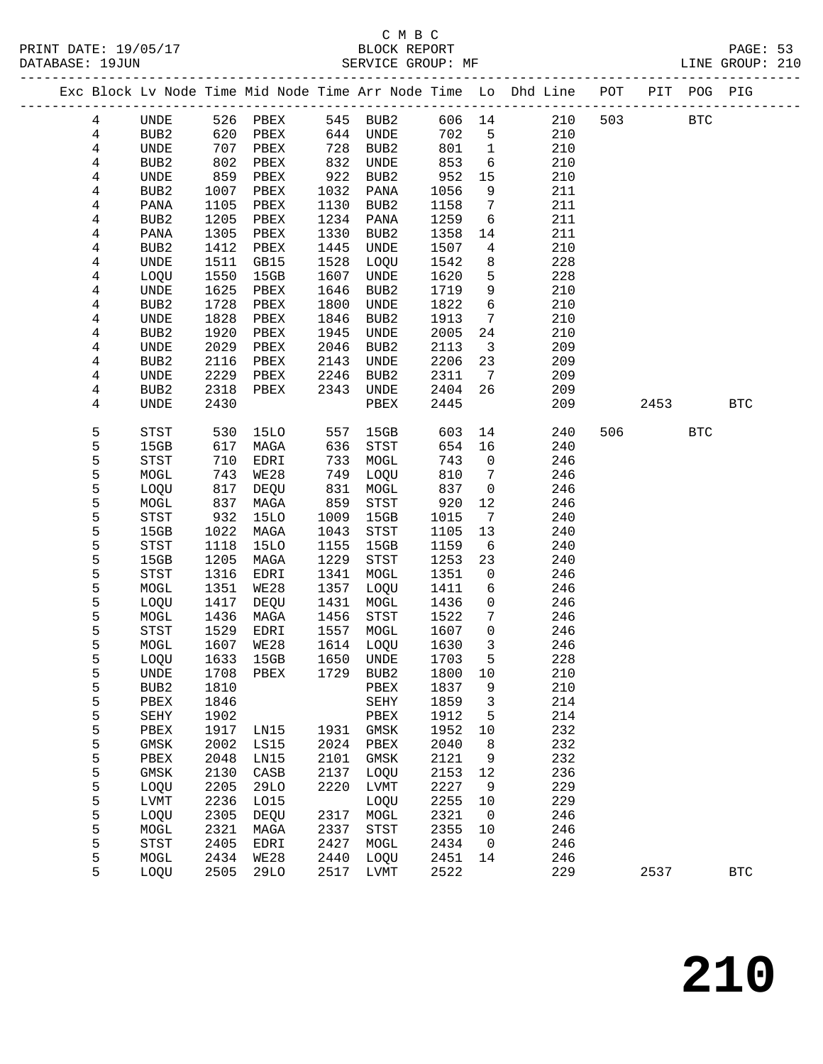### C M B C DATABASE: 19JUN SERVICE GROUP: MF LINE GROUP: 210

------------------------------------------------------------------------------------------------- Exc Block Lv Node Time Mid Node Time Arr Node Time Lo Dhd Line POT PIT POG PIG

| 4 | UNDE        | 526  | PBEX        | 545  | BUB2                                  | 606 14 |                         | 210 | 503 |         | <b>BTC</b> |              |  |
|---|-------------|------|-------------|------|---------------------------------------|--------|-------------------------|-----|-----|---------|------------|--------------|--|
| 4 | BUB2        | 620  | PBEX        | 644  | UNDE                                  | 702    | 5                       | 210 |     |         |            |              |  |
| 4 | UNDE        | 707  | PBEX        | 728  | BUB2                                  | 801    | $\mathbf{1}$            | 210 |     |         |            |              |  |
| 4 | BUB2        | 802  | PBEX        | 832  | UNDE                                  | 853    | 6                       | 210 |     |         |            |              |  |
| 4 | UNDE        | 859  | PBEX        | 922  | BUB2                                  | 952    | 15                      | 210 |     |         |            |              |  |
| 4 | BUB2        | 1007 | PBEX        | 1032 | PANA                                  | 1056   | 9                       | 211 |     |         |            |              |  |
| 4 | PANA        | 1105 | PBEX        | 1130 | BUB2                                  | 1158   | 7                       | 211 |     |         |            |              |  |
| 4 | BUB2        | 1205 | PBEX        | 1234 | PANA                                  | 1259   | 6                       | 211 |     |         |            |              |  |
|   |             | 1305 |             | 1330 |                                       | 1358   |                         | 211 |     |         |            |              |  |
| 4 | PANA        |      | PBEX        |      | BUB2                                  |        | 14                      |     |     |         |            |              |  |
| 4 | BUB2        | 1412 | PBEX        | 1445 | UNDE                                  | 1507   | 4                       | 210 |     |         |            |              |  |
| 4 | UNDE        | 1511 | GB15        | 1528 | LOQU                                  | 1542   | 8                       | 228 |     |         |            |              |  |
| 4 | LOQU        | 1550 | 15GB        | 1607 | UNDE                                  | 1620   | $5\phantom{.0}$         | 228 |     |         |            |              |  |
| 4 | UNDE        | 1625 | PBEX        | 1646 | BUB2                                  | 1719   | 9                       | 210 |     |         |            |              |  |
| 4 | BUB2        | 1728 | PBEX        | 1800 | UNDE                                  | 1822   | 6                       | 210 |     |         |            |              |  |
| 4 | UNDE        | 1828 | PBEX        | 1846 | BUB2                                  | 1913   | $7\phantom{.0}$         | 210 |     |         |            |              |  |
| 4 | BUB2        | 1920 | PBEX        | 1945 | UNDE                                  | 2005   | 24                      | 210 |     |         |            |              |  |
| 4 | UNDE        | 2029 | PBEX        | 2046 | BUB2                                  | 2113   | $\overline{\mathbf{3}}$ | 209 |     |         |            |              |  |
| 4 | BUB2        | 2116 | PBEX        | 2143 | UNDE                                  | 2206   | 23                      | 209 |     |         |            |              |  |
| 4 | UNDE        | 2229 | PBEX        | 2246 | BUB2                                  | 2311   | 7                       | 209 |     |         |            |              |  |
| 4 | BUB2        | 2318 | PBEX        | 2343 | UNDE                                  | 2404   | 26                      | 209 |     |         |            |              |  |
| 4 | <b>UNDE</b> | 2430 |             |      | PBEX                                  | 2445   |                         | 209 |     | 2453    |            | $_{\rm BTC}$ |  |
| 5 | STST        | 530  | 15LO        | 557  | 15GB                                  | 603    | 14                      | 240 |     | 506 700 | <b>BTC</b> |              |  |
| 5 | 15GB        | 617  | MAGA        | 636  | STST                                  | 654    | 16                      | 240 |     |         |            |              |  |
| 5 | STST        | 710  | EDRI        | 733  | MOGL                                  | 743    | $\overline{0}$          | 246 |     |         |            |              |  |
| 5 | MOGL        | 743  | WE28        | 749  | LOQU                                  | 810    | $7\phantom{.0}$         | 246 |     |         |            |              |  |
| 5 | LOQU        | 817  | DEQU        | 831  | MOGL                                  | 837    | $\mathsf{O}$            | 246 |     |         |            |              |  |
| 5 | MOGL        | 837  | MAGA        | 859  | $_{\footnotesize{\textnormal{STST}}}$ | 920    | 12                      | 246 |     |         |            |              |  |
| 5 | STST        | 932  | <b>15LO</b> | 1009 | 15GB                                  | 1015   | $7\overline{ }$         | 240 |     |         |            |              |  |
| 5 | 15GB        | 1022 | MAGA        | 1043 | STST                                  | 1105   | 13                      | 240 |     |         |            |              |  |
| 5 | STST        | 1118 | 15LO        | 1155 | 15GB                                  | 1159   | 6                       | 240 |     |         |            |              |  |
| 5 | 15GB        | 1205 | MAGA        | 1229 | STST                                  | 1253   | 23                      | 240 |     |         |            |              |  |
| 5 | STST        | 1316 | EDRI        | 1341 | MOGL                                  | 1351   | $\mathsf{O}$            | 246 |     |         |            |              |  |
| 5 | MOGL        | 1351 | WE28        | 1357 | LOQU                                  | 1411   | 6                       | 246 |     |         |            |              |  |
| 5 | LOQU        | 1417 | DEQU        | 1431 | MOGL                                  | 1436   | $\mathbf 0$             | 246 |     |         |            |              |  |
| 5 | MOGL        | 1436 | MAGA        | 1456 | STST                                  | 1522   | 7                       | 246 |     |         |            |              |  |
| 5 | STST        | 1529 | EDRI        | 1557 | MOGL                                  | 1607   | $\mathsf{O}$            | 246 |     |         |            |              |  |
| 5 | MOGL        | 1607 | WE28        | 1614 | LOQU                                  | 1630   | $\mathbf{3}$            | 246 |     |         |            |              |  |
| 5 | LOQU        | 1633 | 15GB        | 1650 | UNDE                                  | 1703   | $5\phantom{.0}$         | 228 |     |         |            |              |  |
| 5 | UNDE        | 1708 | PBEX        | 1729 | BUB2                                  | 1800   | 10                      | 210 |     |         |            |              |  |
| 5 | BUB2        | 1810 |             |      | PBEX                                  | 1837   | 9                       | 210 |     |         |            |              |  |
| 5 | PBEX        | 1846 |             |      | SEHY                                  | 1859 3 |                         | 214 |     |         |            |              |  |
| 5 | SEHY        | 1902 |             |      | PBEX                                  | 1912   | 5                       | 214 |     |         |            |              |  |
| 5 | PBEX        | 1917 | LN15        | 1931 | GMSK                                  | 1952   | 10                      | 232 |     |         |            |              |  |
| 5 | GMSK        | 2002 | LS15        | 2024 | PBEX                                  | 2040   | 8                       | 232 |     |         |            |              |  |
| 5 | PBEX        | 2048 | LN15        | 2101 | GMSK                                  | 2121   | 9                       | 232 |     |         |            |              |  |
| 5 | GMSK        | 2130 | CASB        | 2137 | LOQU                                  | 2153   | 12                      | 236 |     |         |            |              |  |
| 5 | LOQU        | 2205 | 29LO        | 2220 | LVMT                                  | 2227   | 9                       | 229 |     |         |            |              |  |
| 5 | LVMT        | 2236 | L015        |      | LOQU                                  | 2255   | 10                      | 229 |     |         |            |              |  |
| 5 | LOQU        | 2305 | DEQU        | 2317 | MOGL                                  | 2321   | 0                       | 246 |     |         |            |              |  |
| 5 | MOGL        | 2321 | MAGA        | 2337 | STST                                  | 2355   | 10                      | 246 |     |         |            |              |  |
| 5 | <b>STST</b> | 2405 | EDRI        | 2427 | MOGL                                  | 2434   | 0                       | 246 |     |         |            |              |  |
| 5 | MOGL        | 2434 | <b>WE28</b> | 2440 | LOQU                                  | 2451   | 14                      | 246 |     |         |            |              |  |
| 5 | LOQU        | 2505 | 29LO        | 2517 | LVMT                                  | 2522   |                         | 229 |     | 2537    |            | <b>BTC</b>   |  |
|   |             |      |             |      |                                       |        |                         |     |     |         |            |              |  |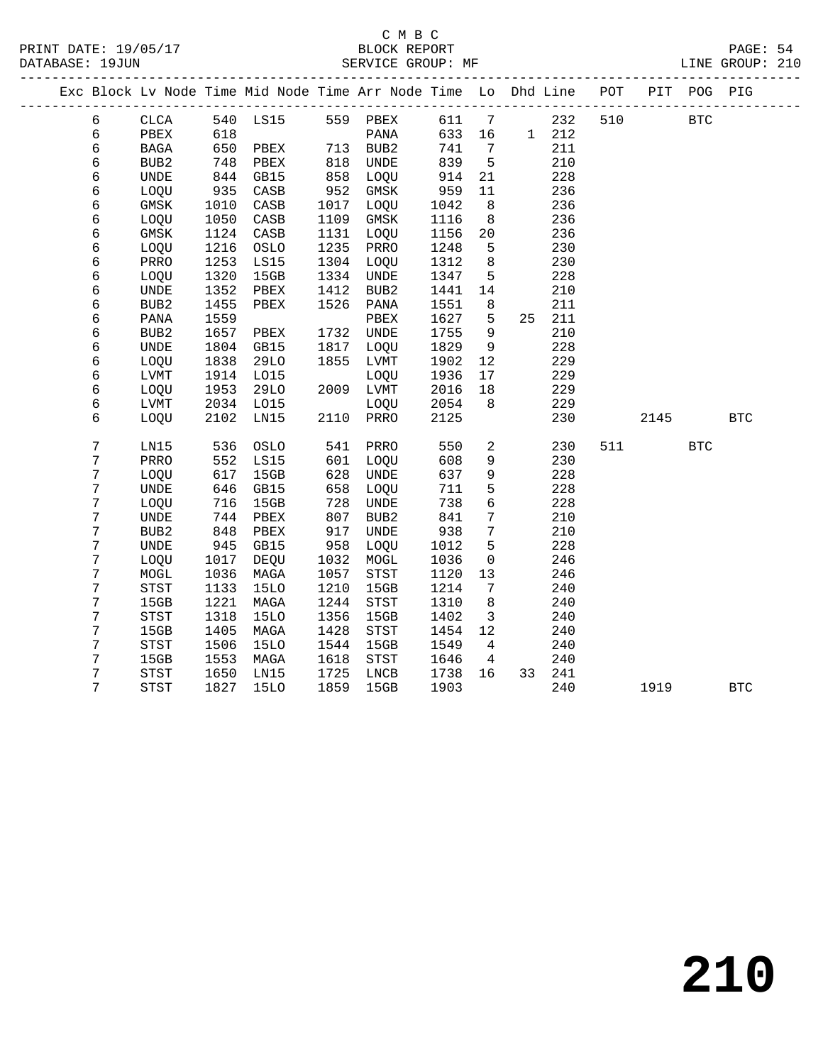|   | Exc Block Lv Node Time Mid Node Time Arr Node Time Lo Dhd Line POT |      |                   |      |                  |      |                 |       |        |     |       | PIT POG PIG  |              |  |
|---|--------------------------------------------------------------------|------|-------------------|------|------------------|------|-----------------|-------|--------|-----|-------|--------------|--------------|--|
| 6 | CLCA                                                               |      | 540 LS15 559 PBEX |      |                  |      |                 | 611 7 | 232    | 510 |       | $_{\rm BTC}$ |              |  |
| 6 | PBEX                                                               | 618  |                   |      | PANA             | 633  | 16              |       | 1 212  |     |       |              |              |  |
| 6 | BAGA                                                               | 650  | PBEX              |      | 713 BUB2         | 741  | $\overline{7}$  |       | 211    |     |       |              |              |  |
| 6 | BUB2                                                               | 748  | PBEX              | 818  | UNDE             | 839  | $5^{\circ}$     |       | 210    |     |       |              |              |  |
| 6 | $\ensuremath{\mathsf{UNDE}}$                                       | 844  | GB15              | 858  | LOQU             | 914  | 21              |       | 228    |     |       |              |              |  |
| 6 | LOQU                                                               | 935  | CASB              | 952  | GMSK             | 959  | 11              |       | 236    |     |       |              |              |  |
| 6 | GMSK                                                               | 1010 | CASB              | 1017 | LOQU             | 1042 | - 8             |       | 236    |     |       |              |              |  |
| 6 | LOQU                                                               | 1050 | CASB              | 1109 | GMSK             | 1116 | 8               |       | 236    |     |       |              |              |  |
| 6 | GMSK                                                               | 1124 | CASB              | 1131 | LOQU             | 1156 | 20              |       | 236    |     |       |              |              |  |
| 6 | LOQU                                                               | 1216 | OSLO              | 1235 | PRRO             | 1248 | 5               |       | 230    |     |       |              |              |  |
| 6 | PRRO                                                               | 1253 | LS15              | 1304 | LOQU             | 1312 | 8               |       | 230    |     |       |              |              |  |
| 6 | LOQU                                                               | 1320 | 15GB              | 1334 | UNDE             | 1347 | 5               |       | 228    |     |       |              |              |  |
| 6 | UNDE                                                               | 1352 | PBEX              | 1412 | BUB2             | 1441 | 14              |       | 210    |     |       |              |              |  |
| 6 | BUB <sub>2</sub>                                                   | 1455 | PBEX              | 1526 | PANA             | 1551 | 8               |       | 211    |     |       |              |              |  |
| 6 | PANA                                                               | 1559 |                   |      | PBEX             | 1627 | 5               | 25    | 211    |     |       |              |              |  |
| 6 | BUB <sub>2</sub>                                                   | 1657 | PBEX              |      | 1732 UNDE        | 1755 | 9               |       | 210    |     |       |              |              |  |
| 6 | <b>UNDE</b>                                                        | 1804 | GB15              | 1817 | LOQU             | 1829 | 9               |       | 228    |     |       |              |              |  |
| 6 | LOQU                                                               | 1838 | <b>29LO</b>       | 1855 | LVMT             | 1902 | 12              |       | 229    |     |       |              |              |  |
| 6 | LVMT                                                               | 1914 | L015              |      | LOQU             | 1936 | 17              |       | 229    |     |       |              |              |  |
| 6 | LOQU                                                               | 1953 | 29LO              |      | 2009 LVMT        | 2016 | 18              |       | 229    |     |       |              |              |  |
| 6 | LVMT                                                               | 2034 | L015              |      | LOQU             | 2054 | 8               |       | 229    |     |       |              |              |  |
| 6 | LOQU                                                               | 2102 | LN15              |      | 2110 PRRO        | 2125 |                 |       | 230    |     | 2145  |              | $_{\rm BTC}$ |  |
| 7 | LN15                                                               | 536  | OSLO              | 541  | PRRO             | 550  | $\overline{a}$  |       | 230    |     | 511 7 | <b>BTC</b>   |              |  |
| 7 | PRRO                                                               | 552  | LS15              | 601  | LOQU             | 608  | 9               |       | 230    |     |       |              |              |  |
| 7 | LOQU                                                               | 617  | 15GB              | 628  | UNDE             | 637  | 9               |       | 228    |     |       |              |              |  |
| 7 | <b>UNDE</b>                                                        | 646  | GB15              | 658  | LOQU             | 711  | 5               |       | 228    |     |       |              |              |  |
| 7 | LOQU                                                               | 716  | 15GB              | 728  | UNDE             | 738  | $6\overline{6}$ |       | 228    |     |       |              |              |  |
| 7 | <b>UNDE</b>                                                        | 744  | PBEX              | 807  | BUB <sub>2</sub> | 841  | 7               |       | 210    |     |       |              |              |  |
| 7 | BUB <sub>2</sub>                                                   | 848  | PBEX              | 917  | <b>UNDE</b>      | 938  | 7               |       | 210    |     |       |              |              |  |
| 7 | <b>UNDE</b>                                                        | 945  | GB15              | 958  | LOQU             | 1012 | 5               |       | 228    |     |       |              |              |  |
| 7 | LOQU                                                               | 1017 | DEQU              | 1032 | $\tt MOGL$       | 1036 | $\mathbf 0$     |       | 246    |     |       |              |              |  |
| 7 | $\tt MOGL$                                                         | 1036 | MAGA              | 1057 | STST             | 1120 | 13              |       | 246    |     |       |              |              |  |
| 7 | <b>STST</b>                                                        | 1133 | <b>15LO</b>       | 1210 | 15GB             | 1214 | 7               |       | 240    |     |       |              |              |  |
| 7 | 15GB                                                               | 1221 | MAGA              | 1244 | STST             | 1310 | 8               |       | 240    |     |       |              |              |  |
| 7 | <b>STST</b>                                                        | 1318 | <b>15LO</b>       | 1356 | 15GB             | 1402 | $\overline{3}$  |       | 240    |     |       |              |              |  |
| 7 | 15GB                                                               | 1405 | MAGA              | 1428 | STST             | 1454 | 12              |       | 240    |     |       |              |              |  |
| 7 | STST                                                               | 1506 | <b>15LO</b>       | 1544 | 15GB             | 1549 | 4               |       | 240    |     |       |              |              |  |
| 7 | 15GB                                                               | 1553 | MAGA              | 1618 | <b>STST</b>      | 1646 | $\overline{4}$  |       | 240    |     |       |              |              |  |
| 7 | <b>STST</b>                                                        | 1650 | LN15              | 1725 | LNCB             | 1738 | 16              |       | 33 241 |     |       |              |              |  |
| 7 | <b>STST</b>                                                        | 1827 | <b>15LO</b>       | 1859 | 15GB             | 1903 |                 |       | 240    |     | 1919  |              | <b>BTC</b>   |  |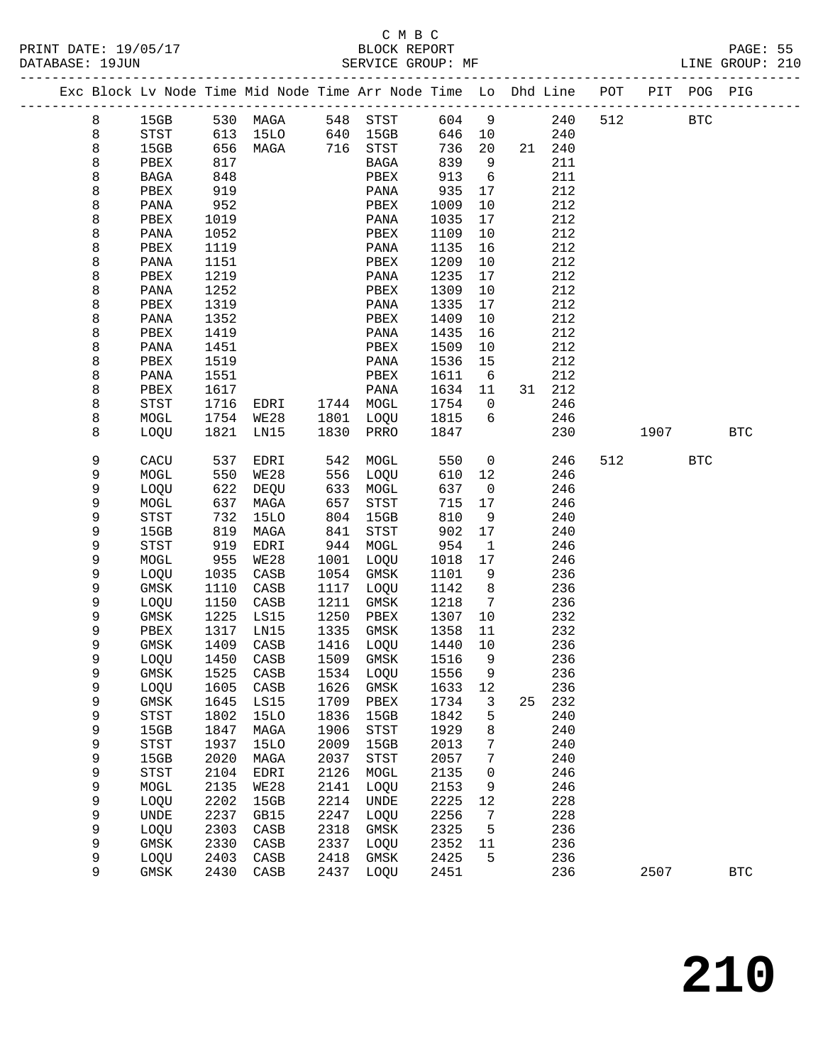PRINT DATE: 19/05/17 BLOCK REPORT PAGE: 55 DATABASE: 19JUN

### C M B C<br>BLOCK REPORT

|  | DAIABASE · 1900N |      |      |                                                                |     | SEKVICE GKOUP. MF |      |                 |    |     |     |     |            | TIME GKOOR. SIA |  |
|--|------------------|------|------|----------------------------------------------------------------|-----|-------------------|------|-----------------|----|-----|-----|-----|------------|-----------------|--|
|  |                  |      |      | Exc Block Lv Node Time Mid Node Time Arr Node Time Lo Dhd Line |     |                   |      |                 |    |     | POT | PIT | POG        | PIG             |  |
|  | 8                | 15GB | 530  | MAGA                                                           | 548 | STST              | 604  | 9               |    | 240 | 512 |     | <b>BTC</b> |                 |  |
|  | 8                | STST | 613  | 15LO                                                           | 640 | 15GB              | 646  | 10              |    | 240 |     |     |            |                 |  |
|  | 8                | 15GB | 656  | MAGA                                                           | 716 | STST              | 736  | 20              | 21 | 240 |     |     |            |                 |  |
|  | 8                | PBEX | 817  |                                                                |     | BAGA              | 839  | 9               |    | 211 |     |     |            |                 |  |
|  | 8                | BAGA | 848  |                                                                |     | PBEX              | 913  | -6              |    | 211 |     |     |            |                 |  |
|  | 8                | PBEX | 919  |                                                                |     | PANA              | 935  | 17              |    | 212 |     |     |            |                 |  |
|  | 8                | PANA | 952  |                                                                |     | PBEX              | 1009 | 10              |    | 212 |     |     |            |                 |  |
|  | 8                | PBEX | 1019 |                                                                |     | PANA              | 1035 | 17              |    | 212 |     |     |            |                 |  |
|  | R                | DANA | 1052 |                                                                |     | <b>DRFY</b>       | 1109 | $\overline{10}$ |    | 212 |     |     |            |                 |  |

| 8           | PANA                       | 1052 |                 |      | PBEX         | 1109 | $10$                |    | 212 |     |      |              |              |  |
|-------------|----------------------------|------|-----------------|------|--------------|------|---------------------|----|-----|-----|------|--------------|--------------|--|
| 8           | PBEX                       | 1119 |                 |      | PANA         | 1135 | 16                  |    | 212 |     |      |              |              |  |
| 8           | PANA                       | 1151 |                 |      | PBEX         | 1209 | $10$                |    | 212 |     |      |              |              |  |
| 8           | PBEX                       | 1219 |                 |      | PANA         | 1235 | 17                  |    | 212 |     |      |              |              |  |
| 8           | PANA                       | 1252 |                 |      | PBEX         | 1309 | $10$                |    | 212 |     |      |              |              |  |
| 8           | ${\tt PBEX}$               | 1319 |                 |      | PANA         | 1335 | 17                  |    | 212 |     |      |              |              |  |
| 8           | PANA                       | 1352 |                 |      | PBEX         | 1409 | $10$                |    | 212 |     |      |              |              |  |
| 8           | ${\tt PBEX}$               | 1419 |                 |      | PANA         | 1435 | 16                  |    | 212 |     |      |              |              |  |
| $\,8\,$     | PANA                       | 1451 |                 |      | PBEX         | 1509 | 10                  |    | 212 |     |      |              |              |  |
| 8           | PBEX                       | 1519 |                 |      | PANA         | 1536 | 15                  |    | 212 |     |      |              |              |  |
| 8           | PANA                       | 1551 |                 |      | PBEX         | 1611 | 6                   |    | 212 |     |      |              |              |  |
| 8           | ${\tt PBEX}$               | 1617 |                 |      | PANA         | 1634 | 11                  | 31 | 212 |     |      |              |              |  |
| 8           | <b>STST</b>                | 1716 | EDRI            | 1744 | MOGL         | 1754 | 0                   |    | 246 |     |      |              |              |  |
| 8           | $\tt MOGL$                 | 1754 | <b>WE28</b>     | 1801 | LOQU         | 1815 | 6                   |    | 246 |     |      |              |              |  |
| $\,8\,$     | LOQU                       | 1821 | LN15            | 1830 | PRRO         | 1847 |                     |    | 230 |     | 1907 |              | $_{\rm BTC}$ |  |
|             |                            |      |                 |      |              |      |                     |    |     |     |      |              |              |  |
| 9           | ${\tt CACU}$               | 537  | EDRI            | 542  | $\tt MOGL$   | 550  | 0                   |    | 246 | 512 |      | $_{\rm BTC}$ |              |  |
| 9           | $\sf{MOGL}$                | 550  | <b>WE28</b>     | 556  | LOQU         | 610  | 12                  |    | 246 |     |      |              |              |  |
| 9           | LOQU                       | 622  | DEQU            | 633  | MOGL         | 637  | $\mathsf{O}\xspace$ |    | 246 |     |      |              |              |  |
| $\mathsf 9$ | $\tt MOGL$                 | 637  | MAGA            | 657  | ${\tt STST}$ | 715  | $17$                |    | 246 |     |      |              |              |  |
| $\mathsf 9$ | STST                       | 732  | <b>15LO</b>     | 804  | 15GB         | 810  | 9                   |    | 240 |     |      |              |              |  |
| 9           | 15GB                       | 819  | $\tt MAGA$      | 841  | ${\tt STST}$ | 902  | $17\,$              |    | 240 |     |      |              |              |  |
| $\mathsf 9$ | <b>STST</b>                | 919  | EDRI            | 944  | $\tt MOGL$   | 954  | $\mathbf 1$         |    | 246 |     |      |              |              |  |
| $\mathsf 9$ | MOGL                       | 955  | <b>WE28</b>     | 1001 | LOQU         | 1018 | $17$                |    | 246 |     |      |              |              |  |
| 9           | LOQU                       | 1035 | $\mathtt{CASB}$ | 1054 | GMSK         | 1101 | 9                   |    | 236 |     |      |              |              |  |
| $\mathsf 9$ | <b>GMSK</b>                | 1110 | $\mathtt{CASB}$ | 1117 | LOQU         | 1142 | 8                   |    | 236 |     |      |              |              |  |
| $\mathsf 9$ | LOQU                       | 1150 | $\mathtt{CASB}$ | 1211 | GMSK         | 1218 | 7                   |    | 236 |     |      |              |              |  |
| $\mathsf 9$ | $\rm{GMSK}$                | 1225 | LS15            | 1250 | PBEX         | 1307 | 10                  |    | 232 |     |      |              |              |  |
| 9           | ${\tt PBEX}$               | 1317 | LN15            | 1335 | $\rm{GMSK}$  | 1358 | 11                  |    | 232 |     |      |              |              |  |
| $\mathsf 9$ | GMSK                       | 1409 | CASB            | 1416 | LOQU         | 1440 | 10                  |    | 236 |     |      |              |              |  |
| 9           | LOQU                       | 1450 | $\mathtt{CASB}$ | 1509 | GMSK         | 1516 | 9                   |    | 236 |     |      |              |              |  |
| $\mathsf 9$ | GMSK                       | 1525 | $\mathtt{CASB}$ | 1534 | LOQU         | 1556 | 9                   |    | 236 |     |      |              |              |  |
| $\mathsf 9$ | LOQU                       | 1605 | $\mathtt{CASB}$ | 1626 | GMSK         | 1633 | 12                  |    | 236 |     |      |              |              |  |
| $\mathsf 9$ | $\rm{GMSK}$                | 1645 | LS15            | 1709 | PBEX         | 1734 | 3                   | 25 | 232 |     |      |              |              |  |
| $\mathsf 9$ | ${\tt STST}$               | 1802 | <b>15LO</b>     | 1836 | 15GB         | 1842 | 5                   |    | 240 |     |      |              |              |  |
| $\mathsf 9$ | 15GB                       | 1847 | MAGA            | 1906 | STST         | 1929 | 8                   |    | 240 |     |      |              |              |  |
| $\mathsf 9$ | ${\tt STST}$               | 1937 | <b>15LO</b>     | 2009 | 15GB         | 2013 | 7                   |    | 240 |     |      |              |              |  |
| $\mathsf 9$ | 15GB                       | 2020 | MAGA            | 2037 | <b>STST</b>  | 2057 | 7                   |    | 240 |     |      |              |              |  |
| $\mathsf 9$ | $_{\footnotesize\rm STST}$ | 2104 | EDRI            | 2126 | MOGL         | 2135 | 0                   |    | 246 |     |      |              |              |  |
| 9           | MOGL                       | 2135 | <b>WE28</b>     | 2141 | LOQU         | 2153 | 9                   |    | 246 |     |      |              |              |  |
| 9           | LOQU                       | 2202 | 15GB            | 2214 | <b>UNDE</b>  | 2225 | $1\,2$              |    | 228 |     |      |              |              |  |
| $\mathsf 9$ | UNDE                       | 2237 | GB15            | 2247 | LOQU         | 2256 | 7                   |    | 228 |     |      |              |              |  |
| 9           | LOQU                       | 2303 | $\mathtt{CASB}$ | 2318 | GMSK         | 2325 | 5                   |    | 236 |     |      |              |              |  |
| 9           | $\rm{GMSK}$                | 2330 | $\mathtt{CASB}$ | 2337 | LOQU         | 2352 | 11                  |    | 236 |     |      |              |              |  |
| 9           | LOQU                       | 2403 | CASB            | 2418 | GMSK         | 2425 | 5                   |    | 236 |     |      |              |              |  |

9 GMSK 2430 CASB 2437 LOQU 2451 236 2507 BTC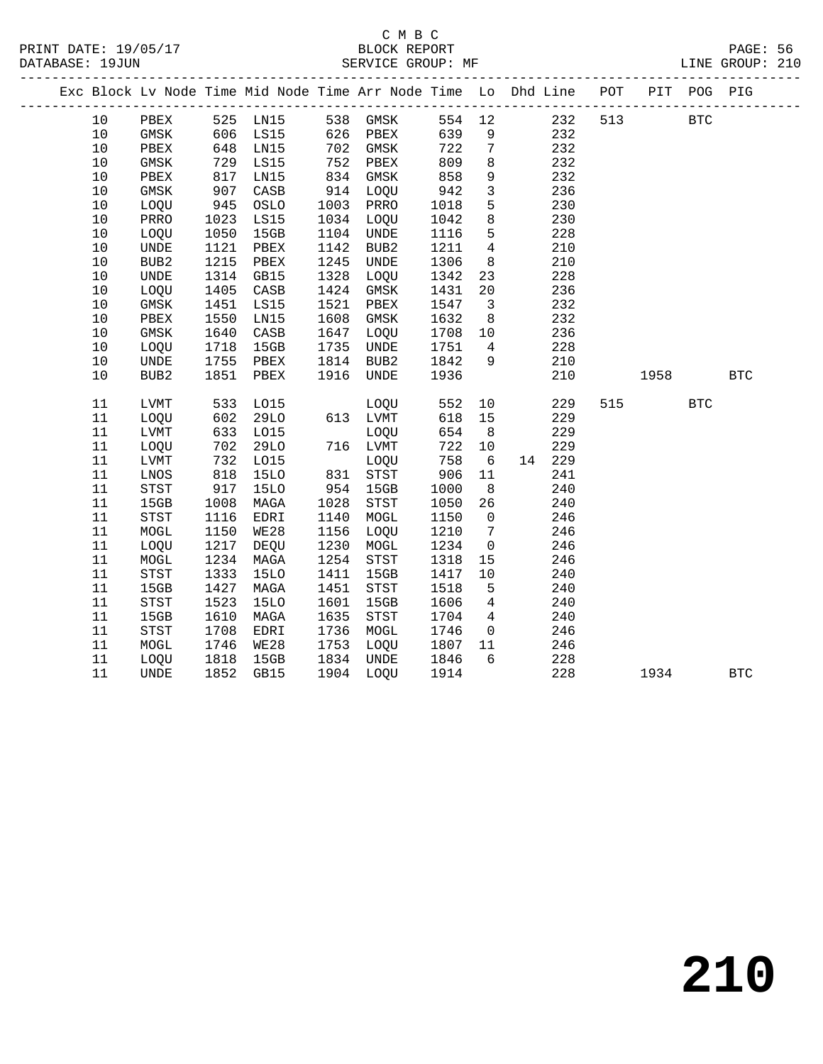|      |                              |      | Exc Block Lv Node Time Mid Node Time Arr Node Time Lo Dhd Line POT PIT POG PIG |           |                                       |        |                         |        |     |      |            |            |  |
|------|------------------------------|------|--------------------------------------------------------------------------------|-----------|---------------------------------------|--------|-------------------------|--------|-----|------|------------|------------|--|
| 10   | PBEX                         |      | 525 LN15 538 GMSK                                                              |           |                                       | 554 12 |                         | 232    | 513 |      | <b>BTC</b> |            |  |
| $10$ | GMSK                         | 606  | LS15                                                                           |           | 626 PBEX                              | 639    | 9                       | 232    |     |      |            |            |  |
| $10$ | PBEX                         | 648  | LN15                                                                           |           | 702 GMSK                              | 722    | $7\phantom{.0}$         | 232    |     |      |            |            |  |
| 10   | GMSK                         | 729  | LS15                                                                           | 752       | PBEX                                  | 809    | 8                       | 232    |     |      |            |            |  |
| 10   | PBEX                         | 817  | LN15                                                                           | 834       | GMSK                                  | 858    | 9                       | 232    |     |      |            |            |  |
| 10   | GMSK                         | 907  | CASB                                                                           | 914       | LOQU                                  | 942    | $\overline{3}$          | 236    |     |      |            |            |  |
| $10$ | LOQU                         | 945  | OSLO                                                                           | 1003      | PRRO                                  | 1018   | 5                       | 230    |     |      |            |            |  |
| $10$ | PRRO                         | 1023 | LS15                                                                           | 1034 LOQU |                                       | 1042   | 8                       | 230    |     |      |            |            |  |
| 10   | LOQU                         | 1050 | 15GB                                                                           | 1104      | UNDE                                  | 1116   | 5                       | 228    |     |      |            |            |  |
| 10   | UNDE                         | 1121 | PBEX                                                                           | 1142      | BUB2                                  | 1211   | $\overline{4}$          | 210    |     |      |            |            |  |
| 10   | BUB <sub>2</sub>             | 1215 | PBEX                                                                           | 1245      | UNDE                                  | 1306   | 8 <sup>8</sup>          | 210    |     |      |            |            |  |
| 10   | $\ensuremath{\mathsf{UNDE}}$ | 1314 | GB15                                                                           | 1328      | LOQU                                  | 1342   | 23                      | 228    |     |      |            |            |  |
| 10   | LOQU                         | 1405 | CASB                                                                           | 1424      | GMSK                                  | 1431   | 20                      | 236    |     |      |            |            |  |
| 10   | GMSK                         | 1451 | LS15                                                                           | 1521      | PBEX                                  | 1547   | $\overline{\mathbf{3}}$ | 232    |     |      |            |            |  |
| 10   | PBEX                         | 1550 | LN15                                                                           | 1608      | GMSK                                  | 1632   | 8 <sup>8</sup>          | 232    |     |      |            |            |  |
| 10   | GMSK                         | 1640 | CASB                                                                           | 1647      | LOQU                                  | 1708   | 10                      | 236    |     |      |            |            |  |
| $10$ | LOQU                         | 1718 | 15GB                                                                           | 1735      | UNDE                                  | 1751   | $\overline{4}$          | 228    |     |      |            |            |  |
| 10   | UNDE                         | 1755 | PBEX                                                                           | 1814      | BUB2                                  | 1842   | 9                       | 210    |     |      |            |            |  |
| 10   | BUB <sub>2</sub>             | 1851 | PBEX                                                                           | 1916      | UNDE                                  | 1936   |                         | 210    |     | 1958 |            | <b>BTC</b> |  |
|      |                              |      |                                                                                |           |                                       |        |                         |        |     |      |            |            |  |
| 11   | LVMT                         | 533  | LO15                                                                           |           | LOOU                                  | 552    | 10                      | 229    | 515 |      | <b>BTC</b> |            |  |
| 11   | LOQU                         | 602  | 29LO                                                                           |           | 613 LVMT                              | 618    | 15                      | 229    |     |      |            |            |  |
| 11   | ${\rm LVMT}$                 | 633  | LO15                                                                           |           | LOQU                                  | 654    | 8 <sup>8</sup>          | 229    |     |      |            |            |  |
| 11   | LOQU                         | 702  | 29LO                                                                           |           | 716 LVMT                              | 722    | 10                      | 229    |     |      |            |            |  |
| 11   | ${\rm LVMT}$                 | 732  | L015                                                                           |           | LOQU                                  | 758    | $6\overline{6}$         | 14 229 |     |      |            |            |  |
| 11   | LNOS                         | 818  | <b>15LO</b>                                                                    |           | 831 STST                              | 906    | 11                      | 241    |     |      |            |            |  |
| 11   | STST                         | 917  | <b>15LO</b>                                                                    | 954       | 15GB                                  | 1000   | 8                       | 240    |     |      |            |            |  |
| 11   | 15GB                         | 1008 | MAGA                                                                           | 1028      | STST                                  | 1050   | 26                      | 240    |     |      |            |            |  |
| 11   | STST                         | 1116 | EDRI                                                                           | 1140      | MOGL                                  | 1150   | $\overline{0}$          | 246    |     |      |            |            |  |
| 11   | MOGL                         | 1150 | <b>WE28</b>                                                                    | 1156      | LOQU                                  | 1210   | $\overline{7}$          | 246    |     |      |            |            |  |
| 11   | LOQU                         | 1217 | DEQU                                                                           | 1230      | MOGL                                  | 1234   | $\overline{0}$          | 246    |     |      |            |            |  |
| 11   | MOGL                         | 1234 | MAGA                                                                           | 1254      | $_{\footnotesize{\textnormal{STST}}}$ | 1318   | 15                      | 246    |     |      |            |            |  |
| 11   | STST                         | 1333 | <b>15LO</b>                                                                    | 1411      | 15GB                                  | 1417   | 10                      | 240    |     |      |            |            |  |
| 11   | 15GB                         | 1427 | MAGA                                                                           | 1451      | <b>STST</b>                           | 1518   | 5                       | 240    |     |      |            |            |  |
| 11   | STST                         | 1523 | <b>15LO</b>                                                                    | 1601      | 15GB                                  | 1606   | $4\overline{ }$         | 240    |     |      |            |            |  |
| 11   | 15GB                         | 1610 | MAGA                                                                           | 1635      | STST                                  | 1704   | $4\overline{4}$         | 240    |     |      |            |            |  |
| 11   | STST                         | 1708 | EDRI                                                                           | 1736      | MOGL                                  | 1746   | $\overline{0}$          | 246    |     |      |            |            |  |
| 11   | MOGL                         | 1746 | WE28                                                                           | 1753      | LOQU                                  | 1807   | 11<br>6                 | 246    |     |      |            |            |  |
| 11   | LOQU                         | 1818 | 15GB                                                                           | 1834      | UNDE                                  | 1846   |                         | 228    |     |      |            |            |  |
| 11   | <b>UNDE</b>                  | 1852 | GB15                                                                           |           | 1904 LOQU                             | 1914   |                         | 228    |     | 1934 |            | <b>BTC</b> |  |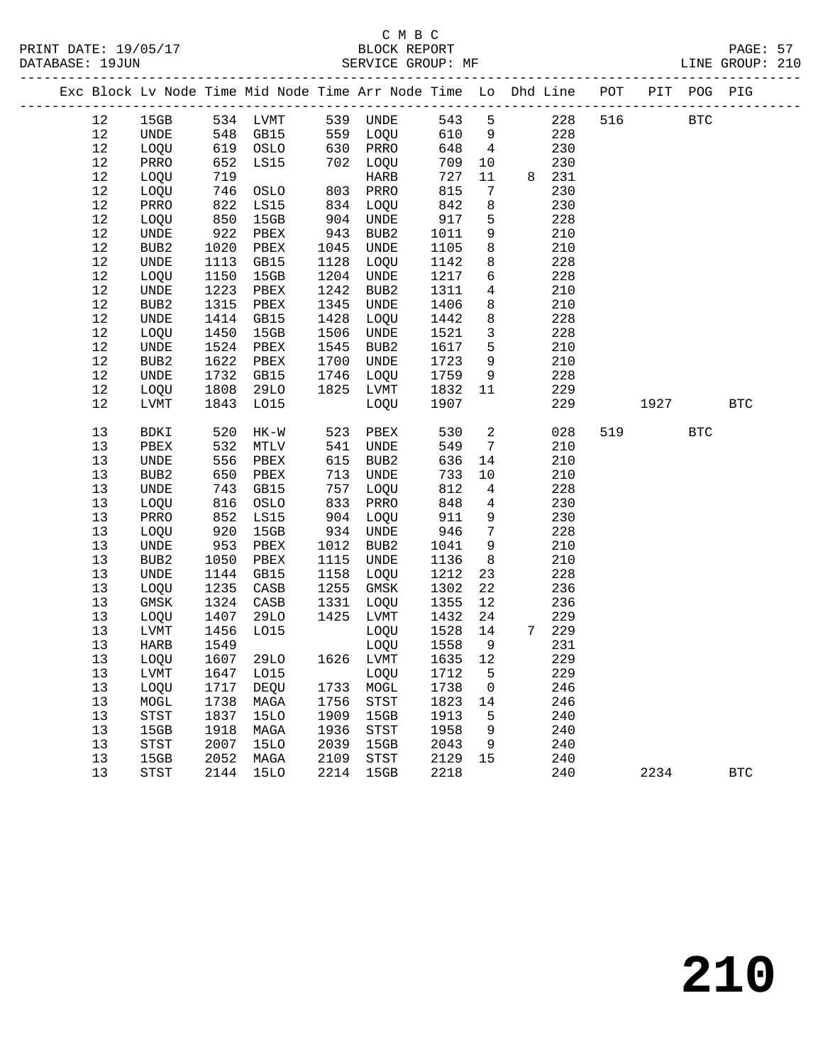### C M B C<br>BLOCK REPORT

PAGE: 57<br>LINE GROUP: 210

|  |          |                              |            | Exc Block Lv Node Time Mid Node Time Arr Node Time Lo Dhd Line POT |            |                            |            |                      |            |     |      | PIT POG PIG |              |
|--|----------|------------------------------|------------|--------------------------------------------------------------------|------------|----------------------------|------------|----------------------|------------|-----|------|-------------|--------------|
|  | 12       | 15GB                         | 534        | LVMT                                                               |            | 539 UNDE                   | 543        | 5                    | 228        | 516 |      | <b>BTC</b>  |              |
|  | 12       | $\ensuremath{\mathsf{UNDE}}$ | 548        | GB15                                                               | 559        | LOQU                       | 610        | 9                    | 228        |     |      |             |              |
|  | 12       | LOQU                         | 619        | OSLO                                                               | 630        | PRRO                       | 648        | $\overline{4}$       | 230        |     |      |             |              |
|  | 12       | PRRO                         | 652        | LS15                                                               | 702        | LOQU                       | 709        | 10                   | 230        |     |      |             |              |
|  | 12       | LOQU                         | 719        |                                                                    |            | HARB                       | 727        | 11                   | 8 231      |     |      |             |              |
|  | 12       | LOQU                         | 746        | OSLO                                                               | 803        | PRRO                       | 815        | 7                    | 230        |     |      |             |              |
|  | 12       | PRRO                         | 822        | LS15                                                               | 834        | LOQU                       | 842        | 8                    | 230        |     |      |             |              |
|  | 12       | LOQU                         | 850        | 15GB                                                               | 904        | UNDE                       | 917        | $5\phantom{.0}$      | 228        |     |      |             |              |
|  | 12       | UNDE                         | 922        | PBEX                                                               | 943        | BUB2                       | 1011       | 9                    | 210        |     |      |             |              |
|  | 12       | BUB2                         | 1020       | PBEX                                                               | 1045       | UNDE                       | 1105       | 8                    | 210        |     |      |             |              |
|  | 12       | UNDE                         | 1113       | GB15                                                               | 1128       | LOQU                       | 1142       | 8                    | 228        |     |      |             |              |
|  | 12       | LOQU                         | 1150       | 15GB                                                               | 1204       | UNDE                       | 1217       | $\epsilon$           | 228        |     |      |             |              |
|  | 12       | UNDE                         | 1223       | PBEX                                                               | 1242       | BUB2                       | 1311       | 4                    | 210        |     |      |             |              |
|  | 12       | BUB2                         | 1315       | PBEX                                                               | 1345       | UNDE                       | 1406       | 8                    | 210        |     |      |             |              |
|  | 12       | UNDE                         | 1414       | GB15                                                               | 1428       | LOQU                       | 1442       | 8                    | 228        |     |      |             |              |
|  | $1\,2$   | LOQU                         | 1450       | 15GB                                                               | 1506       | UNDE                       | 1521       | $\mathbf{3}$         | 228        |     |      |             |              |
|  | 12       | UNDE                         | 1524       | PBEX                                                               | 1545       | BUB2                       | 1617       | 5                    | 210        |     |      |             |              |
|  | 12       | BUB2                         | 1622       | PBEX                                                               | 1700       | UNDE                       | 1723       | 9                    | 210        |     |      |             |              |
|  | 12       | UNDE                         | 1732       | GB15                                                               | 1746       | LOQU                       | 1759       | 9                    | 228        |     |      |             |              |
|  | 12       | LOQU                         | 1808       | 29LO                                                               | 1825       | LVMT                       | 1832       | 11                   | 229        |     |      |             |              |
|  | 12       | <b>LVMT</b>                  | 1843       | L015                                                               |            | LOQU                       | 1907       |                      | 229        |     | 1927 |             | <b>BTC</b>   |
|  |          |                              |            |                                                                    |            |                            |            |                      |            |     |      |             |              |
|  | 13       | <b>BDKI</b>                  | 520        | HK-W                                                               | 523        | PBEX                       | 530        | 2                    | 028        | 519 |      | <b>BTC</b>  |              |
|  | 13       | PBEX                         | 532        | MTLV                                                               | 541        | UNDE                       | 549        | $7\phantom{.0}$      | 210        |     |      |             |              |
|  | 13       | UNDE                         | 556        | PBEX                                                               | 615        | BUB2                       | 636        | 14                   | 210        |     |      |             |              |
|  | 13       | BUB2                         | 650        | PBEX                                                               | 713        | UNDE                       | 733        | 10                   | 210        |     |      |             |              |
|  | 13       | UNDE                         | 743        | GB15                                                               | 757        | LOQU                       | 812        | 4                    | 228        |     |      |             |              |
|  | 13       | LOQU                         | 816        | OSLO                                                               | 833        | PRRO                       | 848        | 4                    | 230        |     |      |             |              |
|  | 13<br>13 | PRRO<br>LOQU                 | 852<br>920 | LS15<br>15GB                                                       | 904<br>934 | LOQU<br>UNDE               | 911<br>946 | 9<br>$7\phantom{.0}$ | 230<br>228 |     |      |             |              |
|  | 13       | UNDE                         | 953        | PBEX                                                               | 1012       | BUB2                       | 1041       | 9                    | 210        |     |      |             |              |
|  | 13       | BUB2                         | 1050       | PBEX                                                               | 1115       | UNDE                       | 1136       | 8                    | 210        |     |      |             |              |
|  | 13       | UNDE                         | 1144       | GB15                                                               | 1158       | LOQU                       | 1212       | 23                   | 228        |     |      |             |              |
|  | 13       | LOQU                         | 1235       | CASB                                                               | 1255       | GMSK                       | 1302       | 22                   | 236        |     |      |             |              |
|  | 13       | $\rm{GMSK}$                  | 1324       | CASB                                                               | 1331       | LOQU                       | 1355       | 12                   | 236        |     |      |             |              |
|  | 13       | LOQU                         | 1407       | 29LO                                                               | 1425       | LVMT                       | 1432       | 24                   | 229        |     |      |             |              |
|  | 13       | LVMT                         | 1456       | L015                                                               |            | LOQU                       | 1528       | 14                   | 7 229      |     |      |             |              |
|  | 13       | HARB                         | 1549       |                                                                    |            | LOQU                       | 1558       | 9                    | 231        |     |      |             |              |
|  | 13       | LOQU                         | 1607       | 29LO                                                               |            | 1626 LVMT                  | 1635       | 12                   | 229        |     |      |             |              |
|  | $13$     | LVMT                         | 1647       | LO15                                                               |            | LOQU                       | 1712       | 5                    | 229        |     |      |             |              |
|  | 13       | LOQU                         | 1717       | DEQU                                                               | 1733       | MOGL                       | 1738       | 0                    | 246        |     |      |             |              |
|  | 13       | MOGL                         | 1738       | MAGA                                                               | 1756       | STST                       | 1823       | 14                   | 246        |     |      |             |              |
|  | 13       | <b>STST</b>                  | 1837       | <b>15LO</b>                                                        | 1909       | 15GB                       | 1913       | 5                    | 240        |     |      |             |              |
|  | 13       | 15GB                         | 1918       | MAGA                                                               | 1936       | STST                       | 1958       | 9                    | 240        |     |      |             |              |
|  | 13       | <b>STST</b>                  | 2007       | <b>15LO</b>                                                        | 2039       | 15GB                       | 2043       | 9                    | 240        |     |      |             |              |
|  | 13       | 15GB                         | 2052       | MAGA                                                               | 2109       | $_{\footnotesize\rm STST}$ | 2129       | 15                   | 240        |     |      |             |              |
|  | 13       | <b>STST</b>                  | 2144       | <b>15LO</b>                                                        | 2214       | 15GB                       | 2218       |                      | 240        |     | 2234 |             | $_{\rm BTC}$ |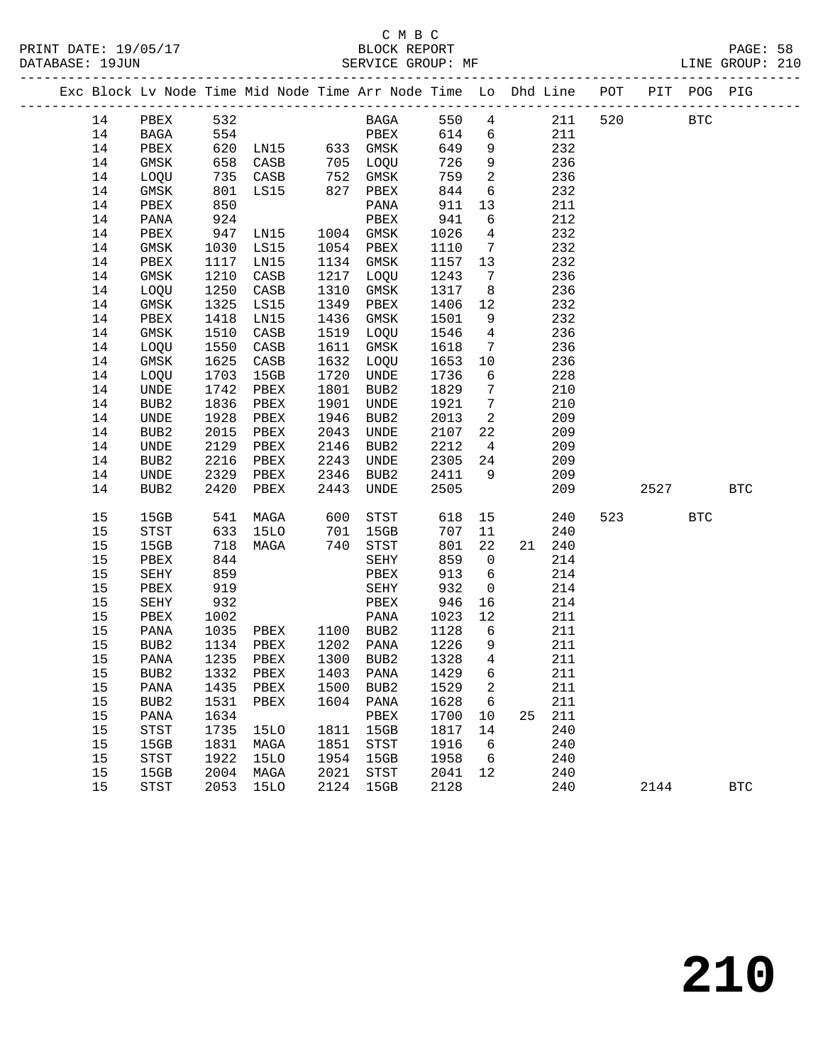|  |    |                              |      | Exc Block Lv Node Time Mid Node Time Arr Node Time Lo Dhd Line POT |      |                            |      |                 |    |        |     |      | PIT POG PIG |            |
|--|----|------------------------------|------|--------------------------------------------------------------------|------|----------------------------|------|-----------------|----|--------|-----|------|-------------|------------|
|  | 14 | PBEX                         | 532  |                                                                    |      | BAGA                       | 550  | $\overline{4}$  |    | 211    | 520 |      | <b>BTC</b>  |            |
|  | 14 | BAGA                         | 554  |                                                                    |      | PBEX                       | 614  | 6               |    | 211    |     |      |             |            |
|  | 14 | PBEX                         | 620  | EBEA<br>LN15 633 GMSK                                              |      |                            | 649  | 9               |    | 232    |     |      |             |            |
|  | 14 | GMSK                         | 658  | CASB                                                               | 705  | LOQU                       | 726  | 9               |    | 236    |     |      |             |            |
|  | 14 | LOQU                         | 735  | CASB                                                               | 752  | GMSK                       | 759  | 2               |    | 236    |     |      |             |            |
|  | 14 | GMSK                         | 801  | LS15                                                               | 827  | PBEX                       | 844  | 6               |    | 232    |     |      |             |            |
|  | 14 | PBEX                         | 850  |                                                                    |      | PANA                       | 911  | 13              |    | 211    |     |      |             |            |
|  | 14 | $\mathtt{PANA}$              | 924  |                                                                    |      | PBEX                       | 941  | 6               |    | 212    |     |      |             |            |
|  | 14 | PBEX                         | 947  | LN15                                                               | 1004 | GMSK                       | 1026 | 4               |    | 232    |     |      |             |            |
|  | 14 | GMSK                         | 1030 | LS15                                                               | 1054 | PBEX                       | 1110 | 7               |    | 232    |     |      |             |            |
|  | 14 | PBEX                         | 1117 | LN15                                                               | 1134 | GMSK                       | 1157 | 13              |    | 232    |     |      |             |            |
|  | 14 | GMSK                         | 1210 | CASB                                                               | 1217 | LOQU                       | 1243 | $7\overline{ }$ |    | 236    |     |      |             |            |
|  | 14 | LOQU                         | 1250 | CASB                                                               | 1310 | GMSK                       | 1317 | 8               |    | 236    |     |      |             |            |
|  | 14 | GMSK                         | 1325 | LS15                                                               | 1349 | PBEX                       | 1406 | 12              |    | 232    |     |      |             |            |
|  | 14 | PBEX                         | 1418 | LN15                                                               | 1436 | GMSK                       | 1501 | 9               |    | 232    |     |      |             |            |
|  | 14 | GMSK                         | 1510 | CASB                                                               | 1519 | LOQU                       | 1546 | $\overline{4}$  |    | 236    |     |      |             |            |
|  | 14 | LOQU                         | 1550 | CASB                                                               | 1611 | GMSK                       | 1618 | 7               |    | 236    |     |      |             |            |
|  | 14 | GMSK                         | 1625 | CASB                                                               | 1632 | LOQU                       | 1653 | 10              |    | 236    |     |      |             |            |
|  | 14 | LOQU                         | 1703 | 15GB                                                               | 1720 | UNDE                       | 1736 | 6               |    | 228    |     |      |             |            |
|  | 14 | $\ensuremath{\mathsf{UNDE}}$ | 1742 | PBEX                                                               | 1801 | BUB2                       | 1829 | $7\phantom{.0}$ |    | 210    |     |      |             |            |
|  | 14 | BUB2                         | 1836 | PBEX                                                               | 1901 | UNDE                       | 1921 | 7               |    | 210    |     |      |             |            |
|  | 14 | UNDE                         | 1928 | PBEX                                                               | 1946 | BUB2                       | 2013 | 2               |    | 209    |     |      |             |            |
|  | 14 | BUB2                         | 2015 | PBEX                                                               | 2043 | UNDE                       | 2107 | 22              |    | 209    |     |      |             |            |
|  | 14 | UNDE                         | 2129 | PBEX                                                               | 2146 | BUB2                       | 2212 | $\overline{4}$  |    | 209    |     |      |             |            |
|  | 14 | BUB2                         | 2216 | PBEX                                                               | 2243 | UNDE                       | 2305 | 24              |    | 209    |     |      |             |            |
|  | 14 | UNDE                         | 2329 | PBEX                                                               | 2346 | BUB2                       | 2411 | 9               |    | 209    |     |      |             |            |
|  | 14 | BUB <sub>2</sub>             | 2420 | PBEX                                                               | 2443 | UNDE                       | 2505 |                 |    | 209    |     | 2527 |             | <b>BTC</b> |
|  |    |                              |      |                                                                    |      |                            |      |                 |    |        |     |      |             |            |
|  | 15 | 15GB                         | 541  | MAGA                                                               | 600  | STST                       | 618  | 15              |    | 240    | 523 |      | <b>BTC</b>  |            |
|  | 15 | STST                         | 633  | <b>15LO</b>                                                        | 701  | 15GB                       | 707  | 11              |    | 240    |     |      |             |            |
|  | 15 | 15GB                         | 718  | MAGA                                                               | 740  | STST                       | 801  | 22              |    | 21 240 |     |      |             |            |
|  | 15 | PBEX                         | 844  |                                                                    |      | SEHY                       | 859  | $\mathsf{O}$    |    | 214    |     |      |             |            |
|  | 15 | SEHY                         | 859  |                                                                    |      | PBEX                       | 913  | 6               |    | 214    |     |      |             |            |
|  | 15 | PBEX                         | 919  |                                                                    |      | SEHY                       | 932  | $\mathsf{O}$    |    | 214    |     |      |             |            |
|  | 15 | SEHY                         | 932  |                                                                    |      | PBEX                       | 946  | 16              |    | 214    |     |      |             |            |
|  | 15 | PBEX                         | 1002 |                                                                    |      | PANA                       | 1023 | 12              |    | 211    |     |      |             |            |
|  | 15 | PANA                         | 1035 | PBEX                                                               |      | 1100 BUB2                  | 1128 | $6\overline{6}$ |    | 211    |     |      |             |            |
|  | 15 | BUB2                         | 1134 | PBEX                                                               |      | 1202 PANA                  | 1226 | 9               |    | 211    |     |      |             |            |
|  | 15 | PANA                         | 1235 | PBEX                                                               | 1300 | BUB2                       | 1328 | $\overline{4}$  |    | 211    |     |      |             |            |
|  | 15 | BUB2                         |      | 1332 PBEX 1403 PANA 1429 6                                         |      |                            |      |                 |    | 211    |     |      |             |            |
|  | 15 | PANA                         | 1435 | PBEX                                                               | 1500 | BUB <sub>2</sub>           | 1529 | 2               |    | 211    |     |      |             |            |
|  | 15 | BUB <sub>2</sub>             | 1531 | PBEX                                                               | 1604 | PANA                       | 1628 | 6               |    | 211    |     |      |             |            |
|  | 15 | PANA                         | 1634 |                                                                    |      | PBEX                       | 1700 | 10              | 25 | 211    |     |      |             |            |
|  | 15 | <b>STST</b>                  | 1735 | 15LO                                                               | 1811 | 15GB                       | 1817 | 14              |    | 240    |     |      |             |            |
|  | 15 | 15GB                         | 1831 | MAGA                                                               | 1851 | $_{\footnotesize\rm STST}$ | 1916 | 6               |    | 240    |     |      |             |            |
|  | 15 | STST                         | 1922 | <b>15LO</b>                                                        | 1954 | 15GB                       | 1958 | 6               |    | 240    |     |      |             |            |
|  | 15 | 15GB                         | 2004 | MAGA                                                               | 2021 | STST                       | 2041 | 12              |    | 240    |     |      |             |            |
|  | 15 | <b>STST</b>                  | 2053 | <b>15LO</b>                                                        | 2124 | 15GB                       | 2128 |                 |    | 240    |     | 2144 |             | <b>BTC</b> |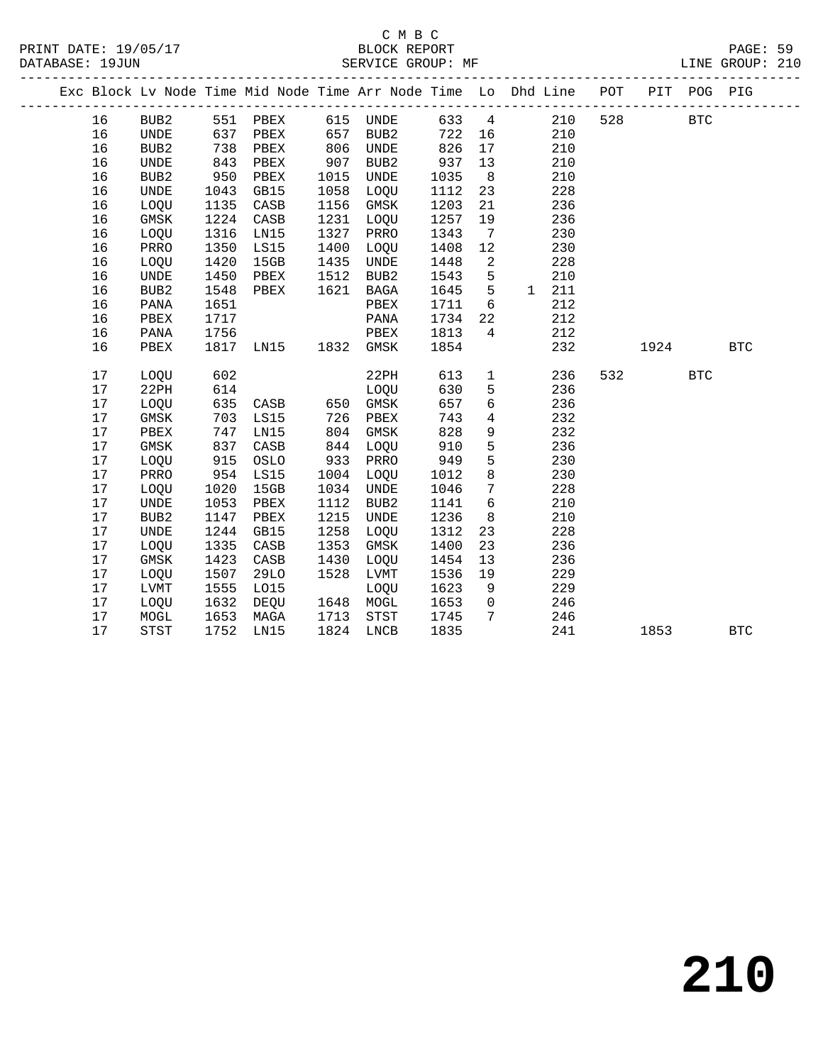### C M B C<br>BLOCK REPORT SERVICE GROUP: MF

|  |    |                  |      |          |      |                  |      |                | Exc Block Lv Node Time Mid Node Time Arr Node Time Lo Dhd Line POT |     |      | PIT POG PIG |            |
|--|----|------------------|------|----------|------|------------------|------|----------------|--------------------------------------------------------------------|-----|------|-------------|------------|
|  |    |                  |      |          |      |                  |      |                |                                                                    |     |      |             |            |
|  | 16 | BUB <sub>2</sub> |      | 551 PBEX | 615  | UNDE             | 633  | 4              | 210                                                                | 528 |      | <b>BTC</b>  |            |
|  | 16 | UNDE             | 637  | PBEX     | 657  | BUB <sub>2</sub> | 722  | 16             | 210                                                                |     |      |             |            |
|  | 16 | BUB <sub>2</sub> | 738  | PBEX     | 806  | UNDE             | 826  | 17             | 210                                                                |     |      |             |            |
|  | 16 | UNDE             | 843  | PBEX     | 907  | BUB2             | 937  | 13             | 210                                                                |     |      |             |            |
|  | 16 | BUB <sub>2</sub> | 950  | PBEX     | 1015 | UNDE             | 1035 | 8              | 210                                                                |     |      |             |            |
|  | 16 | UNDE             | 1043 | GB15     | 1058 | LOQU             | 1112 | 23             | 228                                                                |     |      |             |            |
|  | 16 | LOQU             | 1135 | CASB     | 1156 | GMSK             | 1203 | 21             | 236                                                                |     |      |             |            |
|  | 16 | GMSK             | 1224 | CASB     | 1231 | LOQU             | 1257 | 19             | 236                                                                |     |      |             |            |
|  | 16 | LOQU             | 1316 | LN15     | 1327 | PRRO             | 1343 | 7              | 230                                                                |     |      |             |            |
|  | 16 | PRRO             | 1350 | LS15     | 1400 | LOQU             | 1408 | 12             | 230                                                                |     |      |             |            |
|  | 16 | LOQU             | 1420 | 15GB     | 1435 | <b>UNDE</b>      | 1448 | $\overline{a}$ | 228                                                                |     |      |             |            |
|  | 16 | <b>UNDE</b>      | 1450 | PBEX     | 1512 | BUB <sub>2</sub> | 1543 | 5              | 210<br>$\mathbf{1}$                                                |     |      |             |            |
|  | 16 | BUB2             | 1548 | PBEX     | 1621 | <b>BAGA</b>      | 1645 | 5              | 211                                                                |     |      |             |            |
|  | 16 | PANA             | 1651 |          |      | PBEX             | 1711 | 6              | 212                                                                |     |      |             |            |
|  | 16 | PBEX             | 1717 |          |      | PANA             | 1734 | 22             | 212                                                                |     |      |             |            |
|  | 16 | PANA             | 1756 |          |      | PBEX             | 1813 | 4              | 212                                                                |     |      |             |            |
|  | 16 | PBEX             | 1817 | LN15     | 1832 | GMSK             | 1854 |                | 232                                                                |     | 1924 |             | <b>BTC</b> |
|  | 17 | LOQU             | 602  |          |      | 22PH             | 613  | $\mathbf{1}$   | 236                                                                | 532 |      | <b>BTC</b>  |            |
|  | 17 | 22PH             | 614  |          |      | LOQU             | 630  | 5              | 236                                                                |     |      |             |            |
|  | 17 | LOQU             | 635  | CASB     | 650  | GMSK             | 657  | 6              | 236                                                                |     |      |             |            |
|  | 17 | GMSK             | 703  | LS15     | 726  | PBEX             | 743  | 4              | 232                                                                |     |      |             |            |
|  | 17 | PBEX             | 747  | LN15     | 804  | GMSK             | 828  | 9              | 232                                                                |     |      |             |            |
|  | 17 | GMSK             | 837  | CASB     | 844  | LOQU             | 910  | 5              | 236                                                                |     |      |             |            |
|  | 17 | LOQU             | 915  | OSLO     | 933  | PRRO             | 949  | 5              | 230                                                                |     |      |             |            |
|  | 17 | PRRO             | 954  | LS15     | 1004 | LOQU             | 1012 | 8              | 230                                                                |     |      |             |            |
|  | 17 | LOQU             | 1020 | 15GB     | 1034 | <b>UNDE</b>      | 1046 | $7\phantom{.}$ | 228                                                                |     |      |             |            |
|  | 17 | <b>UNDE</b>      | 1053 | PBEX     | 1112 | BUB <sub>2</sub> | 1141 | 6              | 210                                                                |     |      |             |            |
|  | 17 | BUB <sub>2</sub> | 1147 | PBEX     | 1215 | <b>UNDE</b>      | 1236 | 8              | 210                                                                |     |      |             |            |
|  | 17 | UNDE             | 1244 | GB15     | 1258 | LOQU             | 1312 | 23             | 228                                                                |     |      |             |            |
|  | 17 | LOQU             | 1335 | CASB     | 1353 | GMSK             | 1400 | 23             | 236                                                                |     |      |             |            |
|  | 17 | GMSK             | 1423 | CASB     | 1430 | LOQU             | 1454 | 13             | 236                                                                |     |      |             |            |

17 LOQU 1632 DEQU 1648 MOGL 1653 0 246<br>17 MOGL 1653 MAGA 1713 STST 1745 7 246<br>17 STST 1752 LN15 1824 LNCB 1835 241 1853 BTC

 17 LOQU 1507 29LO 1528 LVMT 1536 19 229 17 LVMT 1555 LO15 LOQU 1623 9 229 17 LOQU 1632 DEQU 1648 MOGL 1653 0 246 17 MOGL 1653 MAGA 1713 STST 1745 7 246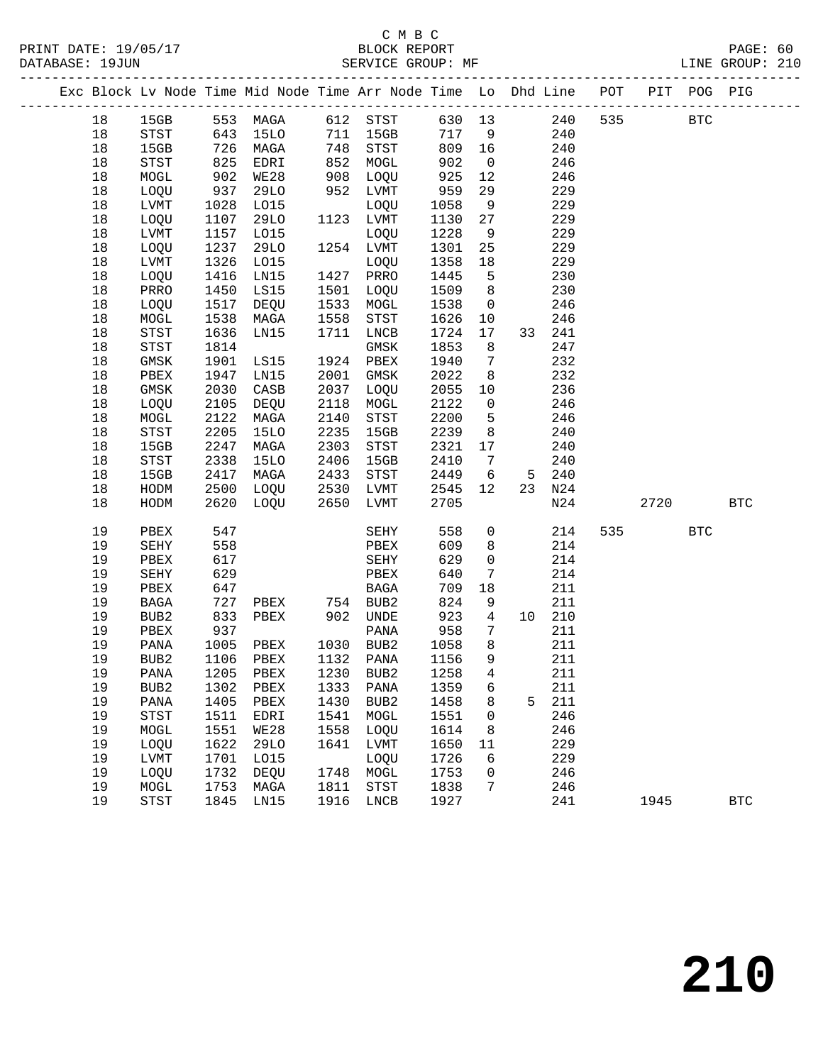|  |        |                            |            |             |                                           | Exc Block Lv Node Time Mid Node Time Arr Node Time Lo Dhd Line POT PIT POG PIG |        |                 |   |        |     |            |     |              |
|--|--------|----------------------------|------------|-------------|-------------------------------------------|--------------------------------------------------------------------------------|--------|-----------------|---|--------|-----|------------|-----|--------------|
|  | 18     |                            |            |             |                                           | 15GB 553 MAGA 612 STST 630 13                                                  |        |                 |   | 240    | 535 | <b>BTC</b> |     |              |
|  | 18     | STST                       |            |             |                                           | 643 15LO 711 15GB                                                              | 717 9  |                 |   | 240    |     |            |     |              |
|  | 18     | 15GB                       |            | 726 MAGA    |                                           | 748 STST                                                                       | 809 16 |                 |   | 240    |     |            |     |              |
|  | 18     | STST                       | 825        | EDRI        |                                           | 852 MOGL                                                                       | 902    | $\overline{0}$  |   | 246    |     |            |     |              |
|  | 18     | MOGL                       | 902        | <b>WE28</b> |                                           | 908 LOQU                                                                       | 925    | 12              |   | 246    |     |            |     |              |
|  | 18     | LOQU                       | 937        | 29LO        |                                           | 952 LVMT                                                                       | 959    | 29              |   | 229    |     |            |     |              |
|  | $18\,$ | LVMT                       | 1028       | LO15        |                                           | LOQU                                                                           | 1058   | 9               |   | 229    |     |            |     |              |
|  | 18     | LOQU                       | 1107       | 29LO        |                                           | 1123 LVMT                                                                      | 1130   | 27              |   | 229    |     |            |     |              |
|  | $18\,$ | LVMT                       |            | 1157 LO15   | $\begin{array}{c} -43 \\ -72 \end{array}$ | LOQU                                                                           | 1228   | 9               |   | 229    |     |            |     |              |
|  | 18     | LOQU                       |            | 1237 29LO   |                                           | 1254 LVMT                                                                      | 1301   | 25              |   | 229    |     |            |     |              |
|  | 18     | LVMT                       | 1326       | LO15        |                                           | LOQU                                                                           | 1358   | 18              |   | 229    |     |            |     |              |
|  | 18     | LOQU                       | 1416       | LN15        |                                           | 1427 PRRO                                                                      | 1445   | $5^{\circ}$     |   | 230    |     |            |     |              |
|  | 18     | PRRO                       | 1450       | LS15        |                                           | 1501 LOQU                                                                      | 1509   | 8 <sup>8</sup>  |   | 230    |     |            |     |              |
|  | 18     | LOQU                       | 1517       | DEQU        |                                           | 1533 MOGL                                                                      | 1538   | $\overline{0}$  |   | 246    |     |            |     |              |
|  | $18\,$ | MOGL                       | 1538       | MAGA        | 1558                                      | STST                                                                           | 1626   | 10              |   | 246    |     |            |     |              |
|  | 18     | STST                       | 1636       | LN15        | 1711                                      | LNCB                                                                           | 1724   | 17              |   | 33 241 |     |            |     |              |
|  | 18     | ${\tt STST}$               | 1814       |             |                                           | GMSK                                                                           | 1853   | 8               |   | 247    |     |            |     |              |
|  | 18     | GMSK                       |            | 1901 LS15   |                                           | 1924 PBEX                                                                      | 1940   | $\overline{7}$  |   | 232    |     |            |     |              |
|  | 18     | PBEX                       | 1947       | LN15        | 2001                                      | GMSK                                                                           | 2022   | 8 <sup>8</sup>  |   | 232    |     |            |     |              |
|  | 18     | GMSK                       | 2030       | CASB        | 2037                                      | LOQU                                                                           | 2055   | 10              |   | 236    |     |            |     |              |
|  | 18     | LOQU                       | 2105       | DEQU        | 2118                                      | MOGL                                                                           | 2122   | $\overline{0}$  |   | 246    |     |            |     |              |
|  | $18\,$ | MOGL                       | 2122       | MAGA        | 2140                                      | STST                                                                           | 2200   | $5^{\circ}$     |   | 246    |     |            |     |              |
|  | 18     | $_{\footnotesize\rm STST}$ | 2205       | <b>15LO</b> | 2235                                      | 15GB                                                                           | 2239   | 8 <sup>8</sup>  |   | 240    |     |            |     |              |
|  | 18     | 15GB                       | 2247       | MAGA        | 2303                                      | STST                                                                           | 2321   | 17              |   | 240    |     |            |     |              |
|  | 18     | ${\tt STST}$               | 2338       | 15LO        | 2406                                      | 15GB                                                                           | 2410   | $\overline{7}$  |   | 240    |     |            |     |              |
|  | $18\,$ | 15GB                       |            | 2417 MAGA   |                                           | 2433 STST                                                                      | 2449   | 6               |   | 5 240  |     |            |     |              |
|  | 18     | HODM                       |            | 2500 LOQU   |                                           | 2530 LVMT                                                                      | 2545   | 12              |   | 23 N24 |     |            |     |              |
|  | 18     | HODM                       |            | 2620 LOQU   | 2650                                      | LVMT                                                                           | 2705   |                 |   | N24    |     | 2720       |     | $_{\rm BTC}$ |
|  |        |                            |            |             |                                           |                                                                                |        |                 |   |        |     |            |     |              |
|  | 19     | PBEX                       | 547        |             |                                           | SEHY                                                                           | 558    | $\overline{0}$  |   | 214    |     | 535        | BTC |              |
|  | 19     | SEHY                       | 558        |             |                                           | PBEX                                                                           | 609    | 8               |   | 214    |     |            |     |              |
|  | 19     | PBEX                       | 617        |             |                                           | SEHY                                                                           | 629    | $\overline{0}$  |   | 214    |     |            |     |              |
|  | 19     | SEHY                       | 629        |             |                                           | PBEX                                                                           | 640    | $7\phantom{.0}$ |   | 214    |     |            |     |              |
|  | 19     | PBEX                       | 647<br>727 |             |                                           | BAGA                                                                           | 709    | 18              |   | 211    |     |            |     |              |
|  | 19     | BAGA                       |            |             |                                           |                                                                                | 824    | 9               |   | 211    |     |            |     |              |
|  | 19     | BUB2                       | 833        | PBEX        |                                           | 902 UNDE                                                                       | 923    | $\overline{4}$  |   | 10 210 |     |            |     |              |
|  | 19     | PBEX                       | 937        |             |                                           | PANA                                                                           | 958    | 7               |   | 211    |     |            |     |              |
|  | 19     | PANA                       | 1005       | PBEX        |                                           | 1030 BUB2                                                                      | 1058   | 8 <sup>8</sup>  |   | 211    |     |            |     |              |
|  | 19     | BUB2                       |            | 1106 PBEX   |                                           | 1132 PANA                                                                      | 1156   | 9               |   | 211    |     |            |     |              |
|  | 19     |                            |            |             |                                           | PANA 1205 PBEX 1230 BUB2 1258 4                                                |        |                 |   | 211    |     |            |     |              |
|  | 19     | BUB <sub>2</sub>           | 1302       | PBEX        | 1333                                      | PANA                                                                           | 1359   | 6               |   | 211    |     |            |     |              |
|  | 19     | PANA                       | 1405       | PBEX        | 1430                                      | BUB2                                                                           | 1458   | 8               | 5 | 211    |     |            |     |              |
|  | 19     | <b>STST</b>                | 1511       | EDRI        | 1541                                      | MOGL                                                                           | 1551   | 0               |   | 246    |     |            |     |              |
|  | 19     | MOGL                       | 1551       | WE28        | 1558                                      | LOQU                                                                           | 1614   | 8               |   | 246    |     |            |     |              |
|  | 19     | LOQU                       | 1622       | 29LO        | 1641                                      | LVMT                                                                           | 1650   | 11              |   | 229    |     |            |     |              |
|  | 19     | LVMT                       | 1701       | L015        |                                           | LOQU                                                                           | 1726   | 6               |   | 229    |     |            |     |              |
|  | 19     | LOQU                       | 1732       | DEQU        | 1748                                      | MOGL                                                                           | 1753   | 0               |   | 246    |     |            |     |              |
|  | 19     | MOGL                       | 1753       | MAGA        | 1811                                      | STST                                                                           | 1838   | 7               |   | 246    |     |            |     |              |
|  | 19     | <b>STST</b>                | 1845       | LN15        | 1916                                      | LNCB                                                                           | 1927   |                 |   | 241    |     | 1945       |     | <b>BTC</b>   |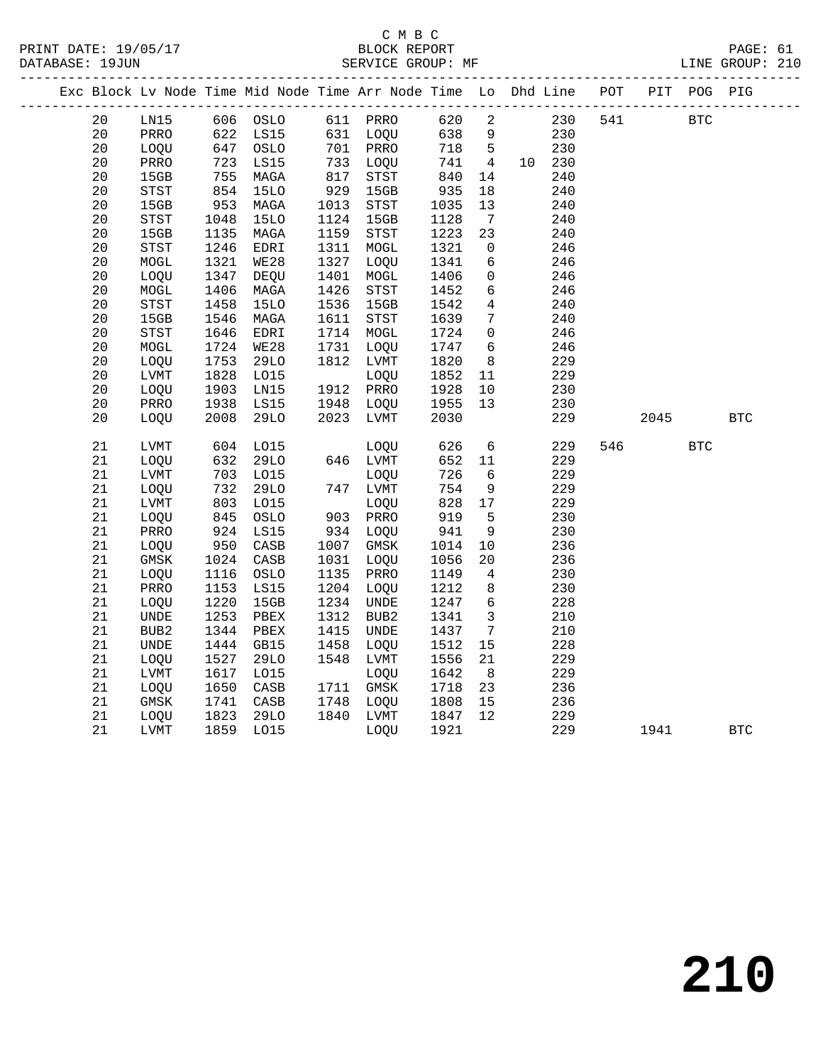|  |    |             |      | Exc Block Lv Node Time Mid Node Time Arr Node Time Lo Dhd Line POT |      |              |      |                 |        |     |      | PIT POG PIG |            |
|--|----|-------------|------|--------------------------------------------------------------------|------|--------------|------|-----------------|--------|-----|------|-------------|------------|
|  | 20 | LN15        |      | 606 OSLO                                                           |      | 611 PRRO     | 620  | $\overline{2}$  | 230    | 541 |      | <b>BTC</b>  |            |
|  | 20 | PRRO        | 622  | LS15                                                               |      | 631 LOQU     | 638  | 9               | 230    |     |      |             |            |
|  | 20 | LOQU        | 647  | OSLO                                                               |      | 701 PRRO     | 718  | $5^{\circ}$     | 230    |     |      |             |            |
|  | 20 | PRRO        | 723  | LS15                                                               |      | 733 LOQU     | 741  | $4\overline{4}$ | 10 230 |     |      |             |            |
|  | 20 | 15GB        | 755  | MAGA                                                               | 817  | STST         | 840  | 14              | 240    |     |      |             |            |
|  | 20 | STST        | 854  | <b>15LO</b>                                                        | 929  | 15GB         | 935  | 18              | 240    |     |      |             |            |
|  | 20 | 15GB        | 953  | MAGA                                                               | 1013 | ${\tt STST}$ | 1035 | 13              | 240    |     |      |             |            |
|  | 20 | <b>STST</b> | 1048 | 15LO                                                               | 1124 | 15GB         | 1128 | $7\phantom{.0}$ | 240    |     |      |             |            |
|  | 20 | 15GB        | 1135 | MAGA                                                               | 1159 | STST         | 1223 | 23              | 240    |     |      |             |            |
|  | 20 | STST        | 1246 | EDRI                                                               | 1311 | MOGL         | 1321 | $\mathbf{0}$    | 246    |     |      |             |            |
|  | 20 | MOGL        | 1321 | <b>WE28</b>                                                        | 1327 | LOQU         | 1341 | 6               | 246    |     |      |             |            |
|  | 20 | LOQU        | 1347 | DEQU                                                               | 1401 | MOGL         | 1406 | $\mathsf{O}$    | 246    |     |      |             |            |
|  | 20 | MOGL        | 1406 | MAGA                                                               | 1426 | STST         | 1452 | 6               | 246    |     |      |             |            |
|  | 20 | <b>STST</b> | 1458 | <b>15LO</b>                                                        | 1536 | 15GB         | 1542 | $\overline{4}$  | 240    |     |      |             |            |
|  | 20 | 15GB        | 1546 | MAGA                                                               | 1611 | STST         | 1639 | $7\phantom{.0}$ | 240    |     |      |             |            |
|  | 20 | <b>STST</b> | 1646 | EDRI                                                               | 1714 | MOGL         | 1724 | $\mathbf{0}$    | 246    |     |      |             |            |
|  | 20 | $\tt MOGL$  | 1724 | <b>WE28</b>                                                        | 1731 | LOQU         | 1747 | 6               | 246    |     |      |             |            |
|  | 20 | LOQU        | 1753 | 29LO                                                               | 1812 | LVMT         | 1820 | 8               | 229    |     |      |             |            |
|  | 20 | LVMT        | 1828 | L015                                                               |      | LOQU         | 1852 | 11              | 229    |     |      |             |            |
|  | 20 | LOQU        | 1903 | LN15                                                               |      | 1912 PRRO    | 1928 | 10              | 230    |     |      |             |            |
|  | 20 | PRRO        | 1938 | LS15                                                               | 1948 | LOQU         | 1955 | 13              | 230    |     |      |             |            |
|  | 20 | LOQU        | 2008 | <b>29LO</b>                                                        | 2023 | LVMT         | 2030 |                 | 229    |     | 2045 |             | <b>BTC</b> |
|  | 21 | LVMT        | 604  | L015                                                               |      | LOQU         | 626  | 6               | 229    | 546 |      | <b>BTC</b>  |            |
|  | 21 | LOQU        | 632  | <b>29LO</b>                                                        |      | 646 LVMT     | 652  | 11              | 229    |     |      |             |            |
|  | 21 | LVMT        | 703  | L015                                                               |      | LOQU         | 726  | 6               | 229    |     |      |             |            |
|  | 21 | LOQU        | 732  | 29LO                                                               |      | 747 LVMT     | 754  | 9               | 229    |     |      |             |            |
|  | 21 | LVMT        | 803  | L015                                                               |      | <b>LOOU</b>  | 828  | 17              | 229    |     |      |             |            |
|  | 21 | LOQU        | 845  | OSLO                                                               | 903  | PRRO         | 919  | 5               | 230    |     |      |             |            |
|  | 21 | PRRO        | 924  | LS15                                                               |      | 934 LOQU     | 941  | 9               | 230    |     |      |             |            |
|  | 21 | LOQU        | 950  | CASB                                                               | 1007 | GMSK         | 1014 | 10              | 236    |     |      |             |            |
|  | 21 | GMSK        | 1024 | CASB                                                               | 1031 | LOQU         | 1056 | 20              | 236    |     |      |             |            |
|  | 21 | LOQU        | 1116 | OSLO                                                               | 1135 | PRRO         | 1149 | 4               | 230    |     |      |             |            |
|  | 21 | PRRO        | 1153 | LS15                                                               | 1204 | LOQU         | 1212 | 8               | 230    |     |      |             |            |
|  | 21 | LOQU        | 1220 | 15GB                                                               | 1234 | UNDE         | 1247 | 6               | 228    |     |      |             |            |
|  | 21 | <b>UNDE</b> | 1253 | PBEX                                                               | 1312 | BUB2         | 1341 | 3               | 210    |     |      |             |            |
|  | 21 | BUB2        | 1344 | PBEX                                                               | 1415 | <b>UNDE</b>  | 1437 | $7\phantom{.0}$ | 210    |     |      |             |            |
|  | 21 | <b>UNDE</b> | 1444 | GB15                                                               | 1458 | LOQU         | 1512 | 15              | 228    |     |      |             |            |
|  | 21 | LOQU        | 1527 | <b>29LO</b>                                                        | 1548 | LVMT         | 1556 | 21              | 229    |     |      |             |            |
|  | 21 | <b>LVMT</b> | 1617 | L015                                                               |      | LOOU         | 1642 | 8 <sup>8</sup>  | 229    |     |      |             |            |
|  | 21 | LOQU        | 1650 | CASB                                                               | 1711 | GMSK         | 1718 | 23              | 236    |     |      |             |            |
|  | 21 | GMSK        | 1741 | CASB                                                               | 1748 | LOQU         | 1808 | 15              | 236    |     |      |             |            |
|  | 21 | LOQU        | 1823 | 29LO                                                               | 1840 | LVMT         | 1847 | 12              | 229    |     |      |             |            |
|  | 21 | LVMT        | 1859 | L015                                                               |      | LOQU         | 1921 |                 | 229    |     | 1941 |             | <b>BTC</b> |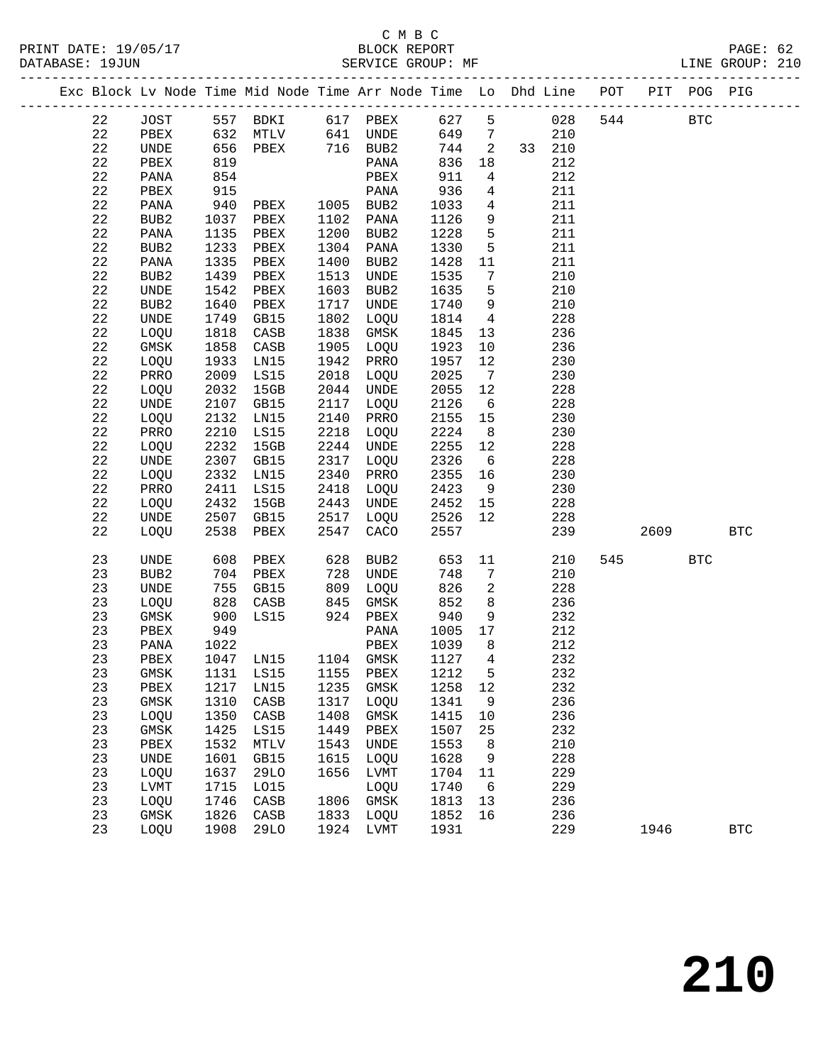|  |          |              |      |                     |      | Exc Block Lv Node Time Mid Node Time Arr Node Time Lo Dhd Line POT PIT POG PIG    |              |                            |        |     |            |            |            |
|--|----------|--------------|------|---------------------|------|-----------------------------------------------------------------------------------|--------------|----------------------------|--------|-----|------------|------------|------------|
|  | 22       | JOST         |      |                     |      | 557 BDKI 617 PBEX                                                                 | 627          | 5 <sup>5</sup>             | 028    | 544 | <b>BTC</b> |            |            |
|  | 22       | PBEX         |      |                     |      | $632$ MTLV $641$ UNDE                                                             | 649          | $7\overline{ }$            | 210    |     |            |            |            |
|  | 22       | <b>UNDE</b>  | 656  | PBEX 716 BUB2       |      |                                                                                   | 744          | $\overline{\phantom{a}}$ 2 | 33 210 |     |            |            |            |
|  | 22       | PBEX         | 819  |                     |      | PANA                                                                              | 836          | 18                         | 212    |     |            |            |            |
|  | 22       | PANA         | 854  |                     |      | PBEX                                                                              | 911          | $\overline{4}$             | 212    |     |            |            |            |
|  | 22       | PBEX         | 915  |                     |      | PANA                                                                              | 936          | $\overline{4}$             | 211    |     |            |            |            |
|  | 22       | PANA         | 940  | PBEX 1005 BUB2      |      |                                                                                   | 1033         | $\overline{4}$             | 211    |     |            |            |            |
|  | 22       | BUB2         | 1037 | PBEX                |      | 1102 PANA                                                                         | 1126         | 9                          | 211    |     |            |            |            |
|  | 22       | PANA         | 1135 | PBEX                |      | 1200 BUB2                                                                         | 1228         | $5^{\circ}$                | 211    |     |            |            |            |
|  | 22       | BUB2         | 1233 | PBEX                |      | 1304 PANA                                                                         | 1330         | 5                          | 211    |     |            |            |            |
|  | 22       | PANA         | 1335 | PBEX                | 1400 | BUB2                                                                              | 1428         | 11                         | 211    |     |            |            |            |
|  | 22       | BUB2         | 1439 | PBEX                | 1513 | UNDE                                                                              | 1535         | 7                          | 210    |     |            |            |            |
|  | 22       | UNDE         | 1542 | PBEX                | 1603 | BUB2                                                                              | 1635         | 5                          | 210    |     |            |            |            |
|  | 22       | BUB2         | 1640 | PBEX                | 1717 | UNDE                                                                              | 1740         | 9                          | 210    |     |            |            |            |
|  | 22       | UNDE         | 1749 | GB15                | 1802 | LOQU                                                                              | 1814         | $\overline{4}$             | 228    |     |            |            |            |
|  | 22       | LOQU         | 1818 | CASB                |      | 1838 GMSK                                                                         | 1845         | 13                         | 236    |     |            |            |            |
|  | 22       | GMSK         | 1858 | CASB                |      | 1905 LOQU                                                                         | 1923         | 10                         | 236    |     |            |            |            |
|  | 22       | LOQU         | 1933 | LN15                | 1942 | PRRO                                                                              | 1957         | 12                         | 230    |     |            |            |            |
|  | 22       | PRRO         | 2009 | LS15                | 2018 | LOQU                                                                              | 2025         | $\overline{7}$             | 230    |     |            |            |            |
|  | 22       |              |      |                     |      |                                                                                   |              |                            |        |     |            |            |            |
|  |          | LOQU         | 2032 | 15GB                | 2044 | UNDE                                                                              | 2055<br>2126 | 12                         | 228    |     |            |            |            |
|  | 22<br>22 | UNDE         | 2107 | GB15                | 2117 | LOQU                                                                              |              | $6\overline{6}$            | 228    |     |            |            |            |
|  |          | LOQU         | 2132 | LN15                | 2140 | PRRO                                                                              | 2155         | 15                         | 230    |     |            |            |            |
|  | 22       | PRRO         | 2210 | LS15                | 2218 | LOQU                                                                              | 2224<br>2255 | 8 <sup>8</sup>             | 230    |     |            |            |            |
|  | 22       | LOQU         | 2232 | 15GB                | 2244 | UNDE                                                                              |              | 12                         | 228    |     |            |            |            |
|  | 22       | UNDE         | 2307 | GB15                | 2317 | LOQU                                                                              | 2326         | 6                          | 228    |     |            |            |            |
|  | 22       | LOQU         | 2332 | LN15                | 2340 | PRRO                                                                              | 2355         | 16                         | 230    |     |            |            |            |
|  | 22       | PRRO         | 2411 | LS15                | 2418 | LOQU                                                                              | 2423         | 9                          | 230    |     |            |            |            |
|  | 22       | LOQU         | 2432 | 15GB                | 2443 | UNDE                                                                              | 2452         | 15                         | 228    |     |            |            |            |
|  | 22       | UNDE         | 2507 | GB15                | 2517 | LOQU                                                                              | 2526         | 12                         | 228    |     |            |            |            |
|  | 22       | LOQU         | 2538 | PBEX                | 2547 | CACO                                                                              | 2557         |                            | 239    |     | 2609       |            | <b>BTC</b> |
|  | 23       | UNDE         | 608  | PBEX                | 628  | BUB2                                                                              | 653          | 11                         | 210    |     | 545        | <b>BTC</b> |            |
|  | 23       | BUB2         | 704  | PBEX                |      | 728 UNDE                                                                          | 748          | 7                          | 210    |     |            |            |            |
|  | 23       | UNDE         | 755  | GB15                | 809  | LOQU                                                                              | 826          | 2                          | 228    |     |            |            |            |
|  | 23       | LOQU         | 828  | CASB                |      | $845$ $\begin{array}{cc}\n\text{GMSK} \\ \text{GMSK} \\ \text{GMSK}\n\end{array}$ | 852          | 8 <sup>8</sup>             | 236    |     |            |            |            |
|  | 23       | GMSK         | 900  | LS15                |      | 924 PBEX                                                                          | 940          | 9                          | 232    |     |            |            |            |
|  | 23       | PBEX         | 949  |                     |      | PANA                                                                              | 1005         | 17                         | 212    |     |            |            |            |
|  | 23       | PANA         | 1022 |                     |      | PBEX                                                                              | 1039         | 8 <sup>8</sup>             | 212    |     |            |            |            |
|  | 23       | PBEX         |      | 1047 LN15 1104 GMSK |      |                                                                                   | 1127         | $\overline{4}$             | 232    |     |            |            |            |
|  | 23       |              |      |                     |      | GMSK 1131 LS15 1155 PBEX 1212                                                     |              | 5                          | 232    |     |            |            |            |
|  | 23       | PBEX         | 1217 | LN15                | 1235 | GMSK                                                                              | 1258         | 12                         | 232    |     |            |            |            |
|  | 23       | GMSK         | 1310 | CASB                | 1317 | LOQU                                                                              | 1341         | 9                          | 236    |     |            |            |            |
|  | 23       | LOQU         | 1350 | CASB                | 1408 | GMSK                                                                              | 1415         | 10                         | 236    |     |            |            |            |
|  | 23       | GMSK         | 1425 | LS15                | 1449 | PBEX                                                                              | 1507         | 25                         | 232    |     |            |            |            |
|  | 23       | ${\tt PBEX}$ | 1532 | $\texttt{MTLV}$     | 1543 | UNDE                                                                              | 1553         | 8                          | 210    |     |            |            |            |
|  | 23       | UNDE         | 1601 | GB15                | 1615 | LOQU                                                                              | 1628         | 9                          | 228    |     |            |            |            |
|  | 23       | LOQU         | 1637 | 29LO                | 1656 | LVMT                                                                              | 1704         | 11                         | 229    |     |            |            |            |
|  | 23       | LVMT         | 1715 | L015                |      | LOQU                                                                              | 1740         | 6                          | 229    |     |            |            |            |
|  | 23       | LOQU         | 1746 | CASB                | 1806 | GMSK                                                                              | 1813         | 13                         | 236    |     |            |            |            |
|  | 23       | GMSK         | 1826 | CASB                | 1833 | LOQU                                                                              | 1852         | 16                         | 236    |     |            |            |            |
|  | 23       | LOQU         | 1908 | 29LO                | 1924 | LVMT                                                                              | 1931         |                            | 229    |     | 1946       |            | <b>BTC</b> |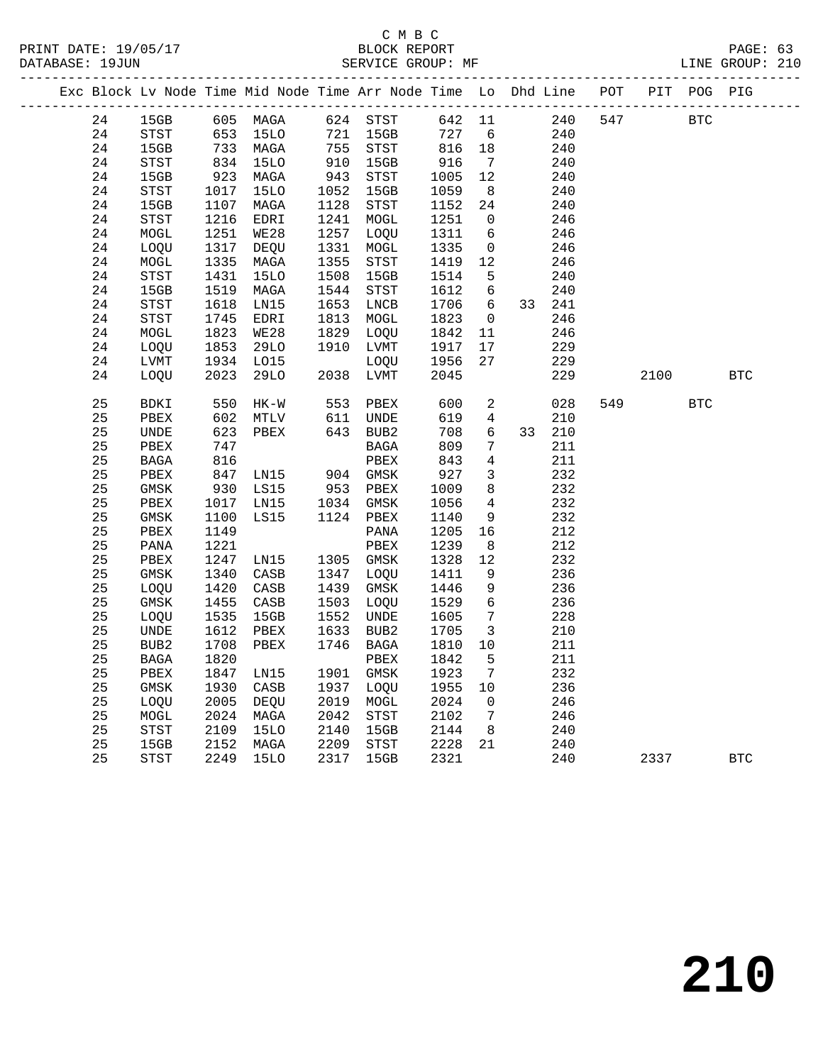|  |    |                            |      | Exc Block Lv Node Time Mid Node Time Arr Node Time Lo Dhd Line POT PIT POG PIG |      |                                       |                      |                         |        |     |      |            |            |
|--|----|----------------------------|------|--------------------------------------------------------------------------------|------|---------------------------------------|----------------------|-------------------------|--------|-----|------|------------|------------|
|  | 24 | 15GB                       |      | 605 MAGA                                                                       |      | 624 STST                              | 642 11               |                         | 240    | 547 |      | BTC        |            |
|  | 24 | STST                       |      | 653 15LO                                                                       |      | 721 15GB                              | 727                  | $6\overline{6}$         | 240    |     |      |            |            |
|  | 24 | 15GB                       |      | 733 MAGA                                                                       | 755  | STST                                  |                      | 18                      | 240    |     |      |            |            |
|  | 24 | STST                       |      | $733 - 15LO$<br>834 15LO                                                       |      | 910 15GB                              | $0 +$<br>916         | $\overline{7}$          | 240    |     |      |            |            |
|  | 24 | 15GB                       | 923  | MAGA                                                                           | 943  | STST                                  |                      | 12                      | 240    |     |      |            |            |
|  | 24 | STST                       | 1017 | 15LO                                                                           |      | 1052 15GB                             | 1005<br>1059<br>1059 | 8 <sup>8</sup>          | 240    |     |      |            |            |
|  | 24 | 15GB                       | 1107 | MAGA                                                                           |      | 1128 STST                             | 1152                 | 24                      | 240    |     |      |            |            |
|  | 24 | <b>STST</b>                | 1216 | EDRI                                                                           |      | 1241 MOGL                             | 1251                 | $\overline{0}$          | 246    |     |      |            |            |
|  | 24 | MOGL                       | 1251 | WE28                                                                           | 1257 | LOQU                                  | 1311                 | 6                       | 246    |     |      |            |            |
|  | 24 | LOQU                       | 1317 | DEQU                                                                           | 1331 | MOGL                                  | 1335                 | $\overline{0}$          | 246    |     |      |            |            |
|  | 24 | MOGL                       | 1335 | MAGA                                                                           | 1355 | STST                                  | 1419                 | 12                      | 246    |     |      |            |            |
|  | 24 | $_{\footnotesize\rm STST}$ | 1431 | 15LO                                                                           | 1508 | 15GB                                  | 1514                 | $-5$                    | 240    |     |      |            |            |
|  | 24 | 15GB                       | 1519 | MAGA                                                                           | 1544 | STST                                  | 1612                 | 6                       | 240    |     |      |            |            |
|  | 24 | STST                       | 1618 | LN15                                                                           | 1653 | LNCB                                  | 1706                 | 6                       | 33 241 |     |      |            |            |
|  | 24 | STST                       | 1745 | EDRI                                                                           | 1813 | MOGL                                  | 1823                 | $\overline{0}$          | 246    |     |      |            |            |
|  | 24 | MOGL                       | 1823 | WE28                                                                           | 1829 | LOQU                                  | 1842                 | 11                      | 246    |     |      |            |            |
|  | 24 | LOQU                       | 1853 | 29LO                                                                           |      | 1910 LVMT                             | 1917                 | 17                      | 229    |     |      |            |            |
|  | 24 | LVMT                       | 1934 | L015                                                                           |      | LOQU                                  | 1956                 | 27                      | 229    |     |      |            |            |
|  | 24 | LOQU                       | 2023 | <b>29LO</b>                                                                    |      | 2038 LVMT                             | 2045                 |                         | 229    |     | 2100 |            | <b>BTC</b> |
|  |    |                            |      |                                                                                |      |                                       |                      |                         |        |     |      |            |            |
|  | 25 | BDKI                       | 550  | HK-W                                                                           | 553  | $\mathtt{PBEX}$                       | 600                  | $\overline{a}$          | 028    | 549 |      | <b>BTC</b> |            |
|  | 25 | PBEX                       | 602  | MTLV                                                                           | 611  | UNDE                                  | 619                  | 4                       | 210    |     |      |            |            |
|  | 25 | UNDE                       | 623  | PBEX                                                                           |      | 643 BUB2                              | 708                  | 6                       | 33 210 |     |      |            |            |
|  | 25 | PBEX                       | 747  |                                                                                |      | <b>BAGA</b>                           | 809                  | 7                       | 211    |     |      |            |            |
|  | 25 | BAGA                       | 816  |                                                                                |      | PBEX                                  | 843                  | 4                       | 211    |     |      |            |            |
|  | 25 | PBEX                       | 847  | LN15                                                                           |      | 904 GMSK                              | 927                  | 3                       | 232    |     |      |            |            |
|  | 25 | GMSK                       | 930  | LS15                                                                           |      | 953 PBEX                              | 1009                 | 8                       | 232    |     |      |            |            |
|  | 25 | PBEX                       | 1017 | LN15                                                                           |      | 1034 GMSK                             | 1056                 | $\overline{4}$          | 232    |     |      |            |            |
|  | 25 | GMSK                       | 1100 | LS15                                                                           |      | 1124 PBEX                             | 1140                 | 9                       | 232    |     |      |            |            |
|  | 25 | PBEX                       | 1149 |                                                                                |      | PANA                                  | 1205                 | 16                      | 212    |     |      |            |            |
|  | 25 | PANA                       | 1221 |                                                                                |      | PBEX                                  | 1239                 | 8                       | 212    |     |      |            |            |
|  | 25 | PBEX                       | 1247 | LN15                                                                           |      | 1305 GMSK                             | 1328                 | 12                      | 232    |     |      |            |            |
|  | 25 | GMSK                       | 1340 | CASB                                                                           |      | 1347 LOQU                             | 1411                 | 9                       | 236    |     |      |            |            |
|  | 25 | LOQU                       | 1420 | CASB                                                                           | 1439 | GMSK                                  | 1446                 | 9                       | 236    |     |      |            |            |
|  | 25 | GMSK                       | 1455 | CASB                                                                           |      | 1503 LOQU                             | 1529                 | $\epsilon$              | 236    |     |      |            |            |
|  | 25 | LOQU                       | 1535 | 15GB                                                                           | 1552 | UNDE                                  | 1605                 | $\overline{7}$          | 228    |     |      |            |            |
|  | 25 | UNDE                       | 1612 | PBEX                                                                           | 1633 | BUB2                                  | 1705                 | $\overline{\mathbf{3}}$ | 210    |     |      |            |            |
|  | 25 | BUB2                       | 1708 | PBEX                                                                           | 1746 | BAGA                                  | 1810                 | 10                      | 211    |     |      |            |            |
|  | 25 | BAGA                       | 1820 |                                                                                |      | PBEX                                  | 1842                 | 5                       | 211    |     |      |            |            |
|  | 25 | PBEX                       | 1847 | LN15                                                                           |      | 1901 GMSK                             | 1923                 | $7\phantom{.0}$         | 232    |     |      |            |            |
|  | 25 | GMSK                       | 1930 | CASB                                                                           | 1937 | LOQU                                  | 1955                 | 10                      | 236    |     |      |            |            |
|  | 25 | LOQU                       | 2005 | DEQU                                                                           |      | 2019 MOGL                             | 2024                 | $\overline{0}$          | 246    |     |      |            |            |
|  | 25 | ${\tt MOGL}$               | 2024 | MAGA                                                                           | 2042 | $_{\footnotesize{\textnormal{STST}}}$ | 2102                 | $\overline{7}$          | 246    |     |      |            |            |
|  | 25 | STST                       | 2109 | <b>15LO</b>                                                                    | 2140 | 15GB                                  | 2144                 | 8 <sup>8</sup>          | 240    |     |      |            |            |
|  | 25 | 15GB                       | 2152 | MAGA                                                                           | 2209 | STST                                  | 2228                 | 21                      | 240    |     |      |            |            |
|  | 25 | STST                       |      | 2249 15LO                                                                      |      | 2317 15GB                             | 2321                 |                         | 240    |     | 2337 |            | <b>BTC</b> |
|  |    |                            |      |                                                                                |      |                                       |                      |                         |        |     |      |            |            |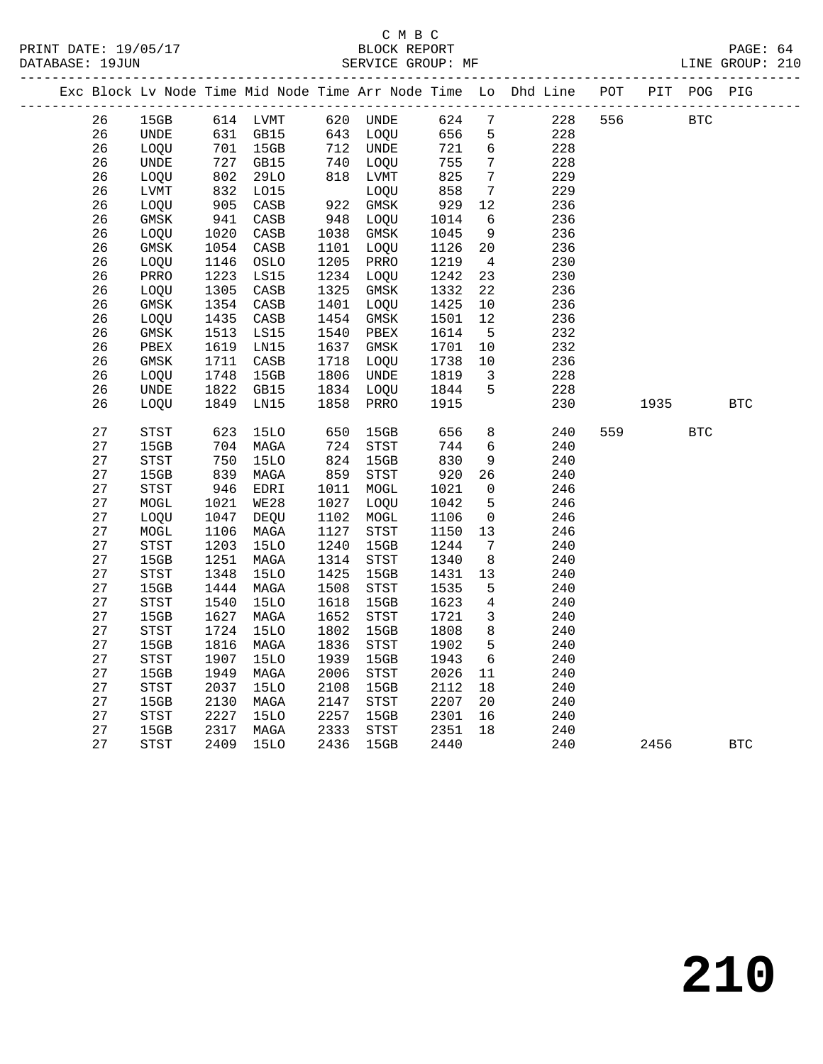|          |                                       |                   |                      |              |              |              |                         | Exc Block Lv Node Time Mid Node Time Arr Node Time Lo Dhd Line POT PIT POG PIG |     |            |            |            |
|----------|---------------------------------------|-------------------|----------------------|--------------|--------------|--------------|-------------------------|--------------------------------------------------------------------------------|-----|------------|------------|------------|
| 26       | 15GB                                  |                   | 614 LVMT             |              | 620 UNDE     | 624 7        |                         | 228                                                                            | 556 | <b>BTC</b> |            |            |
| 26       | UNDE                                  |                   | 631 GB15             |              | 643 LOQU     | 656          | $5\phantom{.0}$         | 228                                                                            |     |            |            |            |
| 26       | LOQU                                  |                   | 701 15GB<br>727 GB15 |              | 712 UNDE     | 721          | 6                       | 228                                                                            |     |            |            |            |
| 26       | UNDE                                  |                   |                      |              | 740 LOQU     | 755          | $\overline{7}$          | 228                                                                            |     |            |            |            |
| 26       | LOQU                                  | $\frac{727}{802}$ | 29LO                 |              | 818 LVMT     | 825          | $7\phantom{.0}$         | 229                                                                            |     |            |            |            |
| 26       | LVMT                                  | 832<br>905        | L015                 |              | LOQU         | 858          | $\overline{7}$          | 229                                                                            |     |            |            |            |
| 26       | LOQU                                  |                   | CASB                 |              | 922 GMSK     | 929          | 12                      | 236                                                                            |     |            |            |            |
| 26       | GMSK                                  | 941               | CASB                 |              | 948 LOQU     | 1014         | 6                       | 236                                                                            |     |            |            |            |
| 26       | LOQU                                  | 1020              | CASB                 |              | 1038 GMSK    | 1045         | 9                       | 236                                                                            |     |            |            |            |
| 26       | GMSK                                  | 1054              | CASB                 | 1101         | LOQU         | 1126         | 20                      | 236                                                                            |     |            |            |            |
| 26       | LOQU                                  | 1146              | OSLO                 |              | 1205 PRRO    | 1219         | $4\overline{4}$         | 230                                                                            |     |            |            |            |
| 26       | PRRO                                  | 1223              | LS15                 |              | 1234 LOQU    | 1242         | 23                      | 230                                                                            |     |            |            |            |
| 26       | LOQU                                  | 1305              | CASB                 | 1325         | GMSK         | 1332         | 22                      | 236                                                                            |     |            |            |            |
| 26       | GMSK                                  | 1354              | CASB                 | 1401         | LOQU         | 1425         | 10                      | 236                                                                            |     |            |            |            |
| 26       | LOQU                                  | 1435              | CASB                 | 1454         | GMSK         | 1501         | 12                      | 236                                                                            |     |            |            |            |
| 26       | GMSK                                  | 1513              | LS15                 | 1540         | PBEX         | 1614         | $5^{\circ}$             | 232                                                                            |     |            |            |            |
| 26       | PBEX                                  | 1619              | LN15                 | 1637         | GMSK         | 1701         | 10                      | 232                                                                            |     |            |            |            |
| 26       | GMSK                                  |                   | 1711 CASB            | 1718         | LOQU         | 1738         | 10                      | 236                                                                            |     |            |            |            |
| 26       | LOQU                                  | 1748              | 15GB                 | 1806         | UNDE         | 1819         | $\overline{\mathbf{3}}$ | 228                                                                            |     |            |            |            |
| 26       | UNDE                                  | 1822              | GB15                 | 1834         | LOQU         | 1844         | 5                       | 228                                                                            |     |            |            |            |
| 26       | LOQU                                  | 1849              | LN15                 | 1858         | PRRO         | 1915         |                         | 230                                                                            |     | 1935       |            | <b>BTC</b> |
|          |                                       |                   |                      |              |              |              |                         |                                                                                |     |            |            |            |
| 27       | STST                                  | 623               | 15LO                 | 650          | 15GB         | 656          | 8                       | 240                                                                            | 559 |            | <b>BTC</b> |            |
| 27       | 15GB                                  | 704<br>704        | MAGA                 | 724          | STST         | 744          | $6\overline{6}$         | 240                                                                            |     |            |            |            |
| 27       | $_{\footnotesize{\textnormal{STST}}}$ |                   | 15LO                 | 824          | 15GB         | 830          | 9                       | 240                                                                            |     |            |            |            |
| 27       | 15GB                                  | 839               | MAGA                 | 859          | STST         | 920          | 26                      | 240                                                                            |     |            |            |            |
| 27       | STST                                  | 946               | EDRI                 | 1011         | MOGL         | 1021         | $\overline{0}$          | 246                                                                            |     |            |            |            |
| 27       | MOGL                                  | 1021              | <b>WE28</b>          | 1027         | LOQU         | 1042         | 5                       | 246                                                                            |     |            |            |            |
| 27<br>27 | LOQU                                  | 1047              | DEQU                 | 1102         | MOGL         | 1106         | $\overline{0}$          | 246                                                                            |     |            |            |            |
| 27       | MOGL<br><b>STST</b>                   | 1106<br>1203      | MAGA<br><b>15LO</b>  | 1127<br>1240 | STST<br>15GB | 1150<br>1244 | 13<br>$\overline{7}$    | 246<br>240                                                                     |     |            |            |            |
| 27       | 15GB                                  | 1251              | MAGA                 | 1314         | STST         | 1340         | 8 <sup>8</sup>          | 240                                                                            |     |            |            |            |
| 27       | STST                                  | 1348              | 15LO                 | 1425         | 15GB         | 1431         | 13                      | 240                                                                            |     |            |            |            |
| 27       | 15GB                                  | 1444              | MAGA                 | 1508         | STST         | 1535         | 5                       | 240                                                                            |     |            |            |            |
| 27       | $_{\footnotesize{\textnormal{STST}}}$ | 1540              | <b>15LO</b>          | 1618         | 15GB         | 1623         | $\overline{4}$          | 240                                                                            |     |            |            |            |
| 27       | 15GB                                  | 1627              | MAGA                 | 1652         | STST         | 1721         | $\overline{\mathbf{3}}$ | 240                                                                            |     |            |            |            |
| 27       | <b>STST</b>                           | 1724              | 15LO                 | 1802         | 15GB         | 1808         | 8                       | 240                                                                            |     |            |            |            |
| 27       | 15GB                                  | 1816              | MAGA                 | 1836         | STST         | 1902         | $5^{\circ}$             | 240                                                                            |     |            |            |            |
| 27       | STST                                  | 1907              | <b>15LO</b>          | 1939         | 15GB         | 1943         | 6                       | 240                                                                            |     |            |            |            |
| 27       | 15GB                                  | 1949              | MAGA                 | 2006         | STST         | 2026         | 11                      | 240                                                                            |     |            |            |            |
| 27       | $_{\footnotesize{\textnormal{STST}}}$ | 2037              | <b>15LO</b>          | 2108         | 15GB         | 2112         | 18                      | 240                                                                            |     |            |            |            |
| 27       | 15GB                                  | 2130              | MAGA                 | 2147         | STST         | 2207         | 20                      | 240                                                                            |     |            |            |            |
| 27       | <b>STST</b>                           | 2227              | <b>15LO</b>          | 2257         | 15GB         | 2301         | 16                      | 240                                                                            |     |            |            |            |
| 27       | 15GB                                  |                   | 2317 MAGA            | 2333         | STST         | 2351         | 18                      | 240                                                                            |     |            |            |            |
| 27       | STST                                  | 2409              | <b>15LO</b>          | 2436         | 15GB         | 2440         |                         | 240                                                                            |     | 2456       |            | <b>BTC</b> |
|          |                                       |                   |                      |              |              |              |                         |                                                                                |     |            |            |            |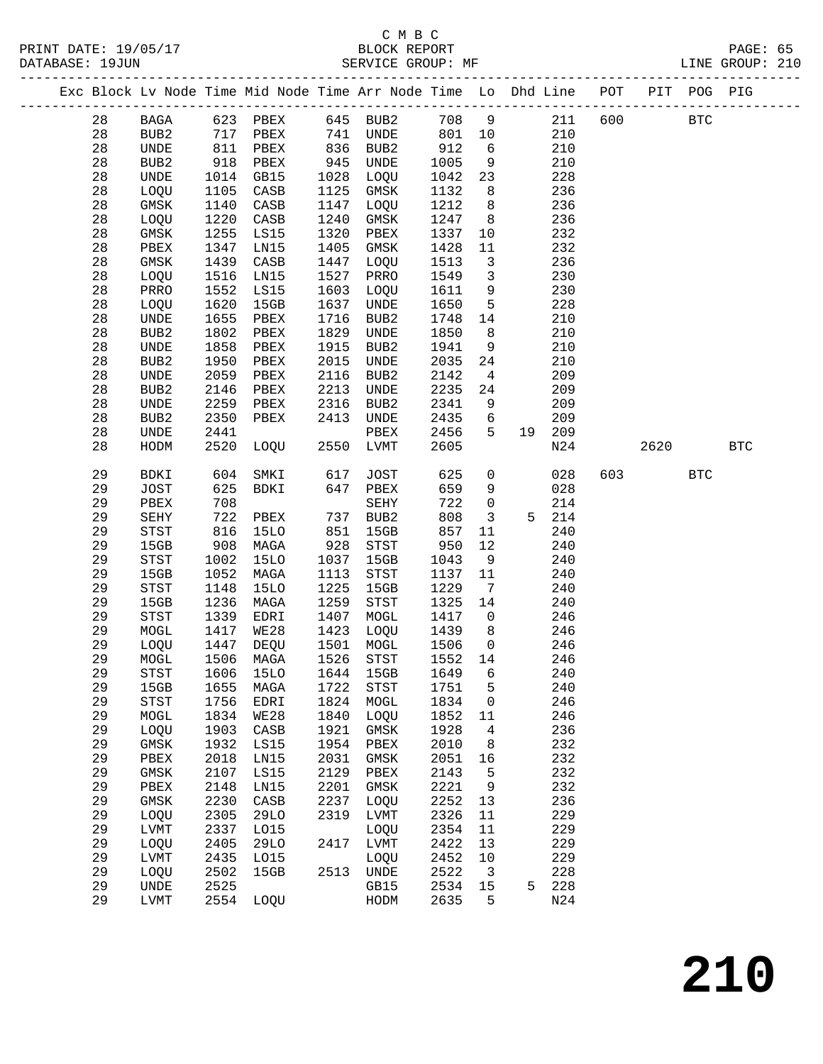|  |          |              |              | Exc Block Lv Node Time Mid Node Time Arr Node Time Lo Dhd Line POT |              |              |              |                              |    |              |     |      | PIT POG PIG |              |
|--|----------|--------------|--------------|--------------------------------------------------------------------|--------------|--------------|--------------|------------------------------|----|--------------|-----|------|-------------|--------------|
|  | 28       | BAGA         |              | 623 PBEX                                                           |              | 645 BUB2     | 708          | 9                            |    | 211          | 600 |      | <b>BTC</b>  |              |
|  | 28       | BUB2         | 717          | PBEX                                                               | 741          | UNDE         | 801          | 10                           |    | 210          |     |      |             |              |
|  | 28       | UNDE         | 811          | PBEX                                                               | 836          | BUB2         | 912          | 6                            |    | 210          |     |      |             |              |
|  | 28       | BUB2         | 918          | PBEX                                                               | 945          | UNDE         | 1005         | 9                            |    | 210          |     |      |             |              |
|  | 28       | UNDE         | 1014         | GB15                                                               | 1028         | LOQU         | 1042         | 23                           |    | 228          |     |      |             |              |
|  | 28       | LOQU         | 1105         | CASB                                                               | 1125         | GMSK         | 1132         | 8                            |    | 236          |     |      |             |              |
|  | 28       | $\rm{GMSK}$  | 1140         | CASB                                                               | 1147         | LOQU         | 1212         | 8                            |    | 236          |     |      |             |              |
|  | 28       | LOQU         | 1220         | $\mathtt{CASB}$                                                    | 1240         | GMSK         | 1247         | 8                            |    | 236          |     |      |             |              |
|  | 28       | GMSK         | 1255         | LS15                                                               | 1320         | PBEX         | 1337         | 10                           |    | 232          |     |      |             |              |
|  | 28       | PBEX         | 1347         | LN15                                                               | 1405         | GMSK         | 1428         | 11                           |    | 232          |     |      |             |              |
|  | 28       | GMSK         | 1439         | CASB                                                               | 1447         | LOQU         | 1513         | $\mathbf{3}$                 |    | 236          |     |      |             |              |
|  | 28       | LOQU         | 1516         | LN15                                                               | 1527         | PRRO         | 1549         | $\overline{3}$               |    | 230          |     |      |             |              |
|  | 28       | PRRO         | 1552         | LS15                                                               | 1603         | LOQU         | 1611         | 9                            |    | 230          |     |      |             |              |
|  | 28       | LOQU         | 1620         | 15GB                                                               | 1637         | UNDE         | 1650         | 5                            |    | 228          |     |      |             |              |
|  | 28       | UNDE         | 1655         | PBEX                                                               | 1716<br>1829 | BUB2         | 1748         | 14                           |    | 210          |     |      |             |              |
|  | 28<br>28 | BUB2<br>UNDE | 1802<br>1858 | PBEX<br>PBEX                                                       | 1915         | UNDE<br>BUB2 | 1850<br>1941 | 8<br>9                       |    | 210<br>210   |     |      |             |              |
|  | 28       | BUB2         | 1950         | PBEX                                                               | 2015         | UNDE         | 2035         | 24                           |    | 210          |     |      |             |              |
|  | 28       | UNDE         | 2059         | PBEX                                                               | 2116         | BUB2         | 2142         | $\overline{4}$               |    | 209          |     |      |             |              |
|  | 28       | BUB2         | 2146         | PBEX                                                               | 2213         | UNDE         | 2235         | 24                           |    | 209          |     |      |             |              |
|  | 28       | UNDE         | 2259         | PBEX                                                               | 2316         | BUB2         | 2341         | 9                            |    | 209          |     |      |             |              |
|  | 28       | BUB2         | 2350         | PBEX                                                               | 2413         | UNDE         | 2435         | 6                            |    | 209          |     |      |             |              |
|  | 28       | UNDE         | 2441         |                                                                    |              | PBEX         | 2456         | 5                            | 19 | 209          |     |      |             |              |
|  | 28       | HODM         | 2520         | LOQU                                                               | 2550         | LVMT         | 2605         |                              |    | N24          |     | 2620 |             | $_{\rm BTC}$ |
|  |          |              |              |                                                                    |              |              |              |                              |    |              |     |      |             |              |
|  | 29       | BDKI         | 604          | SMKI                                                               | 617          | JOST         | 625          | $\mathbf 0$                  |    | 028          | 603 |      | <b>BTC</b>  |              |
|  | 29       | <b>JOST</b>  | 625          | BDKI                                                               | 647          | PBEX         | 659          | 9                            |    | 028          |     |      |             |              |
|  | 29<br>29 | ${\tt PBEX}$ | 708<br>722   |                                                                    | 737          | SEHY         | 722<br>808   | $\mathsf{O}$<br>$\mathbf{3}$ |    | 214<br>5 214 |     |      |             |              |
|  | 29       | SEHY<br>STST | 816          | PBEX<br><b>15LO</b>                                                | 851          | BUB2<br>15GB | 857          | 11                           |    | 240          |     |      |             |              |
|  | 29       | 15GB         | 908          | MAGA                                                               | 928          | STST         | 950          | 12                           |    | 240          |     |      |             |              |
|  | 29       | STST         | 1002         | 15LO                                                               | 1037         | 15GB         | 1043         | 9                            |    | 240          |     |      |             |              |
|  | 29       | 15GB         | 1052         | MAGA                                                               | 1113         | STST         | 1137         | 11                           |    | 240          |     |      |             |              |
|  | 29       | <b>STST</b>  | 1148         | <b>15LO</b>                                                        | 1225         | 15GB         | 1229         | $7\phantom{.0}$              |    | 240          |     |      |             |              |
|  | 29       | 15GB         | 1236         | MAGA                                                               | 1259         | <b>STST</b>  | 1325         | 14                           |    | 240          |     |      |             |              |
|  | 29       | STST         | 1339         | EDRI                                                               | 1407         | MOGL         | 1417         | $\overline{0}$               |    | 246          |     |      |             |              |
|  | 29       | MOGL         | 1417         | WE28                                                               | 1423         | LOQU         | 1439         | 8 <sup>8</sup>               |    | 246          |     |      |             |              |
|  | 29       | LOQU         | 1447         | DEQU                                                               | 1501         | MOGL         | 1506         | $\overline{\mathbf{0}}$      |    | 246          |     |      |             |              |
|  | 29       | MOGL         |              | 1506 MAGA                                                          | 1526         | STST         | 1552 14      |                              |    | 246          |     |      |             |              |
|  | 29       |              |              | STST 1606 15LO 1644 15GB 1649 6                                    |              |              |              |                              |    | 240          |     |      |             |              |
|  | 29       | 15GB         | 1655         | MAGA                                                               | 1722         | <b>STST</b>  | 1751         | 5                            |    | 240          |     |      |             |              |
|  | 29       | STST         | 1756         | EDRI                                                               | 1824         | MOGL         | 1834         | 0                            |    | 246          |     |      |             |              |
|  | 29       | MOGL         | 1834         | WE28                                                               | 1840         | LOQU         | 1852         | 11                           |    | 246          |     |      |             |              |
|  | 29       | LOQU         | 1903         | CASB                                                               | 1921         | GMSK         | 1928         | 4                            |    | 236          |     |      |             |              |
|  | 29       | $\rm{GMSK}$  | 1932         | LS15                                                               | 1954         | ${\tt PBEX}$ | 2010         | 8                            |    | 232          |     |      |             |              |
|  | 29       | PBEX         | 2018         | LN15                                                               | 2031         | GMSK         | 2051         | 16                           |    | 232          |     |      |             |              |
|  | 29       | GMSK         | 2107         | LS15                                                               | 2129         | ${\tt PBEX}$ | 2143         | 5                            |    | 232          |     |      |             |              |
|  | 29       | PBEX         | 2148         | LN15                                                               | 2201         | GMSK         | 2221         | 9                            |    | 232          |     |      |             |              |
|  | 29<br>29 | $\rm{GMSK}$  | 2230         | $\mathtt{CASB}$<br><b>29LO</b>                                     | 2237         | LOQU         | 2252         | 13                           |    | 236<br>229   |     |      |             |              |
|  | 29       | LOQU<br>LVMT | 2305<br>2337 | L015                                                               | 2319         | LVMT<br>LOQU | 2326<br>2354 | 11<br>11                     |    | 229          |     |      |             |              |
|  | 29       | LOQU         | 2405         | <b>29LO</b>                                                        | 2417         | LVMT         | 2422         | 13                           |    | 229          |     |      |             |              |
|  | 29       | LVMT         | 2435         | L015                                                               |              | LOQU         | 2452         | 10                           |    | 229          |     |      |             |              |
|  | 29       | LOQU         | 2502         | 15GB                                                               | 2513         | UNDE         | 2522         | 3                            |    | 228          |     |      |             |              |
|  | 29       | UNDE         | 2525         |                                                                    |              | GB15         | 2534         | 15                           | 5  | 228          |     |      |             |              |
|  | 29       | LVMT         | 2554         | LOQU                                                               |              | HODM         | 2635         | 5                            |    | N24          |     |      |             |              |
|  |          |              |              |                                                                    |              |              |              |                              |    |              |     |      |             |              |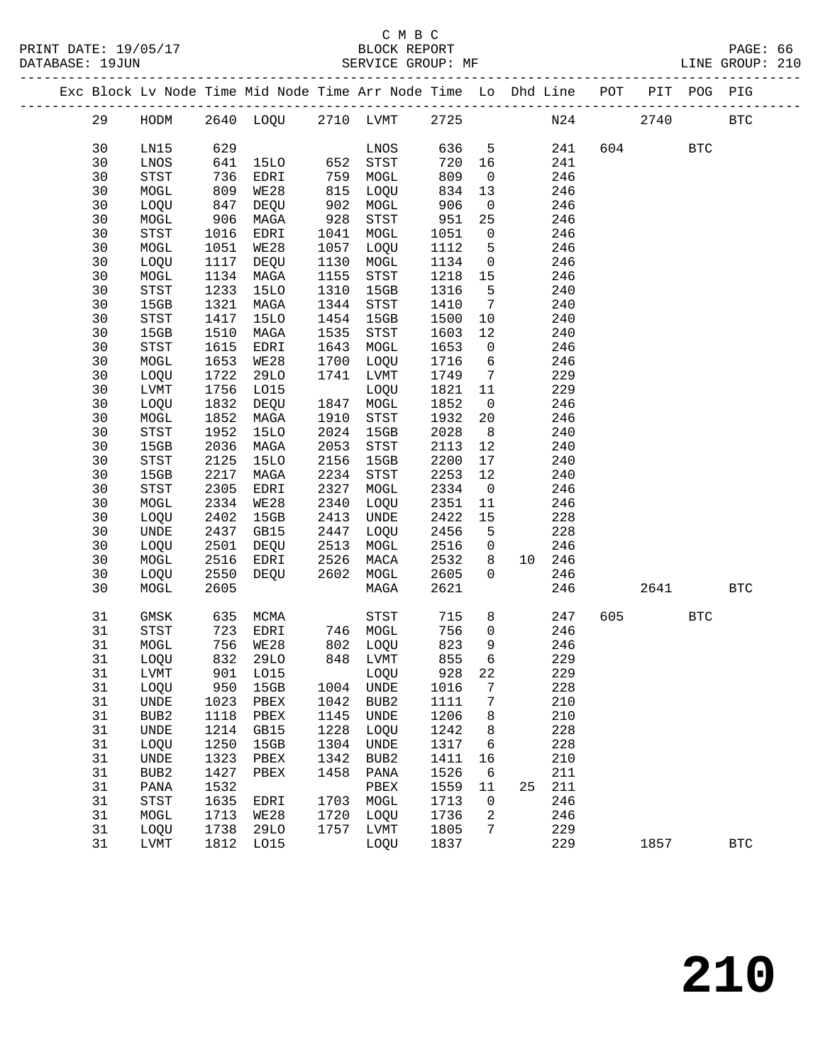|  |    |                                       |                   | Exc Block Lv Node Time Mid Node Time Arr Node Time Lo Dhd Line POT PIT POG PIG |                   |                      |        |                         |    |        |         |            |              |
|--|----|---------------------------------------|-------------------|--------------------------------------------------------------------------------|-------------------|----------------------|--------|-------------------------|----|--------|---------|------------|--------------|
|  | 29 |                                       |                   | HODM 2640 LOQU 2710 LVMT 2725                                                  |                   |                      |        |                         |    | N24    | 2740    |            | <b>BTC</b>   |
|  | 30 | LN15                                  | 629               |                                                                                |                   | LNOS                 | 636 5  |                         |    | 241    | 604 60  | <b>BTC</b> |              |
|  | 30 | LNOS                                  | 641               | 15LO 652                                                                       |                   | STST                 | 720    | 16                      |    | 241    |         |            |              |
|  | 30 | STST                                  |                   | EDRI                                                                           |                   | MOGL                 | 809    | $\overline{0}$          |    | 246    |         |            |              |
|  | 30 | MOGL                                  | 736<br>809<br>809 | WE28                                                                           | 759<br>815<br>815 | LOQU                 | 834    | 13                      |    | 246    |         |            |              |
|  | 30 | LOQU                                  | 847               | DEQU                                                                           | 902               | MOGL                 | 906    | $\overline{0}$          |    | 246    |         |            |              |
|  | 30 | MOGL                                  | 906               | MAGA                                                                           | 928               | STST                 | 951    | 25                      |    | 246    |         |            |              |
|  | 30 | STST                                  | 1016              | EDRI                                                                           | 1041              | MOGL                 | 1051   | $\overline{0}$          |    | 246    |         |            |              |
|  | 30 | MOGL                                  | 1051              | WE28                                                                           | 1057              | LOQU                 | 1112   | 5                       |    | 246    |         |            |              |
|  | 30 | LOQU                                  | 1117              | DEQU                                                                           | 1130              | MOGL                 | 1134   | $\overline{0}$          |    | 246    |         |            |              |
|  |    |                                       |                   |                                                                                | 1155              |                      |        |                         |    | 246    |         |            |              |
|  | 30 | MOGL                                  | 1134              | MAGA                                                                           |                   | STST                 | 1218   | 15                      |    |        |         |            |              |
|  | 30 | STST                                  | 1233              | 15LO                                                                           | 1310              | 15GB                 | 1316   | $-5$                    |    | 240    |         |            |              |
|  | 30 | 15GB                                  | 1321              | MAGA                                                                           | 1344              | STST                 | 1410   | $7\overline{ }$         |    | 240    |         |            |              |
|  | 30 | STST                                  | 1417              | 15LO                                                                           |                   | 1454 15GB            | 1500   | 10                      |    | 240    |         |            |              |
|  | 30 | 15GB                                  | 1510              | MAGA                                                                           | 1535              | STST                 | 1603   | 12                      |    | 240    |         |            |              |
|  | 30 | STST                                  | 1615              | EDRI                                                                           | 1643              | MOGL                 | 1653   | $\overline{0}$          |    | 246    |         |            |              |
|  | 30 | MOGL                                  | 1653              | WE28                                                                           | 1700              | LOQU                 | 1716   | $6\overline{6}$         |    | 246    |         |            |              |
|  | 30 | LOQU                                  | 1722              | 29LO                                                                           | 1741              | LVMT                 | 1749   | $\overline{7}$          |    | 229    |         |            |              |
|  | 30 | LVMT                                  | 1756              | LO15                                                                           |                   | LOQU                 | 1821   | 11                      |    | 229    |         |            |              |
|  | 30 | LOQU                                  | 1832              | DEQU                                                                           |                   | 1847 MOGL            | 1852   | $\overline{0}$          |    | 246    |         |            |              |
|  | 30 | MOGL                                  | 1852              | MAGA                                                                           | 1910              | STST                 | 1932   | 20                      |    | 246    |         |            |              |
|  | 30 | $_{\footnotesize\rm STST}$            | 1952              | 15LO                                                                           |                   | 2024 15GB            | 2028   | 8 <sup>8</sup>          |    | 240    |         |            |              |
|  | 30 | 15GB                                  | 2036              | MAGA                                                                           | 2053              | STST                 | 2113   | 12                      |    | 240    |         |            |              |
|  | 30 | $_{\footnotesize{\textnormal{STST}}}$ | 2125              | 15LO                                                                           | 2156              | 15GB                 | 2200   | 17                      |    | 240    |         |            |              |
|  | 30 | 15GB                                  | 2217              | MAGA                                                                           | 2234              | STST                 | 2253   | 12                      |    | 240    |         |            |              |
|  | 30 | STST                                  | 2305              | EDRI                                                                           | 2327              | MOGL                 | 2334   | $\overline{0}$          |    | 246    |         |            |              |
|  | 30 | MOGL                                  | 2334              | WE28                                                                           | 2340              | LOQU                 | 2351   | 11                      |    | 246    |         |            |              |
|  | 30 | LOQU                                  | 2402              | 15GB                                                                           | 2413              | UNDE                 | 2422   | 15                      |    | 228    |         |            |              |
|  | 30 | UNDE                                  | 2437              | GB15                                                                           | 2447              | LOQU                 | 2456   | $5^{\circ}$             |    | 228    |         |            |              |
|  | 30 | LOQU                                  | 2501              | DEQU                                                                           | 2513              | MOGL                 | 2516   | $\overline{\mathbf{0}}$ |    | 246    |         |            |              |
|  | 30 | MOGL                                  | 2516              | EDRI                                                                           | 2526              | MACA                 | 2532   | 8                       |    | 10 246 |         |            |              |
|  | 30 | LOQU                                  | 2550              | DEQU                                                                           | 2602              | MOGL                 | 2605   | $\Omega$                |    | 246    |         |            |              |
|  | 30 | MOGL                                  | 2605              |                                                                                |                   | MAGA                 | 2621   |                         |    | 246    | 2641    |            | <b>BTC</b>   |
|  |    |                                       |                   |                                                                                |                   |                      |        |                         |    |        |         |            |              |
|  | 31 | GMSK                                  | 635               | MCMA                                                                           |                   | STST                 | 715    | 8                       |    | 247    | 605 000 | <b>BTC</b> |              |
|  | 31 | STST                                  | 723               | EDRI                                                                           |                   | 746 MOGL             | 756    | $\overline{0}$          |    | 246    |         |            |              |
|  | 31 | MOGL                                  | 756               | WE28                                                                           |                   | 802 LOQU<br>848 TIME | 823    | 9                       |    | 246    |         |            |              |
|  | 31 | LOQU                                  | 832               | 29LO                                                                           |                   | 848 LVMT             | 855    | 6                       |    | 229    |         |            |              |
|  | 31 | LVMT                                  |                   | 901 LO15 LOQU                                                                  |                   |                      | 928 22 |                         |    | 229    |         |            |              |
|  | 31 | LOQU                                  | 950               | 15GB                                                                           | 1004              | UNDE                 | 1016   | 7                       |    | 228    |         |            |              |
|  | 31 | UNDE                                  | 1023              | PBEX                                                                           | 1042              | BUB2                 | 1111   | 7                       |    | 210    |         |            |              |
|  | 31 | BUB2                                  | 1118              | PBEX                                                                           | 1145              | UNDE                 | 1206   | 8                       |    | 210    |         |            |              |
|  | 31 | UNDE                                  | 1214              | GB15                                                                           | 1228              | LOQU                 | 1242   | 8                       |    | 228    |         |            |              |
|  | 31 | LOQU                                  | 1250              | 15GB                                                                           | 1304              | UNDE                 | 1317   | 6                       |    | 228    |         |            |              |
|  | 31 | UNDE                                  | 1323              | ${\tt PBEX}$                                                                   | 1342              | BUB <sub>2</sub>     | 1411   | 16                      |    | 210    |         |            |              |
|  | 31 | BUB2                                  | 1427              | PBEX                                                                           | 1458              | PANA                 | 1526   | 6                       |    | 211    |         |            |              |
|  | 31 | PANA                                  | 1532              |                                                                                |                   | PBEX                 | 1559   | 11                      | 25 | 211    |         |            |              |
|  | 31 | STST                                  | 1635              | EDRI                                                                           | 1703              | MOGL                 | 1713   | 0                       |    | 246    |         |            |              |
|  | 31 | MOGL                                  | 1713              | WE28                                                                           | 1720              | LOQU                 | 1736   | 2                       |    | 246    |         |            |              |
|  | 31 | LOQU                                  | 1738              | 29LO                                                                           | 1757              | LVMT                 | 1805   | 7                       |    | 229    |         |            |              |
|  | 31 | LVMT                                  | 1812              | L015                                                                           |                   | LOQU                 | 1837   |                         |    | 229    | 1857    |            | $_{\rm BTC}$ |
|  |    |                                       |                   |                                                                                |                   |                      |        |                         |    |        |         |            |              |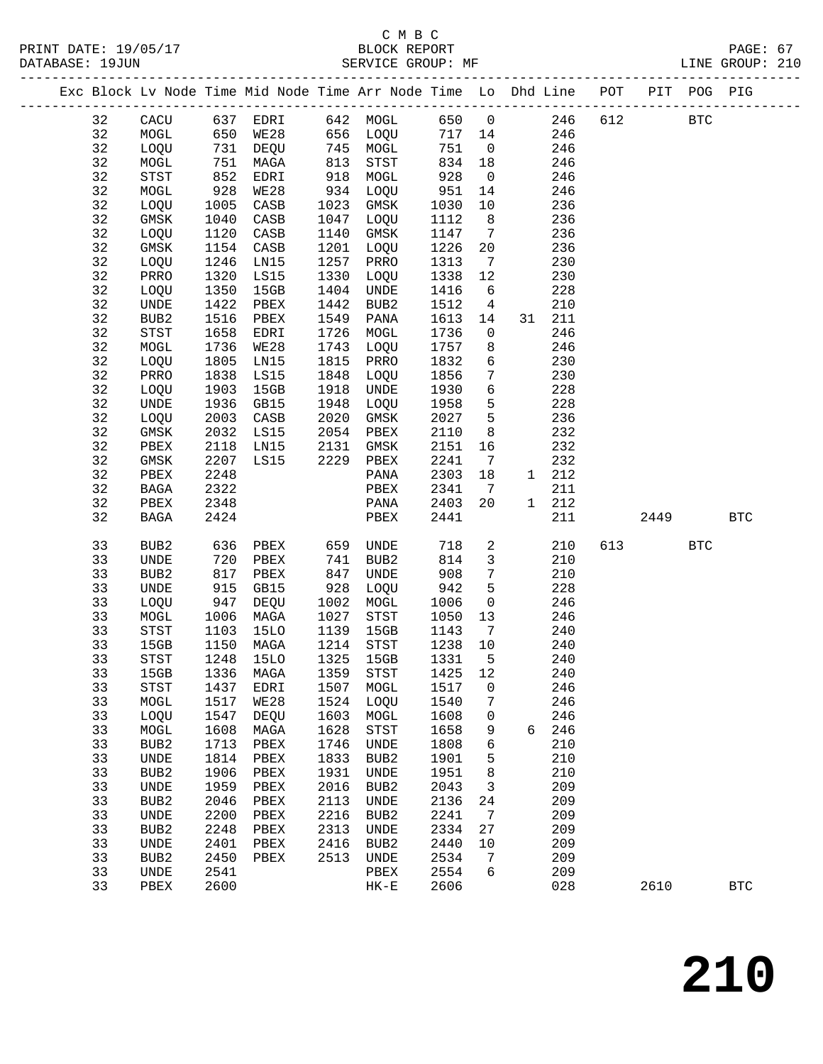|  |          |                                       |              | Exc Block Lv Node Time Mid Node Time Arr Node Time Lo Dhd Line POT |              |                                                                                                                                                                                                                                                                                                                                    |              |                         |            |     |      | PIT POG PIG  |              |
|--|----------|---------------------------------------|--------------|--------------------------------------------------------------------|--------------|------------------------------------------------------------------------------------------------------------------------------------------------------------------------------------------------------------------------------------------------------------------------------------------------------------------------------------|--------------|-------------------------|------------|-----|------|--------------|--------------|
|  | 32       | CACU                                  |              |                                                                    |              |                                                                                                                                                                                                                                                                                                                                    |              |                         | 246        | 612 |      | $_{\rm BTC}$ |              |
|  | 32       | MOGL                                  |              |                                                                    |              |                                                                                                                                                                                                                                                                                                                                    |              |                         | 246        |     |      |              |              |
|  | 32       | LOQU                                  |              | 731 DEQU                                                           |              | 745 MOGL                                                                                                                                                                                                                                                                                                                           | 751          | $\overline{0}$          | 246        |     |      |              |              |
|  | 32       | MOGL                                  | 751          | MAGA                                                               | 813          | STST                                                                                                                                                                                                                                                                                                                               | 834          | 18                      | 246        |     |      |              |              |
|  | 32       | STST                                  | 852<br>928   | EDRI                                                               | 918          | MOGL                                                                                                                                                                                                                                                                                                                               | 928          | $\overline{0}$          | 246        |     |      |              |              |
|  | 32       | MOGL                                  |              | WE28                                                               |              | $934 \begin{array}{r} 1000 \\ -0.000 \\ -0.000 \\ -0.000 \\ -0.000 \\ -0.000 \\ -0.000 \\ -0.000 \\ -0.000 \\ -0.000 \\ -0.000 \\ -0.000 \\ -0.000 \\ -0.000 \\ -0.000 \\ -0.000 \\ -0.000 \\ -0.000 \\ -0.000 \\ -0.000 \\ -0.000 \\ -0.000 \\ -0.000 \\ -0.000 \\ -0.000 \\ -0.000 \\ -0.000 \\ -0.000 \\ -0.000 \\ -0.000 \\ -$ | 951          | 14                      | 246        |     |      |              |              |
|  | 32       | LOQU                                  | 1005         | CASB                                                               | 1023         | GMSK                                                                                                                                                                                                                                                                                                                               | 1030         | 10                      | 236        |     |      |              |              |
|  | 32       | GMSK                                  | 1040         | CASB                                                               | 1047         | LOQU                                                                                                                                                                                                                                                                                                                               | 1112         | 8 <sup>8</sup>          | 236        |     |      |              |              |
|  | 32       | LOQU                                  | 1120         | CASB                                                               | 1140         | GMSK                                                                                                                                                                                                                                                                                                                               | 1147         | $\overline{7}$          | 236        |     |      |              |              |
|  | 32       | $\rm{GMSK}$                           | 1154         | CASB                                                               |              | 1201 LOQU                                                                                                                                                                                                                                                                                                                          | 1226         | 20                      | 236        |     |      |              |              |
|  | 32       | LOQU                                  | 1246         | LN15                                                               | 1257         | PRRO                                                                                                                                                                                                                                                                                                                               | 1313         | $\overline{7}$          | 230        |     |      |              |              |
|  | 32       | PRRO                                  | 1320         | LS15                                                               | 1330         | LOQU                                                                                                                                                                                                                                                                                                                               | 1338         | 12                      | 230        |     |      |              |              |
|  | 32       | LOQU                                  | 1350         | 15GB                                                               | 1404         | UNDE                                                                                                                                                                                                                                                                                                                               | 1416         | 6                       | 228        |     |      |              |              |
|  | 32       | $\ensuremath{\mathsf{UNDE}}$          | 1422         | PBEX                                                               | 1442         | BUB2                                                                                                                                                                                                                                                                                                                               | 1512         | $\overline{4}$          | 210        |     |      |              |              |
|  | 32       | BUB2                                  | 1516         | PBEX                                                               | 1549         | PANA                                                                                                                                                                                                                                                                                                                               | 1613         | 14                      | 31 211     |     |      |              |              |
|  | 32       | $_{\footnotesize{\textnormal{STST}}}$ | 1658         | EDRI                                                               | 1726         | MOGL                                                                                                                                                                                                                                                                                                                               | 1736         | $\overline{0}$          | 246        |     |      |              |              |
|  | 32<br>32 | MOGL                                  | 1736         | WE28<br>LN15                                                       | 1743<br>1815 | LOQU                                                                                                                                                                                                                                                                                                                               | 1757<br>1832 | 8<br>$6\overline{6}$    | 246<br>230 |     |      |              |              |
|  | 32       | LOQU<br>PRRO                          | 1805<br>1838 | LS15                                                               | 1848         | PRRO<br>LOQU                                                                                                                                                                                                                                                                                                                       | 1856         | $7\overline{ }$         | 230        |     |      |              |              |
|  | 32       | LOQU                                  | 1903         | 15GB                                                               | 1918         | UNDE                                                                                                                                                                                                                                                                                                                               | 1930         | $6\overline{6}$         | 228        |     |      |              |              |
|  | 32       | <b>UNDE</b>                           | 1936         | GB15                                                               | 1948         | LOQU                                                                                                                                                                                                                                                                                                                               | 1958         | 5                       | 228        |     |      |              |              |
|  | 32       | LOQU                                  | 2003         | CASB                                                               | 2020         | GMSK                                                                                                                                                                                                                                                                                                                               | 2027         | 5                       | 236        |     |      |              |              |
|  | 32       | GMSK                                  | 2032         | LS15                                                               |              | 2054 PBEX                                                                                                                                                                                                                                                                                                                          | 2110         | 8                       | 232        |     |      |              |              |
|  | 32       | PBEX                                  | 2118         | LN15                                                               | 2131         | GMSK                                                                                                                                                                                                                                                                                                                               | 2151         | 16                      | 232        |     |      |              |              |
|  | 32       | GMSK                                  | 2207         | LS15                                                               | 2229         | PBEX                                                                                                                                                                                                                                                                                                                               | 2241         | $\overline{7}$          | 232        |     |      |              |              |
|  | 32       | PBEX                                  | 2248         |                                                                    |              | PANA                                                                                                                                                                                                                                                                                                                               | 2303         | 18                      | 1 212      |     |      |              |              |
|  | 32       | BAGA                                  | 2322         |                                                                    |              | PBEX                                                                                                                                                                                                                                                                                                                               | 2341         | $\overline{7}$          | 211        |     |      |              |              |
|  | 32       | PBEX                                  | 2348         |                                                                    |              | PANA                                                                                                                                                                                                                                                                                                                               | 2403         | 20                      | 1 212      |     |      |              |              |
|  | 32       | BAGA                                  | 2424         |                                                                    |              | PBEX                                                                                                                                                                                                                                                                                                                               | 2441         |                         | 211        |     | 2449 |              | <b>BTC</b>   |
|  |          |                                       |              |                                                                    |              |                                                                                                                                                                                                                                                                                                                                    |              |                         |            |     |      |              |              |
|  | 33       | BUB2                                  | 636          | PBEX                                                               |              | 659 UNDE                                                                                                                                                                                                                                                                                                                           | 718          | $\overline{a}$          | 210        |     | 613  | <b>BTC</b>   |              |
|  | 33       | UNDE                                  | 720          | PBEX                                                               | 741          | BUB2                                                                                                                                                                                                                                                                                                                               | 814          | $\overline{\mathbf{3}}$ | 210        |     |      |              |              |
|  | 33       | BUB2                                  | 817          | PBEX                                                               | 847          | UNDE                                                                                                                                                                                                                                                                                                                               | 908          | $7\phantom{.0}$         | 210        |     |      |              |              |
|  | 33       | <b>UNDE</b>                           | 915          | GB15                                                               | 928          | LOQU                                                                                                                                                                                                                                                                                                                               | 942          | $5^{\circ}$             | 228        |     |      |              |              |
|  | 33<br>33 | LOQU                                  | 947          | DEQU                                                               | 1002<br>1027 | MOGL                                                                                                                                                                                                                                                                                                                               | 1006         | $\overline{0}$          | 246        |     |      |              |              |
|  | 33       | MOGL<br>STST                          | 1006<br>1103 | MAGA<br>15LO                                                       | 1139         | STST<br>15GB                                                                                                                                                                                                                                                                                                                       | 1050<br>1143 | 13<br>$\overline{7}$    | 246<br>240 |     |      |              |              |
|  | 33       | 15GB                                  | 1150         | MAGA                                                               |              | 1214 STST                                                                                                                                                                                                                                                                                                                          | 1238 10      |                         | 240        |     |      |              |              |
|  | 33       | STST                                  | 1248         | 15LO                                                               | 1325         | 15GB                                                                                                                                                                                                                                                                                                                               | 1331         | $5^{\circ}$             | 240        |     |      |              |              |
|  | 33       | 15GB                                  |              | 1336 MAGA 1359 STST                                                |              |                                                                                                                                                                                                                                                                                                                                    | 1425 12      |                         | 240        |     |      |              |              |
|  | 33       | STST                                  | 1437         | EDRI                                                               | 1507         | MOGL                                                                                                                                                                                                                                                                                                                               | 1517         | 0                       | 246        |     |      |              |              |
|  | 33       | MOGL                                  | 1517         | WE28                                                               | 1524         | LOQU                                                                                                                                                                                                                                                                                                                               | 1540         | 7                       | 246        |     |      |              |              |
|  | 33       | LOQU                                  | 1547         | DEQU                                                               | 1603         | MOGL                                                                                                                                                                                                                                                                                                                               | 1608         | 0                       | 246        |     |      |              |              |
|  | 33       | MOGL                                  | 1608         | MAGA                                                               | 1628         | STST                                                                                                                                                                                                                                                                                                                               | 1658         | 9                       | 6 246      |     |      |              |              |
|  | 33       | BUB2                                  | 1713         | PBEX                                                               | 1746         | UNDE                                                                                                                                                                                                                                                                                                                               | 1808         | 6                       | 210        |     |      |              |              |
|  | 33       | UNDE                                  | 1814         | PBEX                                                               | 1833         | BUB <sub>2</sub>                                                                                                                                                                                                                                                                                                                   | 1901         | 5                       | 210        |     |      |              |              |
|  | 33       | BUB <sub>2</sub>                      | 1906         | PBEX                                                               | 1931         | <b>UNDE</b>                                                                                                                                                                                                                                                                                                                        | 1951         | 8                       | 210        |     |      |              |              |
|  | 33       | $\ensuremath{\mathsf{UNDE}}$          | 1959         | PBEX                                                               | 2016         | BUB2                                                                                                                                                                                                                                                                                                                               | 2043         | 3                       | 209        |     |      |              |              |
|  | 33       | BUB <sub>2</sub>                      | 2046         | PBEX                                                               | 2113         | UNDE                                                                                                                                                                                                                                                                                                                               | 2136         | 24                      | 209        |     |      |              |              |
|  | 33       | UNDE                                  | 2200         | PBEX                                                               | 2216         | BUB <sub>2</sub>                                                                                                                                                                                                                                                                                                                   | 2241         | 7                       | 209        |     |      |              |              |
|  | 33       | BUB2                                  | 2248         | PBEX                                                               | 2313         | UNDE                                                                                                                                                                                                                                                                                                                               | 2334         | 27                      | 209        |     |      |              |              |
|  | 33       | UNDE                                  | 2401         | PBEX                                                               | 2416         | BUB2                                                                                                                                                                                                                                                                                                                               | 2440         | 10                      | 209        |     |      |              |              |
|  | 33       | BUB2                                  | 2450         | PBEX                                                               | 2513         | UNDE                                                                                                                                                                                                                                                                                                                               | 2534         | 7                       | 209        |     |      |              |              |
|  | 33       | UNDE                                  | 2541         |                                                                    |              | PBEX                                                                                                                                                                                                                                                                                                                               | 2554         | 6                       | 209        |     |      |              |              |
|  | 33       | PBEX                                  | 2600         |                                                                    |              | $HK-E$                                                                                                                                                                                                                                                                                                                             | 2606         |                         | 028        |     | 2610 |              | $_{\rm BTC}$ |
|  |          |                                       |              |                                                                    |              |                                                                                                                                                                                                                                                                                                                                    |              |                         |            |     |      |              |              |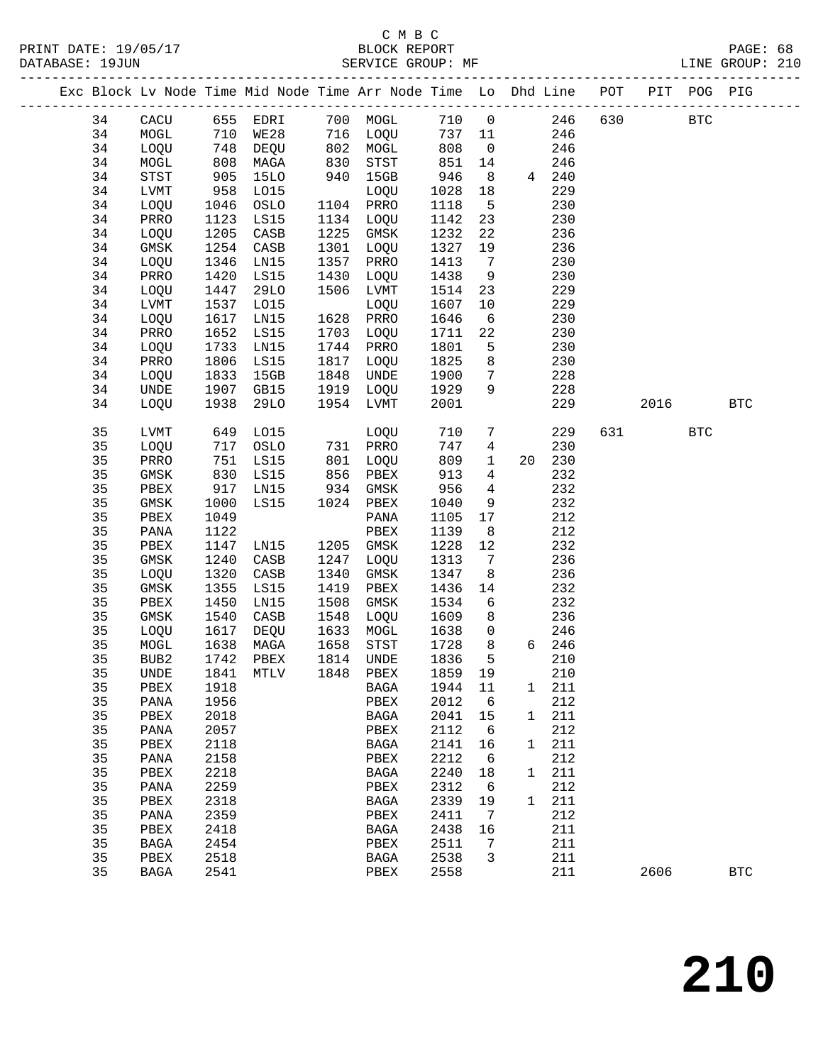|  |          |              |              | Exc Block Lv Node Time Mid Node Time Arr Node Time Lo Dhd Line POT PIT POG PIG |              |                                                                                                                                                                                                                               |              |                              |              |               |     |        |            |              |
|--|----------|--------------|--------------|--------------------------------------------------------------------------------|--------------|-------------------------------------------------------------------------------------------------------------------------------------------------------------------------------------------------------------------------------|--------------|------------------------------|--------------|---------------|-----|--------|------------|--------------|
|  | 34       | CACU         |              | 655 EDRI 700 MOGL                                                              |              |                                                                                                                                                                                                                               | 710 0        |                              |              | 246           | 630 |        | <b>BTC</b> |              |
|  | 34       | MOGL         | 710          | <b>WE28</b>                                                                    |              | 716 LOQU                                                                                                                                                                                                                      | 737 11       |                              |              | 246           |     |        |            |              |
|  | 34       | LOQU         | 748          | DEQU                                                                           |              | 802 MOGL                                                                                                                                                                                                                      | 808          | $\overline{0}$               |              | 246           |     |        |            |              |
|  | 34       | MOGL         | 808<br>905   | MAGA                                                                           | 830          | STST                                                                                                                                                                                                                          | 851          | 14                           |              | 246           |     |        |            |              |
|  | 34       | STST         |              | 15LO                                                                           | 940          | 15GB                                                                                                                                                                                                                          | 946          | 8 <sup>8</sup>               |              | 4 240         |     |        |            |              |
|  | 34       | LVMT         | 958          | L015                                                                           |              | LOQU                                                                                                                                                                                                                          | 1028         | 18                           |              | 229           |     |        |            |              |
|  | 34       | LOQU         | 1046         | OSLO                                                                           |              | 1104 PRRO                                                                                                                                                                                                                     | 1118         | $5^{\circ}$                  |              | 230           |     |        |            |              |
|  | 34       | PRRO         | 1123         | LS15                                                                           |              | 1134 LOQU                                                                                                                                                                                                                     | 1142         | 23                           |              | 230           |     |        |            |              |
|  | 34       | LOQU         | 1205         | CASB                                                                           | 1225         | GMSK                                                                                                                                                                                                                          | 1232         | 22                           |              | 236           |     |        |            |              |
|  | 34       | GMSK         | 1254         | CASB                                                                           | 1301         | LOQU                                                                                                                                                                                                                          | 1327         | 19                           |              | 236           |     |        |            |              |
|  | 34       | LOQU         | 1346         | LN15                                                                           | 1357         | PRRO                                                                                                                                                                                                                          | 1413         | $\overline{7}$               |              | 230           |     |        |            |              |
|  | 34       | PRRO         | 1420         | LS15                                                                           | 1430         | LOQU                                                                                                                                                                                                                          | 1438         | 9                            |              | 230           |     |        |            |              |
|  | 34       | LOQU         | 1447         | 29LO                                                                           | 1506         | LVMT                                                                                                                                                                                                                          | 1514         | 23                           |              | 229           |     |        |            |              |
|  | 34       | LVMT         | 1537         | L015                                                                           |              | LOQU                                                                                                                                                                                                                          | 1607         | 10                           |              | 229           |     |        |            |              |
|  | 34       | LOQU         | 1617         | LN15                                                                           |              | 1628 PRRO                                                                                                                                                                                                                     | 1646         | $6\overline{6}$              |              | 230           |     |        |            |              |
|  | 34       | PRRO         | 1652         | LS15                                                                           |              | 1703 LOQU                                                                                                                                                                                                                     | 1711         | 22                           |              | 230           |     |        |            |              |
|  | 34       | LOQU         | 1733         | LN15                                                                           |              | 1744 PRRO                                                                                                                                                                                                                     | 1801         | 5                            |              | 230           |     |        |            |              |
|  | 34       | PRRO         | 1806         | LS15                                                                           |              | 1817 LOQU                                                                                                                                                                                                                     | 1825         | 8 <sup>8</sup>               |              | 230           |     |        |            |              |
|  | 34       | LOQU         | 1833         | 15GB                                                                           | 1848         | UNDE                                                                                                                                                                                                                          | 1900         | $7\overline{ }$              |              | 228           |     |        |            |              |
|  | 34       | UNDE         | 1907         | GB15                                                                           | 1919         | LOQU                                                                                                                                                                                                                          | 1929         | 9                            |              | 228           |     |        |            |              |
|  | 34       | LOQU         | 1938         | 29LO                                                                           |              | 1954 LVMT                                                                                                                                                                                                                     | 2001         |                              |              | 229           |     | 2016   |            | $_{\rm BTC}$ |
|  | 35       | LVMT         | 649          | L015                                                                           |              | LOQU                                                                                                                                                                                                                          | 710          | $7\overline{ }$              |              | 229           |     | 631 63 | <b>BTC</b> |              |
|  | 35       | LOQU         | 717          | OSLO                                                                           |              | 731 PRRO                                                                                                                                                                                                                      | 747          | $\overline{4}$               |              | 230           |     |        |            |              |
|  | 35       | PRRO         | 751          | LS15                                                                           | 801          | LOQU                                                                                                                                                                                                                          | 809          | $\mathbf{1}$                 |              | 20 230        |     |        |            |              |
|  | 35       | $\rm{GMSK}$  | 830          | LS15                                                                           |              | $856$ $856$ $856$ $856$ $856$ $856$ $856$ $856$ $856$ $856$ $856$ $856$ $856$ $856$ $856$ $856$ $856$ $856$ $856$ $856$ $856$ $856$ $856$ $856$ $856$ $856$ $856$ $856$ $856$ $856$ $856$ $856$ $856$ $856$ $856$ $856$ $856$ | 913          | $\overline{4}$               |              | 232           |     |        |            |              |
|  | 35       | PBEX         | 917          | LN15                                                                           |              | 934 GMSK                                                                                                                                                                                                                      | 956          | $\overline{4}$               |              | 232           |     |        |            |              |
|  | 35       | GMSK         | 1000         | LS15                                                                           |              | 1024 PBEX                                                                                                                                                                                                                     | 1040         | 9                            |              | 232           |     |        |            |              |
|  | 35       | PBEX         | 1049         |                                                                                |              | PANA                                                                                                                                                                                                                          | 1105         | 17                           |              | 212           |     |        |            |              |
|  | 35       | PANA         | 1122         |                                                                                |              | PBEX                                                                                                                                                                                                                          | 1139         | 8 <sup>8</sup>               |              | 212           |     |        |            |              |
|  | 35       | PBEX         | 1147         | LN15                                                                           |              | 1205 GMSK                                                                                                                                                                                                                     | 1228         | 12                           |              | 232           |     |        |            |              |
|  | 35       | GMSK         | 1240         | CASB                                                                           | 1247         | LOQU                                                                                                                                                                                                                          | 1313         | $7\phantom{.0}\phantom{.0}7$ |              | 236           |     |        |            |              |
|  | 35       | LOQU         | 1320         | CASB                                                                           | 1340         | GMSK                                                                                                                                                                                                                          | 1347         | 8 <sup>8</sup>               |              | 236           |     |        |            |              |
|  | 35<br>35 | GMSK         | 1355         | LS15                                                                           | 1419<br>1508 | PBEX                                                                                                                                                                                                                          | 1436         | 14<br>$6\overline{6}$        |              | 232<br>232    |     |        |            |              |
|  | 35       | PBEX<br>GMSK | 1450<br>1540 | LN15<br>CASB                                                                   | 1548         | GMSK<br>LOQU                                                                                                                                                                                                                  | 1534<br>1609 | 8                            |              | 236           |     |        |            |              |
|  | 35       | LOQU         | 1617         | DEQU                                                                           | 1633         | MOGL                                                                                                                                                                                                                          | 1638         | $\mathsf{O}$                 |              | 246           |     |        |            |              |
|  | 35       | MOGL         | 1638         | MAGA                                                                           | 1658         | STST                                                                                                                                                                                                                          | 1728         | 8 <sup>8</sup>               |              | 6 246         |     |        |            |              |
|  | 35       | BUB2         | 1742         | PBEX                                                                           |              | 1814 UNDE                                                                                                                                                                                                                     | 1836         | 5                            |              | 210           |     |        |            |              |
|  | 35       | UNDE         |              | 1841 MTLV 1848 PBEX 1859 19                                                    |              |                                                                                                                                                                                                                               |              |                              |              | 210           |     |        |            |              |
|  | 35       | PBEX         | 1918         |                                                                                |              | BAGA                                                                                                                                                                                                                          | 1944         | 11                           |              | 1 211         |     |        |            |              |
|  | 35       | PANA         | 1956         |                                                                                |              | PBEX                                                                                                                                                                                                                          | 2012         | 6                            |              | 212           |     |        |            |              |
|  | 35       | PBEX         | 2018         |                                                                                |              | <b>BAGA</b>                                                                                                                                                                                                                   | 2041         | 15                           |              | $1 211$       |     |        |            |              |
|  | 35       | PANA         | 2057         |                                                                                |              | PBEX                                                                                                                                                                                                                          | 2112         | 6                            |              | 212           |     |        |            |              |
|  | 35       | PBEX         | 2118         |                                                                                |              | BAGA                                                                                                                                                                                                                          | 2141         | 16                           | $\mathbf{1}$ | 211           |     |        |            |              |
|  | 35       | PANA         | 2158         |                                                                                |              | PBEX                                                                                                                                                                                                                          | 2212         | - 6                          |              | 212           |     |        |            |              |
|  | 35       | PBEX         | 2218         |                                                                                |              | <b>BAGA</b>                                                                                                                                                                                                                   | 2240         | 18                           |              | $1 \quad 211$ |     |        |            |              |
|  | 35       | PANA         | 2259         |                                                                                |              | PBEX                                                                                                                                                                                                                          | 2312         | $6\overline{6}$              |              | 212           |     |        |            |              |
|  | 35       | PBEX         | 2318         |                                                                                |              | <b>BAGA</b>                                                                                                                                                                                                                   | 2339         | 19                           |              | $1 \quad 211$ |     |        |            |              |
|  | 35       | PANA         | 2359         |                                                                                |              | PBEX                                                                                                                                                                                                                          | 2411         | 7                            |              | 212           |     |        |            |              |
|  | 35       | PBEX         | 2418         |                                                                                |              | <b>BAGA</b>                                                                                                                                                                                                                   | 2438         | 16                           |              | 211           |     |        |            |              |
|  | 35       | BAGA         | 2454         |                                                                                |              | PBEX                                                                                                                                                                                                                          | 2511         | $7\phantom{.0}$              |              | 211           |     |        |            |              |
|  | 35       | PBEX         | 2518         |                                                                                |              | <b>BAGA</b>                                                                                                                                                                                                                   | 2538         | 3                            |              | 211           |     |        |            |              |
|  | 35       | BAGA         | 2541         |                                                                                |              | PBEX                                                                                                                                                                                                                          | 2558         |                              |              | 211           |     | 2606   |            | $_{\rm BTC}$ |
|  |          |              |              |                                                                                |              |                                                                                                                                                                                                                               |              |                              |              |               |     |        |            |              |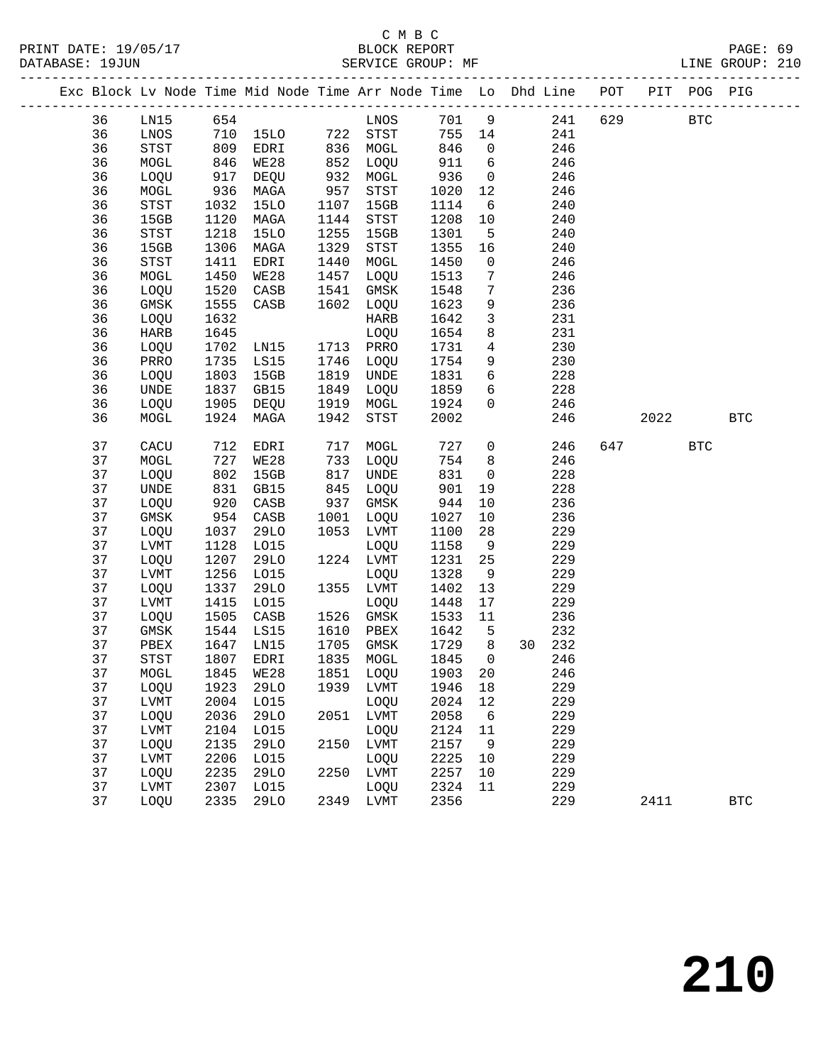### C M B C

|  | DATABASE: 19JUN |              |                          | SERVICE GROUP: MF |      |            |              |                 |                                                                                |             |      |            | LINE GROUP: 210 |  |
|--|-----------------|--------------|--------------------------|-------------------|------|------------|--------------|-----------------|--------------------------------------------------------------------------------|-------------|------|------------|-----------------|--|
|  |                 |              |                          |                   |      |            |              |                 | Exc Block Lv Node Time Mid Node Time Arr Node Time Lo Dhd Line POT PIT POG PIG |             |      |            |                 |  |
|  | 36              |              |                          | LN15 654          |      | LNOS 701 9 |              |                 |                                                                                | 241 629 BTC |      |            |                 |  |
|  | 36              | LNOS         |                          | 710 15LO 722 STST |      |            | 755 14       |                 | 241                                                                            |             |      |            |                 |  |
|  | 36              | STST         | 809<br>809<br>846<br>917 | EDRI              |      | 836 MOGL   | 846          | $\overline{0}$  | 246                                                                            |             |      |            |                 |  |
|  | 36              | MOGL         |                          | WE28              |      | 852 LOQU   | 911          | 6               | 246                                                                            |             |      |            |                 |  |
|  | 36              | LOQU         |                          | DEQU              |      | 932 MOGL   | 936          | $\overline{0}$  | 246                                                                            |             |      |            |                 |  |
|  | 36              | MOGL         | 936                      | MAGA              | 957  | STST       | 1020         | 12              | 246                                                                            |             |      |            |                 |  |
|  | 36              | STST         | 1032                     | 15LO              | 1107 | 15GB       | 1114         | 6               | 240                                                                            |             |      |            |                 |  |
|  | 36              | 15GB         | 1120                     | MAGA              | 1144 | STST       | 1208         | 10              | 240                                                                            |             |      |            |                 |  |
|  | 36              | STST         | 1218                     | 15LO              | 1255 | 15GB       | 1301         | $5^{\circ}$     | 240                                                                            |             |      |            |                 |  |
|  | 36              | 15GB         | 1306                     | MAGA              | 1329 | STST       | 1355         | 16              | 240                                                                            |             |      |            |                 |  |
|  | 36              | STST         | 1411                     | EDRI              | 1440 | MOGL       | 1450         | $\mathsf{O}$    | 246                                                                            |             |      |            |                 |  |
|  | 36              | MOGL         | 1450                     | WE28              | 1457 | LOQU       | 1513         | $7\phantom{.0}$ | 246                                                                            |             |      |            |                 |  |
|  | 36              | LOQU         | 1520                     | CASB              | 1541 | GMSK       | 1548         | $7\phantom{.0}$ | 236                                                                            |             |      |            |                 |  |
|  | 36              | GMSK         | 1555                     | CASB              | 1602 | LOQU       | 1623         | 9               | 236                                                                            |             |      |            |                 |  |
|  | 36              | LOQU         | 1632                     |                   |      | HARB       | 1642         | $\mathbf{3}$    | 231                                                                            |             |      |            |                 |  |
|  | 36              | HARB         | 1645                     |                   |      | LOQU       | 1654         | 8               | 231                                                                            |             |      |            |                 |  |
|  | 36              | LOQU         | 1702                     | LNI5              |      | 1713 PRRO  | 1731         | $\overline{4}$  | 230                                                                            |             |      |            |                 |  |
|  | 36              | PRRO         | 1735                     | LS15              | 1746 | LOQU       | 1754         | 9               | 230                                                                            |             |      |            |                 |  |
|  | 36              | LOQU         | 1803                     | 15GB              | 1819 | UNDE       | 1831         | 6               | 228                                                                            |             |      |            |                 |  |
|  | 36              | UNDE         | 1837                     | GB15              | 1849 | LOQU       | 1859         | 6               | 228                                                                            |             |      |            |                 |  |
|  | 36              | LOQU         | 1905                     | DEQU              | 1919 | MOGL       | 1924         | $\overline{0}$  | 246                                                                            |             |      |            |                 |  |
|  | 36              | MOGL         | 1924                     | MAGA              | 1942 | STST       | 2002         |                 | 246                                                                            |             | 2022 |            | <b>BTC</b>      |  |
|  | 37              | CACU         | 712                      | EDRI              | 717  | MOGL       | 727          | $\mathsf{O}$    | 246                                                                            |             | 647  | <b>BTC</b> |                 |  |
|  | 37              | MOGL         | 727                      | WE28              | 733  | LOQU       | 754          | 8 <sup>8</sup>  | 246                                                                            |             |      |            |                 |  |
|  | 37              | LOQU         | 802                      | 15GB              | 817  | UNDE       | 831          | $\overline{0}$  | 228                                                                            |             |      |            |                 |  |
|  | 37              | UNDE         | 831                      | GB15              | 845  | LOQU       | 901          | 19              | 228                                                                            |             |      |            |                 |  |
|  | 37              | LOQU         | 920                      | CASB              | 937  | GMSK       | 944          | 10              | 236                                                                            |             |      |            |                 |  |
|  | 37              | GMSK         | 954                      | CASB              | 1001 | LOQU       | 1027         | 10              | 236                                                                            |             |      |            |                 |  |
|  | 37              | LOQU         | 1037                     | 29LO              |      | 1053 LVMT  | 1100         | 28              | 229                                                                            |             |      |            |                 |  |
|  | 37              | LVMT         | 1128                     | L015              |      | LOQU       | 1158         | 9               | 229                                                                            |             |      |            |                 |  |
|  | 37              | LOQU         | 1207                     | 29LO              |      | 1224 LVMT  | 1231         | 25              | 229                                                                            |             |      |            |                 |  |
|  | 37              | LVMT         | 1256                     | L015              |      | LOQU       | 1328         | 9               | 229                                                                            |             |      |            |                 |  |
|  | 37              | LOQU         | 1337                     | 29LO              |      | 1355 LVMT  | 1402         | 13              | 229                                                                            |             |      |            |                 |  |
|  | 37              | LVMT         | 1415                     | L015              |      | LOQU       | 1448         | 17              | 229                                                                            |             |      |            |                 |  |
|  | 37              | LOQU         | 1505                     | CASB              |      | 1526 GMSK  | 1533         | 11              | 236                                                                            |             |      |            |                 |  |
|  | 37              | GMSK         | 1544<br>1647             | LS15              |      | 1610 PBEX  | 1642         | $5^{\circ}$     | 232                                                                            |             |      |            |                 |  |
|  | 37              | PBEX         |                          | 1647 LN15         |      | 1705 GMSK  | 1729         | 8 <sup>8</sup>  | 30 232                                                                         |             |      |            |                 |  |
|  | 37              | STST         |                          |                   |      |            |              |                 | 1807 EDRI 1835 MOGL 1845 0 246                                                 |             |      |            |                 |  |
|  | 37              | MOGL         | 1845                     | WE28              | 1851 | LOQU       | 1903         | 20              | 246                                                                            |             |      |            |                 |  |
|  | 37              | LOQU         | 1923                     | 29LO              | 1939 | LVMT       | 1946         | 18              | 229                                                                            |             |      |            |                 |  |
|  | 37              | ${\rm LVMT}$ | 2004                     | L015              |      | LOQU       | 2024         | 12              | 229                                                                            |             |      |            |                 |  |
|  | 37              | LOQU         | 2036                     | 29LO              | 2051 | LVMT       | 2058         | 6               | 229                                                                            |             |      |            |                 |  |
|  | 37              | LVMT         | 2104                     | L015              |      | LOQU       | 2124         | 11              | 229                                                                            |             |      |            |                 |  |
|  | 37              | LOQU         | 2135                     | 29LO              | 2150 | LVMT       | 2157         | 9               | 229                                                                            |             |      |            |                 |  |
|  | 37              | LVMT         | 2206                     | L015              |      | LOQU       | 2225         | 10              | 229                                                                            |             |      |            |                 |  |
|  | 37              | LOQU         | 2235                     | <b>29LO</b>       | 2250 | LVMT       | 2257         | 10              | 229                                                                            |             |      |            |                 |  |
|  | 37<br>37        | LVMT         | 2307<br>2335             | L015              | 2349 | LOQU       | 2324<br>2356 | 11              | 229<br>229                                                                     |             | 2411 |            | <b>BTC</b>      |  |
|  |                 | LOQU         |                          | 29LO              |      | LVMT       |              |                 |                                                                                |             |      |            |                 |  |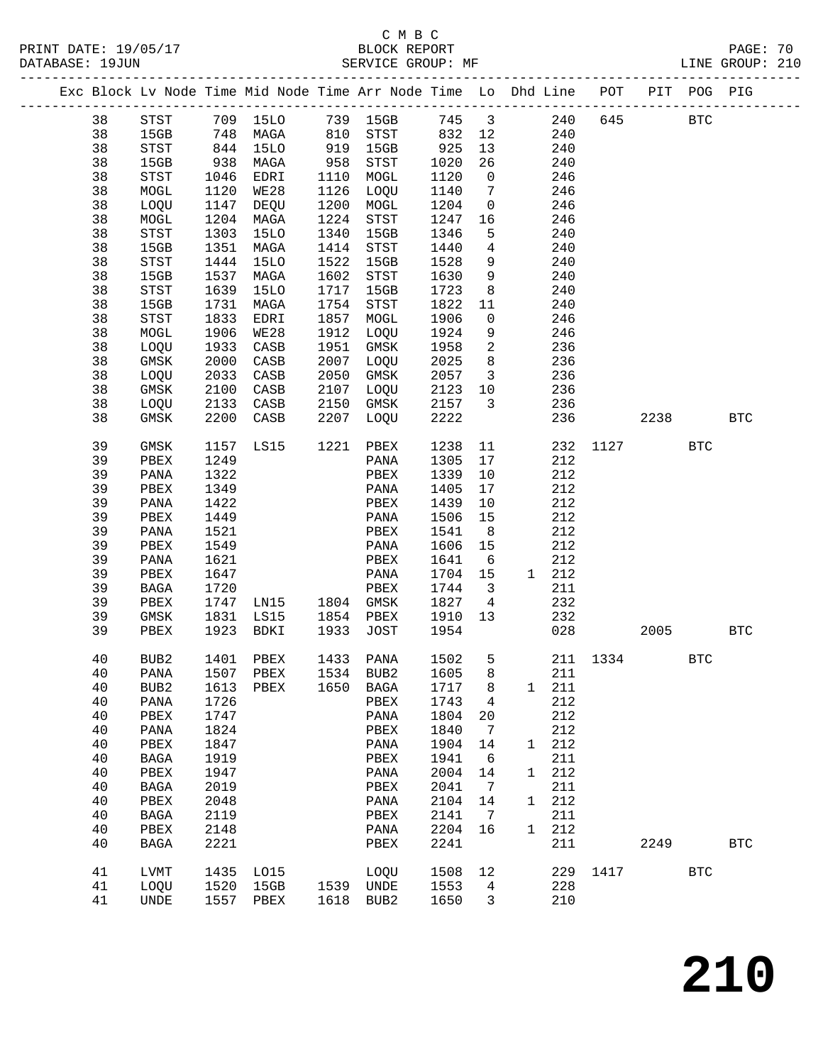PRINT DATE: 19/05/17 BLOCK REPORT<br>DATABASE: 19JUN BATABASE: 19JUN

## C M B C

PAGE: 70<br>LINE GROUP: 210

|  |      |                  |      | --------------------------<br>Exc Block Lv Node Time Mid Node Time Arr Node Time Lo Dhd Line POT |      |             |      |                         |   |       | ------------------------- |      | PIT POG PIG |              |
|--|------|------------------|------|--------------------------------------------------------------------------------------------------|------|-------------|------|-------------------------|---|-------|---------------------------|------|-------------|--------------|
|  | 38   | STST             |      | 709 15LO                                                                                         |      | 739 15GB    | 745  | $\overline{\mathbf{3}}$ |   | 240   | 645                       |      | <b>BTC</b>  |              |
|  | 38   | 15GB             | 748  | MAGA                                                                                             | 810  | STST        | 832  | 12                      |   | 240   |                           |      |             |              |
|  | 38   | STST             | 844  | 15LO                                                                                             | 919  | 15GB        | 925  | 13                      |   | 240   |                           |      |             |              |
|  | 38   | 15GB             | 938  | MAGA                                                                                             | 958  | STST        | 1020 | 26                      |   | 240   |                           |      |             |              |
|  | 38   | STST             | 1046 | EDRI                                                                                             | 1110 | MOGL        | 1120 | $\overline{0}$          |   | 246   |                           |      |             |              |
|  |      |                  |      |                                                                                                  | 1126 |             |      | $\overline{7}$          |   |       |                           |      |             |              |
|  | 38   | MOGL             | 1120 | WE28                                                                                             |      | LOQU        | 1140 |                         |   | 246   |                           |      |             |              |
|  | 38   | LOQU             | 1147 | DEQU                                                                                             | 1200 | MOGL        | 1204 | $\overline{0}$          |   | 246   |                           |      |             |              |
|  | 38   | MOGL             | 1204 | MAGA                                                                                             | 1224 | STST        | 1247 | 16                      |   | 246   |                           |      |             |              |
|  | 38   | STST             | 1303 | <b>15LO</b>                                                                                      | 1340 | 15GB        | 1346 | 5                       |   | 240   |                           |      |             |              |
|  | 38   | 15GB             | 1351 | MAGA                                                                                             | 1414 | STST        | 1440 | $4\overline{ }$         |   | 240   |                           |      |             |              |
|  | 38   | STST             | 1444 | <b>15LO</b>                                                                                      | 1522 | 15GB        | 1528 | 9                       |   | 240   |                           |      |             |              |
|  | 38   | 15GB             | 1537 | MAGA                                                                                             | 1602 | STST        | 1630 | 9                       |   | 240   |                           |      |             |              |
|  | 38   | STST             | 1639 | 15LO                                                                                             | 1717 | 15GB        | 1723 | 8 <sup>8</sup>          |   | 240   |                           |      |             |              |
|  | 38   | 15GB             | 1731 | MAGA                                                                                             | 1754 | STST        | 1822 | 11                      |   | 240   |                           |      |             |              |
|  | 38   | STST             | 1833 | EDRI                                                                                             | 1857 | MOGL        | 1906 | $\mathsf{O}$            |   | 246   |                           |      |             |              |
|  | 38   | MOGL             | 1906 | WE28                                                                                             | 1912 | LOQU        | 1924 | 9                       |   | 246   |                           |      |             |              |
|  | 38   | LOQU             | 1933 | CASB                                                                                             | 1951 | GMSK        | 1958 | $\overline{a}$          |   | 236   |                           |      |             |              |
|  | 38   | GMSK             | 2000 | CASB                                                                                             | 2007 | LOQU        | 2025 | 8                       |   | 236   |                           |      |             |              |
|  | 38   | LOQU             | 2033 | CASB                                                                                             | 2050 | GMSK        | 2057 | $\overline{\mathbf{3}}$ |   | 236   |                           |      |             |              |
|  | 38   | GMSK             | 2100 | CASB                                                                                             | 2107 | LOQU        | 2123 | 10                      |   | 236   |                           |      |             |              |
|  | 38   | LOQU             | 2133 | CASB                                                                                             | 2150 | GMSK        | 2157 | $\overline{\mathbf{3}}$ |   | 236   |                           |      |             |              |
|  | 38   | GMSK             | 2200 | CASB                                                                                             | 2207 | LOQU        | 2222 |                         |   | 236   |                           | 2238 |             | <b>BTC</b>   |
|  | 39   | GMSK             | 1157 | LS15                                                                                             | 1221 | PBEX        | 1238 | 11                      |   | 232   | 1127                      |      | BTC         |              |
|  | 39   | PBEX             | 1249 |                                                                                                  |      | PANA        | 1305 | 17                      |   | 212   |                           |      |             |              |
|  | 39   | PANA             | 1322 |                                                                                                  |      | PBEX        | 1339 | 10                      |   | 212   |                           |      |             |              |
|  | 39   | PBEX             | 1349 |                                                                                                  |      | PANA        | 1405 | 17                      |   | 212   |                           |      |             |              |
|  | 39   | PANA             | 1422 |                                                                                                  |      | PBEX        | 1439 | 10                      |   | 212   |                           |      |             |              |
|  | 39   | PBEX             | 1449 |                                                                                                  |      | PANA        | 1506 | 15                      |   | 212   |                           |      |             |              |
|  | 39   | PANA             | 1521 |                                                                                                  |      | PBEX        | 1541 | 8 <sup>8</sup>          |   | 212   |                           |      |             |              |
|  | 39   | PBEX             | 1549 |                                                                                                  |      | PANA        | 1606 | 15                      |   | 212   |                           |      |             |              |
|  | 39   | PANA             | 1621 |                                                                                                  |      | PBEX        | 1641 | 6                       |   | 212   |                           |      |             |              |
|  | 39   | PBEX             | 1647 |                                                                                                  |      | PANA        | 1704 | 15                      |   | 1 212 |                           |      |             |              |
|  | 39   | BAGA             | 1720 |                                                                                                  |      | PBEX        | 1744 | $\overline{\mathbf{3}}$ |   | 211   |                           |      |             |              |
|  | 39   | PBEX             | 1747 | LNI5                                                                                             |      | 1804 GMSK   | 1827 | $\overline{4}$          |   | 232   |                           |      |             |              |
|  | 39   | GMSK             | 1831 | LS15                                                                                             | 1854 | PBEX        | 1910 | 13                      |   | 232   |                           |      |             |              |
|  | 39   | PBEX             | 1923 | BDKI                                                                                             | 1933 | JOST        | 1954 |                         |   | 028   |                           | 2005 |             | <b>BTC</b>   |
|  |      |                  |      |                                                                                                  |      |             |      |                         |   |       |                           |      |             |              |
|  | 40   | BUB <sub>2</sub> | 1401 | PBEX                                                                                             | 1433 | PANA        | 1502 | 5                       |   |       | 211 1334                  |      | <b>BTC</b>  |              |
|  | $40$ | PANA             | 1507 | PBEX                                                                                             | 1534 | BUB2        | 1605 | 8                       |   | 211   |                           |      |             |              |
|  | 40   | BUB <sub>2</sub> | 1613 | PBEX                                                                                             | 1650 | <b>BAGA</b> | 1717 | 8                       | 1 | 211   |                           |      |             |              |
|  | 40   | PANA             | 1726 |                                                                                                  |      | PBEX        | 1743 | 4                       |   | 212   |                           |      |             |              |
|  | 40   | PBEX             | 1747 |                                                                                                  |      | PANA        | 1804 | 20                      |   | 212   |                           |      |             |              |
|  | 40   | PANA             | 1824 |                                                                                                  |      | PBEX        | 1840 | 7                       |   | 212   |                           |      |             |              |
|  | 40   | PBEX             | 1847 |                                                                                                  |      | PANA        | 1904 | 14                      | 1 | 212   |                           |      |             |              |
|  | 40   | <b>BAGA</b>      | 1919 |                                                                                                  |      | PBEX        | 1941 | 6                       |   | 211   |                           |      |             |              |
|  | 40   | PBEX             | 1947 |                                                                                                  |      | PANA        | 2004 | 14                      | 1 | 212   |                           |      |             |              |
|  | 40   | <b>BAGA</b>      | 2019 |                                                                                                  |      | PBEX        | 2041 | 7                       |   | 211   |                           |      |             |              |
|  | 40   | PBEX             | 2048 |                                                                                                  |      | PANA        | 2104 | 14                      | 1 | 212   |                           |      |             |              |
|  | 40   | <b>BAGA</b>      | 2119 |                                                                                                  |      | PBEX        | 2141 | 7                       |   | 211   |                           |      |             |              |
|  | 40   | PBEX             | 2148 |                                                                                                  |      | PANA        | 2204 | 16                      | 1 | 212   |                           |      |             |              |
|  | 40   | <b>BAGA</b>      | 2221 |                                                                                                  |      | PBEX        | 2241 |                         |   | 211   |                           | 2249 |             | $_{\rm BTC}$ |
|  | 41   | LVMT             | 1435 | L015                                                                                             |      | LOQU        | 1508 | 12                      |   | 229   | 1417                      |      | <b>BTC</b>  |              |
|  | 41   | LOQU             | 1520 | 15GB                                                                                             | 1539 | UNDE        | 1553 | $\overline{4}$          |   | 228   |                           |      |             |              |

41 UNDE 1557 PBEX 1618 BUB2 1650 3 210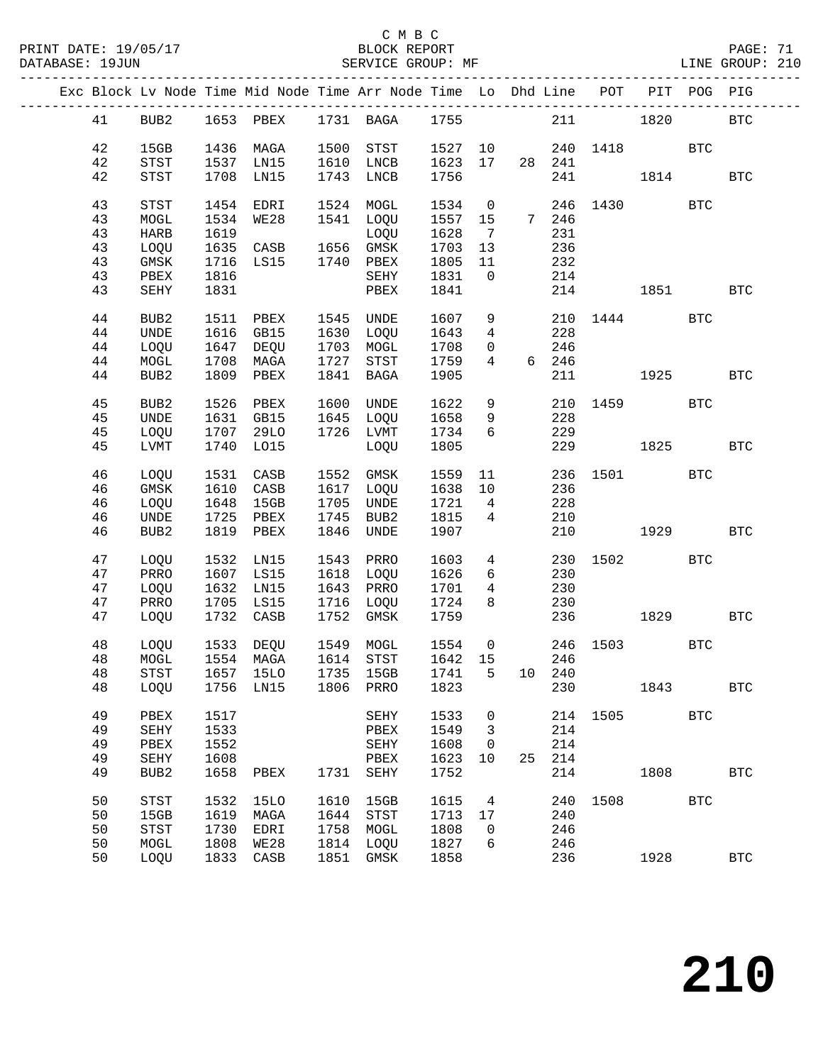### C M B C<br>BLOCK REPORT

PAGE: 71<br>LINE GROUP: 210

|    |                              |      | Exc Block Lv Node Time Mid Node Time Arr Node Time Lo Dhd Line POT PIT POG PIG |      |           |                                                             |                 |                                |             |              |      |            |              |
|----|------------------------------|------|--------------------------------------------------------------------------------|------|-----------|-------------------------------------------------------------|-----------------|--------------------------------|-------------|--------------|------|------------|--------------|
| 41 | BUB2                         |      | 1653 PBEX 1731 BAGA 1755                                                       |      |           |                                                             |                 |                                |             | 211 1820     |      |            | <b>BTC</b>   |
| 42 | 15GB                         |      | 1436 MAGA                                                                      |      | 1500 STST | 1527 10                                                     |                 |                                |             | 240 1418 BTC |      |            |              |
| 42 | STST                         | 1537 | LNI5                                                                           |      | 1610 LNCB | 1623                                                        |                 |                                | 17  28  241 |              |      |            |              |
| 42 | STST                         |      | 1708 LN15                                                                      |      | 1743 LNCB | 1756                                                        |                 |                                |             | 241 1814     |      |            | <b>BTC</b>   |
|    |                              |      |                                                                                |      |           |                                                             |                 |                                |             |              |      |            |              |
| 43 | <b>STST</b>                  | 1454 | EDRI                                                                           |      | 1524 MOGL | 1534                                                        | $\overline{0}$  |                                |             | 246 1430     |      | <b>BTC</b> |              |
| 43 | MOGL                         | 1534 | WE28                                                                           |      | 1541 LOQU | 1557                                                        | 15              |                                | 7 246       |              |      |            |              |
| 43 | <b>HARB</b>                  | 1619 |                                                                                |      | LOQU      | 1628                                                        | $\overline{7}$  |                                | 231         |              |      |            |              |
| 43 | LOQU                         |      | 1615<br>1635 CASB 1656 GMSK                                                    |      |           | 1703                                                        | 13              |                                | 236         |              |      |            |              |
| 43 | $\rm{GMSK}$                  |      | 1716 LS15                                                                      |      | 1740 PBEX | 1805                                                        | 11              |                                | 232         |              |      |            |              |
| 43 | PBEX                         | 1816 |                                                                                |      | SEHY      | 1831                                                        | $\overline{0}$  |                                | 214         |              |      |            |              |
| 43 | SEHY                         | 1831 |                                                                                |      | PBEX      | 1841                                                        |                 |                                |             | 214 1851     |      |            | BTC          |
|    |                              |      |                                                                                |      |           |                                                             |                 |                                |             |              |      |            |              |
| 44 | BUB2                         | 1511 | PBEX                                                                           |      | 1545 UNDE | 1607                                                        |                 | $9 \left( \frac{1}{2} \right)$ |             | 210 1444     |      | <b>BTC</b> |              |
| 44 | <b>UNDE</b>                  |      | 1616 GB15                                                                      |      | 1630 LOQU | 1643                                                        | $4\overline{ }$ |                                | 228         |              |      |            |              |
| 44 | LOQU                         |      | 1647 DEQU                                                                      |      | 1703 MOGL | 1708                                                        | $\overline{0}$  |                                | 246         |              |      |            |              |
| 44 | $\tt MOGL$                   |      | 1708 MAGA                                                                      | 1727 | STST      | 1759                                                        | $4\overline{ }$ |                                | 6 246       |              |      |            |              |
| 44 | BUB <sub>2</sub>             |      | 1809 PBEX                                                                      | 1841 | BAGA      | 1905                                                        |                 |                                | 211         |              | 1925 |            | BTC          |
|    |                              |      |                                                                                |      |           |                                                             |                 |                                |             |              |      |            |              |
| 45 | BUB2                         | 1526 | PBEX                                                                           |      | 1600 UNDE | 1622                                                        | 9               |                                |             | 210 1459 BTC |      |            |              |
| 45 | UNDE                         |      | 1631 GB15                                                                      |      | 1645 LOQU | 1658                                                        | 9               |                                | 228         |              |      |            |              |
| 45 | LOQU                         |      | 1707 29LO                                                                      |      | 1726 LVMT | 1734                                                        | 6               |                                | 229         |              |      |            |              |
| 45 | LVMT                         |      | 1740 LO15                                                                      |      | LOQU      | 1805                                                        |                 |                                |             | 229 1825     |      |            | <b>BTC</b>   |
|    |                              |      |                                                                                |      |           |                                                             |                 |                                |             |              |      |            |              |
| 46 | LOQU                         |      | 1531 CASB                                                                      |      | 1552 GMSK | 1559                                                        |                 | 11                             |             | 236 1501 BTC |      |            |              |
| 46 | $\rm{GMSK}$                  |      | 1610 CASB                                                                      |      | 1617 LOQU | 1638                                                        | 10              |                                | 236         |              |      |            |              |
| 46 | LOQU                         | 1648 | 15GB                                                                           | 1705 | UNDE      | 1721                                                        | $\overline{4}$  |                                | 228         |              |      |            |              |
| 46 | $\ensuremath{\mathsf{UNDE}}$ | 1725 | PBEX                                                                           | 1745 | BUB2      | 1815                                                        | $\overline{4}$  |                                | 210         |              |      |            |              |
| 46 | BUB2                         |      | 1819 PBEX                                                                      | 1846 | UNDE      | 1907                                                        |                 |                                | 210         |              | 1929 |            | <b>BTC</b>   |
| 47 | LOQU                         | 1532 | LN15                                                                           |      | 1543 PRRO | 1603                                                        |                 | $4\overline{ }$                | 230         |              | 1502 | BTC        |              |
| 47 | PRRO                         |      | 1607 LS15                                                                      |      | 1618 LOQU | 1626                                                        |                 | $6\overline{}$                 | 230         |              |      |            |              |
| 47 | LOQU                         |      | 1632 LN15                                                                      |      | 1643 PRRO | 1701                                                        | $4\overline{ }$ |                                | 230         |              |      |            |              |
| 47 | PRRO                         |      | 1705 LS15                                                                      |      | 1716 LOQU | 1724                                                        | 8               |                                | 230         |              |      |            |              |
| 47 | LOQU                         |      | 1732 CASB                                                                      | 1752 | GMSK      | 1759                                                        |                 |                                | 236         |              | 1829 |            | $_{\rm BTC}$ |
|    |                              |      |                                                                                |      |           |                                                             |                 |                                |             |              |      |            |              |
| 48 | LOQU                         |      | 1533 DEQU                                                                      |      | 1549 MOGL | 1554                                                        |                 |                                |             | 0 246 1503   |      | <b>BTC</b> |              |
| 48 | MOGL                         |      | 1554 MAGA                                                                      |      | 1614 STST | $\begin{array}{cc}\n 155 \\  \hline\n 1642 \\  \end{array}$ |                 |                                | 246         |              |      |            |              |
| 48 |                              |      | STST 1657 15LO 1735 15GB 1741 5 10 240                                         |      |           |                                                             |                 |                                |             |              |      |            |              |
| 48 | LOQU                         |      | 1756 LN15                                                                      |      | 1806 PRRO | 1823                                                        |                 |                                | 230         |              | 1843 |            | <b>BTC</b>   |
|    |                              |      |                                                                                |      |           |                                                             |                 |                                |             |              |      |            |              |
| 49 | PBEX                         | 1517 |                                                                                |      | SEHY      | 1533                                                        | 0               |                                |             | 214 1505     |      | <b>BTC</b> |              |
| 49 | SEHY                         | 1533 |                                                                                |      | PBEX      | 1549                                                        | 3               |                                | 214         |              |      |            |              |
| 49 | PBEX                         | 1552 |                                                                                |      | SEHY      | 1608                                                        | 0               |                                | 214         |              |      |            |              |
| 49 | SEHY                         | 1608 |                                                                                |      | PBEX      | 1623                                                        | 10              | 25                             | 214         |              |      |            |              |
| 49 | BUB2                         | 1658 | PBEX                                                                           | 1731 | SEHY      | 1752                                                        |                 |                                | 214         |              | 1808 |            | <b>BTC</b>   |
|    |                              |      |                                                                                |      |           |                                                             |                 |                                |             |              |      |            |              |
| 50 | <b>STST</b>                  | 1532 | 15LO                                                                           | 1610 | 15GB      | 1615                                                        | $\overline{4}$  |                                | 240         | 1508         |      | <b>BTC</b> |              |
| 50 | 15GB                         | 1619 | MAGA                                                                           | 1644 | STST      | 1713                                                        | 17              |                                | 240         |              |      |            |              |
| 50 | <b>STST</b>                  | 1730 | EDRI                                                                           | 1758 | MOGL      | 1808                                                        | 0               |                                | 246         |              |      |            |              |
| 50 | MOGL                         | 1808 | WE28                                                                           | 1814 | LOQU      | 1827                                                        | 6               |                                | 246         |              |      |            |              |
| 50 | LOQU                         | 1833 | CASB                                                                           | 1851 | GMSK      | 1858                                                        |                 |                                | 236         |              | 1928 |            | <b>BTC</b>   |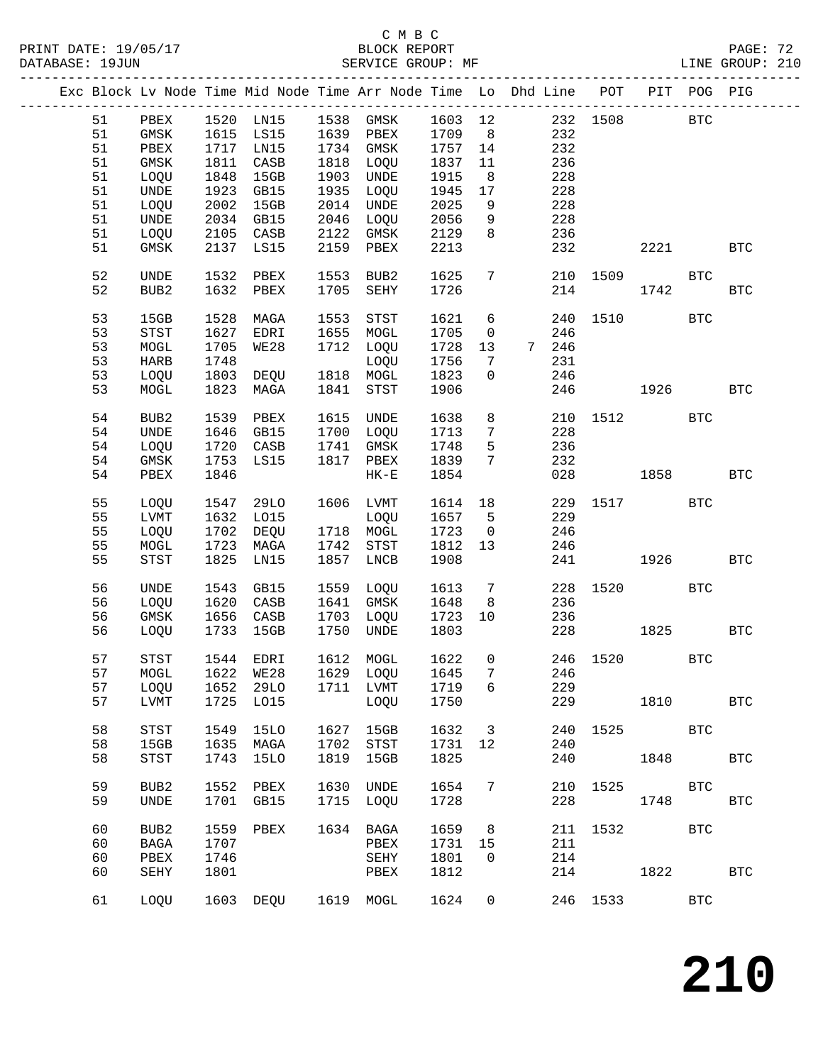### C M B C<br>BLOCK REPORT

PAGE: 72<br>LINE GROUP: 210

|  |    |                              |      |             |      | Exc Block Lv Node Time Mid Node Time Arr Node Time Lo Dhd Line POT |         |                 |                |     |          |      | PIT POG PIG |              |
|--|----|------------------------------|------|-------------|------|--------------------------------------------------------------------|---------|-----------------|----------------|-----|----------|------|-------------|--------------|
|  | 51 | PBEX                         |      | 1520 LN15   | 1538 | GMSK                                                               | 1603 12 |                 |                |     | 232 1508 |      | <b>BTC</b>  |              |
|  | 51 | $\rm{GMSK}$                  | 1615 | LS15        |      | 1639 PBEX                                                          | 1709    | 8 <sup>8</sup>  |                | 232 |          |      |             |              |
|  | 51 | PBEX                         | 1717 | LN15        |      | 1734 GMSK                                                          | 1757    | 14              |                | 232 |          |      |             |              |
|  | 51 | GMSK                         | 1811 | CASB        | 1818 | LOQU                                                               | 1837    | 11              |                | 236 |          |      |             |              |
|  | 51 |                              |      | 15GB        | 1903 |                                                                    | 1915    |                 |                | 228 |          |      |             |              |
|  |    | LOQU                         | 1848 |             |      | UNDE                                                               |         | 8               |                |     |          |      |             |              |
|  | 51 | $\ensuremath{\mathsf{UNDE}}$ | 1923 | GB15        | 1935 | LOQU                                                               | 1945    | 17              |                | 228 |          |      |             |              |
|  | 51 | LOQU                         | 2002 | 15GB        | 2014 | UNDE                                                               | 2025    | 9               |                | 228 |          |      |             |              |
|  | 51 | $\ensuremath{\mathsf{UNDE}}$ | 2034 | GB15        | 2046 | LOQU                                                               | 2056    | 9               |                | 228 |          |      |             |              |
|  | 51 | LOQU                         | 2105 | CASB        | 2122 | GMSK                                                               | 2129    | 8               |                | 236 |          |      |             |              |
|  | 51 | GMSK                         | 2137 | LS15        | 2159 | PBEX                                                               | 2213    |                 |                | 232 |          | 2221 |             | <b>BTC</b>   |
|  |    |                              |      |             |      |                                                                    |         |                 |                |     |          |      |             |              |
|  | 52 | UNDE                         | 1532 | PBEX        | 1553 | BUB2                                                               | 1625    | $7\phantom{.0}$ |                | 210 | 1509     |      | <b>BTC</b>  |              |
|  | 52 | BUB <sub>2</sub>             | 1632 | PBEX        | 1705 | SEHY                                                               | 1726    |                 |                | 214 |          | 1742 |             | <b>BTC</b>   |
|  |    |                              |      |             |      |                                                                    |         |                 |                |     |          |      |             |              |
|  | 53 | 15GB                         | 1528 | MAGA        | 1553 | STST                                                               | 1621    | 6               |                | 240 | 1510     |      | <b>BTC</b>  |              |
|  | 53 | <b>STST</b>                  | 1627 | EDRI        | 1655 | MOGL                                                               | 1705    | $\mathsf{O}$    |                | 246 |          |      |             |              |
|  | 53 | MOGL                         | 1705 | WE28        | 1712 | LOQU                                                               | 1728    | 13              | 7 <sup>7</sup> | 246 |          |      |             |              |
|  | 53 | HARB                         | 1748 |             |      | LOQU                                                               | 1756    | 7               |                | 231 |          |      |             |              |
|  | 53 | LOQU                         | 1803 | DEQU        |      | 1818 MOGL                                                          | 1823    | $\mathbf{0}$    |                | 246 |          |      |             |              |
|  | 53 | MOGL                         | 1823 | MAGA        | 1841 | STST                                                               | 1906    |                 |                | 246 |          | 1926 |             | <b>BTC</b>   |
|  |    |                              |      |             |      |                                                                    |         |                 |                |     |          |      |             |              |
|  | 54 | BUB2                         | 1539 | PBEX        | 1615 | UNDE                                                               | 1638    | 8               |                | 210 | 1512     |      | <b>BTC</b>  |              |
|  | 54 | UNDE                         | 1646 | GB15        | 1700 | LOQU                                                               | 1713    | $7\phantom{.0}$ |                | 228 |          |      |             |              |
|  | 54 | LOQU                         | 1720 | CASB        | 1741 | GMSK                                                               | 1748    | 5               |                | 236 |          |      |             |              |
|  | 54 | GMSK                         | 1753 | LS15        | 1817 | PBEX                                                               | 1839    | 7               |                | 232 |          |      |             |              |
|  | 54 | PBEX                         | 1846 |             |      | $HK-E$                                                             | 1854    |                 |                | 028 |          | 1858 |             | <b>BTC</b>   |
|  |    |                              |      |             |      |                                                                    |         |                 |                |     |          |      |             |              |
|  | 55 | LOQU                         | 1547 | 29LO        |      | 1606 LVMT                                                          | 1614 18 |                 |                | 229 | 1517     |      | <b>BTC</b>  |              |
|  | 55 | LVMT                         | 1632 | L015        |      | LOQU                                                               | 1657    | $5^{\circ}$     |                | 229 |          |      |             |              |
|  | 55 | LOQU                         | 1702 | DEQU        |      | 1718 MOGL                                                          | 1723    | $\overline{0}$  |                | 246 |          |      |             |              |
|  | 55 | MOGL                         | 1723 | MAGA        | 1742 | $_{\footnotesize\rm STST}$                                         | 1812    | 13              |                | 246 |          |      |             |              |
|  | 55 | <b>STST</b>                  | 1825 | LN15        | 1857 | LNCB                                                               | 1908    |                 |                | 241 |          | 1926 |             | <b>BTC</b>   |
|  |    |                              |      |             |      |                                                                    |         |                 |                |     |          |      |             |              |
|  | 56 | <b>UNDE</b>                  | 1543 | GB15        | 1559 | LOQU                                                               | 1613    | $7\phantom{.0}$ |                | 228 | 1520     |      | <b>BTC</b>  |              |
|  | 56 | LOQU                         | 1620 | CASB        | 1641 | GMSK                                                               | 1648    | 8               |                | 236 |          |      |             |              |
|  | 56 | GMSK                         | 1656 | CASB        | 1703 | LOQU                                                               | 1723    | 10              |                | 236 |          |      |             |              |
|  | 56 | LOQU                         | 1733 | 15GB        | 1750 | UNDE                                                               | 1803    |                 |                | 228 |          | 1825 |             | <b>BTC</b>   |
|  |    |                              |      |             |      |                                                                    |         |                 |                |     |          |      |             |              |
|  | 57 | <b>STST</b>                  |      | 1544 EDRI   |      | 1612 MOGL                                                          | 1622    | $\overline{0}$  |                |     | 246 1520 |      | <b>BTC</b>  |              |
|  | 57 |                              |      |             |      | MOGL 1622 WE28 1629 LOQU 1645 7                                    |         |                 |                | 246 |          |      |             |              |
|  | 57 | LOQU                         | 1652 | 29LO        | 1711 | LVMT                                                               | 1719    | 6               |                | 229 |          |      |             |              |
|  | 57 | LVMT                         | 1725 | L015        |      | LOQU                                                               | 1750    |                 |                | 229 |          | 1810 |             | <b>BTC</b>   |
|  |    |                              |      |             |      |                                                                    |         |                 |                |     |          |      |             |              |
|  | 58 | <b>STST</b>                  | 1549 | 15LO        | 1627 | 15GB                                                               | 1632    | 3               |                | 240 | 1525     |      | <b>BTC</b>  |              |
|  | 58 | 15GB                         | 1635 | MAGA        | 1702 | STST                                                               | 1731    | 12              |                | 240 |          |      |             |              |
|  | 58 | <b>STST</b>                  | 1743 | <b>15LO</b> | 1819 | 15GB                                                               | 1825    |                 |                | 240 |          | 1848 |             | <b>BTC</b>   |
|  |    |                              |      |             |      |                                                                    |         |                 |                |     |          |      |             |              |
|  | 59 | BUB2                         | 1552 | PBEX        | 1630 | <b>UNDE</b>                                                        | 1654    | 7               |                | 210 | 1525     |      | <b>BTC</b>  |              |
|  | 59 | UNDE                         | 1701 | GB15        | 1715 | LOQU                                                               | 1728    |                 |                | 228 |          | 1748 |             | $_{\rm BTC}$ |
|  |    |                              |      |             |      |                                                                    |         |                 |                |     |          |      |             |              |
|  | 60 | BUB2                         | 1559 | PBEX        | 1634 | BAGA                                                               | 1659    | 8               |                | 211 | 1532     |      | <b>BTC</b>  |              |
|  | 60 | <b>BAGA</b>                  | 1707 |             |      | PBEX                                                               | 1731    | 15              |                | 211 |          |      |             |              |
|  | 60 | ${\tt PBEX}$                 | 1746 |             |      | SEHY                                                               | 1801    | 0               |                | 214 |          |      |             |              |
|  | 60 | SEHY                         | 1801 |             |      | PBEX                                                               | 1812    |                 |                | 214 |          | 1822 |             | <b>BTC</b>   |
|  |    |                              |      |             |      |                                                                    |         |                 |                |     |          |      |             |              |
|  | 61 | LOQU                         |      | 1603 DEQU   |      | 1619 MOGL                                                          | 1624    | $\mathbf 0$     |                |     | 246 1533 |      | <b>BTC</b>  |              |
|  |    |                              |      |             |      |                                                                    |         |                 |                |     |          |      |             |              |
|  |    |                              |      |             |      |                                                                    |         |                 |                |     |          |      |             |              |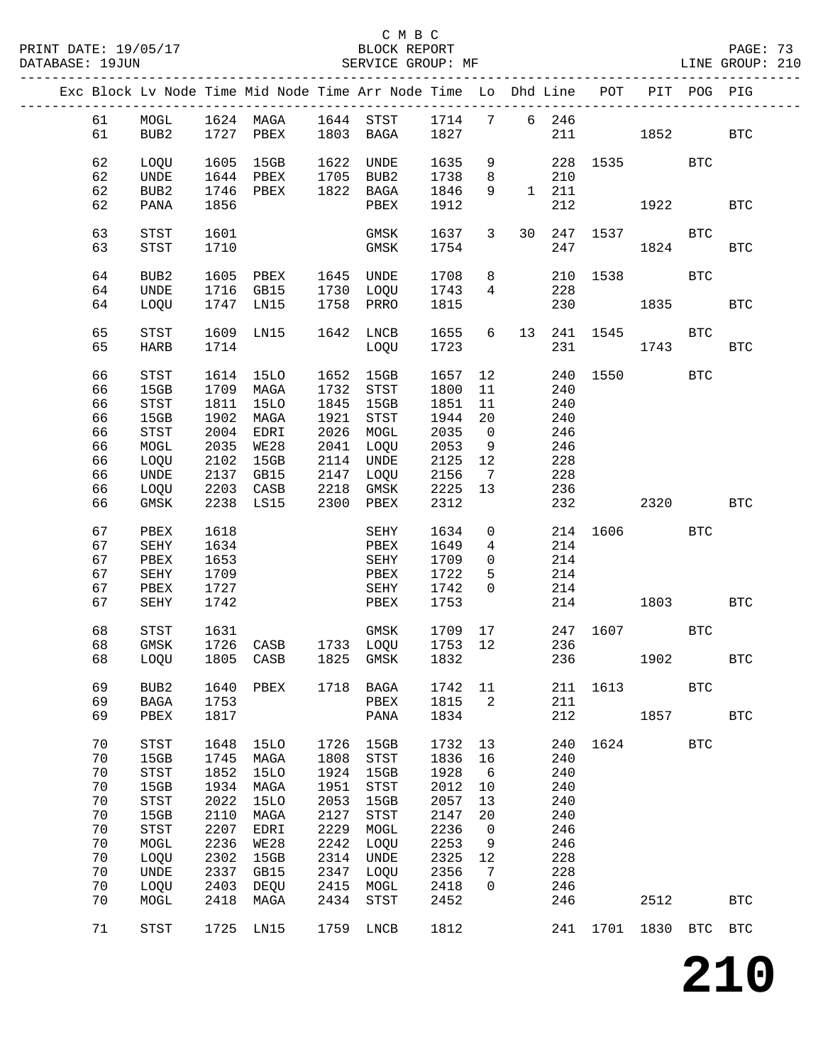#### C M B C<br>BLOCK REPORT SERVICE GROUP: MF

|  |          |                                 |              |                     |              | Exc Block Lv Node Time Mid Node Time Arr Node Time Lo Dhd Line POT |                      |                      |               |          | PIT POG PIG   |            |              |
|--|----------|---------------------------------|--------------|---------------------|--------------|--------------------------------------------------------------------|----------------------|----------------------|---------------|----------|---------------|------------|--------------|
|  | 61       |                                 |              |                     |              |                                                                    |                      |                      |               |          |               |            |              |
|  | 61       |                                 |              |                     |              |                                                                    |                      |                      |               |          | 211 1852      |            | <b>BTC</b>   |
|  |          |                                 |              |                     |              |                                                                    |                      |                      |               |          |               |            |              |
|  | 62       | LOQU                            | 1605         | 15GB                |              | 1622 UNDE                                                          | 1635                 | 9                    |               |          | 228 1535      | BTC        |              |
|  | 62       | UNDE                            |              | 1644 PBEX 1705 BUB2 |              |                                                                    | 1738                 | 8 <sup>8</sup>       | 210           |          |               |            |              |
|  | 62       | BUB2                            | 1746         | PBEX                |              | 1822 BAGA                                                          | 1846                 | 9                    | $1 \quad 211$ |          |               |            |              |
|  | 62       | PANA                            | 1856         |                     |              | PBEX                                                               | 1912                 |                      | 212           |          | 1922 1930     |            | <b>BTC</b>   |
|  | 63       | STST                            | 1601         |                     |              | GMSK                                                               | $1637$ 3             |                      |               |          | 30  247  1537 | BTC        |              |
|  | 63       | STST                            | 1710         |                     |              | GMSK                                                               | 1754                 |                      | 247           |          | 1824          |            | BTC          |
|  |          |                                 |              |                     |              |                                                                    |                      |                      |               |          |               |            |              |
|  | 64       | BUB2                            |              | 1605 PBEX 1645 UNDE |              |                                                                    | 1708                 | 8                    |               |          | 210 1538      | BTC        |              |
|  | 64       | UNDE                            |              | 1716 GB15 1730 LOQU |              |                                                                    | 1743                 | 4                    | 228           |          |               |            |              |
|  | 64       | LOQU                            |              | 1747 LN15           |              | 1758 PRRO                                                          | 1815                 |                      | 230           |          | 1835          |            | <b>BTC</b>   |
|  | 65       | STST                            | 1609         | LN15                |              | 1642 LNCB                                                          | 1655                 | 6                    |               |          | 13  241  1545 | BTC        |              |
|  | 65       | HARB                            | 1714         |                     |              | LOQU                                                               | 1723                 |                      |               | 231 1743 |               |            | <b>BTC</b>   |
|  |          |                                 |              |                     |              |                                                                    |                      |                      |               |          |               |            |              |
|  | 66       | STST                            |              | 1614 15LO 1652 15GB |              |                                                                    | 1657                 | 12                   |               | 240 1550 |               | <b>BTC</b> |              |
|  | 66       | 15GB                            | 1709         | MAGA                |              | 1732 STST                                                          | 1800                 | 11                   | 240           |          |               |            |              |
|  | 66       | STST                            | 1811         | 15LO                |              | 1845 15GB                                                          | 1851                 | 11                   | 240           |          |               |            |              |
|  | 66       | 15GB                            | 1902         | MAGA                |              | 1921 STST                                                          | 1944                 | 20                   | 240           |          |               |            |              |
|  | 66       | $_{\footnotesize\rm STST}$      | 2004         | EDRI                |              | 2026 MOGL                                                          | 2035                 | $\overline{0}$       | 246           |          |               |            |              |
|  | 66       | MOGL                            | 2035         | WE28                |              | 2041 LOQU<br>2114 UNDE                                             | 2053                 | 9                    | 246           |          |               |            |              |
|  | 66<br>66 | LOQU<br>UNDE                    | 2102         | 15GB<br>2137 GB15   |              | 2114 UNDE<br>2147 LOQU                                             | 2125<br>2125<br>2156 | 12<br>$\overline{7}$ | 228<br>228    |          |               |            |              |
|  | 66       | LOQU                            |              | 2203 CASB           |              | 2218 GMSK                                                          | 2225 13              |                      | 236           |          |               |            |              |
|  | 66       | GMSK                            |              | 2238 LS15           |              | 2300 PBEX                                                          | 2312                 |                      | 232           | 2320     |               |            | <b>BTC</b>   |
|  |          |                                 |              |                     |              |                                                                    |                      |                      |               |          |               |            |              |
|  | 67       | PBEX                            | 1618         |                     |              | SEHY                                                               | 1634                 | $\overline{0}$       |               |          | 214 1606      | BTC        |              |
|  | 67       | SEHY                            | 1634         |                     |              | PBEX                                                               | 1649                 | $4\overline{ }$      | 214           |          |               |            |              |
|  | 67       | PBEX                            | 1653         |                     |              | SEHY                                                               | 1709                 | $\overline{0}$       | 214           |          |               |            |              |
|  | 67<br>67 | SEHY                            | 1709<br>1727 |                     |              | PBEX                                                               | 1722                 | 5<br>$\overline{0}$  | 214           |          |               |            |              |
|  | 67       | PBEX<br>SEHY                    | 1742         |                     |              | SEHY<br>PBEX                                                       | 1742<br>1753         |                      | 214<br>214    |          | 1803          |            | BTC          |
|  |          |                                 |              |                     |              |                                                                    |                      |                      |               |          |               |            |              |
|  | 68       | STST                            | 1631         |                     |              | GMSK                                                               | 1709 17              |                      |               |          | 247 1607 BTC  |            |              |
|  | 68       | GMSK                            | 1726         |                     |              | CASB 1733 LOQU 1753 12<br>CASB 1825 GMSK 1832                      |                      |                      | 236           |          |               |            |              |
|  | 68       | LOQU                            |              | 1805 CASB           |              | 1825 GMSK                                                          | 1832                 |                      |               | 236      | 1902 - 1903   |            | <b>BTC</b>   |
|  |          |                                 |              |                     |              |                                                                    |                      |                      |               |          |               |            |              |
|  | 69<br>69 | BUB <sub>2</sub><br><b>BAGA</b> | 1640<br>1753 | PBEX                | 1718         | BAGA<br>PBEX                                                       | 1742<br>1815         | 11<br>2              | 211<br>211    | 1613     |               | <b>BTC</b> |              |
|  | 69       | PBEX                            | 1817         |                     |              | PANA                                                               | 1834                 |                      | 212           |          | 1857          |            | $_{\rm BTC}$ |
|  |          |                                 |              |                     |              |                                                                    |                      |                      |               |          |               |            |              |
|  | 70       | <b>STST</b>                     | 1648         | <b>15LO</b>         | 1726         | 15GB                                                               | 1732                 | 13                   | 240           | 1624     |               | <b>BTC</b> |              |
|  | 70       | 15GB                            | 1745         | MAGA                | 1808         | $_{\footnotesize\rm STST}$                                         | 1836                 | 16                   | 240           |          |               |            |              |
|  | 70       | <b>STST</b>                     | 1852         | <b>15LO</b>         | 1924         | 15GB                                                               | 1928                 | 6                    | 240           |          |               |            |              |
|  | 70       | 15GB                            | 1934         | MAGA                | 1951         | $_{\footnotesize{\textnormal{STST}}}$                              | 2012                 | 10                   | 240           |          |               |            |              |
|  | 70       | <b>STST</b>                     | 2022         | <b>15LO</b>         | 2053         | 15GB                                                               | 2057                 | 13                   | 240           |          |               |            |              |
|  | 70       | 15GB                            | 2110         | MAGA                | 2127         | $_{\footnotesize{\textnormal{STST}}}$                              | 2147<br>2236         | 20                   | 240           |          |               |            |              |
|  | 70<br>70 | STST<br>MOGL                    | 2207<br>2236 | EDRI<br>WE28        | 2229<br>2242 | MOGL<br>LOQU                                                       | 2253                 | 0                    | 246<br>246    |          |               |            |              |
|  | 70       | LOQU                            | 2302         | 15GB                | 2314         | UNDE                                                               | 2325                 | 9<br>12              | 228           |          |               |            |              |
|  | 70       | UNDE                            | 2337         | GB15                | 2347         | LOQU                                                               | 2356                 | 7                    | 228           |          |               |            |              |
|  | 70       | LOQU                            | 2403         | DEQU                | 2415         | MOGL                                                               | 2418                 | 0                    | 246           |          |               |            |              |
|  | 70       | MOGL                            | 2418         | MAGA                | 2434         | STST                                                               | 2452                 |                      | 246           |          | 2512          |            | $_{\rm BTC}$ |
|  |          |                                 |              |                     |              |                                                                    |                      |                      |               |          |               |            |              |
|  | 71       | STST                            | 1725         | LN15                | 1759         | LNCB                                                               | 1812                 |                      | 241           | 1701     | 1830          | BTC        | <b>BTC</b>   |
|  |          |                                 |              |                     |              |                                                                    |                      |                      |               |          |               |            |              |

**210**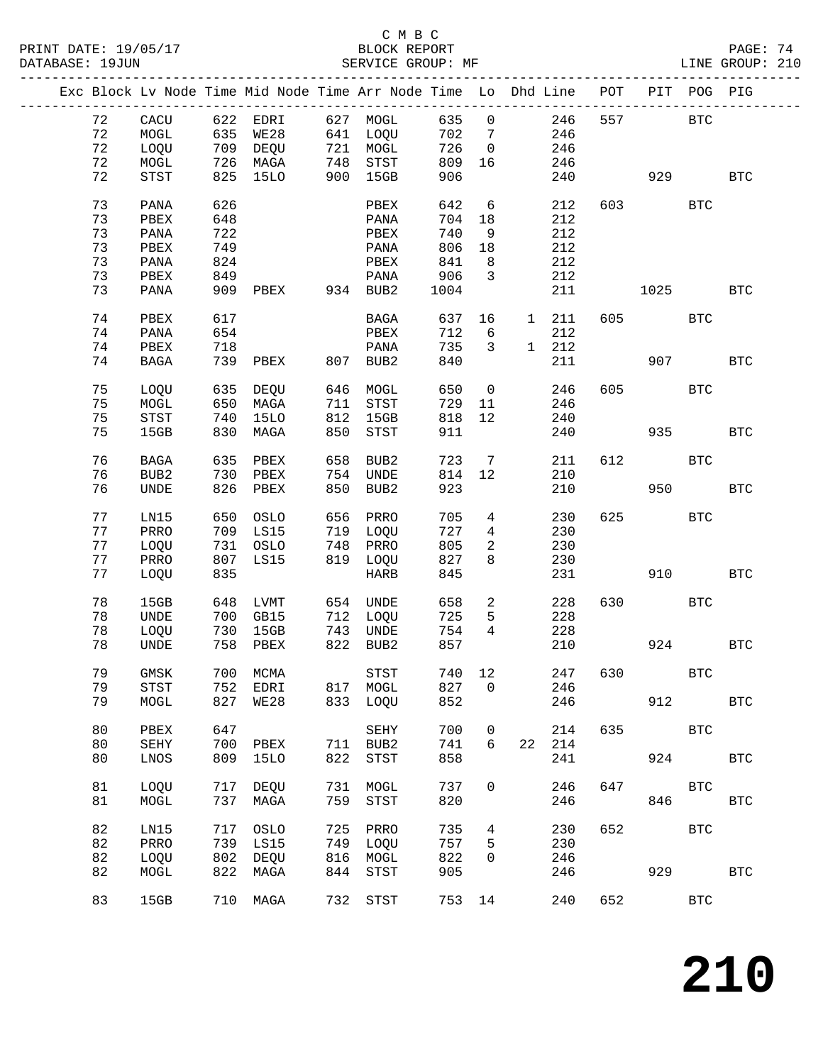PRINT DATE: 19/05/17 BLOCK REPORT BATABASE: 19JUN

## C M B C<br>BLOCK REPORT

PAGE: 74<br>LINE GROUP: 210

|  |    |                  |     | Exc Block Lv Node Time Mid Node Time Arr Node Time Lo Dhd Line |     |                  |      |                |              |     | POT |      | PIT POG PIG  |              |
|--|----|------------------|-----|----------------------------------------------------------------|-----|------------------|------|----------------|--------------|-----|-----|------|--------------|--------------|
|  | 72 | CACU             | 622 | EDRI                                                           | 627 | MOGL             | 635  | $\mathsf{O}$   |              | 246 | 557 |      | <b>BTC</b>   |              |
|  |    |                  |     |                                                                |     |                  |      |                |              |     |     |      |              |              |
|  | 72 | MOGL             | 635 | <b>WE28</b>                                                    |     | 641 LOQU         | 702  | 7              |              | 246 |     |      |              |              |
|  | 72 | LOQU             | 709 | DEQU                                                           | 721 | MOGL             | 726  | $\mathbf 0$    |              | 246 |     |      |              |              |
|  | 72 | MOGL             |     | 726 MAGA                                                       | 748 | STST             | 809  | 16             |              | 246 |     |      |              |              |
|  | 72 | STST             | 825 | <b>15LO</b>                                                    | 900 | 15GB             | 906  |                |              | 240 |     | 929  |              | <b>BTC</b>   |
|  |    |                  |     |                                                                |     |                  |      |                |              |     |     |      |              |              |
|  | 73 | PANA             | 626 |                                                                |     | PBEX             | 642  | 6              |              | 212 | 603 |      | <b>BTC</b>   |              |
|  | 73 | PBEX             | 648 |                                                                |     | PANA             | 704  | 18             |              | 212 |     |      |              |              |
|  |    |                  |     |                                                                |     |                  |      |                |              |     |     |      |              |              |
|  | 73 | PANA             | 722 |                                                                |     | PBEX             | 740  | 9              |              | 212 |     |      |              |              |
|  | 73 | PBEX             | 749 |                                                                |     | PANA             | 806  | 18             |              | 212 |     |      |              |              |
|  | 73 | PANA             | 824 |                                                                |     | PBEX             | 841  | 8              |              | 212 |     |      |              |              |
|  | 73 | PBEX             | 849 |                                                                |     | PANA             | 906  | 3              |              | 212 |     |      |              |              |
|  | 73 | PANA             | 909 | PBEX                                                           |     | 934 BUB2         | 1004 |                |              | 211 |     | 1025 |              | <b>BTC</b>   |
|  |    |                  |     |                                                                |     |                  |      |                |              |     |     |      |              |              |
|  | 74 | PBEX             | 617 |                                                                |     | BAGA             | 637  | 16             | $\mathbf{1}$ | 211 | 605 |      | <b>BTC</b>   |              |
|  | 74 | PANA             | 654 |                                                                |     | PBEX             | 712  | 6              |              | 212 |     |      |              |              |
|  |    |                  |     |                                                                |     |                  |      |                |              |     |     |      |              |              |
|  | 74 | PBEX             | 718 |                                                                |     | PANA             | 735  | 3              | $\mathbf 1$  | 212 |     |      |              |              |
|  | 74 | <b>BAGA</b>      | 739 | PBEX                                                           | 807 | BUB <sub>2</sub> | 840  |                |              | 211 |     | 907  |              | <b>BTC</b>   |
|  |    |                  |     |                                                                |     |                  |      |                |              |     |     |      |              |              |
|  | 75 | LOQU             | 635 | DEQU                                                           | 646 | MOGL             | 650  | $\mathbf 0$    |              | 246 | 605 |      | <b>BTC</b>   |              |
|  | 75 | MOGL             | 650 | MAGA                                                           | 711 | ${\tt STST}$     | 729  | 11             |              | 246 |     |      |              |              |
|  | 75 | STST             | 740 | <b>15LO</b>                                                    | 812 | 15GB             | 818  | 12             |              | 240 |     |      |              |              |
|  | 75 | 15GB             | 830 | MAGA                                                           | 850 | STST             | 911  |                |              | 240 |     | 935  |              | <b>BTC</b>   |
|  |    |                  |     |                                                                |     |                  |      |                |              |     |     |      |              |              |
|  |    |                  |     |                                                                |     |                  |      |                |              |     |     |      |              |              |
|  | 76 | <b>BAGA</b>      | 635 | PBEX                                                           | 658 | BUB <sub>2</sub> | 723  | 7              |              | 211 | 612 |      | <b>BTC</b>   |              |
|  | 76 | BUB <sub>2</sub> | 730 | PBEX                                                           | 754 | <b>UNDE</b>      | 814  | 12             |              | 210 |     |      |              |              |
|  | 76 | <b>UNDE</b>      | 826 | PBEX                                                           | 850 | BUB2             | 923  |                |              | 210 |     | 950  |              | <b>BTC</b>   |
|  |    |                  |     |                                                                |     |                  |      |                |              |     |     |      |              |              |
|  | 77 | LN15             | 650 | OSLO                                                           | 656 | PRRO             | 705  | 4              |              | 230 | 625 |      | <b>BTC</b>   |              |
|  | 77 | PRRO             | 709 | LS15                                                           | 719 | LOQU             | 727  | $\overline{4}$ |              | 230 |     |      |              |              |
|  | 77 | LOQU             | 731 | OSLO                                                           | 748 | PRRO             | 805  | 2              |              | 230 |     |      |              |              |
|  | 77 | PRRO             | 807 | LS15                                                           | 819 | LOQU             | 827  | 8              |              | 230 |     |      |              |              |
|  |    |                  |     |                                                                |     |                  |      |                |              |     |     |      |              |              |
|  | 77 | LOQU             | 835 |                                                                |     | <b>HARB</b>      | 845  |                |              | 231 |     | 910  |              | <b>BTC</b>   |
|  |    |                  |     |                                                                |     |                  |      |                |              |     |     |      |              |              |
|  | 78 | 15GB             | 648 | LVMT                                                           | 654 | <b>UNDE</b>      | 658  | $\overline{a}$ |              | 228 | 630 |      | <b>BTC</b>   |              |
|  | 78 | UNDE             | 700 | GB15                                                           | 712 | LOQU             | 725  | 5              |              | 228 |     |      |              |              |
|  | 78 | LOQU             | 730 | 15GB                                                           | 743 | UNDE             | 754  | $\overline{4}$ |              | 228 |     |      |              |              |
|  | 78 | <b>UNDE</b>      | 758 | PBEX                                                           | 822 | BUB2             | 857  |                |              | 210 |     | 924  |              | <b>BTC</b>   |
|  |    |                  |     |                                                                |     |                  |      |                |              |     |     |      |              |              |
|  | 79 | $\rm{GMSK}$      | 700 | MCMA                                                           |     | STST             | 740  | 12             |              | 247 | 630 |      | BTC          |              |
|  | 79 | STST             | 752 | EDRI                                                           | 817 | MOGL             | 827  | 0              |              | 246 |     |      |              |              |
|  | 79 |                  |     |                                                                |     |                  | 852  |                |              | 246 |     | 912  |              |              |
|  |    | MOGL             | 827 | <b>WE28</b>                                                    | 833 | LOQU             |      |                |              |     |     |      |              | <b>BTC</b>   |
|  |    |                  |     |                                                                |     |                  |      |                |              |     |     |      |              |              |
|  | 80 | PBEX             | 647 |                                                                |     | <b>SEHY</b>      | 700  | 0              |              | 214 | 635 |      | $_{\rm BTC}$ |              |
|  | 80 | SEHY             | 700 | PBEX                                                           | 711 | BUB2             | 741  | 6              | 22           | 214 |     |      |              |              |
|  | 80 | LNOS             | 809 | <b>15LO</b>                                                    | 822 | <b>STST</b>      | 858  |                |              | 241 |     | 924  |              | <b>BTC</b>   |
|  |    |                  |     |                                                                |     |                  |      |                |              |     |     |      |              |              |
|  | 81 | LOQU             | 717 | <b>DEQU</b>                                                    | 731 | MOGL             | 737  | 0              |              | 246 | 647 |      | <b>BTC</b>   |              |
|  | 81 | MOGL             | 737 | MAGA                                                           | 759 | <b>STST</b>      | 820  |                |              | 246 |     | 846  |              | BTC          |
|  |    |                  |     |                                                                |     |                  |      |                |              |     |     |      |              |              |
|  | 82 | LN15             | 717 | <b>OSLO</b>                                                    | 725 | PRRO             | 735  | 4              |              | 230 | 652 |      | <b>BTC</b>   |              |
|  | 82 | PRRO             | 739 | LS15                                                           | 749 | LOQU             | 757  | 5              |              | 230 |     |      |              |              |
|  |    |                  |     |                                                                |     |                  |      |                |              |     |     |      |              |              |
|  | 82 | LOQU             | 802 | DEQU                                                           | 816 | MOGL             | 822  | 0              |              | 246 |     |      |              |              |
|  | 82 | MOGL             | 822 | MAGA                                                           | 844 | <b>STST</b>      | 905  |                |              | 246 |     | 929  |              | $_{\rm BTC}$ |
|  |    |                  |     |                                                                |     |                  |      |                |              |     |     |      |              |              |
|  | 83 | 15GB             | 710 | MAGA                                                           | 732 | <b>STST</b>      | 753  | 14             |              | 240 | 652 |      | $_{\rm BTC}$ |              |
|  |    |                  |     |                                                                |     |                  |      |                |              |     |     |      |              |              |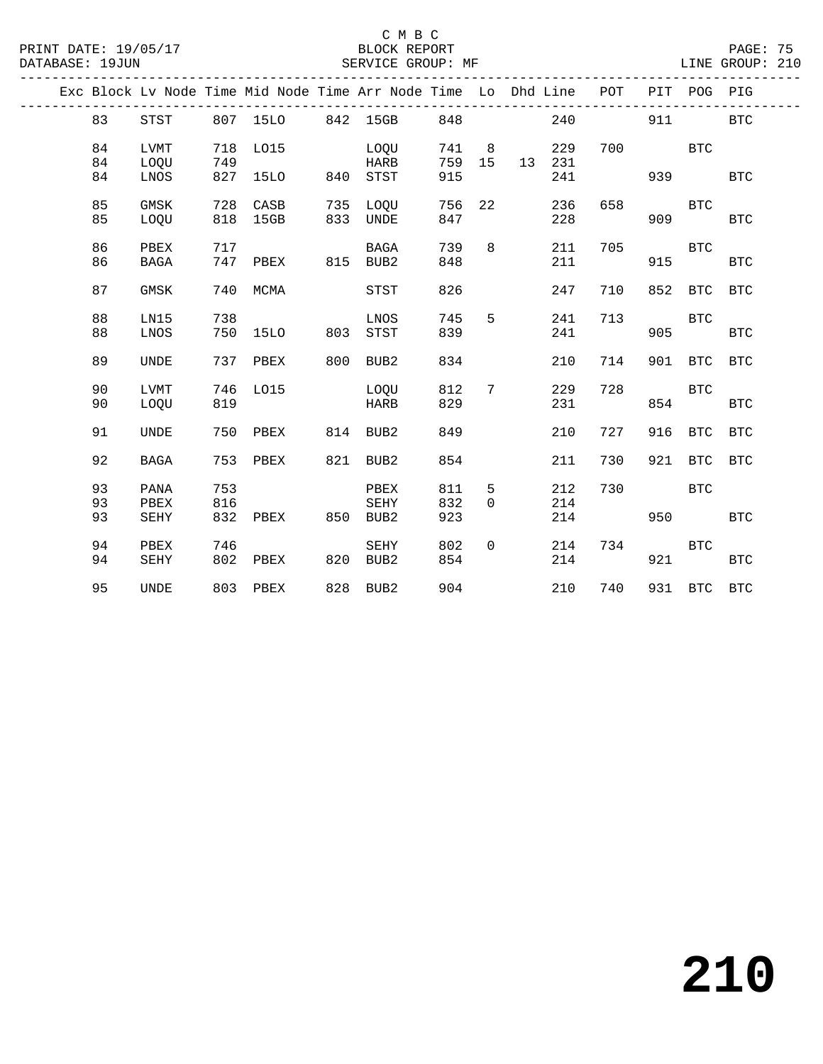## C M B C<br>BLOCK REPORT

PAGE: 75<br>LINE GROUP: 210

|    |             |     | Exc Block Lv Node Time Mid Node Time Arr Node Time Lo Dhd Line POT |     |             |     |                |    |     |     |     | PIT POG PIG |            |
|----|-------------|-----|--------------------------------------------------------------------|-----|-------------|-----|----------------|----|-----|-----|-----|-------------|------------|
| 83 | STST        |     | 807 15LO                                                           |     | 842 15GB    | 848 |                |    | 240 |     | 911 |             | <b>BTC</b> |
| 84 | LVMT        | 718 | LO15                                                               |     | LOQU        | 741 | 8 <sup>8</sup> |    | 229 | 700 |     | <b>BTC</b>  |            |
| 84 | LOQU        | 749 |                                                                    |     | HARB        | 759 | 15             | 13 | 231 |     |     |             |            |
| 84 | LNOS        |     | 827 15LO 840                                                       |     | STST        | 915 |                |    | 241 |     | 939 |             | BTC        |
| 85 | GMSK        | 728 | CASB                                                               |     | 735 LOQU    | 756 | 22             |    | 236 | 658 |     | <b>BTC</b>  |            |
| 85 | LOQU        | 818 | 15GB                                                               |     | 833 UNDE    | 847 |                |    | 228 |     | 909 |             | <b>BTC</b> |
| 86 | PBEX        | 717 |                                                                    |     | BAGA        | 739 | 8              |    | 211 | 705 |     | <b>BTC</b>  |            |
| 86 | <b>BAGA</b> | 747 | PBEX                                                               |     | 815 BUB2    | 848 |                |    | 211 |     | 915 |             | <b>BTC</b> |
| 87 | GMSK        | 740 | MCMA                                                               |     | STST        | 826 |                |    | 247 | 710 |     | 852 BTC     | <b>BTC</b> |
| 88 | LN15        | 738 |                                                                    |     | LNOS        | 745 | 5              |    | 241 | 713 |     | <b>BTC</b>  |            |
| 88 | LNOS        | 750 | 15LO                                                               | 803 | STST        | 839 |                |    | 241 |     | 905 |             | <b>BTC</b> |
| 89 | UNDE        | 737 | PBEX                                                               | 800 | BUB2        | 834 |                |    | 210 | 714 |     | 901 BTC     | <b>BTC</b> |
| 90 | LVMT        | 746 | L015                                                               |     | LOOU        | 812 | 7              |    | 229 | 728 |     | <b>BTC</b>  |            |
| 90 | LOOU        | 819 |                                                                    |     | <b>HARB</b> | 829 |                |    | 231 |     | 854 |             | BTC        |
| 91 | UNDE        | 750 | PBEX                                                               |     | 814 BUB2    | 849 |                |    | 210 | 727 | 916 | BTC         | <b>BTC</b> |
| 92 | <b>BAGA</b> | 753 | PBEX                                                               | 821 | BUB2        | 854 |                |    | 211 | 730 |     | 921 BTC     | <b>BTC</b> |
| 93 | PANA        | 753 |                                                                    |     | PBEX        | 811 | 5              |    | 212 | 730 |     | <b>BTC</b>  |            |
| 93 | PBEX        | 816 |                                                                    |     | SEHY        | 832 | $\Omega$       |    | 214 |     |     |             |            |
| 93 | SEHY        | 832 | PBEX                                                               |     | 850 BUB2    | 923 |                |    | 214 |     | 950 |             | <b>BTC</b> |
| 94 | PBEX        | 746 |                                                                    |     | SEHY        | 802 | $\Omega$       |    | 214 | 734 |     | BTC         |            |
| 94 | SEHY        | 802 | PBEX                                                               | 820 | BUB2        | 854 |                |    | 214 |     | 921 |             | BTC        |
| 95 | <b>UNDE</b> |     | 803 PBEX                                                           |     | 828 BUB2    | 904 |                |    | 210 | 740 |     | 931 BTC BTC |            |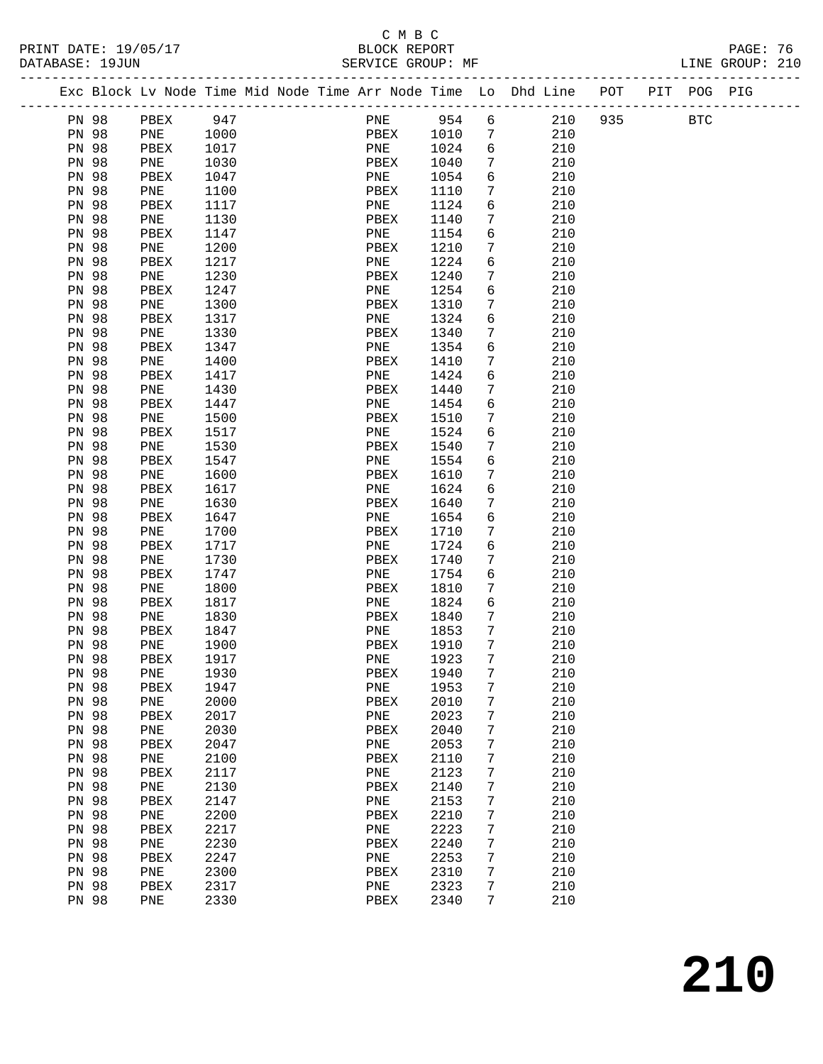#### C M B C<br>BLOCK REPORT SERVICE GROUP: MF

|              | Exc Block Lv Node Time Mid Node Time Arr Node Time Lo Dhd Line POT |      |  |      |         |                 |            | PIT POG PIG |  |
|--------------|--------------------------------------------------------------------|------|--|------|---------|-----------------|------------|-------------|--|
| PN 98        | PBEX                                                               | 947  |  |      | PNE 954 | 6               | 210<br>935 | <b>BTC</b>  |  |
| PN 98        | PNE                                                                | 1000 |  | PBEX | 1010    | 7               | 210        |             |  |
| PN 98        | PBEX                                                               | 1017 |  | PNE  | 1024    | 6               | 210        |             |  |
| PN 98        | PNE                                                                | 1030 |  | PBEX | 1040    | $7\phantom{.0}$ | 210        |             |  |
| <b>PN 98</b> | PBEX                                                               | 1047 |  | PNE  | 1054    | 6               | 210        |             |  |
| PN 98        | PNE                                                                | 1100 |  | PBEX | 1110    | 7               | 210        |             |  |
| <b>PN 98</b> | PBEX                                                               | 1117 |  | PNE  | 1124    | 6               | 210        |             |  |
| PN 98        | PNE                                                                | 1130 |  | PBEX | 1140    | 7               | 210        |             |  |
| <b>PN 98</b> | PBEX                                                               | 1147 |  | PNE  | 1154    | 6               | 210        |             |  |
| PN 98        | PNE                                                                | 1200 |  | PBEX | 1210    | 7               | 210        |             |  |
| PN 98        | PBEX                                                               | 1217 |  | PNE  | 1224    | 6               | 210        |             |  |
| PN 98        | PNE                                                                | 1230 |  | PBEX | 1240    | 7               | 210        |             |  |
| <b>PN 98</b> | PBEX                                                               | 1247 |  | PNE  | 1254    | 6               | 210        |             |  |
| PN 98        | PNE                                                                | 1300 |  | PBEX | 1310    | 7               | 210        |             |  |
| <b>PN 98</b> | PBEX                                                               | 1317 |  | PNE  | 1324    | 6               | 210        |             |  |
| PN 98        | PNE                                                                | 1330 |  | PBEX | 1340    | 7               | 210        |             |  |
| PN 98        | PBEX                                                               | 1347 |  | PNE  | 1354    | 6               | 210        |             |  |
| PN 98        | PNE                                                                | 1400 |  | PBEX | 1410    | 7               | 210        |             |  |
| PN 98        | PBEX                                                               | 1417 |  | PNE  | 1424    | 6               | 210        |             |  |
| PN 98        | PNE                                                                | 1430 |  | PBEX | 1440    | 7               | 210        |             |  |
| PN 98        | PBEX                                                               | 1447 |  | PNE  | 1454    | 6               | 210        |             |  |
| <b>PN 98</b> | PNE                                                                | 1500 |  | PBEX | 1510    | 7               | 210        |             |  |
| PN 98        | PBEX                                                               | 1517 |  | PNE  | 1524    | 6               | 210        |             |  |
| PN 98        | PNE                                                                | 1530 |  | PBEX | 1540    | 7               | 210        |             |  |
| PN 98        | PBEX                                                               | 1547 |  | PNE  | 1554    | 6               | 210        |             |  |
| PN 98        | PNE                                                                | 1600 |  | PBEX | 1610    | 7               | 210        |             |  |
| <b>PN 98</b> | PBEX                                                               | 1617 |  | PNE  | 1624    | 6               | 210        |             |  |
| <b>PN 98</b> | PNE                                                                | 1630 |  | PBEX | 1640    | 7               | 210        |             |  |
| PN 98        | PBEX                                                               | 1647 |  | PNE  | 1654    | 6               | 210        |             |  |
| <b>PN 98</b> | PNE                                                                | 1700 |  | PBEX | 1710    | 7               | 210        |             |  |
| PN 98        | PBEX                                                               | 1717 |  | PNE  | 1724    | 6               | 210        |             |  |
| <b>PN 98</b> | PNE                                                                | 1730 |  | PBEX | 1740    | 7               | 210        |             |  |
| PN 98        | PBEX                                                               | 1747 |  | PNE  | 1754    | 6               | 210        |             |  |
| <b>PN 98</b> | PNE                                                                | 1800 |  | PBEX | 1810    | $7\phantom{.0}$ | 210        |             |  |
| PN 98        | PBEX                                                               | 1817 |  | PNE  | 1824    | 6               | 210        |             |  |
| <b>PN 98</b> | PNE                                                                | 1830 |  | PBEX | 1840    | 7               | 210        |             |  |
| PN 98        | PBEX                                                               | 1847 |  | PNE  | 1853    | $7\phantom{.0}$ | 210        |             |  |
| <b>PN 98</b> | PNE                                                                | 1900 |  | PBEX | 1910    | 7               | 210        |             |  |
| <b>PN 98</b> | PBEX                                                               | 1917 |  | PNE  | 1923    | 7               | 210        |             |  |
| PN 98        | PNE                                                                | 1930 |  | PBEX | 1940    | $7\phantom{.0}$ | 210        |             |  |
| PN 98        | PBEX                                                               | 1947 |  | PNE  | 1953    | 7               | 210        |             |  |
| PN 98        | PNE                                                                | 2000 |  | PBEX | 2010    | $\overline{7}$  | 210        |             |  |
| PN 98        | PBEX                                                               | 2017 |  | PNE  | 2023    | 7               | 210        |             |  |
| PN 98        | PNE                                                                | 2030 |  | PBEX | 2040    | 7               | 210        |             |  |
| PN 98        | PBEX                                                               | 2047 |  | PNE  | 2053    | 7               | 210        |             |  |
| PN 98        | PNE                                                                | 2100 |  | PBEX | 2110    | 7               | 210        |             |  |
| PN 98        | PBEX                                                               | 2117 |  | PNE  | 2123    | 7               | 210        |             |  |
| PN 98        | PNE                                                                | 2130 |  | PBEX | 2140    | 7               | 210        |             |  |
| PN 98        | PBEX                                                               | 2147 |  | PNE  | 2153    | 7               | 210        |             |  |
| PN 98        | PNE                                                                | 2200 |  | PBEX | 2210    | 7               | 210        |             |  |
| PN 98        | PBEX                                                               | 2217 |  | PNE  | 2223    | 7               | 210        |             |  |
| PN 98        | PNE                                                                | 2230 |  | PBEX | 2240    | 7               | 210        |             |  |
| PN 98        | PBEX                                                               | 2247 |  | PNE  | 2253    | 7               | 210        |             |  |
| PN 98        | PNE                                                                | 2300 |  | PBEX | 2310    | 7               | 210        |             |  |
| PN 98        | PBEX                                                               | 2317 |  | PNE  | 2323    | 7               | 210        |             |  |
| PN 98        | PNE                                                                | 2330 |  | PBEX | 2340    | 7               | 210        |             |  |
|              |                                                                    |      |  |      |         |                 |            |             |  |

**210**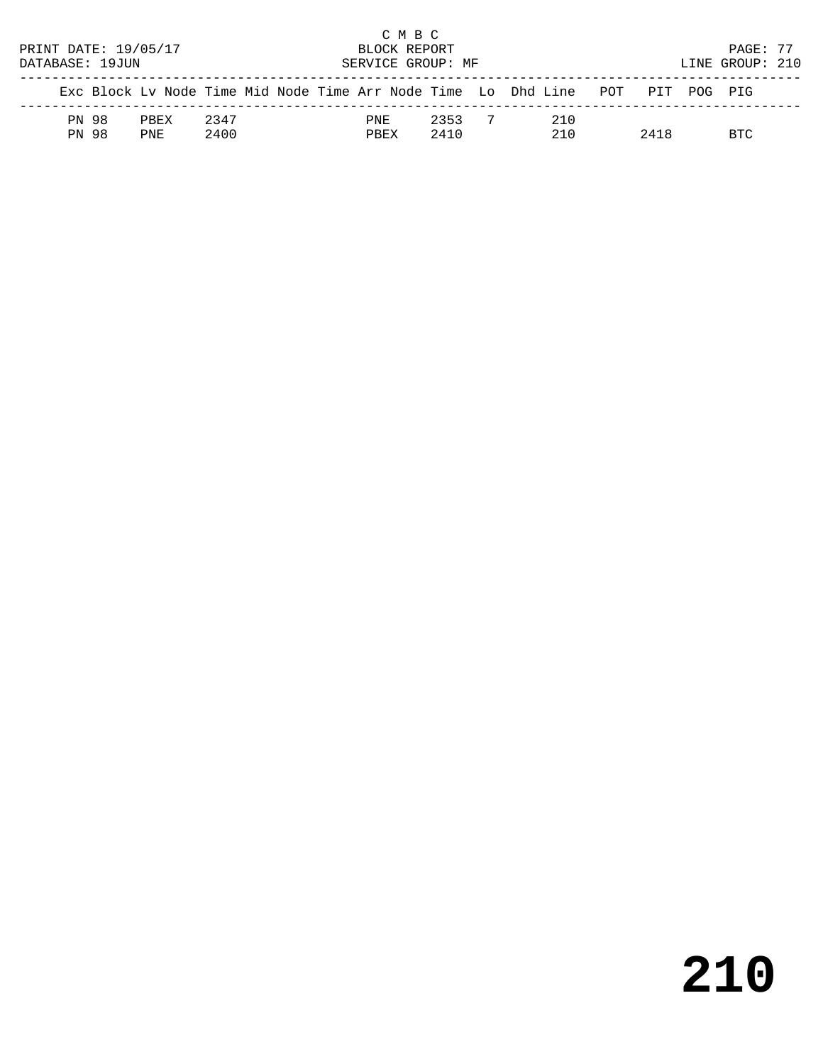|                      |       |                                                                                |      |  |      | C M B C      |                   |     |      |                 |  |
|----------------------|-------|--------------------------------------------------------------------------------|------|--|------|--------------|-------------------|-----|------|-----------------|--|
| PRINT DATE: 19/05/17 |       |                                                                                |      |  |      | BLOCK REPORT |                   |     |      | PAGE: 77        |  |
| DATABASE: 19JUN      |       |                                                                                |      |  |      |              | SERVICE GROUP: MF |     |      | LINE GROUP: 210 |  |
|                      |       | Exc Block Ly Node Time Mid Node Time Arr Node Time Lo Dhd Line POT PIT POG PIG |      |  |      |              |                   |     |      |                 |  |
|                      | PN 98 | PREX                                                                           | 2347 |  | PNE  |              | 2353              | 210 |      |                 |  |
|                      | PN 98 | PNF.                                                                           | 2400 |  | PBEX |              | 2410              | 210 | 2418 | RTC             |  |

# **210**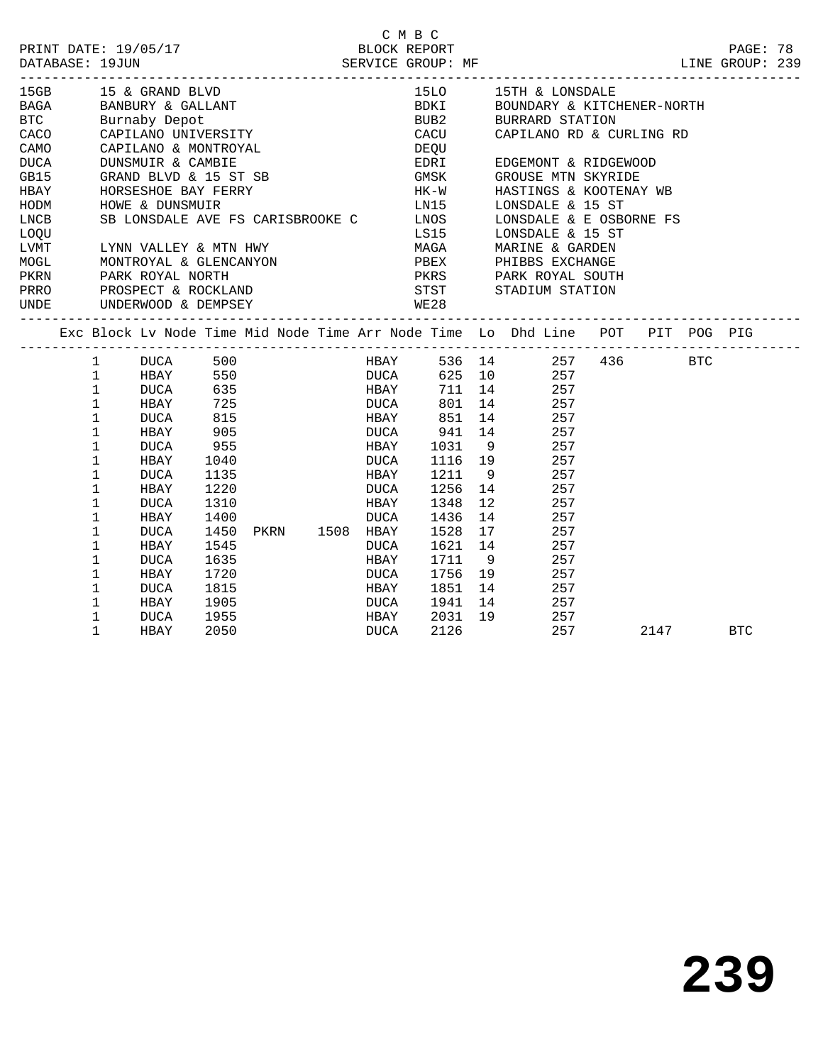|                                                                                                                                                                                                                                                                                                                                                                                            |                   |                                             |              |  |                        | C M B C                            |         |                                                                                |      |            |  |
|--------------------------------------------------------------------------------------------------------------------------------------------------------------------------------------------------------------------------------------------------------------------------------------------------------------------------------------------------------------------------------------------|-------------------|---------------------------------------------|--------------|--|------------------------|------------------------------------|---------|--------------------------------------------------------------------------------|------|------------|--|
| PRINT DATE: 19/05/17<br>DATABASE: 19JUN<br>DATABASE: 19JUN<br>SERVICE GROUP: MF                                                                                                                                                                                                                                                                                                            |                   |                                             |              |  |                        |                                    |         |                                                                                |      | PAGE: 78   |  |
|                                                                                                                                                                                                                                                                                                                                                                                            |                   |                                             |              |  |                        |                                    |         | LINE GROUP: 239                                                                |      |            |  |
| 15GB 15 & GRAND BLVD 15LO 15TH & LONSDALE<br>BAGA BANBURY & GALLANT BOUNDARY & KITCHENER-NORT<br>BTC Burnaby Depot BUB2 BURRARD STATION<br>CACO CAPILANO UNIVERSITY<br>CACO CAPILANO RD & CURLING RD                                                                                                                                                                                       |                   |                                             |              |  |                        |                                    |         |                                                                                |      |            |  |
|                                                                                                                                                                                                                                                                                                                                                                                            |                   |                                             |              |  |                        |                                    |         | BOUNDARY & KITCHENER-NORTH                                                     |      |            |  |
|                                                                                                                                                                                                                                                                                                                                                                                            |                   |                                             |              |  |                        |                                    |         |                                                                                |      |            |  |
|                                                                                                                                                                                                                                                                                                                                                                                            |                   |                                             |              |  |                        |                                    |         |                                                                                |      |            |  |
| CAMO                                                                                                                                                                                                                                                                                                                                                                                       |                   | CAPILANO & MONTROYAL<br>DINNSMIITR & CAMBIE |              |  |                        | DEQU                               |         |                                                                                |      |            |  |
| DUCA                                                                                                                                                                                                                                                                                                                                                                                       |                   |                                             |              |  |                        | EDRI                               |         | EDGEMONT & RIDGEWOOD                                                           |      |            |  |
| GB15                                                                                                                                                                                                                                                                                                                                                                                       |                   | GRAND BLVD & 15 ST SB GMSK                  |              |  |                        |                                    |         | GROUSE MTN SKYRIDE                                                             |      |            |  |
|                                                                                                                                                                                                                                                                                                                                                                                            |                   |                                             |              |  |                        |                                    |         | HASTINGS & KOOTENAY WB                                                         |      |            |  |
| HBAY HORSESHOE BAY FERRY HK-W<br>HODM HOWE & DUNSMUIR LNCB SB LONSDALE AVE FS CARISBROOKE C LNOS                                                                                                                                                                                                                                                                                           |                   |                                             |              |  |                        |                                    |         | LONSDALE & 15 ST                                                               |      |            |  |
|                                                                                                                                                                                                                                                                                                                                                                                            |                   |                                             |              |  |                        |                                    |         | SB LONSDALE AVE FS CARISBROOKE C LNOS LONSDALE & E OSBORNE FS                  |      |            |  |
| LOQU                                                                                                                                                                                                                                                                                                                                                                                       |                   |                                             |              |  |                        |                                    |         | LS15 LONSDALE & 15 ST                                                          |      |            |  |
|                                                                                                                                                                                                                                                                                                                                                                                            |                   |                                             |              |  |                        |                                    |         |                                                                                |      |            |  |
| $\begin{array}{lllllllllllllllllllll} \textsc{LYNN} & \textsc{VALLEY} & \textsc{MTN} & \textsc{HWY} & \textsc{MAGA} & \textsc{MARINE} & \textsc{GARDEN} \\ \textsc{MOGL} & \textsc{MONTROYAL} & \textsc{GLENCANCON} & \textsc{PBEX} & \textsc{PHIBBS EXCHANGE} \\ \textsc{PKRN} & \textsc{PARK ROYAL} & \textsc{NORTH} & \textsc{PKRS} & \textsc{PARK ROYAL} & \textsc{SOUTI} \end{array}$ |                   |                                             |              |  |                        |                                    |         | PKRS PARK ROYAL SOUTH                                                          |      |            |  |
| PRRO PROSPECT & ROCKLAND STST STADIUM STATION                                                                                                                                                                                                                                                                                                                                              |                   |                                             |              |  |                        |                                    |         |                                                                                |      |            |  |
| UNDE                                                                                                                                                                                                                                                                                                                                                                                       |                   | UNDERWOOD & DEMPSEY                         |              |  |                        | WE28                               |         |                                                                                |      |            |  |
|                                                                                                                                                                                                                                                                                                                                                                                            |                   |                                             |              |  |                        |                                    |         |                                                                                |      |            |  |
|                                                                                                                                                                                                                                                                                                                                                                                            |                   |                                             |              |  |                        |                                    |         | Exc Block Lv Node Time Mid Node Time Arr Node Time Lo Dhd Line POT PIT POG PIG |      |            |  |
|                                                                                                                                                                                                                                                                                                                                                                                            | $\mathbf{1}$      |                                             |              |  |                        |                                    |         | HBAY 536 14 257 436 BTC<br>DUCA 625 10 257                                     |      |            |  |
|                                                                                                                                                                                                                                                                                                                                                                                            | $\mathbf{1}$      |                                             |              |  |                        |                                    |         |                                                                                |      |            |  |
|                                                                                                                                                                                                                                                                                                                                                                                            | $\mathbf 1$       | DUCA                                        |              |  | 635 HBAY               |                                    |         | 711 14 257                                                                     |      |            |  |
|                                                                                                                                                                                                                                                                                                                                                                                            | $\mathbf{1}$      | HBAY                                        | 725<br>815   |  | <b>DUCA</b>            |                                    |         | 801 14 257                                                                     |      |            |  |
|                                                                                                                                                                                                                                                                                                                                                                                            | $\mathbf{1}$      | DUCA                                        |              |  |                        | HBAY 851 14 257<br>DUCA 941 14 257 |         |                                                                                |      |            |  |
|                                                                                                                                                                                                                                                                                                                                                                                            | $\mathbf{1}$      | HBAY                                        | 905          |  |                        |                                    |         |                                                                                |      |            |  |
|                                                                                                                                                                                                                                                                                                                                                                                            | $\mathbf{1}$      | DUCA                                        | 955          |  |                        | HBAY 1031 9 257                    |         |                                                                                |      |            |  |
|                                                                                                                                                                                                                                                                                                                                                                                            | 1                 | HBAY                                        | 1040         |  | <b>DUCA</b>            |                                    |         | 1116  19  257<br>1211  9  257                                                  |      |            |  |
|                                                                                                                                                                                                                                                                                                                                                                                            | $\mathbf{1}$      | DUCA                                        | 1135         |  | HBAY                   |                                    |         | 1256 14 257                                                                    |      |            |  |
|                                                                                                                                                                                                                                                                                                                                                                                            | $\mathbf 1$       | HBAY                                        | 1220         |  | <b>DUCA</b>            |                                    |         |                                                                                |      |            |  |
|                                                                                                                                                                                                                                                                                                                                                                                            | $\mathbf{1}$      | DUCA                                        | 1310         |  | HBAY                   | 1348                               |         | 12 257                                                                         |      |            |  |
|                                                                                                                                                                                                                                                                                                                                                                                            | 1<br>$\mathbf{1}$ | HBAY                                        | 1400<br>1450 |  | DUCA<br>PKRN 1508 HBAY |                                    |         | 1436 14 257<br>1528 17 257                                                     |      |            |  |
|                                                                                                                                                                                                                                                                                                                                                                                            | $\mathbf 1$       | DUCA<br>HBAY                                | 1545         |  | DUCA                   |                                    |         | 1621 14 257                                                                    |      |            |  |
|                                                                                                                                                                                                                                                                                                                                                                                            | $\mathbf{1}$      | DUCA                                        | 1635         |  | HBAY                   | 1711                               |         | 9 257                                                                          |      |            |  |
|                                                                                                                                                                                                                                                                                                                                                                                            | $\mathbf 1$       | HBAY                                        | 1720         |  | DUCA                   |                                    | 1756 19 | 257                                                                            |      |            |  |
|                                                                                                                                                                                                                                                                                                                                                                                            | $\mathbf{1}$      | DUCA                                        | 1815         |  | <b>HBAY</b>            |                                    |         | $1851$ 14 257                                                                  |      |            |  |
|                                                                                                                                                                                                                                                                                                                                                                                            | $\mathbf{1}$      | HBAY                                        | 1905         |  | <b>DUCA</b>            |                                    |         | 1941 14 257                                                                    |      |            |  |
|                                                                                                                                                                                                                                                                                                                                                                                            | 1                 | DUCA                                        | 1955         |  | HBAY                   |                                    |         | 2031 19 257                                                                    |      |            |  |
|                                                                                                                                                                                                                                                                                                                                                                                            | $\mathbf{1}$      | HBAY                                        | 2050         |  | DUCA                   | 2126                               |         | 257                                                                            | 2147 | <b>BTC</b> |  |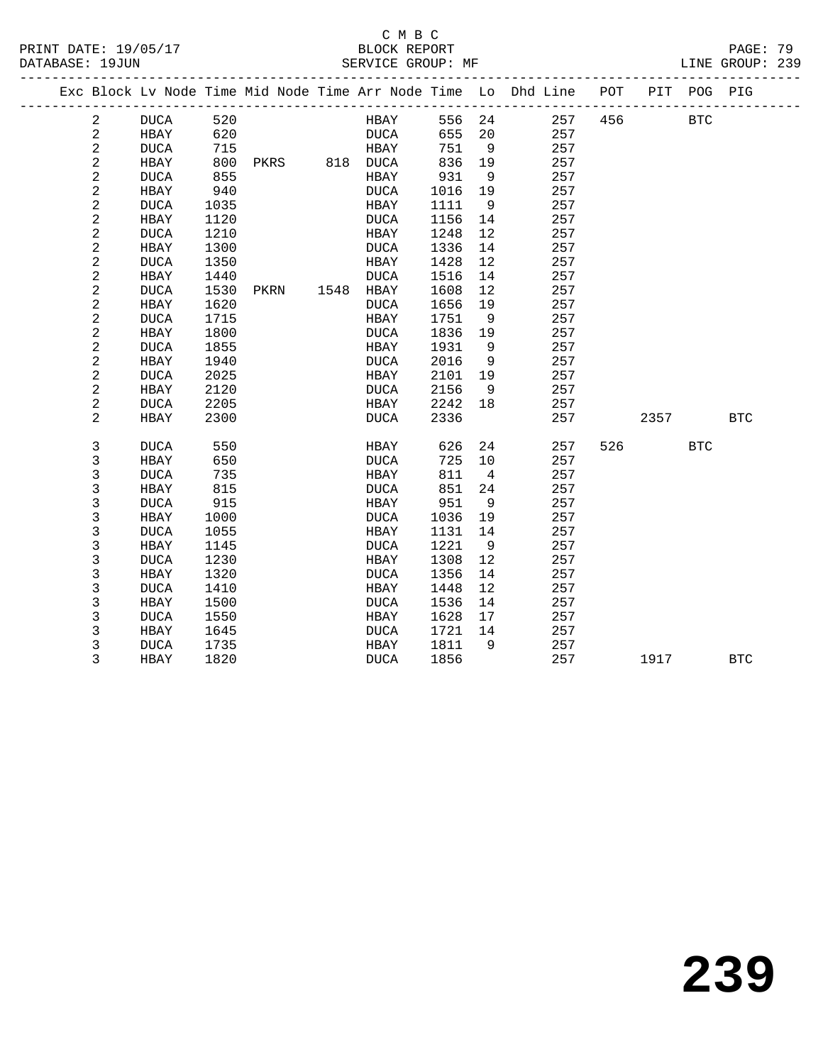#### C M B C<br>BLOCK REPORT PRINT DATE: 19/05/17 BLOCK REPORT PAGE: 79 SERVICE GROUP: MF

|  |                | ----------------------- |      |                |             |        |                   | Exc Block Lv Node Time Mid Node Time Arr Node Time Lo Dhd Line POT PIT POG PIG |     |      |            |            |
|--|----------------|-------------------------|------|----------------|-------------|--------|-------------------|--------------------------------------------------------------------------------|-----|------|------------|------------|
|  | 2              | <b>DUCA</b>             | 520  |                | HBAY        | 556 24 |                   | 257                                                                            | 456 |      | <b>BTC</b> |            |
|  | 2              | HBAY                    | 620  |                | DUCA        | 655    | 20                | 257                                                                            |     |      |            |            |
|  | $\sqrt{2}$     | <b>DUCA</b>             | 715  |                | HBAY        | 751    | 9                 | 257                                                                            |     |      |            |            |
|  | $\sqrt{2}$     | HBAY                    | 800  | PKRS 818 DUCA  |             | 836    | 19                | 257                                                                            |     |      |            |            |
|  | 2              | DUCA                    | 855  |                | HBAY        | 931    | - 9               | 257                                                                            |     |      |            |            |
|  | 2              | <b>HBAY</b>             | 940  |                | <b>DUCA</b> | 1016   | 19                | 257                                                                            |     |      |            |            |
|  | $\sqrt{2}$     | <b>DUCA</b>             | 1035 |                | HBAY        | 1111   | 9                 | 257                                                                            |     |      |            |            |
|  | $\sqrt{2}$     | HBAY                    | 1120 |                | DUCA        | 1156   | 14                | 257                                                                            |     |      |            |            |
|  | 2              | <b>DUCA</b>             | 1210 |                | HBAY        | 1248   | $12 \overline{ }$ | 257                                                                            |     |      |            |            |
|  | $\sqrt{2}$     | HBAY                    | 1300 |                | <b>DUCA</b> | 1336   | 14                | 257                                                                            |     |      |            |            |
|  | $\sqrt{2}$     | <b>DUCA</b>             | 1350 |                | HBAY        | 1428   | 12                | 257                                                                            |     |      |            |            |
|  | $\sqrt{2}$     | HBAY                    | 1440 |                | <b>DUCA</b> | 1516   | 14                | 257                                                                            |     |      |            |            |
|  | 2              | <b>DUCA</b>             | 1530 | PKRN 1548 HBAY |             | 1608   | 12                | 257                                                                            |     |      |            |            |
|  | $\sqrt{2}$     | HBAY                    | 1620 |                | <b>DUCA</b> | 1656   | 19                | 257                                                                            |     |      |            |            |
|  | $\sqrt{2}$     | <b>DUCA</b>             | 1715 |                | HBAY        | 1751   | 9                 | 257                                                                            |     |      |            |            |
|  | $\sqrt{2}$     | HBAY                    | 1800 |                | <b>DUCA</b> | 1836   | 19                | 257                                                                            |     |      |            |            |
|  | $\overline{a}$ | <b>DUCA</b>             | 1855 |                | HBAY        | 1931   | 9                 | 257                                                                            |     |      |            |            |
|  | 2              | HBAY                    | 1940 |                | DUCA        | 2016   | 9                 | 257                                                                            |     |      |            |            |
|  | 2              | <b>DUCA</b>             | 2025 |                | HBAY        | 2101   | 19                | 257                                                                            |     |      |            |            |
|  | $\sqrt{2}$     | HBAY                    | 2120 |                | DUCA        | 2156   | 9                 | 257                                                                            |     |      |            |            |
|  | $\sqrt{2}$     | <b>DUCA</b>             | 2205 |                | HBAY        | 2242   | 18                | 257                                                                            |     |      |            |            |
|  | 2              | HBAY                    | 2300 |                | DUCA        | 2336   |                   | 257                                                                            |     | 2357 |            | <b>BTC</b> |
|  | 3              | <b>DUCA</b>             | 550  |                | HBAY        | 626    | 24                | 257                                                                            | 526 |      | <b>BTC</b> |            |
|  | 3              | HBAY                    | 650  |                | <b>DUCA</b> | 725    | 10                | 257                                                                            |     |      |            |            |
|  | 3              | <b>DUCA</b>             | 735  |                | HBAY        | 811    | $\overline{4}$    | 257                                                                            |     |      |            |            |
|  | 3              | <b>HBAY</b>             | 815  |                | <b>DUCA</b> | 851    | 24                | 257                                                                            |     |      |            |            |
|  | 3              | <b>DUCA</b>             | 915  |                | HBAY        | 951    | 9                 | 257                                                                            |     |      |            |            |
|  | 3              | <b>HBAY</b>             | 1000 |                | <b>DUCA</b> | 1036   | 19                | 257                                                                            |     |      |            |            |
|  | $\mathsf 3$    | <b>DUCA</b>             | 1055 |                | HBAY        | 1131   | 14                | 257                                                                            |     |      |            |            |
|  | 3              | HBAY                    | 1145 |                | <b>DUCA</b> | 1221   | 9                 | 257                                                                            |     |      |            |            |
|  | 3              | <b>DUCA</b>             | 1230 |                | HBAY        | 1308   | 12                | 257                                                                            |     |      |            |            |
|  | 3              | HBAY                    | 1320 |                | <b>DUCA</b> | 1356   | 14                | 257                                                                            |     |      |            |            |
|  | $\mathsf 3$    | <b>DUCA</b>             | 1410 |                | HBAY        | 1448   | 12                | 257                                                                            |     |      |            |            |
|  | 3              | HBAY                    | 1500 |                | <b>DUCA</b> | 1536   | 14                | 257                                                                            |     |      |            |            |
|  | 3              | DUCA                    | 1550 |                | HBAY        | 1628   | 17                | 257                                                                            |     |      |            |            |
|  | 3              | HBAY                    | 1645 |                | <b>DUCA</b> | 1721   | 14                | 257                                                                            |     |      |            |            |
|  | $\mathsf 3$    | <b>DUCA</b>             | 1735 |                | HBAY        | 1811   | 9                 | 257                                                                            |     |      |            |            |
|  | 3              | <b>HBAY</b>             | 1820 |                | <b>DUCA</b> | 1856   |                   | 257                                                                            |     | 1917 |            | <b>BTC</b> |
|  |                |                         |      |                |             |        |                   |                                                                                |     |      |            |            |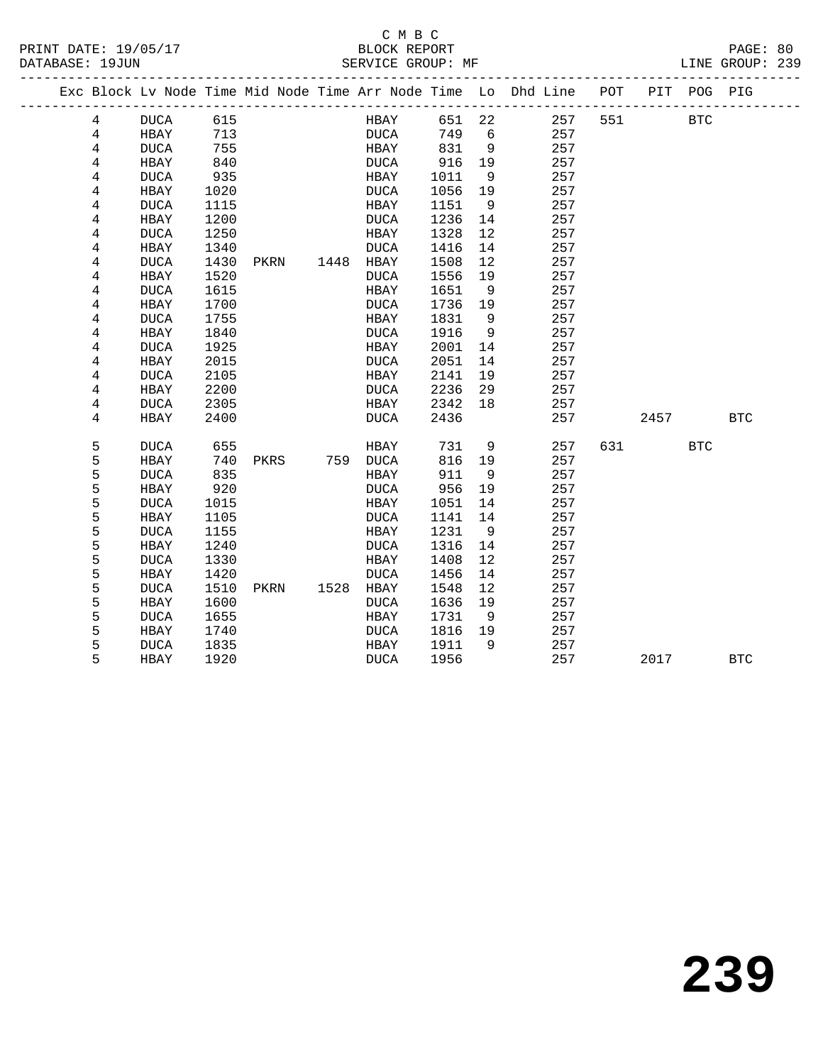#### C M B C<br>BLOCK REPORT PRINT DATE: 19/05/17 BLOCK REPORT PAGE: 80 SERVICE GROUP: MF

|  |   |             |      |      |           |             |        |     | Exc Block Lv Node Time Mid Node Time Arr Node Time Lo Dhd Line POT |     |      | PIT POG PIG |            |
|--|---|-------------|------|------|-----------|-------------|--------|-----|--------------------------------------------------------------------|-----|------|-------------|------------|
|  | 4 | DUCA        | 615  |      |           | HBAY        | 651 22 |     | 257                                                                | 551 |      | <b>BTC</b>  |            |
|  | 4 | HBAY        | 713  |      |           | DUCA        | 749    | 6   | 257                                                                |     |      |             |            |
|  | 4 | <b>DUCA</b> | 755  |      |           | HBAY        | 831    | 9   | 257                                                                |     |      |             |            |
|  | 4 | HBAY        | 840  |      |           | DUCA        | 916    | 19  | 257                                                                |     |      |             |            |
|  | 4 | <b>DUCA</b> | 935  |      |           | HBAY        | 1011   | 9   | 257                                                                |     |      |             |            |
|  | 4 | HBAY        | 1020 |      |           | <b>DUCA</b> | 1056   | 19  | 257                                                                |     |      |             |            |
|  | 4 | <b>DUCA</b> | 1115 |      |           | HBAY        | 1151   | - 9 | 257                                                                |     |      |             |            |
|  | 4 | HBAY        | 1200 |      |           | DUCA        | 1236   | 14  | 257                                                                |     |      |             |            |
|  | 4 | <b>DUCA</b> | 1250 |      |           | HBAY        | 1328   | 12  | 257                                                                |     |      |             |            |
|  | 4 | HBAY        | 1340 |      |           | <b>DUCA</b> | 1416   | 14  | 257                                                                |     |      |             |            |
|  | 4 | <b>DUCA</b> | 1430 | PKRN | 1448 HBAY |             | 1508   | 12  | 257                                                                |     |      |             |            |
|  | 4 | HBAY        | 1520 |      |           | DUCA        | 1556   | 19  | 257                                                                |     |      |             |            |
|  | 4 | <b>DUCA</b> | 1615 |      |           | HBAY        | 1651   | 9   | 257                                                                |     |      |             |            |
|  | 4 | HBAY        | 1700 |      |           | DUCA        | 1736   | 19  | 257                                                                |     |      |             |            |
|  | 4 | <b>DUCA</b> | 1755 |      |           | HBAY        | 1831   | - 9 | 257                                                                |     |      |             |            |
|  | 4 | HBAY        | 1840 |      |           | <b>DUCA</b> | 1916   | 9   | 257                                                                |     |      |             |            |
|  | 4 | <b>DUCA</b> | 1925 |      |           | HBAY        | 2001   | 14  | 257                                                                |     |      |             |            |
|  | 4 | <b>HBAY</b> | 2015 |      |           | <b>DUCA</b> | 2051   | 14  | 257                                                                |     |      |             |            |
|  | 4 | <b>DUCA</b> | 2105 |      |           | HBAY        | 2141   | 19  | 257                                                                |     |      |             |            |
|  | 4 | HBAY        | 2200 |      |           | DUCA        | 2236   | 29  | 257                                                                |     |      |             |            |
|  | 4 | DUCA        | 2305 |      |           | HBAY        | 2342   | 18  | 257                                                                |     |      |             |            |
|  | 4 | HBAY        | 2400 |      |           | DUCA        | 2436   |     | 257                                                                |     | 2457 |             | <b>BTC</b> |
|  | 5 | <b>DUCA</b> | 655  |      |           | HBAY        | 731    | 9   | 257                                                                | 631 |      | <b>BTC</b>  |            |
|  | 5 | HBAY        | 740  | PKRS |           | 759 DUCA    | 816    | 19  | 257                                                                |     |      |             |            |
|  | 5 | <b>DUCA</b> | 835  |      |           | HBAY        | 911    | 9   | 257                                                                |     |      |             |            |
|  | 5 | HBAY        | 920  |      |           | <b>DUCA</b> | 956    | 19  | 257                                                                |     |      |             |            |
|  | 5 | <b>DUCA</b> | 1015 |      |           | HBAY        | 1051   | 14  | 257                                                                |     |      |             |            |
|  | 5 | HBAY        | 1105 |      |           | DUCA        | 1141   | 14  | 257                                                                |     |      |             |            |
|  | 5 | <b>DUCA</b> | 1155 |      |           | HBAY        | 1231   | 9   | 257                                                                |     |      |             |            |
|  | 5 | HBAY        | 1240 |      |           | DUCA        | 1316   | 14  | 257                                                                |     |      |             |            |
|  | 5 | <b>DUCA</b> | 1330 |      |           | HBAY        | 1408   | 12  | 257                                                                |     |      |             |            |
|  | 5 | HBAY        | 1420 |      |           | <b>DUCA</b> | 1456   | 14  | 257                                                                |     |      |             |            |
|  | 5 | <b>DUCA</b> | 1510 | PKRN | 1528 HBAY |             | 1548   | 12  | 257                                                                |     |      |             |            |
|  | 5 | HBAY        | 1600 |      |           | <b>DUCA</b> | 1636   | 19  | 257                                                                |     |      |             |            |
|  | 5 | <b>DUCA</b> | 1655 |      |           | HBAY        | 1731   | 9   | 257                                                                |     |      |             |            |
|  | 5 | HBAY        | 1740 |      |           | DUCA        | 1816   | 19  | 257                                                                |     |      |             |            |
|  | 5 | <b>DUCA</b> | 1835 |      |           | HBAY        | 1911   | 9   | 257                                                                |     |      |             |            |
|  | 5 | HBAY        | 1920 |      |           | <b>DUCA</b> | 1956   |     | 257                                                                |     | 2017 |             | <b>BTC</b> |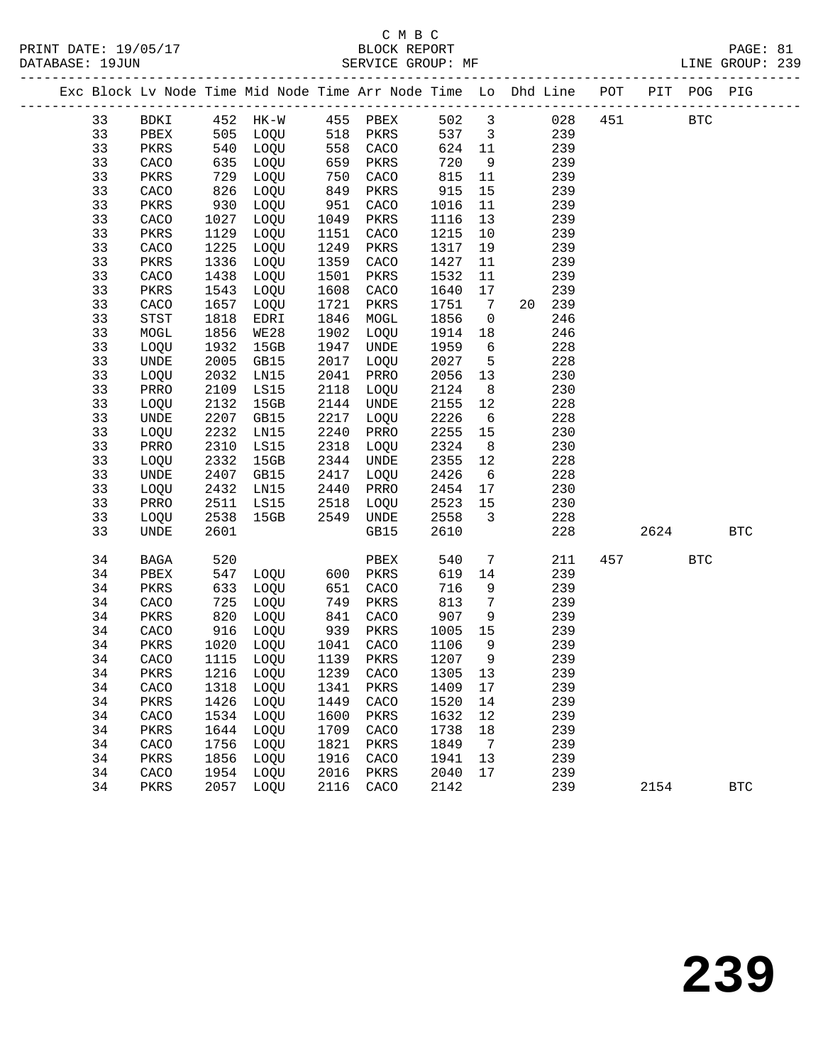|  |    |      |      | Exc Block Lv Node Time Mid Node Time Arr Node Time Lo Dhd Line POT PIT POG PIG |      |           |        |                         |        |     |                        |            |            |
|--|----|------|------|--------------------------------------------------------------------------------|------|-----------|--------|-------------------------|--------|-----|------------------------|------------|------------|
|  | 33 | BDKI |      | 452 HK-W 455 PBEX                                                              |      |           | 502 3  |                         | 028    | 451 |                        | <b>BTC</b> |            |
|  | 33 | PBEX |      | 505 LOQU 518 PKRS                                                              |      |           | 537    | $\overline{\mathbf{3}}$ | 239    |     |                        |            |            |
|  | 33 | PKRS | 540  | LOQU                                                                           |      | 558 CACO  | 624 11 |                         | 239    |     |                        |            |            |
|  | 33 | CACO | 635  | LOQU                                                                           | 659  | PKRS      | 720    | 9                       | 239    |     |                        |            |            |
|  | 33 | PKRS | 729  | LOQU                                                                           | 750  | CACO      | 815    | 11                      | 239    |     |                        |            |            |
|  | 33 | CACO | 826  | LOQU                                                                           | 849  | PKRS      | 915    | 15                      | 239    |     |                        |            |            |
|  | 33 | PKRS | 930  | LOQU                                                                           | 951  | CACO      | 1016   | 11                      | 239    |     |                        |            |            |
|  | 33 | CACO | 1027 | LOQU                                                                           | 1049 | PKRS      | 1116   | 13                      | 239    |     |                        |            |            |
|  | 33 | PKRS | 1129 | LOQU                                                                           | 1151 | CACO      | 1215   | 10                      | 239    |     |                        |            |            |
|  | 33 | CACO | 1225 | LOQU                                                                           | 1249 | PKRS      | 1317   | 19                      | 239    |     |                        |            |            |
|  | 33 | PKRS | 1336 | LOQU                                                                           | 1359 | CACO      | 1427   | 11                      | 239    |     |                        |            |            |
|  | 33 | CACO | 1438 | LOQU                                                                           | 1501 | PKRS      | 1532   | 11                      | 239    |     |                        |            |            |
|  | 33 | PKRS | 1543 | LOQU                                                                           | 1608 | CACO      | 1640   | 17                      | 239    |     |                        |            |            |
|  | 33 | CACO | 1657 | LOQU                                                                           | 1721 | PKRS      | 1751   | $7\overline{ }$         | 20 239 |     |                        |            |            |
|  | 33 | STST | 1818 | EDRI                                                                           | 1846 | MOGL      | 1856   | $\overline{0}$          | 246    |     |                        |            |            |
|  | 33 | MOGL | 1856 | WE28                                                                           | 1902 | LOQU      | 1914   | 18                      | 246    |     |                        |            |            |
|  | 33 | LOQU | 1932 | 15GB                                                                           | 1947 | UNDE      | 1959   | 6                       | 228    |     |                        |            |            |
|  | 33 | UNDE | 2005 | GB15                                                                           | 2017 | LOQU      | 2027   | $5^{\circ}$             | 228    |     |                        |            |            |
|  | 33 | LOQU | 2032 | LN15                                                                           | 2041 | PRRO      | 2056   | 13                      | 230    |     |                        |            |            |
|  | 33 | PRRO | 2109 | LS15                                                                           | 2118 | LOQU      | 2124   | 8 <sup>8</sup>          | 230    |     |                        |            |            |
|  | 33 | LOQU | 2132 | 15GB                                                                           | 2144 | UNDE      | 2155   | 12                      | 228    |     |                        |            |            |
|  | 33 | UNDE | 2207 | GB15                                                                           | 2217 | LOQU      | 2226   | $6\overline{6}$         | 228    |     |                        |            |            |
|  | 33 | LOQU | 2232 | LN15                                                                           | 2240 | PRRO      | 2255   | 15                      | 230    |     |                        |            |            |
|  | 33 | PRRO | 2310 | LS15                                                                           | 2318 | LOQU      | 2324   | 8 <sup>8</sup>          | 230    |     |                        |            |            |
|  | 33 | LOQU | 2332 | 15GB                                                                           | 2344 | UNDE      | 2355   | 12                      | 228    |     |                        |            |            |
|  | 33 | UNDE | 2407 | GB15                                                                           | 2417 | LOQU      | 2426   | 6                       | 228    |     |                        |            |            |
|  | 33 | LOQU | 2432 | LNI5                                                                           | 2440 | PRRO      | 2454   | 17                      | 230    |     |                        |            |            |
|  | 33 | PRRO | 2511 | LS15                                                                           | 2518 | LOQU      | 2523   | 15                      | 230    |     |                        |            |            |
|  | 33 | LOQU | 2538 | 15GB                                                                           | 2549 | UNDE      | 2558   | $\overline{\mathbf{3}}$ | 228    |     |                        |            |            |
|  | 33 | UNDE | 2601 |                                                                                |      | GB15      | 2610   |                         | 228    |     | 2624                   |            | <b>BTC</b> |
|  | 34 | BAGA | 520  |                                                                                |      | PBEX      | 540    | $7\phantom{.0}$         | 211    |     | 457 and $\overline{a}$ | <b>BTC</b> |            |
|  | 34 | PBEX | 547  | LOQU 600                                                                       |      | PKRS      | 619    | 14                      | 239    |     |                        |            |            |
|  | 34 | PKRS | 633  | LOQU                                                                           | 651  | CACO      | 716    | 9                       | 239    |     |                        |            |            |
|  | 34 | CACO | 725  | LOQU                                                                           | 749  | PKRS      | 813    | $7\overline{ }$         | 239    |     |                        |            |            |
|  | 34 | PKRS | 820  | LOQU                                                                           | 841  | CACO      | 907    | 9                       | 239    |     |                        |            |            |
|  | 34 | CACO | 916  | LOQU                                                                           | 939  | PKRS      | 1005   | 15                      | 239    |     |                        |            |            |
|  | 34 | PKRS | 1020 | LOQU                                                                           |      | 1041 CACO | 1106   | 9                       | 239    |     |                        |            |            |
|  | 34 | CACO |      | 1115 LOQU                                                                      |      | 1139 PKRS | 1207   | 9                       | 239    |     |                        |            |            |
|  | 34 | PKRS |      | 1216 LOQU 1239 CACO 1305 13                                                    |      |           |        |                         | 239    |     |                        |            |            |
|  | 34 | CACO | 1318 | LOQU                                                                           | 1341 | PKRS      | 1409   | 17                      | 239    |     |                        |            |            |
|  | 34 | PKRS | 1426 | LOQU                                                                           | 1449 | CACO      | 1520   | 14                      | 239    |     |                        |            |            |
|  | 34 | CACO | 1534 | LOQU                                                                           | 1600 | PKRS      | 1632   | 12                      | 239    |     |                        |            |            |
|  | 34 | PKRS | 1644 | LOQU                                                                           | 1709 | CACO      | 1738   | 18                      | 239    |     |                        |            |            |
|  | 34 | CACO | 1756 | LOQU                                                                           | 1821 | PKRS      | 1849   | 7                       | 239    |     |                        |            |            |
|  | 34 | PKRS | 1856 | LOQU                                                                           | 1916 | CACO      | 1941   | 13                      | 239    |     |                        |            |            |
|  | 34 | CACO | 1954 | LOQU                                                                           | 2016 | PKRS      | 2040   | 17                      | 239    |     |                        |            |            |
|  | 34 | PKRS | 2057 | LOQU                                                                           | 2116 | CACO      | 2142   |                         | 239    |     | 2154                   |            | <b>BTC</b> |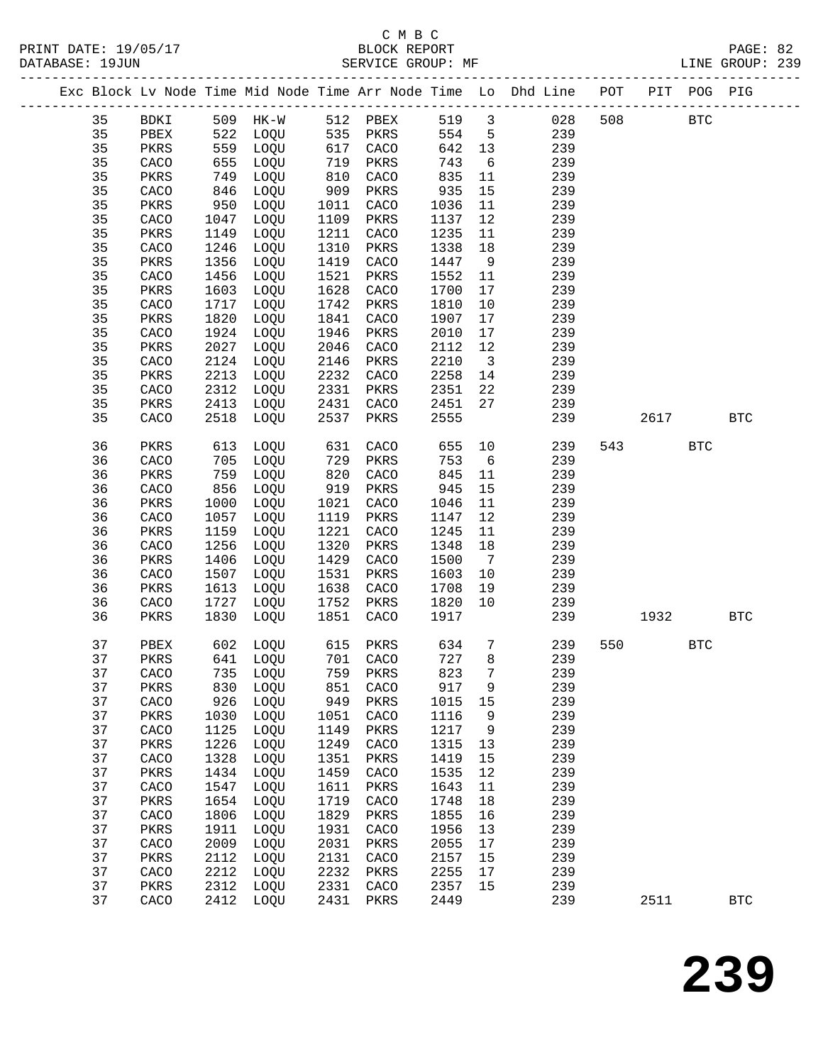|  |          |                        |              |                        |              |                         |              |                              | Exc Block Lv Node Time Mid Node Time Arr Node Time Lo Dhd Line POT PIT POG PIG |     |      |            |            |
|--|----------|------------------------|--------------|------------------------|--------------|-------------------------|--------------|------------------------------|--------------------------------------------------------------------------------|-----|------|------------|------------|
|  | 35       | BDKI                   |              | 509 HK-W 512 PBEX      |              |                         | 519 3        |                              | 028                                                                            | 508 |      | <b>BTC</b> |            |
|  | 35       | PBEX                   |              | 522 LOQU<br>559 T.OOTT |              | 535 PKRS                | 554          | $5^{\circ}$                  | 239                                                                            |     |      |            |            |
|  | 35       | PKRS                   | 559          | LOQU                   |              | $617 \quad \text{CACO}$ | 642 13       |                              | 239                                                                            |     |      |            |            |
|  | 35       | CACO                   | 655          | LOQU                   | 719          | PKRS                    | 743          | $6\overline{6}$              | 239                                                                            |     |      |            |            |
|  | 35       | PKRS                   | 749          | LOQU                   | 810          | CACO                    | 835          | 11                           | 239                                                                            |     |      |            |            |
|  | 35       | CACO                   | 846          | LOQU                   | 909          | PKRS                    | 935          | 15                           | 239                                                                            |     |      |            |            |
|  | 35       | PKRS                   | 950          | LOQU                   | 1011         | CACO                    | 1036         | 11                           | 239                                                                            |     |      |            |            |
|  | 35       | CACO                   | 1047         | LOQU                   | 1109         | PKRS                    | 1137         | 12                           | 239                                                                            |     |      |            |            |
|  | 35       | PKRS                   | 1149         | LOQU                   | 1211         | CACO                    | 1235         | 11                           | 239                                                                            |     |      |            |            |
|  | 35       | CACO                   | 1246         | LOQU                   | 1310         | PKRS                    | 1338         | 18                           | 239                                                                            |     |      |            |            |
|  | 35       | PKRS                   | 1356         | LOQU                   | 1419         | CACO                    | 1447         | 9                            | 239                                                                            |     |      |            |            |
|  | 35       | CACO                   | 1456         | LOQU                   | 1521         | PKRS                    | 1552         | 11                           | 239                                                                            |     |      |            |            |
|  | 35       | PKRS                   | 1603         | LOQU                   | 1628         | CACO                    | 1700         | 17                           | 239                                                                            |     |      |            |            |
|  | 35<br>35 | CACO<br>PKRS           | 1717<br>1820 | LOQU<br>LOQU           | 1742<br>1841 | PKRS<br>CACO            | 1810<br>1907 | 10<br>17                     | 239<br>239                                                                     |     |      |            |            |
|  | 35       | CACO                   | 1924         | LOQU                   | 1946         | PKRS                    | 2010         | 17                           | 239                                                                            |     |      |            |            |
|  | 35       | PKRS                   | 2027         | LOQU                   | 2046         | CACO                    | 2112         | 12                           | 239                                                                            |     |      |            |            |
|  | 35       | CACO                   | 2124         | LOQU                   | 2146         | PKRS                    | 2210         | $\overline{\mathbf{3}}$      | 239                                                                            |     |      |            |            |
|  | 35       | PKRS                   | 2213         | LOQU                   | 2232         | CACO                    | 2258         | 14                           | 239                                                                            |     |      |            |            |
|  | 35       | CACO                   | 2312         | LOQU                   | 2331         | PKRS                    | 2351         | 22                           | 239                                                                            |     |      |            |            |
|  | 35       | PKRS                   | 2413         | LOQU                   | 2431         | CACO                    | 2451         | 27                           | 239                                                                            |     |      |            |            |
|  | 35       | CACO                   | 2518         | LOQU                   | 2537         | PKRS                    | 2555         |                              | 239                                                                            |     | 2617 |            | <b>BTC</b> |
|  |          |                        |              |                        |              |                         |              |                              |                                                                                |     |      |            |            |
|  | 36       | PKRS                   | 613          | LOQU                   | 631          | CACO                    | 655          | 10                           | 239                                                                            |     | 543  | <b>BTC</b> |            |
|  | 36       | CACO                   | 705          | LOQU                   | 729          | PKRS                    | 753          | $6\overline{6}$              | 239                                                                            |     |      |            |            |
|  | 36<br>36 | PKRS<br>CACO           | 759<br>856   | LOQU<br>LOQU           | 820<br>919   | CACO                    | 845<br>945   | 11<br>15                     | 239<br>239                                                                     |     |      |            |            |
|  | 36       | PKRS                   | 1000         | LOQU                   | 1021         | PKRS<br>CACO            | 1046         | 11                           | 239                                                                            |     |      |            |            |
|  | 36       | CACO                   | 1057         | LOQU                   | 1119         | PKRS                    | 1147         | 12                           | 239                                                                            |     |      |            |            |
|  | 36       | PKRS                   | 1159         | LOQU                   | 1221         | CACO                    | 1245         | 11                           | 239                                                                            |     |      |            |            |
|  | 36       | CACO                   | 1256         | LOQU                   | 1320         | PKRS                    | 1348         | 18                           | 239                                                                            |     |      |            |            |
|  | 36       | PKRS                   | 1406         | LOQU                   | 1429         | CACO                    | 1500         | $7\phantom{.0}\phantom{.0}7$ | 239                                                                            |     |      |            |            |
|  | 36       | CACO                   | 1507         | LOQU                   | 1531         | PKRS                    | 1603         | 10                           | 239                                                                            |     |      |            |            |
|  | 36       | PKRS                   | 1613         | LOQU                   | 1638         | CACO                    | 1708         | 19                           | 239                                                                            |     |      |            |            |
|  | 36       | CACO                   | 1727         | LOQU                   | 1752         | PKRS                    | 1820         | 10                           | 239                                                                            |     |      |            |            |
|  | 36       | PKRS                   | 1830         | LOQU                   | 1851         | CACO                    | 1917         |                              | 239                                                                            |     | 1932 |            | <b>BTC</b> |
|  | 37       | PBEX                   | 602          | LOQU                   |              | 615 PKRS                | 634          | $7\phantom{.0}$              | 239                                                                            | 550 |      | <b>BTC</b> |            |
|  | 37       | PKRS                   |              | 641 LOQU               |              | 701 CACO                | 727          | 8 <sup>8</sup>               | 239                                                                            |     |      |            |            |
|  | 37       |                        |              |                        |              |                         |              |                              | CACO 735 LOQU 759 PKRS 823 7 239                                               |     |      |            |            |
|  | 37       | PKRS                   | 830          | LOQU                   | 851          | CACO                    | 917          | 9                            | 239                                                                            |     |      |            |            |
|  | 37       | CACO                   | 926          | LOQU                   | 949          | PKRS                    | 1015         | $15$                         | 239                                                                            |     |      |            |            |
|  | 37       | PKRS                   | 1030         | LOQU                   | 1051         | CACO                    | 1116         | 9                            | 239                                                                            |     |      |            |            |
|  | 37       | CACO                   | 1125         | LOQU                   | 1149         | PKRS                    | 1217         | 9                            | 239                                                                            |     |      |            |            |
|  | 37       | $\mbox{\texttt{PKRS}}$ | 1226         | LOQU                   | 1249         | CACO                    | 1315         | 13                           | 239                                                                            |     |      |            |            |
|  | 37       | CACO                   | 1328         | LOQU                   | 1351         | PKRS                    | 1419         | 15                           | 239                                                                            |     |      |            |            |
|  | 37       | PKRS                   | 1434         | LOQU                   | 1459         | CACO                    | 1535         | 12                           | 239                                                                            |     |      |            |            |
|  | 37       | CACO                   | 1547         | LOQU                   | 1611         | PKRS                    | 1643         | 11                           | 239                                                                            |     |      |            |            |
|  | 37<br>37 | $\mbox{\texttt{PKRS}}$ | 1654<br>1806 | LOQU<br>LOQU           | 1719<br>1829 | CACO                    | 1748<br>1855 | 18                           | 239<br>239                                                                     |     |      |            |            |
|  | 37       | CACO<br>PKRS           | 1911         | LOQU                   | 1931         | PKRS<br>CACO            | 1956         | 16<br>13                     | 239                                                                            |     |      |            |            |
|  | 37       | CACO                   | 2009         | LOQU                   | 2031         | PKRS                    | 2055         | 17                           | 239                                                                            |     |      |            |            |
|  | 37       | $\mbox{\texttt{PKRS}}$ | 2112         | LOQU                   | 2131         | CACO                    | 2157         | 15                           | 239                                                                            |     |      |            |            |
|  | 37       | CACO                   | 2212         | LOQU                   | 2232         | PKRS                    | 2255         | 17                           | 239                                                                            |     |      |            |            |
|  | 37       | PKRS                   | 2312         | LOQU                   | 2331         | CACO                    | 2357         | 15                           | 239                                                                            |     |      |            |            |
|  | 37       | CACO                   | 2412         | LOQU                   | 2431         | PKRS                    | 2449         |                              | 239                                                                            |     | 2511 |            | <b>BTC</b> |
|  |          |                        |              |                        |              |                         |              |                              |                                                                                |     |      |            |            |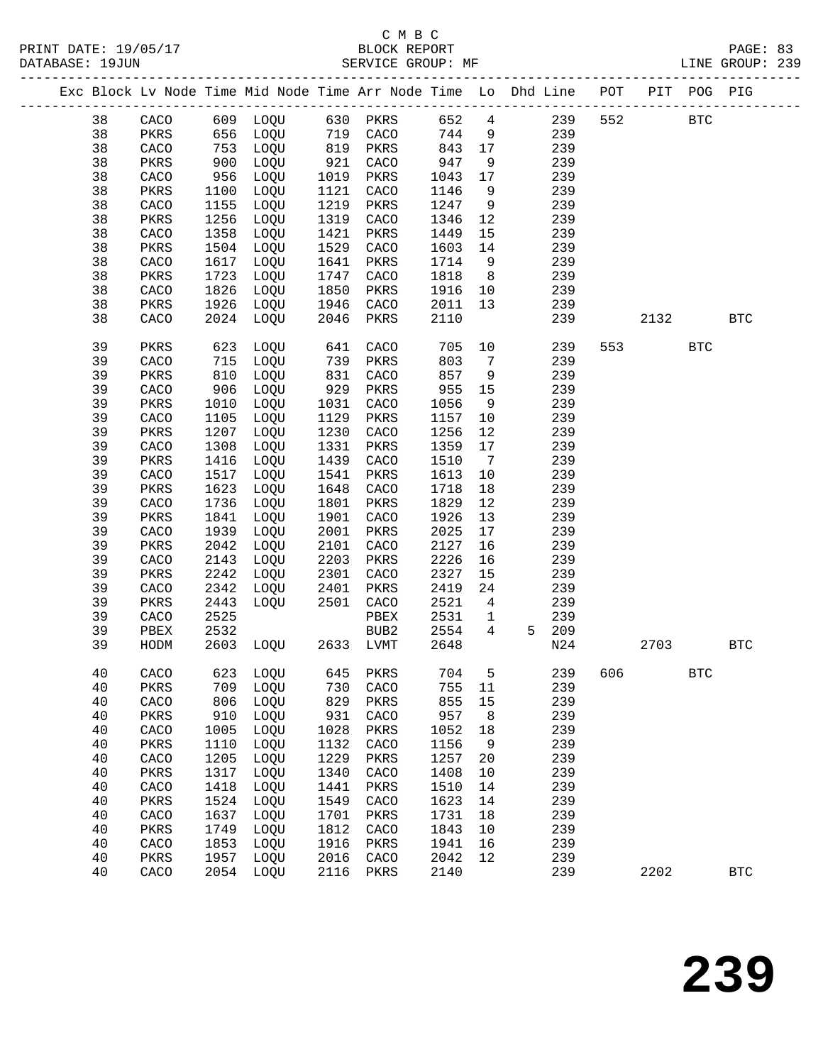# C M B C

| DATABASE: 19JUN |               |              | SERVICE GROUP: MF            |              |              |              |                 |                                                                                |     |                          |            | LINE GROUP: 239 |  |
|-----------------|---------------|--------------|------------------------------|--------------|--------------|--------------|-----------------|--------------------------------------------------------------------------------|-----|--------------------------|------------|-----------------|--|
|                 |               |              |                              |              |              |              |                 | Exc Block Lv Node Time Mid Node Time Arr Node Time Lo Dhd Line POT PIT POG PIG |     |                          |            |                 |  |
| 38              |               |              | CACO 609 LOQU 630 PKRS 652 4 |              |              |              |                 | 239                                                                            | 552 | <b>BTC</b>               |            |                 |  |
| 38              | PKRS          |              | 656 LOQU 719 CACO            |              |              | 744          | 9               | 239                                                                            |     |                          |            |                 |  |
| 38              | CACO          | 753          | LOQU                         |              | 819 PKRS     | 843 17       |                 | 239                                                                            |     |                          |            |                 |  |
| 38              | PKRS          | 900          | LOQU                         | 921          | CACO         | 947          | 9               | 239                                                                            |     |                          |            |                 |  |
| 38              | CACO          | 956          | LOQU                         | 1019         | PKRS         | 1043         | 17              | 239                                                                            |     |                          |            |                 |  |
| 38              | PKRS          | 1100         | LOQU                         | 1121         | CACO         | 1146         | 9               | 239                                                                            |     |                          |            |                 |  |
| 38              | CACO          | 1155         | LOQU                         | 1219         | PKRS         | 1247         | 9               | 239                                                                            |     |                          |            |                 |  |
| 38              | PKRS          | 1256         | LOQU                         | 1319         | CACO         | 1346         | 12              | 239                                                                            |     |                          |            |                 |  |
| 38              | CACO          | 1358         | LOQU                         | 1421         | PKRS         | 1449         | 15              | 239                                                                            |     |                          |            |                 |  |
| 38              | PKRS          | 1504         | LOQU                         | 1529         | CACO         | 1603         | 14              | 239                                                                            |     |                          |            |                 |  |
| 38              | CACO          | 1617         | LOQU                         | 1641         | PKRS         | 1714         | 9               | 239                                                                            |     |                          |            |                 |  |
| 38              | PKRS          | 1723         | LOQU                         | 1747         | CACO         | 1818         | 8 <sup>8</sup>  | 239                                                                            |     |                          |            |                 |  |
| 38              | CACO          | 1826         | LOQU                         | 1850         | PKRS         | 1916         | 10              | 239                                                                            |     |                          |            |                 |  |
| 38              | PKRS          | 1926         | LOQU                         | 1946         | CACO         | 2011         | 13              | 239                                                                            |     |                          |            |                 |  |
| 38              | CACO          | 2024         | LOQU                         | 2046         | PKRS         | 2110         |                 | 239                                                                            |     | 2132                     |            | <b>BTC</b>      |  |
| 39              | PKRS          |              | 623 LOQU                     | 641          | CACO         | 705          | 10              | 239                                                                            |     | 553 and $\overline{553}$ | <b>BTC</b> |                 |  |
| 39              | CACO          | 715          | LOQU                         | 739          | PKRS         | 803          | $\overline{7}$  | 239                                                                            |     |                          |            |                 |  |
| 39              | PKRS          | 810          | LOQU                         | 831          | CACO         | 857          | 9               | 239                                                                            |     |                          |            |                 |  |
| 39              | CACO          | 906          | LOQU                         | 929          | PKRS         | 955          | 15              | 239                                                                            |     |                          |            |                 |  |
| 39              | PKRS          | 1010         | LOQU                         | 1031         | CACO         | 1056         | 9               | 239                                                                            |     |                          |            |                 |  |
| 39              | CACO          | 1105         | LOQU                         | 1129         | PKRS         | 1157         | 10              | 239                                                                            |     |                          |            |                 |  |
| 39              | PKRS          | 1207         | LOQU                         | 1230         | CACO         | 1256         | 12              | 239                                                                            |     |                          |            |                 |  |
| 39              | CACO          | 1308         | LOQU                         | 1331         | PKRS         | 1359         | 17              | 239                                                                            |     |                          |            |                 |  |
| 39              | PKRS          | 1416         | LOQU                         | 1439         | CACO         | 1510         | $7\overline{ }$ | 239                                                                            |     |                          |            |                 |  |
| 39              | CACO          | 1517         | LOQU                         | 1541         | PKRS         | 1613         | 10              | 239                                                                            |     |                          |            |                 |  |
| 39              | PKRS          | 1623         | LOQU                         | 1648         | CACO         | 1718         | 18              | 239                                                                            |     |                          |            |                 |  |
| 39              | CACO          | 1736         | LOQU                         | 1801         | PKRS         | 1829         | 12              | 239                                                                            |     |                          |            |                 |  |
| 39              | PKRS          | 1841         | LOQU                         | 1901         | CACO         | 1926         | 13              | 239                                                                            |     |                          |            |                 |  |
| 39              | CACO          | 1939         | LOQU                         | 2001         | PKRS         | 2025         | 17              | 239                                                                            |     |                          |            |                 |  |
| 39              | PKRS          | 2042         | LOQU                         | 2101         | CACO         | 2127         | 16              | 239                                                                            |     |                          |            |                 |  |
| 39              | CACO          | 2143         | LOQU                         | 2203         | PKRS         | 2226         | 16              | 239                                                                            |     |                          |            |                 |  |
| 39              | PKRS          | 2242         | LOQU                         | 2301         | CACO         | 2327         | 15              | 239                                                                            |     |                          |            |                 |  |
| 39              | CACO          | 2342         | LOQU                         | 2401         | PKRS         | 2419         | 24              | 239                                                                            |     |                          |            |                 |  |
| 39              | PKRS          | 2443         | LOQU                         | 2501         | CACO         | 2521         | $\overline{4}$  | 239                                                                            |     |                          |            |                 |  |
| 39              | CACO          | 2525         |                              |              | PBEX         | 2531         | $\mathbf{1}$    | 239                                                                            |     |                          |            |                 |  |
| 39              | PBEX          | 2532         | 2603 LOQU 2633 LVMT          |              | BUB2         | 2554<br>2648 | $\overline{4}$  | 5 209                                                                          |     |                          |            |                 |  |
| 39              | HODM          |              |                              |              |              |              |                 | N24                                                                            |     | 2703                     |            | <b>BTC</b>      |  |
| 40              | CACO          | 623          | LOQU                         | 645          | PKRS         | 704          | 5               | 239                                                                            | 606 |                          | <b>BTC</b> |                 |  |
| 40              | PKRS          | 709          | LOQU                         | 730          | CACO         | 755          | $11\,$          | 239                                                                            |     |                          |            |                 |  |
| 40              | CACO          | 806          | LOQU                         | 829          | PKRS         | 855          | 15              | 239                                                                            |     |                          |            |                 |  |
| 40              | PKRS          | 910          | LOQU                         | 931          | CACO         | 957          | 8               | 239                                                                            |     |                          |            |                 |  |
| 40              | CACO          | 1005         | LOQU                         | 1028         | PKRS         | 1052         | 18              | 239                                                                            |     |                          |            |                 |  |
| 40              | $\mbox{PKRS}$ | 1110         | LOQU                         | 1132         | CACO         | 1156         | 9               | 239                                                                            |     |                          |            |                 |  |
| 40              | CACO          | 1205         | LOQU                         | 1229         | PKRS         | 1257         | 20              | 239                                                                            |     |                          |            |                 |  |
| 40              | PKRS          | 1317         | LOQU                         | 1340         | CACO         | 1408         | 10              | 239                                                                            |     |                          |            |                 |  |
| 40              | CACO          | 1418         | LOQU                         | 1441         | PKRS         | 1510         | 14              | 239                                                                            |     |                          |            |                 |  |
| 40              | PKRS          | 1524         | LOQU                         | 1549         | CACO         | 1623         | 14              | 239                                                                            |     |                          |            |                 |  |
| 40              | CACO          | 1637         | LOQU                         | 1701         | PKRS         | 1731         | 18              | 239                                                                            |     |                          |            |                 |  |
| 40              | PKRS          | 1749         | LOQU                         | 1812<br>1916 | CACO         | 1843         | 10              | 239<br>239                                                                     |     |                          |            |                 |  |
| 40<br>40        | CACO<br>PKRS  | 1853<br>1957 | LOQU<br>LOQU                 | 2016         | PKRS<br>CACO | 1941<br>2042 | 16<br>12        | 239                                                                            |     |                          |            |                 |  |
| 40              | CACO          | 2054         | LOQU                         | 2116         | PKRS         | 2140         |                 | 239                                                                            |     | 2202                     |            | <b>BTC</b>      |  |
|                 |               |              |                              |              |              |              |                 |                                                                                |     |                          |            |                 |  |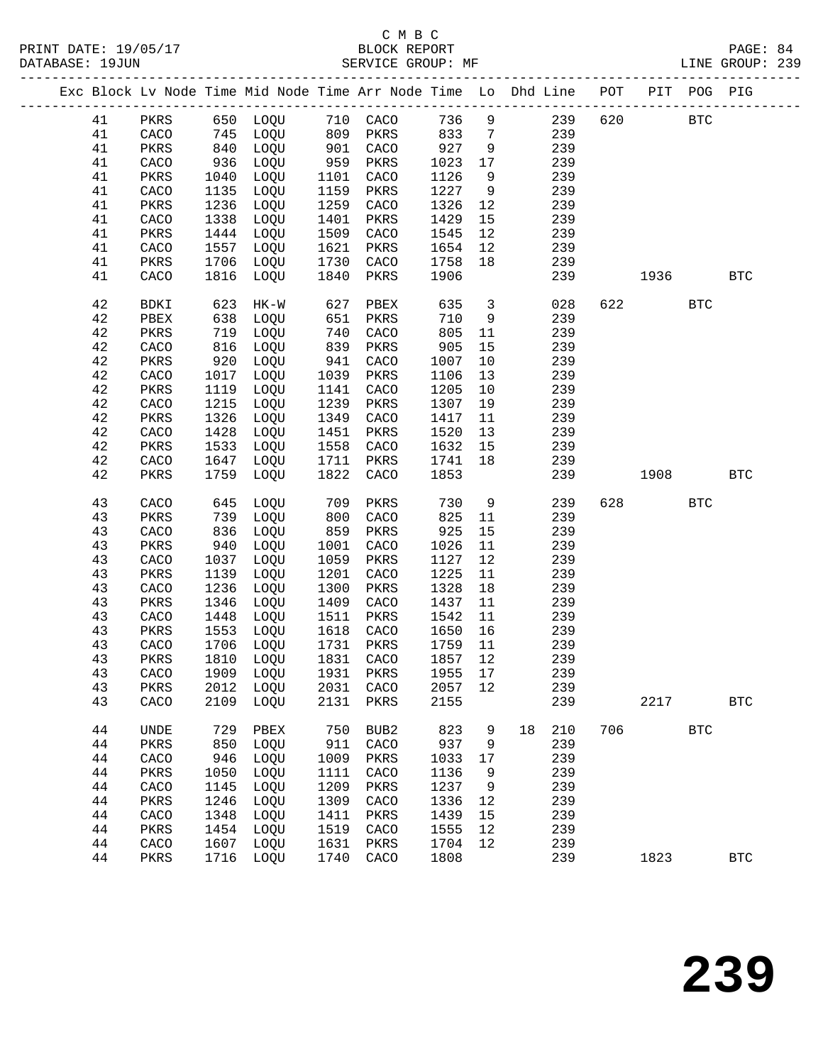|  |        |             |      | Exc Block Lv Node Time Mid Node Time Arr Node Time Lo Dhd Line POT |      |      |                   |                         |    |            |     |                        | PIT POG PIG |                      |
|--|--------|-------------|------|--------------------------------------------------------------------|------|------|-------------------|-------------------------|----|------------|-----|------------------------|-------------|----------------------|
|  | 41     | PKRS        |      |                                                                    |      |      |                   |                         |    | $9 \t 239$ | 620 |                        | <b>BTC</b>  |                      |
|  | 41     | CACO        |      | 650 LOQU 710 CACO<br>745 LOQU 809 PKRS<br>840 LOQU 901 CACO        |      |      | 736<br>833<br>833 | $7\overline{ }$         |    | 239        |     |                        |             |                      |
|  | 41     | PKRS        |      |                                                                    | 901  |      | 927               | 9                       |    | 239        |     |                        |             |                      |
|  | 41     | CACO        | 936  | LOQU                                                               | 959  | PKRS | 1023              | 17                      |    | 239        |     |                        |             |                      |
|  | 41     | PKRS        | 1040 | LOQU                                                               | 1101 | CACO | 1126              | 9                       |    | 239        |     |                        |             |                      |
|  | 41     | CACO        | 1135 | LOQU                                                               | 1159 | PKRS | 1227              | 9                       |    | 239        |     |                        |             |                      |
|  | 41     | PKRS        | 1236 | LOQU                                                               | 1259 | CACO | 1326              | 12                      |    | 239        |     |                        |             |                      |
|  | 41     | CACO        | 1338 | LOQU                                                               | 1401 | PKRS | 1429              | 15                      |    | 239        |     |                        |             |                      |
|  | 41     | PKRS        | 1444 | LOQU                                                               | 1509 | CACO | 1545              | 12                      |    | 239        |     |                        |             |                      |
|  | 41     | CACO        | 1557 | LOQU                                                               | 1621 | PKRS | 1654              | 12                      |    | 239        |     |                        |             |                      |
|  | 41     | PKRS        | 1706 | LOQU                                                               | 1730 | CACO | 1758              | 18                      |    | 239        |     |                        |             |                      |
|  | 41     | CACO        |      | 1816 LOQU                                                          | 1840 | PKRS | 1906              |                         |    | 239        |     | 1936                   |             | $_{\rm BTC}$         |
|  | 42     | BDKI        | 623  | HK-W                                                               | 627  | PBEX | 635               | $\overline{\mathbf{3}}$ |    | 028        |     | 622 and $\overline{a}$ | <b>BTC</b>  |                      |
|  | 42     | PBEX        | 638  | LOQU                                                               | 651  | PKRS | 710               | 9                       |    | 239        |     |                        |             |                      |
|  | 42     | PKRS        | 719  | LOQU                                                               | 740  | CACO | 805               | 11                      |    | 239        |     |                        |             |                      |
|  | 42     | CACO        | 816  | LOQU                                                               | 839  | PKRS | 905               | 15                      |    | 239        |     |                        |             |                      |
|  | 42     | PKRS        | 920  | LOQU                                                               | 941  | CACO | 1007              | 10                      |    | 239        |     |                        |             |                      |
|  | 42     | CACO        | 1017 | LOQU                                                               | 1039 | PKRS | 1106              | 13                      |    | 239        |     |                        |             |                      |
|  | 42     | PKRS        | 1119 | LOQU                                                               | 1141 | CACO | 1205              | 10                      |    | 239        |     |                        |             |                      |
|  | 42     | CACO        | 1215 | LOQU                                                               | 1239 | PKRS | 1307              | 19                      |    | 239        |     |                        |             |                      |
|  | 42     | PKRS        | 1326 | LOQU                                                               | 1349 | CACO | 1417              | 11                      |    | 239        |     |                        |             |                      |
|  | 42     | CACO        | 1428 | LOQU                                                               | 1451 | PKRS | 1520              | 13                      |    | 239        |     |                        |             |                      |
|  | 42     | PKRS        | 1533 | LOQU                                                               | 1558 | CACO | 1632              | 15                      |    | 239        |     |                        |             |                      |
|  | $4\,2$ | CACO        | 1647 | LOQU                                                               | 1711 | PKRS | 1741              | 18                      |    | 239        |     |                        |             |                      |
|  | 42     | PKRS        | 1759 | LOQU                                                               | 1822 | CACO | 1853              |                         |    | 239        |     | 1908                   |             | <b>BTC</b>           |
|  | 43     | CACO        | 645  | LOQU                                                               | 709  | PKRS | 730               | 9                       |    | 239        | 628 |                        | <b>BTC</b>  |                      |
|  | 43     | PKRS        | 739  | LOQU                                                               | 800  | CACO | 825               | 11                      |    | 239        |     |                        |             |                      |
|  | 43     | CACO        | 836  | LOQU                                                               | 859  | PKRS | 925               | 15                      |    | 239        |     |                        |             |                      |
|  | 43     | PKRS        | 940  | LOQU                                                               | 1001 | CACO | 1026              | 11                      |    | 239        |     |                        |             |                      |
|  | 43     | CACO        | 1037 | LOQU                                                               | 1059 | PKRS | 1127              | 12                      |    | 239        |     |                        |             |                      |
|  | 43     | PKRS        | 1139 | LOQU                                                               | 1201 | CACO | 1225              | 11                      |    | 239        |     |                        |             |                      |
|  | 43     | CACO        | 1236 | LOQU                                                               | 1300 | PKRS | 1328              | 18                      |    | 239        |     |                        |             |                      |
|  | 43     | PKRS        | 1346 | LOQU                                                               | 1409 | CACO | 1437              | 11                      |    | 239        |     |                        |             |                      |
|  | 43     | CACO        | 1448 | LOQU                                                               | 1511 | PKRS | 1542              | 11                      |    | 239        |     |                        |             |                      |
|  | 43     | PKRS        | 1553 | LOQU                                                               | 1618 | CACO | 1650              | 16                      |    | 239        |     |                        |             |                      |
|  | 43     | CACO        | 1706 | LOQU                                                               | 1731 | PKRS | 1759              | 11                      |    | 239        |     |                        |             |                      |
|  | 43     | PKRS        | 1810 | LOQU                                                               | 1831 | CACO | 1857              | 12                      |    | 239        |     |                        |             |                      |
|  | 43     | CACO        |      | 1909 LOQU 1931 PKRS 1955 17                                        |      |      |                   |                         |    | 239        |     |                        |             |                      |
|  | 43     | PKRS        |      | 2012 LOQU                                                          | 2031 | CACO | 2057              | 12                      |    | 239        |     |                        |             |                      |
|  | 43     | CACO        | 2109 | LOQU                                                               | 2131 | PKRS | 2155              |                         |    | 239        |     | 2217                   |             | <b>BTC</b>           |
|  | 44     | <b>UNDE</b> | 729  | PBEX                                                               | 750  | BUB2 | 823               | 9                       | 18 | 210        | 706 |                        | <b>BTC</b>  |                      |
|  | 44     | PKRS        | 850  | LOQU                                                               | 911  | CACO | 937               | 9                       |    | 239        |     |                        |             |                      |
|  | 44     | CACO        | 946  | LOQU                                                               | 1009 | PKRS | 1033              | 17                      |    | 239        |     |                        |             |                      |
|  | 44     | PKRS        | 1050 | LOQU                                                               | 1111 | CACO | 1136              | 9                       |    | 239        |     |                        |             |                      |
|  | 44     | CACO        | 1145 | LOQU                                                               | 1209 | PKRS | 1237              | 9                       |    | 239        |     |                        |             |                      |
|  | 44     | PKRS        | 1246 | LOQU                                                               | 1309 | CACO | 1336              | 12                      |    | 239        |     |                        |             |                      |
|  | 44     | CACO        | 1348 | LOQU                                                               | 1411 | PKRS | 1439              | 15                      |    | 239        |     |                        |             |                      |
|  | $4\,4$ | PKRS        | 1454 | LOQU                                                               | 1519 | CACO | 1555              | 12                      |    | 239        |     |                        |             |                      |
|  | 44     | CACO        | 1607 | LOQU                                                               | 1631 | PKRS | 1704              | 12                      |    | 239        |     |                        |             |                      |
|  | 44     | PKRS        |      | 1716 LOQU                                                          | 1740 | CACO | 1808              |                         |    | 239        |     | 1823                   |             | $\operatorname{BTC}$ |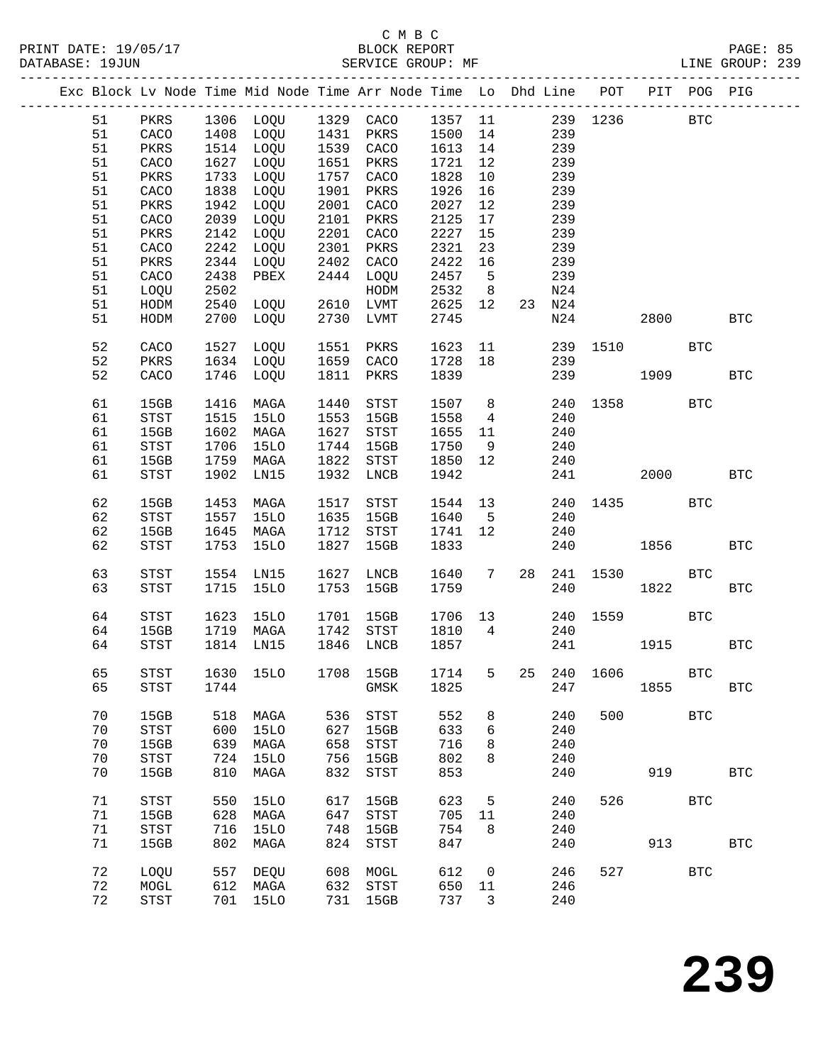|  |    |              |      |                     |      | Exc Block Lv Node Time Mid Node Time Arr Node Time Lo Dhd Line POT |              |                 |    |     |                        |      | PIT POG PIG |              |
|--|----|--------------|------|---------------------|------|--------------------------------------------------------------------|--------------|-----------------|----|-----|------------------------|------|-------------|--------------|
|  | 51 | PKRS         |      | 1306 LOQU 1329 CACO |      |                                                                    | 1357 11      |                 |    | 239 | 1236                   |      | <b>BTC</b>  |              |
|  | 51 | CACO         | 1408 | LOQU                | 1431 | PKRS                                                               | 1500         | 14              |    | 239 |                        |      |             |              |
|  | 51 | PKRS         | 1514 | LOQU                | 1539 | CACO                                                               | 1613         | 14              |    | 239 |                        |      |             |              |
|  | 51 | CACO         | 1627 | LOQU                | 1651 | PKRS                                                               | 1721         | 12              |    | 239 |                        |      |             |              |
|  | 51 | PKRS         | 1733 | LOQU                | 1757 | CACO                                                               | 1828         | 10              |    | 239 |                        |      |             |              |
|  | 51 | CACO         | 1838 | LOQU                | 1901 | PKRS                                                               | 1926         | 16              |    | 239 |                        |      |             |              |
|  | 51 | PKRS         | 1942 | LOQU                | 2001 | CACO                                                               | 2027         | 12              |    | 239 |                        |      |             |              |
|  | 51 | CACO         | 2039 | LOQU                | 2101 | PKRS                                                               | 2125         | 17              |    | 239 |                        |      |             |              |
|  | 51 |              | 2142 | LOQU                | 2201 | CACO                                                               | 2227         |                 |    | 239 |                        |      |             |              |
|  | 51 | PKRS         |      | LOQU                | 2301 |                                                                    |              | 15<br>23        |    | 239 |                        |      |             |              |
|  | 51 | CACO         | 2242 |                     | 2402 | PKRS<br>CACO                                                       | 2321<br>2422 | 16              |    | 239 |                        |      |             |              |
|  | 51 | PKRS         | 2344 | LOQU                | 2444 |                                                                    | 2457         | $5\overline{5}$ |    | 239 |                        |      |             |              |
|  |    | CACO         | 2438 | PBEX                |      | LOQU                                                               |              |                 |    |     |                        |      |             |              |
|  | 51 | LOQU         | 2502 |                     |      | HODM                                                               | 2532         | 8               |    | N24 |                        |      |             |              |
|  | 51 | HODM         | 2540 | LOQU                | 2610 | LVMT                                                               | 2625         | 12              | 23 | N24 |                        |      |             |              |
|  | 51 | HODM         | 2700 | LOQU                | 2730 | LVMT                                                               | 2745         |                 |    | N24 |                        | 2800 |             | <b>BTC</b>   |
|  | 52 | CACO         | 1527 | LOQU                | 1551 | PKRS                                                               | 1623         | 11              |    | 239 | 1510                   |      | <b>BTC</b>  |              |
|  | 52 | PKRS         | 1634 | LOQU                | 1659 | CACO                                                               | 1728         | 18              |    | 239 |                        |      |             |              |
|  | 52 | CACO         | 1746 | LOQU                | 1811 | PKRS                                                               | 1839         |                 |    | 239 |                        | 1909 |             | <b>BTC</b>   |
|  |    |              |      |                     |      |                                                                    |              |                 |    |     |                        |      |             |              |
|  | 61 | 15GB         | 1416 | MAGA                | 1440 | ${\tt STST}$                                                       | 1507         | 8 <sup>8</sup>  |    | 240 | 1358                   |      | <b>BTC</b>  |              |
|  | 61 | STST         | 1515 | <b>15LO</b>         | 1553 | 15GB                                                               | 1558         | $\overline{4}$  |    | 240 |                        |      |             |              |
|  | 61 | 15GB         | 1602 | MAGA                | 1627 | ${\tt STST}$                                                       | 1655         | 11              |    | 240 |                        |      |             |              |
|  | 61 | STST         | 1706 | 15LO                | 1744 | 15GB                                                               | 1750         | 9               |    | 240 |                        |      |             |              |
|  | 61 | 15GB         | 1759 | MAGA                | 1822 | STST                                                               | 1850         | 12              |    | 240 |                        |      |             |              |
|  | 61 | STST         | 1902 | LN15                | 1932 | LNCB                                                               | 1942         |                 |    | 241 |                        | 2000 |             | <b>BTC</b>   |
|  |    |              |      |                     |      |                                                                    |              |                 |    |     |                        |      |             |              |
|  | 62 | 15GB         | 1453 | MAGA                | 1517 | STST                                                               | 1544         | 13              |    | 240 | 1435                   |      | <b>BTC</b>  |              |
|  | 62 | <b>STST</b>  | 1557 | <b>15LO</b>         | 1635 | 15GB                                                               | 1640         | 5               |    | 240 |                        |      |             |              |
|  | 62 | 15GB         | 1645 | MAGA                | 1712 | STST                                                               | 1741         | 12              |    | 240 |                        |      |             |              |
|  | 62 | <b>STST</b>  | 1753 | 15LO                | 1827 | 15GB                                                               | 1833         |                 |    | 240 |                        | 1856 |             | <b>BTC</b>   |
|  | 63 | <b>STST</b>  | 1554 | LN15                | 1627 | LNCB                                                               | 1640         | 7               | 28 | 241 | 1530                   |      | <b>BTC</b>  |              |
|  | 63 | <b>STST</b>  | 1715 | 15LO                | 1753 | 15GB                                                               | 1759         |                 |    | 240 |                        | 1822 |             | $_{\rm BTC}$ |
|  |    |              |      |                     |      |                                                                    |              |                 |    |     |                        |      |             |              |
|  | 64 | <b>STST</b>  | 1623 | 15LO                | 1701 | 15GB                                                               | 1706         | 13              |    | 240 | 1559                   |      | <b>BTC</b>  |              |
|  | 64 | 15GB         | 1719 | MAGA                | 1742 | STST                                                               | 1810         | $\overline{4}$  |    | 240 |                        |      |             |              |
|  | 64 | STST         | 1814 | LN15                | 1846 | LNCB                                                               | 1857         |                 |    | 241 |                        | 1915 |             | $_{\rm BTC}$ |
|  |    |              |      |                     |      |                                                                    |              |                 |    |     |                        |      |             |              |
|  | 65 | ${\tt STST}$ |      | 1630 15LO           |      | 1708 15GB                                                          |              |                 |    |     | 1714 5 25 240 1606 BTC |      |             |              |
|  | 65 | STST         | 1744 |                     |      | GMSK                                                               | 1825         |                 |    | 247 |                        | 1855 |             | <b>BTC</b>   |
|  |    |              |      |                     |      |                                                                    |              |                 |    |     |                        |      |             |              |
|  | 70 | 15GB         | 518  | MAGA                | 536  | STST                                                               | 552          | 8               |    | 240 | 500                    |      | <b>BTC</b>  |              |
|  | 70 | STST         | 600  | <b>15LO</b>         | 627  | 15GB                                                               | 633          | 6               |    | 240 |                        |      |             |              |
|  | 70 | 15GB         | 639  | MAGA                | 658  | $_{\footnotesize{\textnormal{STST}}}$                              | 716          | 8               |    | 240 |                        |      |             |              |
|  | 70 | STST         | 724  | <b>15LO</b>         | 756  | 15GB                                                               | 802          | 8               |    | 240 |                        |      |             |              |
|  | 70 | 15GB         | 810  | MAGA                | 832  | $_{\footnotesize{\textnormal{STST}}}$                              | 853          |                 |    | 240 |                        | 919  |             | <b>BTC</b>   |
|  | 71 | STST         | 550  | <b>15LO</b>         | 617  | 15GB                                                               | 623          | 5               |    | 240 | 526                    |      | <b>BTC</b>  |              |
|  | 71 | 15GB         | 628  | MAGA                | 647  | STST                                                               | 705          | 11              |    | 240 |                        |      |             |              |
|  | 71 | STST         | 716  | <b>15LO</b>         | 748  | 15GB                                                               | 754          | 8               |    | 240 |                        |      |             |              |
|  | 71 | 15GB         | 802  | MAGA                | 824  | STST                                                               | 847          |                 |    | 240 |                        | 913  |             | <b>BTC</b>   |
|  |    |              |      |                     |      |                                                                    |              |                 |    |     |                        |      |             |              |
|  | 72 | LOQU         | 557  | DEQU                | 608  | MOGL                                                               | 612          | 0               |    | 246 | 527                    |      | <b>BTC</b>  |              |
|  | 72 | MOGL         | 612  | MAGA                | 632  | STST                                                               | 650          | 11              |    | 246 |                        |      |             |              |
|  | 72 | STST         | 701  | <b>15LO</b>         | 731  | 15GB                                                               | 737          | 3               |    | 240 |                        |      |             |              |
|  |    |              |      |                     |      |                                                                    |              |                 |    |     |                        |      |             |              |